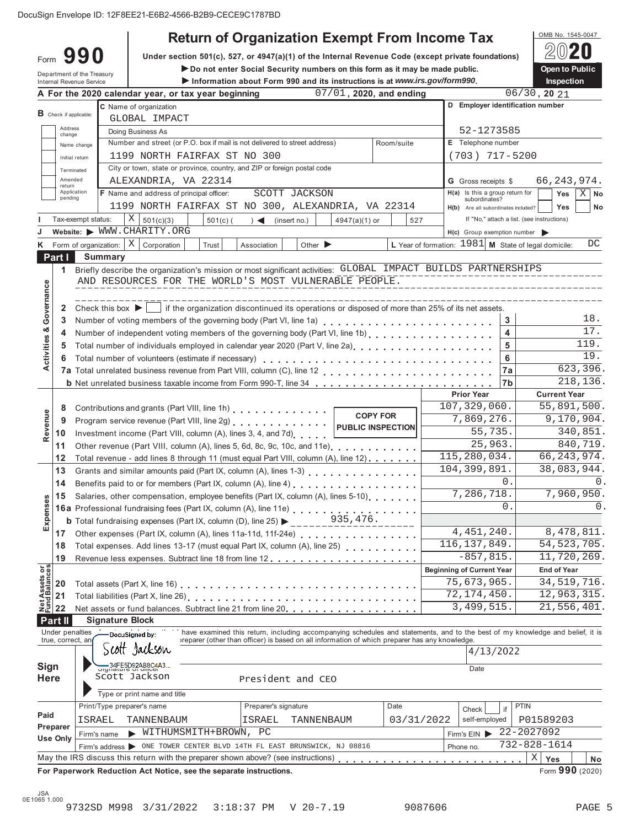| Do not enter Social Security numbers on this form as it may be made public.<br>Open to Public<br>Department of the Treasury<br>Inspection<br>Information about Form 990 and its instructions is at www.irs.gov/form990.<br>Internal Revenue Service<br>$06/30$ , 20 21<br>07/01, 2020, and ending<br>A For the 2020 calendar year, or tax year beginning<br>D Employer identification number<br>C Name of organization<br>$\mathbf B$ Check if applicable:<br>GLOBAL IMPACT<br>Address<br>52-1273585<br>Doing Business As<br>change<br>Number and street (or P.O. box if mail is not delivered to street address)<br>E Telephone number<br>Room/suite<br>Name change<br>$(703)$ $717 - 5200$<br>1199 NORTH FAIRFAX ST NO 300<br>Initial return<br>City or town, state or province, country, and ZIP or foreign postal code<br>Terminated<br>Amended<br>ALEXANDRIA, VA 22314<br>66, 243, 974.<br><b>G</b> Gross receipts \$<br>return<br>Application<br>F Name and address of principal officer:<br>SCOTT JACKSON<br>H(a) Is this a group return for<br>Χ<br>Yes<br>No<br>pending<br>subordinates?<br>1199 NORTH FAIRFAX ST NO 300, ALEXANDRIA, VA 22314<br><b>No</b><br><b>Yes</b><br>H(b) Are all subordinates included?<br>Χ<br>If "No," attach a list. (see instructions)<br>Tax-exempt status:<br>4947(a)(1) or<br>501(c)(3)<br>$501(c)$ (<br>$\rightarrow$<br>(insert no.)<br>527<br>Website: WWW.CHARITY.ORG<br>$H(c)$ Group exemption number<br>Form of organization:   X<br>L Year of formation: $1981$ M State of legal domicile:<br>DC.<br>Corporation<br>Other $\blacktriangleright$<br>Trust<br>Association<br>ĸ.<br>Part I<br><b>Summary</b><br>Briefly describe the organization's mission or most significant activities: GLOBAL IMPACT BUILDS PARTNERSHIPS<br>1<br>AND RESOURCES FOR THE WORLD'S MOST VULNERABLE PEOPLE.<br>Activities & Governance<br>Check this box $\blacktriangleright$<br>if the organization discontinued its operations or disposed of more than 25% of its net assets.<br>2<br>18.<br>3<br>3<br>17.<br>4<br>Number of independent voting members of the governing body (Part VI, line 1b)<br>4<br>119.<br>5<br>5<br>19.<br>$\bf 6$<br>Total number of volunteers (estimate if necessary)<br>6<br>623, 396.<br>7a<br>218,136.<br>7b<br><b>b</b> Net unrelated business taxable income from Form 990-T, line 34<br><b>Current Year</b><br><b>Prior Year</b><br>107,329,060.<br>$\overline{55,891}$ , 500.<br>Contributions and grants (Part VIII, line 1h)<br>8<br>Revenue<br><b>COPY FOR</b><br>7,869,276.<br>9,170,904.<br>Program service revenue (Part VIII, line 2g)   PUBLIC INSPECTION<br>9<br>55,735.<br>340,851.<br>Investment income (Part VIII, column (A), lines 3, 4, and 7d)<br>10<br>25,963.<br>840,719.<br>11<br>Other revenue (Part VIII, column (A), lines 5, 6d, 8c, 9c, 10c, and 11e)<br>[100]<br>115,280,034.<br>66, 243, 974.<br>12<br>Total revenue - add lines 8 through 11 (must equal Part VIII, column (A), line 12)<br>104, 399, 891.<br>38,083,944.<br>13<br>Grants and similar amounts paid (Part IX, column (A), lines 1-3)<br>0<br>$\mathsf{0}$ .<br>14<br>Benefits paid to or for members (Part IX, column (A), line 4)<br>7,960,950.<br>7,286,718.<br>Salaries, other compensation, employee benefits (Part IX, column (A), lines 5-10)<br>15<br>Expenses<br>$\Omega$<br>$\mathbf{0}$ .<br>16a Professional fundraising fees (Part IX, column (A), line 11e)<br>935,476.<br><b>b</b> Total fundraising expenses (Part IX, column (D), line 25) $\blacktriangleright$<br>4, 451, 240.<br>8,478,811.<br>Other expenses (Part IX, column (A), lines 11a-11d, 11f-24e)<br>17<br>116, 137, 849.<br>54, 523, 705.<br>18<br>$-857, 815.$<br>11,720,269.<br>19<br>Met Assets or<br>Eund Balances<br>22<br>22<br>22<br><b>Beginning of Current Year</b><br><b>End of Year</b><br>75,673,965.<br>34, 519, 716.<br>$\overline{72,174,450}$ .<br>12,963,315.<br>21,556,401.<br>3,499,515.<br>Net assets or fund balances. Subtract line 21 from line 20.<br>Part II<br><b>Signature Block</b><br>have examined this return, including accompanying schedules and statements, and to the best of my knowledge and belief, it is reparer (other than officer) is based on all information of which preparer has any knowledge.<br>Under penalties<br>- DocuSigned by:<br>true, correct, an<br>s <i>co</i> tt Jackson<br>4/13/2022<br>34FE5D92AB8C4A3<br>Sign<br>Date<br>Scott Jackson<br><b>Here</b><br>President and CEO<br>Type or print name and title<br><b>PTIN</b><br>Print/Type preparer's name<br>Preparer's signature<br>Date<br>Check<br>if<br>Paid<br>ISRAEL<br>TANNENBAUM<br><b>ISRAEL</b><br>03/31/2022<br>self-employed<br>P01589203<br>TANNENBAUM<br>Preparer<br>22-2027092<br>WITHUMSMITH+BROWN, PC<br>Firm's EIN<br>Firm's name<br><b>Use Only</b><br>$732 - 828 - 1614$<br>Firm's address > ONE TOWER CENTER BLVD 14TH FL EAST BRUNSWICK, NJ 08816<br>Phone no. | <b>Return of Organization Exempt From Income Tax</b><br>990<br>Under section 501(c), 527, or 4947(a)(1) of the Internal Revenue Code (except private foundations)<br>Form | OMB No. 1545-0047 |
|---------------------------------------------------------------------------------------------------------------------------------------------------------------------------------------------------------------------------------------------------------------------------------------------------------------------------------------------------------------------------------------------------------------------------------------------------------------------------------------------------------------------------------------------------------------------------------------------------------------------------------------------------------------------------------------------------------------------------------------------------------------------------------------------------------------------------------------------------------------------------------------------------------------------------------------------------------------------------------------------------------------------------------------------------------------------------------------------------------------------------------------------------------------------------------------------------------------------------------------------------------------------------------------------------------------------------------------------------------------------------------------------------------------------------------------------------------------------------------------------------------------------------------------------------------------------------------------------------------------------------------------------------------------------------------------------------------------------------------------------------------------------------------------------------------------------------------------------------------------------------------------------------------------------------------------------------------------------------------------------------------------------------------------------------------------------------------------------------------------------------------------------------------------------------------------------------------------------------------------------------------------------------------------------------------------------------------------------------------------------------------------------------------------------------------------------------------------------------------------------------------------------------------------------------------------------------------------------------------------------------------------------------------------------------------------------------------------------------------------------------------------------------------------------------------------------------------------------------------------------------------------------------------------------------------------------------------------------------------------------------------------------------------------------------------------------------------------------------------------------------------------------------------------------------------------------------------------------------------------------------------------------------------------------------------------------------------------------------------------------------------------------------------------------------------------------------------------------------------------------------------------------------------------------------------------------------------------------------------------------------------------------------------------------------------------------------------------------------------------------------------------------------------------------------------------------------------------------------------------------------------------------------------------------------------------------------------------------------------------------------------------------------------------------------------------------------------------------------------------------------------------------------------------------------------------------------------------------------------------------------------------------------------------------------------------------------------------------------------------------------------------------------------------------------------------------------------------------------------------------------------------------------------------------------------------------------------------------------------------------------------------------------------------------------------------------------------------------------------------------------------------------------------------------------------------------------------------------------------------------------------------------------------------------------------------------|---------------------------------------------------------------------------------------------------------------------------------------------------------------------------|-------------------|
|                                                                                                                                                                                                                                                                                                                                                                                                                                                                                                                                                                                                                                                                                                                                                                                                                                                                                                                                                                                                                                                                                                                                                                                                                                                                                                                                                                                                                                                                                                                                                                                                                                                                                                                                                                                                                                                                                                                                                                                                                                                                                                                                                                                                                                                                                                                                                                                                                                                                                                                                                                                                                                                                                                                                                                                                                                                                                                                                                                                                                                                                                                                                                                                                                                                                                                                                                                                                                                                                                                                                                                                                                                                                                                                                                                                                                                                                                                                                                                                                                                                                                                                                                                                                                                                                                                                                                                                                                                                                                                                                                                                                                                                                                                                                                                                                                                                                                                                                             |                                                                                                                                                                           |                   |
|                                                                                                                                                                                                                                                                                                                                                                                                                                                                                                                                                                                                                                                                                                                                                                                                                                                                                                                                                                                                                                                                                                                                                                                                                                                                                                                                                                                                                                                                                                                                                                                                                                                                                                                                                                                                                                                                                                                                                                                                                                                                                                                                                                                                                                                                                                                                                                                                                                                                                                                                                                                                                                                                                                                                                                                                                                                                                                                                                                                                                                                                                                                                                                                                                                                                                                                                                                                                                                                                                                                                                                                                                                                                                                                                                                                                                                                                                                                                                                                                                                                                                                                                                                                                                                                                                                                                                                                                                                                                                                                                                                                                                                                                                                                                                                                                                                                                                                                                             |                                                                                                                                                                           |                   |
|                                                                                                                                                                                                                                                                                                                                                                                                                                                                                                                                                                                                                                                                                                                                                                                                                                                                                                                                                                                                                                                                                                                                                                                                                                                                                                                                                                                                                                                                                                                                                                                                                                                                                                                                                                                                                                                                                                                                                                                                                                                                                                                                                                                                                                                                                                                                                                                                                                                                                                                                                                                                                                                                                                                                                                                                                                                                                                                                                                                                                                                                                                                                                                                                                                                                                                                                                                                                                                                                                                                                                                                                                                                                                                                                                                                                                                                                                                                                                                                                                                                                                                                                                                                                                                                                                                                                                                                                                                                                                                                                                                                                                                                                                                                                                                                                                                                                                                                                             |                                                                                                                                                                           |                   |
|                                                                                                                                                                                                                                                                                                                                                                                                                                                                                                                                                                                                                                                                                                                                                                                                                                                                                                                                                                                                                                                                                                                                                                                                                                                                                                                                                                                                                                                                                                                                                                                                                                                                                                                                                                                                                                                                                                                                                                                                                                                                                                                                                                                                                                                                                                                                                                                                                                                                                                                                                                                                                                                                                                                                                                                                                                                                                                                                                                                                                                                                                                                                                                                                                                                                                                                                                                                                                                                                                                                                                                                                                                                                                                                                                                                                                                                                                                                                                                                                                                                                                                                                                                                                                                                                                                                                                                                                                                                                                                                                                                                                                                                                                                                                                                                                                                                                                                                                             |                                                                                                                                                                           |                   |
|                                                                                                                                                                                                                                                                                                                                                                                                                                                                                                                                                                                                                                                                                                                                                                                                                                                                                                                                                                                                                                                                                                                                                                                                                                                                                                                                                                                                                                                                                                                                                                                                                                                                                                                                                                                                                                                                                                                                                                                                                                                                                                                                                                                                                                                                                                                                                                                                                                                                                                                                                                                                                                                                                                                                                                                                                                                                                                                                                                                                                                                                                                                                                                                                                                                                                                                                                                                                                                                                                                                                                                                                                                                                                                                                                                                                                                                                                                                                                                                                                                                                                                                                                                                                                                                                                                                                                                                                                                                                                                                                                                                                                                                                                                                                                                                                                                                                                                                                             |                                                                                                                                                                           |                   |
|                                                                                                                                                                                                                                                                                                                                                                                                                                                                                                                                                                                                                                                                                                                                                                                                                                                                                                                                                                                                                                                                                                                                                                                                                                                                                                                                                                                                                                                                                                                                                                                                                                                                                                                                                                                                                                                                                                                                                                                                                                                                                                                                                                                                                                                                                                                                                                                                                                                                                                                                                                                                                                                                                                                                                                                                                                                                                                                                                                                                                                                                                                                                                                                                                                                                                                                                                                                                                                                                                                                                                                                                                                                                                                                                                                                                                                                                                                                                                                                                                                                                                                                                                                                                                                                                                                                                                                                                                                                                                                                                                                                                                                                                                                                                                                                                                                                                                                                                             |                                                                                                                                                                           |                   |
|                                                                                                                                                                                                                                                                                                                                                                                                                                                                                                                                                                                                                                                                                                                                                                                                                                                                                                                                                                                                                                                                                                                                                                                                                                                                                                                                                                                                                                                                                                                                                                                                                                                                                                                                                                                                                                                                                                                                                                                                                                                                                                                                                                                                                                                                                                                                                                                                                                                                                                                                                                                                                                                                                                                                                                                                                                                                                                                                                                                                                                                                                                                                                                                                                                                                                                                                                                                                                                                                                                                                                                                                                                                                                                                                                                                                                                                                                                                                                                                                                                                                                                                                                                                                                                                                                                                                                                                                                                                                                                                                                                                                                                                                                                                                                                                                                                                                                                                                             |                                                                                                                                                                           |                   |
|                                                                                                                                                                                                                                                                                                                                                                                                                                                                                                                                                                                                                                                                                                                                                                                                                                                                                                                                                                                                                                                                                                                                                                                                                                                                                                                                                                                                                                                                                                                                                                                                                                                                                                                                                                                                                                                                                                                                                                                                                                                                                                                                                                                                                                                                                                                                                                                                                                                                                                                                                                                                                                                                                                                                                                                                                                                                                                                                                                                                                                                                                                                                                                                                                                                                                                                                                                                                                                                                                                                                                                                                                                                                                                                                                                                                                                                                                                                                                                                                                                                                                                                                                                                                                                                                                                                                                                                                                                                                                                                                                                                                                                                                                                                                                                                                                                                                                                                                             |                                                                                                                                                                           |                   |
|                                                                                                                                                                                                                                                                                                                                                                                                                                                                                                                                                                                                                                                                                                                                                                                                                                                                                                                                                                                                                                                                                                                                                                                                                                                                                                                                                                                                                                                                                                                                                                                                                                                                                                                                                                                                                                                                                                                                                                                                                                                                                                                                                                                                                                                                                                                                                                                                                                                                                                                                                                                                                                                                                                                                                                                                                                                                                                                                                                                                                                                                                                                                                                                                                                                                                                                                                                                                                                                                                                                                                                                                                                                                                                                                                                                                                                                                                                                                                                                                                                                                                                                                                                                                                                                                                                                                                                                                                                                                                                                                                                                                                                                                                                                                                                                                                                                                                                                                             |                                                                                                                                                                           |                   |
|                                                                                                                                                                                                                                                                                                                                                                                                                                                                                                                                                                                                                                                                                                                                                                                                                                                                                                                                                                                                                                                                                                                                                                                                                                                                                                                                                                                                                                                                                                                                                                                                                                                                                                                                                                                                                                                                                                                                                                                                                                                                                                                                                                                                                                                                                                                                                                                                                                                                                                                                                                                                                                                                                                                                                                                                                                                                                                                                                                                                                                                                                                                                                                                                                                                                                                                                                                                                                                                                                                                                                                                                                                                                                                                                                                                                                                                                                                                                                                                                                                                                                                                                                                                                                                                                                                                                                                                                                                                                                                                                                                                                                                                                                                                                                                                                                                                                                                                                             |                                                                                                                                                                           |                   |
|                                                                                                                                                                                                                                                                                                                                                                                                                                                                                                                                                                                                                                                                                                                                                                                                                                                                                                                                                                                                                                                                                                                                                                                                                                                                                                                                                                                                                                                                                                                                                                                                                                                                                                                                                                                                                                                                                                                                                                                                                                                                                                                                                                                                                                                                                                                                                                                                                                                                                                                                                                                                                                                                                                                                                                                                                                                                                                                                                                                                                                                                                                                                                                                                                                                                                                                                                                                                                                                                                                                                                                                                                                                                                                                                                                                                                                                                                                                                                                                                                                                                                                                                                                                                                                                                                                                                                                                                                                                                                                                                                                                                                                                                                                                                                                                                                                                                                                                                             |                                                                                                                                                                           |                   |
|                                                                                                                                                                                                                                                                                                                                                                                                                                                                                                                                                                                                                                                                                                                                                                                                                                                                                                                                                                                                                                                                                                                                                                                                                                                                                                                                                                                                                                                                                                                                                                                                                                                                                                                                                                                                                                                                                                                                                                                                                                                                                                                                                                                                                                                                                                                                                                                                                                                                                                                                                                                                                                                                                                                                                                                                                                                                                                                                                                                                                                                                                                                                                                                                                                                                                                                                                                                                                                                                                                                                                                                                                                                                                                                                                                                                                                                                                                                                                                                                                                                                                                                                                                                                                                                                                                                                                                                                                                                                                                                                                                                                                                                                                                                                                                                                                                                                                                                                             |                                                                                                                                                                           |                   |
|                                                                                                                                                                                                                                                                                                                                                                                                                                                                                                                                                                                                                                                                                                                                                                                                                                                                                                                                                                                                                                                                                                                                                                                                                                                                                                                                                                                                                                                                                                                                                                                                                                                                                                                                                                                                                                                                                                                                                                                                                                                                                                                                                                                                                                                                                                                                                                                                                                                                                                                                                                                                                                                                                                                                                                                                                                                                                                                                                                                                                                                                                                                                                                                                                                                                                                                                                                                                                                                                                                                                                                                                                                                                                                                                                                                                                                                                                                                                                                                                                                                                                                                                                                                                                                                                                                                                                                                                                                                                                                                                                                                                                                                                                                                                                                                                                                                                                                                                             |                                                                                                                                                                           |                   |
|                                                                                                                                                                                                                                                                                                                                                                                                                                                                                                                                                                                                                                                                                                                                                                                                                                                                                                                                                                                                                                                                                                                                                                                                                                                                                                                                                                                                                                                                                                                                                                                                                                                                                                                                                                                                                                                                                                                                                                                                                                                                                                                                                                                                                                                                                                                                                                                                                                                                                                                                                                                                                                                                                                                                                                                                                                                                                                                                                                                                                                                                                                                                                                                                                                                                                                                                                                                                                                                                                                                                                                                                                                                                                                                                                                                                                                                                                                                                                                                                                                                                                                                                                                                                                                                                                                                                                                                                                                                                                                                                                                                                                                                                                                                                                                                                                                                                                                                                             |                                                                                                                                                                           |                   |
|                                                                                                                                                                                                                                                                                                                                                                                                                                                                                                                                                                                                                                                                                                                                                                                                                                                                                                                                                                                                                                                                                                                                                                                                                                                                                                                                                                                                                                                                                                                                                                                                                                                                                                                                                                                                                                                                                                                                                                                                                                                                                                                                                                                                                                                                                                                                                                                                                                                                                                                                                                                                                                                                                                                                                                                                                                                                                                                                                                                                                                                                                                                                                                                                                                                                                                                                                                                                                                                                                                                                                                                                                                                                                                                                                                                                                                                                                                                                                                                                                                                                                                                                                                                                                                                                                                                                                                                                                                                                                                                                                                                                                                                                                                                                                                                                                                                                                                                                             |                                                                                                                                                                           |                   |
|                                                                                                                                                                                                                                                                                                                                                                                                                                                                                                                                                                                                                                                                                                                                                                                                                                                                                                                                                                                                                                                                                                                                                                                                                                                                                                                                                                                                                                                                                                                                                                                                                                                                                                                                                                                                                                                                                                                                                                                                                                                                                                                                                                                                                                                                                                                                                                                                                                                                                                                                                                                                                                                                                                                                                                                                                                                                                                                                                                                                                                                                                                                                                                                                                                                                                                                                                                                                                                                                                                                                                                                                                                                                                                                                                                                                                                                                                                                                                                                                                                                                                                                                                                                                                                                                                                                                                                                                                                                                                                                                                                                                                                                                                                                                                                                                                                                                                                                                             |                                                                                                                                                                           |                   |
|                                                                                                                                                                                                                                                                                                                                                                                                                                                                                                                                                                                                                                                                                                                                                                                                                                                                                                                                                                                                                                                                                                                                                                                                                                                                                                                                                                                                                                                                                                                                                                                                                                                                                                                                                                                                                                                                                                                                                                                                                                                                                                                                                                                                                                                                                                                                                                                                                                                                                                                                                                                                                                                                                                                                                                                                                                                                                                                                                                                                                                                                                                                                                                                                                                                                                                                                                                                                                                                                                                                                                                                                                                                                                                                                                                                                                                                                                                                                                                                                                                                                                                                                                                                                                                                                                                                                                                                                                                                                                                                                                                                                                                                                                                                                                                                                                                                                                                                                             |                                                                                                                                                                           |                   |
|                                                                                                                                                                                                                                                                                                                                                                                                                                                                                                                                                                                                                                                                                                                                                                                                                                                                                                                                                                                                                                                                                                                                                                                                                                                                                                                                                                                                                                                                                                                                                                                                                                                                                                                                                                                                                                                                                                                                                                                                                                                                                                                                                                                                                                                                                                                                                                                                                                                                                                                                                                                                                                                                                                                                                                                                                                                                                                                                                                                                                                                                                                                                                                                                                                                                                                                                                                                                                                                                                                                                                                                                                                                                                                                                                                                                                                                                                                                                                                                                                                                                                                                                                                                                                                                                                                                                                                                                                                                                                                                                                                                                                                                                                                                                                                                                                                                                                                                                             |                                                                                                                                                                           |                   |
|                                                                                                                                                                                                                                                                                                                                                                                                                                                                                                                                                                                                                                                                                                                                                                                                                                                                                                                                                                                                                                                                                                                                                                                                                                                                                                                                                                                                                                                                                                                                                                                                                                                                                                                                                                                                                                                                                                                                                                                                                                                                                                                                                                                                                                                                                                                                                                                                                                                                                                                                                                                                                                                                                                                                                                                                                                                                                                                                                                                                                                                                                                                                                                                                                                                                                                                                                                                                                                                                                                                                                                                                                                                                                                                                                                                                                                                                                                                                                                                                                                                                                                                                                                                                                                                                                                                                                                                                                                                                                                                                                                                                                                                                                                                                                                                                                                                                                                                                             |                                                                                                                                                                           |                   |
|                                                                                                                                                                                                                                                                                                                                                                                                                                                                                                                                                                                                                                                                                                                                                                                                                                                                                                                                                                                                                                                                                                                                                                                                                                                                                                                                                                                                                                                                                                                                                                                                                                                                                                                                                                                                                                                                                                                                                                                                                                                                                                                                                                                                                                                                                                                                                                                                                                                                                                                                                                                                                                                                                                                                                                                                                                                                                                                                                                                                                                                                                                                                                                                                                                                                                                                                                                                                                                                                                                                                                                                                                                                                                                                                                                                                                                                                                                                                                                                                                                                                                                                                                                                                                                                                                                                                                                                                                                                                                                                                                                                                                                                                                                                                                                                                                                                                                                                                             |                                                                                                                                                                           |                   |
|                                                                                                                                                                                                                                                                                                                                                                                                                                                                                                                                                                                                                                                                                                                                                                                                                                                                                                                                                                                                                                                                                                                                                                                                                                                                                                                                                                                                                                                                                                                                                                                                                                                                                                                                                                                                                                                                                                                                                                                                                                                                                                                                                                                                                                                                                                                                                                                                                                                                                                                                                                                                                                                                                                                                                                                                                                                                                                                                                                                                                                                                                                                                                                                                                                                                                                                                                                                                                                                                                                                                                                                                                                                                                                                                                                                                                                                                                                                                                                                                                                                                                                                                                                                                                                                                                                                                                                                                                                                                                                                                                                                                                                                                                                                                                                                                                                                                                                                                             |                                                                                                                                                                           |                   |
|                                                                                                                                                                                                                                                                                                                                                                                                                                                                                                                                                                                                                                                                                                                                                                                                                                                                                                                                                                                                                                                                                                                                                                                                                                                                                                                                                                                                                                                                                                                                                                                                                                                                                                                                                                                                                                                                                                                                                                                                                                                                                                                                                                                                                                                                                                                                                                                                                                                                                                                                                                                                                                                                                                                                                                                                                                                                                                                                                                                                                                                                                                                                                                                                                                                                                                                                                                                                                                                                                                                                                                                                                                                                                                                                                                                                                                                                                                                                                                                                                                                                                                                                                                                                                                                                                                                                                                                                                                                                                                                                                                                                                                                                                                                                                                                                                                                                                                                                             |                                                                                                                                                                           |                   |
|                                                                                                                                                                                                                                                                                                                                                                                                                                                                                                                                                                                                                                                                                                                                                                                                                                                                                                                                                                                                                                                                                                                                                                                                                                                                                                                                                                                                                                                                                                                                                                                                                                                                                                                                                                                                                                                                                                                                                                                                                                                                                                                                                                                                                                                                                                                                                                                                                                                                                                                                                                                                                                                                                                                                                                                                                                                                                                                                                                                                                                                                                                                                                                                                                                                                                                                                                                                                                                                                                                                                                                                                                                                                                                                                                                                                                                                                                                                                                                                                                                                                                                                                                                                                                                                                                                                                                                                                                                                                                                                                                                                                                                                                                                                                                                                                                                                                                                                                             |                                                                                                                                                                           |                   |
|                                                                                                                                                                                                                                                                                                                                                                                                                                                                                                                                                                                                                                                                                                                                                                                                                                                                                                                                                                                                                                                                                                                                                                                                                                                                                                                                                                                                                                                                                                                                                                                                                                                                                                                                                                                                                                                                                                                                                                                                                                                                                                                                                                                                                                                                                                                                                                                                                                                                                                                                                                                                                                                                                                                                                                                                                                                                                                                                                                                                                                                                                                                                                                                                                                                                                                                                                                                                                                                                                                                                                                                                                                                                                                                                                                                                                                                                                                                                                                                                                                                                                                                                                                                                                                                                                                                                                                                                                                                                                                                                                                                                                                                                                                                                                                                                                                                                                                                                             |                                                                                                                                                                           |                   |
|                                                                                                                                                                                                                                                                                                                                                                                                                                                                                                                                                                                                                                                                                                                                                                                                                                                                                                                                                                                                                                                                                                                                                                                                                                                                                                                                                                                                                                                                                                                                                                                                                                                                                                                                                                                                                                                                                                                                                                                                                                                                                                                                                                                                                                                                                                                                                                                                                                                                                                                                                                                                                                                                                                                                                                                                                                                                                                                                                                                                                                                                                                                                                                                                                                                                                                                                                                                                                                                                                                                                                                                                                                                                                                                                                                                                                                                                                                                                                                                                                                                                                                                                                                                                                                                                                                                                                                                                                                                                                                                                                                                                                                                                                                                                                                                                                                                                                                                                             |                                                                                                                                                                           |                   |
|                                                                                                                                                                                                                                                                                                                                                                                                                                                                                                                                                                                                                                                                                                                                                                                                                                                                                                                                                                                                                                                                                                                                                                                                                                                                                                                                                                                                                                                                                                                                                                                                                                                                                                                                                                                                                                                                                                                                                                                                                                                                                                                                                                                                                                                                                                                                                                                                                                                                                                                                                                                                                                                                                                                                                                                                                                                                                                                                                                                                                                                                                                                                                                                                                                                                                                                                                                                                                                                                                                                                                                                                                                                                                                                                                                                                                                                                                                                                                                                                                                                                                                                                                                                                                                                                                                                                                                                                                                                                                                                                                                                                                                                                                                                                                                                                                                                                                                                                             |                                                                                                                                                                           |                   |
|                                                                                                                                                                                                                                                                                                                                                                                                                                                                                                                                                                                                                                                                                                                                                                                                                                                                                                                                                                                                                                                                                                                                                                                                                                                                                                                                                                                                                                                                                                                                                                                                                                                                                                                                                                                                                                                                                                                                                                                                                                                                                                                                                                                                                                                                                                                                                                                                                                                                                                                                                                                                                                                                                                                                                                                                                                                                                                                                                                                                                                                                                                                                                                                                                                                                                                                                                                                                                                                                                                                                                                                                                                                                                                                                                                                                                                                                                                                                                                                                                                                                                                                                                                                                                                                                                                                                                                                                                                                                                                                                                                                                                                                                                                                                                                                                                                                                                                                                             |                                                                                                                                                                           |                   |
|                                                                                                                                                                                                                                                                                                                                                                                                                                                                                                                                                                                                                                                                                                                                                                                                                                                                                                                                                                                                                                                                                                                                                                                                                                                                                                                                                                                                                                                                                                                                                                                                                                                                                                                                                                                                                                                                                                                                                                                                                                                                                                                                                                                                                                                                                                                                                                                                                                                                                                                                                                                                                                                                                                                                                                                                                                                                                                                                                                                                                                                                                                                                                                                                                                                                                                                                                                                                                                                                                                                                                                                                                                                                                                                                                                                                                                                                                                                                                                                                                                                                                                                                                                                                                                                                                                                                                                                                                                                                                                                                                                                                                                                                                                                                                                                                                                                                                                                                             |                                                                                                                                                                           |                   |
|                                                                                                                                                                                                                                                                                                                                                                                                                                                                                                                                                                                                                                                                                                                                                                                                                                                                                                                                                                                                                                                                                                                                                                                                                                                                                                                                                                                                                                                                                                                                                                                                                                                                                                                                                                                                                                                                                                                                                                                                                                                                                                                                                                                                                                                                                                                                                                                                                                                                                                                                                                                                                                                                                                                                                                                                                                                                                                                                                                                                                                                                                                                                                                                                                                                                                                                                                                                                                                                                                                                                                                                                                                                                                                                                                                                                                                                                                                                                                                                                                                                                                                                                                                                                                                                                                                                                                                                                                                                                                                                                                                                                                                                                                                                                                                                                                                                                                                                                             |                                                                                                                                                                           |                   |
|                                                                                                                                                                                                                                                                                                                                                                                                                                                                                                                                                                                                                                                                                                                                                                                                                                                                                                                                                                                                                                                                                                                                                                                                                                                                                                                                                                                                                                                                                                                                                                                                                                                                                                                                                                                                                                                                                                                                                                                                                                                                                                                                                                                                                                                                                                                                                                                                                                                                                                                                                                                                                                                                                                                                                                                                                                                                                                                                                                                                                                                                                                                                                                                                                                                                                                                                                                                                                                                                                                                                                                                                                                                                                                                                                                                                                                                                                                                                                                                                                                                                                                                                                                                                                                                                                                                                                                                                                                                                                                                                                                                                                                                                                                                                                                                                                                                                                                                                             |                                                                                                                                                                           |                   |
|                                                                                                                                                                                                                                                                                                                                                                                                                                                                                                                                                                                                                                                                                                                                                                                                                                                                                                                                                                                                                                                                                                                                                                                                                                                                                                                                                                                                                                                                                                                                                                                                                                                                                                                                                                                                                                                                                                                                                                                                                                                                                                                                                                                                                                                                                                                                                                                                                                                                                                                                                                                                                                                                                                                                                                                                                                                                                                                                                                                                                                                                                                                                                                                                                                                                                                                                                                                                                                                                                                                                                                                                                                                                                                                                                                                                                                                                                                                                                                                                                                                                                                                                                                                                                                                                                                                                                                                                                                                                                                                                                                                                                                                                                                                                                                                                                                                                                                                                             |                                                                                                                                                                           |                   |
|                                                                                                                                                                                                                                                                                                                                                                                                                                                                                                                                                                                                                                                                                                                                                                                                                                                                                                                                                                                                                                                                                                                                                                                                                                                                                                                                                                                                                                                                                                                                                                                                                                                                                                                                                                                                                                                                                                                                                                                                                                                                                                                                                                                                                                                                                                                                                                                                                                                                                                                                                                                                                                                                                                                                                                                                                                                                                                                                                                                                                                                                                                                                                                                                                                                                                                                                                                                                                                                                                                                                                                                                                                                                                                                                                                                                                                                                                                                                                                                                                                                                                                                                                                                                                                                                                                                                                                                                                                                                                                                                                                                                                                                                                                                                                                                                                                                                                                                                             |                                                                                                                                                                           |                   |
|                                                                                                                                                                                                                                                                                                                                                                                                                                                                                                                                                                                                                                                                                                                                                                                                                                                                                                                                                                                                                                                                                                                                                                                                                                                                                                                                                                                                                                                                                                                                                                                                                                                                                                                                                                                                                                                                                                                                                                                                                                                                                                                                                                                                                                                                                                                                                                                                                                                                                                                                                                                                                                                                                                                                                                                                                                                                                                                                                                                                                                                                                                                                                                                                                                                                                                                                                                                                                                                                                                                                                                                                                                                                                                                                                                                                                                                                                                                                                                                                                                                                                                                                                                                                                                                                                                                                                                                                                                                                                                                                                                                                                                                                                                                                                                                                                                                                                                                                             |                                                                                                                                                                           |                   |
|                                                                                                                                                                                                                                                                                                                                                                                                                                                                                                                                                                                                                                                                                                                                                                                                                                                                                                                                                                                                                                                                                                                                                                                                                                                                                                                                                                                                                                                                                                                                                                                                                                                                                                                                                                                                                                                                                                                                                                                                                                                                                                                                                                                                                                                                                                                                                                                                                                                                                                                                                                                                                                                                                                                                                                                                                                                                                                                                                                                                                                                                                                                                                                                                                                                                                                                                                                                                                                                                                                                                                                                                                                                                                                                                                                                                                                                                                                                                                                                                                                                                                                                                                                                                                                                                                                                                                                                                                                                                                                                                                                                                                                                                                                                                                                                                                                                                                                                                             |                                                                                                                                                                           |                   |
|                                                                                                                                                                                                                                                                                                                                                                                                                                                                                                                                                                                                                                                                                                                                                                                                                                                                                                                                                                                                                                                                                                                                                                                                                                                                                                                                                                                                                                                                                                                                                                                                                                                                                                                                                                                                                                                                                                                                                                                                                                                                                                                                                                                                                                                                                                                                                                                                                                                                                                                                                                                                                                                                                                                                                                                                                                                                                                                                                                                                                                                                                                                                                                                                                                                                                                                                                                                                                                                                                                                                                                                                                                                                                                                                                                                                                                                                                                                                                                                                                                                                                                                                                                                                                                                                                                                                                                                                                                                                                                                                                                                                                                                                                                                                                                                                                                                                                                                                             |                                                                                                                                                                           |                   |
|                                                                                                                                                                                                                                                                                                                                                                                                                                                                                                                                                                                                                                                                                                                                                                                                                                                                                                                                                                                                                                                                                                                                                                                                                                                                                                                                                                                                                                                                                                                                                                                                                                                                                                                                                                                                                                                                                                                                                                                                                                                                                                                                                                                                                                                                                                                                                                                                                                                                                                                                                                                                                                                                                                                                                                                                                                                                                                                                                                                                                                                                                                                                                                                                                                                                                                                                                                                                                                                                                                                                                                                                                                                                                                                                                                                                                                                                                                                                                                                                                                                                                                                                                                                                                                                                                                                                                                                                                                                                                                                                                                                                                                                                                                                                                                                                                                                                                                                                             |                                                                                                                                                                           |                   |
|                                                                                                                                                                                                                                                                                                                                                                                                                                                                                                                                                                                                                                                                                                                                                                                                                                                                                                                                                                                                                                                                                                                                                                                                                                                                                                                                                                                                                                                                                                                                                                                                                                                                                                                                                                                                                                                                                                                                                                                                                                                                                                                                                                                                                                                                                                                                                                                                                                                                                                                                                                                                                                                                                                                                                                                                                                                                                                                                                                                                                                                                                                                                                                                                                                                                                                                                                                                                                                                                                                                                                                                                                                                                                                                                                                                                                                                                                                                                                                                                                                                                                                                                                                                                                                                                                                                                                                                                                                                                                                                                                                                                                                                                                                                                                                                                                                                                                                                                             |                                                                                                                                                                           |                   |
|                                                                                                                                                                                                                                                                                                                                                                                                                                                                                                                                                                                                                                                                                                                                                                                                                                                                                                                                                                                                                                                                                                                                                                                                                                                                                                                                                                                                                                                                                                                                                                                                                                                                                                                                                                                                                                                                                                                                                                                                                                                                                                                                                                                                                                                                                                                                                                                                                                                                                                                                                                                                                                                                                                                                                                                                                                                                                                                                                                                                                                                                                                                                                                                                                                                                                                                                                                                                                                                                                                                                                                                                                                                                                                                                                                                                                                                                                                                                                                                                                                                                                                                                                                                                                                                                                                                                                                                                                                                                                                                                                                                                                                                                                                                                                                                                                                                                                                                                             |                                                                                                                                                                           |                   |
|                                                                                                                                                                                                                                                                                                                                                                                                                                                                                                                                                                                                                                                                                                                                                                                                                                                                                                                                                                                                                                                                                                                                                                                                                                                                                                                                                                                                                                                                                                                                                                                                                                                                                                                                                                                                                                                                                                                                                                                                                                                                                                                                                                                                                                                                                                                                                                                                                                                                                                                                                                                                                                                                                                                                                                                                                                                                                                                                                                                                                                                                                                                                                                                                                                                                                                                                                                                                                                                                                                                                                                                                                                                                                                                                                                                                                                                                                                                                                                                                                                                                                                                                                                                                                                                                                                                                                                                                                                                                                                                                                                                                                                                                                                                                                                                                                                                                                                                                             |                                                                                                                                                                           |                   |
|                                                                                                                                                                                                                                                                                                                                                                                                                                                                                                                                                                                                                                                                                                                                                                                                                                                                                                                                                                                                                                                                                                                                                                                                                                                                                                                                                                                                                                                                                                                                                                                                                                                                                                                                                                                                                                                                                                                                                                                                                                                                                                                                                                                                                                                                                                                                                                                                                                                                                                                                                                                                                                                                                                                                                                                                                                                                                                                                                                                                                                                                                                                                                                                                                                                                                                                                                                                                                                                                                                                                                                                                                                                                                                                                                                                                                                                                                                                                                                                                                                                                                                                                                                                                                                                                                                                                                                                                                                                                                                                                                                                                                                                                                                                                                                                                                                                                                                                                             |                                                                                                                                                                           |                   |
|                                                                                                                                                                                                                                                                                                                                                                                                                                                                                                                                                                                                                                                                                                                                                                                                                                                                                                                                                                                                                                                                                                                                                                                                                                                                                                                                                                                                                                                                                                                                                                                                                                                                                                                                                                                                                                                                                                                                                                                                                                                                                                                                                                                                                                                                                                                                                                                                                                                                                                                                                                                                                                                                                                                                                                                                                                                                                                                                                                                                                                                                                                                                                                                                                                                                                                                                                                                                                                                                                                                                                                                                                                                                                                                                                                                                                                                                                                                                                                                                                                                                                                                                                                                                                                                                                                                                                                                                                                                                                                                                                                                                                                                                                                                                                                                                                                                                                                                                             |                                                                                                                                                                           |                   |
|                                                                                                                                                                                                                                                                                                                                                                                                                                                                                                                                                                                                                                                                                                                                                                                                                                                                                                                                                                                                                                                                                                                                                                                                                                                                                                                                                                                                                                                                                                                                                                                                                                                                                                                                                                                                                                                                                                                                                                                                                                                                                                                                                                                                                                                                                                                                                                                                                                                                                                                                                                                                                                                                                                                                                                                                                                                                                                                                                                                                                                                                                                                                                                                                                                                                                                                                                                                                                                                                                                                                                                                                                                                                                                                                                                                                                                                                                                                                                                                                                                                                                                                                                                                                                                                                                                                                                                                                                                                                                                                                                                                                                                                                                                                                                                                                                                                                                                                                             |                                                                                                                                                                           |                   |
|                                                                                                                                                                                                                                                                                                                                                                                                                                                                                                                                                                                                                                                                                                                                                                                                                                                                                                                                                                                                                                                                                                                                                                                                                                                                                                                                                                                                                                                                                                                                                                                                                                                                                                                                                                                                                                                                                                                                                                                                                                                                                                                                                                                                                                                                                                                                                                                                                                                                                                                                                                                                                                                                                                                                                                                                                                                                                                                                                                                                                                                                                                                                                                                                                                                                                                                                                                                                                                                                                                                                                                                                                                                                                                                                                                                                                                                                                                                                                                                                                                                                                                                                                                                                                                                                                                                                                                                                                                                                                                                                                                                                                                                                                                                                                                                                                                                                                                                                             |                                                                                                                                                                           |                   |
|                                                                                                                                                                                                                                                                                                                                                                                                                                                                                                                                                                                                                                                                                                                                                                                                                                                                                                                                                                                                                                                                                                                                                                                                                                                                                                                                                                                                                                                                                                                                                                                                                                                                                                                                                                                                                                                                                                                                                                                                                                                                                                                                                                                                                                                                                                                                                                                                                                                                                                                                                                                                                                                                                                                                                                                                                                                                                                                                                                                                                                                                                                                                                                                                                                                                                                                                                                                                                                                                                                                                                                                                                                                                                                                                                                                                                                                                                                                                                                                                                                                                                                                                                                                                                                                                                                                                                                                                                                                                                                                                                                                                                                                                                                                                                                                                                                                                                                                                             |                                                                                                                                                                           |                   |
|                                                                                                                                                                                                                                                                                                                                                                                                                                                                                                                                                                                                                                                                                                                                                                                                                                                                                                                                                                                                                                                                                                                                                                                                                                                                                                                                                                                                                                                                                                                                                                                                                                                                                                                                                                                                                                                                                                                                                                                                                                                                                                                                                                                                                                                                                                                                                                                                                                                                                                                                                                                                                                                                                                                                                                                                                                                                                                                                                                                                                                                                                                                                                                                                                                                                                                                                                                                                                                                                                                                                                                                                                                                                                                                                                                                                                                                                                                                                                                                                                                                                                                                                                                                                                                                                                                                                                                                                                                                                                                                                                                                                                                                                                                                                                                                                                                                                                                                                             |                                                                                                                                                                           |                   |
|                                                                                                                                                                                                                                                                                                                                                                                                                                                                                                                                                                                                                                                                                                                                                                                                                                                                                                                                                                                                                                                                                                                                                                                                                                                                                                                                                                                                                                                                                                                                                                                                                                                                                                                                                                                                                                                                                                                                                                                                                                                                                                                                                                                                                                                                                                                                                                                                                                                                                                                                                                                                                                                                                                                                                                                                                                                                                                                                                                                                                                                                                                                                                                                                                                                                                                                                                                                                                                                                                                                                                                                                                                                                                                                                                                                                                                                                                                                                                                                                                                                                                                                                                                                                                                                                                                                                                                                                                                                                                                                                                                                                                                                                                                                                                                                                                                                                                                                                             |                                                                                                                                                                           |                   |
|                                                                                                                                                                                                                                                                                                                                                                                                                                                                                                                                                                                                                                                                                                                                                                                                                                                                                                                                                                                                                                                                                                                                                                                                                                                                                                                                                                                                                                                                                                                                                                                                                                                                                                                                                                                                                                                                                                                                                                                                                                                                                                                                                                                                                                                                                                                                                                                                                                                                                                                                                                                                                                                                                                                                                                                                                                                                                                                                                                                                                                                                                                                                                                                                                                                                                                                                                                                                                                                                                                                                                                                                                                                                                                                                                                                                                                                                                                                                                                                                                                                                                                                                                                                                                                                                                                                                                                                                                                                                                                                                                                                                                                                                                                                                                                                                                                                                                                                                             |                                                                                                                                                                           |                   |
|                                                                                                                                                                                                                                                                                                                                                                                                                                                                                                                                                                                                                                                                                                                                                                                                                                                                                                                                                                                                                                                                                                                                                                                                                                                                                                                                                                                                                                                                                                                                                                                                                                                                                                                                                                                                                                                                                                                                                                                                                                                                                                                                                                                                                                                                                                                                                                                                                                                                                                                                                                                                                                                                                                                                                                                                                                                                                                                                                                                                                                                                                                                                                                                                                                                                                                                                                                                                                                                                                                                                                                                                                                                                                                                                                                                                                                                                                                                                                                                                                                                                                                                                                                                                                                                                                                                                                                                                                                                                                                                                                                                                                                                                                                                                                                                                                                                                                                                                             |                                                                                                                                                                           |                   |
|                                                                                                                                                                                                                                                                                                                                                                                                                                                                                                                                                                                                                                                                                                                                                                                                                                                                                                                                                                                                                                                                                                                                                                                                                                                                                                                                                                                                                                                                                                                                                                                                                                                                                                                                                                                                                                                                                                                                                                                                                                                                                                                                                                                                                                                                                                                                                                                                                                                                                                                                                                                                                                                                                                                                                                                                                                                                                                                                                                                                                                                                                                                                                                                                                                                                                                                                                                                                                                                                                                                                                                                                                                                                                                                                                                                                                                                                                                                                                                                                                                                                                                                                                                                                                                                                                                                                                                                                                                                                                                                                                                                                                                                                                                                                                                                                                                                                                                                                             |                                                                                                                                                                           |                   |
|                                                                                                                                                                                                                                                                                                                                                                                                                                                                                                                                                                                                                                                                                                                                                                                                                                                                                                                                                                                                                                                                                                                                                                                                                                                                                                                                                                                                                                                                                                                                                                                                                                                                                                                                                                                                                                                                                                                                                                                                                                                                                                                                                                                                                                                                                                                                                                                                                                                                                                                                                                                                                                                                                                                                                                                                                                                                                                                                                                                                                                                                                                                                                                                                                                                                                                                                                                                                                                                                                                                                                                                                                                                                                                                                                                                                                                                                                                                                                                                                                                                                                                                                                                                                                                                                                                                                                                                                                                                                                                                                                                                                                                                                                                                                                                                                                                                                                                                                             | May the IRS discuss this return with the preparer shown above? (see instructions)                                                                                         | Χ<br>Yes<br>No    |
| Form 990 (2020)<br>For Paperwork Reduction Act Notice, see the separate instructions.                                                                                                                                                                                                                                                                                                                                                                                                                                                                                                                                                                                                                                                                                                                                                                                                                                                                                                                                                                                                                                                                                                                                                                                                                                                                                                                                                                                                                                                                                                                                                                                                                                                                                                                                                                                                                                                                                                                                                                                                                                                                                                                                                                                                                                                                                                                                                                                                                                                                                                                                                                                                                                                                                                                                                                                                                                                                                                                                                                                                                                                                                                                                                                                                                                                                                                                                                                                                                                                                                                                                                                                                                                                                                                                                                                                                                                                                                                                                                                                                                                                                                                                                                                                                                                                                                                                                                                                                                                                                                                                                                                                                                                                                                                                                                                                                                                                       |                                                                                                                                                                           |                   |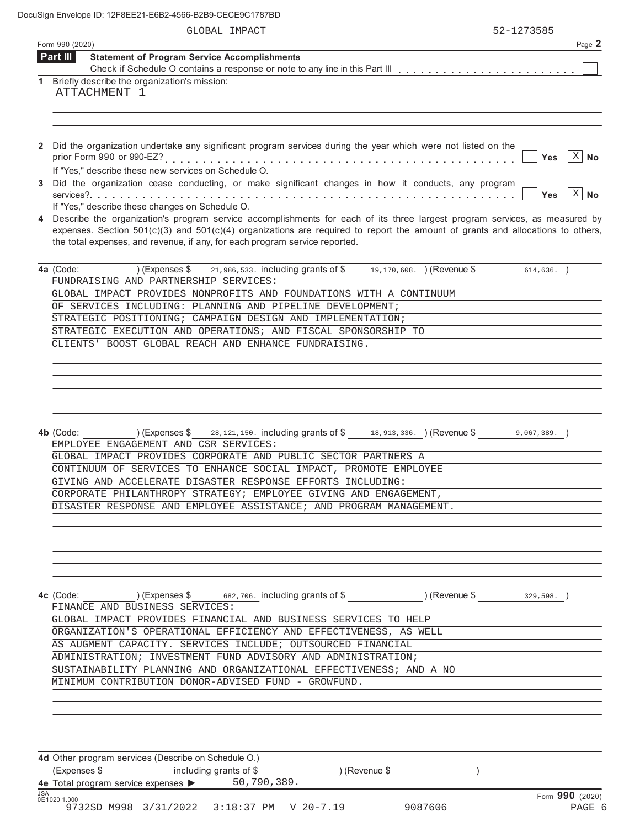| Part III     | GLOBAL IMPACT<br>Form 990 (2020)                                                                                                                                                                                                                                                                                                                                                                                                                                          | 52-1273585<br>Page 2                       |
|--------------|---------------------------------------------------------------------------------------------------------------------------------------------------------------------------------------------------------------------------------------------------------------------------------------------------------------------------------------------------------------------------------------------------------------------------------------------------------------------------|--------------------------------------------|
|              | <b>Statement of Program Service Accomplishments</b>                                                                                                                                                                                                                                                                                                                                                                                                                       |                                            |
|              | Check if Schedule O contains a response or note to any line in this Part III                                                                                                                                                                                                                                                                                                                                                                                              |                                            |
|              | 1 Briefly describe the organization's mission:<br>ATTACHMENT 1                                                                                                                                                                                                                                                                                                                                                                                                            |                                            |
|              |                                                                                                                                                                                                                                                                                                                                                                                                                                                                           |                                            |
|              |                                                                                                                                                                                                                                                                                                                                                                                                                                                                           |                                            |
|              | Did the organization undertake any significant program services during the year which were not listed on the                                                                                                                                                                                                                                                                                                                                                              |                                            |
|              | If "Yes," describe these new services on Schedule O.                                                                                                                                                                                                                                                                                                                                                                                                                      | $\vert X \vert$<br><b>No</b><br><b>Yes</b> |
|              | Did the organization cease conducting, or make significant changes in how it conducts, any program                                                                                                                                                                                                                                                                                                                                                                        | $X \vert$<br><b>No</b><br>Yes              |
|              | If "Yes," describe these changes on Schedule O.                                                                                                                                                                                                                                                                                                                                                                                                                           |                                            |
|              | Describe the organization's program service accomplishments for each of its three largest program services, as measured by<br>expenses. Section $501(c)(3)$ and $501(c)(4)$ organizations are required to report the amount of grants and allocations to others,<br>the total expenses, and revenue, if any, for each program service reported.                                                                                                                           |                                            |
| 4a (Code:    | 21,986,533. including grants of \$<br>19, 170, 608. (Revenue \$<br>(Express \$<br>FUNDRAISING AND PARTNERSHIP SERVICES:                                                                                                                                                                                                                                                                                                                                                   | 614,636.                                   |
|              | GLOBAL IMPACT PROVIDES NONPROFITS AND FOUNDATIONS WITH A CONTINUUM                                                                                                                                                                                                                                                                                                                                                                                                        |                                            |
|              | OF SERVICES INCLUDING: PLANNING AND PIPELINE DEVELOPMENT;                                                                                                                                                                                                                                                                                                                                                                                                                 |                                            |
|              | STRATEGIC POSITIONING; CAMPAIGN DESIGN AND IMPLEMENTATION;                                                                                                                                                                                                                                                                                                                                                                                                                |                                            |
|              | STRATEGIC EXECUTION AND OPERATIONS; AND FISCAL SPONSORSHIP TO<br>CLIENTS' BOOST GLOBAL REACH AND ENHANCE FUNDRAISING.                                                                                                                                                                                                                                                                                                                                                     |                                            |
|              |                                                                                                                                                                                                                                                                                                                                                                                                                                                                           |                                            |
|              |                                                                                                                                                                                                                                                                                                                                                                                                                                                                           |                                            |
|              |                                                                                                                                                                                                                                                                                                                                                                                                                                                                           |                                            |
|              |                                                                                                                                                                                                                                                                                                                                                                                                                                                                           |                                            |
|              |                                                                                                                                                                                                                                                                                                                                                                                                                                                                           |                                            |
| 4b (Code:    | 28, 121, 150. including grants of \$<br>18,913,336. ) (Revenue \$<br>) (Expenses \$<br>EMPLOYEE ENGAGEMENT AND CSR SERVICES:<br>GLOBAL IMPACT PROVIDES CORPORATE AND PUBLIC SECTOR PARTNERS A<br>CONTINUUM OF SERVICES TO ENHANCE SOCIAL IMPACT, PROMOTE EMPLOYEE<br>GIVING AND ACCELERATE DISASTER RESPONSE EFFORTS INCLUDING:<br>CORPORATE PHILANTHROPY STRATEGY; EMPLOYEE GIVING AND ENGAGEMENT,<br>DISASTER RESPONSE AND EMPLOYEE ASSISTANCE; AND PROGRAM MANAGEMENT. | 9,067,389.                                 |
|              |                                                                                                                                                                                                                                                                                                                                                                                                                                                                           |                                            |
|              |                                                                                                                                                                                                                                                                                                                                                                                                                                                                           |                                            |
|              | ) (Expenses $\$\$ 682,706. including grants of $\$$ ) (Revenue $\$$                                                                                                                                                                                                                                                                                                                                                                                                       | 329,598.                                   |
|              | FINANCE AND BUSINESS SERVICES:                                                                                                                                                                                                                                                                                                                                                                                                                                            |                                            |
|              | GLOBAL IMPACT PROVIDES FINANCIAL AND BUSINESS SERVICES TO HELP                                                                                                                                                                                                                                                                                                                                                                                                            |                                            |
|              | ORGANIZATION'S OPERATIONAL EFFICIENCY AND EFFECTIVENESS, AS WELL                                                                                                                                                                                                                                                                                                                                                                                                          |                                            |
|              | AS AUGMENT CAPACITY. SERVICES INCLUDE; OUTSOURCED FINANCIAL                                                                                                                                                                                                                                                                                                                                                                                                               |                                            |
|              | ADMINISTRATION; INVESTMENT FUND ADVISORY AND ADMINISTRATION;                                                                                                                                                                                                                                                                                                                                                                                                              |                                            |
|              | SUSTAINABILITY PLANNING AND ORGANIZATIONAL EFFECTIVENESS; AND A NO<br>MINIMUM CONTRIBUTION DONOR-ADVISED FUND - GROWFUND.                                                                                                                                                                                                                                                                                                                                                 |                                            |
|              |                                                                                                                                                                                                                                                                                                                                                                                                                                                                           |                                            |
| 4c (Code:    |                                                                                                                                                                                                                                                                                                                                                                                                                                                                           |                                            |
| (Expenses \$ | 4d Other program services (Describe on Schedule O.)<br>including grants of \$<br>) (Revenue \$                                                                                                                                                                                                                                                                                                                                                                            |                                            |
|              | 50,790,389.<br>4e Total program service expenses >                                                                                                                                                                                                                                                                                                                                                                                                                        |                                            |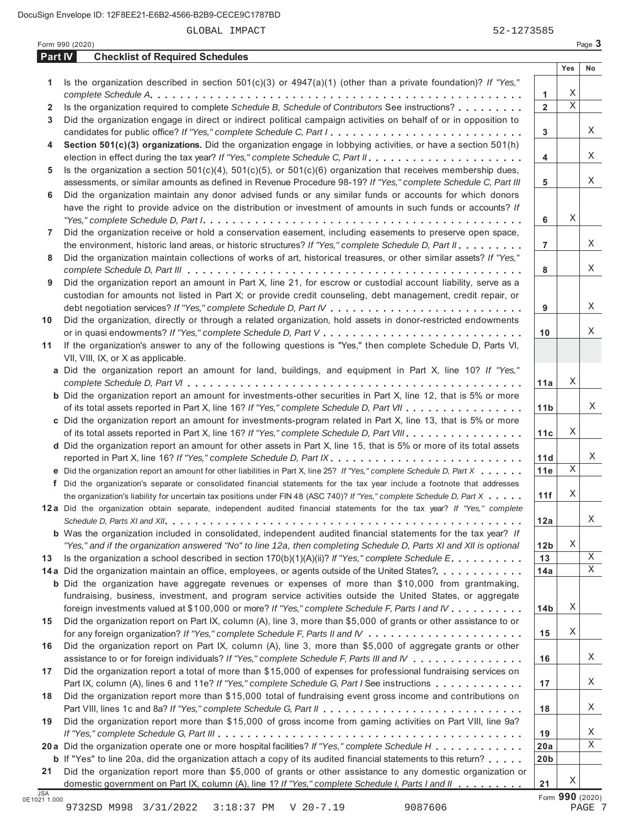| Part IV      | <b>Checklist of Required Schedules</b>                                                                                                                                                                             |                 |             |  |
|--------------|--------------------------------------------------------------------------------------------------------------------------------------------------------------------------------------------------------------------|-----------------|-------------|--|
|              |                                                                                                                                                                                                                    |                 | Yes         |  |
| 1            | Is the organization described in section $501(c)(3)$ or $4947(a)(1)$ (other than a private foundation)? If "Yes,"                                                                                                  |                 |             |  |
|              |                                                                                                                                                                                                                    | 1               | Χ           |  |
| $\mathbf{2}$ | Is the organization required to complete Schedule B, Schedule of Contributors See instructions?                                                                                                                    | $\overline{2}$  | $\mathbf X$ |  |
| 3            | Did the organization engage in direct or indirect political campaign activities on behalf of or in opposition to                                                                                                   |                 |             |  |
|              | candidates for public office? If "Yes," complete Schedule C, Part I.                                                                                                                                               | 3               |             |  |
| 4            | Section 501(c)(3) organizations. Did the organization engage in lobbying activities, or have a section 501(h)                                                                                                      |                 |             |  |
|              |                                                                                                                                                                                                                    | 4               |             |  |
| 5            | Is the organization a section $501(c)(4)$ , $501(c)(5)$ , or $501(c)(6)$ organization that receives membership dues,                                                                                               |                 |             |  |
|              | assessments, or similar amounts as defined in Revenue Procedure 98-19? If "Yes," complete Schedule C, Part III                                                                                                     | 5               |             |  |
| 6            | Did the organization maintain any donor advised funds or any similar funds or accounts for which donors                                                                                                            |                 |             |  |
|              | have the right to provide advice on the distribution or investment of amounts in such funds or accounts? If                                                                                                        |                 |             |  |
|              |                                                                                                                                                                                                                    | 6               | Χ           |  |
| 7            | Did the organization receive or hold a conservation easement, including easements to preserve open space,                                                                                                          |                 |             |  |
|              | the environment, historic land areas, or historic structures? If "Yes," complete Schedule D, Part II.                                                                                                              | $\overline{7}$  |             |  |
| 8            | Did the organization maintain collections of works of art, historical treasures, or other similar assets? If "Yes,"                                                                                                |                 |             |  |
|              |                                                                                                                                                                                                                    | 8               |             |  |
| 9            | Did the organization report an amount in Part X, line 21, for escrow or custodial account liability, serve as a                                                                                                    |                 |             |  |
|              | custodian for amounts not listed in Part X; or provide credit counseling, debt management, credit repair, or                                                                                                       |                 |             |  |
|              |                                                                                                                                                                                                                    | 9               |             |  |
| 10           | Did the organization, directly or through a related organization, hold assets in donor-restricted endowments                                                                                                       |                 |             |  |
|              |                                                                                                                                                                                                                    | 10              |             |  |
| 11           | If the organization's answer to any of the following questions is "Yes," then complete Schedule D, Parts VI,                                                                                                       |                 |             |  |
|              | VII, VIII, IX, or X as applicable.                                                                                                                                                                                 |                 |             |  |
|              | a Did the organization report an amount for land, buildings, and equipment in Part X, line 10? If "Yes,"                                                                                                           |                 | Χ           |  |
|              |                                                                                                                                                                                                                    | 11a             |             |  |
|              | <b>b</b> Did the organization report an amount for investments-other securities in Part X, line 12, that is 5% or more<br>of its total assets reported in Part X, line 16? If "Yes," complete Schedule D, Part VII | 11 <sub>b</sub> |             |  |
|              | c Did the organization report an amount for investments-program related in Part X, line 13, that is 5% or more                                                                                                     |                 |             |  |
|              | of its total assets reported in Part X, line 16? If "Yes," complete Schedule D, Part VIII                                                                                                                          | 11c             | Χ           |  |
|              | d Did the organization report an amount for other assets in Part X, line 15, that is 5% or more of its total assets                                                                                                |                 |             |  |
|              |                                                                                                                                                                                                                    | 11d             |             |  |
|              | e Did the organization report an amount for other liabilities in Part X, line 25? If "Yes," complete Schedule D, Part X                                                                                            | 11e             | $\mathbf X$ |  |
|              | f Did the organization's separate or consolidated financial statements for the tax year include a footnote that addresses                                                                                          |                 |             |  |
|              | the organization's liability for uncertain tax positions under FIN 48 (ASC 740)? If "Yes," complete Schedule D, Part X                                                                                             | 11f             | Χ           |  |
|              | 12a Did the organization obtain separate, independent audited financial statements for the tax year? If "Yes," complete                                                                                            |                 |             |  |
|              |                                                                                                                                                                                                                    | 12a             |             |  |
|              | <b>b</b> Was the organization included in consolidated, independent audited financial statements for the tax year? If                                                                                              |                 |             |  |
|              | "Yes," and if the organization answered "No" to line 12a, then completing Schedule D, Parts XI and XII is optional                                                                                                 | 12 <sub>b</sub> | Χ           |  |
| 13           | Is the organization a school described in section $170(b)(1)(A)(ii)$ ? If "Yes," complete Schedule E.                                                                                                              | 13              |             |  |
|              | 14a Did the organization maintain an office, employees, or agents outside of the United States?.                                                                                                                   | 14a             |             |  |
|              | <b>b</b> Did the organization have aggregate revenues or expenses of more than \$10,000 from grantmaking,                                                                                                          |                 |             |  |
|              | fundraising, business, investment, and program service activities outside the United States, or aggregate                                                                                                          |                 |             |  |
|              | foreign investments valued at \$100,000 or more? If "Yes," complete Schedule F, Parts I and IV                                                                                                                     | 14b             | Χ           |  |
| 15           | Did the organization report on Part IX, column (A), line 3, more than \$5,000 of grants or other assistance to or                                                                                                  |                 |             |  |
|              |                                                                                                                                                                                                                    | 15              | Χ           |  |
| 16           | Did the organization report on Part IX, column (A), line 3, more than \$5,000 of aggregate grants or other                                                                                                         |                 |             |  |
|              | assistance to or for foreign individuals? If "Yes," complete Schedule F, Parts III and IV                                                                                                                          | 16              |             |  |
| 17           | Did the organization report a total of more than \$15,000 of expenses for professional fundraising services on                                                                                                     |                 |             |  |
|              | Part IX, column (A), lines 6 and 11e? If "Yes," complete Schedule G, Part I See instructions                                                                                                                       | 17              |             |  |
| 18           | Did the organization report more than \$15,000 total of fundraising event gross income and contributions on                                                                                                        |                 |             |  |
|              |                                                                                                                                                                                                                    | 18              |             |  |
| 19           | Did the organization report more than \$15,000 of gross income from gaming activities on Part VIII, line 9a?                                                                                                       |                 |             |  |
|              |                                                                                                                                                                                                                    | 19              |             |  |
|              | 20 a Did the organization operate one or more hospital facilities? If "Yes," complete Schedule H                                                                                                                   | 20a             |             |  |
|              |                                                                                                                                                                                                                    |                 |             |  |
|              | <b>b</b> If "Yes" to line 20a, did the organization attach a copy of its audited financial statements to this return?                                                                                              | 20 <sub>b</sub> |             |  |
| 21           | Did the organization report more than \$5,000 of grants or other assistance to any domestic organization or<br>domestic government on Part IX, column (A), line 1? If "Yes," complete Schedule I, Parts I and II   |                 | Χ           |  |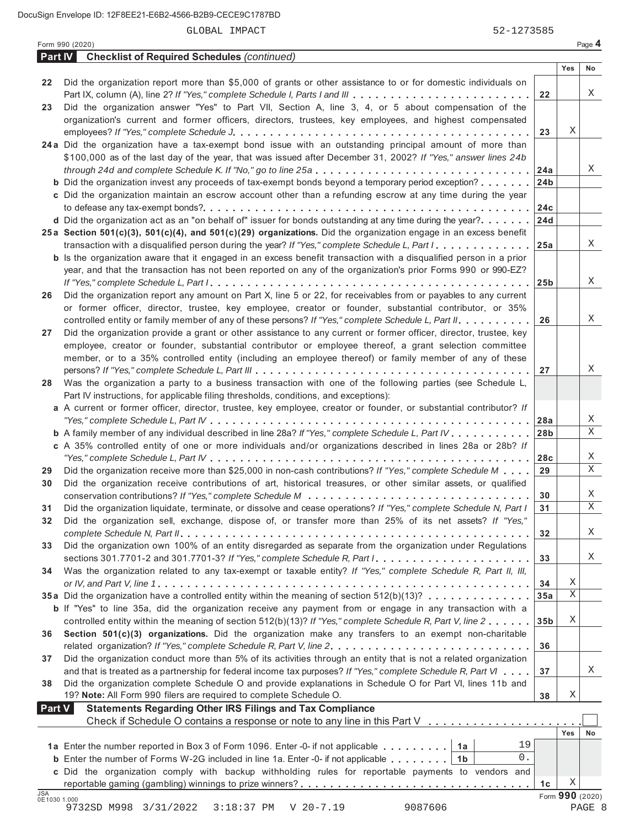|                            | Form 990 (2020)                                                                                                             |                 |     | Page 4                |
|----------------------------|-----------------------------------------------------------------------------------------------------------------------------|-----------------|-----|-----------------------|
| Part IV                    | <b>Checklist of Required Schedules (continued)</b>                                                                          |                 |     |                       |
|                            |                                                                                                                             |                 | Yes | No                    |
| 22                         | Did the organization report more than \$5,000 of grants or other assistance to or for domestic individuals on               |                 |     |                       |
|                            | Part IX, column (A), line 2? If "Yes," complete Schedule I, Parts I and III                                                 | 22              |     | Χ                     |
| 23                         | Did the organization answer "Yes" to Part VII, Section A, line 3, 4, or 5 about compensation of the                         |                 |     |                       |
|                            | organization's current and former officers, directors, trustees, key employees, and highest compensated                     |                 |     |                       |
|                            |                                                                                                                             | 23              | Χ   |                       |
|                            | 24a Did the organization have a tax-exempt bond issue with an outstanding principal amount of more than                     |                 |     |                       |
|                            | \$100,000 as of the last day of the year, that was issued after December 31, 2002? If "Yes," answer lines 24b               |                 |     |                       |
|                            | through 24d and complete Schedule K. If "No," go to line 25a                                                                | 24a             |     | Χ                     |
|                            | <b>b</b> Did the organization invest any proceeds of tax-exempt bonds beyond a temporary period exception?                  | 24 <sub>b</sub> |     |                       |
|                            | c Did the organization maintain an escrow account other than a refunding escrow at any time during the year                 |                 |     |                       |
|                            |                                                                                                                             | 24c             |     |                       |
|                            | d Did the organization act as an "on behalf of" issuer for bonds outstanding at any time during the year?                   | 24d             |     |                       |
|                            | 25a Section 501(c)(3), 501(c)(4), and 501(c)(29) organizations. Did the organization engage in an excess benefit            |                 |     |                       |
|                            | transaction with a disqualified person during the year? If "Yes," complete Schedule L, Part I.                              | 25a             |     | Χ                     |
|                            | <b>b</b> Is the organization aware that it engaged in an excess benefit transaction with a disqualified person in a prior   |                 |     |                       |
|                            | year, and that the transaction has not been reported on any of the organization's prior Forms 990 or 990-EZ?                |                 |     |                       |
|                            |                                                                                                                             | 25 <sub>b</sub> |     | Χ                     |
| 26                         | Did the organization report any amount on Part X, line 5 or 22, for receivables from or payables to any current             |                 |     |                       |
|                            | or former officer, director, trustee, key employee, creator or founder, substantial contributor, or 35%                     |                 |     |                       |
|                            | controlled entity or family member of any of these persons? If "Yes," complete Schedule L, Part II.                         | 26              |     | Χ                     |
| 27                         | Did the organization provide a grant or other assistance to any current or former officer, director, trustee, key           |                 |     |                       |
|                            | employee, creator or founder, substantial contributor or employee thereof, a grant selection committee                      |                 |     |                       |
|                            | member, or to a 35% controlled entity (including an employee thereof) or family member of any of these                      |                 |     |                       |
|                            |                                                                                                                             | 27              |     | Χ                     |
| 28                         | Was the organization a party to a business transaction with one of the following parties (see Schedule L,                   |                 |     |                       |
|                            | Part IV instructions, for applicable filing thresholds, conditions, and exceptions):                                        |                 |     |                       |
|                            | a A current or former officer, director, trustee, key employee, creator or founder, or substantial contributor? If          |                 |     |                       |
|                            |                                                                                                                             | 28a             |     | Χ                     |
|                            | <b>b</b> A family member of any individual described in line 28a? If "Yes," complete Schedule L, Part IV.                   | 28 <sub>b</sub> |     | X                     |
|                            | c A 35% controlled entity of one or more individuals and/or organizations described in lines 28a or 28b? If                 |                 |     |                       |
|                            |                                                                                                                             | 28c             |     | X                     |
| 29                         | Did the organization receive more than \$25,000 in non-cash contributions? If "Yes," complete Schedule M $\ldots$           | 29              |     | X                     |
| 30                         | Did the organization receive contributions of art, historical treasures, or other similar assets, or qualified              |                 |     |                       |
|                            |                                                                                                                             | 30              |     | Χ                     |
| 31                         | Did the organization liquidate, terminate, or dissolve and cease operations? If "Yes," complete Schedule N, Part I          | 31              |     | $\overline{\text{X}}$ |
| 32                         | Did the organization sell, exchange, dispose of, or transfer more than 25% of its net assets? If "Yes,"                     |                 |     |                       |
|                            |                                                                                                                             | 32              |     | Χ                     |
| 33                         | Did the organization own 100% of an entity disregarded as separate from the organization under Regulations                  |                 |     |                       |
|                            |                                                                                                                             | 33              |     | Χ                     |
| 34                         | Was the organization related to any tax-exempt or taxable entity? If "Yes," complete Schedule R, Part II, III,              |                 |     |                       |
|                            |                                                                                                                             | 34              | Χ   |                       |
|                            | 35a Did the organization have a controlled entity within the meaning of section 512(b)(13)?                                 | 35a             | Χ   |                       |
|                            | <b>b</b> If "Yes" to line 35a, did the organization receive any payment from or engage in any transaction with a            |                 |     |                       |
|                            | controlled entity within the meaning of section 512(b)(13)? If "Yes," complete Schedule R, Part V, line 2                   | 35 <sub>b</sub> | Χ   |                       |
| 36                         | Section 501(c)(3) organizations. Did the organization make any transfers to an exempt non-charitable                        |                 |     |                       |
|                            |                                                                                                                             | 36              |     |                       |
| 37                         | Did the organization conduct more than 5% of its activities through an entity that is not a related organization            |                 |     |                       |
|                            | and that is treated as a partnership for federal income tax purposes? If "Yes," complete Schedule R, Part VI                | 37              |     | Χ                     |
| 38                         | Did the organization complete Schedule O and provide explanations in Schedule O for Part VI, lines 11b and                  |                 |     |                       |
|                            | 19? Note: All Form 990 filers are required to complete Schedule O.                                                          | 38              | Χ   |                       |
| <b>Part V</b>              | <b>Statements Regarding Other IRS Filings and Tax Compliance</b>                                                            |                 |     |                       |
|                            | Check if Schedule O contains a response or note to any line in this Part V                                                  |                 |     |                       |
|                            |                                                                                                                             |                 | Yes | No                    |
|                            | 19<br>1a                                                                                                                    |                 |     |                       |
|                            | 0.<br><b>b</b> Enter the number of Forms W-2G included in line 1a. Enter -0- if not applicable $\ldots \ldots \ldots$<br>1b |                 |     |                       |
|                            | c Did the organization comply with backup withholding rules for reportable payments to vendors and                          |                 |     |                       |
|                            |                                                                                                                             | 1c              | Χ   |                       |
| <b>JSA</b><br>0E1030 1.000 |                                                                                                                             |                 |     | Form 990 (2020)       |
|                            | 9732SD M998 3/31/2022<br>$3:18:37$ PM<br>$V$ 20-7.19<br>9087606                                                             |                 |     | PAGE 8                |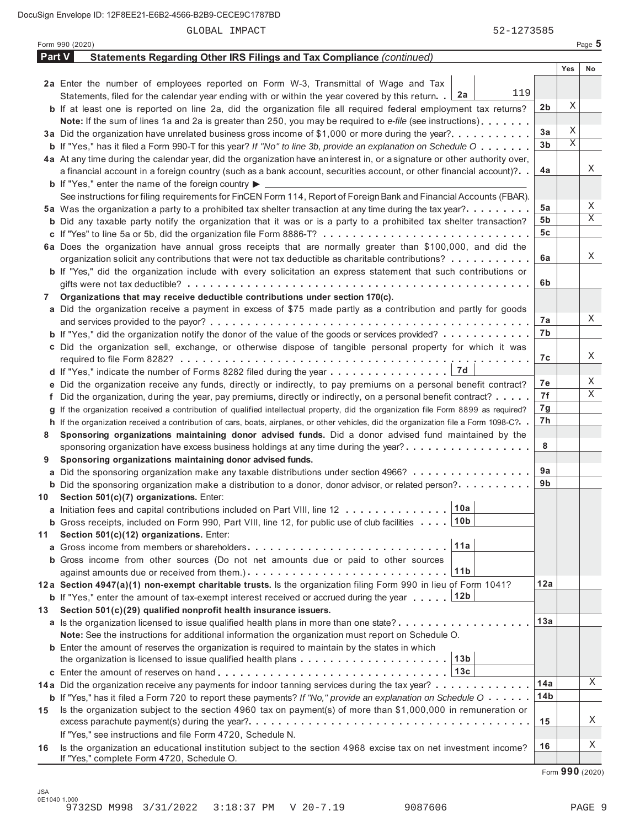|        | Form 990 (2020)                                                                                                                              |                 |     | Page 5 |
|--------|----------------------------------------------------------------------------------------------------------------------------------------------|-----------------|-----|--------|
| Part V | Statements Regarding Other IRS Filings and Tax Compliance (continued)                                                                        |                 |     |        |
|        |                                                                                                                                              |                 | Yes | No     |
|        | 2a Enter the number of employees reported on Form W-3, Transmittal of Wage and Tax                                                           |                 |     |        |
|        | 119<br>2a<br>Statements, filed for the calendar year ending with or within the year covered by this return.                                  |                 |     |        |
|        | <b>b</b> If at least one is reported on line 2a, did the organization file all required federal employment tax returns?                      | 2b              | Χ   |        |
|        | Note: If the sum of lines 1a and 2a is greater than 250, you may be required to e-file (see instructions)                                    |                 |     |        |
|        | 3a Did the organization have unrelated business gross income of \$1,000 or more during the year?                                             | 3a              | Χ   |        |
|        | <b>b</b> If "Yes," has it filed a Form 990-T for this year? If "No" to line 3b, provide an explanation on Schedule O                         | 3b              | Χ   |        |
|        | 4a At any time during the calendar year, did the organization have an interest in, or a signature or other authority over,                   |                 |     |        |
|        | a financial account in a foreign country (such as a bank account, securities account, or other financial account)?                           | 4a              |     | Χ      |
|        | <b>b</b> If "Yes," enter the name of the foreign country $\triangleright$ $\preceq$                                                          |                 |     |        |
|        | See instructions for filing requirements for FinCEN Form 114, Report of Foreign Bank and Financial Accounts (FBAR).                          |                 |     |        |
|        | 5a Was the organization a party to a prohibited tax shelter transaction at any time during the tax year?                                     | 5а              |     | Χ      |
|        | <b>b</b> Did any taxable party notify the organization that it was or is a party to a prohibited tax shelter transaction?                    | 5b              |     | Χ      |
|        |                                                                                                                                              | 5с              |     |        |
|        | 6a Does the organization have annual gross receipts that are normally greater than \$100,000, and did the                                    |                 |     |        |
|        | organization solicit any contributions that were not tax deductible as charitable contributions?                                             | 6a              |     | Χ      |
|        | <b>b</b> If "Yes," did the organization include with every solicitation an express statement that such contributions or                      |                 |     |        |
|        |                                                                                                                                              | 6b              |     |        |
| 7      | Organizations that may receive deductible contributions under section 170(c).                                                                |                 |     |        |
|        | a Did the organization receive a payment in excess of \$75 made partly as a contribution and partly for goods                                |                 |     |        |
|        |                                                                                                                                              | 7а              |     | Χ      |
|        | <b>b</b> If "Yes," did the organization notify the donor of the value of the goods or services provided?                                     | 7b              |     |        |
|        | c Did the organization sell, exchange, or otherwise dispose of tangible personal property for which it was                                   |                 |     |        |
|        |                                                                                                                                              | 7с              |     | Χ      |
|        | 7d<br>d If "Yes," indicate the number of Forms 8282 filed during the year $\dots \dots \dots \dots \dots$                                    |                 |     |        |
|        | e Did the organization receive any funds, directly or indirectly, to pay premiums on a personal benefit contract?                            | 7е              |     | Χ      |
|        | f Did the organization, during the year, pay premiums, directly or indirectly, on a personal benefit contract?                               | 7f              |     | Χ      |
|        | If the organization received a contribution of qualified intellectual property, did the organization file Form 8899 as required?             | 7g              |     |        |
|        | h If the organization received a contribution of cars, boats, airplanes, or other vehicles, did the organization file a Form 1098-C?. .      | 7h              |     |        |
| 8      | Sponsoring organizations maintaining donor advised funds. Did a donor advised fund maintained by the                                         |                 |     |        |
|        | sponsoring organization have excess business holdings at any time during the year?                                                           | 8               |     |        |
| 9      | Sponsoring organizations maintaining donor advised funds.                                                                                    |                 |     |        |
|        | a Did the sponsoring organization make any taxable distributions under section 4966?                                                         | 9а              |     |        |
|        | <b>b</b> Did the sponsoring organization make a distribution to a donor, donor advisor, or related person?                                   | 9b              |     |        |
|        | 10 Section 501(c)(7) organizations. Enter:                                                                                                   |                 |     |        |
|        | 10a <br>a Initiation fees and capital contributions included on Part VIII, line 12                                                           |                 |     |        |
|        | 10b<br><b>b</b> Gross receipts, included on Form 990, Part VIII, line 12, for public use of club facilities                                  |                 |     |        |
| 11     | Section 501(c)(12) organizations. Enter:                                                                                                     |                 |     |        |
|        | 11a<br>a Gross income from members or shareholders                                                                                           |                 |     |        |
|        | <b>b</b> Gross income from other sources (Do not net amounts due or paid to other sources                                                    |                 |     |        |
|        | 11 <sub>b</sub>                                                                                                                              |                 |     |        |
|        | 12a Section 4947(a)(1) non-exempt charitable trusts. Is the organization filing Form 990 in lieu of Form 1041?                               | 12a             |     |        |
|        | 12b<br><b>b</b> If "Yes," enter the amount of tax-exempt interest received or accrued during the year                                        |                 |     |        |
| 13     | Section 501(c)(29) qualified nonprofit health insurance issuers.                                                                             |                 |     |        |
|        | a Is the organization licensed to issue qualified health plans in more than one state?                                                       | 13a             |     |        |
|        | Note: See the instructions for additional information the organization must report on Schedule O.                                            |                 |     |        |
|        | <b>b</b> Enter the amount of reserves the organization is required to maintain by the states in which                                        |                 |     |        |
|        | 13b                                                                                                                                          |                 |     |        |
|        | 13c                                                                                                                                          |                 |     |        |
|        | 14a Did the organization receive any payments for indoor tanning services during the tax year?                                               | 14a             |     | Χ      |
|        | <b>b</b> If "Yes," has it filed a Form 720 to report these payments? If "No," provide an explanation on Schedule $0 \cdot \cdot \cdot \cdot$ | 14 <sub>b</sub> |     |        |
| 15     | Is the organization subject to the section 4960 tax on payment(s) of more than \$1,000,000 in remuneration or                                |                 |     |        |
|        |                                                                                                                                              | 15              |     | Χ      |
|        | If "Yes," see instructions and file Form 4720, Schedule N.                                                                                   |                 |     |        |
| 16     | Is the organization an educational institution subject to the section 4968 excise tax on net investment income?                              | 16              |     | Χ      |
|        | If "Yes," complete Form 4720, Schedule O.                                                                                                    |                 |     |        |

Form **990** (2020)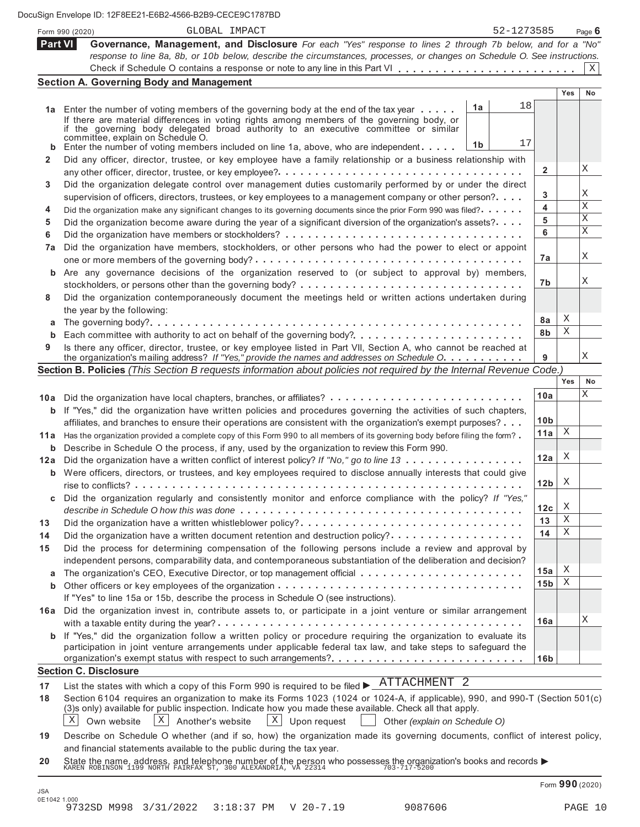|              | 52-1273585<br>GLOBAL IMPACT<br>Form 990 (2020)                                                                                                                                                                                           |                 |            | Page $6$  |
|--------------|------------------------------------------------------------------------------------------------------------------------------------------------------------------------------------------------------------------------------------------|-----------------|------------|-----------|
| Part VI      | Governance, Management, and Disclosure For each "Yes" response to lines 2 through 7b below, and for a "No"                                                                                                                               |                 |            |           |
|              | response to line 8a, 8b, or 10b below, describe the circumstances, processes, or changes on Schedule O. See instructions.                                                                                                                |                 |            |           |
|              |                                                                                                                                                                                                                                          |                 |            | $X \vert$ |
|              | <b>Section A. Governing Body and Management</b>                                                                                                                                                                                          |                 |            |           |
|              |                                                                                                                                                                                                                                          |                 | <b>Yes</b> | No        |
|              | 18<br>1a<br>1a Enter the number of voting members of the governing body at the end of the tax year                                                                                                                                       |                 |            |           |
|              | If there are material differences in voting rights among members of the governing body, or<br>if the governing body delegated broad authority to an executive committee or similar                                                       |                 |            |           |
|              | committee, explain on Schedule O.                                                                                                                                                                                                        |                 |            |           |
| b            | 17<br>1 <sub>b</sub><br>Enter the number of voting members included on line 1a, above, who are independent $\dots$ .                                                                                                                     |                 |            |           |
| $\mathbf{2}$ | Did any officer, director, trustee, or key employee have a family relationship or a business relationship with                                                                                                                           |                 |            |           |
|              |                                                                                                                                                                                                                                          | 2               |            | Χ         |
| 3            | Did the organization delegate control over management duties customarily performed by or under the direct                                                                                                                                |                 |            | Χ         |
|              | supervision of officers, directors, trustees, or key employees to a management company or other person?                                                                                                                                  | 3<br>4          |            | Χ         |
| 4            | Did the organization make any significant changes to its governing documents since the prior Form 990 was filed?                                                                                                                         | 5               |            | Χ         |
| 5            | Did the organization become aware during the year of a significant diversion of the organization's assets?                                                                                                                               | 6               |            | Χ         |
| 6            |                                                                                                                                                                                                                                          |                 |            |           |
| 7a           | Did the organization have members, stockholders, or other persons who had the power to elect or appoint                                                                                                                                  | 7а              |            | Χ         |
|              | <b>b</b> Are any governance decisions of the organization reserved to (or subject to approval by) members,                                                                                                                               |                 |            |           |
|              |                                                                                                                                                                                                                                          | 7b              |            | Χ         |
| 8            | Did the organization contemporaneously document the meetings held or written actions undertaken during                                                                                                                                   |                 |            |           |
|              | the year by the following:                                                                                                                                                                                                               |                 |            |           |
| а            |                                                                                                                                                                                                                                          | 8а              | Χ          |           |
| b            |                                                                                                                                                                                                                                          | 8b              | Χ          |           |
| 9            | Is there any officer, director, trustee, or key employee listed in Part VII, Section A, who cannot be reached at                                                                                                                         |                 |            |           |
|              | the organization's mailing address? If "Yes," provide the names and addresses on Schedule O.                                                                                                                                             | 9               |            | Χ         |
|              | Section B. Policies (This Section B requests information about policies not required by the Internal Revenue Code.)                                                                                                                      |                 |            |           |
|              |                                                                                                                                                                                                                                          |                 | Yes        | No        |
| 10a          |                                                                                                                                                                                                                                          | 10a             |            | X         |
|              | <b>b</b> If "Yes," did the organization have written policies and procedures governing the activities of such chapters,                                                                                                                  |                 |            |           |
|              | affiliates, and branches to ensure their operations are consistent with the organization's exempt purposes?                                                                                                                              | 10 <sub>b</sub> |            |           |
| 11 a         | Has the organization provided a complete copy of this Form 990 to all members of its governing body before filing the form?                                                                                                              | 11a             | Χ          |           |
| b            | Describe in Schedule O the process, if any, used by the organization to review this Form 990.                                                                                                                                            |                 | Χ          |           |
| 12a          | Did the organization have a written conflict of interest policy? If "No," go to line 13                                                                                                                                                  | 12a             |            |           |
|              | <b>b</b> Were officers, directors, or trustees, and key employees required to disclose annually interests that could give                                                                                                                | 12 <sub>b</sub> | Χ          |           |
|              |                                                                                                                                                                                                                                          |                 |            |           |
|              | Did the organization regularly and consistently monitor and enforce compliance with the policy? If "Yes,"                                                                                                                                | 12c             | Χ          |           |
| 13           | Did the organization have a written whistleblower policy?                                                                                                                                                                                | 13              | Χ          |           |
| 14           | Did the organization have a written document retention and destruction policy?                                                                                                                                                           | 14              | Χ          |           |
| 15           | Did the process for determining compensation of the following persons include a review and approval by                                                                                                                                   |                 |            |           |
|              | independent persons, comparability data, and contemporaneous substantiation of the deliberation and decision?                                                                                                                            |                 |            |           |
| а            |                                                                                                                                                                                                                                          | 15a             | Χ          |           |
| b            |                                                                                                                                                                                                                                          | 15 <sub>b</sub> | Χ          |           |
|              | If "Yes" to line 15a or 15b, describe the process in Schedule O (see instructions).                                                                                                                                                      |                 |            |           |
| 16a          | Did the organization invest in, contribute assets to, or participate in a joint venture or similar arrangement                                                                                                                           |                 |            |           |
|              |                                                                                                                                                                                                                                          | 16a             |            | Χ         |
|              | <b>b</b> If "Yes," did the organization follow a written policy or procedure requiring the organization to evaluate its                                                                                                                  |                 |            |           |
|              | participation in joint venture arrangements under applicable federal tax law, and take steps to safeguard the                                                                                                                            |                 |            |           |
|              |                                                                                                                                                                                                                                          | 16 <sub>b</sub> |            |           |
|              | <b>Section C. Disclosure</b>                                                                                                                                                                                                             |                 |            |           |
| 17           | List the states with which a copy of this Form 990 is required to be filed $\blacktriangleright$ ATTACHMENT 2                                                                                                                            |                 |            |           |
| 18           | Section 6104 requires an organization to make its Forms 1023 (1024 or 1024-A, if applicable), 990, and 990-T (Section 501(c)<br>(3)s only) available for public inspection. Indicate how you made these available. Check all that apply. |                 |            |           |
|              | $\mathbf{X}$<br>$X \mid$<br>Another's website<br>$\vert X \vert$<br>Own website<br>Upon request<br>Other (explain on Schedule O)                                                                                                         |                 |            |           |
|              |                                                                                                                                                                                                                                          |                 |            |           |
| 19           | Describe on Schedule O whether (and if so, how) the organization made its governing documents, conflict of interest policy,<br>and financial statements available to the public during the tax year.                                     |                 |            |           |
| 20           |                                                                                                                                                                                                                                          |                 |            |           |
|              | State the name, address, and telephone number of the person who possesses the organization's books and records $\blacktriangleright$ KAREN ROBINSON 1199 NORTH FAIRFAX ST, 300 ALEXANDRIA, VA 22314                                      |                 |            |           |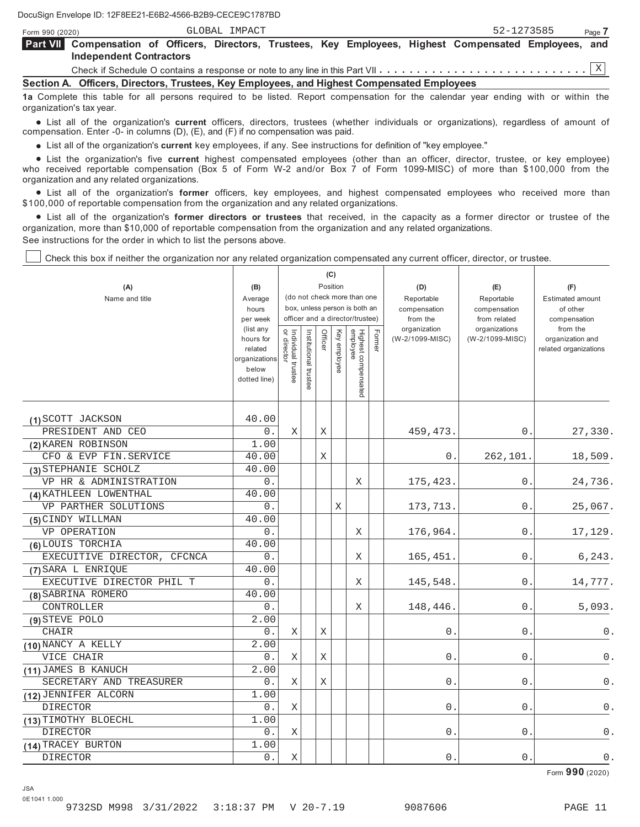| GLOBAL IMPACT<br>Form 990 (2020)                                                                                                                              | 52-1273585<br>Page 7 |
|---------------------------------------------------------------------------------------------------------------------------------------------------------------|----------------------|
| Part VII Compensation of Officers, Directors, Trustees, Key Employees, Highest Compensated Employees, and<br><b>Independent Contractors</b>                   |                      |
|                                                                                                                                                               |                      |
| Section A. Officers, Directors, Trustees, Key Employees, and Highest Compensated Employees                                                                    |                      |
| 1a Complete this table for all persons required to be listed. Report compensation for the calendar year ending with or within the<br>organization's tax year. |                      |

 List all of the organization's **current** officers, directors, trustees (whether individuals or organizations), regardless of amount of compensation. Enter -0- in columns (D), (E), and (F) if no compensation was paid.

List all of the organization's **current** key employees, if any. See instructions for definition of "key employee."

 List the organization's five **current** highest compensated employees (other than an officer, director, trustee, or key employee) who received reportable compensation (Box 5 of Form W-2 and/or Box 7 of Form 1099-MISC) of more than \$100,000 from the organization and any related organizations.

anization and any related organizations.<br>● List all of the organization's **former** officers, key employees, and highest compensated employees who received more than \$100,000 of reportable compensation from the organization and any related organizations.

00,000 of reportable compensation from the organization and any related organizations.<br>● List all of the organization's **former directors or trustees** that received, in the capacity as a former director or organization, more than \$10,000 of reportable compensation from the organization and any related organizations. See instructions for the order in which to list the persons above.

Check this box if neither the organization nor any related organization compensated any current officer, director, or trustee.

| (A)<br>Name and title       | (B)<br>Average<br>hours<br>per week<br>(list any<br>hours for<br>related |                                   |                       | Officer | (C)<br>Position<br>Key employee | (do not check more than one<br>box, unless person is both an<br>officer and a director/trustee) | Former | (D)<br>Reportable<br>compensation<br>from the<br>organization<br>(W-2/1099-MISC) | (E)<br>Reportable<br>compensation<br>from related<br>organizations<br>(W-2/1099-MISC) | (F)<br><b>Estimated amount</b><br>of other<br>compensation<br>from the<br>organization and<br>related organizations |
|-----------------------------|--------------------------------------------------------------------------|-----------------------------------|-----------------------|---------|---------------------------------|-------------------------------------------------------------------------------------------------|--------|----------------------------------------------------------------------------------|---------------------------------------------------------------------------------------|---------------------------------------------------------------------------------------------------------------------|
|                             | organizations<br>below<br>dotted line)                                   | Individual trustee<br>or director | Institutional trustee |         |                                 | Highest compensated<br>employee                                                                 |        |                                                                                  |                                                                                       |                                                                                                                     |
| (1) SCOTT JACKSON           | 40.00                                                                    |                                   |                       |         |                                 |                                                                                                 |        |                                                                                  |                                                                                       |                                                                                                                     |
| PRESIDENT AND CEO           | 0.                                                                       | Χ                                 |                       | Χ       |                                 |                                                                                                 |        | 459, 473.                                                                        | 0.                                                                                    | 27,330.                                                                                                             |
| (2) KAREN ROBINSON          | 1.00                                                                     |                                   |                       |         |                                 |                                                                                                 |        |                                                                                  |                                                                                       |                                                                                                                     |
| CFO & EVP FIN. SERVICE      | 40.00                                                                    |                                   |                       | Χ       |                                 |                                                                                                 |        | 0.                                                                               | 262,101.                                                                              | 18,509.                                                                                                             |
| (3) STEPHANIE SCHOLZ        | 40.00                                                                    |                                   |                       |         |                                 |                                                                                                 |        |                                                                                  |                                                                                       |                                                                                                                     |
| VP HR & ADMINISTRATION      | 0.                                                                       |                                   |                       |         |                                 | Χ                                                                                               |        | 175,423.                                                                         | 0.                                                                                    | 24,736.                                                                                                             |
| (4) KATHLEEN LOWENTHAL      | 40.00                                                                    |                                   |                       |         |                                 |                                                                                                 |        |                                                                                  |                                                                                       |                                                                                                                     |
| VP PARTHER SOLUTIONS        | 0.                                                                       |                                   |                       |         | Χ                               |                                                                                                 |        | 173,713.                                                                         | $\overline{0}$ .                                                                      | 25,067.                                                                                                             |
| (5) CINDY WILLMAN           | 40.00                                                                    |                                   |                       |         |                                 |                                                                                                 |        |                                                                                  |                                                                                       |                                                                                                                     |
| VP OPERATION                | 0.                                                                       |                                   |                       |         |                                 | Χ                                                                                               |        | 176,964.                                                                         | $\mathsf{O}$ .                                                                        | 17,129.                                                                                                             |
| (6) LOUIS TORCHIA           | 40.00                                                                    |                                   |                       |         |                                 |                                                                                                 |        |                                                                                  |                                                                                       |                                                                                                                     |
| EXECUITIVE DIRECTOR, CFCNCA | 0.                                                                       |                                   |                       |         |                                 | Χ                                                                                               |        | 165,451.                                                                         | $\mathsf{O}$ .                                                                        | 6,243.                                                                                                              |
| (7) SARA L ENRIQUE          | 40.00                                                                    |                                   |                       |         |                                 |                                                                                                 |        |                                                                                  |                                                                                       |                                                                                                                     |
| EXECUTIVE DIRECTOR PHIL T   | 0.                                                                       |                                   |                       |         |                                 | Χ                                                                                               |        | 145,548.                                                                         | $\mathbf{0}$ .                                                                        | 14,777.                                                                                                             |
| (8) SABRINA ROMERO          | 40.00                                                                    |                                   |                       |         |                                 |                                                                                                 |        |                                                                                  |                                                                                       |                                                                                                                     |
| CONTROLLER                  | 0.                                                                       |                                   |                       |         |                                 | X                                                                                               |        | 148,446.                                                                         | 0.                                                                                    | 5,093.                                                                                                              |
| (9) STEVE POLO              | 2.00                                                                     |                                   |                       |         |                                 |                                                                                                 |        |                                                                                  |                                                                                       |                                                                                                                     |
| <b>CHAIR</b>                | 0.                                                                       | Χ                                 |                       | Χ       |                                 |                                                                                                 |        | 0.                                                                               | $\mathsf{O}$ .                                                                        | 0                                                                                                                   |
| (10) NANCY A KELLY          | 2.00                                                                     |                                   |                       |         |                                 |                                                                                                 |        |                                                                                  |                                                                                       |                                                                                                                     |
| VICE CHAIR                  | 0.                                                                       | Χ                                 |                       | Χ       |                                 |                                                                                                 |        | 0.                                                                               | 0                                                                                     | $\overline{0}$ .                                                                                                    |
| (11) JAMES B KANUCH         | 2.00                                                                     |                                   |                       |         |                                 |                                                                                                 |        |                                                                                  |                                                                                       |                                                                                                                     |
| SECRETARY AND TREASURER     | 0.                                                                       | Χ                                 |                       | Χ       |                                 |                                                                                                 |        | 0.                                                                               | $\mathsf{O}$ .                                                                        | 0.                                                                                                                  |
| (12) JENNIFER ALCORN        | 1.00                                                                     |                                   |                       |         |                                 |                                                                                                 |        |                                                                                  |                                                                                       |                                                                                                                     |
| <b>DIRECTOR</b>             | 0.                                                                       | X                                 |                       |         |                                 |                                                                                                 |        | 0.                                                                               | $\mathsf{O}$                                                                          | $\mathsf{O}$ .                                                                                                      |
| (13) TIMOTHY BLOECHL        | 1.00                                                                     |                                   |                       |         |                                 |                                                                                                 |        |                                                                                  |                                                                                       |                                                                                                                     |
| <b>DIRECTOR</b>             | 0.                                                                       | Χ                                 |                       |         |                                 |                                                                                                 |        | 0.                                                                               | 0.                                                                                    | $\mathsf{O}$ .                                                                                                      |
| (14) TRACEY BURTON          | 1.00                                                                     |                                   |                       |         |                                 |                                                                                                 |        |                                                                                  |                                                                                       |                                                                                                                     |
| <b>DIRECTOR</b>             | 0.                                                                       | Χ                                 |                       |         |                                 |                                                                                                 |        | 0.                                                                               | $\mathsf{O}$ .                                                                        | 0.                                                                                                                  |

Form **990** (2020)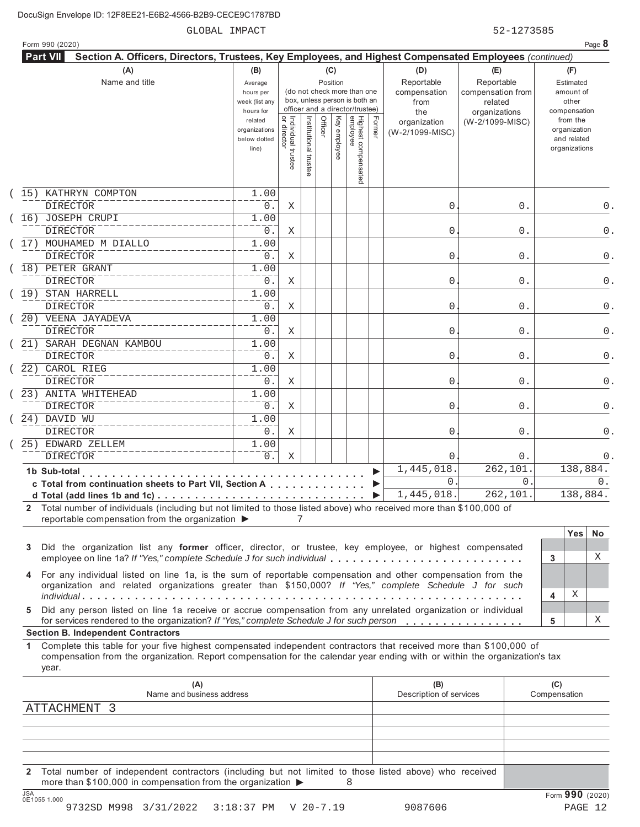| (A)<br>(C)<br>(D)<br>(F)<br>(B)<br>(E)<br>Name and title<br>Reportable<br>Reportable<br>Position<br>Estimated<br>Average<br>(do not check more than one<br>compensation<br>compensation from<br>amount of<br>hours per<br>box, unless person is both an<br>other<br>week (list any<br>from<br>related<br>officer and a director/trustee)<br>compensation<br>hours for<br>organizations<br>the<br>Highest compensated<br>employee<br>Individual trustee<br>or director<br>Institutional trustee<br>Former<br>Officer<br>Key employee<br>from the<br>related<br>(W-2/1099-MISC)<br>organization<br>organization<br>organizations<br>(W-2/1099-MISC)<br>and related<br>below dotted<br>organizations<br>line)<br>1.00<br><b>DIRECTOR</b><br>0<br>0.<br>0.<br>X<br>1.00<br><b>DIRECTOR</b><br>$0$ .<br>0<br>0.<br>Χ<br>1.00<br><b>DIRECTOR</b><br>0.<br>0<br>0.<br>X<br>1.00<br><b>DIRECTOR</b><br>0.<br>0<br>0.<br>X<br>1.00<br><b>DIRECTOR</b><br>0.<br>0<br>0.<br>X<br>1.00<br><b>DIRECTOR</b><br>0.<br>0<br>0.<br>X<br>1.00<br><b>DIRECTOR</b><br>0.<br>0<br>0.<br>X<br>(22) CAROL RIEG<br>1.00<br><b>DIRECTOR</b><br>0.<br>0<br>0.<br>X<br>(23) ANITA WHITEHEAD<br>1.00<br><b>DIRECTOR</b><br>0.<br>0<br>0.<br>Χ<br>24) DAVID WU<br>1.00<br>0.<br>0<br><b>DIRECTOR</b><br>0.<br>X<br>1.00<br><b>DIRECTOR</b><br>0.<br>Χ<br>0<br>0.<br>1,445,018.<br>262,101<br>138,884.<br>and a series and a series<br>$\Omega$<br>$\Omega$ .<br>c Total from continuation sheets to Part VII, Section A<br>1,445,018.<br>262,101.<br>138,884.<br>2 Total number of individuals (including but not limited to those listed above) who received more than \$100,000 of<br>reportable compensation from the organization ▶<br>7<br><b>Yes</b><br><b>No</b><br>Did the organization list any former officer, director, or trustee, key employee, or highest compensated<br>Χ<br>employee on line 1a? If "Yes," complete Schedule J for such individual<br>3<br>4 For any individual listed on line 1a, is the sum of reportable compensation and other compensation from the<br>organization and related organizations greater than \$150,000? If "Yes," complete Schedule J for such<br>Χ<br>4<br>Did any person listed on line 1a receive or accrue compensation from any unrelated organization or individual<br>5<br>Χ<br>for services rendered to the organization? If "Yes," complete Schedule J for such person<br>5<br><b>Section B. Independent Contractors</b><br>Complete this table for your five highest compensated independent contractors that received more than \$100,000 of<br>compensation from the organization. Report compensation for the calendar year ending with or within the organization's tax<br>year.<br>(A)<br>(B)<br>(C)<br>Name and business address<br>Description of services<br>Compensation<br>ATTACHMENT 3 | Form 990 (2020)<br><b>Part VII</b><br>Section A. Officers, Directors, Trustees, Key Employees, and Highest Compensated Employees (continued) |  |  |  |  |  |  |  |
|-----------------------------------------------------------------------------------------------------------------------------------------------------------------------------------------------------------------------------------------------------------------------------------------------------------------------------------------------------------------------------------------------------------------------------------------------------------------------------------------------------------------------------------------------------------------------------------------------------------------------------------------------------------------------------------------------------------------------------------------------------------------------------------------------------------------------------------------------------------------------------------------------------------------------------------------------------------------------------------------------------------------------------------------------------------------------------------------------------------------------------------------------------------------------------------------------------------------------------------------------------------------------------------------------------------------------------------------------------------------------------------------------------------------------------------------------------------------------------------------------------------------------------------------------------------------------------------------------------------------------------------------------------------------------------------------------------------------------------------------------------------------------------------------------------------------------------------------------------------------------------------------------------------------------------------------------------------------------------------------------------------------------------------------------------------------------------------------------------------------------------------------------------------------------------------------------------------------------------------------------------------------------------------------------------------------------------------------------------------------------------------------------------------------------------------------------------------------------------------------------------------------------------------------------------------------------------------------------------------------------------------------------------------------------------------------------------------------------------------------------------------------------------------------------------------------------------------|----------------------------------------------------------------------------------------------------------------------------------------------|--|--|--|--|--|--|--|
|                                                                                                                                                                                                                                                                                                                                                                                                                                                                                                                                                                                                                                                                                                                                                                                                                                                                                                                                                                                                                                                                                                                                                                                                                                                                                                                                                                                                                                                                                                                                                                                                                                                                                                                                                                                                                                                                                                                                                                                                                                                                                                                                                                                                                                                                                                                                                                                                                                                                                                                                                                                                                                                                                                                                                                                                                                   |                                                                                                                                              |  |  |  |  |  |  |  |
|                                                                                                                                                                                                                                                                                                                                                                                                                                                                                                                                                                                                                                                                                                                                                                                                                                                                                                                                                                                                                                                                                                                                                                                                                                                                                                                                                                                                                                                                                                                                                                                                                                                                                                                                                                                                                                                                                                                                                                                                                                                                                                                                                                                                                                                                                                                                                                                                                                                                                                                                                                                                                                                                                                                                                                                                                                   |                                                                                                                                              |  |  |  |  |  |  |  |
|                                                                                                                                                                                                                                                                                                                                                                                                                                                                                                                                                                                                                                                                                                                                                                                                                                                                                                                                                                                                                                                                                                                                                                                                                                                                                                                                                                                                                                                                                                                                                                                                                                                                                                                                                                                                                                                                                                                                                                                                                                                                                                                                                                                                                                                                                                                                                                                                                                                                                                                                                                                                                                                                                                                                                                                                                                   | 15) KATHRYN COMPTON                                                                                                                          |  |  |  |  |  |  |  |
|                                                                                                                                                                                                                                                                                                                                                                                                                                                                                                                                                                                                                                                                                                                                                                                                                                                                                                                                                                                                                                                                                                                                                                                                                                                                                                                                                                                                                                                                                                                                                                                                                                                                                                                                                                                                                                                                                                                                                                                                                                                                                                                                                                                                                                                                                                                                                                                                                                                                                                                                                                                                                                                                                                                                                                                                                                   | 16) JOSEPH CRUPI                                                                                                                             |  |  |  |  |  |  |  |
|                                                                                                                                                                                                                                                                                                                                                                                                                                                                                                                                                                                                                                                                                                                                                                                                                                                                                                                                                                                                                                                                                                                                                                                                                                                                                                                                                                                                                                                                                                                                                                                                                                                                                                                                                                                                                                                                                                                                                                                                                                                                                                                                                                                                                                                                                                                                                                                                                                                                                                                                                                                                                                                                                                                                                                                                                                   | (17) MOUHAMED M DIALLO                                                                                                                       |  |  |  |  |  |  |  |
|                                                                                                                                                                                                                                                                                                                                                                                                                                                                                                                                                                                                                                                                                                                                                                                                                                                                                                                                                                                                                                                                                                                                                                                                                                                                                                                                                                                                                                                                                                                                                                                                                                                                                                                                                                                                                                                                                                                                                                                                                                                                                                                                                                                                                                                                                                                                                                                                                                                                                                                                                                                                                                                                                                                                                                                                                                   | (18) PETER GRANT                                                                                                                             |  |  |  |  |  |  |  |
|                                                                                                                                                                                                                                                                                                                                                                                                                                                                                                                                                                                                                                                                                                                                                                                                                                                                                                                                                                                                                                                                                                                                                                                                                                                                                                                                                                                                                                                                                                                                                                                                                                                                                                                                                                                                                                                                                                                                                                                                                                                                                                                                                                                                                                                                                                                                                                                                                                                                                                                                                                                                                                                                                                                                                                                                                                   | 19) STAN HARRELL                                                                                                                             |  |  |  |  |  |  |  |
|                                                                                                                                                                                                                                                                                                                                                                                                                                                                                                                                                                                                                                                                                                                                                                                                                                                                                                                                                                                                                                                                                                                                                                                                                                                                                                                                                                                                                                                                                                                                                                                                                                                                                                                                                                                                                                                                                                                                                                                                                                                                                                                                                                                                                                                                                                                                                                                                                                                                                                                                                                                                                                                                                                                                                                                                                                   | 20) VEENA JAYADEVA                                                                                                                           |  |  |  |  |  |  |  |
|                                                                                                                                                                                                                                                                                                                                                                                                                                                                                                                                                                                                                                                                                                                                                                                                                                                                                                                                                                                                                                                                                                                                                                                                                                                                                                                                                                                                                                                                                                                                                                                                                                                                                                                                                                                                                                                                                                                                                                                                                                                                                                                                                                                                                                                                                                                                                                                                                                                                                                                                                                                                                                                                                                                                                                                                                                   | (21) SARAH DEGNAN KAMBOU                                                                                                                     |  |  |  |  |  |  |  |
|                                                                                                                                                                                                                                                                                                                                                                                                                                                                                                                                                                                                                                                                                                                                                                                                                                                                                                                                                                                                                                                                                                                                                                                                                                                                                                                                                                                                                                                                                                                                                                                                                                                                                                                                                                                                                                                                                                                                                                                                                                                                                                                                                                                                                                                                                                                                                                                                                                                                                                                                                                                                                                                                                                                                                                                                                                   |                                                                                                                                              |  |  |  |  |  |  |  |
|                                                                                                                                                                                                                                                                                                                                                                                                                                                                                                                                                                                                                                                                                                                                                                                                                                                                                                                                                                                                                                                                                                                                                                                                                                                                                                                                                                                                                                                                                                                                                                                                                                                                                                                                                                                                                                                                                                                                                                                                                                                                                                                                                                                                                                                                                                                                                                                                                                                                                                                                                                                                                                                                                                                                                                                                                                   |                                                                                                                                              |  |  |  |  |  |  |  |
|                                                                                                                                                                                                                                                                                                                                                                                                                                                                                                                                                                                                                                                                                                                                                                                                                                                                                                                                                                                                                                                                                                                                                                                                                                                                                                                                                                                                                                                                                                                                                                                                                                                                                                                                                                                                                                                                                                                                                                                                                                                                                                                                                                                                                                                                                                                                                                                                                                                                                                                                                                                                                                                                                                                                                                                                                                   |                                                                                                                                              |  |  |  |  |  |  |  |
|                                                                                                                                                                                                                                                                                                                                                                                                                                                                                                                                                                                                                                                                                                                                                                                                                                                                                                                                                                                                                                                                                                                                                                                                                                                                                                                                                                                                                                                                                                                                                                                                                                                                                                                                                                                                                                                                                                                                                                                                                                                                                                                                                                                                                                                                                                                                                                                                                                                                                                                                                                                                                                                                                                                                                                                                                                   | 25) EDWARD ZELLEM                                                                                                                            |  |  |  |  |  |  |  |
|                                                                                                                                                                                                                                                                                                                                                                                                                                                                                                                                                                                                                                                                                                                                                                                                                                                                                                                                                                                                                                                                                                                                                                                                                                                                                                                                                                                                                                                                                                                                                                                                                                                                                                                                                                                                                                                                                                                                                                                                                                                                                                                                                                                                                                                                                                                                                                                                                                                                                                                                                                                                                                                                                                                                                                                                                                   | 1b Sub-total                                                                                                                                 |  |  |  |  |  |  |  |
|                                                                                                                                                                                                                                                                                                                                                                                                                                                                                                                                                                                                                                                                                                                                                                                                                                                                                                                                                                                                                                                                                                                                                                                                                                                                                                                                                                                                                                                                                                                                                                                                                                                                                                                                                                                                                                                                                                                                                                                                                                                                                                                                                                                                                                                                                                                                                                                                                                                                                                                                                                                                                                                                                                                                                                                                                                   | 3                                                                                                                                            |  |  |  |  |  |  |  |
|                                                                                                                                                                                                                                                                                                                                                                                                                                                                                                                                                                                                                                                                                                                                                                                                                                                                                                                                                                                                                                                                                                                                                                                                                                                                                                                                                                                                                                                                                                                                                                                                                                                                                                                                                                                                                                                                                                                                                                                                                                                                                                                                                                                                                                                                                                                                                                                                                                                                                                                                                                                                                                                                                                                                                                                                                                   |                                                                                                                                              |  |  |  |  |  |  |  |
|                                                                                                                                                                                                                                                                                                                                                                                                                                                                                                                                                                                                                                                                                                                                                                                                                                                                                                                                                                                                                                                                                                                                                                                                                                                                                                                                                                                                                                                                                                                                                                                                                                                                                                                                                                                                                                                                                                                                                                                                                                                                                                                                                                                                                                                                                                                                                                                                                                                                                                                                                                                                                                                                                                                                                                                                                                   |                                                                                                                                              |  |  |  |  |  |  |  |
|                                                                                                                                                                                                                                                                                                                                                                                                                                                                                                                                                                                                                                                                                                                                                                                                                                                                                                                                                                                                                                                                                                                                                                                                                                                                                                                                                                                                                                                                                                                                                                                                                                                                                                                                                                                                                                                                                                                                                                                                                                                                                                                                                                                                                                                                                                                                                                                                                                                                                                                                                                                                                                                                                                                                                                                                                                   | $\mathbf 1$                                                                                                                                  |  |  |  |  |  |  |  |
|                                                                                                                                                                                                                                                                                                                                                                                                                                                                                                                                                                                                                                                                                                                                                                                                                                                                                                                                                                                                                                                                                                                                                                                                                                                                                                                                                                                                                                                                                                                                                                                                                                                                                                                                                                                                                                                                                                                                                                                                                                                                                                                                                                                                                                                                                                                                                                                                                                                                                                                                                                                                                                                                                                                                                                                                                                   |                                                                                                                                              |  |  |  |  |  |  |  |
|                                                                                                                                                                                                                                                                                                                                                                                                                                                                                                                                                                                                                                                                                                                                                                                                                                                                                                                                                                                                                                                                                                                                                                                                                                                                                                                                                                                                                                                                                                                                                                                                                                                                                                                                                                                                                                                                                                                                                                                                                                                                                                                                                                                                                                                                                                                                                                                                                                                                                                                                                                                                                                                                                                                                                                                                                                   |                                                                                                                                              |  |  |  |  |  |  |  |
|                                                                                                                                                                                                                                                                                                                                                                                                                                                                                                                                                                                                                                                                                                                                                                                                                                                                                                                                                                                                                                                                                                                                                                                                                                                                                                                                                                                                                                                                                                                                                                                                                                                                                                                                                                                                                                                                                                                                                                                                                                                                                                                                                                                                                                                                                                                                                                                                                                                                                                                                                                                                                                                                                                                                                                                                                                   |                                                                                                                                              |  |  |  |  |  |  |  |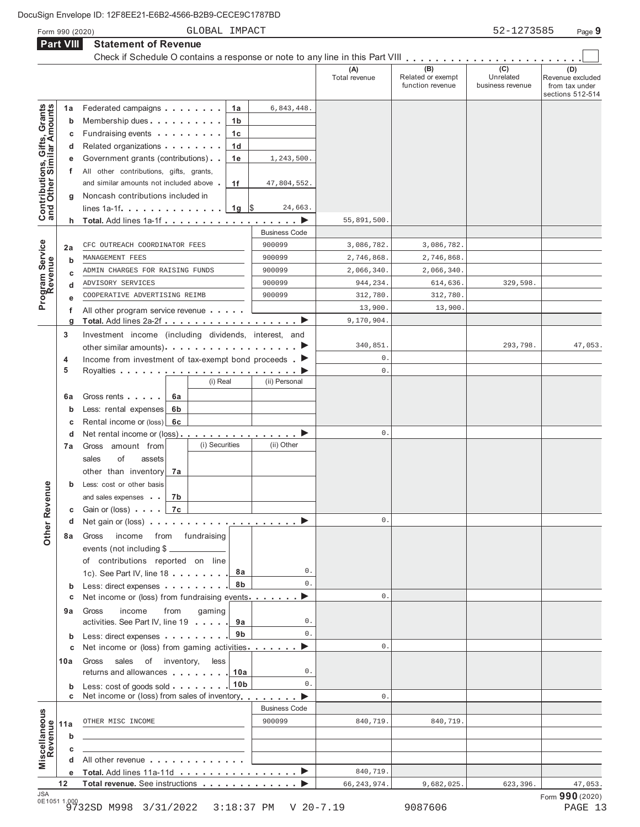**Part VIII Statement of Revenue**

|                                                           | <b>Part VIII</b> | Check if Schedule O contains a response or note to any line in this Part VIII                                                                                         |                      |                       |                                              |                                      |                                                               |
|-----------------------------------------------------------|------------------|-----------------------------------------------------------------------------------------------------------------------------------------------------------------------|----------------------|-----------------------|----------------------------------------------|--------------------------------------|---------------------------------------------------------------|
|                                                           |                  |                                                                                                                                                                       |                      | (A)<br>Total revenue  | (B)<br>Related or exempt<br>function revenue | (C)<br>Unrelated<br>business revenue | (D)<br>Revenue excluded<br>from tax under<br>sections 512-514 |
| Contributions, Gifts, Grants<br>and Other Similar Amounts | 1a               | Federated campaigns<br>1a                                                                                                                                             | 6,843,448.           |                       |                                              |                                      |                                                               |
|                                                           | b                | 1 <sub>b</sub><br>Membership dues                                                                                                                                     |                      |                       |                                              |                                      |                                                               |
|                                                           | С                | 1 <sub>c</sub><br>Fundraising events                                                                                                                                  |                      |                       |                                              |                                      |                                                               |
|                                                           | d                | 1 <sub>d</sub><br>Related organizations                                                                                                                               |                      |                       |                                              |                                      |                                                               |
|                                                           | е                | Government grants (contributions)<br>1e                                                                                                                               | 1,243,500.           |                       |                                              |                                      |                                                               |
|                                                           | f                | All other contributions, gifts, grants,                                                                                                                               |                      |                       |                                              |                                      |                                                               |
|                                                           |                  | and similar amounts not included above<br>1f                                                                                                                          | 47,804,552.          |                       |                                              |                                      |                                                               |
|                                                           | g                | Noncash contributions included in                                                                                                                                     |                      |                       |                                              |                                      |                                                               |
|                                                           |                  | lines $1a-1f$ .<br>1g                                                                                                                                                 | 1\$<br>24,663.       |                       |                                              |                                      |                                                               |
|                                                           |                  |                                                                                                                                                                       | ▶                    | 55,891,500.           |                                              |                                      |                                                               |
|                                                           |                  |                                                                                                                                                                       | <b>Business Code</b> |                       |                                              |                                      |                                                               |
| Program Service                                           | 2a               | CFC OUTREACH COORDINATOR FEES                                                                                                                                         | 900099               | 3,086,782.            | 3,086,782.                                   |                                      |                                                               |
|                                                           | b                | MANAGEMENT FEES                                                                                                                                                       | 900099               | 2,746,868.            | 2,746,868.                                   |                                      |                                                               |
|                                                           |                  | ADMIN CHARGES FOR RAISING FUNDS                                                                                                                                       | 900099               | 2,066,340.            | 2,066,340.                                   |                                      |                                                               |
|                                                           |                  | ADVISORY SERVICES                                                                                                                                                     | 900099<br>900099     | 944,234.              | 614,636.                                     | 329,598.                             |                                                               |
|                                                           |                  | COOPERATIVE ADVERTISING REIMB                                                                                                                                         |                      | 312,780.              | 312,780.<br>13,900                           |                                      |                                                               |
|                                                           | f                | All other program service revenue                                                                                                                                     | ▶                    | 13,900.<br>9,170,904. |                                              |                                      |                                                               |
|                                                           | g                | Investment income (including dividends, interest, and                                                                                                                 |                      |                       |                                              |                                      |                                                               |
|                                                           | 3                |                                                                                                                                                                       |                      | 340,851.              |                                              | 293,798.                             | 47,053.                                                       |
|                                                           |                  | other similar amounts). $\ldots$ . $\ldots$ . $\ldots$ . $\ldots$ . $\blacktriangleright$<br>Income from investment of tax-exempt bond proceeds $\blacktriangleright$ |                      | $0$ .                 |                                              |                                      |                                                               |
|                                                           | 4<br>5           |                                                                                                                                                                       |                      | $0$ .                 |                                              |                                      |                                                               |
|                                                           |                  | (i) Real                                                                                                                                                              | (ii) Personal        |                       |                                              |                                      |                                                               |
|                                                           | 6a               | Gross rents<br>6а                                                                                                                                                     |                      |                       |                                              |                                      |                                                               |
|                                                           | b                | Less: rental expenses<br>6b                                                                                                                                           |                      |                       |                                              |                                      |                                                               |
|                                                           | с                | Rental income or (loss) 6c                                                                                                                                            |                      |                       |                                              |                                      |                                                               |
|                                                           | d                | Net rental income or (loss).                                                                                                                                          | ▶                    | $0$ .                 |                                              |                                      |                                                               |
|                                                           | 7a               | (i) Securities<br>Gross amount from                                                                                                                                   | (ii) Other           |                       |                                              |                                      |                                                               |
|                                                           |                  | sales<br>of<br>assets                                                                                                                                                 |                      |                       |                                              |                                      |                                                               |
|                                                           |                  | other than inventory<br>7а                                                                                                                                            |                      |                       |                                              |                                      |                                                               |
|                                                           |                  | Less: cost or other basis                                                                                                                                             |                      |                       |                                              |                                      |                                                               |
| venue                                                     |                  | 7b<br>and sales expenses                                                                                                                                              |                      |                       |                                              |                                      |                                                               |
|                                                           |                  | Gain or (loss) $\ldots$ $\begin{array}{ c c c }\n\hline\n7c & \hline\n\end{array}$                                                                                    |                      |                       |                                              |                                      |                                                               |
| Other <sub>R</sub>                                        | d                | Net gain or (loss) $\ldots$ ,                                                                                                                                         | ▶                    | $0$ .                 |                                              |                                      |                                                               |
|                                                           | 8а               | from fundraising<br>Gross<br>income                                                                                                                                   |                      |                       |                                              |                                      |                                                               |
|                                                           |                  | events (not including \$                                                                                                                                              |                      |                       |                                              |                                      |                                                               |
|                                                           |                  | of contributions reported on line                                                                                                                                     |                      |                       |                                              |                                      |                                                               |
|                                                           |                  | 1c). See Part IV, line 18<br>8а                                                                                                                                       | 0.                   |                       |                                              |                                      |                                                               |
|                                                           | b                | 8b<br>Less: direct expenses                                                                                                                                           | $0$ .                |                       |                                              |                                      |                                                               |
|                                                           | С                | Net income or (loss) from fundraising events.                                                                                                                         | ▶                    | $0$ .                 |                                              |                                      |                                                               |
|                                                           | 9a               | income<br>from<br>Gross<br>gaming<br>activities. See Part IV, line 19<br>9a                                                                                           | 0.                   |                       |                                              |                                      |                                                               |
|                                                           | b                | 9 <sub>b</sub><br>Less: direct expenses                                                                                                                               | $0$ .                |                       |                                              |                                      |                                                               |
|                                                           | с                | Net income or (loss) from gaming activities.                                                                                                                          |                      | $0$ .                 |                                              |                                      |                                                               |
|                                                           | 10a              | sales of inventory,<br>Gross<br>less<br>returns and allowances [10a]                                                                                                  | 0.                   |                       |                                              |                                      |                                                               |
|                                                           | b                | 10 <sub>b</sub><br>Less: cost of goods sold                                                                                                                           | $\mathbf{0}$ .       |                       |                                              |                                      |                                                               |
|                                                           | с                | Net income or (loss) from sales of inventory entries and the sales of inventory                                                                                       | ▶                    | $0$ .                 |                                              |                                      |                                                               |
|                                                           |                  |                                                                                                                                                                       | <b>Business Code</b> |                       |                                              |                                      |                                                               |
|                                                           | 11a              | OTHER MISC INCOME                                                                                                                                                     | 900099               | 840,719.              | 840,719.                                     |                                      |                                                               |
|                                                           | b                |                                                                                                                                                                       |                      |                       |                                              |                                      |                                                               |
|                                                           | с                |                                                                                                                                                                       |                      |                       |                                              |                                      |                                                               |
| Miscellaneous<br>Revenue                                  |                  | All other revenue                                                                                                                                                     |                      |                       |                                              |                                      |                                                               |
|                                                           | е                | Total. Add lines 11a-11d ▶                                                                                                                                            |                      | 840,719.              |                                              |                                      |                                                               |
|                                                           | 12               | Total revenue. See instructions                                                                                                                                       |                      | 66, 243, 974.         | 9,682,025.                                   | 623,396.                             | 47,053.                                                       |
| <b>JSA</b>                                                | 0E1051 1.000     |                                                                                                                                                                       |                      |                       |                                              |                                      | Form 990 (2020)                                               |

9732SD M998 3/31/2022 3:18:37 PM V 20-7.19 9087606 PAGE 13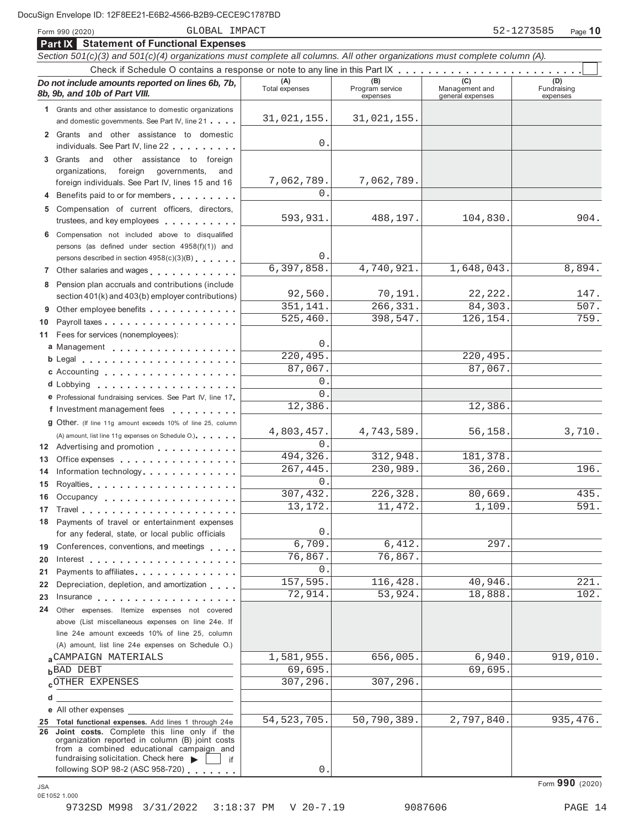### Form 990 (2020) Page **10** GLOBAL IMPACT 52-1273585 **Part IX Statement of Functional Expenses** *Section 501(c)(3) and 501(c)(4) organizations must complete all columns. All other organizations must complete column (A).* Check if Schedule O contains a response or note to any line in this Part IX . . . . . . . . . . . . . . *Do not include amounts reported on lines 6b, 7b,* **(A) (A) (B) (B) (B) (B)** (B) 8b, 9b, and 10b of Part VIII. expenses (C)<br>Management and general expenses (D)<br>Fundraising expenses **1** Grants and other assistance to domestic organizations and domestic governments. See Part IV, line 21 . . . . **2** Grants and other assistance to domestic individuals. See Part IV, line 22 **3** Grants and other assistance to foreign organizations, foreign governments, and foreign individuals. See Part IV, lines 15 and 16 **<sup>4</sup>** Benefits paid to or for members **5** Compensation of current officers, directors, trustees, and key employees **6** Compensation not included above to disqualified persons (as defined under section 4958(f)(1)) and persons described in section 4958(c)(3)(B) **<sup>7</sup>** Other salaries and wages **8** Pension plan accruals and contributions (include section 401(k) and 403(b) employer contributions) **9** Other employee benefits **1998** Other employee benefits Payroll taxes . . . . . . . . . . . . . . . . . . Fees for services (nonemployees): **11 10 12** Advertising and promotion **13** Office expenses **14** Information technology **15 16 17 18 19 20 21 22** for any federal, state, or local public officials<br> **20** Interest<br> **20** Interest<br> **21** Payments to affiliates<br> **22** Depreciation, depletion, and amortization<br> **23** Insurance **24** Other expenses. Itemize expenses not covered **a** Management **b** Legal **c** Accounting **d** Lobbying **e** Professional fundraising services. See Part IV, line 17 **F** Professional fundraising services. See Part IV, line 17<br>**f** Investment management fees **g** Other. (If line 11g amount exceeds 10% of line 25, column (A) amount, list line 11g expenses on Schedule O.) Royalties **Occupancy** Travel Payments of travel or entertainment expenses for any federal, state, or local public officials Conferences, conventions, and meetings Interest Payments to affiliates Depreciation, depletion, and amortization above (List miscellaneous expenses on line 24e. If line 24e amount exceeds 10% of line 25, column (A) amount, list line 24e expenses on Schedule O.) **a**CAMPAIGN MATERIALS (1,581,955. 656,005. 6,940. 919,010. **b**BAD DEBT **c**OTHER EXPENSES 207,296. **d e** All other expenses **25 Total functional expenses.** Add lines 1 through 24e **26 Joint costs.** Complete this line only if the organization reported in column (B) joint costs from a combined educational campaign and from a combined educational campaign and<br>fundraising solicitation. Check here ► if if<br>following SOP 98-2 (ASC 958-720) 31,021,155. 31,021,155.  $\Omega$ 7,062,789. 7,062,789.  $\cap$ 593,931. 488,197. 104,830. 904. 0. 6,397,858. 4,740,921. 1,648,043. 8,894. 92,560. 70,191. 22,222. 147. 351,141. 266,331. 84,303. 507. 525,460. 398,547. 126,154. 759.  $\Omega$ 220,495. 220,495. 87,067. 0. 0. 12,386. 12,386. 4,803,457. 4,743,589. 56,158. 3,710.  $\Omega$ 494,326. 312,948. 181,378. 267,445. 230,989. 36,260. 196. 0. 307,432. 226,328. 80,669. 435. 13,172. 11,472. 1,109. 591. 0. 6,709. 6,412. 297. 76,867. 76,867.  $\Omega$ 157,595. 116,428. 40,946. 221.  $72,914.$  53,924. 18,888. 102. BAD DEBT 69,695. 69,695. 54,523,705. 50,790,389. 2,797,840. 935,476.

0.

0E1052 1.000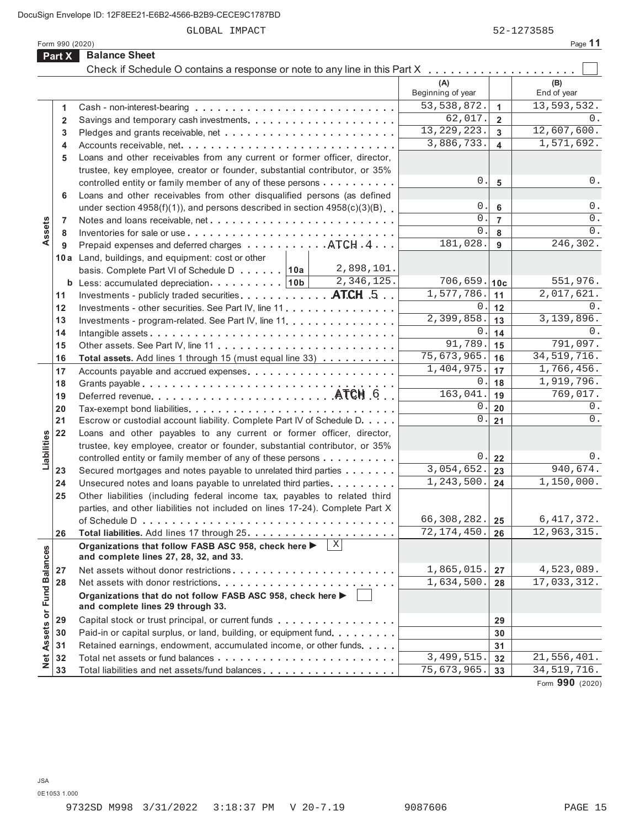GLOBAL IMPACT 52-1273585

|                      | Form 990 (2020) |                                                                                                     |                                       | Page 11            |
|----------------------|-----------------|-----------------------------------------------------------------------------------------------------|---------------------------------------|--------------------|
|                      | Part X          | <b>Balance Sheet</b>                                                                                |                                       |                    |
|                      |                 |                                                                                                     |                                       |                    |
|                      |                 |                                                                                                     | (A)<br>Beginning of year              | (B)<br>End of year |
|                      | 1               |                                                                                                     | 53, 538, 872.<br>$\mathbf{1}$         | 13,593,532.        |
|                      | 2               |                                                                                                     | 62,017.<br>$\overline{2}$             | $0$ .              |
|                      | 3               |                                                                                                     | 13, 229, 223.<br>3                    | 12,607,600.        |
|                      | 4               |                                                                                                     | 3,886,733.<br>$\overline{\mathbf{4}}$ | 1,571,692.         |
|                      | 5               | Loans and other receivables from any current or former officer, director,                           |                                       |                    |
|                      |                 | trustee, key employee, creator or founder, substantial contributor, or 35%                          |                                       |                    |
|                      |                 | controlled entity or family member of any of these persons                                          | $0$ .<br>$5\phantom{1}$               | $0$ .              |
|                      | 6               | Loans and other receivables from other disqualified persons (as defined                             |                                       |                    |
|                      |                 | under section $4958(f)(1)$ , and persons described in section $4958(c)(3)(B)$                       | $0$ .<br>6                            | $0$ .              |
|                      | 7               | Notes and loans receivable, net                                                                     | $0$ .<br>$\overline{7}$               | 0.                 |
| Assets               | 8               |                                                                                                     | 0.<br>8                               | 0.                 |
|                      | 9               | Prepaid expenses and deferred charges ATCH . 4                                                      | 181,028.<br>9                         | 246, 302.          |
|                      |                 | 10a Land, buildings, and equipment: cost or other                                                   |                                       |                    |
|                      |                 | 2,898,101.<br>basis. Complete Part VI of Schedule D 10a                                             |                                       |                    |
|                      |                 | 2,346,125.<br><b>b</b> Less: accumulated depreciation   10b                                         | $706,659.$ 10c                        | 551,976.           |
|                      | 11              | Investments - publicly traded securities. ATCH .5.                                                  | 1,577,786.<br>11                      | 2,017,621.         |
|                      | 12              | Investments - other securities. See Part IV, line 11.                                               | $0$ .<br>12                           | 0.                 |
|                      | 13              | Investments - program-related. See Part IV, line 11                                                 | 2,399,858.<br>13                      | 3,139,896.         |
|                      | 14              |                                                                                                     | $0$ .<br>14                           | 0.                 |
|                      | 15              |                                                                                                     | 91,789.<br>15                         | 791,097.           |
|                      | 16              | Total assets. Add lines 1 through 15 (must equal line 33)                                           | 75,673,965.<br>16                     | 34, 519, 716.      |
|                      | 17              | Accounts payable and accrued expenses                                                               | 1,404,975.<br>17                      | 1,766,456.         |
|                      | 18              |                                                                                                     | 0.<br>18                              | 1,919,796.         |
|                      | 19              | Deferred revenue ATCH .6                                                                            | 163,041.<br>19                        | 769,017.           |
|                      | 20              | Tax-exempt bond liabilities                                                                         | $0$ .<br>20                           | 0.                 |
|                      | 21              | Escrow or custodial account liability. Complete Part IV of Schedule D.                              | $0$ .<br>21                           | 0.                 |
|                      | 22              | Loans and other payables to any current or former officer, director,                                |                                       |                    |
|                      |                 | trustee, key employee, creator or founder, substantial contributor, or 35%                          |                                       |                    |
| Liabilities          |                 | controlled entity or family member of any of these persons                                          | $\mathsf 0$ .<br>22                   | 0.                 |
|                      | 23              | Secured mortgages and notes payable to unrelated third parties                                      | 3,054,652.<br>23                      | 940,674.           |
|                      | 24              | Unsecured notes and loans payable to unrelated third parties.                                       | 1,243,500.<br>24                      | 1,150,000.         |
|                      | 25              | Other liabilities (including federal income tax, payables to related third                          |                                       |                    |
|                      |                 | parties, and other liabilities not included on lines 17-24). Complete Part X                        |                                       |                    |
|                      |                 |                                                                                                     | 66,308,282.<br>25                     | 6,417,372.         |
|                      | 26              |                                                                                                     | 72, 174, 450.<br>26                   | 12,963,315.        |
|                      |                 | Χ<br>Organizations that follow FASB ASC 958, check here ▶<br>and complete lines 27, 28, 32, and 33. |                                       |                    |
|                      | 27              |                                                                                                     | 1,865,015.<br>27                      | 4,523,089.         |
|                      | 28              | Net assets with donor restrictions                                                                  | 1,634,500.<br>28                      | 17,033,312.        |
| <b>Fund Balances</b> |                 | Organizations that do not follow FASB ASC 958, check here ▶<br>and complete lines 29 through 33.    |                                       |                    |
| <b>Net Assets or</b> | 29              | Capital stock or trust principal, or current funds                                                  | 29                                    |                    |
|                      | 30              | Paid-in or capital surplus, or land, building, or equipment fund.                                   | 30                                    |                    |
|                      | 31              | Retained earnings, endowment, accumulated income, or other funds                                    | 31                                    |                    |
|                      | 32              |                                                                                                     | 3,499,515.<br>32                      | 21,556,401.        |
|                      | 33              | Total liabilities and net assets/fund balances                                                      | 75,673,965.<br>33                     | 34, 519, 716.      |
|                      |                 |                                                                                                     |                                       |                    |

Form **990** (2020)

JSA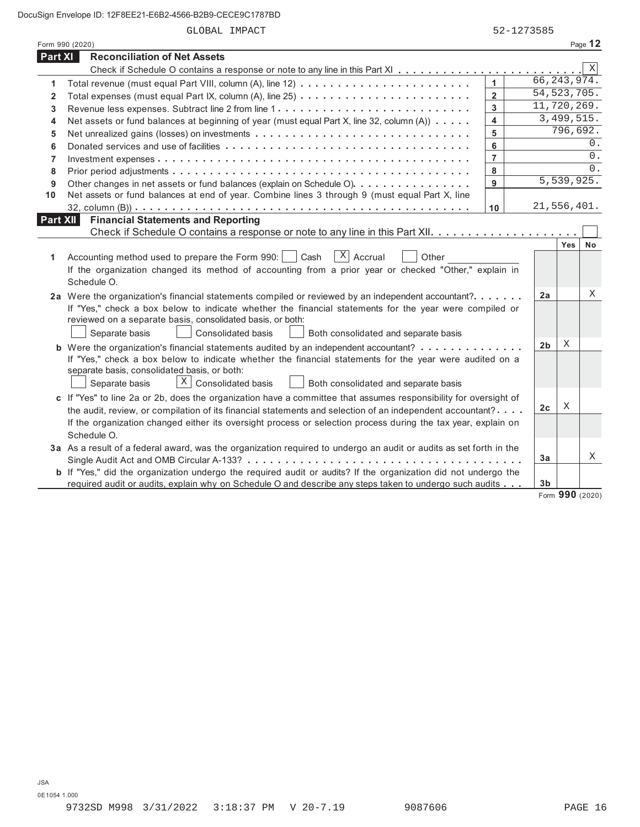|          | GLOBAL IMPACT                                                                                                      |                | 52-1273585     |               |              |
|----------|--------------------------------------------------------------------------------------------------------------------|----------------|----------------|---------------|--------------|
|          | Form 990 (2020)                                                                                                    |                |                |               | Page $12$    |
| Part XI  | <b>Reconciliation of Net Assets</b>                                                                                |                |                |               |              |
|          |                                                                                                                    |                |                |               | $\mathbf{x}$ |
| 1        |                                                                                                                    | $\mathbf{1}$   |                | 66, 243, 974. |              |
| 2        |                                                                                                                    | $\overline{2}$ |                | 54, 523, 705. |              |
| 3        |                                                                                                                    | 3              |                | 11,720,269.   |              |
| 4        | Net assets or fund balances at beginning of year (must equal Part X, line 32, column (A))                          | 4              |                | 3,499,515.    |              |
| 5        |                                                                                                                    | 5              |                | 796,692.      |              |
| 6        |                                                                                                                    | 6              |                |               | 0.           |
| 7        |                                                                                                                    | $\overline{7}$ |                |               | 0.           |
| 8        |                                                                                                                    | 8              |                |               | 0.           |
| 9        | Other changes in net assets or fund balances (explain on Schedule O)                                               | 9              |                | 5,539,925.    |              |
| 10       | Net assets or fund balances at end of year. Combine lines 3 through 9 (must equal Part X, line                     |                |                |               |              |
|          |                                                                                                                    | 10             |                | 21,556,401.   |              |
| Part XII | <b>Financial Statements and Reporting</b>                                                                          |                |                |               |              |
|          |                                                                                                                    |                |                |               |              |
|          |                                                                                                                    |                |                | <b>Yes</b>    | No           |
| 1        | $ X $ Accrual<br>Accounting method used to prepare the Form 990:     Cash<br>Other                                 |                |                |               |              |
|          | If the organization changed its method of accounting from a prior year or checked "Other," explain in              |                |                |               |              |
|          | Schedule O.                                                                                                        |                |                |               |              |
|          | 2a Were the organization's financial statements compiled or reviewed by an independent accountant?                 |                | 2a             |               | Χ            |
|          | If "Yes," check a box below to indicate whether the financial statements for the year were compiled or             |                |                |               |              |
|          | reviewed on a separate basis, consolidated basis, or both:                                                         |                |                |               |              |
|          | Separate basis<br><b>Consolidated basis</b><br>Both consolidated and separate basis                                |                |                |               |              |
|          | <b>b</b> Were the organization's financial statements audited by an independent accountant?                        |                | 2 <sub>b</sub> | Χ             |              |
|          | If "Yes," check a box below to indicate whether the financial statements for the year were audited on a            |                |                |               |              |
|          | separate basis, consolidated basis, or both:                                                                       |                |                |               |              |
|          | $X \mid$<br><b>Consolidated basis</b><br>Both consolidated and separate basis<br>Separate basis                    |                |                |               |              |
|          | c If "Yes" to line 2a or 2b, does the organization have a committee that assumes responsibility for oversight of   |                |                |               |              |
|          | the audit, review, or compilation of its financial statements and selection of an independent accountant?          |                | 2 <sub>c</sub> | Χ             |              |
|          | If the organization changed either its oversight process or selection process during the tax year, explain on      |                |                |               |              |
|          | Schedule O.                                                                                                        |                |                |               |              |
|          | 3a As a result of a federal award, was the organization required to undergo an audit or audits as set forth in the |                |                |               |              |
|          |                                                                                                                    |                | 3a             |               | Χ            |
|          | b If "Yes," did the organization undergo the required audit or audits? If the organization did not undergo the     |                |                |               |              |
|          | required audit or audits, explain why on Schedule O and describe any steps taken to undergo such audits            |                | 3b             |               |              |

Form **990** (2020)

JSA 0E1054 1.000 9732SD M998 3/31/2022 3:18:37 PM V 20-7.19 9087606 PAGE 16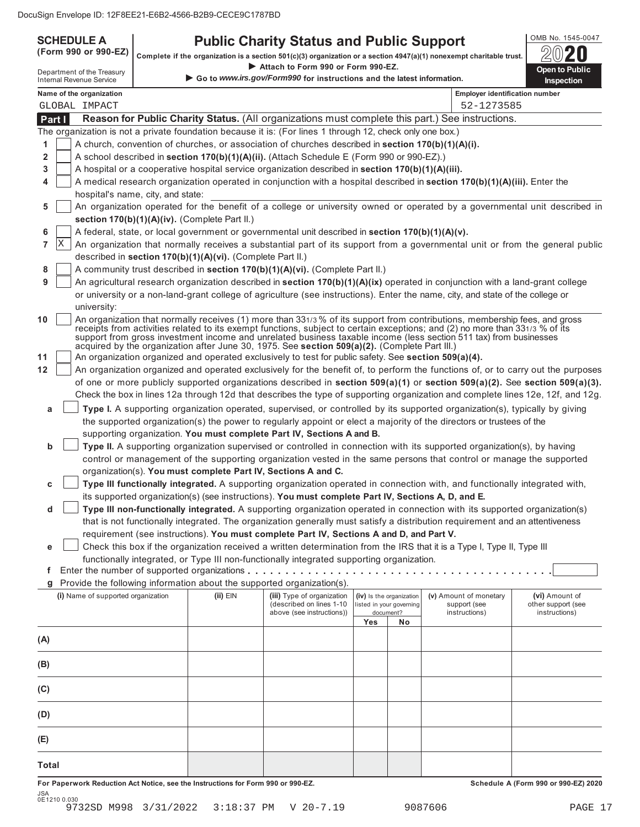| <b>SCHEDULE A</b> | <b>Public Charity Status and Public Support</b>                                                                                                                   | OMB No. 1545-0047 |
|-------------------|-------------------------------------------------------------------------------------------------------------------------------------------------------------------|-------------------|
|                   | (Form 990 or 990-EZ) $\big\vert$ complete if the organization is a section 501(c)(3) organization or a section 4947(a)(1) nonexempt charitable trust. $\big\vert$ | 2020              |

**Attach to Form 990 or Section 4947(a)(1) nonexempt charitable trust.** Complete if the organization is a section 501(c)(3) organization or a section 4947(a)(1) nonexempt charitable trust. **Open to Public**<br>Department of the **Internal Revenue Service Service Service Service Service Service Service Service Service Service Service Service Service Service Service Service Service Service Service Service Service Service Service Service Service Serv** 

|              |        | υσμαιτιποπι οι τισ πτσαδωιγ<br>Internal Revenue Service |                                                                                  | Go to www.irs.gov/Form990 for instructions and the latest information.                                                                                                                                                                                                                                                                                                                                                                                                                                                                                                                   |     |                          |                                       | Inspection                                                                                                                          |
|--------------|--------|---------------------------------------------------------|----------------------------------------------------------------------------------|------------------------------------------------------------------------------------------------------------------------------------------------------------------------------------------------------------------------------------------------------------------------------------------------------------------------------------------------------------------------------------------------------------------------------------------------------------------------------------------------------------------------------------------------------------------------------------------|-----|--------------------------|---------------------------------------|-------------------------------------------------------------------------------------------------------------------------------------|
|              |        | Name of the organization                                |                                                                                  |                                                                                                                                                                                                                                                                                                                                                                                                                                                                                                                                                                                          |     |                          | <b>Employer identification number</b> |                                                                                                                                     |
|              |        | GLOBAL IMPACT                                           |                                                                                  |                                                                                                                                                                                                                                                                                                                                                                                                                                                                                                                                                                                          |     |                          | 52-1273585                            |                                                                                                                                     |
|              | Part I |                                                         |                                                                                  | Reason for Public Charity Status. (All organizations must complete this part.) See instructions.                                                                                                                                                                                                                                                                                                                                                                                                                                                                                         |     |                          |                                       |                                                                                                                                     |
|              |        |                                                         |                                                                                  | The organization is not a private foundation because it is: (For lines 1 through 12, check only one box.)                                                                                                                                                                                                                                                                                                                                                                                                                                                                                |     |                          |                                       |                                                                                                                                     |
| 1            |        |                                                         |                                                                                  | A church, convention of churches, or association of churches described in section $170(b)(1)(A)(i)$ .                                                                                                                                                                                                                                                                                                                                                                                                                                                                                    |     |                          |                                       |                                                                                                                                     |
| 2            |        |                                                         |                                                                                  | A school described in section 170(b)(1)(A)(ii). (Attach Schedule E (Form 990 or 990-EZ).)                                                                                                                                                                                                                                                                                                                                                                                                                                                                                                |     |                          |                                       |                                                                                                                                     |
| 3            |        |                                                         |                                                                                  | A hospital or a cooperative hospital service organization described in section 170(b)(1)(A)(iii).                                                                                                                                                                                                                                                                                                                                                                                                                                                                                        |     |                          |                                       |                                                                                                                                     |
| 4            |        | hospital's name, city, and state:                       |                                                                                  | A medical research organization operated in conjunction with a hospital described in section 170(b)(1)(A)(iii). Enter the                                                                                                                                                                                                                                                                                                                                                                                                                                                                |     |                          |                                       |                                                                                                                                     |
| 5            |        |                                                         | section 170(b)(1)(A)(iv). (Complete Part II.)                                    |                                                                                                                                                                                                                                                                                                                                                                                                                                                                                                                                                                                          |     |                          |                                       | An organization operated for the benefit of a college or university owned or operated by a governmental unit described in           |
| 6            |        |                                                         |                                                                                  | A federal, state, or local government or governmental unit described in section 170(b)(1)(A)(v).                                                                                                                                                                                                                                                                                                                                                                                                                                                                                         |     |                          |                                       |                                                                                                                                     |
| 7            | X      |                                                         |                                                                                  |                                                                                                                                                                                                                                                                                                                                                                                                                                                                                                                                                                                          |     |                          |                                       | An organization that normally receives a substantial part of its support from a governmental unit or from the general public        |
|              |        |                                                         | described in section 170(b)(1)(A)(vi). (Complete Part II.)                       |                                                                                                                                                                                                                                                                                                                                                                                                                                                                                                                                                                                          |     |                          |                                       |                                                                                                                                     |
| 8            |        |                                                         |                                                                                  | A community trust described in section 170(b)(1)(A)(vi). (Complete Part II.)                                                                                                                                                                                                                                                                                                                                                                                                                                                                                                             |     |                          |                                       |                                                                                                                                     |
| 9            |        |                                                         |                                                                                  | An agricultural research organization described in section 170(b)(1)(A)(ix) operated in conjunction with a land-grant college                                                                                                                                                                                                                                                                                                                                                                                                                                                            |     |                          |                                       |                                                                                                                                     |
|              |        |                                                         |                                                                                  | or university or a non-land-grant college of agriculture (see instructions). Enter the name, city, and state of the college or                                                                                                                                                                                                                                                                                                                                                                                                                                                           |     |                          |                                       |                                                                                                                                     |
|              |        | university:                                             |                                                                                  |                                                                                                                                                                                                                                                                                                                                                                                                                                                                                                                                                                                          |     |                          |                                       |                                                                                                                                     |
| 10<br>11     |        |                                                         |                                                                                  | An organization that normally receives (1) more than 331/3 % of its support from contributions, membership fees, and gross<br>receipts from activities related to its exempt functions, subject to certain exceptions; and (2) no more than 331/3 % of its<br>support from gross investment income and unrelated business taxable income (less section 511 tax) from businesses<br>acquired by the organization after June 30, 1975. See section 509(a)(2). (Complete Part III.)<br>An organization organized and operated exclusively to test for public safety. See section 509(a)(4). |     |                          |                                       |                                                                                                                                     |
| 12           |        |                                                         |                                                                                  |                                                                                                                                                                                                                                                                                                                                                                                                                                                                                                                                                                                          |     |                          |                                       | An organization organized and operated exclusively for the benefit of, to perform the functions of, or to carry out the purposes    |
|              |        |                                                         |                                                                                  |                                                                                                                                                                                                                                                                                                                                                                                                                                                                                                                                                                                          |     |                          |                                       | of one or more publicly supported organizations described in section $509(a)(1)$ or section $509(a)(2)$ . See section $509(a)(3)$ . |
|              |        |                                                         |                                                                                  |                                                                                                                                                                                                                                                                                                                                                                                                                                                                                                                                                                                          |     |                          |                                       | Check the box in lines 12a through 12d that describes the type of supporting organization and complete lines 12e, 12f, and 12g.     |
| a            |        |                                                         |                                                                                  | Type I. A supporting organization operated, supervised, or controlled by its supported organization(s), typically by giving                                                                                                                                                                                                                                                                                                                                                                                                                                                              |     |                          |                                       |                                                                                                                                     |
|              |        |                                                         |                                                                                  | the supported organization(s) the power to regularly appoint or elect a majority of the directors or trustees of the                                                                                                                                                                                                                                                                                                                                                                                                                                                                     |     |                          |                                       |                                                                                                                                     |
|              |        |                                                         |                                                                                  | supporting organization. You must complete Part IV, Sections A and B.                                                                                                                                                                                                                                                                                                                                                                                                                                                                                                                    |     |                          |                                       |                                                                                                                                     |
| b            |        |                                                         |                                                                                  | Type II. A supporting organization supervised or controlled in connection with its supported organization(s), by having                                                                                                                                                                                                                                                                                                                                                                                                                                                                  |     |                          |                                       |                                                                                                                                     |
|              |        |                                                         |                                                                                  | control or management of the supporting organization vested in the same persons that control or manage the supported                                                                                                                                                                                                                                                                                                                                                                                                                                                                     |     |                          |                                       |                                                                                                                                     |
|              |        |                                                         |                                                                                  | organization(s). You must complete Part IV, Sections A and C.                                                                                                                                                                                                                                                                                                                                                                                                                                                                                                                            |     |                          |                                       |                                                                                                                                     |
| c            |        |                                                         |                                                                                  | Type III functionally integrated. A supporting organization operated in connection with, and functionally integrated with,                                                                                                                                                                                                                                                                                                                                                                                                                                                               |     |                          |                                       |                                                                                                                                     |
|              |        |                                                         |                                                                                  | its supported organization(s) (see instructions). You must complete Part IV, Sections A, D, and E.                                                                                                                                                                                                                                                                                                                                                                                                                                                                                       |     |                          |                                       |                                                                                                                                     |
| d            |        |                                                         |                                                                                  | Type III non-functionally integrated. A supporting organization operated in connection with its supported organization(s)                                                                                                                                                                                                                                                                                                                                                                                                                                                                |     |                          |                                       |                                                                                                                                     |
|              |        |                                                         |                                                                                  | that is not functionally integrated. The organization generally must satisfy a distribution requirement and an attentiveness                                                                                                                                                                                                                                                                                                                                                                                                                                                             |     |                          |                                       |                                                                                                                                     |
|              |        |                                                         |                                                                                  | requirement (see instructions). You must complete Part IV, Sections A and D, and Part V.                                                                                                                                                                                                                                                                                                                                                                                                                                                                                                 |     |                          |                                       |                                                                                                                                     |
| е            |        |                                                         |                                                                                  | Check this box if the organization received a written determination from the IRS that it is a Type I, Type II, Type III                                                                                                                                                                                                                                                                                                                                                                                                                                                                  |     |                          |                                       |                                                                                                                                     |
|              |        |                                                         |                                                                                  | functionally integrated, or Type III non-functionally integrated supporting organization.                                                                                                                                                                                                                                                                                                                                                                                                                                                                                                |     |                          |                                       |                                                                                                                                     |
| f            |        |                                                         |                                                                                  |                                                                                                                                                                                                                                                                                                                                                                                                                                                                                                                                                                                          |     |                          |                                       |                                                                                                                                     |
|              |        |                                                         |                                                                                  | g Provide the following information about the supported organization(s).                                                                                                                                                                                                                                                                                                                                                                                                                                                                                                                 |     |                          |                                       |                                                                                                                                     |
|              |        | (i) Name of supported organization                      | $(ii)$ EIN                                                                       | (iii) Type of organization                                                                                                                                                                                                                                                                                                                                                                                                                                                                                                                                                               |     | (iv) Is the organization | (v) Amount of monetary                | (vi) Amount of                                                                                                                      |
|              |        |                                                         |                                                                                  | (described on lines 1-10                                                                                                                                                                                                                                                                                                                                                                                                                                                                                                                                                                 |     | listed in your governing | support (see                          | other support (see                                                                                                                  |
|              |        |                                                         |                                                                                  | above (see instructions))                                                                                                                                                                                                                                                                                                                                                                                                                                                                                                                                                                | Yes | document?<br>No          | instructions)                         | instructions)                                                                                                                       |
|              |        |                                                         |                                                                                  |                                                                                                                                                                                                                                                                                                                                                                                                                                                                                                                                                                                          |     |                          |                                       |                                                                                                                                     |
| (A)          |        |                                                         |                                                                                  |                                                                                                                                                                                                                                                                                                                                                                                                                                                                                                                                                                                          |     |                          |                                       |                                                                                                                                     |
|              |        |                                                         |                                                                                  |                                                                                                                                                                                                                                                                                                                                                                                                                                                                                                                                                                                          |     |                          |                                       |                                                                                                                                     |
| (B)          |        |                                                         |                                                                                  |                                                                                                                                                                                                                                                                                                                                                                                                                                                                                                                                                                                          |     |                          |                                       |                                                                                                                                     |
| (C)          |        |                                                         |                                                                                  |                                                                                                                                                                                                                                                                                                                                                                                                                                                                                                                                                                                          |     |                          |                                       |                                                                                                                                     |
|              |        |                                                         |                                                                                  |                                                                                                                                                                                                                                                                                                                                                                                                                                                                                                                                                                                          |     |                          |                                       |                                                                                                                                     |
| (D)          |        |                                                         |                                                                                  |                                                                                                                                                                                                                                                                                                                                                                                                                                                                                                                                                                                          |     |                          |                                       |                                                                                                                                     |
| (E)          |        |                                                         |                                                                                  |                                                                                                                                                                                                                                                                                                                                                                                                                                                                                                                                                                                          |     |                          |                                       |                                                                                                                                     |
| <b>Total</b> |        |                                                         |                                                                                  |                                                                                                                                                                                                                                                                                                                                                                                                                                                                                                                                                                                          |     |                          |                                       |                                                                                                                                     |
|              |        |                                                         | For Paperwork Reduction Act Notice, see the Instructions for Form 990 or 990-EZ. |                                                                                                                                                                                                                                                                                                                                                                                                                                                                                                                                                                                          |     |                          |                                       | Schedule A (Form 990 or 990-EZ) 2020                                                                                                |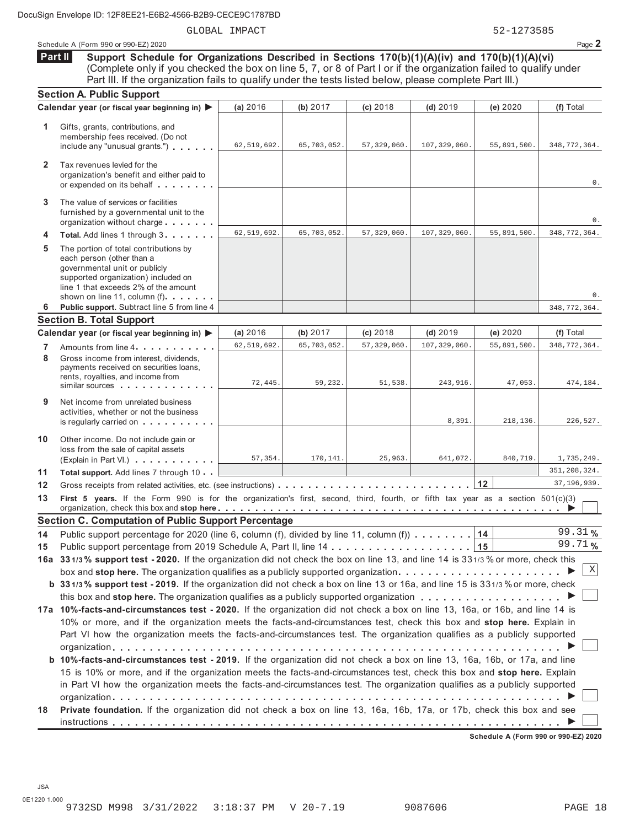Schedule A (Form 990 or 990-EZ) 2020 Page **2**

|              | <b>Section A. Public Support</b>                                                                                                                                                                                                                                                                                                                                                 |               |             |               |                |             |                |  |
|--------------|----------------------------------------------------------------------------------------------------------------------------------------------------------------------------------------------------------------------------------------------------------------------------------------------------------------------------------------------------------------------------------|---------------|-------------|---------------|----------------|-------------|----------------|--|
|              | Calendar year (or fiscal year beginning in) ▶                                                                                                                                                                                                                                                                                                                                    | (a) 2016      | (b) 2017    | (c) 2018      | $(d)$ 2019     | (e) 2020    | (f) Total      |  |
| 1.           | Gifts, grants, contributions, and<br>membership fees received. (Do not<br>include any "unusual grants.")                                                                                                                                                                                                                                                                         | 62, 519, 692. | 65,703,052. | 57, 329, 060. | 107,329,060.   | 55,891,500. | 348, 772, 364. |  |
| $\mathbf{2}$ | Tax revenues levied for the<br>organization's benefit and either paid to<br>or expended on its behalf                                                                                                                                                                                                                                                                            |               |             |               |                |             | 0.             |  |
| 3            | The value of services or facilities<br>furnished by a governmental unit to the<br>organization without charge                                                                                                                                                                                                                                                                    |               |             |               |                |             | 0.             |  |
| 4            | Total. Add lines 1 through 3.                                                                                                                                                                                                                                                                                                                                                    | 62,519,692.   | 65,703,052. | 57, 329, 060. | 107, 329, 060. | 55,891,500. | 348, 772, 364. |  |
| 5            | The portion of total contributions by<br>each person (other than a<br>governmental unit or publicly<br>supported organization) included on<br>line 1 that exceeds 2% of the amount<br>shown on line 11, column (f)                                                                                                                                                               |               |             |               |                |             | 0.             |  |
| 6            | Public support. Subtract line 5 from line 4                                                                                                                                                                                                                                                                                                                                      |               |             |               |                |             | 348, 772, 364. |  |
|              | <b>Section B. Total Support</b>                                                                                                                                                                                                                                                                                                                                                  |               |             |               |                |             |                |  |
|              | Calendar year (or fiscal year beginning in)                                                                                                                                                                                                                                                                                                                                      | (a) 2016      | (b) 2017    | (c) 2018      | $(d)$ 2019     | (e) 2020    | (f) Total      |  |
| 7            | Amounts from line 4                                                                                                                                                                                                                                                                                                                                                              | 62,519,692    | 65,703,052. | 57, 329, 060. | 107, 329, 060. | 55,891,500. | 348, 772, 364. |  |
| 8            | Gross income from interest, dividends.<br>payments received on securities loans,<br>rents, royalties, and income from<br>similar sources                                                                                                                                                                                                                                         | 72,445.       | 59,232.     | 51,538.       | 243,916.       | 47,053.     | 474,184.       |  |
| 9            | Net income from unrelated business<br>activities, whether or not the business<br>is regularly carried on <b></b> .                                                                                                                                                                                                                                                               |               |             |               | 8,391.         | 218,136.    | 226,527.       |  |
| 10           | Other income. Do not include gain or<br>loss from the sale of capital assets<br>(Explain in Part VI.)                                                                                                                                                                                                                                                                            | 57,354.       | 170,141.    | 25,963.       | 641,072.       | 840,719.    | 1,735,249.     |  |
| 11           | Total support. Add lines 7 through 10                                                                                                                                                                                                                                                                                                                                            |               |             |               |                |             | 351, 208, 324. |  |
| 12           | Gross receipts from related activities, etc. (see instructions)                                                                                                                                                                                                                                                                                                                  |               |             |               |                | 12          | 37, 196, 939.  |  |
| 13           | First 5 years. If the Form 990 is for the organization's first, second, third, fourth, or fifth tax year as a section 501(c)(3)                                                                                                                                                                                                                                                  |               |             |               |                |             |                |  |
|              | <b>Section C. Computation of Public Support Percentage</b>                                                                                                                                                                                                                                                                                                                       |               |             |               |                |             |                |  |
| 14           | Public support percentage for 2020 (line 6, column (f), divided by line 11, column (f)                                                                                                                                                                                                                                                                                           |               |             |               |                | 14          | 99.31%         |  |
| 15           |                                                                                                                                                                                                                                                                                                                                                                                  |               |             |               |                | 15          | 99.71%         |  |
|              | 16a 331/3% support test - 2020. If the organization did not check the box on line 13, and line 14 is 331/3% or more, check this                                                                                                                                                                                                                                                  |               |             |               |                |             |                |  |
|              | box and stop here. The organization qualifies as a publicly supported organization                                                                                                                                                                                                                                                                                               |               |             |               |                |             | $\mathbf X$    |  |
|              | b 331/3% support test - 2019. If the organization did not check a box on line 13 or 16a, and line 15 is 331/3% or more, check                                                                                                                                                                                                                                                    |               |             |               |                |             |                |  |
|              |                                                                                                                                                                                                                                                                                                                                                                                  |               |             |               |                |             |                |  |
|              | 17a 10%-facts-and-circumstances test - 2020. If the organization did not check a box on line 13, 16a, or 16b, and line 14 is<br>10% or more, and if the organization meets the facts-and-circumstances test, check this box and stop here. Explain in<br>Part VI how the organization meets the facts-and-circumstances test. The organization qualifies as a publicly supported |               |             |               |                |             |                |  |
|              | b 10%-facts-and-circumstances test - 2019. If the organization did not check a box on line 13, 16a, 16b, or 17a, and line<br>15 is 10% or more, and if the organization meets the facts-and-circumstances test, check this box and stop here. Explain                                                                                                                            |               |             |               |                |             |                |  |
| 18           | in Part VI how the organization meets the facts-and-circumstances test. The organization qualifies as a publicly supported<br>Private foundation. If the organization did not check a box on line 13, 16a, 16b, 17a, or 17b, check this box and see                                                                                                                              |               |             |               |                |             |                |  |
|              |                                                                                                                                                                                                                                                                                                                                                                                  |               |             |               |                |             |                |  |

**Schedule A (Form 990 or 990-EZ) 2020**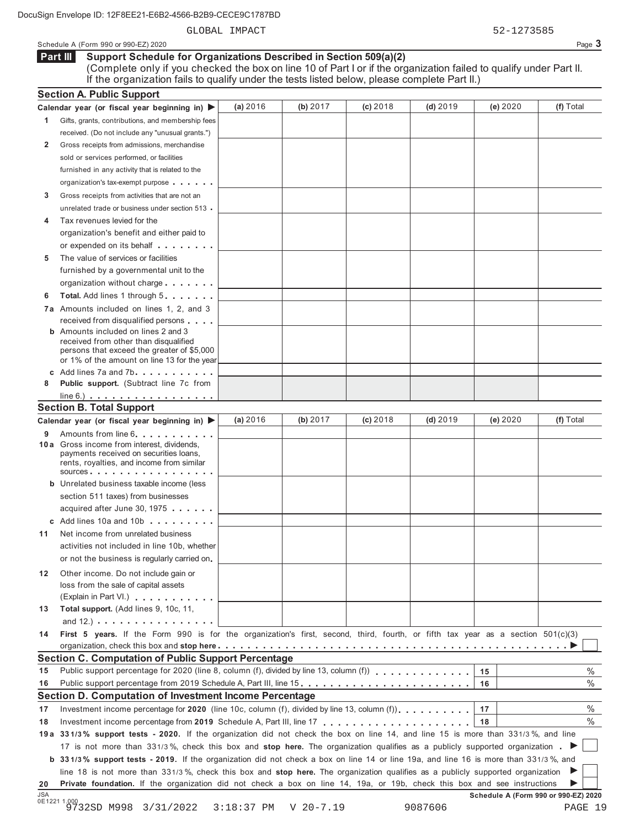GLOBAL IMPACT 52-1273585

Schedule A (Form 990 or 990-EZ) 2020 Page 3

#### **Support Schedule for Organizations Described in Section 509(a)(2) Part III**

(Complete only if you checked the box on line 10 of Part I or if the organization failed to qualify under Part II. If the organization fails to qualify under the tests listed below, please complete Part II.)

|              | <b>Section A. Public Support</b>                                                                                                                   |              |             |            |            |    |          |                                      |
|--------------|----------------------------------------------------------------------------------------------------------------------------------------------------|--------------|-------------|------------|------------|----|----------|--------------------------------------|
|              | Calendar year (or fiscal year beginning in) $\blacktriangleright$                                                                                  | (a) 2016     | (b) $2017$  | (c) 2018   | $(d)$ 2019 |    | (e) 2020 | (f) Total                            |
| $\mathbf{1}$ | Gifts, grants, contributions, and membership fees                                                                                                  |              |             |            |            |    |          |                                      |
|              | received. (Do not include any "unusual grants.")                                                                                                   |              |             |            |            |    |          |                                      |
| 2            | Gross receipts from admissions, merchandise                                                                                                        |              |             |            |            |    |          |                                      |
|              | sold or services performed, or facilities                                                                                                          |              |             |            |            |    |          |                                      |
|              | furnished in any activity that is related to the                                                                                                   |              |             |            |            |    |          |                                      |
|              | organization's tax-exempt purpose                                                                                                                  |              |             |            |            |    |          |                                      |
| 3            | Gross receipts from activities that are not an                                                                                                     |              |             |            |            |    |          |                                      |
|              | unrelated trade or business under section 513                                                                                                      |              |             |            |            |    |          |                                      |
| 4            | Tax revenues levied for the                                                                                                                        |              |             |            |            |    |          |                                      |
|              | organization's benefit and either paid to                                                                                                          |              |             |            |            |    |          |                                      |
|              | or expended on its behalf                                                                                                                          |              |             |            |            |    |          |                                      |
| 5            | The value of services or facilities                                                                                                                |              |             |            |            |    |          |                                      |
|              | furnished by a governmental unit to the                                                                                                            |              |             |            |            |    |          |                                      |
|              | organization without charge                                                                                                                        |              |             |            |            |    |          |                                      |
| 6            | Total. Add lines 1 through 5                                                                                                                       |              |             |            |            |    |          |                                      |
|              | 7a Amounts included on lines 1, 2, and 3                                                                                                           |              |             |            |            |    |          |                                      |
|              | received from disqualified persons                                                                                                                 |              |             |            |            |    |          |                                      |
|              | <b>b</b> Amounts included on lines 2 and 3                                                                                                         |              |             |            |            |    |          |                                      |
|              | received from other than disqualified<br>persons that exceed the greater of \$5,000                                                                |              |             |            |            |    |          |                                      |
|              | or 1% of the amount on line 13 for the year                                                                                                        |              |             |            |            |    |          |                                      |
|              | c Add lines $7a$ and $7b$                                                                                                                          |              |             |            |            |    |          |                                      |
| 8            | <b>Public support.</b> (Subtract line 7c from                                                                                                      |              |             |            |            |    |          |                                      |
|              | $line 6.)$                                                                                                                                         |              |             |            |            |    |          |                                      |
|              | <b>Section B. Total Support</b>                                                                                                                    |              |             |            |            |    |          |                                      |
|              | Calendar year (or fiscal year beginning in)                                                                                                        | (a) 2016     | (b) 2017    | $(c)$ 2018 | $(d)$ 2019 |    | (e) 2020 | (f) Total                            |
| 9            | Amounts from line 6.                                                                                                                               |              |             |            |            |    |          |                                      |
|              | 10 a Gross income from interest, dividends,<br>payments received on securities loans,<br>rents, royalties, and income from similar<br>$SOLUTION$ . |              |             |            |            |    |          |                                      |
|              | <b>b</b> Unrelated business taxable income (less                                                                                                   |              |             |            |            |    |          |                                      |
|              | section 511 taxes) from businesses                                                                                                                 |              |             |            |            |    |          |                                      |
|              | acquired after June 30, 1975                                                                                                                       |              |             |            |            |    |          |                                      |
|              | c Add lines $10a$ and $10b$ . $\ldots$ . $\ldots$                                                                                                  |              |             |            |            |    |          |                                      |
| 11           | Net income from unrelated business                                                                                                                 |              |             |            |            |    |          |                                      |
|              | activities not included in line 10b, whether                                                                                                       |              |             |            |            |    |          |                                      |
|              | or not the business is regularly carried on                                                                                                        |              |             |            |            |    |          |                                      |
|              |                                                                                                                                                    |              |             |            |            |    |          |                                      |
| 12           | Other income. Do not include gain or<br>loss from the sale of capital assets                                                                       |              |             |            |            |    |          |                                      |
|              | (Explain in Part VI.)                                                                                                                              |              |             |            |            |    |          |                                      |
| 13           | Total support. (Add lines 9, 10c, 11,                                                                                                              |              |             |            |            |    |          |                                      |
|              | and $12.$ ) $\ldots$ $\ldots$ $\ldots$ $\ldots$ $\ldots$ $\ldots$                                                                                  |              |             |            |            |    |          |                                      |
| 14           | First 5 years. If the Form 990 is for the organization's first, second, third, fourth, or fifth tax year as a section 501(c)(3)                    |              |             |            |            |    |          |                                      |
|              |                                                                                                                                                    |              |             |            |            |    |          |                                      |
|              | <b>Section C. Computation of Public Support Percentage</b>                                                                                         |              |             |            |            |    |          |                                      |
| 15           |                                                                                                                                                    |              |             |            |            | 15 |          | $\%$                                 |
| 16           | Public support percentage from 2019 Schedule A, Part III, line 15.                                                                                 |              |             |            |            | 16 |          | $\%$                                 |
|              | Section D. Computation of Investment Income Percentage                                                                                             |              |             |            |            |    |          |                                      |
| 17           | Investment income percentage for 2020 (line 10c, column (f), divided by line 13, column (f)                                                        |              |             |            |            | 17 |          | $\%$                                 |
| 18           |                                                                                                                                                    |              |             |            |            | 18 |          | $\%$                                 |
|              | 19a 331/3% support tests - 2020. If the organization did not check the box on line 14, and line 15 is more than 331/3%, and line                   |              |             |            |            |    |          |                                      |
|              | 17 is not more than 331/3%, check this box and stop here. The organization qualifies as a publicly supported organization.                         |              |             |            |            |    |          |                                      |
|              | <b>b</b> 331/3% support tests - 2019. If the organization did not check a box on line 14 or line 19a, and line 16 is more than 331/3%, and         |              |             |            |            |    |          |                                      |
|              | line 18 is not more than 331/3%, check this box and stop here. The organization qualifies as a publicly supported organization                     |              |             |            |            |    |          | ▶                                    |
| 20           | Private foundation. If the organization did not check a box on line 14, 19a, or 19b, check this box and see instructions                           |              |             |            |            |    |          |                                      |
| JSA          |                                                                                                                                                    |              |             |            |            |    |          | Schedule A (Form 990 or 990-EZ) 2020 |
|              | 0E1221 1.000<br>9732SD M998 3/31/2022                                                                                                              | $3:18:37$ PM | $V$ 20-7.19 |            | 9087606    |    |          | PAGE 19                              |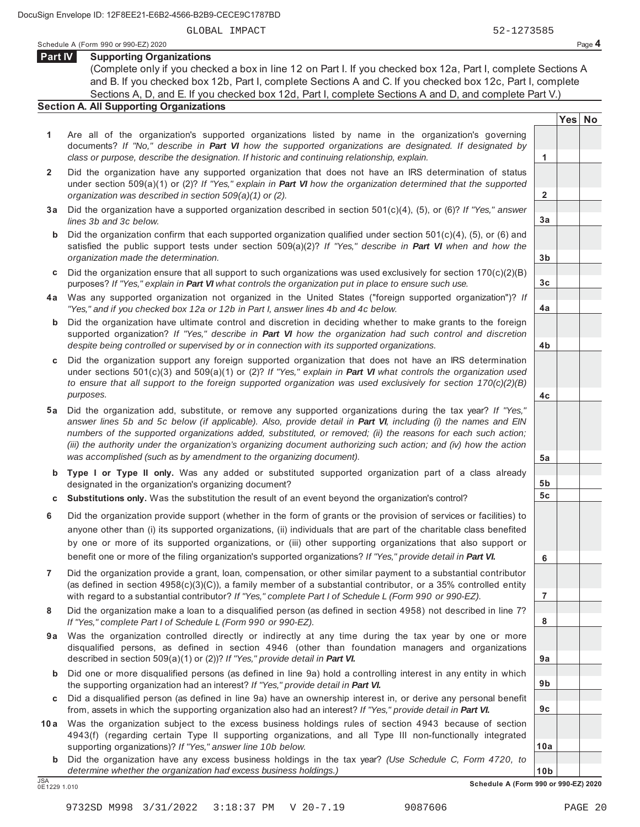**2**

**3a**

**3b**

**3c**

**4a**

**4b**

**4c**

**5a**

**5b 5c**

**6**

**7**

**8**

**9a**

**9b**

**9c**

**10a**

**Yes No**

# **Part IV Supporting Organizations**

(Complete only if you checked a box in line 12 on Part I. If you checked box 12a, Part I, complete Sections A and B. If you checked box 12b, Part I, complete Sections A and C. If you checked box 12c, Part I, complete Sections A, D, and E. If you checked box 12d, Part I, complete Sections A and D, and complete Part V.)

## **Section A. All Supporting Organizations**

- **1** Are all of the organization's supported organizations listed by name in the organization's governing documents? *If "No," describe in Part VI how the supported organizations are designated. If designated by class or purpose, describe the designation. If historic and continuing relationship, explain.* **1**
- **2** Did the organization have any supported organization that does not have an IRS determination of status under section 509(a)(1) or (2)? *If "Yes," explain in Part VI how the organization determined that the supported organization was described in section 509(a)(1) or (2).*
- **3 a** Did the organization have a supported organization described in section 501(c)(4), (5), or (6)? *If "Yes," answer lines 3b and 3c below.*
- **b** Did the organization confirm that each supported organization qualified under section 501(c)(4), (5), or (6) and satisfied the public support tests under section 509(a)(2)? *If "Yes," describe in Part VI when and how the organization made the determination.*
- **c** Did the organization ensure that all support to such organizations was used exclusively for section 170(c)(2)(B) purposes? *If "Yes," explain in Part VI what controls the organization put in place to ensure such use.*
- **4 a** Was any supported organization not organized in the United States ("foreign supported organization")? *If "Yes," and if you checked box 12a or 12b in Part I, answer lines 4b and 4c below.*
- **b** Did the organization have ultimate control and discretion in deciding whether to make grants to the foreign supported organization? *If "Yes," describe in Part VI how the organization had such control and discretion despite being controlled or supervised by or in connection with its supported organizations.*
- **c** Did the organization support any foreign supported organization that does not have an IRS determination under sections 501(c)(3) and 509(a)(1) or (2)? *If "Yes," explain in Part VI what controls the organization used to ensure that all support to the foreign supported organization was used exclusively for section 170(c)(2)(B) purposes.*
- **5 a** Did the organization add, substitute, or remove any supported organizations during the tax year? *If "Yes," answer lines 5b and 5c below (if applicable). Also, provide detail in Part VI, including (i) the names and EIN numbers of the supported organizations added, substituted, or removed; (ii) the reasons for each such action; (iii) the authority under the organization's organizing document authorizing such action; and (iv) how the action was accomplished (such as by amendment to the organizing document).*
- **b Type I or Type II only.** Was any added or substituted supported organization part of a class already designated in the organization's organizing document?
- **c Substitutions only.** Was the substitution the result of an event beyond the organization's control?
- **6** Did the organization provide support (whether in the form of grants or the provision of services or facilities) to anyone other than (i) its supported organizations, (ii) individuals that are part of the charitable class benefited by one or more of its supported organizations, or (iii) other supporting organizations that also support or benefit one or more of the filing organization's supported organizations? *If "Yes," provide detail in Part VI.*
- **7** Did the organization provide a grant, loan, compensation, or other similar payment to a substantial contributor (as defined in section 4958(c)(3)(C)), a family member of a substantial contributor, or a 35% controlled entity with regard to a substantial contributor? *If "Yes," complete Part I of Schedule L (Form 990 or 990-EZ).*
- **8** Did the organization make a loan to a disqualified person (as defined in section 4958) not described in line 7? *If "Yes," complete Part I of Schedule L (Form 990 or 990-EZ).*
- **a 9** Was the organization controlled directly or indirectly at any time during the tax year by one or more disqualified persons, as defined in section 4946 (other than foundation managers and organizations described in section 509(a)(1) or (2))? *If "Yes," provide detail in Part VI.*
- **b** Did one or more disqualified persons (as defined in line 9a) hold a controlling interest in any entity in which the supporting organization had an interest? *If "Yes," provide detail in Part VI.*
- **c** Did a disqualified person (as defined in line 9a) have an ownership interest in, or derive any personal benefit from, assets in which the supporting organization also had an interest? *If "Yes," provide detail in Part VI.*
- **10 a** Was the organization subject to the excess business holdings rules of section 4943 because of section 4943(f) (regarding certain Type II supporting organizations, and all Type III non-functionally integrated supporting organizations)? *If "Yes," answer line 10b below.*
	- **b** Did the organization have any excess business holdings in the tax year? *(Use Schedule C, Form 4720, to determine whether the organization had excess business holdings.)*

**10b** JSA **Schedule A (Form 990 or 990-EZ) 2020** 0E1229 1.010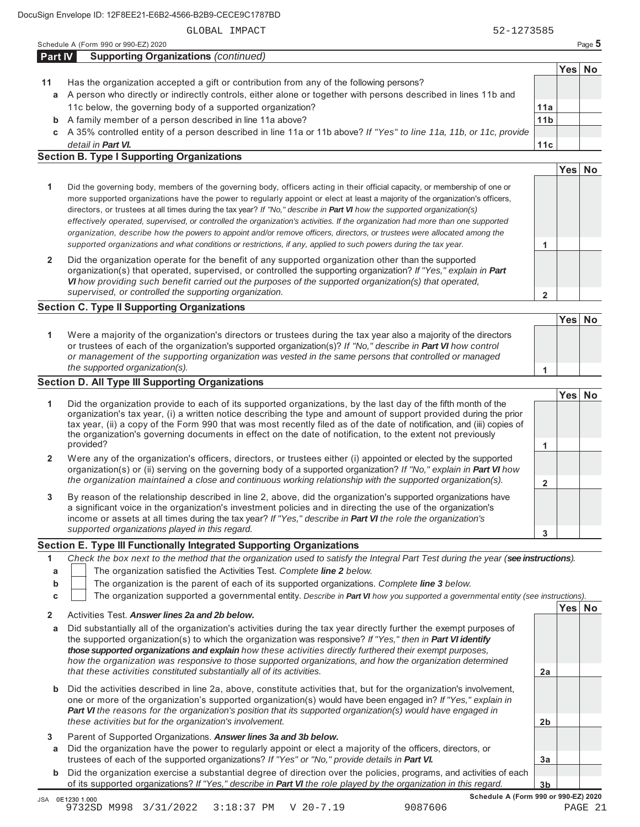Schedule A (Form 990 or 990-EZ) 2020 Page **5**

| Part IV | <b>Supporting Organizations (continued)</b>                                             |          |  |
|---------|-----------------------------------------------------------------------------------------|----------|--|
|         |                                                                                         | 'Yes∣ No |  |
| 11      | Has the organization accepted a gift or contribution from any of the following persons? |          |  |

- A person who directly or indirectly controls, either alone or together with persons described in lines 11b and **a** 11c below, the governing body of a supported organization?
- A family member of a person described in line 11a above? **b**
- A 35% controlled entity of a person described in line 11a or 11b above? *If "Yes" to line 11a, 11b, or 11c, provide* **c** *detail in Part VI.*

# **Section B. Type I Supporting Organizations**

|                                                                                                                                                                                                                                                                                                                                                                                                                                                                                                                                                                                                                                                                                                                                                                                 | Yes⊺ |  |
|---------------------------------------------------------------------------------------------------------------------------------------------------------------------------------------------------------------------------------------------------------------------------------------------------------------------------------------------------------------------------------------------------------------------------------------------------------------------------------------------------------------------------------------------------------------------------------------------------------------------------------------------------------------------------------------------------------------------------------------------------------------------------------|------|--|
| Did the governing body, members of the governing body, officers acting in their official capacity, or membership of one or<br>more supported organizations have the power to regularly appoint or elect at least a majority of the organization's officers,<br>directors, or trustees at all times during the tax year? If "No," describe in <b>Part VI</b> how the supported organization(s)<br>effectively operated, supervised, or controlled the organization's activities. If the organization had more than one supported<br>organization, describe how the powers to appoint and/or remove officers, directors, or trustees were allocated among the<br>supported organizations and what conditions or restrictions, if any, applied to such powers during the tax year. |      |  |
| Did the organization operate for the benefit of any supported organization other than the supported<br>organization(s) that operated, supervised, or controlled the supporting organization? If "Yes," explain in Part<br>VI how providing such benefit carried out the purposes of the supported organization(s) that operated,<br>supervised, or controlled the supporting organization.                                                                                                                                                                                                                                                                                                                                                                                      |      |  |

# **Section C. Type II Supporting Organizations**

**1 Yes No 1** Were a majority of the organization's directors or trustees during the tax year also a majority of the directors or trustees of each of the organization's supported organization(s)? *If "No," describe in Part VI how control or management of the supporting organization was vested in the same persons that controlled or managed the supported organization(s).*

# **Section D. All Type III Supporting Organizations**

|              |                                                                                                                                                                                                                                                                                                                                                                                                                                                                             |   | res / |  |  |
|--------------|-----------------------------------------------------------------------------------------------------------------------------------------------------------------------------------------------------------------------------------------------------------------------------------------------------------------------------------------------------------------------------------------------------------------------------------------------------------------------------|---|-------|--|--|
| 1            | Did the organization provide to each of its supported organizations, by the last day of the fifth month of the<br>organization's tax year, (i) a written notice describing the type and amount of support provided during the prior<br>tax year, (ii) a copy of the Form 990 that was most recently filed as of the date of notification, and (iii) copies of<br>the organization's governing documents in effect on the date of notification, to the extent not previously |   |       |  |  |
|              | provided?                                                                                                                                                                                                                                                                                                                                                                                                                                                                   |   |       |  |  |
| $\mathbf{2}$ | Were any of the organization's officers, directors, or trustees either (i) appointed or elected by the supported<br>organization(s) or (ii) serving on the governing body of a supported organization? If "No," explain in <b>Part VI</b> how                                                                                                                                                                                                                               |   |       |  |  |
|              | the organization maintained a close and continuous working relationship with the supported organization(s).                                                                                                                                                                                                                                                                                                                                                                 |   |       |  |  |
| 3            | By reason of the relationship described in line 2, above, did the organization's supported organizations have<br>a significant voice in the organization's investment policies and in directing the use of the organization's<br>income or assets at all times during the tax year? If "Yes," describe in Part VI the role the organization's                                                                                                                               |   |       |  |  |
|              | supported organizations played in this regard.                                                                                                                                                                                                                                                                                                                                                                                                                              | 3 |       |  |  |

# **Section E. Type III Functionally Integrated Supporting Organizations**

|    | Check the box next to the method that the organization used to satisfy the Integral Part Test during the year (see instructions). |  |  |  |  |  |  |
|----|-----------------------------------------------------------------------------------------------------------------------------------|--|--|--|--|--|--|
|    | The organization satisfied the Activities Test. Complete line 2 below.                                                            |  |  |  |  |  |  |
| b  | The organization is the parent of each of its supported organizations. Complete line 3 below.                                     |  |  |  |  |  |  |
| c. | The organization supported a governmental entity. Describe in Part VI how you supported a governmental entity (see instructions). |  |  |  |  |  |  |
|    |                                                                                                                                   |  |  |  |  |  |  |
|    | Activities Test. Answer lines 2a and 2b below.                                                                                    |  |  |  |  |  |  |

| a  | Did substantially all of the organization's activities during the tax year directly further the exempt purposes of<br>the supported organization(s) to which the organization was responsive? If "Yes," then in Part VI identify<br>those supported organizations and explain how these activities directly furthered their exempt purposes,<br>how the organization was responsive to those supported organizations, and how the organization determined                 |  |  |  |  |  |  |
|----|---------------------------------------------------------------------------------------------------------------------------------------------------------------------------------------------------------------------------------------------------------------------------------------------------------------------------------------------------------------------------------------------------------------------------------------------------------------------------|--|--|--|--|--|--|
|    | that these activities constituted substantially all of its activities.                                                                                                                                                                                                                                                                                                                                                                                                    |  |  |  |  |  |  |
| b. | Did the activities described in line 2a, above, constitute activities that, but for the organization's involvement,<br>one or more of the organization's supported organization(s) would have been engaged in? If "Yes," explain in<br>$\bullet$ . The contract of the contract of the contract of the contract of the contract of the contract of the contract of the contract of the contract of the contract of the contract of the contract of the contract of the co |  |  |  |  |  |  |

- *Part VI the reasons for the organization's position that its supported organization(s) would have engaged in these activities but for the organization's involvement.*
- **3** Parent of Supported Organizations. *Answer lines 3a and 3b below.*
- **a** Did the organization have the power to regularly appoint or elect a majority of the officers, directors, or trustees of each of the supported organizations? *If "Yes" or "No," provide details in Part VI.*
- **b** Did the organization exercise a substantial degree of direction over the policies, programs, and activities of each of its supported organizations? *If "Yes," describe in Part VI the role played by the organization in this regard.*

**11a 11b**

**11c**

**2b**

**3a**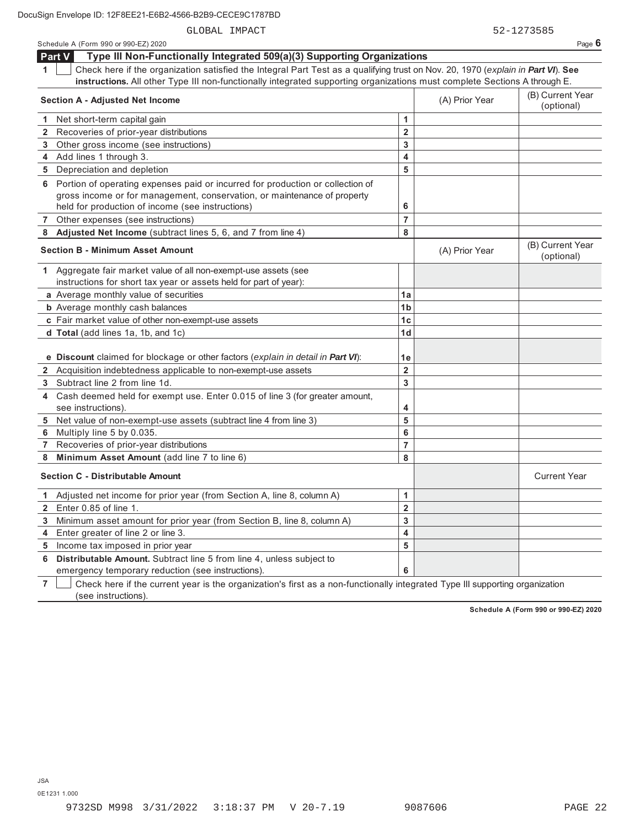Schedule A (Form 990 or 990-EZ) 2020<br>**Page 6**<br>**Page 1/ Page 11 Non Eunotionally Integrated 509(a)(2) Supporting Organizations** 

|              | Part V<br>Type III Non-Functionally Integrated 509(a)(3) Supporting Organizations                                                                                                                                |                         |                |                                |
|--------------|------------------------------------------------------------------------------------------------------------------------------------------------------------------------------------------------------------------|-------------------------|----------------|--------------------------------|
| 1            | Check here if the organization satisfied the Integral Part Test as a qualifying trust on Nov. 20, 1970 (explain in Part VI). See                                                                                 |                         |                |                                |
|              | instructions. All other Type III non-functionally integrated supporting organizations must complete Sections A through E.                                                                                        |                         |                |                                |
|              | Section A - Adjusted Net Income                                                                                                                                                                                  |                         | (A) Prior Year | (B) Current Year<br>(optional) |
|              | 1 Net short-term capital gain                                                                                                                                                                                    | 1                       |                |                                |
| 2            | Recoveries of prior-year distributions                                                                                                                                                                           | $\overline{\mathbf{2}}$ |                |                                |
| 3            | Other gross income (see instructions)                                                                                                                                                                            | $\mathbf{3}$            |                |                                |
| 4            | Add lines 1 through 3.                                                                                                                                                                                           | $\overline{\mathbf{4}}$ |                |                                |
|              | 5 Depreciation and depletion                                                                                                                                                                                     | 5                       |                |                                |
|              | 6 Portion of operating expenses paid or incurred for production or collection of<br>gross income or for management, conservation, or maintenance of property<br>held for production of income (see instructions) | 6                       |                |                                |
|              | 7 Other expenses (see instructions)                                                                                                                                                                              | $\overline{7}$          |                |                                |
| 8            | Adjusted Net Income (subtract lines 5, 6, and 7 from line 4)                                                                                                                                                     | 8                       |                |                                |
|              | <b>Section B - Minimum Asset Amount</b>                                                                                                                                                                          |                         | (A) Prior Year | (B) Current Year<br>(optional) |
| 1.           | Aggregate fair market value of all non-exempt-use assets (see<br>instructions for short tax year or assets held for part of year):                                                                               |                         |                |                                |
|              | a Average monthly value of securities                                                                                                                                                                            | 1a                      |                |                                |
|              | <b>b</b> Average monthly cash balances                                                                                                                                                                           | 1 <sub>b</sub>          |                |                                |
|              | c Fair market value of other non-exempt-use assets                                                                                                                                                               | 1 <sub>c</sub>          |                |                                |
|              | d Total (add lines 1a, 1b, and 1c)                                                                                                                                                                               | 1d                      |                |                                |
|              |                                                                                                                                                                                                                  |                         |                |                                |
|              | e Discount claimed for blockage or other factors (explain in detail in Part VI):                                                                                                                                 | 1e                      |                |                                |
|              | 2 Acquisition indebtedness applicable to non-exempt-use assets                                                                                                                                                   | $\overline{2}$          |                |                                |
| 3            | Subtract line 2 from line 1d.                                                                                                                                                                                    | 3                       |                |                                |
| 4            | Cash deemed held for exempt use. Enter 0.015 of line 3 (for greater amount,                                                                                                                                      |                         |                |                                |
|              | see instructions).                                                                                                                                                                                               | 4                       |                |                                |
| 5            | Net value of non-exempt-use assets (subtract line 4 from line 3)                                                                                                                                                 | 5                       |                |                                |
| 6            | Multiply line 5 by 0.035.                                                                                                                                                                                        | 6                       |                |                                |
| 7            | Recoveries of prior-year distributions                                                                                                                                                                           | $\overline{7}$          |                |                                |
| 8            | Minimum Asset Amount (add line 7 to line 6)                                                                                                                                                                      | 8                       |                |                                |
|              | <b>Section C - Distributable Amount</b>                                                                                                                                                                          |                         |                | <b>Current Year</b>            |
|              | 1 Adjusted net income for prior year (from Section A, line 8, column A)                                                                                                                                          | 1                       |                |                                |
| $\mathbf{2}$ | Enter 0.85 of line 1.                                                                                                                                                                                            | $\overline{2}$          |                |                                |
| 3            | Minimum asset amount for prior year (from Section B, line 8, column A)                                                                                                                                           | 3                       |                |                                |
| 4            | Enter greater of line 2 or line 3.                                                                                                                                                                               | $\overline{\mathbf{4}}$ |                |                                |
| 5            | Income tax imposed in prior year                                                                                                                                                                                 | 5                       |                |                                |
| 6            | Distributable Amount. Subtract line 5 from line 4, unless subject to                                                                                                                                             |                         |                |                                |
|              | emergency temporary reduction (see instructions).                                                                                                                                                                | 6                       |                |                                |

**7** Check here if the current year is the organization's first as a non-functionally integrated Type III supporting organization (see instructions).

**Schedule A (Form 990 or 990-EZ) 2020**

0E1231 1.000

9732SD M998 3/31/2022 3:18:37 PM V 20-7.19 9087606 PAGE 22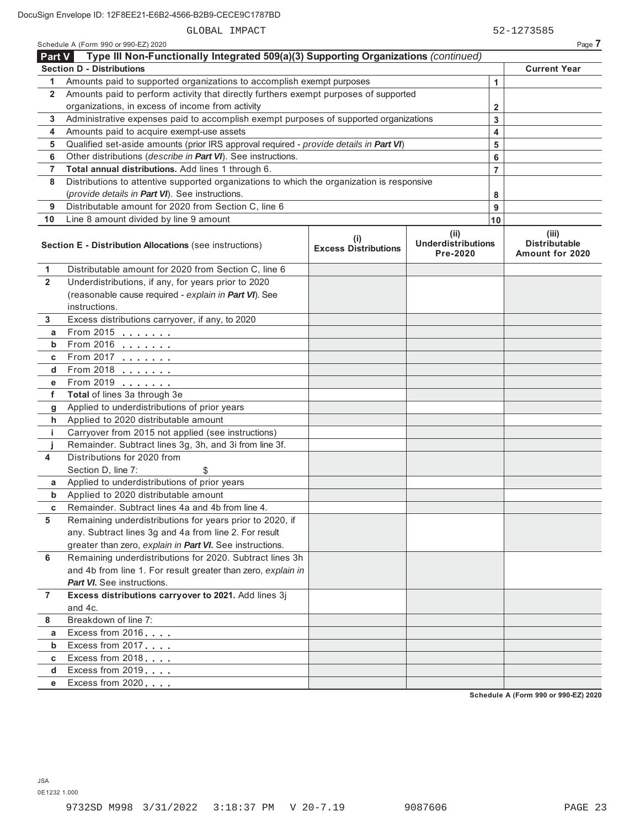| Schedule A (Form 990 or 990-EZ) 2020 |  |  |  |  |
|--------------------------------------|--|--|--|--|
|--------------------------------------|--|--|--|--|

|                | Schedule A (Form 990 or 990-EZ) 2020                                                       |                                    |                                               |                         | Page 7                                                  |
|----------------|--------------------------------------------------------------------------------------------|------------------------------------|-----------------------------------------------|-------------------------|---------------------------------------------------------|
| Part V         | Type III Non-Functionally Integrated 509(a)(3) Supporting Organizations (continued)        |                                    |                                               |                         |                                                         |
|                | <b>Section D - Distributions</b>                                                           |                                    |                                               |                         | <b>Current Year</b>                                     |
| 1              | Amounts paid to supported organizations to accomplish exempt purposes                      |                                    |                                               | 1                       |                                                         |
| $\mathbf{2}$   | Amounts paid to perform activity that directly furthers exempt purposes of supported       |                                    |                                               |                         |                                                         |
|                | organizations, in excess of income from activity                                           |                                    |                                               | $\overline{\mathbf{2}}$ |                                                         |
| 3              | Administrative expenses paid to accomplish exempt purposes of supported organizations      |                                    |                                               | 3                       |                                                         |
| 4              | Amounts paid to acquire exempt-use assets                                                  |                                    |                                               | 4                       |                                                         |
| 5              | Qualified set-aside amounts (prior IRS approval required - provide details in Part VI)     |                                    |                                               | 5                       |                                                         |
| 6              | Other distributions (describe in Part VI). See instructions.                               |                                    |                                               | 6                       |                                                         |
| 7              | Total annual distributions. Add lines 1 through 6.                                         |                                    |                                               | $\overline{7}$          |                                                         |
| 8              | Distributions to attentive supported organizations to which the organization is responsive |                                    |                                               |                         |                                                         |
|                | (provide details in Part VI). See instructions.                                            |                                    |                                               | 8                       |                                                         |
| 9              | Distributable amount for 2020 from Section C, line 6                                       |                                    |                                               | 9                       |                                                         |
| 10             | Line 8 amount divided by line 9 amount                                                     |                                    |                                               | 10                      |                                                         |
|                | Section E - Distribution Allocations (see instructions)                                    | (i)<br><b>Excess Distributions</b> | (ii)<br><b>Underdistributions</b><br>Pre-2020 |                         | (iii)<br><b>Distributable</b><br><b>Amount for 2020</b> |
| 1              | Distributable amount for 2020 from Section C, line 6                                       |                                    |                                               |                         |                                                         |
| $\mathbf{2}$   | Underdistributions, if any, for years prior to 2020                                        |                                    |                                               |                         |                                                         |
|                | (reasonable cause required - explain in Part VI). See                                      |                                    |                                               |                         |                                                         |
|                | instructions.                                                                              |                                    |                                               |                         |                                                         |
| 3              | Excess distributions carryover, if any, to 2020                                            |                                    |                                               |                         |                                                         |
| а              | From 2015 $\ldots$                                                                         |                                    |                                               |                         |                                                         |
| b              |                                                                                            |                                    |                                               |                         |                                                         |
| c              |                                                                                            |                                    |                                               |                         |                                                         |
| d              |                                                                                            |                                    |                                               |                         |                                                         |
| е              | From 2019                                                                                  |                                    |                                               |                         |                                                         |
| f              | Total of lines 3a through 3e                                                               |                                    |                                               |                         |                                                         |
| g              | Applied to underdistributions of prior years                                               |                                    |                                               |                         |                                                         |
| h              | Applied to 2020 distributable amount                                                       |                                    |                                               |                         |                                                         |
| j.             | Carryover from 2015 not applied (see instructions)                                         |                                    |                                               |                         |                                                         |
|                | Remainder. Subtract lines 3g, 3h, and 3i from line 3f.                                     |                                    |                                               |                         |                                                         |
| 4              | Distributions for 2020 from                                                                |                                    |                                               |                         |                                                         |
|                | Section D, line 7:<br>\$                                                                   |                                    |                                               |                         |                                                         |
| а              | Applied to underdistributions of prior years                                               |                                    |                                               |                         |                                                         |
| b              | Applied to 2020 distributable amount                                                       |                                    |                                               |                         |                                                         |
| c              | Remainder. Subtract lines 4a and 4b from line 4                                            |                                    |                                               |                         |                                                         |
| 5              | Remaining underdistributions for years prior to 2020, if                                   |                                    |                                               |                         |                                                         |
|                | any. Subtract lines 3g and 4a from line 2. For result                                      |                                    |                                               |                         |                                                         |
|                | greater than zero, explain in Part VI. See instructions.                                   |                                    |                                               |                         |                                                         |
| 6              | Remaining underdistributions for 2020. Subtract lines 3h                                   |                                    |                                               |                         |                                                         |
|                | and 4b from line 1. For result greater than zero, explain in                               |                                    |                                               |                         |                                                         |
|                | Part VI. See instructions.                                                                 |                                    |                                               |                         |                                                         |
| $\overline{7}$ | Excess distributions carryover to 2021. Add lines 3j<br>and 4c.                            |                                    |                                               |                         |                                                         |
| 8              | Breakdown of line 7:                                                                       |                                    |                                               |                         |                                                         |
|                | Excess from 2016                                                                           |                                    |                                               |                         |                                                         |
| а<br>b         | Excess from 2017                                                                           |                                    |                                               |                         |                                                         |
| c              | Excess from 2018                                                                           |                                    |                                               |                         |                                                         |
| d              | Excess from 2019                                                                           |                                    |                                               |                         |                                                         |
| е              | Excess from 2020                                                                           |                                    |                                               |                         |                                                         |
|                |                                                                                            |                                    |                                               |                         |                                                         |

**Schedule A (Form 990 or 990-EZ) 2020**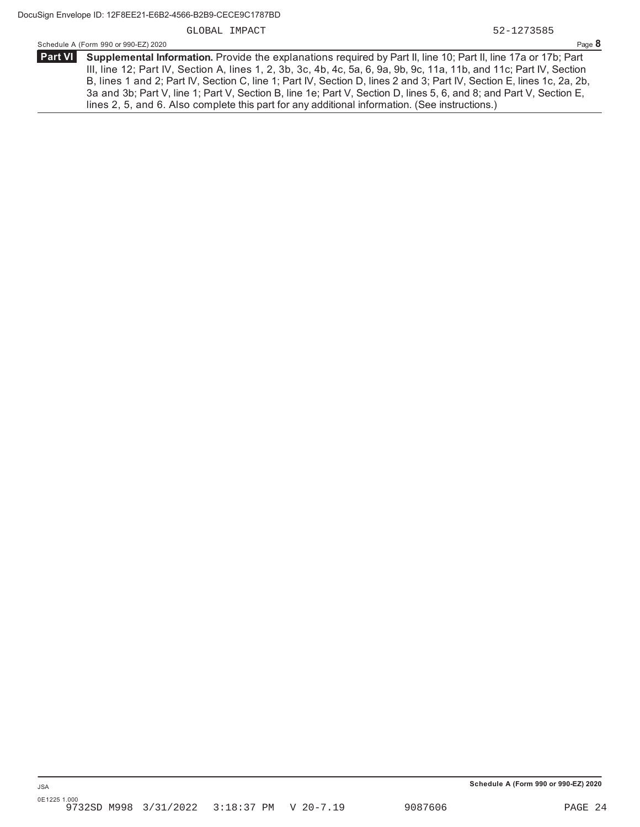|                | Page 8<br>Schedule A (Form 990 or 990-EZ) 2020                                                                         |
|----------------|------------------------------------------------------------------------------------------------------------------------|
| <b>Part VI</b> | Supplemental Information. Provide the explanations required by Part II, line 10; Part II, line 17a or 17b; Part        |
|                | III, line 12; Part IV, Section A, lines 1, 2, 3b, 3c, 4b, 4c, 5a, 6, 9a, 9b, 9c, 11a, 11b, and 11c; Part IV, Section   |
|                | B, lines 1 and 2; Part IV, Section C, line 1; Part IV, Section D, lines 2 and 3; Part IV, Section E, lines 1c, 2a, 2b, |
|                | 3a and 3b; Part V, line 1; Part V, Section B, line 1e; Part V, Section D, lines 5, 6, and 8; and Part V, Section E,    |
|                | lines 2, 5, and 6. Also complete this part for any additional information. (See instructions.)                         |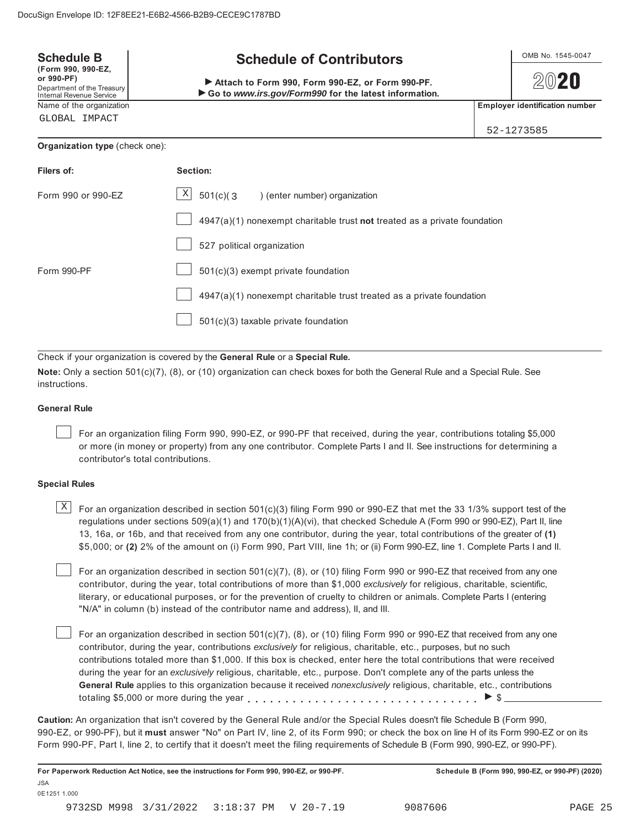| <b>Schedule B</b>                                                                                 | <b>Schedule of Contributors</b>                                                                           |  | OMB No. 1545-0047                     |  |
|---------------------------------------------------------------------------------------------------|-----------------------------------------------------------------------------------------------------------|--|---------------------------------------|--|
| (Form 990, 990-EZ,<br>or 990-PF)<br>Department of the Treasury<br><b>Internal Revenue Service</b> | Attach to Form 990, Form 990-EZ, or Form 990-PF.<br>Go to www.irs.gov/Form990 for the latest information. |  |                                       |  |
| Name of the organization                                                                          |                                                                                                           |  | <b>Employer identification number</b> |  |
| GLOBAL IMPACT                                                                                     |                                                                                                           |  |                                       |  |
|                                                                                                   |                                                                                                           |  | 52-1273585                            |  |
| Organization type (check one):                                                                    |                                                                                                           |  |                                       |  |
|                                                                                                   |                                                                                                           |  |                                       |  |
| Filers of:                                                                                        | Section:                                                                                                  |  |                                       |  |
| Form 990 or 990-FZ                                                                                | X<br>$501(c)$ $(3$<br>) (enter number) organization                                                       |  |                                       |  |
|                                                                                                   | $4947(a)(1)$ nonexempt charitable trust not treated as a private foundation                               |  |                                       |  |
|                                                                                                   | 527 political organization                                                                                |  |                                       |  |
| Form 990-PF                                                                                       | 501(c)(3) exempt private foundation                                                                       |  |                                       |  |
|                                                                                                   | 4947(a)(1) nonexempt charitable trust treated as a private foundation                                     |  |                                       |  |
|                                                                                                   | $501(c)(3)$ taxable private foundation                                                                    |  |                                       |  |

Check if your organization is covered by the **General Rule** or a **Special Rule.**

**Note:** Only a section 501(c)(7), (8), or (10) organization can check boxes for both the General Rule and a Special Rule. See instructions.

## **General Rule**

For an organization filing Form 990, 990-EZ, or 990-PF that received, during the year, contributions totaling \$5,000 or more (in money or property) from any one contributor. Complete Parts I and II. See instructions for determining a contributor's total contributions.

## **Special Rules**

 $\text{X}\big\rfloor$  For an organization described in section 501(c)(3) filing Form 990 or 990-EZ that met the 33 1/3% support test of the regulations under sections 509(a)(1) and 170(b)(1)(A)(vi), that checked Schedule A (Form 990 or 990-EZ), Part II, line 13, 16a, or 16b, and that received from any one contributor, during the year, total contributions of the greater of **(1)** \$5,000; or **(2)** 2% of the amount on (i) Form 990, Part VIII, line 1h; or (ii) Form 990-EZ, line 1. Complete Parts I and II.

For an organization described in section 501(c)(7), (8), or (10) filing Form 990 or 990-EZ that received from any one contributor, during the year, total contributions of more than \$1,000 *exclusively* for religious, charitable, scientific, literary, or educational purposes, or for the prevention of cruelty to children or animals. Complete Parts I (entering "N/A" in column (b) instead of the contributor name and address), II, and III.

For an organization described in section 501(c)(7), (8), or (10) filing Form 990 or 990-EZ that received from any one contributor, during the year, contributions *exclusively* for religious, charitable, etc., purposes, but no such contributions totaled more than \$1,000. If this box is checked, enter here the total contributions that were received during the year for an *exclusively* religious, charitable, etc., purpose. Don't complete any of the parts unless the **General Rule** applies to this organization because it received *nonexclusively* religious, charitable, etc., contributions totaling \$5,000 or more during the year  $\ldots$ ,  $\ldots$ ,  $\ldots$ ,  $\ldots$ ,  $\ldots$ ,  $\ldots$ ,  $\ldots$ ,  $\blacktriangleright$  \$

**Caution:** An organization that isn't covered by the General Rule and/or the Special Rules doesn't file Schedule B (Form 990, 990-EZ, or 990-PF), but it **must** answer "No" on Part IV, line 2, of its Form 990; or check the box on line H of its Form 990-EZ or on its Form 990-PF, Part I, line 2, to certify that it doesn't meet the filing requirements of Schedule B (Form 990, 990-EZ, or 990-PF).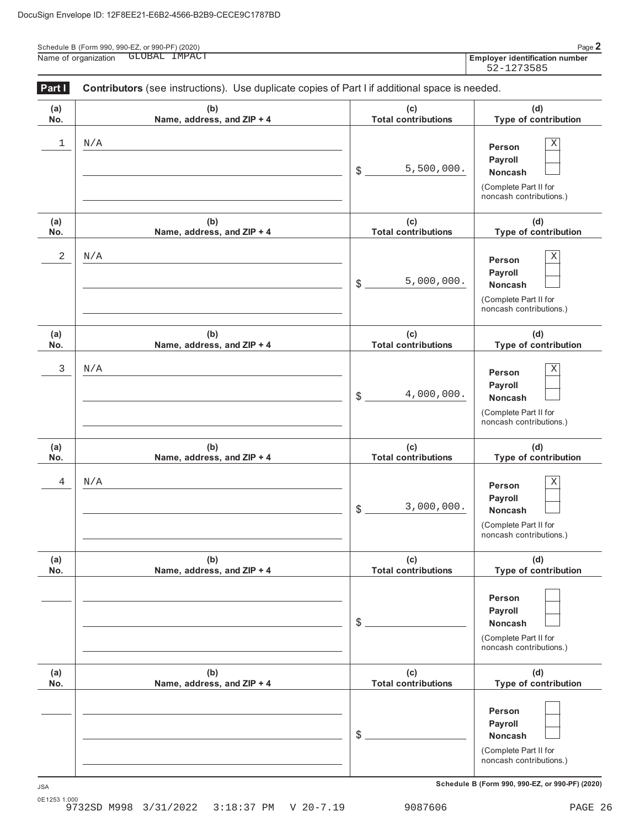| Schedule B (Form 990, 990-EZ, or 990-PF) (2020) | Page $\angle$                                       |
|-------------------------------------------------|-----------------------------------------------------|
| IMPACT<br>GLOBAL<br>Name of organization        | <b>Employer identification number</b><br>52-1273585 |

| Part I     | Contributors (see instructions). Use duplicate copies of Part I if additional space is needed. |                                   |                                                                                         |  |  |  |  |
|------------|------------------------------------------------------------------------------------------------|-----------------------------------|-----------------------------------------------------------------------------------------|--|--|--|--|
| (a)<br>No. | (b)<br>Name, address, and ZIP + 4                                                              | (c)<br><b>Total contributions</b> | (d)<br>Type of contribution                                                             |  |  |  |  |
| 1          | N/A                                                                                            | 5,500,000.<br>\$                  | Χ<br>Person<br>Payroll<br>Noncash<br>(Complete Part II for<br>noncash contributions.)   |  |  |  |  |
| (a)<br>No. | (b)<br>Name, address, and ZIP + 4                                                              | (c)<br><b>Total contributions</b> | (d)<br>Type of contribution                                                             |  |  |  |  |
| 2          | N/A                                                                                            | 5,000,000.<br>\$                  | Χ<br>Person<br>Payroll<br>Noncash<br>(Complete Part II for<br>noncash contributions.)   |  |  |  |  |
| (a)<br>No. | (b)<br>Name, address, and ZIP + 4                                                              | (c)<br><b>Total contributions</b> | (d)<br>Type of contribution                                                             |  |  |  |  |
| 3          | N/A                                                                                            | 4,000,000.<br>\$                  | Χ<br>Person<br>Payroll<br>Noncash<br>(Complete Part II for<br>noncash contributions.)   |  |  |  |  |
| (a)<br>No. | (b)<br>Name, address, and ZIP + 4                                                              | (c)<br><b>Total contributions</b> | (d)<br>Type of contribution                                                             |  |  |  |  |
| 4          | N/A                                                                                            | 3,000,000.<br>\$                  | Χ<br>Person<br>Payroll<br>Noncash<br>(Complete Part II for<br>noncash contributions.)   |  |  |  |  |
| (a)<br>No. | (b)<br>Name, address, and ZIP + 4                                                              | (c)<br><b>Total contributions</b> | (d)<br>Type of contribution                                                             |  |  |  |  |
|            |                                                                                                | \$                                | Person<br>Payroll<br><b>Noncash</b><br>(Complete Part II for<br>noncash contributions.) |  |  |  |  |
| (a)<br>No. | (b)<br>Name, address, and ZIP + 4                                                              | (c)<br><b>Total contributions</b> | (d)<br>Type of contribution                                                             |  |  |  |  |
|            |                                                                                                | \$                                | Person<br>Payroll<br>Noncash<br>(Complete Part II for<br>noncash contributions.)        |  |  |  |  |

**Schedule B (Form 990, 990-EZ, or 990-PF) (2020)** JSA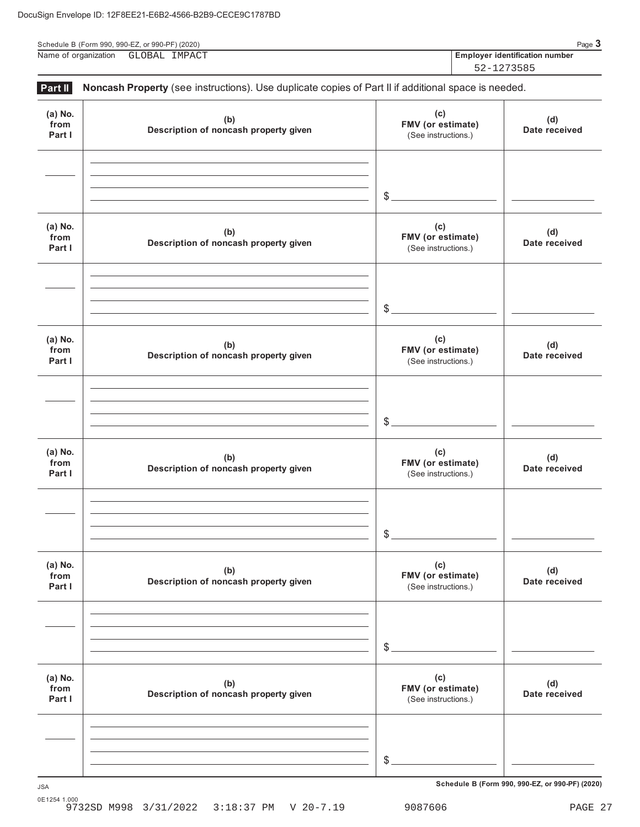| Schedule B (Form 990, 990-EZ, or 990-PF) (2020) |               |                                       | Page 3 |
|-------------------------------------------------|---------------|---------------------------------------|--------|
| Name of organization                            | GLOBAL IMPACT | <b>Employer identification number</b> |        |
|                                                 |               | 52-1273585                            |        |

| Part II                   | Noncash Property (see instructions). Use duplicate copies of Part II if additional space is needed. |                                                 |                      |
|---------------------------|-----------------------------------------------------------------------------------------------------|-------------------------------------------------|----------------------|
| (a) No.<br>from<br>Part I | (b)<br>Description of noncash property given                                                        | (c)<br>FMV (or estimate)<br>(See instructions.) | (d)<br>Date received |
|                           |                                                                                                     | $\frac{1}{2}$                                   |                      |
| (a) No.<br>from<br>Part I | (b)<br>Description of noncash property given                                                        | (c)<br>FMV (or estimate)<br>(See instructions.) | (d)<br>Date received |
|                           |                                                                                                     | $\frac{1}{2}$                                   |                      |
| (a) No.<br>from<br>Part I | (b)<br>Description of noncash property given                                                        | (c)<br>FMV (or estimate)<br>(See instructions.) | (d)<br>Date received |
|                           |                                                                                                     | $\frac{1}{2}$                                   |                      |
| (a) No.<br>from<br>Part I | (b)<br>Description of noncash property given                                                        | (c)<br>FMV (or estimate)<br>(See instructions.) | (d)<br>Date received |
|                           |                                                                                                     | \$                                              |                      |
| (a) No.<br>from<br>Part I | (b)<br>Description of noncash property given                                                        | (c)<br>FMV (or estimate)<br>(See instructions.) | (d)<br>Date received |
|                           |                                                                                                     | $\frac{1}{2}$                                   |                      |
| (a) No.<br>from<br>Part I | (b)<br>Description of noncash property given                                                        | (c)<br>FMV (or estimate)<br>(See instructions.) | (d)<br>Date received |
|                           |                                                                                                     |                                                 |                      |
|                           |                                                                                                     | $\frac{1}{2}$                                   |                      |

**Schedule B (Form 990, 990-EZ, or 990-PF) (2020)** JSA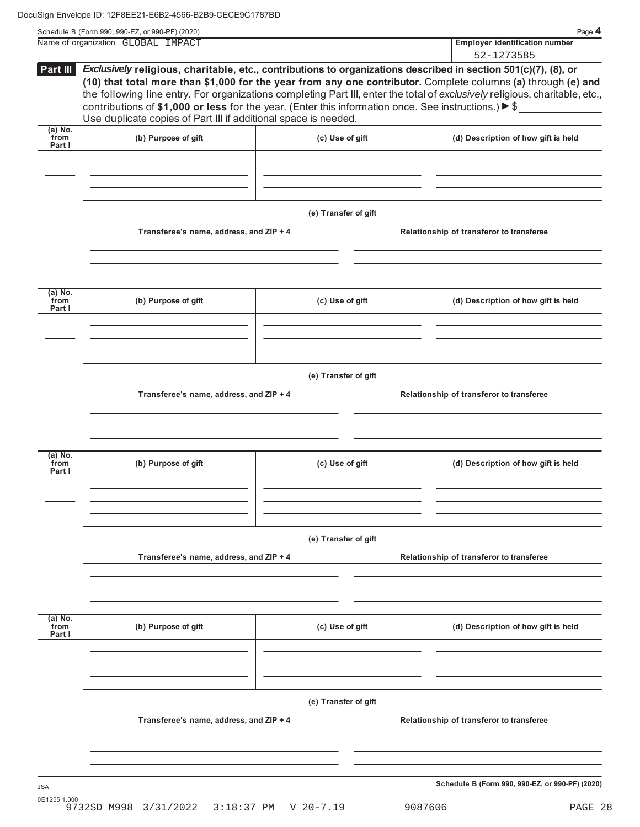| Part III                    | Exclusively religious, charitable, etc., contributions to organizations described in section 501(c)(7), (8), or<br>(10) that total more than \$1,000 for the year from any one contributor. Complete columns (a) through (e) and<br>the following line entry. For organizations completing Part III, enter the total of exclusively religious, charitable, etc.,<br>contributions of \$1,000 or less for the year. (Enter this information once. See instructions.) ▶ \$<br>Use duplicate copies of Part III if additional space is needed. |                      |  |                                                 |  |
|-----------------------------|---------------------------------------------------------------------------------------------------------------------------------------------------------------------------------------------------------------------------------------------------------------------------------------------------------------------------------------------------------------------------------------------------------------------------------------------------------------------------------------------------------------------------------------------|----------------------|--|-------------------------------------------------|--|
| $(a)$ No.<br>from<br>Part I | (b) Purpose of gift                                                                                                                                                                                                                                                                                                                                                                                                                                                                                                                         | (c) Use of gift      |  | (d) Description of how gift is held             |  |
|                             |                                                                                                                                                                                                                                                                                                                                                                                                                                                                                                                                             |                      |  |                                                 |  |
|                             |                                                                                                                                                                                                                                                                                                                                                                                                                                                                                                                                             | (e) Transfer of gift |  |                                                 |  |
|                             | Transferee's name, address, and ZIP + 4                                                                                                                                                                                                                                                                                                                                                                                                                                                                                                     |                      |  | Relationship of transferor to transferee        |  |
| $(a)$ No.<br>from<br>Part I | (b) Purpose of gift                                                                                                                                                                                                                                                                                                                                                                                                                                                                                                                         | (c) Use of gift      |  | (d) Description of how gift is held             |  |
|                             |                                                                                                                                                                                                                                                                                                                                                                                                                                                                                                                                             |                      |  |                                                 |  |
|                             | Transferee's name, address, and ZIP + 4                                                                                                                                                                                                                                                                                                                                                                                                                                                                                                     | (e) Transfer of gift |  | Relationship of transferor to transferee        |  |
| $(a)$ No.<br>from           |                                                                                                                                                                                                                                                                                                                                                                                                                                                                                                                                             |                      |  |                                                 |  |
| Part I                      | (b) Purpose of gift                                                                                                                                                                                                                                                                                                                                                                                                                                                                                                                         | (c) Use of gift      |  | (d) Description of how gift is held             |  |
|                             |                                                                                                                                                                                                                                                                                                                                                                                                                                                                                                                                             | (e) Transfer of gift |  |                                                 |  |
|                             | Transferee's name, address, and ZIP + 4                                                                                                                                                                                                                                                                                                                                                                                                                                                                                                     |                      |  | Relationship of transferor to transferee        |  |
| $(a)$ No.<br>from<br>Part I | (b) Purpose of gift                                                                                                                                                                                                                                                                                                                                                                                                                                                                                                                         | (c) Use of gift      |  | (d) Description of how gift is held             |  |
|                             |                                                                                                                                                                                                                                                                                                                                                                                                                                                                                                                                             |                      |  |                                                 |  |
|                             | Transferee's name, address, and ZIP + 4                                                                                                                                                                                                                                                                                                                                                                                                                                                                                                     | (e) Transfer of gift |  | Relationship of transferor to transferee        |  |
| <b>JSA</b>                  |                                                                                                                                                                                                                                                                                                                                                                                                                                                                                                                                             |                      |  | Schedule B (Form 990, 990-EZ, or 990-PF) (2020) |  |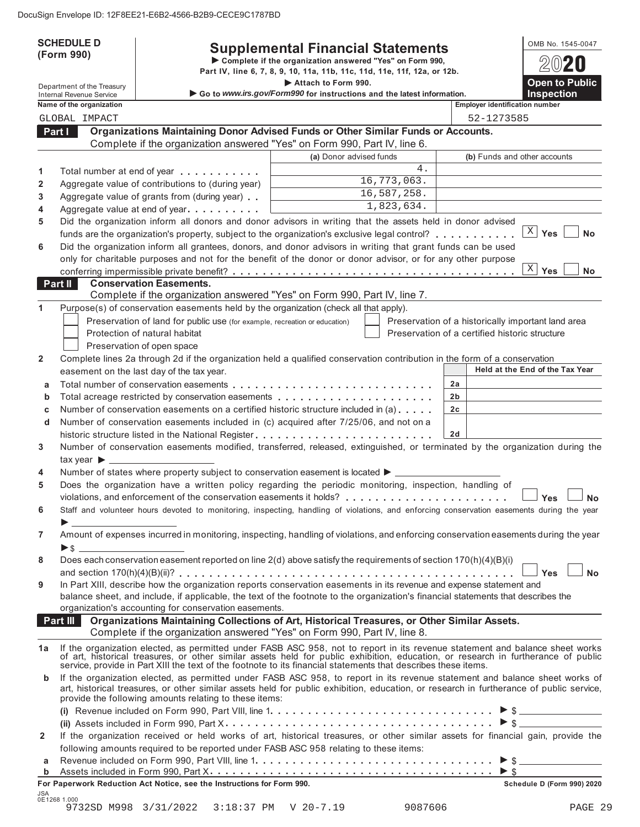|                | <b>SCHEDULE D</b>                                             |                                                                                                                                                                                                                                                                                                                                  | <b>Supplemental Financial Statements</b>                                                      |             |                                                    | OMB No. 1545-0047                   |
|----------------|---------------------------------------------------------------|----------------------------------------------------------------------------------------------------------------------------------------------------------------------------------------------------------------------------------------------------------------------------------------------------------------------------------|-----------------------------------------------------------------------------------------------|-------------|----------------------------------------------------|-------------------------------------|
|                | (Form 990)                                                    |                                                                                                                                                                                                                                                                                                                                  | Complete if the organization answered "Yes" on Form 990,                                      |             |                                                    |                                     |
|                |                                                               |                                                                                                                                                                                                                                                                                                                                  | Part IV, line 6, 7, 8, 9, 10, 11a, 11b, 11c, 11d, 11e, 11f, 12a, or 12b.                      |             |                                                    |                                     |
|                | Department of the Treasury<br><b>Internal Revenue Service</b> |                                                                                                                                                                                                                                                                                                                                  | Attach to Form 990.<br>Go to www.irs.gov/Form990 for instructions and the latest information. |             |                                                    | <b>Open to Public</b><br>Inspection |
|                | Name of the organization                                      |                                                                                                                                                                                                                                                                                                                                  |                                                                                               |             | <b>Employer identification number</b>              |                                     |
|                | GLOBAL IMPACT                                                 |                                                                                                                                                                                                                                                                                                                                  |                                                                                               |             | 52-1273585                                         |                                     |
|                | Part I                                                        | Organizations Maintaining Donor Advised Funds or Other Similar Funds or Accounts.                                                                                                                                                                                                                                                |                                                                                               |             |                                                    |                                     |
|                |                                                               | Complete if the organization answered "Yes" on Form 990, Part IV, line 6.                                                                                                                                                                                                                                                        |                                                                                               |             |                                                    |                                     |
|                |                                                               |                                                                                                                                                                                                                                                                                                                                  | (a) Donor advised funds                                                                       | 4.          | (b) Funds and other accounts                       |                                     |
| 1<br>2         |                                                               | Total number at end of year<br>Aggregate value of contributions to (during year)                                                                                                                                                                                                                                                 |                                                                                               | 16,773,063. |                                                    |                                     |
| 3              |                                                               | Aggregate value of grants from (during year)                                                                                                                                                                                                                                                                                     |                                                                                               | 16,587,258. |                                                    |                                     |
| 4              |                                                               |                                                                                                                                                                                                                                                                                                                                  |                                                                                               | 1,823,634.  |                                                    |                                     |
| 5              |                                                               | Did the organization inform all donors and donor advisors in writing that the assets held in donor advised                                                                                                                                                                                                                       |                                                                                               |             |                                                    |                                     |
|                |                                                               | funds are the organization's property, subject to the organization's exclusive legal control?                                                                                                                                                                                                                                    |                                                                                               |             |                                                    | $X \mid Y$ es<br><b>No</b>          |
| 6              |                                                               | Did the organization inform all grantees, donors, and donor advisors in writing that grant funds can be used                                                                                                                                                                                                                     |                                                                                               |             |                                                    |                                     |
|                |                                                               | only for charitable purposes and not for the benefit of the donor or donor advisor, or for any other purpose                                                                                                                                                                                                                     |                                                                                               |             | $\mathbf{X}$                                       |                                     |
|                | Part II                                                       | <b>Conservation Easements.</b>                                                                                                                                                                                                                                                                                                   |                                                                                               |             |                                                    | Yes<br><b>No</b>                    |
|                |                                                               | Complete if the organization answered "Yes" on Form 990, Part IV, line 7.                                                                                                                                                                                                                                                        |                                                                                               |             |                                                    |                                     |
| 1              |                                                               | Purpose(s) of conservation easements held by the organization (check all that apply).                                                                                                                                                                                                                                            |                                                                                               |             |                                                    |                                     |
|                |                                                               | Preservation of land for public use (for example, recreation or education)                                                                                                                                                                                                                                                       |                                                                                               |             | Preservation of a historically important land area |                                     |
|                |                                                               | Protection of natural habitat                                                                                                                                                                                                                                                                                                    |                                                                                               |             | Preservation of a certified historic structure     |                                     |
|                |                                                               | Preservation of open space                                                                                                                                                                                                                                                                                                       |                                                                                               |             |                                                    |                                     |
| $\overline{2}$ |                                                               | Complete lines 2a through 2d if the organization held a qualified conservation contribution in the form of a conservation                                                                                                                                                                                                        |                                                                                               |             | Held at the End of the Tax Year                    |                                     |
|                |                                                               | easement on the last day of the tax year.                                                                                                                                                                                                                                                                                        |                                                                                               |             | 2a                                                 |                                     |
| a<br>b         |                                                               | Total acreage restricted by conservation easements                                                                                                                                                                                                                                                                               |                                                                                               |             | 2b                                                 |                                     |
| C              |                                                               | Number of conservation easements on a certified historic structure included in (a)                                                                                                                                                                                                                                               |                                                                                               |             | 2c                                                 |                                     |
| d              |                                                               | Number of conservation easements included in (c) acquired after 7/25/06, and not on a                                                                                                                                                                                                                                            |                                                                                               |             |                                                    |                                     |
|                |                                                               |                                                                                                                                                                                                                                                                                                                                  |                                                                                               |             | 2d                                                 |                                     |
| 3              |                                                               | Number of conservation easements modified, transferred, released, extinguished, or terminated by the organization during the                                                                                                                                                                                                     |                                                                                               |             |                                                    |                                     |
|                | tax year $\blacktriangleright$ $\_\_$                         |                                                                                                                                                                                                                                                                                                                                  |                                                                                               |             |                                                    |                                     |
| 4              |                                                               | Number of states where property subject to conservation easement is located $\blacktriangleright$ ____                                                                                                                                                                                                                           |                                                                                               |             |                                                    |                                     |
| 5              |                                                               | Does the organization have a written policy regarding the periodic monitoring, inspection, handling of                                                                                                                                                                                                                           |                                                                                               |             |                                                    | Yes<br><b>No</b>                    |
| 6              |                                                               | Staff and volunteer hours devoted to monitoring, inspecting, handling of violations, and enforcing conservation easements during the year                                                                                                                                                                                        |                                                                                               |             |                                                    |                                     |
|                |                                                               |                                                                                                                                                                                                                                                                                                                                  |                                                                                               |             |                                                    |                                     |
| 7              |                                                               | Amount of expenses incurred in monitoring, inspecting, handling of violations, and enforcing conservation easements during the year                                                                                                                                                                                              |                                                                                               |             |                                                    |                                     |
|                |                                                               |                                                                                                                                                                                                                                                                                                                                  |                                                                                               |             |                                                    |                                     |
| 8              |                                                               | Does each conservation easement reported on line 2(d) above satisfy the requirements of section 170(h)(4)(B)(i)                                                                                                                                                                                                                  |                                                                                               |             |                                                    |                                     |
|                |                                                               |                                                                                                                                                                                                                                                                                                                                  |                                                                                               |             |                                                    | Yes<br><b>No</b>                    |
| 9              |                                                               | In Part XIII, describe how the organization reports conservation easements in its revenue and expense statement and<br>balance sheet, and include, if applicable, the text of the footnote to the organization's financial statements that describes the                                                                         |                                                                                               |             |                                                    |                                     |
|                |                                                               | organization's accounting for conservation easements.                                                                                                                                                                                                                                                                            |                                                                                               |             |                                                    |                                     |
|                | Part III                                                      | Organizations Maintaining Collections of Art, Historical Treasures, or Other Similar Assets.                                                                                                                                                                                                                                     |                                                                                               |             |                                                    |                                     |
|                |                                                               | Complete if the organization answered "Yes" on Form 990, Part IV, line 8.                                                                                                                                                                                                                                                        |                                                                                               |             |                                                    |                                     |
| 1a             |                                                               | If the organization elected, as permitted under FASB ASC 958, not to report in its revenue statement and balance sheet works of art, historical treasures, or other similar assets held for public exhibition, education, or r                                                                                                   |                                                                                               |             |                                                    |                                     |
| b              |                                                               | If the organization elected, as permitted under FASB ASC 958, to report in its revenue statement and balance sheet works of<br>art, historical treasures, or other similar assets held for public exhibition, education, or research in furtherance of public service,<br>provide the following amounts relating to these items: |                                                                                               |             |                                                    |                                     |
|                |                                                               |                                                                                                                                                                                                                                                                                                                                  |                                                                                               |             |                                                    |                                     |
|                |                                                               |                                                                                                                                                                                                                                                                                                                                  |                                                                                               |             |                                                    |                                     |
| $\mathbf{2}$   |                                                               | If the organization received or held works of art, historical treasures, or other similar assets for financial gain, provide the                                                                                                                                                                                                 |                                                                                               |             |                                                    |                                     |
| a              |                                                               | following amounts required to be reported under FASB ASC 958 relating to these items:                                                                                                                                                                                                                                            |                                                                                               |             |                                                    |                                     |
| $\mathbf b$    |                                                               |                                                                                                                                                                                                                                                                                                                                  |                                                                                               |             |                                                    |                                     |
|                |                                                               | For Paperwork Reduction Act Notice, see the Instructions for Form 990.                                                                                                                                                                                                                                                           |                                                                                               |             |                                                    | Schedule D (Form 990) 2020          |
| JSA            | 0E1268 1.000                                                  |                                                                                                                                                                                                                                                                                                                                  |                                                                                               |             |                                                    |                                     |
|                | 9732SD M998 3/31/2022                                         |                                                                                                                                                                                                                                                                                                                                  | 3:18:37 PM V 20-7.19                                                                          | 9087606     |                                                    | PAGE 29                             |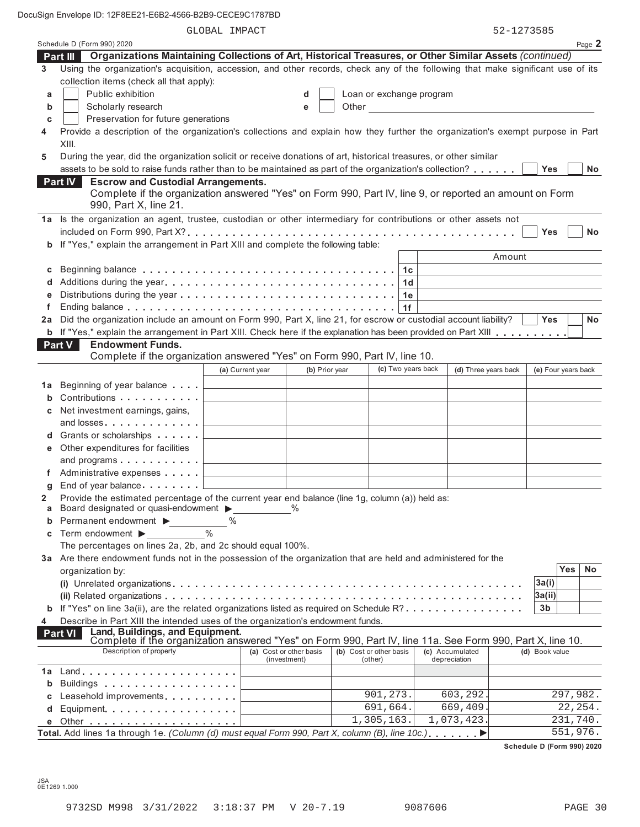|    |                                                                                                                                       | GLOBAL IMPACT    |                         |       |                          |                 | 52-1273585           |                     |                        |
|----|---------------------------------------------------------------------------------------------------------------------------------------|------------------|-------------------------|-------|--------------------------|-----------------|----------------------|---------------------|------------------------|
|    | Schedule D (Form 990) 2020                                                                                                            |                  |                         |       |                          |                 |                      |                     | Page 2                 |
|    | Organizations Maintaining Collections of Art, Historical Treasures, or Other Similar Assets (continued)<br>Part III                   |                  |                         |       |                          |                 |                      |                     |                        |
| 3  | Using the organization's acquisition, accession, and other records, check any of the following that make significant use of its       |                  |                         |       |                          |                 |                      |                     |                        |
|    | collection items (check all that apply):                                                                                              |                  |                         |       |                          |                 |                      |                     |                        |
| a  | Public exhibition                                                                                                                     |                  | d                       |       | Loan or exchange program |                 |                      |                     |                        |
| b  | Scholarly research                                                                                                                    |                  | е                       | Other |                          |                 |                      |                     |                        |
| C  | Preservation for future generations                                                                                                   |                  |                         |       |                          |                 |                      |                     |                        |
|    | Provide a description of the organization's collections and explain how they further the organization's exempt purpose in Part        |                  |                         |       |                          |                 |                      |                     |                        |
|    | XIII.                                                                                                                                 |                  |                         |       |                          |                 |                      |                     |                        |
| 5  | During the year, did the organization solicit or receive donations of art, historical treasures, or other similar                     |                  |                         |       |                          |                 |                      |                     |                        |
|    | assets to be sold to raise funds rather than to be maintained as part of the organization's collection?                               |                  |                         |       |                          |                 |                      | <b>Yes</b>          | No                     |
|    | <b>Escrow and Custodial Arrangements.</b><br><b>Part IV</b>                                                                           |                  |                         |       |                          |                 |                      |                     |                        |
|    | Complete if the organization answered "Yes" on Form 990, Part IV, line 9, or reported an amount on Form                               |                  |                         |       |                          |                 |                      |                     |                        |
|    | 990, Part X, line 21.                                                                                                                 |                  |                         |       |                          |                 |                      |                     |                        |
|    | 1a Is the organization an agent, trustee, custodian or other intermediary for contributions or other assets not                       |                  |                         |       |                          |                 |                      |                     |                        |
|    |                                                                                                                                       |                  |                         |       |                          |                 |                      | Yes                 | No                     |
| b  | If "Yes," explain the arrangement in Part XIII and complete the following table:                                                      |                  |                         |       |                          |                 |                      |                     |                        |
|    |                                                                                                                                       |                  |                         |       |                          |                 | Amount               |                     |                        |
|    |                                                                                                                                       |                  |                         |       | 1c                       |                 |                      |                     |                        |
|    |                                                                                                                                       |                  |                         |       | 1 <sub>d</sub>           |                 |                      |                     |                        |
|    |                                                                                                                                       |                  |                         |       | 1e                       |                 |                      |                     |                        |
|    |                                                                                                                                       |                  |                         |       | 1f                       |                 |                      |                     |                        |
|    | 2a Did the organization include an amount on Form 990, Part X, line 21, for escrow or custodial account liability?                    |                  |                         |       |                          |                 |                      | <b>Yes</b>          | <b>No</b>              |
|    | b If "Yes," explain the arrangement in Part XIII. Check here if the explanation has been provided on Part XIII                        |                  |                         |       |                          |                 |                      |                     |                        |
|    | <b>Endowment Funds.</b>                                                                                                               |                  |                         |       |                          |                 |                      |                     |                        |
|    | Part V<br>Complete if the organization answered "Yes" on Form 990, Part IV, line 10.                                                  |                  |                         |       |                          |                 |                      |                     |                        |
|    |                                                                                                                                       | (a) Current year | (b) Prior year          |       | (c) Two years back       |                 | (d) Three years back | (e) Four years back |                        |
|    |                                                                                                                                       |                  |                         |       |                          |                 |                      |                     |                        |
| 1а | Beginning of year balance                                                                                                             |                  |                         |       |                          |                 |                      |                     |                        |
| b  | Contributions                                                                                                                         |                  |                         |       |                          |                 |                      |                     |                        |
| C  | Net investment earnings, gains,                                                                                                       |                  |                         |       |                          |                 |                      |                     |                        |
|    | and losses                                                                                                                            |                  |                         |       |                          |                 |                      |                     |                        |
|    | Grants or scholarships                                                                                                                |                  |                         |       |                          |                 |                      |                     |                        |
|    | e Other expenditures for facilities                                                                                                   |                  |                         |       |                          |                 |                      |                     |                        |
|    | and programs                                                                                                                          |                  |                         |       |                          |                 |                      |                     |                        |
|    | Administrative expenses                                                                                                               |                  |                         |       |                          |                 |                      |                     |                        |
| g  | End of year balance                                                                                                                   |                  |                         |       |                          |                 |                      |                     |                        |
| 2  | Provide the estimated percentage of the current year end balance (line 1g, column (a)) held as:                                       |                  |                         |       |                          |                 |                      |                     |                        |
| а  | Board designated or quasi-endowment >                                                                                                 |                  |                         |       |                          |                 |                      |                     |                        |
| b  | Permanent endowment $\blacktriangleright$                                                                                             | $\%$             |                         |       |                          |                 |                      |                     |                        |
| С  | Term endowment $\blacktriangleright$                                                                                                  | $\%$             |                         |       |                          |                 |                      |                     |                        |
|    | The percentages on lines 2a, 2b, and 2c should equal 100%.                                                                            |                  |                         |       |                          |                 |                      |                     |                        |
|    | 3a Are there endowment funds not in the possession of the organization that are held and administered for the                         |                  |                         |       |                          |                 |                      |                     |                        |
|    | organization by:                                                                                                                      |                  |                         |       |                          |                 |                      | Yes                 | No                     |
|    |                                                                                                                                       |                  |                         |       |                          |                 |                      | 3a(i)               |                        |
|    |                                                                                                                                       |                  |                         |       |                          |                 |                      | 3a(ii)              |                        |
|    | <b>b</b> If "Yes" on line 3a(ii), are the related organizations listed as required on Schedule R?                                     |                  |                         |       |                          |                 |                      | 3b                  |                        |
| 4  | Describe in Part XIII the intended uses of the organization's endowment funds.                                                        |                  |                         |       |                          |                 |                      |                     |                        |
|    | Land, Buildings, and Equipment.<br><b>Part VI</b>                                                                                     |                  |                         |       |                          |                 |                      |                     |                        |
|    | Complete if the organization answered "Yes" on Form 990, Part IV, line 11a. See Form 990, Part X, line 10.<br>Description of property |                  | (a) Cost or other basis |       | (b) Cost or other basis  | (c) Accumulated |                      | (d) Book value      |                        |
|    |                                                                                                                                       |                  | (investment)            |       | (other)                  | depreciation    |                      |                     |                        |
| 1a | $Land.$                                                                                                                               |                  |                         |       |                          |                 |                      |                     |                        |
| b  | Buildings                                                                                                                             |                  |                         |       |                          |                 |                      |                     |                        |
| c  | Leasehold improvements                                                                                                                |                  |                         |       | 901, 273.                | 603,292.        |                      |                     | 297,982.               |
| d  | Equipment                                                                                                                             |                  |                         |       | 691,664.                 | 669,409.        |                      |                     | 22, 254.               |
|    |                                                                                                                                       |                  |                         |       | 1,305,163.               | 1,073,423.      |                      |                     | 231,740.               |
|    | Total. Add lines 1a through 1e. (Column (d) must equal Form 990, Part X, column (B), line 10c.)                                       |                  |                         |       |                          |                 |                      |                     | $\overline{551,976}$ . |

**Schedule D (Form 990) 2020**

JSA 0E1269 1.000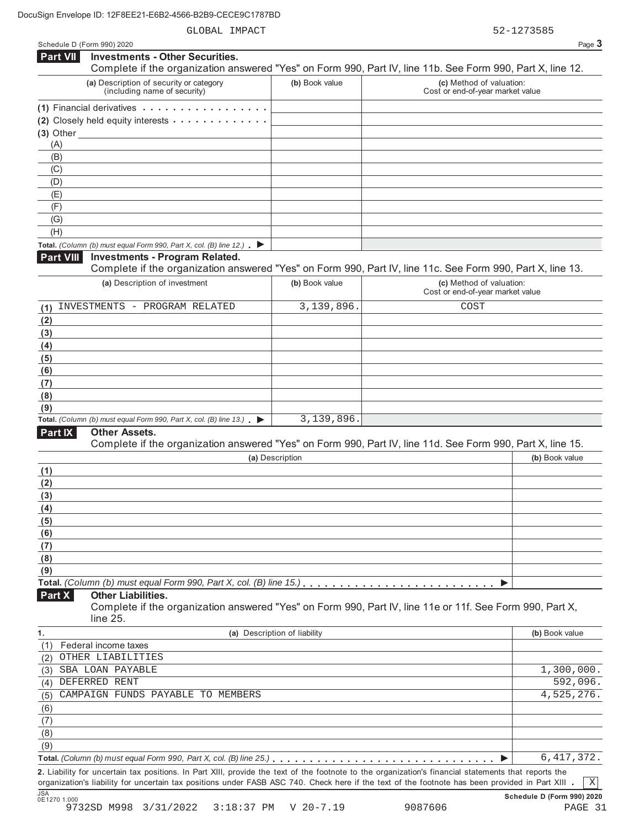Schedule D (Form 990) 2020 Page **3**

| Part VII                   | <b>Investments - Other Securities.</b>                                                                                                               |                              |                                                              |                            |
|----------------------------|------------------------------------------------------------------------------------------------------------------------------------------------------|------------------------------|--------------------------------------------------------------|----------------------------|
|                            | Complete if the organization answered "Yes" on Form 990, Part IV, line 11b. See Form 990, Part X, line 12.                                           |                              |                                                              |                            |
|                            | (a) Description of security or category<br>(including name of security)                                                                              | (b) Book value               | (c) Method of valuation:<br>Cost or end-of-year market value |                            |
|                            | (1) Financial derivatives                                                                                                                            |                              |                                                              |                            |
|                            | (2) Closely held equity interests                                                                                                                    |                              |                                                              |                            |
| $(3)$ Other                |                                                                                                                                                      |                              |                                                              |                            |
| (A)                        |                                                                                                                                                      |                              |                                                              |                            |
| (B)                        |                                                                                                                                                      |                              |                                                              |                            |
| (C)                        |                                                                                                                                                      |                              |                                                              |                            |
| (D)                        |                                                                                                                                                      |                              |                                                              |                            |
| (E)                        |                                                                                                                                                      |                              |                                                              |                            |
| (F)                        |                                                                                                                                                      |                              |                                                              |                            |
| (G)                        |                                                                                                                                                      |                              |                                                              |                            |
| (H)                        |                                                                                                                                                      |                              |                                                              |                            |
|                            | Total. (Column (b) must equal Form 990, Part X, col. (B) line 12.) $\blacktriangleright$                                                             |                              |                                                              |                            |
| Part VIII                  | <b>Investments - Program Related.</b><br>Complete if the organization answered "Yes" on Form 990, Part IV, line 11c. See Form 990, Part X, line 13.  |                              |                                                              |                            |
|                            | (a) Description of investment                                                                                                                        | (b) Book value               | (c) Method of valuation:<br>Cost or end-of-year market value |                            |
| (1)                        | INVESTMENTS - PROGRAM RELATED                                                                                                                        | 3,139,896.                   | COST                                                         |                            |
| (2)                        |                                                                                                                                                      |                              |                                                              |                            |
| (3)                        |                                                                                                                                                      |                              |                                                              |                            |
| (4)                        |                                                                                                                                                      |                              |                                                              |                            |
| (5)                        |                                                                                                                                                      |                              |                                                              |                            |
| (6)                        |                                                                                                                                                      |                              |                                                              |                            |
| (7)                        |                                                                                                                                                      |                              |                                                              |                            |
| (8)                        |                                                                                                                                                      |                              |                                                              |                            |
| (9)                        |                                                                                                                                                      |                              |                                                              |                            |
|                            | Total. (Column (b) must equal Form 990, Part X, col. (B) line $13$ .)                                                                                | 3,139,896.                   |                                                              |                            |
| Part IX                    | <b>Other Assets.</b>                                                                                                                                 |                              |                                                              |                            |
|                            | Complete if the organization answered "Yes" on Form 990, Part IV, line 11d. See Form 990, Part X, line 15.                                           |                              |                                                              |                            |
|                            |                                                                                                                                                      | (a) Description              |                                                              | (b) Book value             |
| (1)                        |                                                                                                                                                      |                              |                                                              |                            |
| (2)                        |                                                                                                                                                      |                              |                                                              |                            |
| (3)                        |                                                                                                                                                      |                              |                                                              |                            |
| (4)                        |                                                                                                                                                      |                              |                                                              |                            |
| (5)                        |                                                                                                                                                      |                              |                                                              |                            |
| (6)                        |                                                                                                                                                      |                              |                                                              |                            |
| (7)                        |                                                                                                                                                      |                              |                                                              |                            |
| (8)                        |                                                                                                                                                      |                              |                                                              |                            |
| (9)                        |                                                                                                                                                      |                              |                                                              |                            |
|                            |                                                                                                                                                      |                              | ▶                                                            |                            |
| Part X                     | <b>Other Liabilities.</b><br>Complete if the organization answered "Yes" on Form 990, Part IV, line 11e or 11f. See Form 990, Part X,<br>line 25.    |                              |                                                              |                            |
| 1.                         |                                                                                                                                                      | (a) Description of liability |                                                              | (b) Book value             |
| (1)                        | Federal income taxes                                                                                                                                 |                              |                                                              |                            |
| (2)                        | OTHER LIABILITIES                                                                                                                                    |                              |                                                              |                            |
| (3)                        | SBA LOAN PAYABLE                                                                                                                                     |                              |                                                              | 1,300,000.                 |
| (4)                        | DEFERRED RENT                                                                                                                                        |                              |                                                              | 592,096.                   |
| (5)                        | CAMPAIGN FUNDS PAYABLE TO MEMBERS                                                                                                                    |                              |                                                              | 4,525,276.                 |
| (6)                        |                                                                                                                                                      |                              |                                                              |                            |
| (7)                        |                                                                                                                                                      |                              |                                                              |                            |
| (8)                        |                                                                                                                                                      |                              |                                                              |                            |
| (9)                        |                                                                                                                                                      |                              |                                                              |                            |
|                            |                                                                                                                                                      |                              | ▸                                                            | 6, 417, 372.               |
|                            | 2. Liability for uncertain tax positions. In Part XIII, provide the text of the footnote to the organization's financial statements that reports the |                              |                                                              |                            |
|                            | organization's liability for uncertain tax positions under FASB ASC 740. Check here if the text of the footnote has been provided in Part XIII .     |                              |                                                              | X                          |
| <b>JSA</b><br>0E1270 1.000 |                                                                                                                                                      |                              |                                                              | Schedule D (Form 990) 2020 |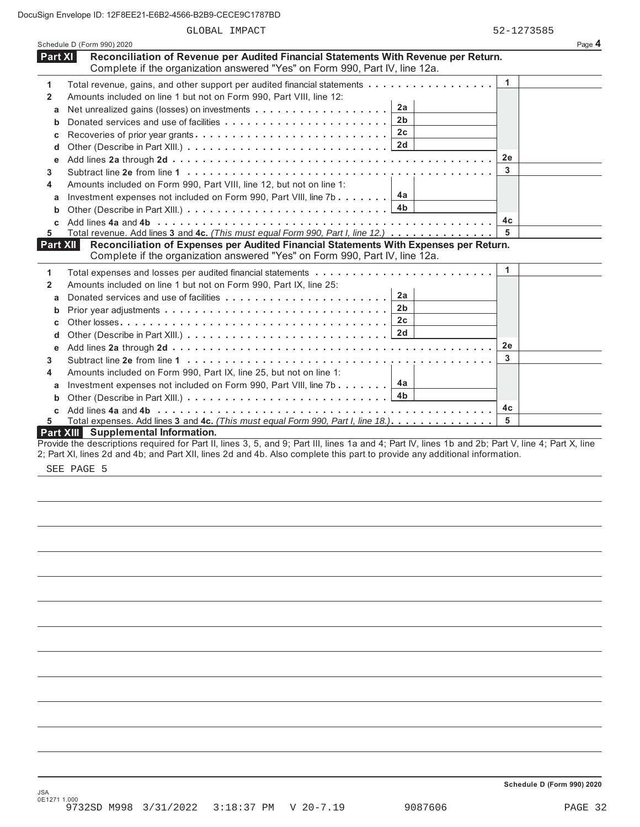GLOBAL IMPACT 52-1273585

|                 | Schedule D (Form 990) 2020                                                                                                                                           |    | Page 4 |
|-----------------|----------------------------------------------------------------------------------------------------------------------------------------------------------------------|----|--------|
| <b>Part XI</b>  | Reconciliation of Revenue per Audited Financial Statements With Revenue per Return.<br>Complete if the organization answered "Yes" on Form 990, Part IV, line 12a.   |    |        |
| 1               | Total revenue, gains, and other support per audited financial statements                                                                                             | 1  |        |
| $\mathbf{2}$    | Amounts included on line 1 but not on Form 990, Part VIII, line 12:                                                                                                  |    |        |
| a               | 2a                                                                                                                                                                   |    |        |
| b               | 2 <sub>b</sub>                                                                                                                                                       |    |        |
| c               | 2c<br>Recoveries of prior year grants                                                                                                                                |    |        |
| d               |                                                                                                                                                                      |    |        |
| е               |                                                                                                                                                                      | 2e |        |
| 3               |                                                                                                                                                                      | 3  |        |
| 4               | Amounts included on Form 990, Part VIII, line 12, but not on line 1:                                                                                                 |    |        |
| a               | Investment expenses not included on Form 990, Part VIII, line 7b $\boxed{4a}$                                                                                        |    |        |
| b               |                                                                                                                                                                      |    |        |
| C               |                                                                                                                                                                      | 4c |        |
| 5.              | Total revenue. Add lines 3 and 4c. (This must equal Form 990, Part I, line 12.)                                                                                      | 5  |        |
| <b>Part XII</b> | Reconciliation of Expenses per Audited Financial Statements With Expenses per Return.<br>Complete if the organization answered "Yes" on Form 990, Part IV, line 12a. |    |        |
| 1               |                                                                                                                                                                      | 1  |        |
| $\mathbf{2}$    | Amounts included on line 1 but not on Form 990, Part IX, line 25:                                                                                                    |    |        |
| a               | 2a                                                                                                                                                                   |    |        |
| b               | 2 <sub>b</sub>                                                                                                                                                       |    |        |
| c               | 2c                                                                                                                                                                   |    |        |
| d               |                                                                                                                                                                      |    |        |
| е               |                                                                                                                                                                      | 2e |        |
| 3.              |                                                                                                                                                                      | 3  |        |
| 4               | Amounts included on Form 990, Part IX, line 25, but not on line 1:                                                                                                   |    |        |
| a               | 4a<br>Investment expenses not included on Form 990, Part VIII, line 7b                                                                                               |    |        |
| b               | 4b                                                                                                                                                                   |    |        |
| C               |                                                                                                                                                                      | 4c |        |
| 5.              | Total expenses. Add lines 3 and 4c. (This must equal Form 990, Part I, line 18.).                                                                                    | 5  |        |
|                 | Part XIII Supplemental Information.                                                                                                                                  |    |        |
|                 | Drougle the decembrians required for Dart II, lines 2, E, and 0: Dart III, lines 10, and 1: Dart IV, lines 1b, and 2b; Dart V, line, 1: Dart V, line                 |    |        |

Provide the descriptions required for Part II, lines 3, 5, and 9; Part III, lines 1a and 4; Part IV, lines 1b and 2b; Part V, line 4; Part X, line 2; Part XI, lines 2d and 4b; and Part XII, lines 2d and 4b. Also complete this part to provide any additional information.

SEE PAGE 5

**Schedule D (Form 990) 2020**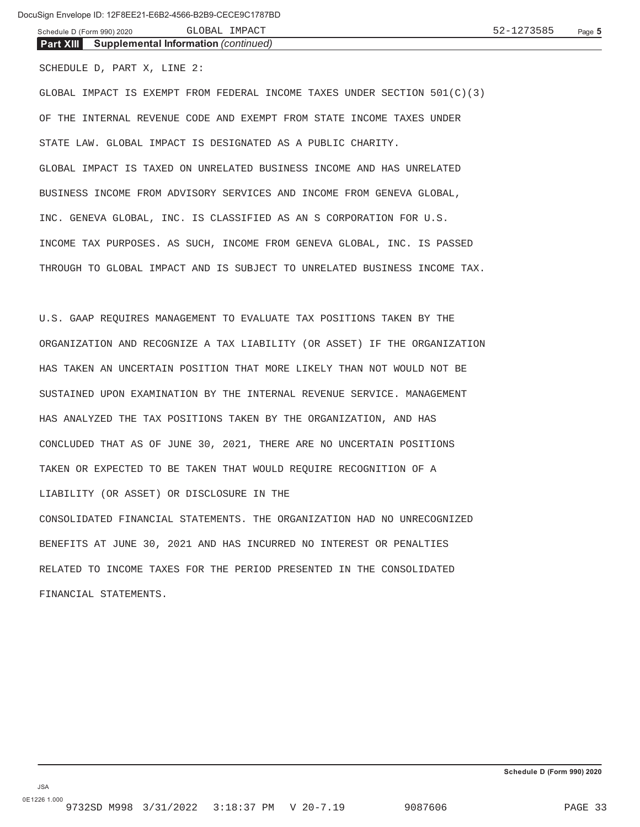**Part XIII Supplemental Information** *(continued)*

SCHEDULE D, PART X, LINE 2:

GLOBAL IMPACT IS EXEMPT FROM FEDERAL INCOME TAXES UNDER SECTION 501(C)(3) OF THE INTERNAL REVENUE CODE AND EXEMPT FROM STATE INCOME TAXES UNDER STATE LAW. GLOBAL IMPACT IS DESIGNATED AS A PUBLIC CHARITY. GLOBAL IMPACT IS TAXED ON UNRELATED BUSINESS INCOME AND HAS UNRELATED BUSINESS INCOME FROM ADVISORY SERVICES AND INCOME FROM GENEVA GLOBAL, INC. GENEVA GLOBAL, INC. IS CLASSIFIED AS AN S CORPORATION FOR U.S. INCOME TAX PURPOSES. AS SUCH, INCOME FROM GENEVA GLOBAL, INC. IS PASSED THROUGH TO GLOBAL IMPACT AND IS SUBJECT TO UNRELATED BUSINESS INCOME TAX.

GLOBAL IMPACT 52-1273585

U.S. GAAP REQUIRES MANAGEMENT TO EVALUATE TAX POSITIONS TAKEN BY THE ORGANIZATION AND RECOGNIZE A TAX LIABILITY (OR ASSET) IF THE ORGANIZATION HAS TAKEN AN UNCERTAIN POSITION THAT MORE LIKELY THAN NOT WOULD NOT BE SUSTAINED UPON EXAMINATION BY THE INTERNAL REVENUE SERVICE. MANAGEMENT HAS ANALYZED THE TAX POSITIONS TAKEN BY THE ORGANIZATION, AND HAS CONCLUDED THAT AS OF JUNE 30, 2021, THERE ARE NO UNCERTAIN POSITIONS TAKEN OR EXPECTED TO BE TAKEN THAT WOULD REQUIRE RECOGNITION OF A LIABILITY (OR ASSET) OR DISCLOSURE IN THE CONSOLIDATED FINANCIAL STATEMENTS. THE ORGANIZATION HAD NO UNRECOGNIZED BENEFITS AT JUNE 30, 2021 AND HAS INCURRED NO INTEREST OR PENALTIES RELATED TO INCOME TAXES FOR THE PERIOD PRESENTED IN THE CONSOLIDATED FINANCIAL STATEMENTS.

**Schedule D (Form 990) 2020**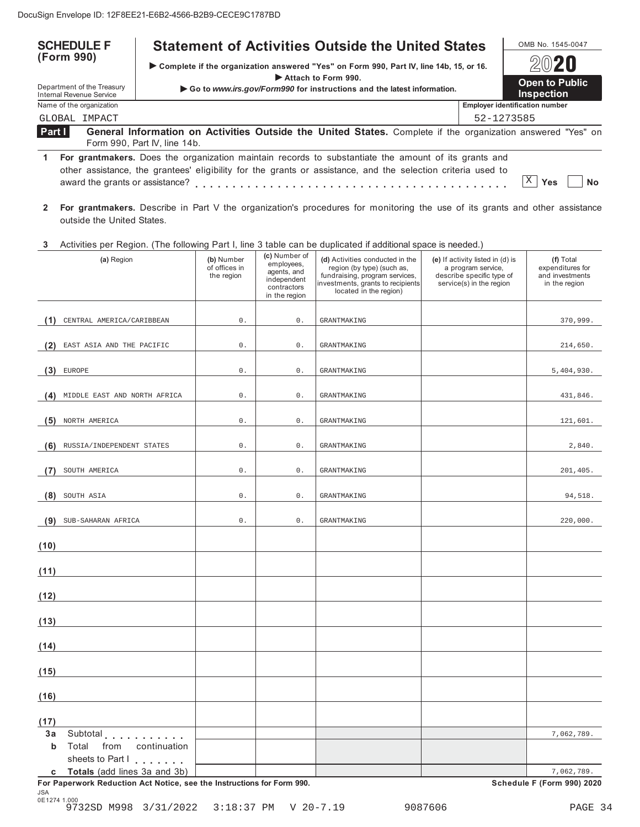| <b>SCHEDULE F</b>                                                                                                                                       | <b>Statement of Activities Outside the United States</b>                                                                                                                                                             |            | OMB No. 1545-0047                          |
|---------------------------------------------------------------------------------------------------------------------------------------------------------|----------------------------------------------------------------------------------------------------------------------------------------------------------------------------------------------------------------------|------------|--------------------------------------------|
| (Form 990)                                                                                                                                              | ▶ Complete if the organization answered "Yes" on Form 990, Part IV, line 14b, 15, or 16.                                                                                                                             | 2020       |                                            |
| Attach to Form 990.<br>Department of the Treasury<br>Go to www.irs.gov/Form990 for instructions and the latest information.<br>Internal Revenue Service |                                                                                                                                                                                                                      |            | <b>Open to Public</b><br><b>Inspection</b> |
| Name of the organization                                                                                                                                |                                                                                                                                                                                                                      |            | <b>Employer identification number</b>      |
| GLOBAL IMPACT                                                                                                                                           |                                                                                                                                                                                                                      | 52-1273585 |                                            |
| <b>Part I</b><br>Form 990, Part IV, line 14b.                                                                                                           | General Information on Activities Outside the United States. Complete if the organization answered "Yes" on                                                                                                          |            |                                            |
| award the grants or assistance?                                                                                                                         | For grantmakers. Does the organization maintain records to substantiate the amount of its grants and<br>other assistance, the grantees' eligibility for the grants or assistance, and the selection criteria used to |            | Yes<br>Nο                                  |

- **2 For grantmakers.** Describe in Part V the organization's procedures for monitoring the use of its grants and other assistance outside the United States.
- **3** Activities per Region. (The following Part I, line 3 table can be duplicated if additional space is needed.)

|                   | (a) Region                                                                                               | (b) Number<br>of offices in<br>the region | (c) Number of<br>employees,<br>agents, and<br>independent<br>contractors<br>in the region | (d) Activities conducted in the<br>region (by type) (such as,<br>fundraising, program services,<br>investments, grants to recipients<br>located in the region) | (e) If activity listed in (d) is<br>a program service,<br>describe specific type of<br>service(s) in the region | (f) Total<br>expenditures for<br>and investments<br>in the region |
|-------------------|----------------------------------------------------------------------------------------------------------|-------------------------------------------|-------------------------------------------------------------------------------------------|----------------------------------------------------------------------------------------------------------------------------------------------------------------|-----------------------------------------------------------------------------------------------------------------|-------------------------------------------------------------------|
| (1)               | CENTRAL AMERICA/CARIBBEAN                                                                                | $0$ .                                     | $0$ .                                                                                     | GRANTMAKING                                                                                                                                                    |                                                                                                                 | 370,999.                                                          |
|                   |                                                                                                          |                                           |                                                                                           |                                                                                                                                                                |                                                                                                                 |                                                                   |
| (2)               | EAST ASIA AND THE PACIFIC                                                                                | $0$ .                                     | $0$ .                                                                                     | GRANTMAKING                                                                                                                                                    |                                                                                                                 | 214,650.                                                          |
| (3)               | <b>EUROPE</b>                                                                                            | $0$ .                                     | $\mathsf{O}$ .                                                                            | <b>GRANTMAKING</b>                                                                                                                                             |                                                                                                                 | 5,404,930.                                                        |
| (4)               | MIDDLE EAST AND NORTH AFRICA                                                                             | $\mathbb O$ .                             | $\mathsf{O}$ .                                                                            | GRANTMAKING                                                                                                                                                    |                                                                                                                 | 431,846.                                                          |
| (5)               | NORTH AMERICA                                                                                            | $0$ .                                     | $0$ .                                                                                     | <b>GRANTMAKING</b>                                                                                                                                             |                                                                                                                 | 121,601.                                                          |
| (6)               | RUSSIA/INDEPENDENT STATES                                                                                | 0.                                        | $0$ .                                                                                     | GRANTMAKING                                                                                                                                                    |                                                                                                                 | 2,840.                                                            |
| (7)               | SOUTH AMERICA                                                                                            | $0$ .                                     | $0$ .                                                                                     | <b>GRANTMAKING</b>                                                                                                                                             |                                                                                                                 | 201, 405.                                                         |
| (8)               | SOUTH ASIA                                                                                               | $0$ .                                     | $0$ .                                                                                     | <b>GRANTMAKING</b>                                                                                                                                             |                                                                                                                 | 94,518.                                                           |
| (9)               | SUB-SAHARAN AFRICA                                                                                       | $\mathbf 0$ .                             | $0$ .                                                                                     | <b>GRANTMAKING</b>                                                                                                                                             |                                                                                                                 | 220,000.                                                          |
| (10)              |                                                                                                          |                                           |                                                                                           |                                                                                                                                                                |                                                                                                                 |                                                                   |
| (11)              |                                                                                                          |                                           |                                                                                           |                                                                                                                                                                |                                                                                                                 |                                                                   |
| (12)              |                                                                                                          |                                           |                                                                                           |                                                                                                                                                                |                                                                                                                 |                                                                   |
| (13)              |                                                                                                          |                                           |                                                                                           |                                                                                                                                                                |                                                                                                                 |                                                                   |
| (14)              |                                                                                                          |                                           |                                                                                           |                                                                                                                                                                |                                                                                                                 |                                                                   |
| (15)              |                                                                                                          |                                           |                                                                                           |                                                                                                                                                                |                                                                                                                 |                                                                   |
| (16)              |                                                                                                          |                                           |                                                                                           |                                                                                                                                                                |                                                                                                                 |                                                                   |
| (17)              |                                                                                                          |                                           |                                                                                           |                                                                                                                                                                |                                                                                                                 |                                                                   |
| 3a<br>$\mathbf b$ | Subtotal<br>Total<br>from<br>continuation<br>sheets to Part I                                            |                                           |                                                                                           |                                                                                                                                                                |                                                                                                                 | 7,062,789.                                                        |
|                   | c Totals (add lines 3a and 3b)<br>For Paperwork Reduction Act Notice, see the Instructions for Form 990. |                                           |                                                                                           |                                                                                                                                                                |                                                                                                                 | 7,062,789.<br>Schedule F (Form 990) 2020                          |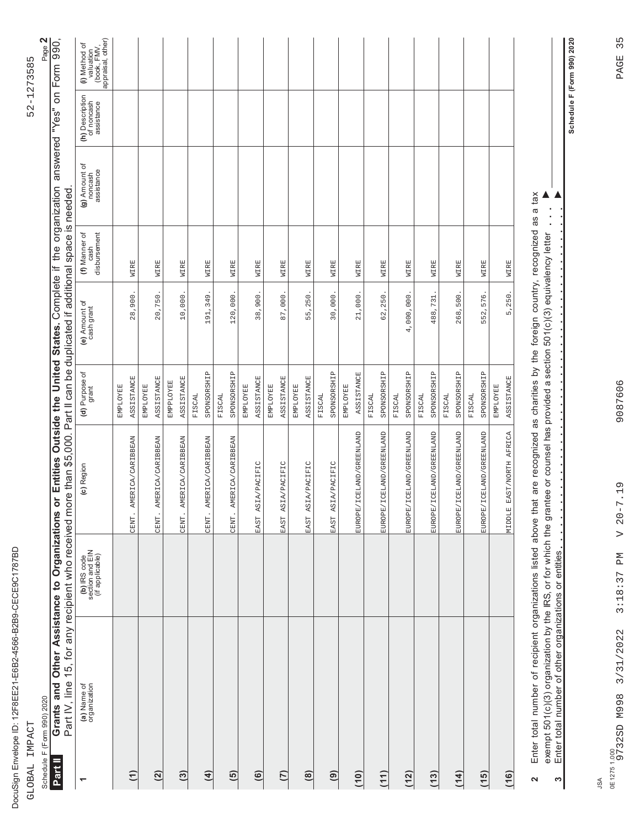| I<br>I                                                                                                              |
|---------------------------------------------------------------------------------------------------------------------|
|                                                                                                                     |
|                                                                                                                     |
|                                                                                                                     |
| l                                                                                                                   |
|                                                                                                                     |
|                                                                                                                     |
|                                                                                                                     |
|                                                                                                                     |
|                                                                                                                     |
| くしくし                                                                                                                |
|                                                                                                                     |
|                                                                                                                     |
|                                                                                                                     |
|                                                                                                                     |
|                                                                                                                     |
|                                                                                                                     |
| l                                                                                                                   |
|                                                                                                                     |
|                                                                                                                     |
|                                                                                                                     |
| l                                                                                                                   |
| ֓                                                                                                                   |
| I                                                                                                                   |
|                                                                                                                     |
|                                                                                                                     |
| Ĺ                                                                                                                   |
|                                                                                                                     |
|                                                                                                                     |
| I                                                                                                                   |
| Í                                                                                                                   |
|                                                                                                                     |
| ֠                                                                                                                   |
|                                                                                                                     |
|                                                                                                                     |
|                                                                                                                     |
|                                                                                                                     |
| ı                                                                                                                   |
|                                                                                                                     |
|                                                                                                                     |
|                                                                                                                     |
| Į                                                                                                                   |
| I                                                                                                                   |
| Í                                                                                                                   |
| ı                                                                                                                   |
| ١                                                                                                                   |
|                                                                                                                     |
|                                                                                                                     |
|                                                                                                                     |
| I                                                                                                                   |
|                                                                                                                     |
|                                                                                                                     |
| Ì<br>and the state of the state of the state of the state of the state of the state of the state of the state of th |
|                                                                                                                     |
|                                                                                                                     |
|                                                                                                                     |
| Ī                                                                                                                   |
|                                                                                                                     |
| l<br>ı                                                                                                              |
|                                                                                                                     |
| I<br>l                                                                                                              |
|                                                                                                                     |
| ı                                                                                                                   |
|                                                                                                                     |
| ı                                                                                                                   |
|                                                                                                                     |
|                                                                                                                     |
|                                                                                                                     |
|                                                                                                                     |
|                                                                                                                     |
|                                                                                                                     |
|                                                                                                                     |
|                                                                                                                     |
|                                                                                                                     |
|                                                                                                                     |
|                                                                                                                     |
| ١                                                                                                                   |
|                                                                                                                     |
|                                                                                                                     |
|                                                                                                                     |
|                                                                                                                     |
|                                                                                                                     |
|                                                                                                                     |
|                                                                                                                     |
| ĺ                                                                                                                   |
|                                                                                                                     |
|                                                                                                                     |
|                                                                                                                     |
| ١                                                                                                                   |
|                                                                                                                     |
|                                                                                                                     |
| Ï                                                                                                                   |
|                                                                                                                     |
|                                                                                                                     |
|                                                                                                                     |
|                                                                                                                     |
|                                                                                                                     |
|                                                                                                                     |
| I                                                                                                                   |

GLOBAL IMPACT 52-1273585 GLOBAL IMPACT Schedule F (Form 990) 2020 Page **2** Schedule F (Form 990) 2020

<sub>m 990)</sub> 2020<br>**Grants and Other Assistance to Organizations or Entities Outside the United States.** Complete if the organization answered "Yes" on Form 990,<br>Part IV, line 15, for any recipient who received more than \$5,000 Grants and Other Assistance to Organizations or Entities Outside the United States. Complete if the organization answered "Yes" on Form 990, Part IV, line 15, for any recipient who received more than \$5,000. Part II can be duplicated if additional space is needed. **Part II**

|                                                         | Part IV, line 15, for any recipient who received more than \$5,000. Part II can be duplicated ir additional space is needed.           |                                    |                                      |                             |                                       |                                        |                                             |                                                                |
|---------------------------------------------------------|----------------------------------------------------------------------------------------------------------------------------------------|------------------------------------|--------------------------------------|-----------------------------|---------------------------------------|----------------------------------------|---------------------------------------------|----------------------------------------------------------------|
| (a) Name of<br>organization<br>$\overline{\phantom{0}}$ | (b) IRS code<br>section and EIN<br>(if applicable)                                                                                     | (c) Region                         | (d) Purpose of<br>grant              | (e) Amount of<br>cash grant | disbursement<br>(f) Manner of<br>cash | (g) Amount of<br>noncash<br>assistance | (h) Description<br>of noncash<br>assistance | (i) Method of<br>valuation<br>(book, FMV,<br>appraisal, other) |
| $\widehat{E}$                                           |                                                                                                                                        | AMERICA/CARIBBEAN<br>CENT.         | <b>ASSISTANCE</b><br><b>EMPLOYEE</b> | 28,900.                     | WIRE                                  |                                        |                                             |                                                                |
|                                                         |                                                                                                                                        |                                    | <b>EMPLOYEE</b>                      |                             |                                       |                                        |                                             |                                                                |
| (2)                                                     |                                                                                                                                        | AMERICA/CARIBBEAN<br>CENT.         | <b>ASSISTANCE</b>                    | 20,750.                     | WIRE                                  |                                        |                                             |                                                                |
|                                                         |                                                                                                                                        |                                    | <b>EMPPLOYEE</b>                     |                             |                                       |                                        |                                             |                                                                |
| $\binom{3}{2}$                                          |                                                                                                                                        | AMERICA/CARIBBEAN<br>CENT.         | <b>ASSISTANCE</b>                    | 10,000.                     | WIRE                                  |                                        |                                             |                                                                |
|                                                         |                                                                                                                                        |                                    | FISCAL                               |                             |                                       |                                        |                                             |                                                                |
| $\overline{4}$                                          |                                                                                                                                        | AMERICA/CARIBBEAN<br>CENT.         | SPONSORSHIP                          | 191,349.                    | WIRE                                  |                                        |                                             |                                                                |
|                                                         |                                                                                                                                        |                                    | FISCAL                               |                             |                                       |                                        |                                             |                                                                |
| $\overline{5}$                                          |                                                                                                                                        | AMERICA/CARIBBEAN<br>CENT.         | SPONSORSHIP                          | 120,000.                    | WIRE                                  |                                        |                                             |                                                                |
|                                                         |                                                                                                                                        |                                    | <b>EMPLOYEE</b>                      |                             |                                       |                                        |                                             |                                                                |
| $\ddot{\boldsymbol{6}}$                                 |                                                                                                                                        | EAST ASIA/PACIFIC                  | ASSISTANCE                           | 38,900.                     | WIRE                                  |                                        |                                             |                                                                |
|                                                         |                                                                                                                                        |                                    | <b>EMPLOYEE</b>                      |                             |                                       |                                        |                                             |                                                                |
| (7)                                                     |                                                                                                                                        | EAST ASIA/PACIFIC                  | <b>ASSISTANCE</b>                    | 87,000.                     | WIRE                                  |                                        |                                             |                                                                |
|                                                         |                                                                                                                                        |                                    | <b>EMPLOYEE</b>                      |                             |                                       |                                        |                                             |                                                                |
| $\circ$                                                 |                                                                                                                                        | EAST ASIA/PACIFIC                  | ASSISTANCE                           | 55,250.                     | WIRE                                  |                                        |                                             |                                                                |
|                                                         |                                                                                                                                        |                                    | FISCAL                               |                             |                                       |                                        |                                             |                                                                |
| $\widehat{\mathbf{e}}$                                  |                                                                                                                                        | EAST ASIA/PACIFIC                  | SPONSORSHIP                          | 30,000.                     | WIRE                                  |                                        |                                             |                                                                |
|                                                         |                                                                                                                                        |                                    | <b>ENPLOYEE</b>                      |                             |                                       |                                        |                                             |                                                                |
| (10)                                                    |                                                                                                                                        | EUROPE/ICELAND/GREENLAND           | ASSISTANCE                           | $21,000$ .                  | WIRE                                  |                                        |                                             |                                                                |
|                                                         |                                                                                                                                        |                                    | FISCAL                               |                             |                                       |                                        |                                             |                                                                |
| (11)                                                    |                                                                                                                                        | EUROPE/ICELAND/GREENLAND           | SPONSORSHIP                          | 62,250.                     | WIRE                                  |                                        |                                             |                                                                |
|                                                         |                                                                                                                                        |                                    | FISCAL                               |                             |                                       |                                        |                                             |                                                                |
| (12)                                                    |                                                                                                                                        | EUROPE/ICELAND/GREENLAND           | SPONSORSHIP                          | $4,000,000$ .               | WIRE                                  |                                        |                                             |                                                                |
|                                                         |                                                                                                                                        |                                    | FISCAL                               |                             |                                       |                                        |                                             |                                                                |
| (13)                                                    |                                                                                                                                        | EUROPE/ICELAND/GREENLAND           | SPONSORSHIP                          | 488,731                     | WIRE                                  |                                        |                                             |                                                                |
|                                                         |                                                                                                                                        |                                    | FISCAL                               |                             |                                       |                                        |                                             |                                                                |
| (14)                                                    |                                                                                                                                        | EUROPE/ICELAND/GREENLAND           | SPONSORSHIP                          | 268,500.                    | WIRE                                  |                                        |                                             |                                                                |
|                                                         |                                                                                                                                        |                                    | FISCAL                               |                             |                                       |                                        |                                             |                                                                |
| (15)                                                    |                                                                                                                                        | EUROPE/ICELAND/GREENLAND           | SPONSORSHIP                          | 552,576.                    | WIRE                                  |                                        |                                             |                                                                |
|                                                         |                                                                                                                                        |                                    | <b>EMPLOYEE</b>                      |                             |                                       |                                        |                                             |                                                                |
| (16)                                                    |                                                                                                                                        | EAST/NORTH AFRICA<br><b>NIDDLE</b> | <b>ASSISTANCE</b>                    | 5,250.                      | WIRE                                  |                                        |                                             |                                                                |
| $\ddot{\mathbf{c}}$                                     | Foter total number of recipient organizations listed above that are recognized as charities by the foreign country recognized as a tax |                                    |                                      |                             |                                       |                                        |                                             |                                                                |

Enter total number of recipient organizations listed above that are recognized as charities by the foreign country, recognized as a tax<br>exempt 501(c)(3) organization by the IRS, or for which the grantee or counsel has pro Enter total number of recipient organizations listed above that are recognized as charities by the foreign country, recognized as a tax exempt 501(c)(3) organization by the IRS, or for which the grantee or counsel has provided a section 501(c)(3) equivalency letter  $\blacksquare$  $\begin{array}{c} \bullet \\ \bullet \\ \bullet \end{array}$ ֦֧֚֚֚֚֚֚֚֚֚֚֚֚֝֝֝֝֝֝<br>֧֪֪֚֚֚֝֝֝<br>֧֪֖֖֖֖֖֚֚֚֚֚֚֝֝֝֝ **2**

▲  $\mathcal{E} = \{ \mathcal{E} \mid \mathcal{E} \}$  .  $\mathcal{E} = \{ \mathcal{E} \mid \mathcal{E} \}$  .  $\mathcal{E} = \{ \mathcal{E} \mid \mathcal{E} \}$  .  $\mathcal{E} = \{ \mathcal{E} \}$  .  $\mathcal{E} = \{ \mathcal{E} \}$  .  $\mathcal{E} = \{ \mathcal{E} \}$  .  $\mathcal{E} = \{ \mathcal{E} \}$  .  $\mathcal{E} = \{ \mathcal{E} \}$  .  $\mathcal{E} = \{ \mathcal{E} \}$  . Enter total number of other organizations or entities **3**

JSA

**Schedule F (Form 990) 2020**

Schedule F (Form 990) 2020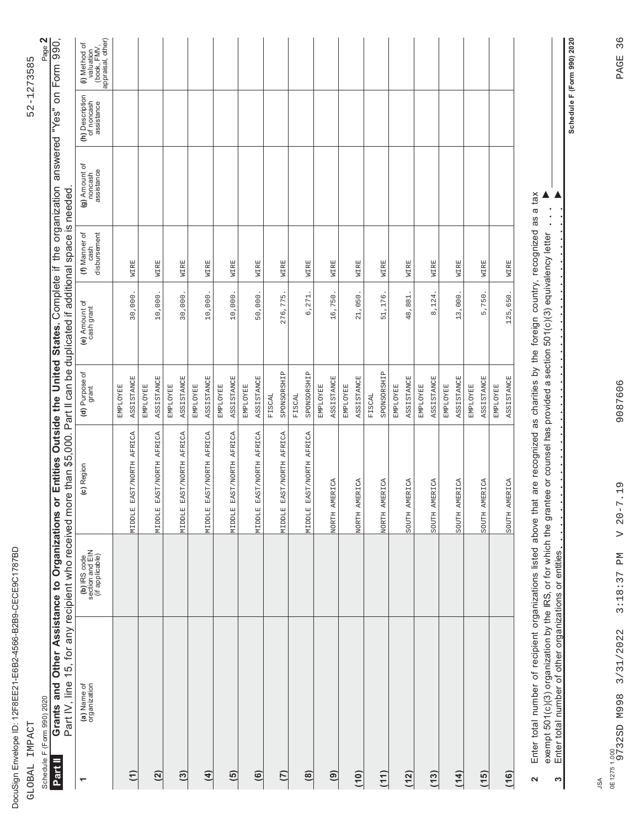| I<br>J      |
|-------------|
| ١           |
| į           |
|             |
|             |
|             |
|             |
|             |
|             |
|             |
| $-20$<br>ı  |
|             |
| ֚֡          |
|             |
|             |
| ĺ<br>I      |
| I           |
| l           |
| .<br>ا<br>I |
| Ì           |
| ı           |
|             |
|             |
| í<br>J      |
|             |
| ١           |
|             |
| ı           |
|             |
| ١           |
| l<br>J      |
| l<br>Ī      |
| ï           |
| ı           |
| Ì<br>ı      |
|             |
|             |
| I<br>I      |
|             |
|             |
| ļ           |
| ¢           |
|             |
|             |
|             |
| ı           |
|             |
|             |
| ١           |
| Ï           |
|             |
|             |
|             |
|             |
| I<br>I      |

GLOBAL IMPACT 52-1273585 GLOBAL IMPACT

52-1273585

Schedule F (Form 990) 2020 Page **2** Schedule F (Form 990) 2020

<sub>om 990)</sub> 2020<br>**Grants and Other Assistance to Organizations or Entities Outside the United States.** Complete if the organization answered "Yes" on Form 990, Grants and Other Assistance to Organizations or Entities Outside the United States. Complete if the organization answered "Yes" on Form 990, Part IV, line 15, for any recipient who received more than \$5,000. Part II can be duplicated if additional space is needed. **Part II**

| Part IV, line 15, for any recipient who received more than \$5,000. Part II can be duplicated if additional space is needed                  |                                                    |                                    |                         |                             |                                       |                                        |                                             |                                                                |
|----------------------------------------------------------------------------------------------------------------------------------------------|----------------------------------------------------|------------------------------------|-------------------------|-----------------------------|---------------------------------------|----------------------------------------|---------------------------------------------|----------------------------------------------------------------|
| (a) Name of<br>organization<br>ے                                                                                                             | (b) IRS code<br>section and EIN<br>(if applicable) | (c) Region                         | (d) Purpose of<br>grant | (e) Amount of<br>cash grant | disbursement<br>(f) Manner of<br>cash | (g) Amount of<br>noncash<br>assistance | (h) Description<br>of noncash<br>assistance | (book, FMV,<br>appraisal, other)<br>(i) Method of<br>valuation |
|                                                                                                                                              |                                                    |                                    | <b>EMPLOYEE</b>         |                             |                                       |                                        |                                             |                                                                |
| $\widehat{E}$                                                                                                                                |                                                    | EAST/NORTH AFRICA<br><b>NIDDLE</b> | ASSISTANCE              | 30,000.                     | WIRE                                  |                                        |                                             |                                                                |
|                                                                                                                                              |                                                    |                                    | <b>EMPLOYEE</b>         |                             |                                       |                                        |                                             |                                                                |
| (2)                                                                                                                                          |                                                    | EAST/NORTH AFRICA<br>MIDDLE        | ASSISTANCE              | 10,000.                     | WIRE                                  |                                        |                                             |                                                                |
|                                                                                                                                              |                                                    |                                    | <b>EMPLOYEE</b>         |                             |                                       |                                        |                                             |                                                                |
| $\overline{c}$                                                                                                                               |                                                    | AFRICA<br>EAST/NORTH<br>MIDDLE     | <b>ASSISTANCE</b>       | 30,000.                     | WIRE                                  |                                        |                                             |                                                                |
|                                                                                                                                              |                                                    |                                    | <b>EMPLOYEE</b>         |                             |                                       |                                        |                                             |                                                                |
| $\overline{4}$                                                                                                                               |                                                    | EAST/NORTH AFRICA<br>NIDDLE        | <b>ASSISTANCE</b>       | 10,000.                     | WIRE                                  |                                        |                                             |                                                                |
|                                                                                                                                              |                                                    |                                    | <b>EMPLOYEE</b>         |                             |                                       |                                        |                                             |                                                                |
| $\overline{5}$                                                                                                                               |                                                    | AFRICA<br>EAST/NORTH<br>NIDDLE     | ASSISTANCE              | 10,000.                     | WIRE                                  |                                        |                                             |                                                                |
|                                                                                                                                              |                                                    |                                    | <b>EMPLOYEE</b>         |                             |                                       |                                        |                                             |                                                                |
| $\ddot{\boldsymbol{6}}$                                                                                                                      |                                                    | EAST/NORTH AFRICA<br><b>MIDDLE</b> | <b>ASSISTANCE</b>       | 50,000                      | WIRE                                  |                                        |                                             |                                                                |
|                                                                                                                                              |                                                    |                                    | FISCAL                  |                             |                                       |                                        |                                             |                                                                |
| (7)                                                                                                                                          |                                                    | EAST/NORTH AFRICA<br><b>MIDDLE</b> | SPONSORSHIP             | 276,775                     | WIRE                                  |                                        |                                             |                                                                |
|                                                                                                                                              |                                                    |                                    | FISCAL                  |                             |                                       |                                        |                                             |                                                                |
| $\circledR$                                                                                                                                  |                                                    | EAST/NORTH AFRICA<br><b>NIDDLE</b> | SPONSORSHIP             | 6,271                       | WIRE                                  |                                        |                                             |                                                                |
|                                                                                                                                              |                                                    |                                    | <b>EMPLOYEE</b>         |                             |                                       |                                        |                                             |                                                                |
| $\left( \begin{matrix} 9 \end{matrix} \right)$                                                                                               |                                                    | AMERICA<br><b>NORTH</b>            | <b>ASSISTANCE</b>       | 16,750                      | WIRE                                  |                                        |                                             |                                                                |
|                                                                                                                                              |                                                    |                                    | <b>EMPLOYEE</b>         |                             |                                       |                                        |                                             |                                                                |
| (10)                                                                                                                                         |                                                    | AMERICA<br><b>NORTH</b>            | ASSISTANCE              | 21,050                      | WIRE                                  |                                        |                                             |                                                                |
|                                                                                                                                              |                                                    |                                    | FISCAL                  |                             |                                       |                                        |                                             |                                                                |
| (11)                                                                                                                                         |                                                    | AMERICA<br>NORTH                   | SPONSORSHIP             | 51,176                      | WIRE                                  |                                        |                                             |                                                                |
|                                                                                                                                              |                                                    |                                    | <b>EMPLOYEE</b>         |                             |                                       |                                        |                                             |                                                                |
| (12)                                                                                                                                         |                                                    | AMERICA<br><b>HLIOCS</b>           | ASSISTANCE              | 48,881                      | WIRE                                  |                                        |                                             |                                                                |
|                                                                                                                                              |                                                    |                                    | <b>EMPLOYEE</b>         |                             |                                       |                                        |                                             |                                                                |
| (13)                                                                                                                                         |                                                    | AMERICA<br><b>SOUTH</b>            | ASSISTANCE              | 8,124                       | WIRE                                  |                                        |                                             |                                                                |
|                                                                                                                                              |                                                    |                                    | <b>EMPLOYEE</b>         |                             |                                       |                                        |                                             |                                                                |
| (14)                                                                                                                                         |                                                    | AMERICA<br><b>SOUTH</b>            | ASSISTANCE              | 13,000                      | WIRE                                  |                                        |                                             |                                                                |
|                                                                                                                                              |                                                    |                                    | <b>EMPLOYEE</b>         |                             |                                       |                                        |                                             |                                                                |
| (15)                                                                                                                                         |                                                    | AMERICA<br><b>SOUTH</b>            | ASSISTANCE              | 5,750                       | WIRE                                  |                                        |                                             |                                                                |
|                                                                                                                                              |                                                    |                                    | <b>EMPLOYEE</b>         |                             |                                       |                                        |                                             |                                                                |
| (16)                                                                                                                                         |                                                    | AMERICA<br><b>SOUTH</b>            | <b>ASSISTANCE</b>       | 125,650.                    | WIRE                                  |                                        |                                             |                                                                |
| Enter total number of recipient organizations listed above that are recognized as charities by the foreign country, recognized as a tax<br>2 |                                                    |                                    |                         |                             |                                       |                                        |                                             |                                                                |

 $\blacktriangle$ exempt 501(c)(3) organization by the IRS, or for which the grantee or counsel has provided a section 501(c)(3) equivalency letter  $\blacksquare$ exempt 501(c)(3) organization by the IRS, or for which the grantee or counsel has provided a section 501(c)(3) equivalency letter<br>Enter total number of other organizations or entities ֦֧֚֚֚֚֚֚֚֚֚֚֚֚֝֝֝֝֝֝<br>֧֪֪֚֚֚֝֝֝<br>֧֪֖֖֖֖֖֚֚֚֚֚֚֝֝֝֝

▲ **3** $\mathcal{E} = \{ \mathcal{E} \mid \mathcal{E} \}$  .  $\mathcal{E} = \{ \mathcal{E} \mid \mathcal{E} \}$  .  $\mathcal{E} = \{ \mathcal{E} \mid \mathcal{E} \}$  .  $\mathcal{E} = \{ \mathcal{E} \}$  .  $\mathcal{E} = \{ \mathcal{E} \}$  .  $\mathcal{E} = \{ \mathcal{E} \}$  .  $\mathcal{E} = \{ \mathcal{E} \}$  .  $\mathcal{E} = \{ \mathcal{E} \}$  .  $\mathcal{E} = \{ \mathcal{E} \}$  .

JSA

**Schedule F (Form 990) 2020**

Schedule F (Form 990) 2020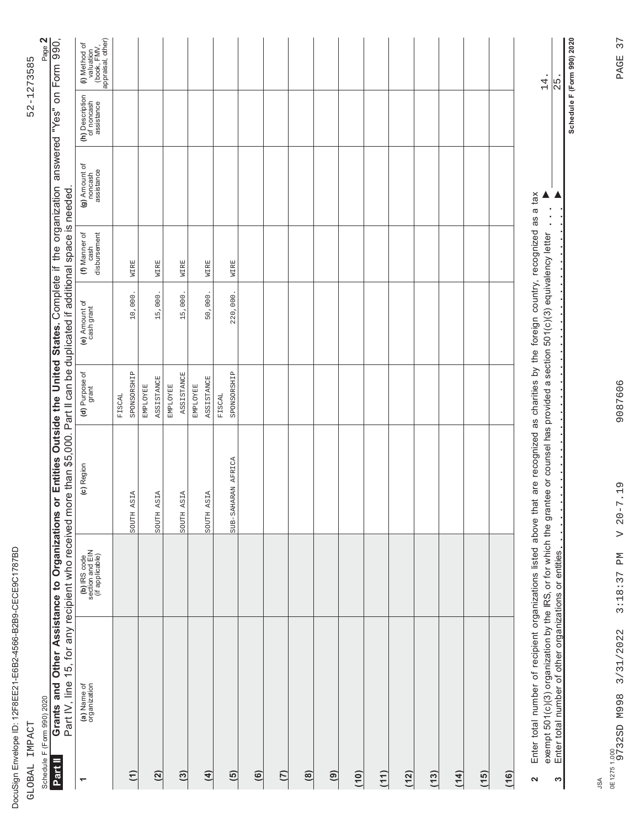| ĺ<br>I<br>$\frac{1}{3}$<br>l<br>١<br>l<br>١<br>֧ׅ֧ׅ֧ׅ֧ׅ֧֚֚֚֚֚֚֚֚֚֚֚֚֚֚֚֚֚֚֡֜֡֜֓֡֟֜֡֟֜֓֜֓֜֓<br>I<br>l<br>I<br>l |  |
|----------------------------------------------------------------------------------------------------------------|--|
| l<br>ī<br>Í<br>ı<br>I<br>ĺ<br>I<br>¢<br>ı<br>I<br>Į<br>Í<br>I<br>١<br>þ                                        |  |
| ı<br>١<br>I<br>I<br>ו<br>י<br>ı<br>ı<br>j<br>ı<br>l<br>I<br>í                                                  |  |
| ı<br>I<br>J<br>I<br>١<br>ı                                                                                     |  |

GLOBAL IMPACT 52-1273585 GLOBAL IMPACT

Page  $2$ Schedule F (Form 990) 2020 Page **2** Grants and Other Assistance to Organizations or Entities Outside the United States. Complete if the organization answered "Yes" on Form 990, Schedule F (Form 990) 2020 **Part II**

| Part II                 | Grants and Other Assistance to Organizations or Entities Outside the United States. Complete if the organization answered "Yes" on Form 990,<br>Part IV, line 15, for any recipient who received more than \$5,000. Part II can be duplicated if additional space is needed  |                                                    |                      |                                      |                             |                                          |                                        |                                             |                                                                |
|-------------------------|------------------------------------------------------------------------------------------------------------------------------------------------------------------------------------------------------------------------------------------------------------------------------|----------------------------------------------------|----------------------|--------------------------------------|-----------------------------|------------------------------------------|----------------------------------------|---------------------------------------------|----------------------------------------------------------------|
| $\overline{ }$          | (a) Name of<br>organization                                                                                                                                                                                                                                                  | (b) IRS code<br>section and EIN<br>(if applicable) | (c) Region           | (d) Purpose of<br>grant              | (e) Amount of<br>cash grant | `` cash<br>disbursement<br>(f) Manner of | (g) Amount of<br>noncash<br>assistance | (h) Description<br>of noncash<br>assistance | (i) Method of<br>valuation<br>(book, FMV,<br>appraisal, other) |
|                         |                                                                                                                                                                                                                                                                              |                                                    |                      | FISCAL                               |                             |                                          |                                        |                                             |                                                                |
| $\widehat{E}$           |                                                                                                                                                                                                                                                                              |                                                    | ASIA<br><b>SOUTH</b> | SPONSORSHIP                          | 10,000.                     | WIRE                                     |                                        |                                             |                                                                |
| (2)                     |                                                                                                                                                                                                                                                                              |                                                    | SOUTH ASIA           | <b>ASSISTANCE</b><br><b>EMPLOYEE</b> | 15,000.                     | WIRE                                     |                                        |                                             |                                                                |
|                         |                                                                                                                                                                                                                                                                              |                                                    |                      | <b>EMPLOYEE</b>                      |                             |                                          |                                        |                                             |                                                                |
| $\overline{c}$          |                                                                                                                                                                                                                                                                              |                                                    | SOUTH ASIA           | <b>ASSISTANCE</b>                    | 15,000.                     | WIRE                                     |                                        |                                             |                                                                |
|                         |                                                                                                                                                                                                                                                                              |                                                    |                      | <b>ENPLOYEE</b>                      |                             |                                          |                                        |                                             |                                                                |
| $\widehat{4}$           |                                                                                                                                                                                                                                                                              |                                                    | SOUTH ASIA           | ASSISTANCE                           | 50,000.                     | WIRE                                     |                                        |                                             |                                                                |
| $\overline{5}$          |                                                                                                                                                                                                                                                                              |                                                    | SUB-SAHARAN AFRICA   | SPONSORSHIP<br>FISCAL                | 220,000.                    | WIRE                                     |                                        |                                             |                                                                |
|                         |                                                                                                                                                                                                                                                                              |                                                    |                      |                                      |                             |                                          |                                        |                                             |                                                                |
| $\ddot{\boldsymbol{6}}$ |                                                                                                                                                                                                                                                                              |                                                    |                      |                                      |                             |                                          |                                        |                                             |                                                                |
| (7)                     |                                                                                                                                                                                                                                                                              |                                                    |                      |                                      |                             |                                          |                                        |                                             |                                                                |
| $\binom{8}{}$           |                                                                                                                                                                                                                                                                              |                                                    |                      |                                      |                             |                                          |                                        |                                             |                                                                |
| (9)                     |                                                                                                                                                                                                                                                                              |                                                    |                      |                                      |                             |                                          |                                        |                                             |                                                                |
| (10)                    |                                                                                                                                                                                                                                                                              |                                                    |                      |                                      |                             |                                          |                                        |                                             |                                                                |
| (11)                    |                                                                                                                                                                                                                                                                              |                                                    |                      |                                      |                             |                                          |                                        |                                             |                                                                |
| (12)                    |                                                                                                                                                                                                                                                                              |                                                    |                      |                                      |                             |                                          |                                        |                                             |                                                                |
| (13)                    |                                                                                                                                                                                                                                                                              |                                                    |                      |                                      |                             |                                          |                                        |                                             |                                                                |
| (14)                    |                                                                                                                                                                                                                                                                              |                                                    |                      |                                      |                             |                                          |                                        |                                             |                                                                |
| (15)                    |                                                                                                                                                                                                                                                                              |                                                    |                      |                                      |                             |                                          |                                        |                                             |                                                                |
| (16)                    |                                                                                                                                                                                                                                                                              |                                                    |                      |                                      |                             |                                          |                                        |                                             |                                                                |
| 2                       | Enter total number of recipient organizations listed above that are recognized as charities by the foreign country, recognized as a tax<br>exempt 501(c)(3) organization by the IRS, or for which the grantee or counsel has provided a section 501(c)(3) equivalency letter |                                                    |                      |                                      |                             |                                          |                                        |                                             | 14.                                                            |
| S                       | Enter total number of other organizations or entities                                                                                                                                                                                                                        |                                                    |                      |                                      |                             |                                          |                                        |                                             | 25                                                             |
|                         |                                                                                                                                                                                                                                                                              |                                                    |                      |                                      |                             |                                          |                                        |                                             | Schedule F (Form 990) 2020                                     |

9732SD M998 3/31/2022 3:18:37 PM V 20-7.19 9087606 PAGE 37 0E12751.000<br>9732SD M998 3/31/2022 3:18:37 PM V 20-7.19 0E1275 1.000

JSA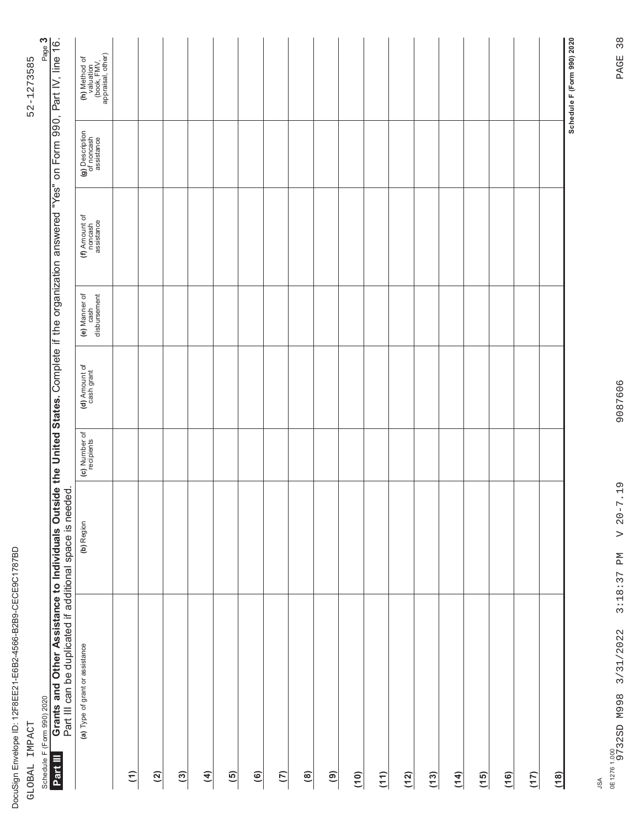| Schedule F (Form 990) 2020<br>Part III                                                                                                                                                                              |                                                                | $\widehat{\epsilon}$ | (2) | $\overline{3}$ | $\widehat{f}$ | $\overline{5}$ | $\widehat{\mathbf{e}}$ | $\tilde{c}$ | $\circledcirc$ | $\widehat{\mathbf{e}}$ | (10) | (11) | (12) | $(13)$ | (14) | (15) | (16) | (17) | (18) |                            |
|---------------------------------------------------------------------------------------------------------------------------------------------------------------------------------------------------------------------|----------------------------------------------------------------|----------------------|-----|----------------|---------------|----------------|------------------------|-------------|----------------|------------------------|------|------|------|--------|------|------|------|------|------|----------------------------|
| <b>Grants and Other Assistance to Individuals Outside the United States.</b> Complete if the organization answered "Yes" on Form 990, Part IV, line 16.<br>Part III can be duplicated if additional space is needed | (a) Type of grant or assistance                                |                      |     |                |               |                |                        |             |                |                        |      |      |      |        |      |      |      |      |      |                            |
|                                                                                                                                                                                                                     | (b) Region                                                     |                      |     |                |               |                |                        |             |                |                        |      |      |      |        |      |      |      |      |      |                            |
|                                                                                                                                                                                                                     | (c) Number of<br>recipients                                    |                      |     |                |               |                |                        |             |                |                        |      |      |      |        |      |      |      |      |      |                            |
|                                                                                                                                                                                                                     | (d) Amount of<br>cash grant                                    |                      |     |                |               |                |                        |             |                |                        |      |      |      |        |      |      |      |      |      |                            |
|                                                                                                                                                                                                                     | (e) Manner of<br>cash<br>disbursement                          |                      |     |                |               |                |                        |             |                |                        |      |      |      |        |      |      |      |      |      |                            |
|                                                                                                                                                                                                                     | (f) Amount of<br>noncash<br>assistance                         |                      |     |                |               |                |                        |             |                |                        |      |      |      |        |      |      |      |      |      |                            |
|                                                                                                                                                                                                                     | (g) Description<br>of noncash<br>assistance                    |                      |     |                |               |                |                        |             |                |                        |      |      |      |        |      |      |      |      |      |                            |
|                                                                                                                                                                                                                     | (h) Method of<br>valuation<br>(book, FMV,<br>appraisal, other) |                      |     |                |               |                |                        |             |                |                        |      |      |      |        |      |      |      |      |      | Schedule F (Form 990) 2020 |

52-1273585

E6B2-4566-B2B9-CECE9 C1787BD

GLOBAL IMPACT 52-1273585 GLOBAL IMPACT

DocuSign Envelope ID: 12F8EE21-

9087606

9732SD M998 3/31/2022 3:18:37 PM V 20-7.19 9087606 PAGE 38 0E12761.000<br>9732SD M998 3/31/2022 3:18:37 PM V 20-7.19

PAGE 38

JSA 0E1276 1.000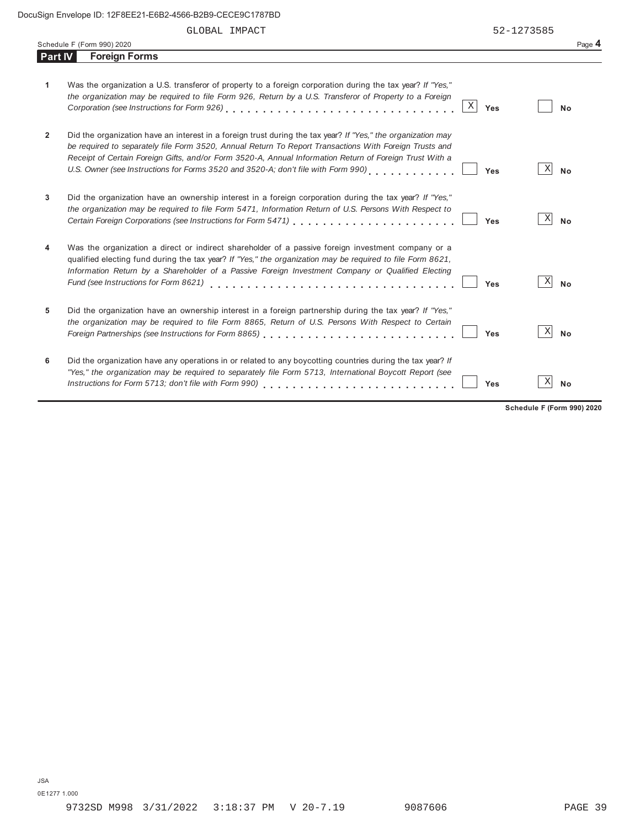Doct E6B2-4566-B2B9 -CECE9 C1787BD

|                | GLOBAL IMPACT                                                                                                                                                                                                                                                                                                                                                                                                          |                        | 52-1273585     |
|----------------|------------------------------------------------------------------------------------------------------------------------------------------------------------------------------------------------------------------------------------------------------------------------------------------------------------------------------------------------------------------------------------------------------------------------|------------------------|----------------|
|                | Schedule F (Form 990) 2020                                                                                                                                                                                                                                                                                                                                                                                             |                        | Page 4         |
| <b>Part IV</b> | <b>Foreign Forms</b>                                                                                                                                                                                                                                                                                                                                                                                                   |                        |                |
| 1              | Was the organization a U.S. transferor of property to a foreign corporation during the tax year? If "Yes,"<br>the organization may be required to file Form 926, Return by a U.S. Transferor of Property to a Foreign                                                                                                                                                                                                  | $\vert X \vert$<br>Yes | No             |
| $\mathbf{2}$   | Did the organization have an interest in a foreign trust during the tax year? If "Yes," the organization may<br>be required to separately file Form 3520, Annual Return To Report Transactions With Foreign Trusts and<br>Receipt of Certain Foreign Gifts, and/or Form 3520-A, Annual Information Return of Foreign Trust With a<br>U.S. Owner (see Instructions for Forms 3520 and 3520-A; don't file with Form 990) | Yes                    | Χ<br><b>No</b> |
| 3              | Did the organization have an ownership interest in a foreign corporation during the tax year? If "Yes,"<br>the organization may be required to file Form 5471, Information Return of U.S. Persons With Respect to                                                                                                                                                                                                      | Yes                    | Χ<br><b>No</b> |
| 4              | Was the organization a direct or indirect shareholder of a passive foreign investment company or a<br>qualified electing fund during the tax year? If "Yes," the organization may be required to file Form 8621.<br>Information Return by a Shareholder of a Passive Foreign Investment Company or Qualified Electing<br>Fund (see Instructions for Form 8621)                                                         | Yes                    | <b>No</b>      |
| 5              | Did the organization have an ownership interest in a foreign partnership during the tax year? If "Yes,"<br>the organization may be required to file Form 8865, Return of U.S. Persons With Respect to Certain<br>Foreign Partnerships (see Instructions for Form 8865)                                                                                                                                                 | Yes                    | Χ<br><b>No</b> |

**6** Did the organization have any operations in or related to any boycotting countries during the tax year? *If "Yes," the organization may be required to separately file Form 5713, International Boycott Report (see Instructions for Form 5713; don't file with Form 990) liet assembly continued to the Structions for Form 5713; don't file with Form 990)* **<b>***liet by continued to the Structions for Form 3713; don't file with Form 990***)** 

**Schedule F (Form 990) 2020**

 $\overline{X}$  No

JSA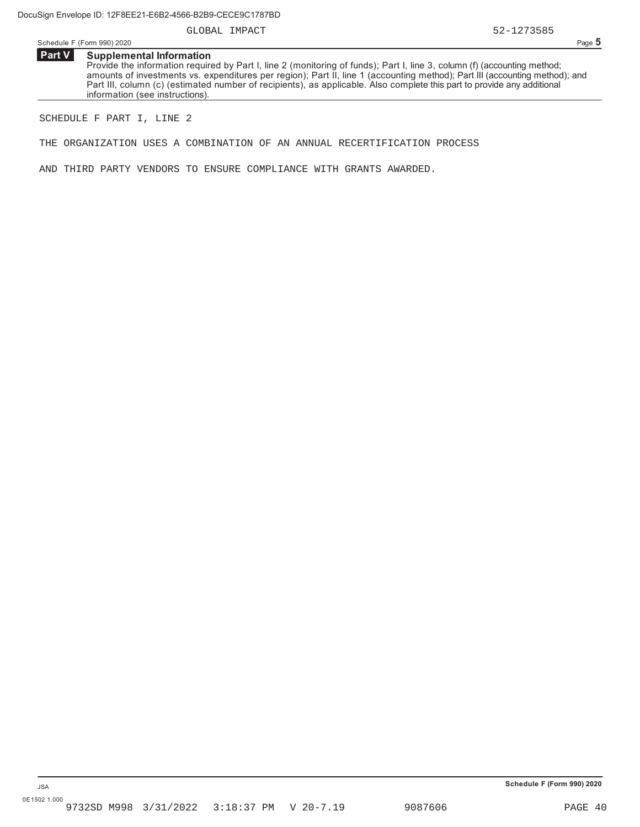Schedule F (Form 990) 2020 Page **5**

**Part V Supplemental Information** Provide the information required by Part I, line 2 (monitoring of funds); Part I, line 3, column (f) (accounting method; amounts of investments vs. expenditures per region); Part II, line 1 (accounting method); Part III (accounting method); and Part III, column (c) (estimated number of recipients), as applicable. Also complete this part to provide any additional information (see instructions).

SCHEDULE F PART I, LINE 2

THE ORGANIZATION USES A COMBINATION OF AN ANNUAL RECERTIFICATION PROCESS

AND THIRD PARTY VENDORS TO ENSURE COMPLIANCE WITH GRANTS AWARDED.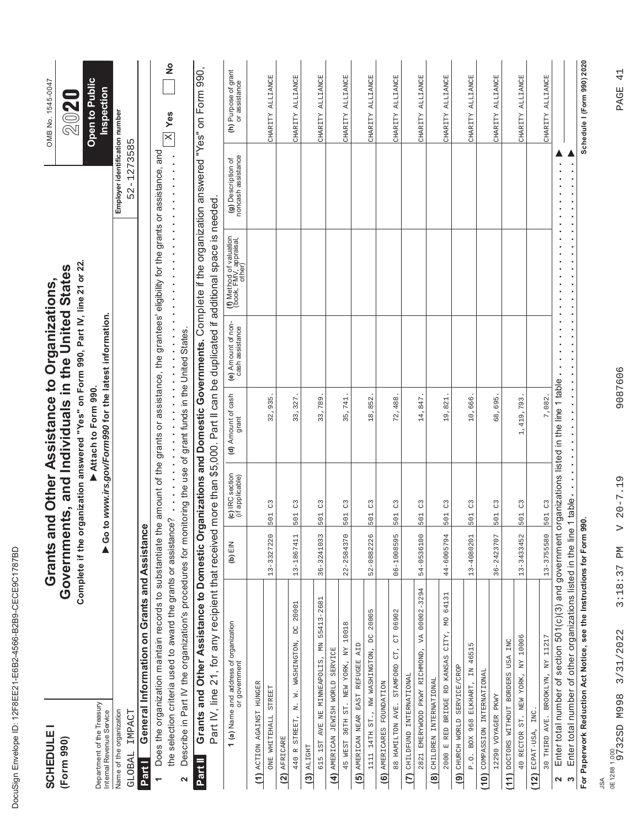| <b>SCHEDULE</b><br>(Form 990)                          |                                                                                                                                                                                                                                                                           | Grants an<br>Governmen         |                                                | its, and Individuals in the United States<br>d Other Assistance to Organizations,                                                                                |                                       |                                                                                                 |                                              | OMB No. 1545-0047                           |
|--------------------------------------------------------|---------------------------------------------------------------------------------------------------------------------------------------------------------------------------------------------------------------------------------------------------------------------------|--------------------------------|------------------------------------------------|------------------------------------------------------------------------------------------------------------------------------------------------------------------|---------------------------------------|-------------------------------------------------------------------------------------------------|----------------------------------------------|---------------------------------------------|
| Department of the Treasury<br>Internal Revenue Service |                                                                                                                                                                                                                                                                           |                                |                                                | Complete if the organization answered "Yes" on Form 990, Part IV, line 21 or 22.<br>Go to www.irs.gov/Form990 for the latest information.<br>Attach to Form 990. |                                       |                                                                                                 |                                              | <b>Open to Public</b><br>Inspection<br>2020 |
| Name of the organization<br>IMPACT<br>GLOBAL           |                                                                                                                                                                                                                                                                           |                                |                                                |                                                                                                                                                                  |                                       |                                                                                                 | Employer identification number<br>52-1273585 |                                             |
| Part I                                                 | General Information on Grants and Assistance                                                                                                                                                                                                                              |                                |                                                |                                                                                                                                                                  |                                       |                                                                                                 |                                              |                                             |
| ٣                                                      | Does the organization maintain records to substantiate the                                                                                                                                                                                                                |                                |                                                |                                                                                                                                                                  |                                       | amount of the grants or assistance, the grantees' eligibility for the grants or assistance, and |                                              |                                             |
| 2                                                      | Describe in Part IV the organization's procedures for monitoring the use of grant funds in the United States<br>the selection criteria used to award the grants or assistance                                                                                             |                                | $\tilde{C}$                                    | $\frac{1}{2}$                                                                                                                                                    | $\frac{1}{2}$                         | ä,<br>$\frac{1}{2}$                                                                             | ä<br>ä,                                      | $\frac{1}{2}$<br>$\mathbb{X}$ Yes           |
| Part II                                                | Grants and Other Assistance to Domestic Organizations and Domestic Governments. Complete if the organization answered "Yes" on Form 990,<br>Part IV, line 21, for any recipient that received more than \$5,000. Part II can be duplicated if additional space is needed. |                                |                                                |                                                                                                                                                                  |                                       |                                                                                                 |                                              |                                             |
|                                                        | <b>1 (a)</b> Name and address of organization<br>or government                                                                                                                                                                                                            | $\mathsf{N} \equiv \mathsf{N}$ | (c) IRC section<br>(if applicable)             | (d) Amount of cash<br>grant                                                                                                                                      | (e) Amount of non-<br>cash assistance | (f) Method of valuation<br>(book, FMV, appraisal,<br>other)                                     | (g) Description of<br>noncash assistance     | (h) Purpose of grant<br>or assistance       |
| (1) ACTION AGAINST HUNGER                              |                                                                                                                                                                                                                                                                           |                                |                                                |                                                                                                                                                                  |                                       |                                                                                                 |                                              |                                             |
| ONE WHITEHALL STREET                                   |                                                                                                                                                                                                                                                                           | 13-3327220                     | $\mathbb{C}^2$<br>501                          | 32,935                                                                                                                                                           |                                       |                                                                                                 |                                              | CHARITY ALLIANCE                            |
| $(2)$ AFRICARE                                         |                                                                                                                                                                                                                                                                           |                                |                                                |                                                                                                                                                                  |                                       |                                                                                                 |                                              |                                             |
| 440 R STREET, N.<br><b>ALIGHT</b><br>$\widehat{c}$     | W. WASHINGTON, DC 20001                                                                                                                                                                                                                                                   | 13-1867411                     | C3<br>501                                      | 33, 327                                                                                                                                                          |                                       |                                                                                                 |                                              | CHARITY ALLIANCE                            |
| 615 1ST                                                | 55413-2681<br>AVE NE MINNEAPOLIS, MN                                                                                                                                                                                                                                      | 36-3241033                     | $\mathcal{C}^3$<br>501                         | 33,789                                                                                                                                                           |                                       |                                                                                                 |                                              | CHARITY ALLIANCE                            |
| (4) AMERICAN JEWISH WORLD SERVICE                      |                                                                                                                                                                                                                                                                           |                                |                                                |                                                                                                                                                                  |                                       |                                                                                                 |                                              |                                             |
| <b>45 WEST</b>                                         | 10018<br>36TH ST. NEW YORK, NY                                                                                                                                                                                                                                            | 22-2584370                     | C <sup>3</sup><br>501                          | 35,741                                                                                                                                                           |                                       |                                                                                                 |                                              | <b>ALLIANCE</b><br><b>CHARITY</b>           |
| (5) AMERICAN NEAR EAST REFUGEE                         | AID                                                                                                                                                                                                                                                                       |                                |                                                |                                                                                                                                                                  |                                       |                                                                                                 |                                              |                                             |
| 1111 14TH ST., NW WASHINGTON, DC                       | 20005                                                                                                                                                                                                                                                                     | 52-0882226                     | C3<br>501                                      | 18,852                                                                                                                                                           |                                       |                                                                                                 |                                              | ALLIANCE<br><b>CHARITY</b>                  |
| (6) AMERICARES FOUNDATION                              |                                                                                                                                                                                                                                                                           |                                |                                                |                                                                                                                                                                  |                                       |                                                                                                 |                                              |                                             |
| 88 HAMILTON AVE. STAMFORD                              | CT 06902<br>CT,                                                                                                                                                                                                                                                           | 06-1008595                     | C <sup>3</sup><br>501                          | 72,488                                                                                                                                                           |                                       |                                                                                                 |                                              | <b>ALLIANCE</b><br>CHARITY                  |
| (7) CHILDFUMD INTERNATIONAL                            |                                                                                                                                                                                                                                                                           |                                |                                                |                                                                                                                                                                  |                                       |                                                                                                 |                                              |                                             |
| 2821 EMERYWOOD PKWY RICHMOND,                          | VA 00002-3294                                                                                                                                                                                                                                                             | 54-0536100                     | $\mathbb{C}^3$<br>501                          | 14,847                                                                                                                                                           |                                       |                                                                                                 |                                              | <b>ALLIANCE</b><br>CHARITY                  |
| $(8)$ CHILDREN INTERNATIONAL                           |                                                                                                                                                                                                                                                                           |                                |                                                |                                                                                                                                                                  |                                       |                                                                                                 |                                              |                                             |
| 2000 E RED BRIDGE RD KANSAS                            | 64131<br>ΟW<br>CITY,                                                                                                                                                                                                                                                      | 44-6005794                     | $_{\rm C}^{\rm 3}$<br>501                      | 19,821                                                                                                                                                           |                                       |                                                                                                 |                                              | <b>ALLIANCE</b><br>CHARITY                  |
| (9) CHURCH WORLD SERVICE/CROP<br>P.O. BOX 968 ELKHART, | 46515<br>$\overline{\text{H}}$                                                                                                                                                                                                                                            | 13-4080201                     | C3<br>501                                      | 10,666                                                                                                                                                           |                                       |                                                                                                 |                                              | CHARITY ALLIANCE                            |
| COMPASSION INTERNATIONAL<br>(10)                       |                                                                                                                                                                                                                                                                           |                                |                                                |                                                                                                                                                                  |                                       |                                                                                                 |                                              |                                             |
| <b>IZ290 VOYAGER PKWY</b>                              |                                                                                                                                                                                                                                                                           | 36-2423707                     | $\mathbb{C}^3$<br>501                          | 68,695                                                                                                                                                           |                                       |                                                                                                 |                                              | CHARITY ALLIANCE                            |
| DOCTORS WITHOUT BORDERS USA INC<br>(11)                |                                                                                                                                                                                                                                                                           |                                |                                                |                                                                                                                                                                  |                                       |                                                                                                 |                                              |                                             |
| 40 RECTOR ST. NEW YORK, NY 10006                       |                                                                                                                                                                                                                                                                           | 13-3433452                     | $\mathbb{C}^3$<br>501                          | 1,419,793                                                                                                                                                        |                                       |                                                                                                 |                                              | CHARITY ALLIANCE                            |
| ECPAT-USA, INC.<br>(12)                                |                                                                                                                                                                                                                                                                           |                                |                                                |                                                                                                                                                                  |                                       |                                                                                                 |                                              |                                             |
| 30 THIRD AVE. BROOKLYN, NY 11217                       |                                                                                                                                                                                                                                                                           | 13-3755580                     | 501 C3                                         | 7,082.                                                                                                                                                           |                                       |                                                                                                 |                                              | <b>ALLIANCE</b><br>CHARITY                  |
| $\boldsymbol{\varsigma}$<br>2                          | Enter total number of section 501(c)(3) and government organizations listed in the line 1 table<br>Enter total number of other organizations listed in the line                                                                                                           |                                | 1 table.                                       |                                                                                                                                                                  | ×<br>$\blacksquare$<br>٠<br>×<br>×    | ×<br>٠                                                                                          |                                              |                                             |
|                                                        | For Paperwork Reduction Act Notice, see the Instructions for Form 990.                                                                                                                                                                                                    |                                |                                                |                                                                                                                                                                  |                                       |                                                                                                 |                                              | Schedule I (Form 990) 2020                  |
| ₹                                                      |                                                                                                                                                                                                                                                                           |                                |                                                |                                                                                                                                                                  |                                       |                                                                                                 |                                              |                                             |
| 0E12881.000<br>9732SD M998                             | 3:18:37<br>3/31/2022                                                                                                                                                                                                                                                      | ЫĀ                             | $\frac{19}{1}$<br>$20 - 7$<br>$\triangleright$ | 9087606                                                                                                                                                          |                                       |                                                                                                 |                                              | $\frac{1}{4}$<br>PAGE                       |
|                                                        |                                                                                                                                                                                                                                                                           |                                |                                                |                                                                                                                                                                  |                                       |                                                                                                 |                                              |                                             |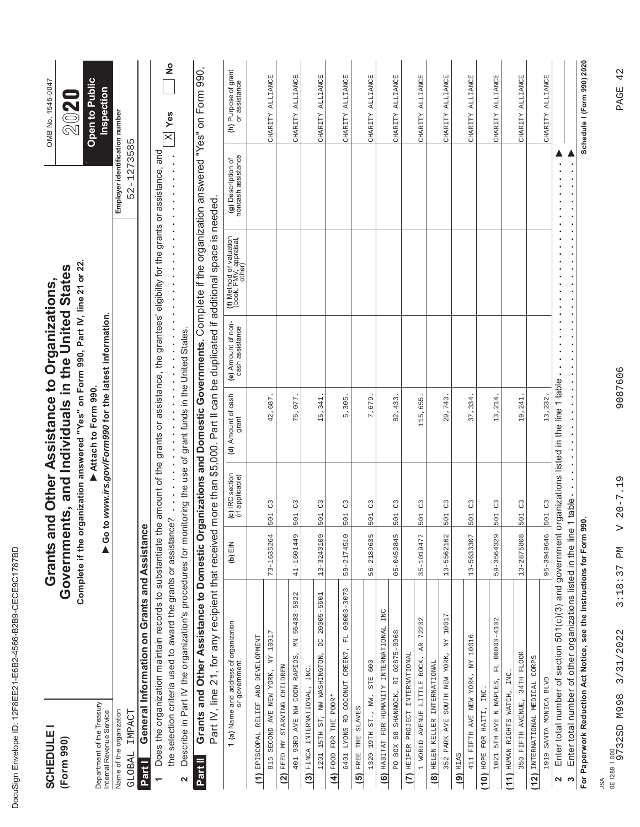| I<br>I                                               |
|------------------------------------------------------|
| Í<br>Ï<br>١                                          |
| į                                                    |
| !                                                    |
|                                                      |
|                                                      |
|                                                      |
| くしくしく                                                |
| l                                                    |
| I                                                    |
| ֧֖֖֧֧֚֚֚֚֚֚֚֚֚֚֚֚֚֚֚֚֝֝֝֝֝֝֜֟֜֝<br>ı                 |
|                                                      |
| i<br><b>STATE</b>                                    |
|                                                      |
| ı<br>١                                               |
| I                                                    |
| ֧ׅ֧ׅ֧ׅ֧ׅ֧ׅ֧֧ׅ֧֧֛֛֚֚֚֚֚֚֚֚֚֚֚֚֚֚֬֕֝֜֝֓֜֜֜֓֜֓֜֜֜֜<br>I |
| )<br>l                                               |
| i                                                    |
| Į<br>I                                               |
| l<br>Ì<br>l<br>ı                                     |
| Ì                                                    |
| l                                                    |
| ı                                                    |
|                                                      |
|                                                      |
|                                                      |
|                                                      |
|                                                      |
|                                                      |
| ı                                                    |
| ١                                                    |
| Ó<br>֠                                               |
|                                                      |
|                                                      |
| í                                                    |

| <b>SCHEDULE</b><br>(Form 990)                                    |                                                                                                                                                                                 | Grants an<br>Governmen |                                                | ts, and Individuals in the United States<br>d Other Assistance to Organizations,                                                                                |                                       |                                                                                                             |                                                                                                                                         | OMB No. 1545-0047                            |
|------------------------------------------------------------------|---------------------------------------------------------------------------------------------------------------------------------------------------------------------------------|------------------------|------------------------------------------------|-----------------------------------------------------------------------------------------------------------------------------------------------------------------|---------------------------------------|-------------------------------------------------------------------------------------------------------------|-----------------------------------------------------------------------------------------------------------------------------------------|----------------------------------------------|
| Department of the Treasury<br>Internal Revenue Service           |                                                                                                                                                                                 |                        |                                                | Complete if the organization answered "Yes" on Form 990, Part IV, line 21 or 22<br>Go to www.irs.gov/Form990 for the latest information.<br>Attach to Form 990. |                                       |                                                                                                             |                                                                                                                                         | Open to Public<br>Inspection<br>2020         |
| Name of the organization<br>IMPACT<br>GLOBAL                     |                                                                                                                                                                                 |                        |                                                |                                                                                                                                                                 |                                       |                                                                                                             | Employer identification number<br>$-1273585$<br>$\mathbf{\sim}$<br>LO                                                                   |                                              |
| Part I                                                           | General Information on Grants and Assistance                                                                                                                                    |                        |                                                |                                                                                                                                                                 |                                       |                                                                                                             |                                                                                                                                         |                                              |
| ٣                                                                | Does the organization maintain records to substantiate the                                                                                                                      |                        |                                                |                                                                                                                                                                 |                                       | amount of the grants or assistance, the grantees' eligibility for the grants or assistance, and             |                                                                                                                                         |                                              |
| $\mathbf{\Omega}$                                                | Describe in Part IV the organization's procedures for monitoring the use of grant funds in the United States.<br>the selection criteria used to award the grants or assistance? |                        | $\blacksquare$                                 | $\blacksquare$<br>$\frac{1}{2}$<br>$\blacksquare$                                                                                                               | $\blacksquare$<br>$\frac{1}{2}$       | $\frac{1}{2}$<br>ä,<br>$\blacksquare$<br>$\frac{1}{2}$<br>$\blacksquare$<br>$\blacksquare$<br>$\frac{1}{2}$ | $\frac{1}{\pi}$<br>$\blacksquare$<br>$\blacksquare$<br>$\blacksquare$<br>$\ddot{\phantom{0}}$<br>$\blacksquare$<br>$\blacksquare$<br>ò, | $\frac{1}{2}$<br>$\overline{\mathbb{X}}$ Yes |
| Part IV, line<br>Part II                                         | Grants and Other Assistance to Domestic Organizations and Domestic Governments. Complete if the organization answered "Yes" on Form 990,<br>21, for any recipient that received |                        | nore than                                      |                                                                                                                                                                 |                                       | \$5,000. Part II can be duplicated if additional space is needed                                            |                                                                                                                                         |                                              |
|                                                                  | <b>1 (a)</b> Name and address of organization<br>or government                                                                                                                  | (b) $EIN$              | (c) IRC section<br>(if applicable)             | (d) Amount of cash<br>grant                                                                                                                                     | (e) Amount of non-<br>cash assistance | (f) Method of valuation<br>(book, FMV, appraisal,<br>other)                                                 | (g) Description of<br>noncash assistance                                                                                                | (h) Purpose of grant<br>or assistance        |
| (1) EPISCOPAL RELIEF AND DEVELOPMENT                             |                                                                                                                                                                                 |                        |                                                |                                                                                                                                                                 |                                       |                                                                                                             |                                                                                                                                         |                                              |
| 815 SECOND AVE NEW YORK, NY 10017                                |                                                                                                                                                                                 | 73-1635264             | C3<br>501                                      | 42,687                                                                                                                                                          |                                       |                                                                                                             |                                                                                                                                         | CHARITY ALLIANCE                             |
| FEED MY STARVING CHILDREN<br>$\overline{2}$                      | 401 93RD AVE NW COON RAPIDS, MN 55433-5822                                                                                                                                      | 41-1601449             | C3<br>501                                      | 75,077                                                                                                                                                          |                                       |                                                                                                             |                                                                                                                                         | CHARITY ALLIANCE                             |
| FINCA INTERNATIONAL, INC.<br>$\overline{c}$                      |                                                                                                                                                                                 |                        |                                                |                                                                                                                                                                 |                                       |                                                                                                             |                                                                                                                                         |                                              |
|                                                                  | 1201 15TH ST, NW WASHINGTON, DC 20005-5601                                                                                                                                      | 13-3240109             | C<br>501                                       | 15,341                                                                                                                                                          |                                       |                                                                                                             |                                                                                                                                         | CHARITY ALLIANCE                             |
| FOOD FOR THE POOR*<br>6401<br>$\overline{4}$                     | LYONS RD COCONUT CREEK?, FL 00003-3073                                                                                                                                          | 59-2174510             | $\mathcal{C}^3$<br>501                         | 5,305                                                                                                                                                           |                                       |                                                                                                             |                                                                                                                                         | CHARITY ALLIANCE                             |
| FREE THE SLAVES<br>$\overline{5}$                                |                                                                                                                                                                                 |                        |                                                |                                                                                                                                                                 |                                       |                                                                                                             |                                                                                                                                         |                                              |
| 1320 19TH ST., NW, STE 600                                       |                                                                                                                                                                                 | 56-2189635             | C3<br>501                                      | 7,679                                                                                                                                                           |                                       |                                                                                                             |                                                                                                                                         | CHARITY ALLIANCE                             |
|                                                                  | (6) HABITAT FOR HUMANITY INTERNATIONAL INC                                                                                                                                      |                        |                                                |                                                                                                                                                                 |                                       |                                                                                                             |                                                                                                                                         |                                              |
| PO BOX 68 SHANNOCK, RI 02875-0068                                |                                                                                                                                                                                 | 05-0450845             | $_{\rm C}^{\rm 3}$<br>501                      | 82,433                                                                                                                                                          |                                       |                                                                                                             |                                                                                                                                         | CHARITY ALLIANCE                             |
| (7) HEIFER PROJECT INTERNATIONAL                                 |                                                                                                                                                                                 |                        |                                                |                                                                                                                                                                 |                                       |                                                                                                             |                                                                                                                                         |                                              |
| 1 WORLD AVENUE LITTLE ROCK,                                      | 72202<br><b>AR</b>                                                                                                                                                              | 35-1019477             | C<br>501                                       | 115,655                                                                                                                                                         |                                       |                                                                                                             |                                                                                                                                         | CHARITY ALLIANCE                             |
| 352 PARK AVE SOUTH NEW YORK,<br>$(8)$ HELEN KELLER INTERNATIONAL | 10017<br>$\rm \stackrel{\textstyle\sim}{\approx}$                                                                                                                               | 13-5562162             | $\mathcal{C}^3$<br>501                         | ,743<br>29                                                                                                                                                      |                                       |                                                                                                             |                                                                                                                                         | <b>ALLIANCE</b><br><b>CHARITY</b>            |
| $(9)$ HIAS                                                       |                                                                                                                                                                                 |                        |                                                |                                                                                                                                                                 |                                       |                                                                                                             |                                                                                                                                         |                                              |
| 411 FIFTH AVE NEW YORK, NY 10016                                 |                                                                                                                                                                                 | 13-5633307             | C3<br>501                                      | 37,334                                                                                                                                                          |                                       |                                                                                                             |                                                                                                                                         | CHARITY ALLIANCE                             |
| $(10)$ HOPE FOR HAITI, INC.                                      |                                                                                                                                                                                 |                        |                                                |                                                                                                                                                                 |                                       |                                                                                                             |                                                                                                                                         |                                              |
| 5TH AVE N NAPLES,<br>1021                                        | FL 00003-4102                                                                                                                                                                   | 59-3564329             | C3<br>501                                      | 13, 214                                                                                                                                                         |                                       |                                                                                                             |                                                                                                                                         | CHARITY ALLIANCE                             |
| HUMAN RIGHTS WATCH, INC.<br>350 FIFTH AVENUE,<br>(11)            | 34TH FLOOR                                                                                                                                                                      | 13-2875808             | 501 C3                                         | 19,241                                                                                                                                                          |                                       |                                                                                                             |                                                                                                                                         | CHARITY ALLIANCE                             |
| INTERNATIONAL MEDICAL CORPS<br>(12)                              |                                                                                                                                                                                 |                        |                                                |                                                                                                                                                                 |                                       |                                                                                                             |                                                                                                                                         |                                              |
| 1919 SANTA MONICA BLVD                                           |                                                                                                                                                                                 | 95-3949646             | 501 C3                                         | 13,232                                                                                                                                                          |                                       |                                                                                                             |                                                                                                                                         | <b>ALLIANCE</b><br><b>CHARITY</b>            |
| 2<br>S                                                           | Enter total number of section 501(c)(3) and government organizations listed in the line 1 table<br>Enter total number of other organizations listed in the line                 |                        | 1 table                                        | ä                                                                                                                                                               | ×<br>٠<br>×<br>×<br>$\blacksquare$    | $\blacksquare$                                                                                              | ×                                                                                                                                       |                                              |
|                                                                  | For Paperwork Reduction Act Notice, see the Instructions for Form 990.                                                                                                          |                        |                                                |                                                                                                                                                                 |                                       |                                                                                                             |                                                                                                                                         | Schedule I (Form 990) 2020                   |
| ₹                                                                |                                                                                                                                                                                 |                        |                                                |                                                                                                                                                                 |                                       |                                                                                                             |                                                                                                                                         |                                              |
| 0E12881.000<br>9732SD M998                                       | 3:18:37<br>3/31/2022                                                                                                                                                            | Md                     | $\frac{19}{1}$<br>$20 - 7$<br>$\triangleright$ | 9087606                                                                                                                                                         |                                       |                                                                                                             |                                                                                                                                         | 42<br>PAGE                                   |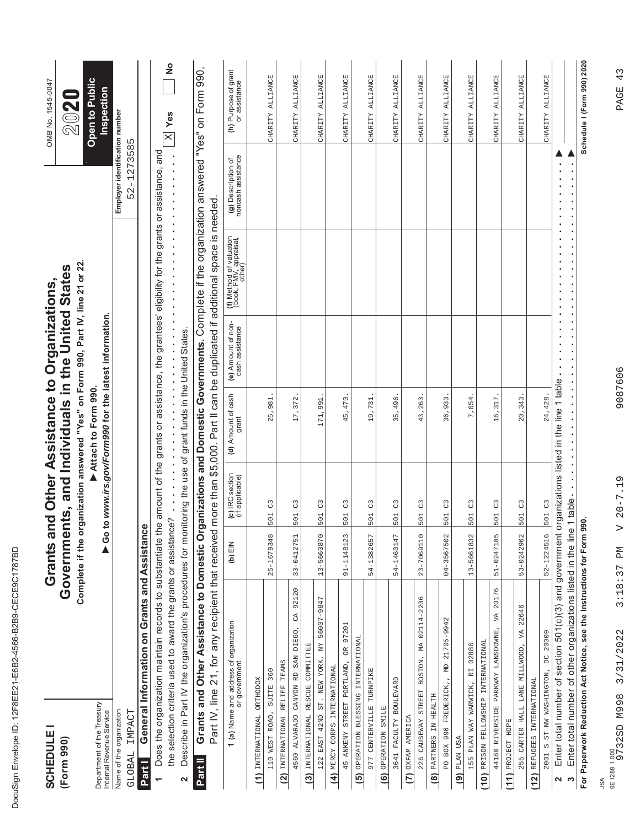| I<br>J                                                                                                              |
|---------------------------------------------------------------------------------------------------------------------|
| ١                                                                                                                   |
| ו<br>ו                                                                                                              |
| ı                                                                                                                   |
| $\frac{1}{2}$                                                                                                       |
| l<br>and the state of the state of the state of the state of the state of the state of the state of the state of th |
| Ï                                                                                                                   |
|                                                                                                                     |
| しくり<br>l<br>ī                                                                                                       |
| ĺ<br>ı                                                                                                              |
| Ï                                                                                                                   |
| ĺ                                                                                                                   |
| $\frac{1}{2}$                                                                                                       |
| ı                                                                                                                   |
|                                                                                                                     |
| $\frac{1}{2}$<br>١<br>١                                                                                             |
| l                                                                                                                   |
|                                                                                                                     |
| Į<br>I<br>l                                                                                                         |
| l<br>I                                                                                                              |
| ï<br>Ĺ                                                                                                              |
| ¢                                                                                                                   |
|                                                                                                                     |
|                                                                                                                     |
|                                                                                                                     |
|                                                                                                                     |
|                                                                                                                     |
| I                                                                                                                   |
|                                                                                                                     |
| ١                                                                                                                   |
| I<br>l                                                                                                              |
|                                                                                                                     |
| í                                                                                                                   |

| <b>SCHEDULE</b><br>(Form 990)                                                       |                                                                                                                                                                                                                                                                           | Grants an<br>Governmen         |                                                | Complete if the organization answered "Yes" on Form 990, Part IV, line 21 or 22.<br>its, and Individuals in the United States<br>d Other Assistance to Organizations, |                                       |                                                                                                 |                                              | OMB No. 1545-0047<br>2020             |
|-------------------------------------------------------------------------------------|---------------------------------------------------------------------------------------------------------------------------------------------------------------------------------------------------------------------------------------------------------------------------|--------------------------------|------------------------------------------------|-----------------------------------------------------------------------------------------------------------------------------------------------------------------------|---------------------------------------|-------------------------------------------------------------------------------------------------|----------------------------------------------|---------------------------------------|
| Department of the Treasury<br>Internal Revenue Service                              |                                                                                                                                                                                                                                                                           |                                |                                                | Go to www.irs.gov/Form990 for the latest information.<br>Attach to Form 990.                                                                                          |                                       |                                                                                                 |                                              | <b>Open to Public</b><br>Inspection   |
| Name of the organization<br>IMPACT<br>GLOBAL                                        |                                                                                                                                                                                                                                                                           |                                |                                                |                                                                                                                                                                       |                                       |                                                                                                 | Employer identification number<br>52-1273585 |                                       |
| Part I                                                                              | General Information on Grants and Assistance                                                                                                                                                                                                                              |                                |                                                |                                                                                                                                                                       |                                       |                                                                                                 |                                              |                                       |
| ٣                                                                                   | Does the organization maintain records to substantiate the                                                                                                                                                                                                                |                                |                                                |                                                                                                                                                                       |                                       | amount of the grants or assistance, the grantees' eligibility for the grants or assistance, and |                                              |                                       |
| 2                                                                                   | Describe in Part IV the organization's procedures for monitoring the use of grant funds in the United States<br>the selection criteria used to award the grants or assistance                                                                                             |                                | $\tilde{C}$                                    | $\frac{1}{2}$                                                                                                                                                         | $\frac{1}{2}$                         | ä,<br>$\frac{1}{2}$                                                                             | ä<br>ä,                                      | $\frac{1}{2}$<br>$\mathbb{X}$ Yes     |
| Part II                                                                             | Grants and Other Assistance to Domestic Organizations and Domestic Governments. Complete if the organization answered "Yes" on Form 990,<br>Part IV, line 21, for any recipient that received more than \$5,000. Part II can be duplicated if additional space is needed. |                                |                                                |                                                                                                                                                                       |                                       |                                                                                                 |                                              |                                       |
|                                                                                     | <b>1 (a)</b> Name and address of organization<br>or government                                                                                                                                                                                                            | $\mathsf{N} \equiv \mathsf{N}$ | (c) IRC section<br>(if applicable)             | (d) Amount of cash<br>grant                                                                                                                                           | (e) Amount of non-<br>cash assistance | (f) Method of valuation<br>(book, FMV, appraisal,<br>other)                                     | (g) Description of<br>noncash assistance     | (h) Purpose of grant<br>or assistance |
| (1) INTERNATIONAL ORTHODOX                                                          |                                                                                                                                                                                                                                                                           |                                |                                                |                                                                                                                                                                       |                                       |                                                                                                 |                                              |                                       |
| 110 WEST ROAD, SUITE 360                                                            |                                                                                                                                                                                                                                                                           | $25 - 1679348$                 | $\mathbb{C}^2$<br>501                          | 25,981                                                                                                                                                                |                                       |                                                                                                 |                                              | CHARITY ALLIANCE                      |
| 4560 ALVARADO CANYON RD SAN DIEGO,<br>INTERNATIONAL RELIEF TEAMS<br>$\widetilde{a}$ | CA 92120                                                                                                                                                                                                                                                                  | 33-0412751                     | $_{\rm C}^{\rm 3}$<br>501                      | 17,372                                                                                                                                                                |                                       |                                                                                                 |                                              | CHARITY ALLIANCE                      |
| INTERNATIONAL RESCUE COMMITTEE<br>$\widehat{c}$                                     |                                                                                                                                                                                                                                                                           |                                |                                                |                                                                                                                                                                       |                                       |                                                                                                 |                                              |                                       |
| 122 EAST 42ND                                                                       | ST. NEW YORK, NY 56007-9847                                                                                                                                                                                                                                               | 13-5660870                     | $\frac{3}{2}$<br>501                           | 171,991                                                                                                                                                               |                                       |                                                                                                 |                                              | CHARITY ALLIANCE                      |
| (4) MERCY CORPS INTERNATIONAL                                                       |                                                                                                                                                                                                                                                                           |                                |                                                |                                                                                                                                                                       |                                       |                                                                                                 |                                              |                                       |
| 45 ANKENY STREET PORTLAND,                                                          | 97201<br>$\approx$                                                                                                                                                                                                                                                        | 91-1148123                     | C <sup>3</sup><br>501                          | 45,470                                                                                                                                                                |                                       |                                                                                                 |                                              | <b>ALLIANCE</b><br><b>CHARITY</b>     |
| (5) OPERATION BLESSING INTERNATIONAL                                                |                                                                                                                                                                                                                                                                           |                                |                                                |                                                                                                                                                                       |                                       |                                                                                                 |                                              |                                       |
| 977 CENTERVILLE TURNPIKE                                                            |                                                                                                                                                                                                                                                                           | 54-1382657                     | C3<br>501                                      | 19,731                                                                                                                                                                |                                       |                                                                                                 |                                              | ALLIANCE<br><b>CHARITY</b>            |
| (6) OPERATION SMILE                                                                 |                                                                                                                                                                                                                                                                           |                                |                                                |                                                                                                                                                                       |                                       |                                                                                                 |                                              |                                       |
| 3641 FACULTY BOULEVARD                                                              |                                                                                                                                                                                                                                                                           | 54-1460147                     | C <sup>3</sup><br>501                          | 35,496                                                                                                                                                                |                                       |                                                                                                 |                                              | <b>ALLIANCE</b><br>CHARITY            |
| (7) OXFAM AMERICA                                                                   |                                                                                                                                                                                                                                                                           |                                |                                                |                                                                                                                                                                       |                                       |                                                                                                 |                                              |                                       |
| 226 CAUSEWAY STREET                                                                 | BOSTON, MA 02114-2206                                                                                                                                                                                                                                                     | $23 - 7069110$                 | $\mathbb{C}^3$<br>501                          | 43,263                                                                                                                                                                |                                       |                                                                                                 |                                              | <b>ALLIANCE</b><br>CHARITY            |
| PO BOX 996 FREDERICK,,<br>$(8)$ PARTNERS IN HEALTH                                  | 21705-9942<br>$\Xi$                                                                                                                                                                                                                                                       | 04-3567502                     | $_{\rm C}^{\rm 2}$<br>501                      | 36,933                                                                                                                                                                |                                       |                                                                                                 |                                              | <b>ALLIANCE</b><br>CHARITY            |
| PLAN USA<br>ම                                                                       |                                                                                                                                                                                                                                                                           |                                |                                                |                                                                                                                                                                       |                                       |                                                                                                 |                                              |                                       |
| 155 PLAN WAY WARWICK, RI 02886                                                      |                                                                                                                                                                                                                                                                           | 13-5661832                     | C3<br>501                                      | 7,654.                                                                                                                                                                |                                       |                                                                                                 |                                              | CHARITY ALLIANCE                      |
| PRISON FELLOWSHIP INTERNATIONAL<br>(10)                                             |                                                                                                                                                                                                                                                                           |                                |                                                |                                                                                                                                                                       |                                       |                                                                                                 |                                              |                                       |
| 44180 RIVERSIDE PARKWAY LANSDOWNE,                                                  | VA 20176                                                                                                                                                                                                                                                                  | 51-0247185                     | $\mathbb{C}^3$<br>501                          | 16,317                                                                                                                                                                |                                       |                                                                                                 |                                              | CHARITY ALLIANCE                      |
| PROJECT HOPE<br>(11)                                                                |                                                                                                                                                                                                                                                                           |                                |                                                |                                                                                                                                                                       |                                       |                                                                                                 |                                              |                                       |
|                                                                                     | 255 CARTER HALL LANE MILLWOOD, VA 22646                                                                                                                                                                                                                                   | 53-0242962                     | $\mathbb{C}^3$<br>501                          | 20,343                                                                                                                                                                |                                       |                                                                                                 |                                              | CHARITY ALLIANCE                      |
| 2001 S ST NW WASHINGTON, DC 20009<br>REFUGEES INTERNATIONAL<br>(12)                 |                                                                                                                                                                                                                                                                           | 52-1224516                     | 501 C3                                         | 24,428                                                                                                                                                                |                                       |                                                                                                 |                                              | <b>ALLIANCE</b><br>CHARITY            |
| 2                                                                                   | Enter total number of section 501(c)(3) and government organizations listed in the line 1 table                                                                                                                                                                           |                                |                                                |                                                                                                                                                                       | ×<br>$\blacksquare$                   | ×                                                                                               |                                              |                                       |
| $\boldsymbol{\varsigma}$                                                            | Enter total number of other organizations listed in the line                                                                                                                                                                                                              |                                | 1 table.                                       |                                                                                                                                                                       | ٠<br>×<br>×                           | ٠                                                                                               |                                              |                                       |
|                                                                                     | For Paperwork Reduction Act Notice, see the Instructions for Form 990.                                                                                                                                                                                                    |                                |                                                |                                                                                                                                                                       |                                       |                                                                                                 |                                              | Schedule I (Form 990) 2020            |
| JSA                                                                                 |                                                                                                                                                                                                                                                                           |                                |                                                |                                                                                                                                                                       |                                       |                                                                                                 |                                              |                                       |
| 0E12881.000<br>9732SD M998                                                          | 3:18:37<br>3/31/2022                                                                                                                                                                                                                                                      | ЫĀ                             | $\frac{19}{1}$<br>$20 - 7$<br>$\triangleright$ | 9087606                                                                                                                                                               |                                       |                                                                                                 |                                              | 43<br>PAGE                            |
|                                                                                     |                                                                                                                                                                                                                                                                           |                                |                                                |                                                                                                                                                                       |                                       |                                                                                                 |                                              |                                       |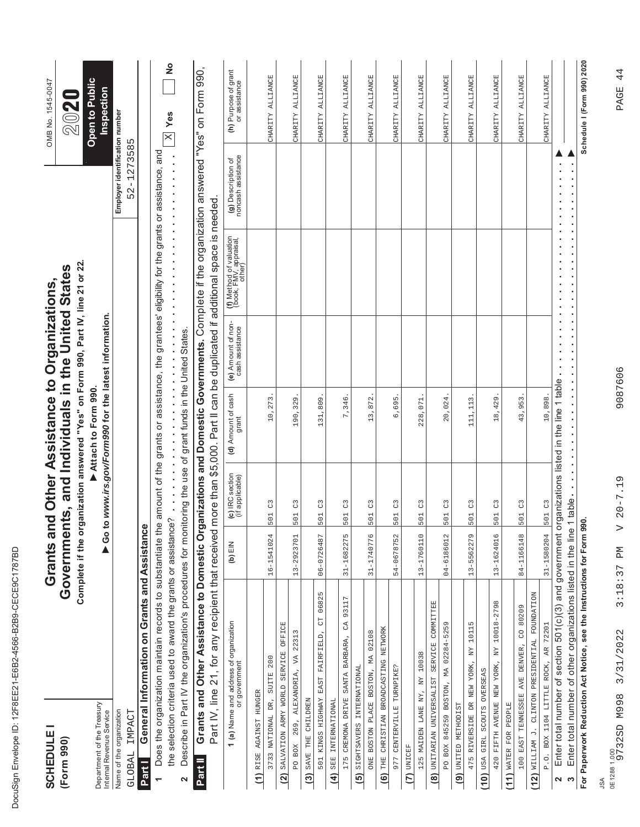| <b>SCHEDULE</b><br>(Form 990)                                                                                                                                             | Grants an           |                                                                  | Complete if the organization answered "Yes" on Form 990, Part IV, line 21 or 22<br>Governments, and Individuals in the United States<br>d Other Assistance to Organizations, |                                            |                                                                                                 |                                                         | OMB No. 1545-0047<br>2020                       |
|---------------------------------------------------------------------------------------------------------------------------------------------------------------------------|---------------------|------------------------------------------------------------------|------------------------------------------------------------------------------------------------------------------------------------------------------------------------------|--------------------------------------------|-------------------------------------------------------------------------------------------------|---------------------------------------------------------|-------------------------------------------------|
| Department of the Treasury<br>Internal Revenue Service                                                                                                                    |                     |                                                                  | Go to www.irs.gov/Form990 for the latest information.<br>Attach to Form 990.                                                                                                 |                                            |                                                                                                 |                                                         | Open to Public<br>Inspection                    |
| Name of the organization<br>IMPACT<br>GLOBAL                                                                                                                              |                     |                                                                  |                                                                                                                                                                              |                                            |                                                                                                 | Employer identification number<br>52-1273585            |                                                 |
| General Information on Grants and Assistance<br>Part I                                                                                                                    |                     |                                                                  |                                                                                                                                                                              |                                            |                                                                                                 |                                                         |                                                 |
| Does the organization maintain records to substantiate the<br>$\overline{ }$                                                                                              |                     |                                                                  |                                                                                                                                                                              |                                            | amount of the grants or assistance, the grantees' eligibility for the grants or assistance, and |                                                         |                                                 |
| the selection criteria used to award the grants or assistance<br>Describe in Part IV the organization's procedures for monit<br>2                                         |                     | $\blacksquare$<br>$\frac{1}{2}$<br>$\blacksquare$<br>$\tilde{C}$ | toring the use of grant funds in the United States<br>$\frac{1}{2}$<br>$\frac{1}{2}$<br>$\frac{1}{2}$                                                                        |                                            | ,,,,,,,,,,,,,,,,,,,,,,,                                                                         | $\ddot{\cdot}$<br>$\ddot{\phantom{0}}$<br>$\frac{1}{2}$ | $\frac{1}{2}$<br>Yes<br>$\overline{\mathbb{X}}$ |
| Grants and Other Assistance to Domestic Organizations and Domestic Governments. Complete if the organization answered "Yes" on Form 990,<br>Part II                       |                     |                                                                  |                                                                                                                                                                              |                                            |                                                                                                 |                                                         |                                                 |
| Part IV, line 21, for any recipient that received more than \$5,000. Part II can be duplicated if additional space is needed.                                             |                     |                                                                  |                                                                                                                                                                              |                                            |                                                                                                 |                                                         |                                                 |
| <b>1 (a)</b> Name and address of organization<br>or government                                                                                                            | (b) $EIN$           | (c) IRC section<br>(if applicable)                               | (d) Amount of cash<br>grant                                                                                                                                                  | (e) Amount of non-<br>cash assistance      | (f) Method of valuation<br>(book, FMV, appraisal,<br>other)                                     | (g) Description of<br>noncash assistance                | (h) Purpose of grant<br>or assistance           |
| (1) RISE AGAINST HUNGER                                                                                                                                                   |                     |                                                                  |                                                                                                                                                                              |                                            |                                                                                                 |                                                         |                                                 |
| 3733 NATIONAL DR, SUITE 200                                                                                                                                               | 16-1541024          | C <sup>3</sup><br>501                                            | 10,273                                                                                                                                                                       |                                            |                                                                                                 |                                                         | CHARITY ALLIANCE                                |
| SALVATION ARMY WORLD SERVICE OFFICE<br>$\widetilde{a}$                                                                                                                    |                     |                                                                  |                                                                                                                                                                              |                                            |                                                                                                 |                                                         |                                                 |
| 269, ALEXANDRIA, VA 22313<br>PO BOX                                                                                                                                       | 13-2923701          | $\mathcal{C}^3$<br>501                                           | 190,329                                                                                                                                                                      |                                            |                                                                                                 |                                                         | CHARITY ALLIANCE                                |
| 501 KINGS HIGHWAY EAST FAIRFIELD, CT 06825<br>SAVE THE CHILDREN<br>$\widehat{\mathbf{e}}$                                                                                 | 06-0726487          | C3<br>501                                                        | 131,809                                                                                                                                                                      |                                            |                                                                                                 |                                                         | CHARITY ALLIANCE                                |
| SEE INTERNATIONAL<br>$\widehat{f}$                                                                                                                                        |                     |                                                                  |                                                                                                                                                                              |                                            |                                                                                                 |                                                         |                                                 |
| 175 CREMONA DRIVE SANTA BARBARA, CA                                                                                                                                       | 31-1682275<br>93117 | $\mathbb{S}^2$<br>501                                            | 7,346                                                                                                                                                                        |                                            |                                                                                                 |                                                         | ALLIANCE<br>CHARITY                             |
| (5) SIGHTSAVERS INTERNATIONAL                                                                                                                                             |                     |                                                                  |                                                                                                                                                                              |                                            |                                                                                                 |                                                         |                                                 |
| ONE BOSTON PLACE BOSTON, MA 02108                                                                                                                                         | 31-1740776          | C3<br>501                                                        | 13,872                                                                                                                                                                       |                                            |                                                                                                 |                                                         | CHARITY ALLIANCE                                |
| (6) THE CHRISTIAN BROADCASTING NETWORK                                                                                                                                    |                     |                                                                  |                                                                                                                                                                              |                                            |                                                                                                 |                                                         |                                                 |
| 977 CENTERVILLE TURNPIKE?                                                                                                                                                 | 54-0678752          | $\mathcal{C}^3$<br>501                                           | 6,695                                                                                                                                                                        |                                            |                                                                                                 |                                                         | CHARITY ALLIANCE                                |
| (7) UNICEF                                                                                                                                                                |                     |                                                                  |                                                                                                                                                                              |                                            |                                                                                                 |                                                         |                                                 |
| 125 MAIDEN LANE NY, NY 10038                                                                                                                                              | 13-1760110          | $\mathcal{C}^3$<br>501                                           | 228,071                                                                                                                                                                      |                                            |                                                                                                 |                                                         | <b>ALLIANCE</b><br>CHARITY                      |
| $(8)$ UNITARIAN UNIVERSALIST SERVICE                                                                                                                                      | COMMITTEE           |                                                                  |                                                                                                                                                                              |                                            |                                                                                                 |                                                         |                                                 |
| PO BOX 845259 BOSTON, MA 02284-5259<br>TSIOOHTEN OBTIMU (8)                                                                                                               | 04-6186012          | $_{\rm C}^{\rm 3}$<br>501                                        | 20,024                                                                                                                                                                       |                                            |                                                                                                 |                                                         | <b>ALLIANCE</b><br>CHARITY                      |
| 475 RIVERSIDE DR NEW YORK, NY 10115                                                                                                                                       | 13-5562279          | C3<br>501                                                        | 111, 113                                                                                                                                                                     |                                            |                                                                                                 |                                                         | CHARITY ALLIANCE                                |
| USA GIRL SCOUTS OVERSEAS<br>(10)                                                                                                                                          |                     |                                                                  |                                                                                                                                                                              |                                            |                                                                                                 |                                                         |                                                 |
| 420 FIFTH AVENUE NEW YORK, NY 10018-2798                                                                                                                                  | 13-1624016          | $_{\rm C}^{\rm 3}$<br>501                                        | 18,429                                                                                                                                                                       |                                            |                                                                                                 |                                                         | CHARITY ALLIANCE                                |
| WATER FOR PEOPLE<br>(11)                                                                                                                                                  |                     |                                                                  |                                                                                                                                                                              |                                            |                                                                                                 |                                                         |                                                 |
| 100 EAST TENNESSEE AVE DENVER, CO 80209                                                                                                                                   | 84-1166148          | 501 C3                                                           | 43,953                                                                                                                                                                       |                                            |                                                                                                 |                                                         | CHARITY ALLIANCE                                |
| WILLIAM J. CLINTON PRESIDENTIAL FOUNDATION<br>(12)                                                                                                                        |                     |                                                                  |                                                                                                                                                                              |                                            |                                                                                                 |                                                         |                                                 |
| P.O. BOX 1104 LITTLE ROCK, AR 72201                                                                                                                                       | 31-1580204          | 501 C3                                                           | 10,898                                                                                                                                                                       |                                            |                                                                                                 |                                                         | <b>ALLIANCE</b><br>CHARITY                      |
| Enter total number of section 501(c)(3) and government organizations listed in the line 1 table<br>Enter total number of other organizations listed in the line<br>2<br>S |                     | 1 table                                                          |                                                                                                                                                                              | $\blacksquare$<br>$\blacksquare$<br>٠<br>× | ×<br>٠                                                                                          |                                                         |                                                 |
| For Paperwork Reduction Act Notice, see the Instructions for Form 990.                                                                                                    |                     |                                                                  |                                                                                                                                                                              |                                            |                                                                                                 |                                                         | Schedule I (Form 990) 2020                      |
| ₹                                                                                                                                                                         |                     |                                                                  |                                                                                                                                                                              |                                            |                                                                                                 |                                                         |                                                 |
| 3/31/2022<br>0E12881.000<br>9732SD M998                                                                                                                                   | ЫĀ<br>3:18:37       | $\frac{19}{1}$<br>$20 - 7$<br>$\triangleright$                   | 9087606                                                                                                                                                                      |                                            |                                                                                                 |                                                         | 44<br>PAGE                                      |
|                                                                                                                                                                           |                     |                                                                  |                                                                                                                                                                              |                                            |                                                                                                 |                                                         |                                                 |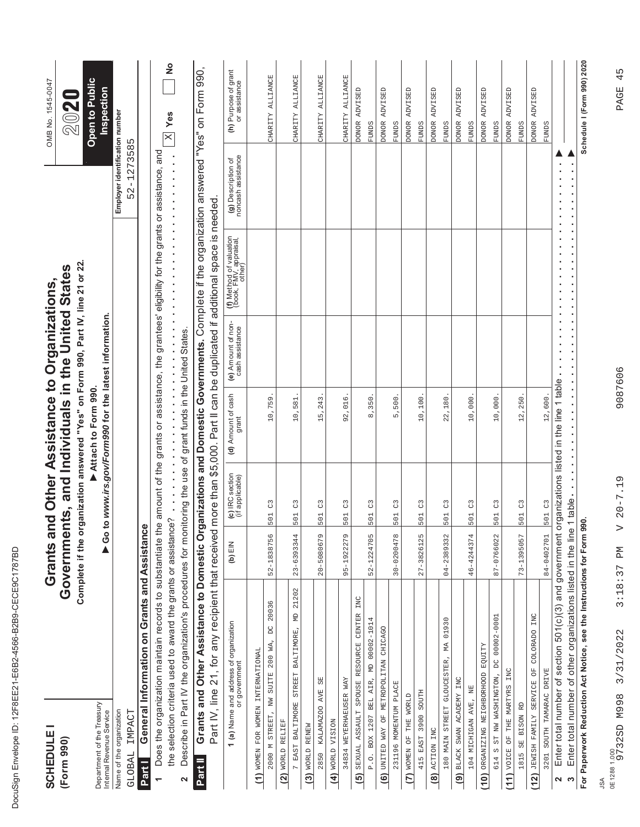| ĺ<br>J<br>ĺ<br>١<br>Ì<br>Ì<br>ı<br>I<br>¢<br>¢<br>l<br>¢<br>l<br>I<br>¢<br>l<br>I<br>١<br>Í<br>I<br>$\overline{\phantom{a}}$<br>ı<br>Ì<br>¢<br>ı<br>l<br>Ì<br>١<br>ı<br>ı<br>I<br>l<br>į<br>ı<br>I<br>ı<br>l<br>l<br>ı<br>l<br>Ì |
|----------------------------------------------------------------------------------------------------------------------------------------------------------------------------------------------------------------------------------|
|                                                                                                                                                                                                                                  |
| ı                                                                                                                                                                                                                                |
| ۱<br>١<br>l                                                                                                                                                                                                                      |
| ١                                                                                                                                                                                                                                |
| Ó                                                                                                                                                                                                                                |
|                                                                                                                                                                                                                                  |
| I                                                                                                                                                                                                                                |

| <b>SCHEDULE</b><br>(Form 990)                          |                                                                                                                                                                                | Complete if the org            |                                    | anization answered "Yes" on Form 990, Part IV, line 21 or 22.<br>Governments, and Individuals in the United States<br>Grants and Other Assistance to Organizations, |                                                                                                                                                          |                                                                                                                                               |                                                                        | OMB No. 1545-0047<br>202              |
|--------------------------------------------------------|--------------------------------------------------------------------------------------------------------------------------------------------------------------------------------|--------------------------------|------------------------------------|---------------------------------------------------------------------------------------------------------------------------------------------------------------------|----------------------------------------------------------------------------------------------------------------------------------------------------------|-----------------------------------------------------------------------------------------------------------------------------------------------|------------------------------------------------------------------------|---------------------------------------|
| Department of the Treasury<br>Internal Revenue Service |                                                                                                                                                                                |                                |                                    | Go to www.irs.gov/Form990 for the latest information.<br>Attach to Form 990                                                                                         |                                                                                                                                                          |                                                                                                                                               |                                                                        | Open to Public<br><b>Inspection</b>   |
| Name of the organization<br>IMPACT<br><b>GLOBAL</b>    |                                                                                                                                                                                |                                |                                    |                                                                                                                                                                     |                                                                                                                                                          |                                                                                                                                               | Employer identification number<br>1273585<br>$52 -$                    |                                       |
| Part I                                                 | General Information on Grants and Assistance                                                                                                                                   |                                |                                    |                                                                                                                                                                     |                                                                                                                                                          |                                                                                                                                               |                                                                        |                                       |
| $\overline{ }$                                         | Does the organization maintain records to substantiate the                                                                                                                     |                                |                                    |                                                                                                                                                                     |                                                                                                                                                          | amount of the grants or assistance, the grantees' eligibility for the grants or assistance, and                                               |                                                                        |                                       |
| 2                                                      | Describe in Part IV the organization's procedures for monitoring the use of grant funds in the United States.<br>the selection criteria used to award the grants or assistance |                                | Ċ                                  | $\frac{1}{2}$<br>$\frac{1}{2}$                                                                                                                                      | i,<br>$\begin{array}{c} \bullet \\ \bullet \\ \bullet \\ \bullet \end{array}$<br>$\begin{array}{c} \bullet \\ \bullet \\ \bullet \\ \bullet \end{array}$ | $\ddot{\phantom{0}}$<br>$\hat{\textbf{r}}$<br>$\ddot{\phantom{0}}$<br>$\begin{array}{c} \bullet \\ \bullet \\ \bullet \\ \bullet \end{array}$ | j<br>$\frac{1}{2}$<br>i,<br>j,<br>$\bar{\phantom{a}}$<br>$\frac{1}{2}$ | $\frac{1}{2}$<br>$\mathbb{X}$ Yes     |
| Part II                                                | Grants and Other Assistance to Domestic Organizations and Domestic Governments. Complete if the organization answered "Yes" on Form 990,                                       |                                |                                    |                                                                                                                                                                     |                                                                                                                                                          |                                                                                                                                               |                                                                        |                                       |
|                                                        | Part IV, line 21, for any recipient that received more than \$5,000. Part II can be duplicated if additional space is needed                                                   |                                |                                    |                                                                                                                                                                     |                                                                                                                                                          |                                                                                                                                               |                                                                        |                                       |
|                                                        | <b>1 (a)</b> Name and address of organization<br>or government                                                                                                                 | (b) $EIN$                      | (c) IRC section<br>(if applicable) | (d) Amount of cash<br>grant                                                                                                                                         | (e) Amount of non-<br>cash assistance                                                                                                                    | (f) Method of valuation<br>(book, FMV, appraisal,<br>other)                                                                                   | (g) Description of<br>noncash assistance                               | (h) Purpose of grant<br>or assistance |
| (1) WOMEN FOR WOMEN INTERNATIONAL                      |                                                                                                                                                                                |                                |                                    |                                                                                                                                                                     |                                                                                                                                                          |                                                                                                                                               |                                                                        |                                       |
| 2000 M STREET, NW SUITE 200 WA,                        | 20036<br>ğ                                                                                                                                                                     | 52-1838756                     | $\frac{3}{2}$<br>501               | 10,759                                                                                                                                                              |                                                                                                                                                          |                                                                                                                                               |                                                                        | CHARITY ALLIANCE                      |
| WORLD RELIEF<br>$\widehat{a}$                          |                                                                                                                                                                                |                                |                                    |                                                                                                                                                                     |                                                                                                                                                          |                                                                                                                                               |                                                                        |                                       |
|                                                        | 21202<br>7 EAST BALTIMORE STREET BALTIMORE, MD                                                                                                                                 | 23-6393344                     | $_{\rm C}^{\rm 2}$<br>501<br>LC)   | 581<br>10,                                                                                                                                                          |                                                                                                                                                          |                                                                                                                                               |                                                                        | CHARITY ALLIANCE                      |
| (3) WORLD RENEW                                        |                                                                                                                                                                                |                                |                                    |                                                                                                                                                                     |                                                                                                                                                          |                                                                                                                                               |                                                                        |                                       |
| KALAMAZOO<br>2850                                      | 55<br><b>AVE</b>                                                                                                                                                               | 20-5080679                     | C3<br>$\frac{1}{2}$<br><b>UD</b>   | 15,243                                                                                                                                                              |                                                                                                                                                          |                                                                                                                                               |                                                                        | ALLIANCE<br>CHARITY                   |
| (4) WORLD VISION                                       |                                                                                                                                                                                |                                |                                    |                                                                                                                                                                     |                                                                                                                                                          |                                                                                                                                               |                                                                        |                                       |
| 34834 WEYERHAEUSER WAY                                 |                                                                                                                                                                                | 95-1922279                     | C <sup>3</sup><br>501              | 92,016                                                                                                                                                              |                                                                                                                                                          |                                                                                                                                               |                                                                        | CHARITY ALLIANCE                      |
| $\overline{5}$                                         | INC<br>SEXUAL ASSAULT SPOUSE RESOURCE CENTER                                                                                                                                   |                                |                                    |                                                                                                                                                                     |                                                                                                                                                          |                                                                                                                                               |                                                                        | DONOR ADVISED                         |
|                                                        | P.O. BOX 1207 BEL AIR, MD 00002-1014                                                                                                                                           | 52-1224705                     | C <sub>3</sub><br>$-101$<br>m      | 8,350                                                                                                                                                               |                                                                                                                                                          |                                                                                                                                               |                                                                        | <b>FUNDS</b>                          |
| (6) UNITED WAY OF METROPOLITAN CHICAGO                 |                                                                                                                                                                                |                                |                                    |                                                                                                                                                                     |                                                                                                                                                          |                                                                                                                                               |                                                                        | ADVISED<br><b>DONOR</b>               |
| 231196 MOMENTUM PLACE                                  |                                                                                                                                                                                | 30-0200478                     | C <sup>3</sup><br>501              | 500<br>$\overline{5}$                                                                                                                                               |                                                                                                                                                          |                                                                                                                                               |                                                                        | <b>FUNDS</b>                          |
| THE WORLD<br>WOMEN OF<br>$\overline{c}$                |                                                                                                                                                                                |                                |                                    |                                                                                                                                                                     |                                                                                                                                                          |                                                                                                                                               |                                                                        | ADVISED<br><b>DONOR</b>               |
| 415 EAST 3900 SOUTH                                    |                                                                                                                                                                                | 27-3826125                     | $\mathbb{C}^3$<br>501<br>- 63      | 10,100                                                                                                                                                              |                                                                                                                                                          |                                                                                                                                               |                                                                        | <b>FUNDS</b>                          |
| ACTION INC<br>$\widehat{\mathbf{e}}$                   |                                                                                                                                                                                |                                |                                    |                                                                                                                                                                     |                                                                                                                                                          |                                                                                                                                               |                                                                        | <b>ADVISE</b><br><b>DONOR</b>         |
| 180 MAIN STREET GLOUCESTER, MA                         | 01930                                                                                                                                                                          | 04-2389332                     | $\mathbb{C}^3$<br>501              | $22,180$ .                                                                                                                                                          |                                                                                                                                                          |                                                                                                                                               |                                                                        | <b>FUNDS</b>                          |
| (9) BLACK SWAN ACADEMY INC                             |                                                                                                                                                                                |                                |                                    |                                                                                                                                                                     |                                                                                                                                                          |                                                                                                                                               |                                                                        | ADVISED<br><b>DONOR</b>               |
| 104 MICHIGAN AVE,                                      |                                                                                                                                                                                | 46-4244374                     | C <sub>3</sub><br>501              | 10,000                                                                                                                                                              |                                                                                                                                                          |                                                                                                                                               |                                                                        | <b>FUNDS</b>                          |
| ORGANIZING NEIGHBORHOOD EQUITY<br>(10)                 |                                                                                                                                                                                |                                |                                    |                                                                                                                                                                     |                                                                                                                                                          |                                                                                                                                               |                                                                        | ADVISED<br><b>DONOR</b>               |
| S ST NW WASHINGTON,<br>614                             | DC 00002-0001                                                                                                                                                                  | 87-0766022                     | C3<br>501                          | 10,000                                                                                                                                                              |                                                                                                                                                          |                                                                                                                                               |                                                                        | <b>FUNDS</b>                          |
| (11) VOICE OF THE MARTYRS INC                          |                                                                                                                                                                                |                                |                                    |                                                                                                                                                                     |                                                                                                                                                          |                                                                                                                                               |                                                                        | DONOR ADVISED                         |
| 1815 SE BISON RD                                       |                                                                                                                                                                                | 73-1395057                     | 501 C3                             | 12,250.                                                                                                                                                             |                                                                                                                                                          |                                                                                                                                               |                                                                        | <b>FUNDS</b>                          |
| JEWISH FAMILY SERVICE OF<br>(12)                       | COLORADO INC                                                                                                                                                                   |                                |                                    |                                                                                                                                                                     |                                                                                                                                                          |                                                                                                                                               |                                                                        | ADVISED<br><b>DONOR</b>               |
| 3201 SOUTH TAMARAC DRIVE                               |                                                                                                                                                                                | 84-0402701                     | 501 C3                             | 12,600.                                                                                                                                                             |                                                                                                                                                          |                                                                                                                                               |                                                                        | <b>FUNDS</b>                          |
| 2<br>S                                                 | Enter total number of section 501(c)(3) and government organizations listed in the line 1 table<br>Enter total number of other organizations listed in the line                |                                | $\blacksquare$<br>table.           | ×<br>$\blacksquare$                                                                                                                                                 | ×                                                                                                                                                        |                                                                                                                                               |                                                                        |                                       |
|                                                        | For Paperwork Reduction Act Notice, see the Instructions for Form 990.                                                                                                         |                                |                                    |                                                                                                                                                                     |                                                                                                                                                          |                                                                                                                                               |                                                                        | Schedule I (Form 990) 2020            |
| JSA                                                    |                                                                                                                                                                                |                                |                                    |                                                                                                                                                                     |                                                                                                                                                          |                                                                                                                                               |                                                                        |                                       |
| 0E12881.000<br>9732SD M998                             | 3/31/2022                                                                                                                                                                      | $\triangleright$<br>3:18:37 PM | .19<br>$20 - 7$                    | 9087606                                                                                                                                                             |                                                                                                                                                          |                                                                                                                                               |                                                                        | 45<br>PAGE                            |
|                                                        |                                                                                                                                                                                |                                |                                    |                                                                                                                                                                     |                                                                                                                                                          |                                                                                                                                               |                                                                        |                                       |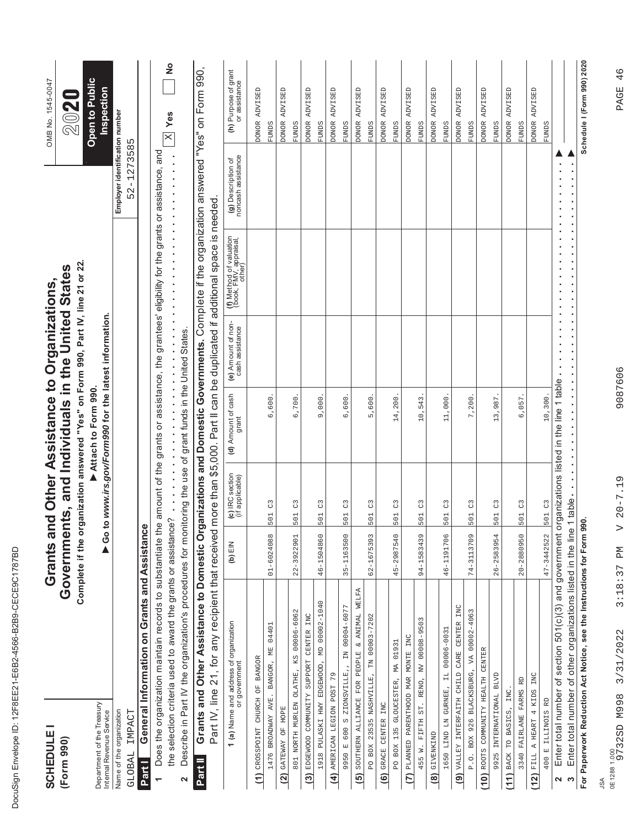| ı<br>۱                                                                                                                         |
|--------------------------------------------------------------------------------------------------------------------------------|
| ĺ<br>١<br>ı                                                                                                                    |
| ¢                                                                                                                              |
| Ç<br>ı                                                                                                                         |
| ١<br>l                                                                                                                         |
| Ó                                                                                                                              |
| ĺ<br>O                                                                                                                         |
| í<br>¢                                                                                                                         |
| ı<br>ı<br>١                                                                                                                    |
| Í<br><b>STATE OF STATE OF STATE OF STATE OF STATE OF STATE OF STATE OF STATE OF STATE OF STATE OF STATE OF STATE OF S</b><br>I |
| d<br>I<br>l                                                                                                                    |
| Ì<br>١                                                                                                                         |
| ı<br>I                                                                                                                         |
| ı                                                                                                                              |
| Ì<br>ı                                                                                                                         |
| l<br>ı<br>I<br>l                                                                                                               |
| Ì                                                                                                                              |
| ı<br>١                                                                                                                         |
| Í                                                                                                                              |
|                                                                                                                                |
| ı<br>١                                                                                                                         |
|                                                                                                                                |
| 1                                                                                                                              |
| ١                                                                                                                              |
| Ï<br>֠                                                                                                                         |
|                                                                                                                                |
| ı                                                                                                                              |

| <b>SCHEDULE</b><br>(Form 990)                          |                                                                                                                                                                                               | Grants a   |                                    | Governments, and Individuals in the United States<br>nd Other Assistance to Organizations,                                                                    |                                       |                                                                             |                                              | OMB No. 1545-0047<br>2020               |
|--------------------------------------------------------|-----------------------------------------------------------------------------------------------------------------------------------------------------------------------------------------------|------------|------------------------------------|---------------------------------------------------------------------------------------------------------------------------------------------------------------|---------------------------------------|-----------------------------------------------------------------------------|----------------------------------------------|-----------------------------------------|
| Department of the Treasury<br>Internal Revenue Service |                                                                                                                                                                                               | 60         |                                    | Complete if the organization answered "Yes" on Form 990, Part IV, line 21 or 22.<br>to www.irs.gov/Form990 for the latest information.<br>Attach to Form 990. |                                       |                                                                             |                                              | Open to Public<br>Inspection            |
| Name of the organization<br>IMPACT<br><b>GLOBAL</b>    |                                                                                                                                                                                               |            |                                    |                                                                                                                                                               |                                       |                                                                             | Employer identification number<br>52-1273585 |                                         |
| Part I                                                 | General Information on Grants and Assistanc                                                                                                                                                   | بهِ        |                                    |                                                                                                                                                               |                                       |                                                                             |                                              |                                         |
|                                                        | Does the organization maintain records to substantiate the amount of the grants or assistance, the grantees' eligibility for the grants or assistance, and                                    |            |                                    |                                                                                                                                                               |                                       |                                                                             |                                              |                                         |
| 2                                                      | Describe in Part IV the organization's procedures for monitoring the use of grant funds in the United States.<br>the selection criteria used to award the grants or assistance?               |            |                                    | .                                                                                                                                                             |                                       | $\ddot{\phantom{0}}$<br>$\frac{1}{2}$                                       | ä,<br>ä,<br>ä,                               | $\frac{1}{2}$<br>$X$ Yes                |
| Part II                                                |                                                                                                                                                                                               |            |                                    |                                                                                                                                                               |                                       |                                                                             |                                              |                                         |
|                                                        | Grants and Other Assistance to Domestic Organizations and Domestic Governments. Complete if the organization answered "Yes" on Form 990,<br>Part IV, line 21, for any recipient that received |            |                                    |                                                                                                                                                               |                                       | more than \$5,000. Part II can be duplicated if additional space is needed. |                                              |                                         |
|                                                        | <b>1 (a)</b> Name and address of organization<br>or government                                                                                                                                | (b) $EIN$  | (c) IRC section<br>(if applicable) | (d) Amount of cash<br>grant                                                                                                                                   | (e) Amount of non-<br>cash assistance | (f) Method of valuation<br>(book, FMV, appraisal,<br>other)                 | (g) Description of<br>noncash assistance     | (h) Purpose of grant<br>or assistance   |
| (1) CROSSPOINT CHURCH OF BANGOR                        |                                                                                                                                                                                               |            |                                    |                                                                                                                                                               |                                       |                                                                             |                                              | DONOR ADVISED                           |
| 1476 BROADWAY AVE. BANGOR, ME                          | 04401                                                                                                                                                                                         | 01-6024088 | C3<br>501                          | 6,600                                                                                                                                                         |                                       |                                                                             |                                              | <b>FUNDS</b>                            |
| GATEWAY OF HOPE<br>(2)                                 | 801 NORTH MURLEN OLATHE, KS 00006-6062                                                                                                                                                        | 22-3922901 | C3<br>501                          | 6,700.                                                                                                                                                        |                                       |                                                                             |                                              | ADVISED<br><b>DONOR</b><br><b>FUNDS</b> |
| $\binom{3}{2}$                                         | EDGEWOOD COMMUNITY SUPPORT CENTER INC                                                                                                                                                         |            |                                    |                                                                                                                                                               |                                       |                                                                             |                                              | DONOR ADVISED                           |
| 1918 PULASKI HWY EDGEWOOD,                             | MD 00002-1040                                                                                                                                                                                 | 46-1504860 | C <sup>3</sup><br>501              | 9,000.                                                                                                                                                        |                                       |                                                                             |                                              | <b>FUNDS</b>                            |
| (4) AMERICAN LEGION POST 79                            |                                                                                                                                                                                               |            |                                    |                                                                                                                                                               |                                       |                                                                             |                                              | DONOR ADVISED                           |
| 9950 E 600 S ZIONSVILLE,                               | IN 00004-6077                                                                                                                                                                                 | 35-1163500 | C3<br>501                          | 6,600                                                                                                                                                         |                                       |                                                                             |                                              | <b>FUNDS</b>                            |
| $\overline{5}$                                         | SOUTHERN ALLIANCE FOR PEOPLE & ANIMAL WELFA                                                                                                                                                   |            |                                    |                                                                                                                                                               |                                       |                                                                             |                                              | <b>ADVISED</b><br><b>DONOR</b>          |
|                                                        | PO BOX 23535 NASHVILLE, TN 00003-7202                                                                                                                                                         | 62-1675393 | C3<br>501                          | 5,600.                                                                                                                                                        |                                       |                                                                             |                                              | <b>FUNDS</b>                            |
| (6) GRACE CENTER INC                                   |                                                                                                                                                                                               |            |                                    |                                                                                                                                                               |                                       |                                                                             |                                              | DONOR ADVISED                           |
| PO BOX 135 GLOUCESTER, MA 01931                        |                                                                                                                                                                                               | 45-2987540 | C <sup>3</sup><br>501              | 14,200                                                                                                                                                        |                                       |                                                                             |                                              | <b>FUNDS</b>                            |
| (7) PLANNED PARENTHOOD MAR MONTE INC                   |                                                                                                                                                                                               |            |                                    |                                                                                                                                                               |                                       |                                                                             |                                              | DONOR ADVISED                           |
|                                                        | 455 W. FIFTH ST. RENO, NV 00008-9503                                                                                                                                                          | 94-1583439 | $\mathcal{C}^3$<br>501             | 10,543                                                                                                                                                        |                                       |                                                                             |                                              | <b>FUNDS</b>                            |
| <b>GIVENKIND</b><br>$\widehat{\mathbf{e}}$             |                                                                                                                                                                                               |            |                                    |                                                                                                                                                               |                                       |                                                                             |                                              | <b>ADVISED</b><br><b>DONOR</b>          |
| 1650 LIND LN GURNEE,                                   | IL 00006-0031                                                                                                                                                                                 | 46-1191706 | C3<br>501                          | 11,000.                                                                                                                                                       |                                       |                                                                             |                                              | <b>FUNDS</b>                            |
| (9) VALLEY INTERFAITH CHILD CARE CENTER INC            |                                                                                                                                                                                               |            |                                    |                                                                                                                                                               |                                       |                                                                             |                                              | ADVISED<br><b>DONOR</b>                 |
|                                                        | P.O. BOX 926 BLACKSBURG, VA 00002-4063                                                                                                                                                        | 74-3113709 | $\mathbb{C}^2$<br>501              | 7,200                                                                                                                                                         |                                       |                                                                             |                                              | <b>FUNDS</b>                            |
| (10) ROOTS COMMUNITY HEALTH CENTER                     |                                                                                                                                                                                               |            |                                    |                                                                                                                                                               |                                       |                                                                             |                                              | DONOR ADVISED                           |
| 9925 INTERNATIONAL BLVD                                |                                                                                                                                                                                               | 26-2583954 | $\mathcal{C}^3$<br>501             | 13,987                                                                                                                                                        |                                       |                                                                             |                                              | <b>FUNDS</b>                            |
| BACK TO BASICS, INC<br>(11)                            |                                                                                                                                                                                               |            |                                    |                                                                                                                                                               |                                       |                                                                             |                                              | <b>ADVISED</b><br><b>DONOR</b>          |
| 3340 FAIRLANE FARMS                                    | RD                                                                                                                                                                                            | 20-2880950 | C <sub>3</sub><br>501              | 6,057                                                                                                                                                         |                                       |                                                                             |                                              | <b>FUNDS</b>                            |
| FILL A HEART 4 KIDS<br>(12)                            | INC                                                                                                                                                                                           |            |                                    |                                                                                                                                                               |                                       |                                                                             |                                              | <b>ADVISED</b><br><b>DONOR</b>          |
| 400 E ILLINOIS RD                                      |                                                                                                                                                                                               | 47-3442522 | 501 C3                             | 10,300.                                                                                                                                                       |                                       |                                                                             |                                              | <b>FUNDS</b>                            |
| 2                                                      | Enter total number of section 501(c)(3) and government                                                                                                                                        |            |                                    | organizations listed in the line 1 table                                                                                                                      |                                       |                                                                             |                                              |                                         |
| $\sim$                                                 | Enter total number of other organizations listed in the line 1 table                                                                                                                          |            |                                    |                                                                                                                                                               |                                       |                                                                             |                                              |                                         |
|                                                        | For Paperwork Reduction Act Notice, see the Instructions for Form 990.                                                                                                                        |            |                                    |                                                                                                                                                               |                                       |                                                                             |                                              | Schedule I (Form 990) 2020              |

9087606

9732SD M998 3/31/2022 3:18:37 PM V 20-7.19 9087606 PAGE 46  $V 20 - 7.19$ 3:18:37 PM JSA<br>0E12881.000<br>9732SD M998 3/31/2022 0E1288 1.000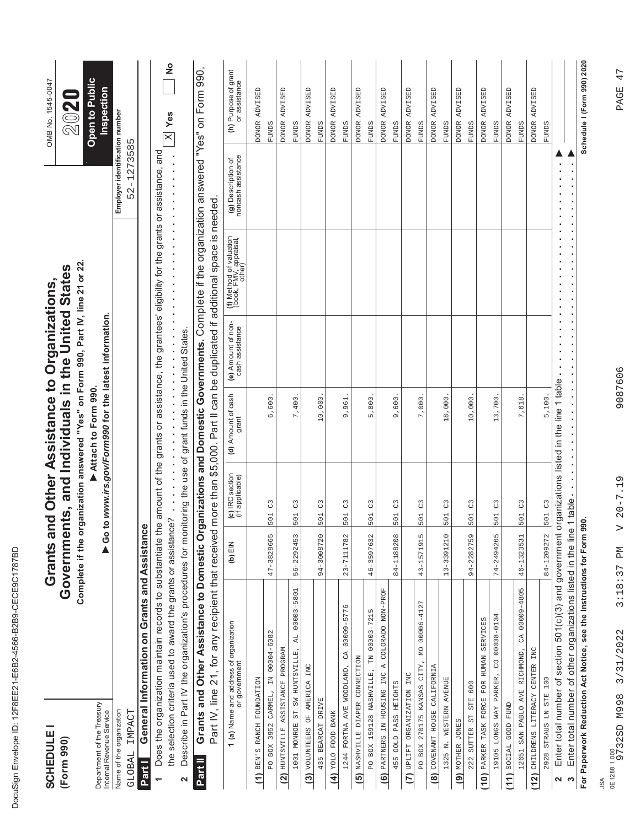| ı<br>۱                                                                                                                         |
|--------------------------------------------------------------------------------------------------------------------------------|
| ĺ<br>١<br>ı                                                                                                                    |
| ¢                                                                                                                              |
| Ç<br>ı                                                                                                                         |
| ١<br>l                                                                                                                         |
| Ó                                                                                                                              |
| ĺ<br>O                                                                                                                         |
| í<br>¢                                                                                                                         |
| ı<br>ı<br>١                                                                                                                    |
| Í<br><b>STATE OF STATE OF STATE OF STATE OF STATE OF STATE OF STATE OF STATE OF STATE OF STATE OF STATE OF STATE OF S</b><br>I |
| d<br>I<br>l                                                                                                                    |
| Ì<br>١                                                                                                                         |
| ı<br>I                                                                                                                         |
| ı                                                                                                                              |
| Ì<br>ı                                                                                                                         |
| l<br>ı<br>I<br>l                                                                                                               |
| Ì                                                                                                                              |
| ı<br>١                                                                                                                         |
| Í                                                                                                                              |
|                                                                                                                                |
| ı<br>١                                                                                                                         |
|                                                                                                                                |
| 1                                                                                                                              |
| ١                                                                                                                              |
| Ï<br>֠                                                                                                                         |
|                                                                                                                                |
| ı                                                                                                                              |

| <b>SCHEDULE1</b><br>(Form 990)                                                                                                                                                                           |                       |                                    | Complete if the organization answered "Yes" on Form 990, Part IV, line 21 or 22.<br>Governments, and Individuals in the United States<br>Grants and Other Assistance to Organizations, |                                       |                                                                             | OMB No. 1545-0047                            |                                         |
|----------------------------------------------------------------------------------------------------------------------------------------------------------------------------------------------------------|-----------------------|------------------------------------|----------------------------------------------------------------------------------------------------------------------------------------------------------------------------------------|---------------------------------------|-----------------------------------------------------------------------------|----------------------------------------------|-----------------------------------------|
| Department of the Treasury<br>Internal Revenue Service                                                                                                                                                   | $\triangleright$ Go t |                                    | to www.irs.gov/Form990 for the latest information.<br>Attach to Form 990.                                                                                                              |                                       |                                                                             |                                              | <b>Open to Public</b><br>Inspection     |
| Name of the organization<br>IMPACT<br>GLOBAL                                                                                                                                                             |                       |                                    |                                                                                                                                                                                        |                                       |                                                                             | Employer identification number<br>52-1273585 |                                         |
| General Information on Grants and Assistance<br>Part I                                                                                                                                                   |                       |                                    |                                                                                                                                                                                        |                                       |                                                                             |                                              |                                         |
| Does the organization maintain records to substantiate the amount of the grants or assistance, the grantees' eligibility for the grants or assistance, and                                               |                       |                                    |                                                                                                                                                                                        |                                       |                                                                             |                                              |                                         |
| the selection criteria used to award the grants or assistance?                                                                                                                                           |                       |                                    | .                                                                                                                                                                                      |                                       | ****************************                                                |                                              | $\frac{1}{2}$<br>$\mathbb{X}$ Yes       |
| Describe in Part IV the organization's procedures for monitoring the use of grant funds in the United States.<br>2                                                                                       |                       |                                    |                                                                                                                                                                                        |                                       |                                                                             |                                              |                                         |
| Grants and Other Assistance to Domestic Organizations and Domestic Governments. Complete if the organization answered "Yes" on Form 990,<br>Part IV, line 21, for any recipient that received<br>Part II |                       |                                    |                                                                                                                                                                                        |                                       | more than \$5,000. Part II can be duplicated if additional space is needed. |                                              |                                         |
| <b>1 (a)</b> Name and address of organization<br>or government                                                                                                                                           | (b) $EIN$             | (c) IRC section<br>(if applicable) | (d) Amount of cash<br>grant                                                                                                                                                            | (e) Amount of non-<br>cash assistance | (f) Method of valuation<br>(book, FMV, appraisal,<br>other)                 | (g) Description of<br>noncash assistance     | (h) Purpose of grant<br>or assistance   |
| $(1)$ BEN'S RANCH FOUNDATION                                                                                                                                                                             |                       |                                    |                                                                                                                                                                                        |                                       |                                                                             |                                              | <b>ONOR ADVISED</b>                     |
| IN 00004-6082<br>CARMEL,<br>3952<br>BOX                                                                                                                                                                  | 47-3828665            | C3<br>501                          | 6,600                                                                                                                                                                                  |                                       |                                                                             |                                              | <b>FUNDS</b>                            |
| AL 00003-5801<br>1001 MONROE ST SW HUNTSVILLE,<br>HUNTSVILLE ASSISTANCE PROGRAM<br>$\widetilde{a}$                                                                                                       | 56-2292453            | C3<br>501                          | 7,400                                                                                                                                                                                  |                                       |                                                                             |                                              | ADVISED<br><b>DONOR</b><br><b>FUNDS</b> |
| INC<br>OF AMERICA<br>(3) VOLUNTEERS                                                                                                                                                                      |                       |                                    |                                                                                                                                                                                        |                                       |                                                                             |                                              | ADVISED<br><b>DONOR</b>                 |
| 435 BEARCAT DRIVE                                                                                                                                                                                        | 94-3008720            | C3<br>501                          | 10,000.                                                                                                                                                                                |                                       |                                                                             |                                              | <b>FUNDS</b>                            |
| $(4)$ YOLO FOOD BANK                                                                                                                                                                                     |                       |                                    |                                                                                                                                                                                        |                                       |                                                                             |                                              | DONOR ADVISED                           |
| 00009-5776<br>$\rm{CA}$<br>1244 FORTNA AVE WOODLAND,                                                                                                                                                     | 23-7111782            | $_{\rm C}^{\rm 3}$<br>501          | 9,961.                                                                                                                                                                                 |                                       |                                                                             |                                              | <b>FUNDS</b>                            |
| NASHVILLE DIAPER CONNECTION<br>$\overline{6}$                                                                                                                                                            |                       |                                    |                                                                                                                                                                                        |                                       |                                                                             |                                              | ADVISED<br><b>DONOR</b>                 |
| PO BOX 159128 NASHVILLE, TN 00003-7215                                                                                                                                                                   | 46-3597632            | C3<br>501                          | 5,800                                                                                                                                                                                  |                                       |                                                                             |                                              | <b>FUNDS</b>                            |
| A COLORADO NON-PROF<br>(6) PARTNERS IN HOUSING INC                                                                                                                                                       |                       |                                    |                                                                                                                                                                                        |                                       |                                                                             |                                              | ADVISED<br><b>DONOR</b>                 |
| 455 GOLD PASS HEIGHTS                                                                                                                                                                                    | 84-1188208            | C3<br>501                          | 9,600.                                                                                                                                                                                 |                                       |                                                                             |                                              | <b>FUNDS</b>                            |
| (7) UPLIFT ORGANIZATION INC                                                                                                                                                                              |                       |                                    |                                                                                                                                                                                        |                                       |                                                                             |                                              | DONOR ADVISED                           |
| 00006-4127<br><b>MO</b><br>CITY,<br>270175 KANSAS<br>BOX                                                                                                                                                 | 43-1571915            | $_{\rm C}^{\rm 3}$<br>501          | 7,000.                                                                                                                                                                                 |                                       |                                                                             |                                              | <b>FUNDS</b>                            |
| COVENANT HOUSE CALIFORNIA<br>$\widehat{\mathbf{e}}$                                                                                                                                                      |                       |                                    |                                                                                                                                                                                        |                                       |                                                                             |                                              | ADVISED<br><b>DONOR</b>                 |
| 1325 N. WESTERN AVENUE                                                                                                                                                                                   | 13-3391210            | C3<br>501                          | 18,000                                                                                                                                                                                 |                                       |                                                                             |                                              | <b>FUNDS</b>                            |
| (9) MOTHER JONES                                                                                                                                                                                         |                       |                                    |                                                                                                                                                                                        |                                       |                                                                             |                                              | ADVISED<br><b>DONOR</b>                 |
| 222 SUTTER ST STE 600                                                                                                                                                                                    | 94-2282759            | C3<br>501                          | 10,000                                                                                                                                                                                 |                                       |                                                                             |                                              | <b>FUNDS</b>                            |
| (10) PARKER TASK FORCE FOR HUMAN SERVICES                                                                                                                                                                |                       |                                    |                                                                                                                                                                                        |                                       |                                                                             |                                              | DONOR ADVISED                           |
| 19105 LONGS WAY PARKER, CO 00008-0134                                                                                                                                                                    | 74-2494265            | $_{\rm C}^{\rm 3}$<br>501          | 13,700                                                                                                                                                                                 |                                       |                                                                             |                                              | <b>FUNDS</b>                            |
| SOCIAL GOOD FUND<br>(11)                                                                                                                                                                                 |                       |                                    |                                                                                                                                                                                        |                                       |                                                                             |                                              | ADVISED<br><b>DONOR</b>                 |
| CA 00009-4805<br>12651 SAN PABLO AVE RICHMOND,                                                                                                                                                           | 46-1323531            | $\mathcal{C}^3$<br>501             | 7,618                                                                                                                                                                                  |                                       |                                                                             |                                              | <b>FUNDS</b>                            |
| CHILDRENS LITERACY CENTER INC<br>(12)                                                                                                                                                                    |                       |                                    |                                                                                                                                                                                        |                                       |                                                                             |                                              | ADVISED<br><b>DONOR</b>                 |
| 2928 STRAUS LN STE 100                                                                                                                                                                                   | 84-1209272            | 501 C3                             | 5,100.                                                                                                                                                                                 |                                       |                                                                             |                                              | <b>FUNDS</b>                            |
| Enter total number of section 501(c)(3) and government organizations listed in the line 1 table<br>2                                                                                                     |                       |                                    |                                                                                                                                                                                        |                                       |                                                                             |                                              |                                         |
| Enter total number of other organizations listed in the line 1 table<br>S                                                                                                                                |                       |                                    |                                                                                                                                                                                        |                                       |                                                                             |                                              |                                         |
| For Paperwork Reduction Act Notice, see the Instructions for Form 990.                                                                                                                                   |                       |                                    |                                                                                                                                                                                        |                                       |                                                                             |                                              | Schedule I (Form 990) 2020              |

PAGE 47

9732SD M998 3/31/2022 3:18:37 PM V 20-7.19 9087606 PAGE 47  $V 20 - 7.19$ 3:18:37 PM JSA<br>0E12881.000<br>9732SD M998 3/31/2022 0E1288 1.000

9087606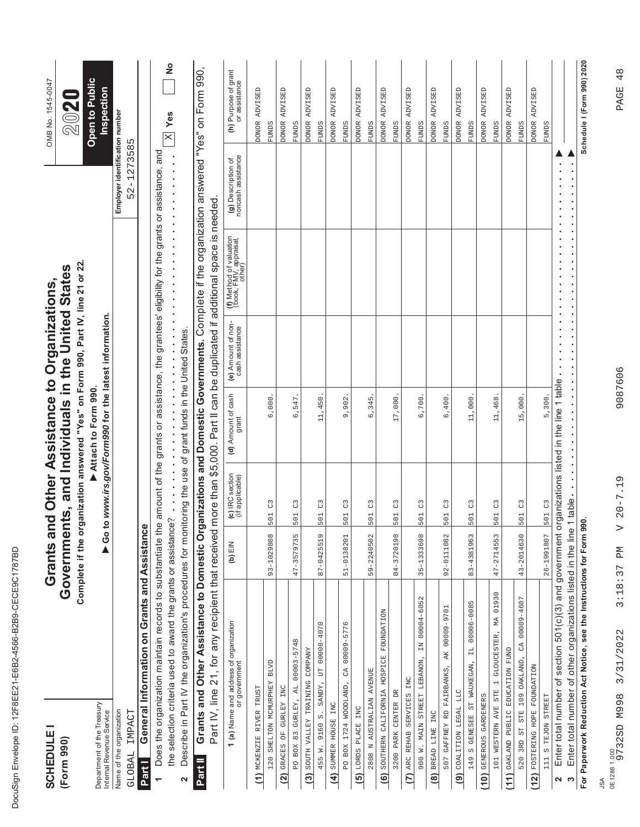| ı<br>۱                                                                                                                         |
|--------------------------------------------------------------------------------------------------------------------------------|
| ĺ<br>١<br>ı                                                                                                                    |
| ¢                                                                                                                              |
| Ç<br>ı                                                                                                                         |
| ١<br>l                                                                                                                         |
| Ó                                                                                                                              |
| ĺ<br>O                                                                                                                         |
| I<br>¢                                                                                                                         |
| ı<br>ı<br>١                                                                                                                    |
| Í<br><b>STATE OF STATE OF STATE OF STATE OF STATE OF STATE OF STATE OF STATE OF STATE OF STATE OF STATE OF STATE OF S</b><br>I |
| d<br>I<br>l                                                                                                                    |
| Ì<br>١                                                                                                                         |
| ı<br>I                                                                                                                         |
| ı                                                                                                                              |
| Ì<br>ı                                                                                                                         |
| l<br>ı<br>I<br>l                                                                                                               |
| Ì                                                                                                                              |
| ı<br>١                                                                                                                         |
| Í                                                                                                                              |
|                                                                                                                                |
| ı<br>١                                                                                                                         |
|                                                                                                                                |
| 1                                                                                                                              |
| ١                                                                                                                              |
| Ï<br>֠                                                                                                                         |
|                                                                                                                                |
| ı                                                                                                                              |

| Schedule I (Form 990) 2020<br>$\frac{1}{2}$<br>Grants and Other Assistance to Domestic Organizations and Domestic Governments. Complete if the organization answered "Yes" on Form 990,<br>(h) Purpose of grant<br>or assistance<br>Open to Public<br><b>Inspection</b><br>DONOR ADVISED<br>ADVISED<br>ADVISED<br>ADVISED<br>ADVISED<br>ADVISED<br>ADVISED<br>DONOR ADVISED<br>ADVISED<br>ADVISED<br>DONOR ADVISED<br>DONOR ADVISED<br>Employer identification number<br>$\mathbb{X}$ Yes<br><b>DONOR</b><br><b>DONOR</b><br><b>DONOR</b><br><b>DONOR</b><br><b>DONOR</b><br><b>DONOR</b><br><b>DONOR</b><br><b>DONOR</b><br><b>FUNDS</b><br><b>FUNDS</b><br><b>FUNDS</b><br><b>FUNDS</b><br><b>FUNDS</b><br><b>FUNDS</b><br><b>FUNDS</b><br><b>FUNDS</b><br><b>FUNDS</b><br><b>FUNDS</b><br><b>FUNDS</b><br><b>FUNDS</b><br>52-1273585<br>Does the organization maintain records to substantiate the amount of the grants or assistance, the grantees' eligibility for the grants or assistance, and<br>(g) Description of<br>noncash assistance<br>more than \$5,000. Part II can be duplicated if additional space is needed.<br>(f) Method of valuation<br>(book, FMV, appraisal,<br>other)<br>Go to www.irs.gov/Form990 for the latest information.<br>(e) Amount of non-<br>cash assistance<br>Enter total number of section 501(c)(3) and government organizations listed in the line 1 table<br>Attach to Form 990.<br>(d) Amount of cash<br>grant<br>11,000.<br>6,000.<br>9,902.<br>5,300.<br>17,000<br>6,700<br>15,000<br>11,450<br>6,400<br>11,468<br>6,547<br>6,345<br>the selection criteria used to award the grants or assistance?<br>(c) IRC section<br>(if applicable)<br>Enter total number of other organizations listed in the line 1 table.<br>501 C3<br>501 C3<br>C <sub>3</sub><br>$\frac{3}{2}$<br>$\mathcal{C}^3$<br>501 C3<br>$\frac{3}{2}$<br>C3<br>C3<br>C3<br>$\mathcal{C}^3$<br>C <sub>3</sub><br>501<br>501<br>501<br>501<br>501<br>501<br>501<br>501<br>501<br>For Paperwork Reduction Act Notice, see the Instructions for Form 990.<br>General Information on Grants and Assistance<br>Part IV, line 21, for any recipient that received<br>93-1029808<br>87-0425519<br>04-3720198<br>35-1333698<br>43-2014630<br>26-1991807<br>47-3579735<br>59-2240502<br>92-0111082<br>83-4381963<br>47-2714553<br>51-0138201<br>(b) $EIN$<br>101 WESTERN AVE STE 1 GLOUCESTER, MA 01930<br>900 W. MAIN STREET LEBANON, IN 00004-6052<br>CA 00009-4607<br>IL 00006-0085<br>00009-9701<br>SOUTHERN CALIFORNIA HOSPICE FOUNDATION<br><b>1 (a)</b> Name and address of organization<br>or government<br>SANDY, UT 00008-4070<br>PO BOX 1724 WOODLAND, CA 00009-5776<br>PO BOX 83 GURLEY, AL 00003-5748<br>CNUR MOTTANUM DILIEUS CMALIANO (11)<br>(3) SOUTH VALLEY TRAINING COMPANY<br><b>AK</b><br>520 3RD ST STE 109 OAKLAND,<br>S GENESEE ST WAUKEGAN,<br>120 SHELTON MCMURPHEY BLVD<br>FOSTERING HOPE FOUNDATION<br>507 GAFFNEY RD FAIRBANKS,<br>2808 N AUSTRALIAN AVENUE<br>ARC REHAB SERVICES INC<br>INC<br>(1) MCKENZIE RIVER TRUST<br>(9) COALITION LEGAL LLC<br>3200 PARK CENTER DR<br>111 S TEJON STREET<br>GENEROUS GARDENERS<br><b>GURLEY</b><br>Department of the Treasury<br>Internal Revenue Service<br>SUMMER HOUSE INC<br>INC<br>Name of the organization<br>IMPACT<br>9160 S.<br>$(8)$ BREAD LINE INC<br>(5) LORDS PLACE<br>(2) GRACES OF<br>455 W.<br><b>GLOBAL</b><br>149<br><b>Part1</b><br>Part II<br>$\widehat{\mathbf{e}}$<br>$\widehat{4}$<br>$\tilde{c}$<br>(12)<br>(10)<br>2<br>$\overline{\phantom{0}}$<br>2<br>S | <b>SCHEDULE</b><br>(Form 990) |  | Complete if the organization answered "Yes" on Form 990, Part IV, line 21 or 22.<br>Governments, and Individuals in the United States<br>Grants and Other Assistance to Organizations, |  | OMB No. 1545-0047<br>20 |
|----------------------------------------------------------------------------------------------------------------------------------------------------------------------------------------------------------------------------------------------------------------------------------------------------------------------------------------------------------------------------------------------------------------------------------------------------------------------------------------------------------------------------------------------------------------------------------------------------------------------------------------------------------------------------------------------------------------------------------------------------------------------------------------------------------------------------------------------------------------------------------------------------------------------------------------------------------------------------------------------------------------------------------------------------------------------------------------------------------------------------------------------------------------------------------------------------------------------------------------------------------------------------------------------------------------------------------------------------------------------------------------------------------------------------------------------------------------------------------------------------------------------------------------------------------------------------------------------------------------------------------------------------------------------------------------------------------------------------------------------------------------------------------------------------------------------------------------------------------------------------------------------------------------------------------------------------------------------------------------------------------------------------------------------------------------------------------------------------------------------------------------------------------------------------------------------------------------------------------------------------------------------------------------------------------------------------------------------------------------------------------------------------------------------------------------------------------------------------------------------------------------------------------------------------------------------------------------------------------------------------------------------------------------------------------------------------------------------------------------------------------------------------------------------------------------------------------------------------------------------------------------------------------------------------------------------------------------------------------------------------------------------------------------------------------------------------------------------------------------------------------------------------------------------------------------------------------------------------------------------------------------------------------------------------------------------------------------------------------------------------------------------------------------------------------------------------------------------------------------------------------------------------------------------------------------|-------------------------------|--|----------------------------------------------------------------------------------------------------------------------------------------------------------------------------------------|--|-------------------------|
|                                                                                                                                                                                                                                                                                                                                                                                                                                                                                                                                                                                                                                                                                                                                                                                                                                                                                                                                                                                                                                                                                                                                                                                                                                                                                                                                                                                                                                                                                                                                                                                                                                                                                                                                                                                                                                                                                                                                                                                                                                                                                                                                                                                                                                                                                                                                                                                                                                                                                                                                                                                                                                                                                                                                                                                                                                                                                                                                                                                                                                                                                                                                                                                                                                                                                                                                                                                                                                                                                                                                                                |                               |  |                                                                                                                                                                                        |  |                         |
|                                                                                                                                                                                                                                                                                                                                                                                                                                                                                                                                                                                                                                                                                                                                                                                                                                                                                                                                                                                                                                                                                                                                                                                                                                                                                                                                                                                                                                                                                                                                                                                                                                                                                                                                                                                                                                                                                                                                                                                                                                                                                                                                                                                                                                                                                                                                                                                                                                                                                                                                                                                                                                                                                                                                                                                                                                                                                                                                                                                                                                                                                                                                                                                                                                                                                                                                                                                                                                                                                                                                                                |                               |  |                                                                                                                                                                                        |  |                         |
|                                                                                                                                                                                                                                                                                                                                                                                                                                                                                                                                                                                                                                                                                                                                                                                                                                                                                                                                                                                                                                                                                                                                                                                                                                                                                                                                                                                                                                                                                                                                                                                                                                                                                                                                                                                                                                                                                                                                                                                                                                                                                                                                                                                                                                                                                                                                                                                                                                                                                                                                                                                                                                                                                                                                                                                                                                                                                                                                                                                                                                                                                                                                                                                                                                                                                                                                                                                                                                                                                                                                                                |                               |  |                                                                                                                                                                                        |  |                         |
|                                                                                                                                                                                                                                                                                                                                                                                                                                                                                                                                                                                                                                                                                                                                                                                                                                                                                                                                                                                                                                                                                                                                                                                                                                                                                                                                                                                                                                                                                                                                                                                                                                                                                                                                                                                                                                                                                                                                                                                                                                                                                                                                                                                                                                                                                                                                                                                                                                                                                                                                                                                                                                                                                                                                                                                                                                                                                                                                                                                                                                                                                                                                                                                                                                                                                                                                                                                                                                                                                                                                                                |                               |  |                                                                                                                                                                                        |  |                         |
|                                                                                                                                                                                                                                                                                                                                                                                                                                                                                                                                                                                                                                                                                                                                                                                                                                                                                                                                                                                                                                                                                                                                                                                                                                                                                                                                                                                                                                                                                                                                                                                                                                                                                                                                                                                                                                                                                                                                                                                                                                                                                                                                                                                                                                                                                                                                                                                                                                                                                                                                                                                                                                                                                                                                                                                                                                                                                                                                                                                                                                                                                                                                                                                                                                                                                                                                                                                                                                                                                                                                                                |                               |  |                                                                                                                                                                                        |  |                         |
|                                                                                                                                                                                                                                                                                                                                                                                                                                                                                                                                                                                                                                                                                                                                                                                                                                                                                                                                                                                                                                                                                                                                                                                                                                                                                                                                                                                                                                                                                                                                                                                                                                                                                                                                                                                                                                                                                                                                                                                                                                                                                                                                                                                                                                                                                                                                                                                                                                                                                                                                                                                                                                                                                                                                                                                                                                                                                                                                                                                                                                                                                                                                                                                                                                                                                                                                                                                                                                                                                                                                                                |                               |  |                                                                                                                                                                                        |  |                         |
|                                                                                                                                                                                                                                                                                                                                                                                                                                                                                                                                                                                                                                                                                                                                                                                                                                                                                                                                                                                                                                                                                                                                                                                                                                                                                                                                                                                                                                                                                                                                                                                                                                                                                                                                                                                                                                                                                                                                                                                                                                                                                                                                                                                                                                                                                                                                                                                                                                                                                                                                                                                                                                                                                                                                                                                                                                                                                                                                                                                                                                                                                                                                                                                                                                                                                                                                                                                                                                                                                                                                                                |                               |  |                                                                                                                                                                                        |  |                         |
|                                                                                                                                                                                                                                                                                                                                                                                                                                                                                                                                                                                                                                                                                                                                                                                                                                                                                                                                                                                                                                                                                                                                                                                                                                                                                                                                                                                                                                                                                                                                                                                                                                                                                                                                                                                                                                                                                                                                                                                                                                                                                                                                                                                                                                                                                                                                                                                                                                                                                                                                                                                                                                                                                                                                                                                                                                                                                                                                                                                                                                                                                                                                                                                                                                                                                                                                                                                                                                                                                                                                                                |                               |  |                                                                                                                                                                                        |  |                         |
|                                                                                                                                                                                                                                                                                                                                                                                                                                                                                                                                                                                                                                                                                                                                                                                                                                                                                                                                                                                                                                                                                                                                                                                                                                                                                                                                                                                                                                                                                                                                                                                                                                                                                                                                                                                                                                                                                                                                                                                                                                                                                                                                                                                                                                                                                                                                                                                                                                                                                                                                                                                                                                                                                                                                                                                                                                                                                                                                                                                                                                                                                                                                                                                                                                                                                                                                                                                                                                                                                                                                                                |                               |  |                                                                                                                                                                                        |  |                         |
|                                                                                                                                                                                                                                                                                                                                                                                                                                                                                                                                                                                                                                                                                                                                                                                                                                                                                                                                                                                                                                                                                                                                                                                                                                                                                                                                                                                                                                                                                                                                                                                                                                                                                                                                                                                                                                                                                                                                                                                                                                                                                                                                                                                                                                                                                                                                                                                                                                                                                                                                                                                                                                                                                                                                                                                                                                                                                                                                                                                                                                                                                                                                                                                                                                                                                                                                                                                                                                                                                                                                                                |                               |  |                                                                                                                                                                                        |  |                         |
|                                                                                                                                                                                                                                                                                                                                                                                                                                                                                                                                                                                                                                                                                                                                                                                                                                                                                                                                                                                                                                                                                                                                                                                                                                                                                                                                                                                                                                                                                                                                                                                                                                                                                                                                                                                                                                                                                                                                                                                                                                                                                                                                                                                                                                                                                                                                                                                                                                                                                                                                                                                                                                                                                                                                                                                                                                                                                                                                                                                                                                                                                                                                                                                                                                                                                                                                                                                                                                                                                                                                                                |                               |  |                                                                                                                                                                                        |  |                         |
|                                                                                                                                                                                                                                                                                                                                                                                                                                                                                                                                                                                                                                                                                                                                                                                                                                                                                                                                                                                                                                                                                                                                                                                                                                                                                                                                                                                                                                                                                                                                                                                                                                                                                                                                                                                                                                                                                                                                                                                                                                                                                                                                                                                                                                                                                                                                                                                                                                                                                                                                                                                                                                                                                                                                                                                                                                                                                                                                                                                                                                                                                                                                                                                                                                                                                                                                                                                                                                                                                                                                                                |                               |  |                                                                                                                                                                                        |  |                         |
|                                                                                                                                                                                                                                                                                                                                                                                                                                                                                                                                                                                                                                                                                                                                                                                                                                                                                                                                                                                                                                                                                                                                                                                                                                                                                                                                                                                                                                                                                                                                                                                                                                                                                                                                                                                                                                                                                                                                                                                                                                                                                                                                                                                                                                                                                                                                                                                                                                                                                                                                                                                                                                                                                                                                                                                                                                                                                                                                                                                                                                                                                                                                                                                                                                                                                                                                                                                                                                                                                                                                                                |                               |  |                                                                                                                                                                                        |  |                         |
|                                                                                                                                                                                                                                                                                                                                                                                                                                                                                                                                                                                                                                                                                                                                                                                                                                                                                                                                                                                                                                                                                                                                                                                                                                                                                                                                                                                                                                                                                                                                                                                                                                                                                                                                                                                                                                                                                                                                                                                                                                                                                                                                                                                                                                                                                                                                                                                                                                                                                                                                                                                                                                                                                                                                                                                                                                                                                                                                                                                                                                                                                                                                                                                                                                                                                                                                                                                                                                                                                                                                                                |                               |  |                                                                                                                                                                                        |  |                         |
|                                                                                                                                                                                                                                                                                                                                                                                                                                                                                                                                                                                                                                                                                                                                                                                                                                                                                                                                                                                                                                                                                                                                                                                                                                                                                                                                                                                                                                                                                                                                                                                                                                                                                                                                                                                                                                                                                                                                                                                                                                                                                                                                                                                                                                                                                                                                                                                                                                                                                                                                                                                                                                                                                                                                                                                                                                                                                                                                                                                                                                                                                                                                                                                                                                                                                                                                                                                                                                                                                                                                                                |                               |  |                                                                                                                                                                                        |  |                         |
|                                                                                                                                                                                                                                                                                                                                                                                                                                                                                                                                                                                                                                                                                                                                                                                                                                                                                                                                                                                                                                                                                                                                                                                                                                                                                                                                                                                                                                                                                                                                                                                                                                                                                                                                                                                                                                                                                                                                                                                                                                                                                                                                                                                                                                                                                                                                                                                                                                                                                                                                                                                                                                                                                                                                                                                                                                                                                                                                                                                                                                                                                                                                                                                                                                                                                                                                                                                                                                                                                                                                                                |                               |  |                                                                                                                                                                                        |  |                         |
|                                                                                                                                                                                                                                                                                                                                                                                                                                                                                                                                                                                                                                                                                                                                                                                                                                                                                                                                                                                                                                                                                                                                                                                                                                                                                                                                                                                                                                                                                                                                                                                                                                                                                                                                                                                                                                                                                                                                                                                                                                                                                                                                                                                                                                                                                                                                                                                                                                                                                                                                                                                                                                                                                                                                                                                                                                                                                                                                                                                                                                                                                                                                                                                                                                                                                                                                                                                                                                                                                                                                                                |                               |  |                                                                                                                                                                                        |  |                         |
|                                                                                                                                                                                                                                                                                                                                                                                                                                                                                                                                                                                                                                                                                                                                                                                                                                                                                                                                                                                                                                                                                                                                                                                                                                                                                                                                                                                                                                                                                                                                                                                                                                                                                                                                                                                                                                                                                                                                                                                                                                                                                                                                                                                                                                                                                                                                                                                                                                                                                                                                                                                                                                                                                                                                                                                                                                                                                                                                                                                                                                                                                                                                                                                                                                                                                                                                                                                                                                                                                                                                                                |                               |  |                                                                                                                                                                                        |  |                         |
|                                                                                                                                                                                                                                                                                                                                                                                                                                                                                                                                                                                                                                                                                                                                                                                                                                                                                                                                                                                                                                                                                                                                                                                                                                                                                                                                                                                                                                                                                                                                                                                                                                                                                                                                                                                                                                                                                                                                                                                                                                                                                                                                                                                                                                                                                                                                                                                                                                                                                                                                                                                                                                                                                                                                                                                                                                                                                                                                                                                                                                                                                                                                                                                                                                                                                                                                                                                                                                                                                                                                                                |                               |  |                                                                                                                                                                                        |  |                         |
|                                                                                                                                                                                                                                                                                                                                                                                                                                                                                                                                                                                                                                                                                                                                                                                                                                                                                                                                                                                                                                                                                                                                                                                                                                                                                                                                                                                                                                                                                                                                                                                                                                                                                                                                                                                                                                                                                                                                                                                                                                                                                                                                                                                                                                                                                                                                                                                                                                                                                                                                                                                                                                                                                                                                                                                                                                                                                                                                                                                                                                                                                                                                                                                                                                                                                                                                                                                                                                                                                                                                                                |                               |  |                                                                                                                                                                                        |  |                         |
|                                                                                                                                                                                                                                                                                                                                                                                                                                                                                                                                                                                                                                                                                                                                                                                                                                                                                                                                                                                                                                                                                                                                                                                                                                                                                                                                                                                                                                                                                                                                                                                                                                                                                                                                                                                                                                                                                                                                                                                                                                                                                                                                                                                                                                                                                                                                                                                                                                                                                                                                                                                                                                                                                                                                                                                                                                                                                                                                                                                                                                                                                                                                                                                                                                                                                                                                                                                                                                                                                                                                                                |                               |  |                                                                                                                                                                                        |  |                         |
|                                                                                                                                                                                                                                                                                                                                                                                                                                                                                                                                                                                                                                                                                                                                                                                                                                                                                                                                                                                                                                                                                                                                                                                                                                                                                                                                                                                                                                                                                                                                                                                                                                                                                                                                                                                                                                                                                                                                                                                                                                                                                                                                                                                                                                                                                                                                                                                                                                                                                                                                                                                                                                                                                                                                                                                                                                                                                                                                                                                                                                                                                                                                                                                                                                                                                                                                                                                                                                                                                                                                                                |                               |  |                                                                                                                                                                                        |  |                         |
|                                                                                                                                                                                                                                                                                                                                                                                                                                                                                                                                                                                                                                                                                                                                                                                                                                                                                                                                                                                                                                                                                                                                                                                                                                                                                                                                                                                                                                                                                                                                                                                                                                                                                                                                                                                                                                                                                                                                                                                                                                                                                                                                                                                                                                                                                                                                                                                                                                                                                                                                                                                                                                                                                                                                                                                                                                                                                                                                                                                                                                                                                                                                                                                                                                                                                                                                                                                                                                                                                                                                                                |                               |  |                                                                                                                                                                                        |  |                         |
|                                                                                                                                                                                                                                                                                                                                                                                                                                                                                                                                                                                                                                                                                                                                                                                                                                                                                                                                                                                                                                                                                                                                                                                                                                                                                                                                                                                                                                                                                                                                                                                                                                                                                                                                                                                                                                                                                                                                                                                                                                                                                                                                                                                                                                                                                                                                                                                                                                                                                                                                                                                                                                                                                                                                                                                                                                                                                                                                                                                                                                                                                                                                                                                                                                                                                                                                                                                                                                                                                                                                                                |                               |  |                                                                                                                                                                                        |  |                         |
|                                                                                                                                                                                                                                                                                                                                                                                                                                                                                                                                                                                                                                                                                                                                                                                                                                                                                                                                                                                                                                                                                                                                                                                                                                                                                                                                                                                                                                                                                                                                                                                                                                                                                                                                                                                                                                                                                                                                                                                                                                                                                                                                                                                                                                                                                                                                                                                                                                                                                                                                                                                                                                                                                                                                                                                                                                                                                                                                                                                                                                                                                                                                                                                                                                                                                                                                                                                                                                                                                                                                                                |                               |  |                                                                                                                                                                                        |  |                         |
|                                                                                                                                                                                                                                                                                                                                                                                                                                                                                                                                                                                                                                                                                                                                                                                                                                                                                                                                                                                                                                                                                                                                                                                                                                                                                                                                                                                                                                                                                                                                                                                                                                                                                                                                                                                                                                                                                                                                                                                                                                                                                                                                                                                                                                                                                                                                                                                                                                                                                                                                                                                                                                                                                                                                                                                                                                                                                                                                                                                                                                                                                                                                                                                                                                                                                                                                                                                                                                                                                                                                                                |                               |  |                                                                                                                                                                                        |  |                         |
|                                                                                                                                                                                                                                                                                                                                                                                                                                                                                                                                                                                                                                                                                                                                                                                                                                                                                                                                                                                                                                                                                                                                                                                                                                                                                                                                                                                                                                                                                                                                                                                                                                                                                                                                                                                                                                                                                                                                                                                                                                                                                                                                                                                                                                                                                                                                                                                                                                                                                                                                                                                                                                                                                                                                                                                                                                                                                                                                                                                                                                                                                                                                                                                                                                                                                                                                                                                                                                                                                                                                                                |                               |  |                                                                                                                                                                                        |  |                         |
|                                                                                                                                                                                                                                                                                                                                                                                                                                                                                                                                                                                                                                                                                                                                                                                                                                                                                                                                                                                                                                                                                                                                                                                                                                                                                                                                                                                                                                                                                                                                                                                                                                                                                                                                                                                                                                                                                                                                                                                                                                                                                                                                                                                                                                                                                                                                                                                                                                                                                                                                                                                                                                                                                                                                                                                                                                                                                                                                                                                                                                                                                                                                                                                                                                                                                                                                                                                                                                                                                                                                                                |                               |  |                                                                                                                                                                                        |  |                         |
|                                                                                                                                                                                                                                                                                                                                                                                                                                                                                                                                                                                                                                                                                                                                                                                                                                                                                                                                                                                                                                                                                                                                                                                                                                                                                                                                                                                                                                                                                                                                                                                                                                                                                                                                                                                                                                                                                                                                                                                                                                                                                                                                                                                                                                                                                                                                                                                                                                                                                                                                                                                                                                                                                                                                                                                                                                                                                                                                                                                                                                                                                                                                                                                                                                                                                                                                                                                                                                                                                                                                                                |                               |  |                                                                                                                                                                                        |  |                         |
|                                                                                                                                                                                                                                                                                                                                                                                                                                                                                                                                                                                                                                                                                                                                                                                                                                                                                                                                                                                                                                                                                                                                                                                                                                                                                                                                                                                                                                                                                                                                                                                                                                                                                                                                                                                                                                                                                                                                                                                                                                                                                                                                                                                                                                                                                                                                                                                                                                                                                                                                                                                                                                                                                                                                                                                                                                                                                                                                                                                                                                                                                                                                                                                                                                                                                                                                                                                                                                                                                                                                                                |                               |  |                                                                                                                                                                                        |  |                         |
|                                                                                                                                                                                                                                                                                                                                                                                                                                                                                                                                                                                                                                                                                                                                                                                                                                                                                                                                                                                                                                                                                                                                                                                                                                                                                                                                                                                                                                                                                                                                                                                                                                                                                                                                                                                                                                                                                                                                                                                                                                                                                                                                                                                                                                                                                                                                                                                                                                                                                                                                                                                                                                                                                                                                                                                                                                                                                                                                                                                                                                                                                                                                                                                                                                                                                                                                                                                                                                                                                                                                                                |                               |  |                                                                                                                                                                                        |  |                         |
|                                                                                                                                                                                                                                                                                                                                                                                                                                                                                                                                                                                                                                                                                                                                                                                                                                                                                                                                                                                                                                                                                                                                                                                                                                                                                                                                                                                                                                                                                                                                                                                                                                                                                                                                                                                                                                                                                                                                                                                                                                                                                                                                                                                                                                                                                                                                                                                                                                                                                                                                                                                                                                                                                                                                                                                                                                                                                                                                                                                                                                                                                                                                                                                                                                                                                                                                                                                                                                                                                                                                                                |                               |  |                                                                                                                                                                                        |  |                         |

PAGE 48

9087606

9732SD M998 3/31/2022 3:18:37 PM V 20-7.19 9087606 PAGE 48  $V 20 - 7.19$ 3:18:37 PM JSA<br>0E12881.000<br>9732SD M998 3/31/2022 0E1288 1.000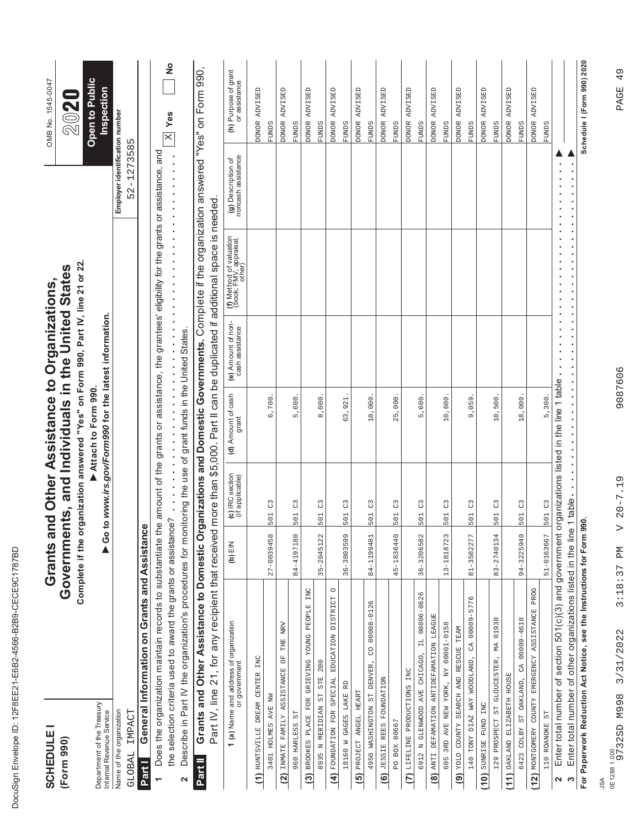| Í<br>۱           |
|------------------|
| Í<br>١<br>ı      |
| ¢                |
| ı<br>Ç           |
| ١<br>l           |
| Ó<br>l           |
| ĺ<br>l<br>O      |
| ¢                |
| ı<br>ı<br>Ì      |
| ı<br>i<br>I      |
| Ì<br>l<br>l      |
| Ì                |
| I<br>ı<br>ı      |
| Ì<br>í<br>Ī      |
| ١                |
| l<br>l<br>ı<br>I |
| Ó                |
| l                |
| ı                |
|                  |
| í                |
|                  |
| I                |
| ١                |
| I<br>l           |
|                  |
| Í                |

| Schedule I (Form 990) 2020<br>ž<br>Grants and Other Assistance to Domestic Organizations and Domestic Governments. Complete if the organization answered "Yes" on Form 990,<br>(h) Purpose of grant<br>or assistance<br>Inspection<br>ADVISED<br>ADVISED<br>ADVISED<br>ADVISED<br>ADVISED<br>ADVISED<br>ADVISED<br><b>ADVISED</b><br>ADVISED<br>ADVISED<br>ADVISED<br>ADVISED<br>Employer identification number<br>$\mathbb{X}$ Yes<br><b>DONOR</b><br><b>DONOR</b><br><b>DONOR</b><br><b>DONOR</b><br><b>DONOR</b><br><b>DONOR</b><br><b>DONOR</b><br><b>DONOR</b><br><b>DONOR</b><br><b>DONOR</b><br><b>DONOR</b><br><b>DONOR</b><br><b>FUNDS</b><br><b>FUNDS</b><br><b>FUNDS</b><br><b>FUNDS</b><br><b>FUNDS</b><br><b>FUNDS</b><br><b>FUNDS</b><br><b>FUNDS</b><br><b>FUNDS</b><br><b>FUNDS</b><br><b>FUNDS</b><br><b>FUNDS</b><br>52-1273585<br>Does the organization maintain records to substantiate the amount of the grants or assistance, the grantees' eligibility for the grants or assistance, and<br>(g) Description of<br>noncash assistance<br>more than \$5,000. Part II can be duplicated if additional space is needed.<br>(f) Method of valuation<br>(book, FMV, appraisal,<br>other)<br>$\ddot{\cdot}$<br>o www.irs.gov/Form990 for the latest information.<br>$\begin{array}{c} \bullet \\ \bullet \\ \bullet \\ \bullet \end{array}$<br>(e) Amount of non-<br>cash assistance<br>Describe in Part IV the organization's procedures for monitoring the use of grant funds in the United States.<br>×<br>Enter total number of section 501(c)(3) and government organizations listed in the line 1 table<br>Attach to Form 990.<br>(d) Amount of cash<br>grant<br>10,600.<br>10,000.<br>18,000.<br>25,000<br>5,300<br>6,700<br>5,600<br>8,000<br>9,059<br>10,500<br>63,921<br>5,600<br>$\begin{array}{c} \bullet \\ \bullet \\ \bullet \\ \bullet \end{array}$<br>(c) IRC section<br>(if applicable)<br>Enter total number of other organizations listed in the line 1 table<br>501 C3<br>C3<br>$\mathcal{C}^3$<br>$\mathcal{C}^3$<br>$\mathcal{C}^3$<br>C <sub>3</sub><br>$\mathcal{C}^3$<br>$\mathbb{C}^3$<br>C3<br>C3<br>C<br>$\mathcal{C}^3$<br>501<br>501<br>501<br>501<br>501<br>501<br>501<br>501<br>501<br>501<br>501<br>the selection criteria used to award the grants or assistance?<br>For Paperwork Reduction Act Notice, see the Instructions for Form 990.<br>General Information on Grants and Assistance<br>60<br>Part IV, line 21, for any recipient that received<br>84-4197180<br>94-3225949<br>27-0039458<br>35-2045122<br>45-1836440<br>36-3206582<br>13-1818723<br>83-2740134<br>51-0163667<br>36-3803599<br>84-1199481<br>81-3582277<br>(b) $EIN$<br>$\circ$<br>(12) MONTGOMERY COUNTY EMERGENCY ASSISTANCE PROG<br>INC<br>6912 N GLENWOOD AVE CHICAGO, IL 00006-0626<br>SPECIAL EDUCATION DISTRICT<br>140 TONY DIAZ WAY WOODLAND, CA 00009-5776<br>CO 00008-0126<br>BROOKES PLACE FOR GRIEVING YOUNG PEOPLE<br>(8) ANTI DEFAMATION ANTIDEFAMATION LEAGUE<br>CA 00009-4618<br>01930<br><b>1 (a)</b> Name and address of organization<br>or government<br>605 3RD AVE NEW YORK, NY 00001-0158<br>THE NRV<br>(9) YOLO COUNTY SEARCH AND RESCUE TEAM<br>129 PROSPECT ST GLOUCESTER, MA<br>(2) INMATE FAMILY ASSISTANCE OF<br>(1) HUNTSVILLE DREAM CENTER INC<br>8935 N MERIDIAN ST STE 200<br>4950 WASHINGTON ST DENVER,<br>ONI SNOLTDUCORE ENLIFETT<br>OAKLAND ELIZABETH HOUSE<br>(6) JESIE REES FOUNDATION<br>6423 COLBY ST OAKLAND,<br>18160 W GAGES LAKE RD<br>$(5)$ PROJECT ANGEL HEART<br>3401 HOLMES AVE NW<br>SUNRISE FUND INC<br>Department of the Treasury<br>Internal Revenue Service<br>FOUNDATION FOR<br>Name of the organization<br>IMPACT<br>960 HARLESS ST<br>110 ROANOKE ST<br>PO BOX 80667<br>GLOBAL<br>Part II<br>Part I<br>$\widehat{4}$<br>(11)<br>$\boxed{3}$<br>(10)<br>$\infty$<br>$\mathbf{\Omega}$<br>$\mathbf{\tilde{z}}$ | <b>SCHEDULE1</b><br>(Form 990) |  | Complete if the organization answered "Yes" on Form 990, Part IV, line 21 or 22.<br>Governments, and Individuals in the United States<br>Grants and Other Assistance to Organizations, |  | OMB No. 1545-0047<br>2020 |
|------------------------------------------------------------------------------------------------------------------------------------------------------------------------------------------------------------------------------------------------------------------------------------------------------------------------------------------------------------------------------------------------------------------------------------------------------------------------------------------------------------------------------------------------------------------------------------------------------------------------------------------------------------------------------------------------------------------------------------------------------------------------------------------------------------------------------------------------------------------------------------------------------------------------------------------------------------------------------------------------------------------------------------------------------------------------------------------------------------------------------------------------------------------------------------------------------------------------------------------------------------------------------------------------------------------------------------------------------------------------------------------------------------------------------------------------------------------------------------------------------------------------------------------------------------------------------------------------------------------------------------------------------------------------------------------------------------------------------------------------------------------------------------------------------------------------------------------------------------------------------------------------------------------------------------------------------------------------------------------------------------------------------------------------------------------------------------------------------------------------------------------------------------------------------------------------------------------------------------------------------------------------------------------------------------------------------------------------------------------------------------------------------------------------------------------------------------------------------------------------------------------------------------------------------------------------------------------------------------------------------------------------------------------------------------------------------------------------------------------------------------------------------------------------------------------------------------------------------------------------------------------------------------------------------------------------------------------------------------------------------------------------------------------------------------------------------------------------------------------------------------------------------------------------------------------------------------------------------------------------------------------------------------------------------------------------------------------------------------------------------------------------------------------------------------------------------------------------------------------------------------------------------------------------------------------------------------------------------------------------------------------------------------------------------------------------------------------------------------------------------------------------------------------------------------------------------------------------------------------------------------------------|--------------------------------|--|----------------------------------------------------------------------------------------------------------------------------------------------------------------------------------------|--|---------------------------|
|                                                                                                                                                                                                                                                                                                                                                                                                                                                                                                                                                                                                                                                                                                                                                                                                                                                                                                                                                                                                                                                                                                                                                                                                                                                                                                                                                                                                                                                                                                                                                                                                                                                                                                                                                                                                                                                                                                                                                                                                                                                                                                                                                                                                                                                                                                                                                                                                                                                                                                                                                                                                                                                                                                                                                                                                                                                                                                                                                                                                                                                                                                                                                                                                                                                                                                                                                                                                                                                                                                                                                                                                                                                                                                                                                                                                                                                                                                |                                |  |                                                                                                                                                                                        |  | Open to Public            |
|                                                                                                                                                                                                                                                                                                                                                                                                                                                                                                                                                                                                                                                                                                                                                                                                                                                                                                                                                                                                                                                                                                                                                                                                                                                                                                                                                                                                                                                                                                                                                                                                                                                                                                                                                                                                                                                                                                                                                                                                                                                                                                                                                                                                                                                                                                                                                                                                                                                                                                                                                                                                                                                                                                                                                                                                                                                                                                                                                                                                                                                                                                                                                                                                                                                                                                                                                                                                                                                                                                                                                                                                                                                                                                                                                                                                                                                                                                |                                |  |                                                                                                                                                                                        |  |                           |
|                                                                                                                                                                                                                                                                                                                                                                                                                                                                                                                                                                                                                                                                                                                                                                                                                                                                                                                                                                                                                                                                                                                                                                                                                                                                                                                                                                                                                                                                                                                                                                                                                                                                                                                                                                                                                                                                                                                                                                                                                                                                                                                                                                                                                                                                                                                                                                                                                                                                                                                                                                                                                                                                                                                                                                                                                                                                                                                                                                                                                                                                                                                                                                                                                                                                                                                                                                                                                                                                                                                                                                                                                                                                                                                                                                                                                                                                                                |                                |  |                                                                                                                                                                                        |  |                           |
|                                                                                                                                                                                                                                                                                                                                                                                                                                                                                                                                                                                                                                                                                                                                                                                                                                                                                                                                                                                                                                                                                                                                                                                                                                                                                                                                                                                                                                                                                                                                                                                                                                                                                                                                                                                                                                                                                                                                                                                                                                                                                                                                                                                                                                                                                                                                                                                                                                                                                                                                                                                                                                                                                                                                                                                                                                                                                                                                                                                                                                                                                                                                                                                                                                                                                                                                                                                                                                                                                                                                                                                                                                                                                                                                                                                                                                                                                                |                                |  |                                                                                                                                                                                        |  |                           |
|                                                                                                                                                                                                                                                                                                                                                                                                                                                                                                                                                                                                                                                                                                                                                                                                                                                                                                                                                                                                                                                                                                                                                                                                                                                                                                                                                                                                                                                                                                                                                                                                                                                                                                                                                                                                                                                                                                                                                                                                                                                                                                                                                                                                                                                                                                                                                                                                                                                                                                                                                                                                                                                                                                                                                                                                                                                                                                                                                                                                                                                                                                                                                                                                                                                                                                                                                                                                                                                                                                                                                                                                                                                                                                                                                                                                                                                                                                |                                |  |                                                                                                                                                                                        |  |                           |
|                                                                                                                                                                                                                                                                                                                                                                                                                                                                                                                                                                                                                                                                                                                                                                                                                                                                                                                                                                                                                                                                                                                                                                                                                                                                                                                                                                                                                                                                                                                                                                                                                                                                                                                                                                                                                                                                                                                                                                                                                                                                                                                                                                                                                                                                                                                                                                                                                                                                                                                                                                                                                                                                                                                                                                                                                                                                                                                                                                                                                                                                                                                                                                                                                                                                                                                                                                                                                                                                                                                                                                                                                                                                                                                                                                                                                                                                                                |                                |  |                                                                                                                                                                                        |  |                           |
|                                                                                                                                                                                                                                                                                                                                                                                                                                                                                                                                                                                                                                                                                                                                                                                                                                                                                                                                                                                                                                                                                                                                                                                                                                                                                                                                                                                                                                                                                                                                                                                                                                                                                                                                                                                                                                                                                                                                                                                                                                                                                                                                                                                                                                                                                                                                                                                                                                                                                                                                                                                                                                                                                                                                                                                                                                                                                                                                                                                                                                                                                                                                                                                                                                                                                                                                                                                                                                                                                                                                                                                                                                                                                                                                                                                                                                                                                                |                                |  |                                                                                                                                                                                        |  |                           |
|                                                                                                                                                                                                                                                                                                                                                                                                                                                                                                                                                                                                                                                                                                                                                                                                                                                                                                                                                                                                                                                                                                                                                                                                                                                                                                                                                                                                                                                                                                                                                                                                                                                                                                                                                                                                                                                                                                                                                                                                                                                                                                                                                                                                                                                                                                                                                                                                                                                                                                                                                                                                                                                                                                                                                                                                                                                                                                                                                                                                                                                                                                                                                                                                                                                                                                                                                                                                                                                                                                                                                                                                                                                                                                                                                                                                                                                                                                |                                |  |                                                                                                                                                                                        |  |                           |
|                                                                                                                                                                                                                                                                                                                                                                                                                                                                                                                                                                                                                                                                                                                                                                                                                                                                                                                                                                                                                                                                                                                                                                                                                                                                                                                                                                                                                                                                                                                                                                                                                                                                                                                                                                                                                                                                                                                                                                                                                                                                                                                                                                                                                                                                                                                                                                                                                                                                                                                                                                                                                                                                                                                                                                                                                                                                                                                                                                                                                                                                                                                                                                                                                                                                                                                                                                                                                                                                                                                                                                                                                                                                                                                                                                                                                                                                                                |                                |  |                                                                                                                                                                                        |  |                           |
|                                                                                                                                                                                                                                                                                                                                                                                                                                                                                                                                                                                                                                                                                                                                                                                                                                                                                                                                                                                                                                                                                                                                                                                                                                                                                                                                                                                                                                                                                                                                                                                                                                                                                                                                                                                                                                                                                                                                                                                                                                                                                                                                                                                                                                                                                                                                                                                                                                                                                                                                                                                                                                                                                                                                                                                                                                                                                                                                                                                                                                                                                                                                                                                                                                                                                                                                                                                                                                                                                                                                                                                                                                                                                                                                                                                                                                                                                                |                                |  |                                                                                                                                                                                        |  |                           |
|                                                                                                                                                                                                                                                                                                                                                                                                                                                                                                                                                                                                                                                                                                                                                                                                                                                                                                                                                                                                                                                                                                                                                                                                                                                                                                                                                                                                                                                                                                                                                                                                                                                                                                                                                                                                                                                                                                                                                                                                                                                                                                                                                                                                                                                                                                                                                                                                                                                                                                                                                                                                                                                                                                                                                                                                                                                                                                                                                                                                                                                                                                                                                                                                                                                                                                                                                                                                                                                                                                                                                                                                                                                                                                                                                                                                                                                                                                |                                |  |                                                                                                                                                                                        |  |                           |
|                                                                                                                                                                                                                                                                                                                                                                                                                                                                                                                                                                                                                                                                                                                                                                                                                                                                                                                                                                                                                                                                                                                                                                                                                                                                                                                                                                                                                                                                                                                                                                                                                                                                                                                                                                                                                                                                                                                                                                                                                                                                                                                                                                                                                                                                                                                                                                                                                                                                                                                                                                                                                                                                                                                                                                                                                                                                                                                                                                                                                                                                                                                                                                                                                                                                                                                                                                                                                                                                                                                                                                                                                                                                                                                                                                                                                                                                                                |                                |  |                                                                                                                                                                                        |  |                           |
|                                                                                                                                                                                                                                                                                                                                                                                                                                                                                                                                                                                                                                                                                                                                                                                                                                                                                                                                                                                                                                                                                                                                                                                                                                                                                                                                                                                                                                                                                                                                                                                                                                                                                                                                                                                                                                                                                                                                                                                                                                                                                                                                                                                                                                                                                                                                                                                                                                                                                                                                                                                                                                                                                                                                                                                                                                                                                                                                                                                                                                                                                                                                                                                                                                                                                                                                                                                                                                                                                                                                                                                                                                                                                                                                                                                                                                                                                                |                                |  |                                                                                                                                                                                        |  |                           |
|                                                                                                                                                                                                                                                                                                                                                                                                                                                                                                                                                                                                                                                                                                                                                                                                                                                                                                                                                                                                                                                                                                                                                                                                                                                                                                                                                                                                                                                                                                                                                                                                                                                                                                                                                                                                                                                                                                                                                                                                                                                                                                                                                                                                                                                                                                                                                                                                                                                                                                                                                                                                                                                                                                                                                                                                                                                                                                                                                                                                                                                                                                                                                                                                                                                                                                                                                                                                                                                                                                                                                                                                                                                                                                                                                                                                                                                                                                |                                |  |                                                                                                                                                                                        |  |                           |
|                                                                                                                                                                                                                                                                                                                                                                                                                                                                                                                                                                                                                                                                                                                                                                                                                                                                                                                                                                                                                                                                                                                                                                                                                                                                                                                                                                                                                                                                                                                                                                                                                                                                                                                                                                                                                                                                                                                                                                                                                                                                                                                                                                                                                                                                                                                                                                                                                                                                                                                                                                                                                                                                                                                                                                                                                                                                                                                                                                                                                                                                                                                                                                                                                                                                                                                                                                                                                                                                                                                                                                                                                                                                                                                                                                                                                                                                                                |                                |  |                                                                                                                                                                                        |  |                           |
|                                                                                                                                                                                                                                                                                                                                                                                                                                                                                                                                                                                                                                                                                                                                                                                                                                                                                                                                                                                                                                                                                                                                                                                                                                                                                                                                                                                                                                                                                                                                                                                                                                                                                                                                                                                                                                                                                                                                                                                                                                                                                                                                                                                                                                                                                                                                                                                                                                                                                                                                                                                                                                                                                                                                                                                                                                                                                                                                                                                                                                                                                                                                                                                                                                                                                                                                                                                                                                                                                                                                                                                                                                                                                                                                                                                                                                                                                                |                                |  |                                                                                                                                                                                        |  |                           |
|                                                                                                                                                                                                                                                                                                                                                                                                                                                                                                                                                                                                                                                                                                                                                                                                                                                                                                                                                                                                                                                                                                                                                                                                                                                                                                                                                                                                                                                                                                                                                                                                                                                                                                                                                                                                                                                                                                                                                                                                                                                                                                                                                                                                                                                                                                                                                                                                                                                                                                                                                                                                                                                                                                                                                                                                                                                                                                                                                                                                                                                                                                                                                                                                                                                                                                                                                                                                                                                                                                                                                                                                                                                                                                                                                                                                                                                                                                |                                |  |                                                                                                                                                                                        |  |                           |
|                                                                                                                                                                                                                                                                                                                                                                                                                                                                                                                                                                                                                                                                                                                                                                                                                                                                                                                                                                                                                                                                                                                                                                                                                                                                                                                                                                                                                                                                                                                                                                                                                                                                                                                                                                                                                                                                                                                                                                                                                                                                                                                                                                                                                                                                                                                                                                                                                                                                                                                                                                                                                                                                                                                                                                                                                                                                                                                                                                                                                                                                                                                                                                                                                                                                                                                                                                                                                                                                                                                                                                                                                                                                                                                                                                                                                                                                                                |                                |  |                                                                                                                                                                                        |  |                           |
|                                                                                                                                                                                                                                                                                                                                                                                                                                                                                                                                                                                                                                                                                                                                                                                                                                                                                                                                                                                                                                                                                                                                                                                                                                                                                                                                                                                                                                                                                                                                                                                                                                                                                                                                                                                                                                                                                                                                                                                                                                                                                                                                                                                                                                                                                                                                                                                                                                                                                                                                                                                                                                                                                                                                                                                                                                                                                                                                                                                                                                                                                                                                                                                                                                                                                                                                                                                                                                                                                                                                                                                                                                                                                                                                                                                                                                                                                                |                                |  |                                                                                                                                                                                        |  |                           |
|                                                                                                                                                                                                                                                                                                                                                                                                                                                                                                                                                                                                                                                                                                                                                                                                                                                                                                                                                                                                                                                                                                                                                                                                                                                                                                                                                                                                                                                                                                                                                                                                                                                                                                                                                                                                                                                                                                                                                                                                                                                                                                                                                                                                                                                                                                                                                                                                                                                                                                                                                                                                                                                                                                                                                                                                                                                                                                                                                                                                                                                                                                                                                                                                                                                                                                                                                                                                                                                                                                                                                                                                                                                                                                                                                                                                                                                                                                |                                |  |                                                                                                                                                                                        |  |                           |
|                                                                                                                                                                                                                                                                                                                                                                                                                                                                                                                                                                                                                                                                                                                                                                                                                                                                                                                                                                                                                                                                                                                                                                                                                                                                                                                                                                                                                                                                                                                                                                                                                                                                                                                                                                                                                                                                                                                                                                                                                                                                                                                                                                                                                                                                                                                                                                                                                                                                                                                                                                                                                                                                                                                                                                                                                                                                                                                                                                                                                                                                                                                                                                                                                                                                                                                                                                                                                                                                                                                                                                                                                                                                                                                                                                                                                                                                                                |                                |  |                                                                                                                                                                                        |  |                           |
|                                                                                                                                                                                                                                                                                                                                                                                                                                                                                                                                                                                                                                                                                                                                                                                                                                                                                                                                                                                                                                                                                                                                                                                                                                                                                                                                                                                                                                                                                                                                                                                                                                                                                                                                                                                                                                                                                                                                                                                                                                                                                                                                                                                                                                                                                                                                                                                                                                                                                                                                                                                                                                                                                                                                                                                                                                                                                                                                                                                                                                                                                                                                                                                                                                                                                                                                                                                                                                                                                                                                                                                                                                                                                                                                                                                                                                                                                                |                                |  |                                                                                                                                                                                        |  |                           |
|                                                                                                                                                                                                                                                                                                                                                                                                                                                                                                                                                                                                                                                                                                                                                                                                                                                                                                                                                                                                                                                                                                                                                                                                                                                                                                                                                                                                                                                                                                                                                                                                                                                                                                                                                                                                                                                                                                                                                                                                                                                                                                                                                                                                                                                                                                                                                                                                                                                                                                                                                                                                                                                                                                                                                                                                                                                                                                                                                                                                                                                                                                                                                                                                                                                                                                                                                                                                                                                                                                                                                                                                                                                                                                                                                                                                                                                                                                |                                |  |                                                                                                                                                                                        |  |                           |
|                                                                                                                                                                                                                                                                                                                                                                                                                                                                                                                                                                                                                                                                                                                                                                                                                                                                                                                                                                                                                                                                                                                                                                                                                                                                                                                                                                                                                                                                                                                                                                                                                                                                                                                                                                                                                                                                                                                                                                                                                                                                                                                                                                                                                                                                                                                                                                                                                                                                                                                                                                                                                                                                                                                                                                                                                                                                                                                                                                                                                                                                                                                                                                                                                                                                                                                                                                                                                                                                                                                                                                                                                                                                                                                                                                                                                                                                                                |                                |  |                                                                                                                                                                                        |  |                           |
|                                                                                                                                                                                                                                                                                                                                                                                                                                                                                                                                                                                                                                                                                                                                                                                                                                                                                                                                                                                                                                                                                                                                                                                                                                                                                                                                                                                                                                                                                                                                                                                                                                                                                                                                                                                                                                                                                                                                                                                                                                                                                                                                                                                                                                                                                                                                                                                                                                                                                                                                                                                                                                                                                                                                                                                                                                                                                                                                                                                                                                                                                                                                                                                                                                                                                                                                                                                                                                                                                                                                                                                                                                                                                                                                                                                                                                                                                                |                                |  |                                                                                                                                                                                        |  |                           |
|                                                                                                                                                                                                                                                                                                                                                                                                                                                                                                                                                                                                                                                                                                                                                                                                                                                                                                                                                                                                                                                                                                                                                                                                                                                                                                                                                                                                                                                                                                                                                                                                                                                                                                                                                                                                                                                                                                                                                                                                                                                                                                                                                                                                                                                                                                                                                                                                                                                                                                                                                                                                                                                                                                                                                                                                                                                                                                                                                                                                                                                                                                                                                                                                                                                                                                                                                                                                                                                                                                                                                                                                                                                                                                                                                                                                                                                                                                |                                |  |                                                                                                                                                                                        |  |                           |
|                                                                                                                                                                                                                                                                                                                                                                                                                                                                                                                                                                                                                                                                                                                                                                                                                                                                                                                                                                                                                                                                                                                                                                                                                                                                                                                                                                                                                                                                                                                                                                                                                                                                                                                                                                                                                                                                                                                                                                                                                                                                                                                                                                                                                                                                                                                                                                                                                                                                                                                                                                                                                                                                                                                                                                                                                                                                                                                                                                                                                                                                                                                                                                                                                                                                                                                                                                                                                                                                                                                                                                                                                                                                                                                                                                                                                                                                                                |                                |  |                                                                                                                                                                                        |  |                           |
|                                                                                                                                                                                                                                                                                                                                                                                                                                                                                                                                                                                                                                                                                                                                                                                                                                                                                                                                                                                                                                                                                                                                                                                                                                                                                                                                                                                                                                                                                                                                                                                                                                                                                                                                                                                                                                                                                                                                                                                                                                                                                                                                                                                                                                                                                                                                                                                                                                                                                                                                                                                                                                                                                                                                                                                                                                                                                                                                                                                                                                                                                                                                                                                                                                                                                                                                                                                                                                                                                                                                                                                                                                                                                                                                                                                                                                                                                                |                                |  |                                                                                                                                                                                        |  |                           |
|                                                                                                                                                                                                                                                                                                                                                                                                                                                                                                                                                                                                                                                                                                                                                                                                                                                                                                                                                                                                                                                                                                                                                                                                                                                                                                                                                                                                                                                                                                                                                                                                                                                                                                                                                                                                                                                                                                                                                                                                                                                                                                                                                                                                                                                                                                                                                                                                                                                                                                                                                                                                                                                                                                                                                                                                                                                                                                                                                                                                                                                                                                                                                                                                                                                                                                                                                                                                                                                                                                                                                                                                                                                                                                                                                                                                                                                                                                |                                |  |                                                                                                                                                                                        |  |                           |
|                                                                                                                                                                                                                                                                                                                                                                                                                                                                                                                                                                                                                                                                                                                                                                                                                                                                                                                                                                                                                                                                                                                                                                                                                                                                                                                                                                                                                                                                                                                                                                                                                                                                                                                                                                                                                                                                                                                                                                                                                                                                                                                                                                                                                                                                                                                                                                                                                                                                                                                                                                                                                                                                                                                                                                                                                                                                                                                                                                                                                                                                                                                                                                                                                                                                                                                                                                                                                                                                                                                                                                                                                                                                                                                                                                                                                                                                                                |                                |  |                                                                                                                                                                                        |  |                           |
|                                                                                                                                                                                                                                                                                                                                                                                                                                                                                                                                                                                                                                                                                                                                                                                                                                                                                                                                                                                                                                                                                                                                                                                                                                                                                                                                                                                                                                                                                                                                                                                                                                                                                                                                                                                                                                                                                                                                                                                                                                                                                                                                                                                                                                                                                                                                                                                                                                                                                                                                                                                                                                                                                                                                                                                                                                                                                                                                                                                                                                                                                                                                                                                                                                                                                                                                                                                                                                                                                                                                                                                                                                                                                                                                                                                                                                                                                                |                                |  |                                                                                                                                                                                        |  |                           |
|                                                                                                                                                                                                                                                                                                                                                                                                                                                                                                                                                                                                                                                                                                                                                                                                                                                                                                                                                                                                                                                                                                                                                                                                                                                                                                                                                                                                                                                                                                                                                                                                                                                                                                                                                                                                                                                                                                                                                                                                                                                                                                                                                                                                                                                                                                                                                                                                                                                                                                                                                                                                                                                                                                                                                                                                                                                                                                                                                                                                                                                                                                                                                                                                                                                                                                                                                                                                                                                                                                                                                                                                                                                                                                                                                                                                                                                                                                |                                |  |                                                                                                                                                                                        |  |                           |
|                                                                                                                                                                                                                                                                                                                                                                                                                                                                                                                                                                                                                                                                                                                                                                                                                                                                                                                                                                                                                                                                                                                                                                                                                                                                                                                                                                                                                                                                                                                                                                                                                                                                                                                                                                                                                                                                                                                                                                                                                                                                                                                                                                                                                                                                                                                                                                                                                                                                                                                                                                                                                                                                                                                                                                                                                                                                                                                                                                                                                                                                                                                                                                                                                                                                                                                                                                                                                                                                                                                                                                                                                                                                                                                                                                                                                                                                                                |                                |  |                                                                                                                                                                                        |  |                           |
|                                                                                                                                                                                                                                                                                                                                                                                                                                                                                                                                                                                                                                                                                                                                                                                                                                                                                                                                                                                                                                                                                                                                                                                                                                                                                                                                                                                                                                                                                                                                                                                                                                                                                                                                                                                                                                                                                                                                                                                                                                                                                                                                                                                                                                                                                                                                                                                                                                                                                                                                                                                                                                                                                                                                                                                                                                                                                                                                                                                                                                                                                                                                                                                                                                                                                                                                                                                                                                                                                                                                                                                                                                                                                                                                                                                                                                                                                                |                                |  |                                                                                                                                                                                        |  |                           |
|                                                                                                                                                                                                                                                                                                                                                                                                                                                                                                                                                                                                                                                                                                                                                                                                                                                                                                                                                                                                                                                                                                                                                                                                                                                                                                                                                                                                                                                                                                                                                                                                                                                                                                                                                                                                                                                                                                                                                                                                                                                                                                                                                                                                                                                                                                                                                                                                                                                                                                                                                                                                                                                                                                                                                                                                                                                                                                                                                                                                                                                                                                                                                                                                                                                                                                                                                                                                                                                                                                                                                                                                                                                                                                                                                                                                                                                                                                |                                |  |                                                                                                                                                                                        |  |                           |

PAGE 49

9087606

9732SD M998 3/31/2022 3:18:37 PM V 20-7.19 9087606 PAGE 49  $V 20 - 7.19$ 3:18:37 PM JSA<br>0E12881.000<br>9732SD M998 3/31/2022 0E1288 1.000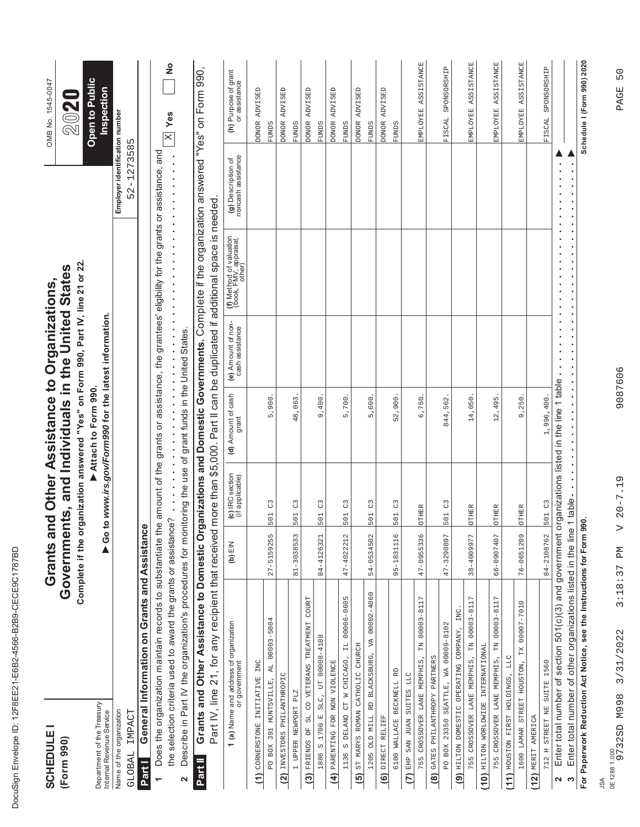| Ĺ<br>J                                                                                                              |
|---------------------------------------------------------------------------------------------------------------------|
| ĺ<br>١<br>ı                                                                                                         |
| d<br>ı                                                                                                              |
| O<br>۱                                                                                                              |
| ١                                                                                                                   |
| l<br>¢<br>l                                                                                                         |
| I<br>¢                                                                                                              |
| I<br>١                                                                                                              |
| Í<br>ı<br>١                                                                                                         |
| ı                                                                                                                   |
| Ì<br>d                                                                                                              |
| I<br>l                                                                                                              |
| Ì<br>I                                                                                                              |
| ı<br>¢                                                                                                              |
| ĺ<br>ı                                                                                                              |
| l<br>I<br>l<br>J<br>l                                                                                               |
| I                                                                                                                   |
| Ì                                                                                                                   |
| ı<br>Ó                                                                                                              |
| ı<br>Ì                                                                                                              |
|                                                                                                                     |
| ı<br>١                                                                                                              |
|                                                                                                                     |
| ĺ<br>and the state of the state of the state of the state of the state of the state of the state of the state of th |
|                                                                                                                     |
| ١<br>Ó<br>֠                                                                                                         |
|                                                                                                                     |
| ı                                                                                                                   |

| <b>SCHEDULE</b><br>(Form 990)                          |                                                                                                                                                            | Grants a    |                                    | Complete if the organization answered "Yes" on Form 990, Part IV, line 21 or 22.<br>Governments, and Individuals in the United States<br>nd Other Assistance to Organizations, |                                       |                                                                             |                                              | OMB No. 1545-0047<br>2020             |
|--------------------------------------------------------|------------------------------------------------------------------------------------------------------------------------------------------------------------|-------------|------------------------------------|--------------------------------------------------------------------------------------------------------------------------------------------------------------------------------|---------------------------------------|-----------------------------------------------------------------------------|----------------------------------------------|---------------------------------------|
| Department of the Treasury<br>Internal Revenue Service |                                                                                                                                                            | 60          |                                    | to www.irs.gov/Form990 for the latest information.<br>Attach to Form 990.                                                                                                      |                                       |                                                                             |                                              | Open to Public<br>Inspection          |
| IMPACT<br>Name of the organization<br>GLOBAL           |                                                                                                                                                            |             |                                    |                                                                                                                                                                                |                                       |                                                                             | Employer identification number<br>52-1273585 |                                       |
| Part I                                                 | General Information on Grants and Assistanc                                                                                                                | بهِ         |                                    |                                                                                                                                                                                |                                       |                                                                             |                                              |                                       |
| ٣                                                      | Does the organization maintain records to substantiate the amount of the grants or assistance, the grantees' eligibility for the grants or assistance, and |             |                                    |                                                                                                                                                                                |                                       |                                                                             |                                              |                                       |
| 2                                                      | Describe in Part IV the organization's procedures for monitoring the use of grant funds in the United States.                                              |             |                                    |                                                                                                                                                                                |                                       |                                                                             |                                              | $\frac{1}{2}$<br>$\mathbb{X}$ Yes     |
| Part II                                                | Grants and Other Assistance to Domestic Organizations and Domestic Governments. Complete if the organization answered "Yes" on Form 990,                   |             |                                    |                                                                                                                                                                                |                                       |                                                                             |                                              |                                       |
|                                                        | Part IV, line 21, for any recipient that received                                                                                                          |             |                                    |                                                                                                                                                                                |                                       | more than \$5,000. Part II can be duplicated if additional space is needed. |                                              |                                       |
|                                                        | <b>1 (a)</b> Name and address of organization<br>or government                                                                                             | $(D)$ $EIN$ | (c) IRC section<br>(if applicable) | (d) Amount of cash<br>grant                                                                                                                                                    | (e) Amount of non-<br>cash assistance | (f) Method of valuation<br>(book, FMV, appraisal,<br>other)                 | (g) Description of<br>noncash assistance     | (h) Purpose of grant<br>or assistance |
| (1) CORNERSTONE INITIATIVE INC                         |                                                                                                                                                            |             |                                    |                                                                                                                                                                                |                                       |                                                                             |                                              | DONOR ADVISED                         |
| PO BOX 391 HUNTSVILLE,                                 | 00003-5804<br>AL                                                                                                                                           | 27-5159255  | $\mathbb{C}^2$<br>501              | 5,900                                                                                                                                                                          |                                       |                                                                             |                                              | <b>FUNDS</b>                          |
| (2) INVESTORS PHILANTHROPIC                            |                                                                                                                                                            |             |                                    |                                                                                                                                                                                |                                       |                                                                             |                                              | ADVISED<br><b>DONOR</b>               |
| 1 UPPER NEWPORT PLZ                                    |                                                                                                                                                            | 81-3038533  | $\mathcal{C}^3$<br>501             | 48,063                                                                                                                                                                         |                                       |                                                                             |                                              | <b>FUNDS</b>                          |
| FRIENDS OF<br>$\overline{c}$                           | SL CO VETERANS TREATMENT COURT                                                                                                                             |             |                                    |                                                                                                                                                                                |                                       |                                                                             |                                              | <b>ADVISED</b><br><b>DONOR</b>        |
| 1886                                                   | S 1700 E SLC, UT 00008-4108                                                                                                                                | 84-4126321  | $\mathbb{C}^2$<br>501              | 9,400.                                                                                                                                                                         |                                       |                                                                             |                                              | <b>FUNDS</b>                          |
| PARENTING FOR NON VIOLENCE<br>$\widehat{4}$            |                                                                                                                                                            |             |                                    |                                                                                                                                                                                |                                       |                                                                             |                                              | DONOR ADVISED                         |
| S DELANO CT W CHICAGO,<br>1136                         | IL 00006-0605                                                                                                                                              | 47-4022212  | $\mathcal{C}^3$<br>501             | 5,700                                                                                                                                                                          |                                       |                                                                             |                                              | <b>EUNDS</b>                          |
| (5) ST MARYS ROMAN CATHOLIC CHURCH                     |                                                                                                                                                            |             |                                    |                                                                                                                                                                                |                                       |                                                                             |                                              | ADVISED<br><b>DONOR</b>               |
| 1205 OLD MILL RD                                       | 000002-4060<br>BLACKSBURG, VA                                                                                                                              | 54-0534502  | C <sup>3</sup><br>501              | 5,600                                                                                                                                                                          |                                       |                                                                             |                                              | <b>FUNDS</b>                          |
| $(6)$ DIRECT RELIEF                                    |                                                                                                                                                            |             |                                    |                                                                                                                                                                                |                                       |                                                                             |                                              | DONOR ADVISED                         |
| 6100 WALLACE                                           | BECKNELL RD                                                                                                                                                | 95-1831116  | $\mathcal{C}^3$<br>501             | 52,900                                                                                                                                                                         |                                       |                                                                             |                                              | <b>FUNDS</b>                          |
| EHP SAN JUAN SUITES LLC<br>$\widehat{\epsilon}$        |                                                                                                                                                            |             |                                    |                                                                                                                                                                                |                                       |                                                                             |                                              |                                       |
| 755 CROSSOVER LANE MEMPHIS,                            | TN 00003-8117                                                                                                                                              | 47-0955336  | <b>OTHER</b>                       | 6,750                                                                                                                                                                          |                                       |                                                                             |                                              | EMPLOYEE ASSISTANCE                   |
| GATES PHILANTHROPY PARTNERS<br>$\widehat{\mathbf{e}}$  |                                                                                                                                                            |             |                                    |                                                                                                                                                                                |                                       |                                                                             |                                              |                                       |
|                                                        | PO BOX 23350 SEATTLE, WA 00009-8102                                                                                                                        | 47-3290897  | $\mathcal{C}^3$<br>501             | 844,562                                                                                                                                                                        |                                       |                                                                             |                                              | FISCAL SPONSORSHIP                    |
| (9) HILTON DOMESTIC OPERATING COMPANY,                 | INC.                                                                                                                                                       |             |                                    |                                                                                                                                                                                |                                       |                                                                             |                                              |                                       |
|                                                        | 755 CROSSOVER LANE MEMPHIS, TN 00003-8117                                                                                                                  | 38-4009977  | <b>OTHER</b>                       | 14,050                                                                                                                                                                         |                                       |                                                                             |                                              | EMPLOYEE ASSISTANCE                   |
| (10) HILTON WORLDWIDE INTERNATIONAL                    |                                                                                                                                                            |             |                                    |                                                                                                                                                                                |                                       |                                                                             |                                              |                                       |
|                                                        | 755 CROSSOVER LANE MEMPHIS, TN 00003-8117                                                                                                                  | 66-0907407  | <b>OTHER</b>                       | 12,495                                                                                                                                                                         |                                       |                                                                             |                                              | EMPLOYEE ASSISTANCE                   |
| HOUSTON FIRST HOLDINGS, LLC<br>(11)                    |                                                                                                                                                            |             |                                    |                                                                                                                                                                                |                                       |                                                                             |                                              |                                       |
| 1600 LAMAR STREET HOUSTON,                             | 00007-7010<br>$\overline{\text{TX}}$                                                                                                                       | 76-0651209  | OTHER                              | 9,250                                                                                                                                                                          |                                       |                                                                             |                                              | EMPLOYEE ASSISTANCE                   |
| MERIT AMERICA<br>(12)                                  |                                                                                                                                                            |             |                                    |                                                                                                                                                                                |                                       |                                                                             |                                              |                                       |
| 712 H STREET NE SUITE 1560                             |                                                                                                                                                            | 84-2108762  | 501 C3                             | 1,996,400.                                                                                                                                                                     |                                       |                                                                             |                                              | FISCAL SPONSORSHIP                    |
| 2                                                      | Enter total number of section 501(c)(3) and government                                                                                                     |             |                                    | organizations listed in the line 1 table                                                                                                                                       | ×                                     |                                                                             |                                              |                                       |
| S                                                      | Enter total number of other organizations listed in the line 1 table.                                                                                      |             |                                    |                                                                                                                                                                                |                                       |                                                                             |                                              |                                       |
|                                                        | For Paperwork Reduction Act Notice, see the Instructions for Form 990.                                                                                     |             |                                    |                                                                                                                                                                                |                                       |                                                                             |                                              | Schedule I (Form 990) 2020            |
|                                                        |                                                                                                                                                            |             |                                    |                                                                                                                                                                                |                                       |                                                                             |                                              |                                       |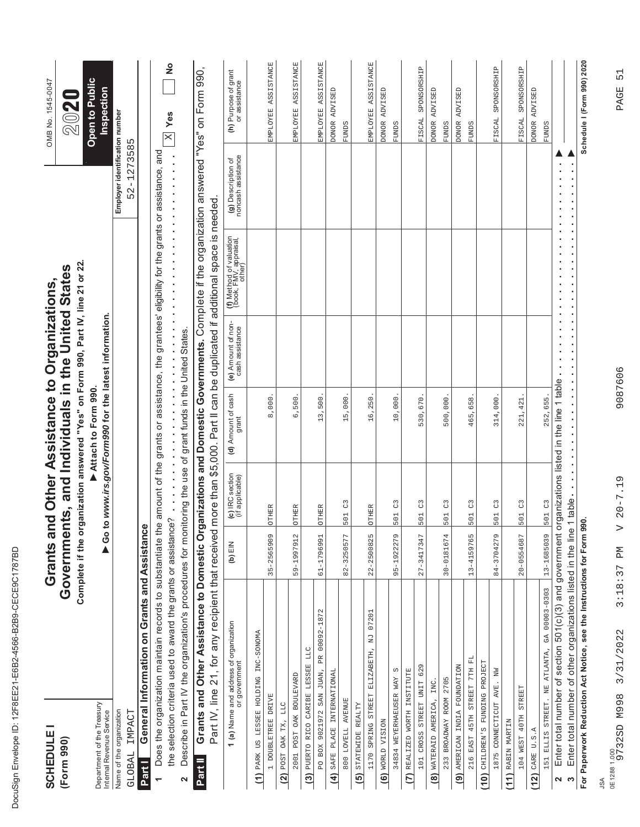| ĺ<br>J<br>ĺ<br>١<br>Ì<br>Ì<br>ı<br>I<br>¢<br>¢<br>l<br>¢<br>l<br>I<br>¢<br>l<br>I<br>١<br>Í<br>I<br>$\overline{\phantom{a}}$<br>ı<br>Ì<br>¢<br>ı<br>l<br>Ì<br>١<br>ı<br>ı<br>l<br>l<br>į<br>ı<br>I<br>ı<br>l<br>l<br>ı<br>l<br>Ì |
|----------------------------------------------------------------------------------------------------------------------------------------------------------------------------------------------------------------------------------|
|                                                                                                                                                                                                                                  |
| ı                                                                                                                                                                                                                                |
| ۱<br>١<br>l                                                                                                                                                                                                                      |
| ١                                                                                                                                                                                                                                |
| Ó                                                                                                                                                                                                                                |
|                                                                                                                                                                                                                                  |
| I                                                                                                                                                                                                                                |

| <b>SCHEDULE</b><br>(Form 990)                         |                                                                                                                                                                                                                                                                          | Complete if the org<br>Grants an |                                    | anization answered "Yes" on Form 990, Part IV, line 21 or 22.<br>Governments, and Individuals in the United States<br>d Other Assistance to Organizations, |                                       |                                                                                                 |                                          | OMB No. 1545-0047<br>2020             |
|-------------------------------------------------------|--------------------------------------------------------------------------------------------------------------------------------------------------------------------------------------------------------------------------------------------------------------------------|----------------------------------|------------------------------------|------------------------------------------------------------------------------------------------------------------------------------------------------------|---------------------------------------|-------------------------------------------------------------------------------------------------|------------------------------------------|---------------------------------------|
| Department of the Treasury<br>Intemal Revenue Service |                                                                                                                                                                                                                                                                          |                                  |                                    | Go to www.irs.gov/Form990 for the latest information.<br>Attach to Form 990.                                                                               |                                       |                                                                                                 |                                          | Open to Public<br>Inspection          |
| Name of the organization                              |                                                                                                                                                                                                                                                                          |                                  |                                    |                                                                                                                                                            |                                       |                                                                                                 | Employer identification number           |                                       |
| IMPACT<br>GLOBAL                                      | General Information on Grants and Assistance                                                                                                                                                                                                                             |                                  |                                    |                                                                                                                                                            |                                       |                                                                                                 | $2 - 1273585$<br>Ь٦                      |                                       |
| <b>Part I</b>                                         |                                                                                                                                                                                                                                                                          |                                  |                                    |                                                                                                                                                            |                                       |                                                                                                 |                                          |                                       |
|                                                       | Does the organization maintain records to substantiate the                                                                                                                                                                                                               |                                  | $\sim$                             |                                                                                                                                                            |                                       | amount of the grants or assistance, the grantees' eligibility for the grants or assistance, and |                                          | $\frac{1}{2}$<br>Yes<br>$\times$      |
| 2                                                     | the selection criteria used to award the grants or assistance<br>Describe in Part IV the organization's procedures for monit                                                                                                                                             |                                  | .                                  | toring the use of grant funds in the United States.<br>$\frac{1}{2}$<br>$\frac{1}{2}$                                                                      | $\frac{1}{2}$<br>$\frac{1}{2}$        |                                                                                                 |                                          |                                       |
| Part II                                               | Grants and Other Assistance to Domestic Organizations and Domestic Governments. Complete if the organization answered "Yes" on Form 990,<br>Part IV, line 21, for any recipient that received more than \$5,000. Part II can be duplicated if additional space is needed |                                  |                                    |                                                                                                                                                            |                                       |                                                                                                 |                                          |                                       |
|                                                       |                                                                                                                                                                                                                                                                          |                                  |                                    |                                                                                                                                                            |                                       |                                                                                                 |                                          |                                       |
|                                                       | <b>1 (a)</b> Name and address of organization<br>or government                                                                                                                                                                                                           | (b) $EIN$                        | (c) IRC section<br>(if applicable) | (d) Amount of cash<br>grant                                                                                                                                | (e) Amount of non-<br>cash assistance | (f) Method of valuation<br>(book, FMV, appraisal,<br>other)                                     | (g) Description of<br>noncash assistance | (h) Purpose of grant<br>or assistance |
| (1) PARK US LESSEE HOLDING                            | INC-SONOMA                                                                                                                                                                                                                                                               |                                  |                                    |                                                                                                                                                            |                                       |                                                                                                 |                                          |                                       |
| 1 DOUBLETREE DRIVE                                    |                                                                                                                                                                                                                                                                          | 35-2565909                       | OTHER                              | 8,000                                                                                                                                                      |                                       |                                                                                                 |                                          | EMPLOYEE ASSISTANCE                   |
| <b>LLC</b><br>TX,<br>$(2)$ POST OAK                   |                                                                                                                                                                                                                                                                          |                                  |                                    |                                                                                                                                                            |                                       |                                                                                                 |                                          |                                       |
| 2001 POST OAK BOULEVARD                               |                                                                                                                                                                                                                                                                          | 59-1997912                       | OTHER                              | 6,500                                                                                                                                                      |                                       |                                                                                                 |                                          | EMPLOYEE ASSISTANCE                   |
| (3) PUERTO RICO CARIBE LESSEE                         | LLC                                                                                                                                                                                                                                                                      |                                  |                                    |                                                                                                                                                            |                                       |                                                                                                 |                                          |                                       |
| PO BOX 9021972 SAN JUAN,                              | PR 00092-1872                                                                                                                                                                                                                                                            | 61-1796991                       | OTHER                              | 500<br>13,                                                                                                                                                 |                                       |                                                                                                 |                                          | EMPLOYEE ASSISTANCE                   |
| SAFE PLACE INTERNATIONAL<br>$\widehat{4}$             |                                                                                                                                                                                                                                                                          |                                  |                                    |                                                                                                                                                            |                                       |                                                                                                 |                                          | DONOR ADVISED                         |
| 800 LOVELL AVENUE                                     |                                                                                                                                                                                                                                                                          | 82-3250577                       | C3<br>501                          | 15,000                                                                                                                                                     |                                       |                                                                                                 |                                          | <b>FUNDS</b>                          |
| STATEWIDE REALTY<br>$\overline{5}$                    |                                                                                                                                                                                                                                                                          |                                  |                                    |                                                                                                                                                            |                                       |                                                                                                 |                                          |                                       |
|                                                       | 1170 SPRING STREET ELIZABETH, NJ 07201                                                                                                                                                                                                                                   | $22 - 2500825$                   | OTHER                              | 16,250                                                                                                                                                     |                                       |                                                                                                 |                                          | EMPLOYEE ASSISTANCE                   |
| (6) WORLD VISION                                      |                                                                                                                                                                                                                                                                          |                                  |                                    |                                                                                                                                                            |                                       |                                                                                                 |                                          | DONOR ADVISED                         |
| 34834 WEYERHAEUSER WAY                                | C)                                                                                                                                                                                                                                                                       | 95-1922279                       | C3<br>501<br>m                     | 10,000                                                                                                                                                     |                                       |                                                                                                 |                                          | <b>FUNDS</b>                          |
| (7) REALIZED WORTH INSTITUTE                          |                                                                                                                                                                                                                                                                          |                                  |                                    |                                                                                                                                                            |                                       |                                                                                                 |                                          |                                       |
| 101 CROSS STREET UNIT 629                             |                                                                                                                                                                                                                                                                          | 27-3417347                       | C3<br>501                          | 530,670                                                                                                                                                    |                                       |                                                                                                 |                                          | SPONSORSHIP<br>FISCAL                 |
| WATERAID AMERICA,<br>$\circledR$                      | INC.                                                                                                                                                                                                                                                                     |                                  |                                    |                                                                                                                                                            |                                       |                                                                                                 |                                          | DONOR ADVISED                         |
| 233 BROADWAY ROOM 2705                                |                                                                                                                                                                                                                                                                          | 30-0181674                       | C3<br>$\frac{1}{2}$<br><b>UD</b>   | 500,000                                                                                                                                                    |                                       |                                                                                                 |                                          | <b>FUNDS</b>                          |
| (9) AMERICAN INDIA FOUNDATION                         |                                                                                                                                                                                                                                                                          |                                  |                                    |                                                                                                                                                            |                                       |                                                                                                 |                                          | ADVISED<br><b>DONOR</b>               |
| 216 EAST 45TH STREET 7TH FL                           |                                                                                                                                                                                                                                                                          | 13-4159765                       | C3<br>501                          | 465,658                                                                                                                                                    |                                       |                                                                                                 |                                          | <b>FUNDS</b>                          |
| CHILDREN'S FUNDING PROJECT<br>(10)                    |                                                                                                                                                                                                                                                                          |                                  |                                    |                                                                                                                                                            |                                       |                                                                                                 |                                          |                                       |
| 1875 CONNECTICUT AVE.                                 | NW                                                                                                                                                                                                                                                                       | 84-3704279                       | $\mathcal{C}^3$<br>501             | 314,000                                                                                                                                                    |                                       |                                                                                                 |                                          | SPONSORSHIP<br>FISCAL                 |
| RABIN MARTIN<br>(11)                                  |                                                                                                                                                                                                                                                                          |                                  |                                    |                                                                                                                                                            |                                       |                                                                                                 |                                          |                                       |
| STREET<br>104 WEST 40TH                               |                                                                                                                                                                                                                                                                          | 20-0554687                       | C <sub>3</sub><br>501              | 221, 421                                                                                                                                                   |                                       |                                                                                                 |                                          | SPONSORSHIP<br>FISCAL                 |
| CARE U.S.A<br>(12)                                    |                                                                                                                                                                                                                                                                          |                                  |                                    |                                                                                                                                                            |                                       |                                                                                                 |                                          | DONOR ADVISED                         |
|                                                       | 151 ELLIS STREET. NE ATLANTA, GA 00003-0303                                                                                                                                                                                                                              | 13-1685039                       | 501 C3                             | 252,655                                                                                                                                                    |                                       |                                                                                                 |                                          | <b>FUNDS</b>                          |
| $\mathbf{\Omega}$                                     | Enter total number of section 501(c)(3) and government or                                                                                                                                                                                                                |                                  |                                    | ganizations listed in the line 1 table                                                                                                                     | ×<br>×                                |                                                                                                 |                                          |                                       |
| $\boldsymbol{\varsigma}$                              | Enter total number of other organizations listed in the line 1                                                                                                                                                                                                           |                                  | table.                             |                                                                                                                                                            | $\blacksquare$                        | $\blacksquare$                                                                                  |                                          |                                       |
|                                                       | For Paperwork Reduction Act Notice, see the Instructions for Form 990.                                                                                                                                                                                                   |                                  |                                    |                                                                                                                                                            |                                       |                                                                                                 |                                          | Schedule I (Form 990) 2020            |
|                                                       |                                                                                                                                                                                                                                                                          |                                  |                                    |                                                                                                                                                            |                                       |                                                                                                 |                                          |                                       |

9087606

9732SD M998 3/31/2022 3:18:37 PM V 20-7.19 9087606 PAGE 51  $V 20 - 7.19$ 3:18:37 PM JSA<br>0E12881.000<br>9732SD M998 3/31/2022 0E1288 1.000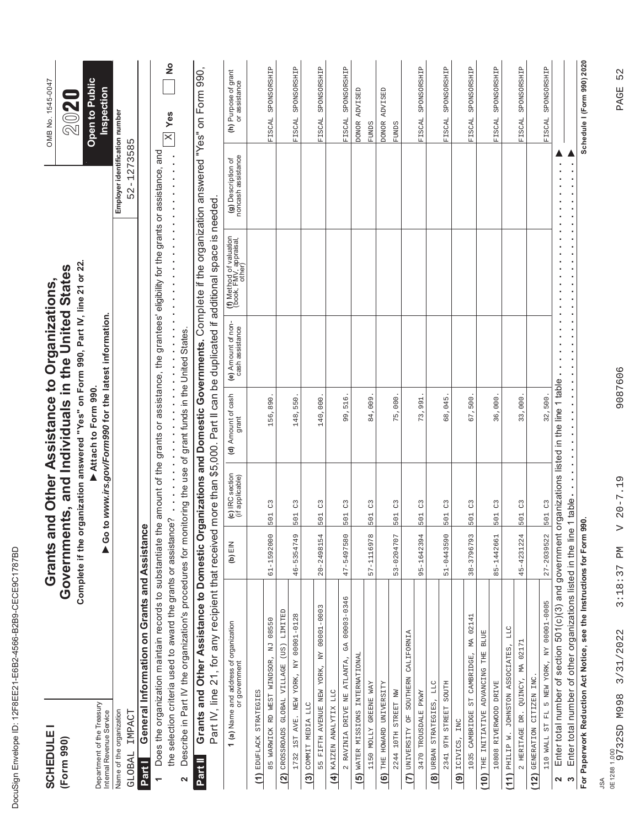| ı<br>I      |
|-------------|
| ١           |
| ֚֬<br>Ì     |
|             |
| ١           |
|             |
| I           |
| ¢<br>l<br>ĺ |
| ¢<br>l      |
| I<br>l      |
| ١<br>Í<br>ı |
| ١<br>ı      |
| I           |
| Ì<br>ĥ      |
| I           |
|             |
| ١<br>ı<br>I |
| Ì           |
| ī           |
| Ó           |
| I<br>I      |
| ı           |
| Ó<br>l<br>ı |
| ١           |
|             |
| Í<br>I<br>ı |
|             |
|             |
| ı<br>l      |
|             |
| ı           |
|             |
| ١           |
| I<br>l      |
|             |
|             |
| Í           |

| <b>SCHEDULE</b><br>(Form 990)                                      |                                                                                                                                                                                                                                                        |                  |                                       | Complete if the organization answered "Yes" on Form 990, Part IV, line 21 or 22.<br>Governments, and Individuals in the United States<br>Grants and Other Assistance to Organizations, |                                       |                                                                                                 |                                              | OMB No. 1545-0047<br>202              |
|--------------------------------------------------------------------|--------------------------------------------------------------------------------------------------------------------------------------------------------------------------------------------------------------------------------------------------------|------------------|---------------------------------------|----------------------------------------------------------------------------------------------------------------------------------------------------------------------------------------|---------------------------------------|-------------------------------------------------------------------------------------------------|----------------------------------------------|---------------------------------------|
| Department of the Treasury<br>Internal Revenue Service             |                                                                                                                                                                                                                                                        |                  |                                       | Go to www.irs.gov/Form990 for the latest information.<br>Attach to Form 990.                                                                                                           |                                       |                                                                                                 |                                              | Open to Public<br>Inspection          |
| IMPACT<br>Name of the organization<br>GLOBAL                       |                                                                                                                                                                                                                                                        |                  |                                       |                                                                                                                                                                                        |                                       |                                                                                                 | Employer identification number<br>52-1273585 |                                       |
| <b>Part I</b>                                                      | General Information on Grants and Assistance                                                                                                                                                                                                           |                  |                                       |                                                                                                                                                                                        |                                       |                                                                                                 |                                              |                                       |
|                                                                    | Does the organization maintain records to substantiate the<br>the selection criteria used to award the grants or assistance                                                                                                                            |                  |                                       |                                                                                                                                                                                        |                                       | amount of the grants or assistance, the grantees' eligibility for the grants or assistance, and |                                              | $\frac{1}{2}$<br>$\mathbb{X}$ Yes     |
| 2                                                                  |                                                                                                                                                                                                                                                        |                  | $\frac{1}{2}$                         |                                                                                                                                                                                        |                                       |                                                                                                 |                                              |                                       |
| Part II                                                            | Grants and Other Assistance to Domestic Organizations and Domestic Governments. Complete if the organization answered<br>Part IV, line 21, for any recipient that received more than \$5,000. Part II can be duplicated if additional space is needed. |                  |                                       |                                                                                                                                                                                        |                                       |                                                                                                 |                                              | "Yes" on Form 990,                    |
|                                                                    | <b>1 (a)</b> Name and address of organization<br>or government                                                                                                                                                                                         | (b) $EIN$        | (c) IRC section<br>(if applicable)    | (d) Amount of cash<br>grant                                                                                                                                                            | (e) Amount of non-<br>cash assistance | (f) Method of valuation<br>(book, FMV, appraisal,<br>other)                                     | (g) Description of<br>noncash assistance     | (h) Purpose of grant<br>or assistance |
| (1) EDUFLACK STRATEGIES                                            |                                                                                                                                                                                                                                                        |                  |                                       |                                                                                                                                                                                        |                                       |                                                                                                 |                                              |                                       |
|                                                                    | 85 WARWICK RD WEST WINDSOR, NJ 08550                                                                                                                                                                                                                   | 61-1592000       | C <sup>3</sup><br>501                 | 156,890.                                                                                                                                                                               |                                       |                                                                                                 |                                              | FISCAL SPONSORSHIP                    |
|                                                                    | (2) CROSSROADS GLOBAL VILLAGE (US) LIMITED<br>1732 1ST AVE. NEW YORK, NY 00001-0128                                                                                                                                                                    | 46-5354749       | C<br>$\frac{1}{2}$                    | 148,550                                                                                                                                                                                |                                       |                                                                                                 |                                              | FISCAL SPONSORSHIP                    |
| (3) COMMIT MEDIA LLC                                               |                                                                                                                                                                                                                                                        |                  |                                       |                                                                                                                                                                                        |                                       |                                                                                                 |                                              |                                       |
|                                                                    | 55 FIFTH AVENUE NEW YORK, NY 00001-00003                                                                                                                                                                                                               | $20 - 2498154$   | C <sup>3</sup><br>$\frac{1}{2}$<br>L۲ | 140,000                                                                                                                                                                                |                                       |                                                                                                 |                                              | FISCAL SPONSORSHIP                    |
| (4) KAIZEN ANALYTIX LLC                                            |                                                                                                                                                                                                                                                        |                  |                                       |                                                                                                                                                                                        |                                       |                                                                                                 |                                              |                                       |
| 2 RAVINIA DRIVE NE ATLANTA,                                        | GA 00003-0346                                                                                                                                                                                                                                          | 47-5497580       | $\mathcal{C}^3$<br>501                | 99,516                                                                                                                                                                                 |                                       |                                                                                                 |                                              | FISCAL SPONSORSHIP                    |
| (5) WATER MISSIONS INTERNATIONAL                                   |                                                                                                                                                                                                                                                        |                  |                                       |                                                                                                                                                                                        |                                       |                                                                                                 |                                              | DONOR ADVISED                         |
| 1150 MOLLY GREENE WAY                                              |                                                                                                                                                                                                                                                        | 57-1116978       | C<br>501                              | 84,009                                                                                                                                                                                 |                                       |                                                                                                 |                                              | <b>FUNDS</b>                          |
| THE HOWARD UNIVERSITY<br>$\widehat{S}$                             |                                                                                                                                                                                                                                                        |                  |                                       |                                                                                                                                                                                        |                                       |                                                                                                 |                                              | ADVISED<br><b>DONOR</b>               |
| 2244 10TH STREET NW                                                |                                                                                                                                                                                                                                                        | 53-0204707       | C <sup>3</sup><br>501                 | 75,000                                                                                                                                                                                 |                                       |                                                                                                 |                                              | <b>FUNDS</b>                          |
| (7) UNIVERSITY OF SOUTHERN CALIFORNIA                              |                                                                                                                                                                                                                                                        |                  |                                       |                                                                                                                                                                                        |                                       |                                                                                                 |                                              |                                       |
| 3470 TROUSDALE PKWY                                                |                                                                                                                                                                                                                                                        | 95-1642394       | C<br>501<br>- 130                     | 73,991                                                                                                                                                                                 |                                       |                                                                                                 |                                              | SPONSORSHIP<br>FISCAL                 |
| (8) URBAN STRATEGIES, LLC                                          |                                                                                                                                                                                                                                                        |                  |                                       |                                                                                                                                                                                        |                                       |                                                                                                 |                                              |                                       |
| 2341 9TH STREET SOUTH                                              |                                                                                                                                                                                                                                                        | 51-0443590       | C <sup>3</sup><br>501                 | 68,045                                                                                                                                                                                 |                                       |                                                                                                 |                                              | SPONSORSHIP<br>FISCAL                 |
| ICIVICS, INC<br>$\widehat{\mathbf{e}}$                             |                                                                                                                                                                                                                                                        |                  |                                       |                                                                                                                                                                                        |                                       |                                                                                                 |                                              |                                       |
|                                                                    | 1035 CAMBRIDGE ST CAMBRIDGE, MA 02141                                                                                                                                                                                                                  | 38-3796793       | C3<br>501                             | 67,500                                                                                                                                                                                 |                                       |                                                                                                 |                                              | FISCAL SPONSORSHIP                    |
| THE INITIATIVE ADVANCING THE BLUE<br>10808 RIVERWOOD DRIVE<br>(10) |                                                                                                                                                                                                                                                        | 85-1442661       | C<br>501                              | 36,000                                                                                                                                                                                 |                                       |                                                                                                 |                                              | FISCAL SPONSORSHIP                    |
| $\frac{1}{2}$                                                      | PHILIP W. JOHNSTON ASSOCIATES, LLC                                                                                                                                                                                                                     |                  |                                       |                                                                                                                                                                                        |                                       |                                                                                                 |                                              |                                       |
| 2 HERITAGE DR.                                                     | QUINCY, MA 02171                                                                                                                                                                                                                                       | 45-4231224       | 501 C3                                | 33,000.                                                                                                                                                                                |                                       |                                                                                                 |                                              | FISCAL SPONSORSHIP                    |
| GENERATION CITIZEN INC.<br>(12)                                    |                                                                                                                                                                                                                                                        |                  |                                       |                                                                                                                                                                                        |                                       |                                                                                                 |                                              |                                       |
|                                                                    | 110 WALL ST FL 5 NEW YORK, NY 00001-0005                                                                                                                                                                                                               | $27 - 2039522$   | 501 C3                                | 32,500.                                                                                                                                                                                |                                       |                                                                                                 |                                              | SPONSORSHIP<br>FISCAL                 |
| $\boldsymbol{\sim}$                                                | Enter total number of section $501(c)(3)$ and government organizations listed in the line 1 table                                                                                                                                                      |                  |                                       |                                                                                                                                                                                        | $\blacksquare$<br>$\blacksquare$      |                                                                                                 | $\blacksquare$                               |                                       |
| $\infty$                                                           | Enter total number of other organizations listed in the line                                                                                                                                                                                           |                  | table.                                |                                                                                                                                                                                        |                                       |                                                                                                 |                                              |                                       |
|                                                                    | For Paperwork Reduction Act Notice, see the Instructions for Form 990.                                                                                                                                                                                 |                  |                                       |                                                                                                                                                                                        |                                       |                                                                                                 |                                              | Schedule I (Form 990) 2020            |
| ₹                                                                  |                                                                                                                                                                                                                                                        |                  |                                       |                                                                                                                                                                                        |                                       |                                                                                                 |                                              |                                       |
| 0E12881.000<br>9732SD M998                                         | 3:18:37 PM<br>3/31/2022                                                                                                                                                                                                                                | $\triangleright$ | $20 - 7.19$                           | 9087606                                                                                                                                                                                |                                       |                                                                                                 |                                              | 52<br>PAGE                            |
|                                                                    |                                                                                                                                                                                                                                                        |                  |                                       |                                                                                                                                                                                        |                                       |                                                                                                 |                                              |                                       |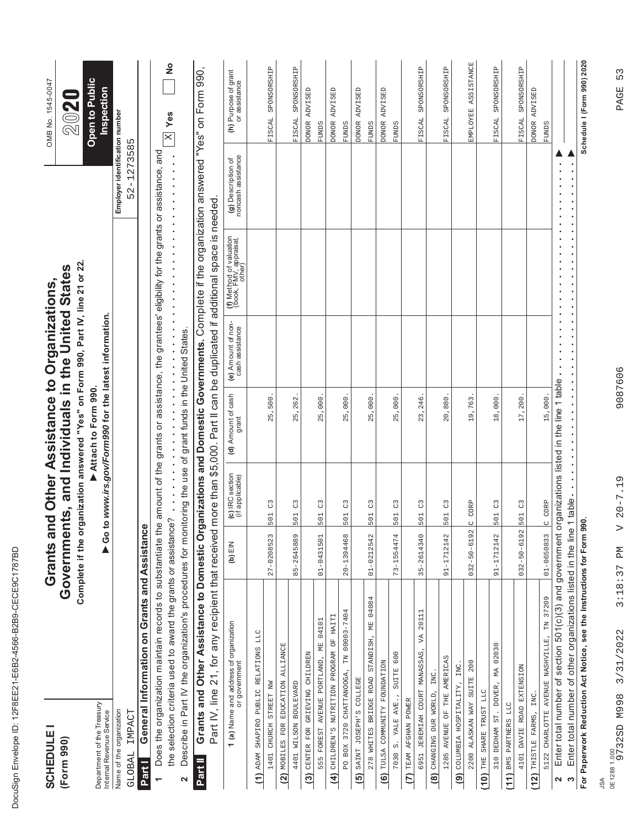| l<br>١<br>ĺ<br>١<br>Ì<br>d |
|----------------------------|
|                            |
| l<br>l<br>ı<br>I<br>l      |
| I<br>Ó<br>l<br>I<br>I      |
| l<br>ı<br>I<br>ı           |
| ļ<br>ı                     |
| I<br>l<br>I<br>¢           |
| i<br>١<br>I                |
| l<br>ı<br>I<br>ı<br>l<br>Ì |
| I                          |
| l                          |
| I                          |
| ١<br>I<br>l                |
| ĺ                          |

| <b>SCHEDULE</b><br>(Form 990)                                                   |                                                                                                                                                                                 | Grants an<br>Governmen |                                    | ts, and Individuals in the United States<br>d Other Assistance to Organizations,                                                                                |                                                 |                                                                                                       |                                                                                                                                         | OMB No. 1545-0047                            |
|---------------------------------------------------------------------------------|---------------------------------------------------------------------------------------------------------------------------------------------------------------------------------|------------------------|------------------------------------|-----------------------------------------------------------------------------------------------------------------------------------------------------------------|-------------------------------------------------|-------------------------------------------------------------------------------------------------------|-----------------------------------------------------------------------------------------------------------------------------------------|----------------------------------------------|
| Department of the Treasury                                                      |                                                                                                                                                                                 |                        |                                    | Complete if the organization answered "Yes" on Form 990, Part IV, line 21 or 22<br>Go to www.irs.gov/Form990 for the latest information.<br>Attach to Form 990. |                                                 |                                                                                                       |                                                                                                                                         | Open to Public<br>Inspection<br>2020         |
| Name of the organization<br>IMPACT<br>Internal Revenue Service<br><b>GLOBAL</b> |                                                                                                                                                                                 |                        |                                    |                                                                                                                                                                 |                                                 |                                                                                                       | Employer identification number<br>$-1273585$<br>$\mathbf{\sim}$<br>LO                                                                   |                                              |
| Part I                                                                          | General Information on Grants and Assistance                                                                                                                                    |                        |                                    |                                                                                                                                                                 |                                                 |                                                                                                       |                                                                                                                                         |                                              |
| $\overline{ }$                                                                  | Does the organization maintain records to substantiate the amount of the grants or assistance, the grantees' eligibility for the grants or assistance, and                      |                        |                                    |                                                                                                                                                                 |                                                 |                                                                                                       |                                                                                                                                         |                                              |
| $\mathbf{\Omega}$                                                               | Describe in Part IV the organization's procedures for monitoring the use of grant funds in the United States.<br>the selection criteria used to award the grants or assistance? |                        |                                    |                                                                                                                                                                 | $\blacksquare$                                  | $\frac{1}{2}$<br>$\blacksquare$<br>$\frac{1}{2}$<br>$\blacksquare$<br>$\blacksquare$<br>$\frac{1}{2}$ | $\frac{1}{\pi}$<br>$\blacksquare$<br>$\blacksquare$<br>$\blacksquare$<br>$\ddot{\phantom{0}}$<br>$\blacksquare$<br>$\blacksquare$<br>ò, | $\frac{1}{2}$<br>$\overline{\mathbb{X}}$ Yes |
| Part IV, line<br>Part II                                                        | Grants and Other Assistance to Domestic Organizations and Domestic Governments. Complete if the organization answered "Yes" on Form 990,<br>21, for any recipient that received |                        | more than                          |                                                                                                                                                                 |                                                 | \$5,000. Part II can be duplicated if additional space is needed                                      |                                                                                                                                         |                                              |
|                                                                                 | <b>1 (a)</b> Name and address of organization<br>or government                                                                                                                  | (b) $EIN$              | (c) IRC section<br>(if applicable) | (d) Amount of cash<br>grant                                                                                                                                     | (e) Amount of non-<br>cash assistance           | (f) Method of valuation<br>(book, FMV, appraisal,<br>other)                                           | (g) Description of<br>noncash assistance                                                                                                | (h) Purpose of grant<br>or assistance        |
| (1) ADAM SHAPIRO PUBLIC RELATIONS LLC                                           |                                                                                                                                                                                 |                        |                                    |                                                                                                                                                                 |                                                 |                                                                                                       |                                                                                                                                         |                                              |
| (2) MOBILES FOR EDUCATION ALLIANCE<br>CHURCH STREET NW<br>1401                  |                                                                                                                                                                                 | 27-0208523             | $_{\rm C}^{\rm 2}$<br>501          | 25,500                                                                                                                                                          |                                                 |                                                                                                       |                                                                                                                                         | SPONSORSHIP<br>FISCAL                        |
| 4401 WILSON BOULEVARD                                                           |                                                                                                                                                                                 | 85-2645889             | C3<br>501                          | 25,262                                                                                                                                                          |                                                 |                                                                                                       |                                                                                                                                         | SPONSORSHIP<br>FISCAL                        |
| CENTER FOR GRIEVING CHILDREN<br>(3)                                             |                                                                                                                                                                                 |                        |                                    |                                                                                                                                                                 |                                                 |                                                                                                       |                                                                                                                                         | DONOR ADVISED                                |
| 555 FOREST                                                                      | AVENUE PORTLAND, ME 04101                                                                                                                                                       | $01 - 0431501$         | C<br>501                           | 25,000                                                                                                                                                          |                                                 |                                                                                                       |                                                                                                                                         | <b>FUNDS</b>                                 |
| $\overline{4}$                                                                  | CHILDREN'S NUTRITION PROGRAM OF HAITI                                                                                                                                           |                        |                                    |                                                                                                                                                                 |                                                 |                                                                                                       |                                                                                                                                         | ADVISED<br><b>DONOR</b>                      |
|                                                                                 | PO BOX 3720 CHATTANOOGA, TN 00003-7404                                                                                                                                          | 20-1394468             | $\mathcal{C}^3$<br>501             | 25,000                                                                                                                                                          |                                                 |                                                                                                       |                                                                                                                                         | <b>FUNDS</b>                                 |
| SAINT JOSEPH'S COLLEGE<br>(5)                                                   |                                                                                                                                                                                 |                        |                                    |                                                                                                                                                                 |                                                 |                                                                                                       |                                                                                                                                         | <b>ADVISED</b><br><b>DONOR</b>               |
|                                                                                 | 278 WHITES BRIDGE ROAD STANDISH, ME 04084                                                                                                                                       | $01 - 0212542$         | C3<br>501                          | 25,000                                                                                                                                                          |                                                 |                                                                                                       |                                                                                                                                         | <b>FUNDS</b>                                 |
| (6) TULSA COMMUNITY FOUNDATION                                                  |                                                                                                                                                                                 |                        |                                    |                                                                                                                                                                 |                                                 |                                                                                                       |                                                                                                                                         | ADVISED<br><b>DONOR</b>                      |
| 7030 S. YALE AVE.,                                                              | SUITE 600                                                                                                                                                                       | 73-1554474             | $_{\rm C}^{\rm 3}$<br>501          | 25,000                                                                                                                                                          |                                                 |                                                                                                       |                                                                                                                                         | <b>FUNDS</b>                                 |
| (7) TEAM AFGHAN POWER                                                           |                                                                                                                                                                                 |                        |                                    |                                                                                                                                                                 |                                                 |                                                                                                       |                                                                                                                                         |                                              |
| 6951 JEREMIAH COURT MANASSAS,                                                   | 20111<br>VĄ                                                                                                                                                                     | 35-2614340             | C<br>501                           | 23,246                                                                                                                                                          |                                                 |                                                                                                       |                                                                                                                                         | SPONSORSHIP<br>FISCAL                        |
| CHANGING OUR WORLD,<br>$\frac{2}{3}$                                            | INC.                                                                                                                                                                            |                        |                                    |                                                                                                                                                                 |                                                 |                                                                                                       |                                                                                                                                         |                                              |
| 1285 AVENUE OF THE AMERICAS                                                     |                                                                                                                                                                                 | 91-1712142             | $\mathcal{C}^3$<br>501             | 20,880                                                                                                                                                          |                                                 |                                                                                                       |                                                                                                                                         | SPONSORSHIP<br>FISCAL                        |
| COLUMBIA HOSPITALITY,<br>$\overline{1}$                                         | INC.                                                                                                                                                                            |                        |                                    |                                                                                                                                                                 |                                                 |                                                                                                       |                                                                                                                                         |                                              |
| 2200 ALASKAN WAY SUITE 200<br>(10) THE SHARE TRUST LLC                          |                                                                                                                                                                                 | $032 - 50 - 6192$      | CORP<br>Ü                          | 19,763                                                                                                                                                          |                                                 |                                                                                                       |                                                                                                                                         | EMPLOYEE ASSISTANCE                          |
| 310 DEDHAM ST. DOVER, MA 02030                                                  |                                                                                                                                                                                 | 91-1712142             | $\mathcal{C}^3$<br>501             | 18,000                                                                                                                                                          |                                                 |                                                                                                       |                                                                                                                                         | SPONSORSHIP<br>FISCAL                        |
| BMS PARTNERS LLC<br>(11)                                                        |                                                                                                                                                                                 |                        |                                    |                                                                                                                                                                 |                                                 |                                                                                                       |                                                                                                                                         |                                              |
| 4101 DAVIE ROAD EXTENSION                                                       |                                                                                                                                                                                 | $032 - 50 - 6192$      | 501 C3                             | 17,200.                                                                                                                                                         |                                                 |                                                                                                       |                                                                                                                                         | FISCAL SPONSORSHIP                           |
| THISTLE FARMS, INC.<br>(12)                                                     |                                                                                                                                                                                 |                        |                                    |                                                                                                                                                                 |                                                 |                                                                                                       |                                                                                                                                         | DONOR ADVISED                                |
|                                                                                 | 5122 CHARLOTTE AVENUE NASHVILLE, TN 37209                                                                                                                                       | 01-0650833             | C CORP                             | 15,000                                                                                                                                                          |                                                 |                                                                                                       |                                                                                                                                         | <b>FUNDS</b>                                 |
| 2<br>S                                                                          | Enter total number of section 501(c)(3) and government organizations listed in the line 1 table<br>Enter total number of other organizations listed in the line                 |                        | 1 table                            | ä                                                                                                                                                               | ×<br>$\blacksquare$<br>×<br>×<br>$\blacksquare$ |                                                                                                       | ×                                                                                                                                       |                                              |
|                                                                                 | For Paperwork Reduction Act Notice, see the Instructions for Form 990.                                                                                                          |                        |                                    |                                                                                                                                                                 |                                                 |                                                                                                       |                                                                                                                                         | Schedule I (Form 990) 2020                   |
| ₹                                                                               |                                                                                                                                                                                 |                        |                                    |                                                                                                                                                                 |                                                 |                                                                                                       |                                                                                                                                         |                                              |
| 0E12881.000<br>9732SD M998                                                      | 3:18:37<br>3/31/2022                                                                                                                                                            | $\triangleright$<br>Md | $\frac{19}{1}$<br>$20 - 7$         | 9087606                                                                                                                                                         |                                                 |                                                                                                       |                                                                                                                                         | 53<br>PAGE                                   |
|                                                                                 |                                                                                                                                                                                 |                        |                                    |                                                                                                                                                                 |                                                 |                                                                                                       |                                                                                                                                         |                                              |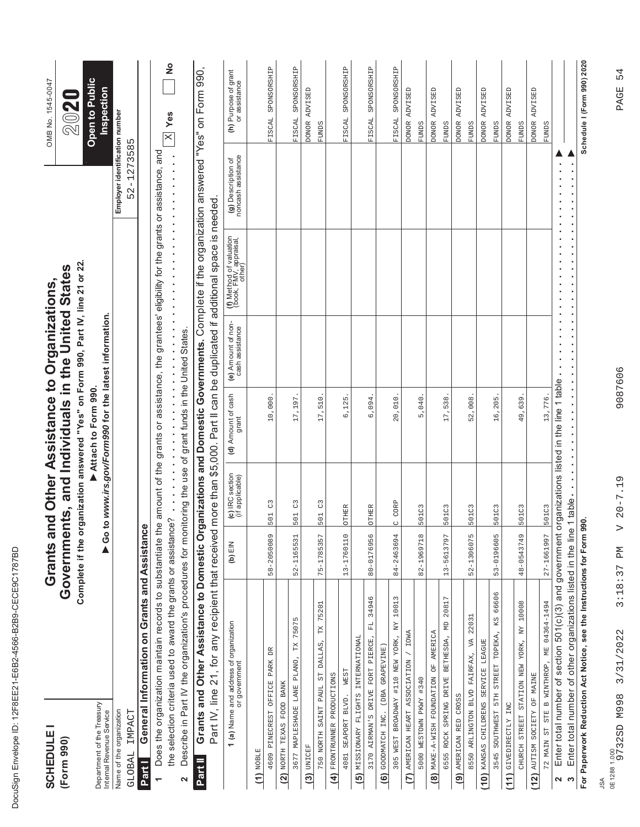| Ĺ<br>J                                                                                                              |
|---------------------------------------------------------------------------------------------------------------------|
| ĺ<br>١<br>ı                                                                                                         |
| d<br>ı                                                                                                              |
| O<br>۱                                                                                                              |
| ١                                                                                                                   |
| l<br>¢<br>l                                                                                                         |
| I<br>¢                                                                                                              |
| I<br>١                                                                                                              |
| Í<br>ı<br>١                                                                                                         |
| ı                                                                                                                   |
| Ì<br>d                                                                                                              |
| I<br>l                                                                                                              |
| Ì<br>I                                                                                                              |
| ı<br>¢                                                                                                              |
| ĺ<br>ı                                                                                                              |
| l<br>I<br>l<br>J<br>l                                                                                               |
| I                                                                                                                   |
| Ì                                                                                                                   |
| ı<br>Ó                                                                                                              |
| ı<br>Ì                                                                                                              |
|                                                                                                                     |
| ı<br>١                                                                                                              |
|                                                                                                                     |
| ĺ<br>and the state of the state of the state of the state of the state of the state of the state of the state of th |
|                                                                                                                     |
| ١<br>Ó<br>֠                                                                                                         |
|                                                                                                                     |
| ı                                                                                                                   |

| <b>SCHEDULE</b><br>(Form 990)                          |                                                                                                                                                                                                 |                  |                                    | Complete if the organization answered "Yes" on Form 990, Part IV, line 21 or 22.<br>Governments, and Individuals in the United States<br>Grants and Other Assistance to Organizations, |                                       |                                                                                                 |                                              | OMB No. 1545-0047<br>202              |
|--------------------------------------------------------|-------------------------------------------------------------------------------------------------------------------------------------------------------------------------------------------------|------------------|------------------------------------|----------------------------------------------------------------------------------------------------------------------------------------------------------------------------------------|---------------------------------------|-------------------------------------------------------------------------------------------------|----------------------------------------------|---------------------------------------|
| Department of the Treasury<br>Internal Revenue Service |                                                                                                                                                                                                 |                  |                                    | Go to www.irs.gov/Form990 for the latest information.<br>Attach to Form 990.                                                                                                           |                                       |                                                                                                 |                                              | Open to Public<br><b>Inspection</b>   |
| IMPACT<br>Name of the organization<br>GLOBAL           |                                                                                                                                                                                                 |                  |                                    |                                                                                                                                                                                        |                                       |                                                                                                 | Employer identification number<br>52-1273585 |                                       |
| <b>Part I</b>                                          | General Information on Grants and Assistance                                                                                                                                                    |                  |                                    |                                                                                                                                                                                        |                                       |                                                                                                 |                                              |                                       |
|                                                        | Does the organization maintain records to substantiate the                                                                                                                                      |                  |                                    |                                                                                                                                                                                        |                                       | amount of the grants or assistance, the grantees' eligibility for the grants or assistance, and |                                              | $\frac{1}{2}$<br>$\mathbb{X}$ Yes     |
| 2                                                      | the selection criteria used to award the grants or assistance                                                                                                                                   |                  | $\frac{1}{2}$                      |                                                                                                                                                                                        |                                       |                                                                                                 |                                              |                                       |
| Part II                                                | Grants and Other Assistance to Domestic Organizations and Domestic Governments. Complete if the organization answered                                                                           |                  |                                    |                                                                                                                                                                                        |                                       |                                                                                                 |                                              | "Yes" on Form 990,                    |
|                                                        | Part IV, line 21, for any recipient that received more than \$5,000. Part II can be duplicated if additional space is needed.<br><b>1 (a)</b> Name and address of organization<br>or government | (b) $EIN$        | (c) IRC section<br>(if applicable) | (d) Amount of cash<br>grant                                                                                                                                                            | (e) Amount of non-<br>cash assistance | (f) Method of valuation<br>(book, FMV, appraisal,<br>other)                                     | (g) Description of<br>noncash assistance     | (h) Purpose of grant<br>or assistance |
|                                                        |                                                                                                                                                                                                 |                  |                                    |                                                                                                                                                                                        |                                       |                                                                                                 |                                              |                                       |
| $(1)$ NOBLE                                            |                                                                                                                                                                                                 |                  |                                    |                                                                                                                                                                                        |                                       |                                                                                                 |                                              |                                       |
| 4609 PINECREST OFFICE                                  | PARK DR                                                                                                                                                                                         | 58-2050089       | C <sup>3</sup><br>501              | 10,000                                                                                                                                                                                 |                                       |                                                                                                 |                                              | FISCAL SPONSORSHIP                    |
| $(2)$ NORTH TEXAS FOOD BANK                            |                                                                                                                                                                                                 |                  |                                    |                                                                                                                                                                                        |                                       |                                                                                                 |                                              |                                       |
| 3677 MAPLESHADE LANE PLANO, TX                         | 75075                                                                                                                                                                                           | 52-1165531       | $\mathcal{C}^3$<br>501             | 17,197                                                                                                                                                                                 |                                       |                                                                                                 |                                              | FISCAL SPONSORSHIP                    |
| $(3)$ UNICEF                                           |                                                                                                                                                                                                 |                  |                                    |                                                                                                                                                                                        |                                       |                                                                                                 |                                              | DONOR ADVISED                         |
| 750 NORTH SAINT PAUL ST DALLAS,                        | 75201<br>$\overline{\text{r}}$                                                                                                                                                                  | 75-1785357       | $\frac{3}{2}$<br>501               | 17,510                                                                                                                                                                                 |                                       |                                                                                                 |                                              | <b>FUNDS</b>                          |
| (4) FRONTRUNNER PRODUCTIONS                            |                                                                                                                                                                                                 |                  |                                    |                                                                                                                                                                                        |                                       |                                                                                                 |                                              |                                       |
| 4081 SEAPORT BLVD.                                     | WEST                                                                                                                                                                                            | 13-1760110       | <b>OTHER</b>                       | 6,125                                                                                                                                                                                  |                                       |                                                                                                 |                                              | FISCAL SPONSORSHIP                    |
| (5) MISSIONARY FLIGHTS INTERNATIONAL                   |                                                                                                                                                                                                 |                  |                                    |                                                                                                                                                                                        |                                       |                                                                                                 |                                              |                                       |
| 3170 AIRMAN'S DRIVE FORT PIERCE,                       | 34946<br>F <sub>L</sub>                                                                                                                                                                         | 80-0176956       | <b>OTHER</b>                       | 6,094                                                                                                                                                                                  |                                       |                                                                                                 |                                              | SPONSORSHIP<br>FISCAL                 |
| (6) GOODMATCH INC. (DBA GRAPEVINE)                     |                                                                                                                                                                                                 |                  |                                    |                                                                                                                                                                                        |                                       |                                                                                                 |                                              |                                       |
| 305 WEST BROADWAY #110 NEW YORK,                       | 10013<br>$\rm \Sigma$                                                                                                                                                                           | 84-2463694       | C CORP                             | 20,010                                                                                                                                                                                 |                                       |                                                                                                 |                                              | SPONSORSHIP<br>FISCAL                 |
| AMERICAN HEART ASSOCIATION / IOWA<br>$\tilde{c}$       |                                                                                                                                                                                                 |                  |                                    |                                                                                                                                                                                        |                                       |                                                                                                 |                                              | DONOR ADVISED                         |
| 076# AMME NAOLSEM 0009                                 |                                                                                                                                                                                                 | 82-1969718       | 501C3                              | 5,040                                                                                                                                                                                  |                                       |                                                                                                 |                                              | <b>FUNDS</b>                          |
| (8) MAKE-A-WISH FOUNDATION OF AMERICA                  |                                                                                                                                                                                                 |                  |                                    |                                                                                                                                                                                        |                                       |                                                                                                 |                                              | ADVISED<br><b>DONOR</b>               |
|                                                        | 6555 ROCK SPRING DRIVE BETHESDA, MD 20817                                                                                                                                                       | 13-5613797       | 501C3                              | 17,538                                                                                                                                                                                 |                                       |                                                                                                 |                                              | <b>FUNDS</b>                          |
| (9) AMERICAN RED CROSS                                 |                                                                                                                                                                                                 |                  |                                    |                                                                                                                                                                                        |                                       |                                                                                                 |                                              | ADVISED<br><b>DONOR</b>               |
| 8550 ARLINGTON BLVD FAIRFAX, VA                        | 22031                                                                                                                                                                                           | 52-1306075       | 501C3                              | 52,008                                                                                                                                                                                 |                                       |                                                                                                 |                                              | <b>FUNDS</b>                          |
| KANSAS CHILDRENS SERVICE LEAGUE<br>(10)                |                                                                                                                                                                                                 |                  |                                    |                                                                                                                                                                                        |                                       |                                                                                                 |                                              | ADVISED<br><b>DONOR</b>               |
|                                                        | 3545 SOUTHWEST 5TH STREET TOPEKA, KS 66606                                                                                                                                                      | 53-0196605       | 501C3                              | 16,205                                                                                                                                                                                 |                                       |                                                                                                 |                                              | <b>FUNDS</b>                          |
| GIVEDIRECTLY INC<br>$\frac{1}{2}$                      |                                                                                                                                                                                                 |                  |                                    |                                                                                                                                                                                        |                                       |                                                                                                 |                                              | ADVISED<br><b>DONOR</b>               |
|                                                        | CHURCH STREET STATION NEW YORK, NY 10008                                                                                                                                                        | 48-0543749       | 501C3                              | 49,639                                                                                                                                                                                 |                                       |                                                                                                 |                                              | <b>FUNDS</b>                          |
| AUTISM SOCIETY OF MAINE<br>(12)                        |                                                                                                                                                                                                 |                  |                                    |                                                                                                                                                                                        |                                       |                                                                                                 |                                              | DONOR ADVISED                         |
|                                                        | 72 MAIN ST STE B WINTHROP, ME 04364-1494                                                                                                                                                        | 27-1661997       | 501C3                              | 13,776.                                                                                                                                                                                |                                       |                                                                                                 |                                              | <b>FUNDS</b>                          |
| $\boldsymbol{\sim}$<br>$\infty$                        | Enter total number of section 501(c)(3) and government organizations listed in the line 1 table<br>Enter total number of other organizations listed in the line                                 |                  | table.                             |                                                                                                                                                                                        | $\blacksquare$<br>$\blacksquare$      |                                                                                                 | ×<br>$\blacksquare$                          |                                       |
|                                                        | For Paperwork Reduction Act Notice, see the Instructions for Form 990.                                                                                                                          |                  |                                    |                                                                                                                                                                                        |                                       |                                                                                                 |                                              | Schedule I (Form 990) 2020            |
| ₹                                                      |                                                                                                                                                                                                 |                  |                                    |                                                                                                                                                                                        |                                       |                                                                                                 |                                              |                                       |
| 0E12881.000<br>9732SD M998                             | 3:18:37 PM<br>3/31/2022                                                                                                                                                                         | $\triangleright$ | $20 - 7.19$                        | 9087606                                                                                                                                                                                |                                       |                                                                                                 |                                              | 54<br>PAGE                            |
|                                                        |                                                                                                                                                                                                 |                  |                                    |                                                                                                                                                                                        |                                       |                                                                                                 |                                              |                                       |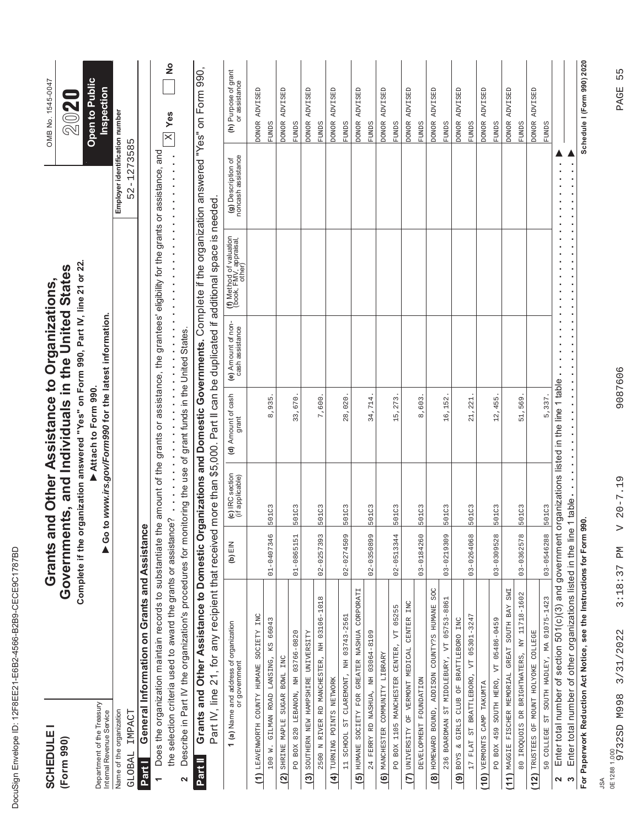| ı<br>۱                                                                                                                         |
|--------------------------------------------------------------------------------------------------------------------------------|
| ĺ<br>١<br>ı                                                                                                                    |
| ¢                                                                                                                              |
| Ç<br>ı                                                                                                                         |
| ١<br>l                                                                                                                         |
| Ó                                                                                                                              |
| ĺ<br>O                                                                                                                         |
| I<br>¢                                                                                                                         |
| ı<br>ı<br>١                                                                                                                    |
| Í<br><b>STATE OF STATE OF STATE OF STATE OF STATE OF STATE OF STATE OF STATE OF STATE OF STATE OF STATE OF STATE OF S</b><br>I |
| d<br>I<br>l                                                                                                                    |
| Ì<br>١                                                                                                                         |
| ı<br>I                                                                                                                         |
| ı                                                                                                                              |
| Ì<br>ı                                                                                                                         |
| l<br>ı<br>I<br>l                                                                                                               |
| Ì                                                                                                                              |
| ı<br>١                                                                                                                         |
| Í                                                                                                                              |
|                                                                                                                                |
| ı<br>١                                                                                                                         |
|                                                                                                                                |
| 1                                                                                                                              |
| ١                                                                                                                              |
| Ï<br>֠                                                                                                                         |
|                                                                                                                                |
| ı                                                                                                                              |

| ž<br>Grants and Other Assistance to Domestic Organizations and Domestic Governments. Complete if the organization answered "Yes" on Form 990,<br>(h) Purpose of grant<br>or assistance<br>Inspection<br>ADVISED<br>ADVISED<br>ADVISED<br>ADVISED<br>ADVISED<br>ADVISED<br>ADVISED<br>ADVISED<br>ADVISED<br>ADVISED<br>ADVISED<br>ADVISED<br>Employer identification number<br>$ \mathbf{x} $ Yes<br><b>DONOR</b><br><b>DONOR</b><br><b>DONOR</b><br><b>DONOR</b><br><b>DONOR</b><br><b>DONOR</b><br><b>DONOR</b><br><b>DONOR</b><br><b>DONOR</b><br><b>DONOR</b><br><b>DONOR</b><br><b>DONOR</b><br><b>FUNDS</b><br><b>FUNDS</b><br><b>FUNDS</b><br><b>FUNDS</b><br><b>FUNDS</b><br><b>FUNDS</b><br><b>FUNDS</b><br><b>FUNDS</b><br><b>FUNDS</b><br><b>FUNDS</b><br><b>FUNDS</b><br><b>FUNDS</b><br>52-1273585<br>Does the organization maintain records to substantiate the amount of the grants or assistance, the grantees' eligibility for the grants or assistance, and<br>$\frac{1}{2}$<br>(g) Description of<br>noncash assistance<br>ä,<br>more than \$5,000. Part II can be duplicated if additional space is needed.<br>×,<br>ò,<br>,,,,,,,,,,,,,,,,,,,,,<br>(f) Method of valuation<br>(book, FMV, appraisal,<br>other)<br>to www.irs.gov/Form990 for the latest information.<br>(e) Amount of non-<br>cash assistance<br>Describe in Part IV the organization's procedures for monitoring the use of grant funds in the United States.<br>ä<br>ä,<br>,,,,,,,,,,,,,,,,,,,,<br>Enter total number of section $501(c)(3)$ and government organizations listed in the line 1 table<br>Attach to Form 990.<br>(d) Amount of cash<br>grant<br>33,670.<br>7,600<br>34,714<br>16,152<br>5,337<br>28,020<br>15,273<br>21, 221<br>12,455<br>51,569<br>8,935<br>8,603<br>(c) IRC section<br>(if applicable)<br>1 table<br>501C3<br>501C3<br>501C3<br>501C3<br>501C3<br>501C3<br>501C3<br>501C3<br>501C3<br>501C3<br>501C3<br>501C3<br>the selection criteria used to award the grants or assistance?<br>For Paperwork Reduction Act Notice, see the Instructions for Form 990.<br>General Information on Grants and Assistance<br>Enter total number of other organizations listed in the line<br>$\triangleright$ Go t<br>Part IV, line 21, for any recipient that received<br>03-0546288<br>01-0407346<br>02-0257393<br>$02 - 0274509$<br>02-0350899<br>$02 - 0513344$<br>$03 - 0184260$<br>03-0219309<br>03-0264068<br>03-0309528<br>03-0362578<br>01-0865151<br>(b) $EIN$<br>SOC<br>HUMANE SOCIETY FOR GREATER NASHUA CORPORATI<br>SWI<br>80 IROQUOIS DR BRIGHTWATERS, NY 11718-1602<br>50 COLLEGE ST SOUTH HADLEY, MA 01075-1423<br>03106-1018<br>236 BOARDMAN ST MIDDLEBURY, VT 05753-8861<br>UNIVERSITY OF VERMONT MEDICAL CENTER INC<br>HOMEWARD BOUND, ADDISON COUNTY?S HUMANE<br>(11) MAGGIE FISCHER MEMORIAL GREAT SOUTH BAY<br>PO BOX 1105 MANCHESTER CENTER, VT 05255<br>ONI YTEAVENWORTH YTMUNH YTWOWNEVALLY<br>SCHOOL ST CLAREMONT, NH 03743-2561<br>FLAT ST BRATTLEBORO, VT 05301-3247<br>66043<br>BOYS & GIRLS CLUB OF BRATTLEBORO INC<br>PO BOX 459 SOUTH HERO, VT 05486-0459<br><b>1 (a)</b> Name and address of organization<br>or government<br>24 FERRY RD NASHUA, NH 03064-8109<br>PO BOX 820 LEBANON, NH 03766-0820<br>SOUTHERN NEW HAMPSHIRE UNIVERSITY<br>TRUSTEES OF MOUNT HOLYOKE COLLEGE<br>2500 N RIVER RD MANCHESTER, NH<br>100 W. GILMAN ROAD LANSING, KS<br>(6) MANCHESTER COMMUNITY LIBRARY<br>SHRINE MAPLE SUGAR BOWL INC<br>(4) TURNING POINTS NETWORK<br>DEVELOPMENT FOUNDATION<br>(10) VERMONTS CAMP TAKUMTA<br>Department of the Treasury<br>Internal Revenue Service<br>Name of the organization<br>IMPACT<br>GLOBAL<br>Part II<br>17<br>Part I<br>$\overline{1}$<br>(2)<br>$\overline{5}$<br>$\tilde{c}$<br>$\circledR$<br>$\boxed{3}$<br>$\overline{(\mathbf{9})}$<br>(12)<br>$\sim$<br>2<br>$\mathbf{\Omega}$ | <b>SCHEDULE</b><br>(Form 990) |  | Complete if the organization answered "Yes" on Form 990, Part IV, line 21 or 22.<br>Governments, and Individuals in the United States<br>Grants and Other Assistance to Organizations, |  | Open to Public<br>OMB No. 1545-0047<br>2020 |
|-----------------------------------------------------------------------------------------------------------------------------------------------------------------------------------------------------------------------------------------------------------------------------------------------------------------------------------------------------------------------------------------------------------------------------------------------------------------------------------------------------------------------------------------------------------------------------------------------------------------------------------------------------------------------------------------------------------------------------------------------------------------------------------------------------------------------------------------------------------------------------------------------------------------------------------------------------------------------------------------------------------------------------------------------------------------------------------------------------------------------------------------------------------------------------------------------------------------------------------------------------------------------------------------------------------------------------------------------------------------------------------------------------------------------------------------------------------------------------------------------------------------------------------------------------------------------------------------------------------------------------------------------------------------------------------------------------------------------------------------------------------------------------------------------------------------------------------------------------------------------------------------------------------------------------------------------------------------------------------------------------------------------------------------------------------------------------------------------------------------------------------------------------------------------------------------------------------------------------------------------------------------------------------------------------------------------------------------------------------------------------------------------------------------------------------------------------------------------------------------------------------------------------------------------------------------------------------------------------------------------------------------------------------------------------------------------------------------------------------------------------------------------------------------------------------------------------------------------------------------------------------------------------------------------------------------------------------------------------------------------------------------------------------------------------------------------------------------------------------------------------------------------------------------------------------------------------------------------------------------------------------------------------------------------------------------------------------------------------------------------------------------------------------------------------------------------------------------------------------------------------------------------------------------------------------------------------------------------------------------------------------------------------------------------------------------------------------------------------------------------------------------------------------------------------------------------------------------------------------|-------------------------------|--|----------------------------------------------------------------------------------------------------------------------------------------------------------------------------------------|--|---------------------------------------------|
|                                                                                                                                                                                                                                                                                                                                                                                                                                                                                                                                                                                                                                                                                                                                                                                                                                                                                                                                                                                                                                                                                                                                                                                                                                                                                                                                                                                                                                                                                                                                                                                                                                                                                                                                                                                                                                                                                                                                                                                                                                                                                                                                                                                                                                                                                                                                                                                                                                                                                                                                                                                                                                                                                                                                                                                                                                                                                                                                                                                                                                                                                                                                                                                                                                                                                                                                                                                                                                                                                                                                                                                                                                                                                                                                                                                                                                                           |                               |  |                                                                                                                                                                                        |  |                                             |
|                                                                                                                                                                                                                                                                                                                                                                                                                                                                                                                                                                                                                                                                                                                                                                                                                                                                                                                                                                                                                                                                                                                                                                                                                                                                                                                                                                                                                                                                                                                                                                                                                                                                                                                                                                                                                                                                                                                                                                                                                                                                                                                                                                                                                                                                                                                                                                                                                                                                                                                                                                                                                                                                                                                                                                                                                                                                                                                                                                                                                                                                                                                                                                                                                                                                                                                                                                                                                                                                                                                                                                                                                                                                                                                                                                                                                                                           |                               |  |                                                                                                                                                                                        |  |                                             |
|                                                                                                                                                                                                                                                                                                                                                                                                                                                                                                                                                                                                                                                                                                                                                                                                                                                                                                                                                                                                                                                                                                                                                                                                                                                                                                                                                                                                                                                                                                                                                                                                                                                                                                                                                                                                                                                                                                                                                                                                                                                                                                                                                                                                                                                                                                                                                                                                                                                                                                                                                                                                                                                                                                                                                                                                                                                                                                                                                                                                                                                                                                                                                                                                                                                                                                                                                                                                                                                                                                                                                                                                                                                                                                                                                                                                                                                           |                               |  |                                                                                                                                                                                        |  |                                             |
|                                                                                                                                                                                                                                                                                                                                                                                                                                                                                                                                                                                                                                                                                                                                                                                                                                                                                                                                                                                                                                                                                                                                                                                                                                                                                                                                                                                                                                                                                                                                                                                                                                                                                                                                                                                                                                                                                                                                                                                                                                                                                                                                                                                                                                                                                                                                                                                                                                                                                                                                                                                                                                                                                                                                                                                                                                                                                                                                                                                                                                                                                                                                                                                                                                                                                                                                                                                                                                                                                                                                                                                                                                                                                                                                                                                                                                                           |                               |  |                                                                                                                                                                                        |  |                                             |
|                                                                                                                                                                                                                                                                                                                                                                                                                                                                                                                                                                                                                                                                                                                                                                                                                                                                                                                                                                                                                                                                                                                                                                                                                                                                                                                                                                                                                                                                                                                                                                                                                                                                                                                                                                                                                                                                                                                                                                                                                                                                                                                                                                                                                                                                                                                                                                                                                                                                                                                                                                                                                                                                                                                                                                                                                                                                                                                                                                                                                                                                                                                                                                                                                                                                                                                                                                                                                                                                                                                                                                                                                                                                                                                                                                                                                                                           |                               |  |                                                                                                                                                                                        |  |                                             |
|                                                                                                                                                                                                                                                                                                                                                                                                                                                                                                                                                                                                                                                                                                                                                                                                                                                                                                                                                                                                                                                                                                                                                                                                                                                                                                                                                                                                                                                                                                                                                                                                                                                                                                                                                                                                                                                                                                                                                                                                                                                                                                                                                                                                                                                                                                                                                                                                                                                                                                                                                                                                                                                                                                                                                                                                                                                                                                                                                                                                                                                                                                                                                                                                                                                                                                                                                                                                                                                                                                                                                                                                                                                                                                                                                                                                                                                           |                               |  |                                                                                                                                                                                        |  |                                             |
|                                                                                                                                                                                                                                                                                                                                                                                                                                                                                                                                                                                                                                                                                                                                                                                                                                                                                                                                                                                                                                                                                                                                                                                                                                                                                                                                                                                                                                                                                                                                                                                                                                                                                                                                                                                                                                                                                                                                                                                                                                                                                                                                                                                                                                                                                                                                                                                                                                                                                                                                                                                                                                                                                                                                                                                                                                                                                                                                                                                                                                                                                                                                                                                                                                                                                                                                                                                                                                                                                                                                                                                                                                                                                                                                                                                                                                                           |                               |  |                                                                                                                                                                                        |  |                                             |
|                                                                                                                                                                                                                                                                                                                                                                                                                                                                                                                                                                                                                                                                                                                                                                                                                                                                                                                                                                                                                                                                                                                                                                                                                                                                                                                                                                                                                                                                                                                                                                                                                                                                                                                                                                                                                                                                                                                                                                                                                                                                                                                                                                                                                                                                                                                                                                                                                                                                                                                                                                                                                                                                                                                                                                                                                                                                                                                                                                                                                                                                                                                                                                                                                                                                                                                                                                                                                                                                                                                                                                                                                                                                                                                                                                                                                                                           |                               |  |                                                                                                                                                                                        |  |                                             |
|                                                                                                                                                                                                                                                                                                                                                                                                                                                                                                                                                                                                                                                                                                                                                                                                                                                                                                                                                                                                                                                                                                                                                                                                                                                                                                                                                                                                                                                                                                                                                                                                                                                                                                                                                                                                                                                                                                                                                                                                                                                                                                                                                                                                                                                                                                                                                                                                                                                                                                                                                                                                                                                                                                                                                                                                                                                                                                                                                                                                                                                                                                                                                                                                                                                                                                                                                                                                                                                                                                                                                                                                                                                                                                                                                                                                                                                           |                               |  |                                                                                                                                                                                        |  |                                             |
|                                                                                                                                                                                                                                                                                                                                                                                                                                                                                                                                                                                                                                                                                                                                                                                                                                                                                                                                                                                                                                                                                                                                                                                                                                                                                                                                                                                                                                                                                                                                                                                                                                                                                                                                                                                                                                                                                                                                                                                                                                                                                                                                                                                                                                                                                                                                                                                                                                                                                                                                                                                                                                                                                                                                                                                                                                                                                                                                                                                                                                                                                                                                                                                                                                                                                                                                                                                                                                                                                                                                                                                                                                                                                                                                                                                                                                                           |                               |  |                                                                                                                                                                                        |  |                                             |
|                                                                                                                                                                                                                                                                                                                                                                                                                                                                                                                                                                                                                                                                                                                                                                                                                                                                                                                                                                                                                                                                                                                                                                                                                                                                                                                                                                                                                                                                                                                                                                                                                                                                                                                                                                                                                                                                                                                                                                                                                                                                                                                                                                                                                                                                                                                                                                                                                                                                                                                                                                                                                                                                                                                                                                                                                                                                                                                                                                                                                                                                                                                                                                                                                                                                                                                                                                                                                                                                                                                                                                                                                                                                                                                                                                                                                                                           |                               |  |                                                                                                                                                                                        |  |                                             |
|                                                                                                                                                                                                                                                                                                                                                                                                                                                                                                                                                                                                                                                                                                                                                                                                                                                                                                                                                                                                                                                                                                                                                                                                                                                                                                                                                                                                                                                                                                                                                                                                                                                                                                                                                                                                                                                                                                                                                                                                                                                                                                                                                                                                                                                                                                                                                                                                                                                                                                                                                                                                                                                                                                                                                                                                                                                                                                                                                                                                                                                                                                                                                                                                                                                                                                                                                                                                                                                                                                                                                                                                                                                                                                                                                                                                                                                           |                               |  |                                                                                                                                                                                        |  |                                             |
|                                                                                                                                                                                                                                                                                                                                                                                                                                                                                                                                                                                                                                                                                                                                                                                                                                                                                                                                                                                                                                                                                                                                                                                                                                                                                                                                                                                                                                                                                                                                                                                                                                                                                                                                                                                                                                                                                                                                                                                                                                                                                                                                                                                                                                                                                                                                                                                                                                                                                                                                                                                                                                                                                                                                                                                                                                                                                                                                                                                                                                                                                                                                                                                                                                                                                                                                                                                                                                                                                                                                                                                                                                                                                                                                                                                                                                                           |                               |  |                                                                                                                                                                                        |  |                                             |
|                                                                                                                                                                                                                                                                                                                                                                                                                                                                                                                                                                                                                                                                                                                                                                                                                                                                                                                                                                                                                                                                                                                                                                                                                                                                                                                                                                                                                                                                                                                                                                                                                                                                                                                                                                                                                                                                                                                                                                                                                                                                                                                                                                                                                                                                                                                                                                                                                                                                                                                                                                                                                                                                                                                                                                                                                                                                                                                                                                                                                                                                                                                                                                                                                                                                                                                                                                                                                                                                                                                                                                                                                                                                                                                                                                                                                                                           |                               |  |                                                                                                                                                                                        |  |                                             |
|                                                                                                                                                                                                                                                                                                                                                                                                                                                                                                                                                                                                                                                                                                                                                                                                                                                                                                                                                                                                                                                                                                                                                                                                                                                                                                                                                                                                                                                                                                                                                                                                                                                                                                                                                                                                                                                                                                                                                                                                                                                                                                                                                                                                                                                                                                                                                                                                                                                                                                                                                                                                                                                                                                                                                                                                                                                                                                                                                                                                                                                                                                                                                                                                                                                                                                                                                                                                                                                                                                                                                                                                                                                                                                                                                                                                                                                           |                               |  |                                                                                                                                                                                        |  |                                             |
|                                                                                                                                                                                                                                                                                                                                                                                                                                                                                                                                                                                                                                                                                                                                                                                                                                                                                                                                                                                                                                                                                                                                                                                                                                                                                                                                                                                                                                                                                                                                                                                                                                                                                                                                                                                                                                                                                                                                                                                                                                                                                                                                                                                                                                                                                                                                                                                                                                                                                                                                                                                                                                                                                                                                                                                                                                                                                                                                                                                                                                                                                                                                                                                                                                                                                                                                                                                                                                                                                                                                                                                                                                                                                                                                                                                                                                                           |                               |  |                                                                                                                                                                                        |  |                                             |
|                                                                                                                                                                                                                                                                                                                                                                                                                                                                                                                                                                                                                                                                                                                                                                                                                                                                                                                                                                                                                                                                                                                                                                                                                                                                                                                                                                                                                                                                                                                                                                                                                                                                                                                                                                                                                                                                                                                                                                                                                                                                                                                                                                                                                                                                                                                                                                                                                                                                                                                                                                                                                                                                                                                                                                                                                                                                                                                                                                                                                                                                                                                                                                                                                                                                                                                                                                                                                                                                                                                                                                                                                                                                                                                                                                                                                                                           |                               |  |                                                                                                                                                                                        |  |                                             |
|                                                                                                                                                                                                                                                                                                                                                                                                                                                                                                                                                                                                                                                                                                                                                                                                                                                                                                                                                                                                                                                                                                                                                                                                                                                                                                                                                                                                                                                                                                                                                                                                                                                                                                                                                                                                                                                                                                                                                                                                                                                                                                                                                                                                                                                                                                                                                                                                                                                                                                                                                                                                                                                                                                                                                                                                                                                                                                                                                                                                                                                                                                                                                                                                                                                                                                                                                                                                                                                                                                                                                                                                                                                                                                                                                                                                                                                           |                               |  |                                                                                                                                                                                        |  |                                             |
|                                                                                                                                                                                                                                                                                                                                                                                                                                                                                                                                                                                                                                                                                                                                                                                                                                                                                                                                                                                                                                                                                                                                                                                                                                                                                                                                                                                                                                                                                                                                                                                                                                                                                                                                                                                                                                                                                                                                                                                                                                                                                                                                                                                                                                                                                                                                                                                                                                                                                                                                                                                                                                                                                                                                                                                                                                                                                                                                                                                                                                                                                                                                                                                                                                                                                                                                                                                                                                                                                                                                                                                                                                                                                                                                                                                                                                                           |                               |  |                                                                                                                                                                                        |  |                                             |
|                                                                                                                                                                                                                                                                                                                                                                                                                                                                                                                                                                                                                                                                                                                                                                                                                                                                                                                                                                                                                                                                                                                                                                                                                                                                                                                                                                                                                                                                                                                                                                                                                                                                                                                                                                                                                                                                                                                                                                                                                                                                                                                                                                                                                                                                                                                                                                                                                                                                                                                                                                                                                                                                                                                                                                                                                                                                                                                                                                                                                                                                                                                                                                                                                                                                                                                                                                                                                                                                                                                                                                                                                                                                                                                                                                                                                                                           |                               |  |                                                                                                                                                                                        |  |                                             |
|                                                                                                                                                                                                                                                                                                                                                                                                                                                                                                                                                                                                                                                                                                                                                                                                                                                                                                                                                                                                                                                                                                                                                                                                                                                                                                                                                                                                                                                                                                                                                                                                                                                                                                                                                                                                                                                                                                                                                                                                                                                                                                                                                                                                                                                                                                                                                                                                                                                                                                                                                                                                                                                                                                                                                                                                                                                                                                                                                                                                                                                                                                                                                                                                                                                                                                                                                                                                                                                                                                                                                                                                                                                                                                                                                                                                                                                           |                               |  |                                                                                                                                                                                        |  |                                             |
|                                                                                                                                                                                                                                                                                                                                                                                                                                                                                                                                                                                                                                                                                                                                                                                                                                                                                                                                                                                                                                                                                                                                                                                                                                                                                                                                                                                                                                                                                                                                                                                                                                                                                                                                                                                                                                                                                                                                                                                                                                                                                                                                                                                                                                                                                                                                                                                                                                                                                                                                                                                                                                                                                                                                                                                                                                                                                                                                                                                                                                                                                                                                                                                                                                                                                                                                                                                                                                                                                                                                                                                                                                                                                                                                                                                                                                                           |                               |  |                                                                                                                                                                                        |  |                                             |
|                                                                                                                                                                                                                                                                                                                                                                                                                                                                                                                                                                                                                                                                                                                                                                                                                                                                                                                                                                                                                                                                                                                                                                                                                                                                                                                                                                                                                                                                                                                                                                                                                                                                                                                                                                                                                                                                                                                                                                                                                                                                                                                                                                                                                                                                                                                                                                                                                                                                                                                                                                                                                                                                                                                                                                                                                                                                                                                                                                                                                                                                                                                                                                                                                                                                                                                                                                                                                                                                                                                                                                                                                                                                                                                                                                                                                                                           |                               |  |                                                                                                                                                                                        |  |                                             |
|                                                                                                                                                                                                                                                                                                                                                                                                                                                                                                                                                                                                                                                                                                                                                                                                                                                                                                                                                                                                                                                                                                                                                                                                                                                                                                                                                                                                                                                                                                                                                                                                                                                                                                                                                                                                                                                                                                                                                                                                                                                                                                                                                                                                                                                                                                                                                                                                                                                                                                                                                                                                                                                                                                                                                                                                                                                                                                                                                                                                                                                                                                                                                                                                                                                                                                                                                                                                                                                                                                                                                                                                                                                                                                                                                                                                                                                           |                               |  |                                                                                                                                                                                        |  |                                             |
|                                                                                                                                                                                                                                                                                                                                                                                                                                                                                                                                                                                                                                                                                                                                                                                                                                                                                                                                                                                                                                                                                                                                                                                                                                                                                                                                                                                                                                                                                                                                                                                                                                                                                                                                                                                                                                                                                                                                                                                                                                                                                                                                                                                                                                                                                                                                                                                                                                                                                                                                                                                                                                                                                                                                                                                                                                                                                                                                                                                                                                                                                                                                                                                                                                                                                                                                                                                                                                                                                                                                                                                                                                                                                                                                                                                                                                                           |                               |  |                                                                                                                                                                                        |  |                                             |
|                                                                                                                                                                                                                                                                                                                                                                                                                                                                                                                                                                                                                                                                                                                                                                                                                                                                                                                                                                                                                                                                                                                                                                                                                                                                                                                                                                                                                                                                                                                                                                                                                                                                                                                                                                                                                                                                                                                                                                                                                                                                                                                                                                                                                                                                                                                                                                                                                                                                                                                                                                                                                                                                                                                                                                                                                                                                                                                                                                                                                                                                                                                                                                                                                                                                                                                                                                                                                                                                                                                                                                                                                                                                                                                                                                                                                                                           |                               |  |                                                                                                                                                                                        |  |                                             |
|                                                                                                                                                                                                                                                                                                                                                                                                                                                                                                                                                                                                                                                                                                                                                                                                                                                                                                                                                                                                                                                                                                                                                                                                                                                                                                                                                                                                                                                                                                                                                                                                                                                                                                                                                                                                                                                                                                                                                                                                                                                                                                                                                                                                                                                                                                                                                                                                                                                                                                                                                                                                                                                                                                                                                                                                                                                                                                                                                                                                                                                                                                                                                                                                                                                                                                                                                                                                                                                                                                                                                                                                                                                                                                                                                                                                                                                           |                               |  |                                                                                                                                                                                        |  |                                             |
|                                                                                                                                                                                                                                                                                                                                                                                                                                                                                                                                                                                                                                                                                                                                                                                                                                                                                                                                                                                                                                                                                                                                                                                                                                                                                                                                                                                                                                                                                                                                                                                                                                                                                                                                                                                                                                                                                                                                                                                                                                                                                                                                                                                                                                                                                                                                                                                                                                                                                                                                                                                                                                                                                                                                                                                                                                                                                                                                                                                                                                                                                                                                                                                                                                                                                                                                                                                                                                                                                                                                                                                                                                                                                                                                                                                                                                                           |                               |  |                                                                                                                                                                                        |  |                                             |
|                                                                                                                                                                                                                                                                                                                                                                                                                                                                                                                                                                                                                                                                                                                                                                                                                                                                                                                                                                                                                                                                                                                                                                                                                                                                                                                                                                                                                                                                                                                                                                                                                                                                                                                                                                                                                                                                                                                                                                                                                                                                                                                                                                                                                                                                                                                                                                                                                                                                                                                                                                                                                                                                                                                                                                                                                                                                                                                                                                                                                                                                                                                                                                                                                                                                                                                                                                                                                                                                                                                                                                                                                                                                                                                                                                                                                                                           |                               |  |                                                                                                                                                                                        |  |                                             |
|                                                                                                                                                                                                                                                                                                                                                                                                                                                                                                                                                                                                                                                                                                                                                                                                                                                                                                                                                                                                                                                                                                                                                                                                                                                                                                                                                                                                                                                                                                                                                                                                                                                                                                                                                                                                                                                                                                                                                                                                                                                                                                                                                                                                                                                                                                                                                                                                                                                                                                                                                                                                                                                                                                                                                                                                                                                                                                                                                                                                                                                                                                                                                                                                                                                                                                                                                                                                                                                                                                                                                                                                                                                                                                                                                                                                                                                           |                               |  |                                                                                                                                                                                        |  |                                             |
|                                                                                                                                                                                                                                                                                                                                                                                                                                                                                                                                                                                                                                                                                                                                                                                                                                                                                                                                                                                                                                                                                                                                                                                                                                                                                                                                                                                                                                                                                                                                                                                                                                                                                                                                                                                                                                                                                                                                                                                                                                                                                                                                                                                                                                                                                                                                                                                                                                                                                                                                                                                                                                                                                                                                                                                                                                                                                                                                                                                                                                                                                                                                                                                                                                                                                                                                                                                                                                                                                                                                                                                                                                                                                                                                                                                                                                                           |                               |  |                                                                                                                                                                                        |  |                                             |
|                                                                                                                                                                                                                                                                                                                                                                                                                                                                                                                                                                                                                                                                                                                                                                                                                                                                                                                                                                                                                                                                                                                                                                                                                                                                                                                                                                                                                                                                                                                                                                                                                                                                                                                                                                                                                                                                                                                                                                                                                                                                                                                                                                                                                                                                                                                                                                                                                                                                                                                                                                                                                                                                                                                                                                                                                                                                                                                                                                                                                                                                                                                                                                                                                                                                                                                                                                                                                                                                                                                                                                                                                                                                                                                                                                                                                                                           |                               |  |                                                                                                                                                                                        |  |                                             |
|                                                                                                                                                                                                                                                                                                                                                                                                                                                                                                                                                                                                                                                                                                                                                                                                                                                                                                                                                                                                                                                                                                                                                                                                                                                                                                                                                                                                                                                                                                                                                                                                                                                                                                                                                                                                                                                                                                                                                                                                                                                                                                                                                                                                                                                                                                                                                                                                                                                                                                                                                                                                                                                                                                                                                                                                                                                                                                                                                                                                                                                                                                                                                                                                                                                                                                                                                                                                                                                                                                                                                                                                                                                                                                                                                                                                                                                           |                               |  |                                                                                                                                                                                        |  | Schedule I (Form 990) 2020                  |
|                                                                                                                                                                                                                                                                                                                                                                                                                                                                                                                                                                                                                                                                                                                                                                                                                                                                                                                                                                                                                                                                                                                                                                                                                                                                                                                                                                                                                                                                                                                                                                                                                                                                                                                                                                                                                                                                                                                                                                                                                                                                                                                                                                                                                                                                                                                                                                                                                                                                                                                                                                                                                                                                                                                                                                                                                                                                                                                                                                                                                                                                                                                                                                                                                                                                                                                                                                                                                                                                                                                                                                                                                                                                                                                                                                                                                                                           |                               |  |                                                                                                                                                                                        |  |                                             |

PAGE 55

9087606

9732SD M998 3/31/2022 3:18:37 PM V 20-7.19 9087606 PAGE 55  $V 20 - 7.19$ 3:18:37 PM JSA<br>0E12881.000<br>9732SD M998 3/31/2022

0E1288 1.000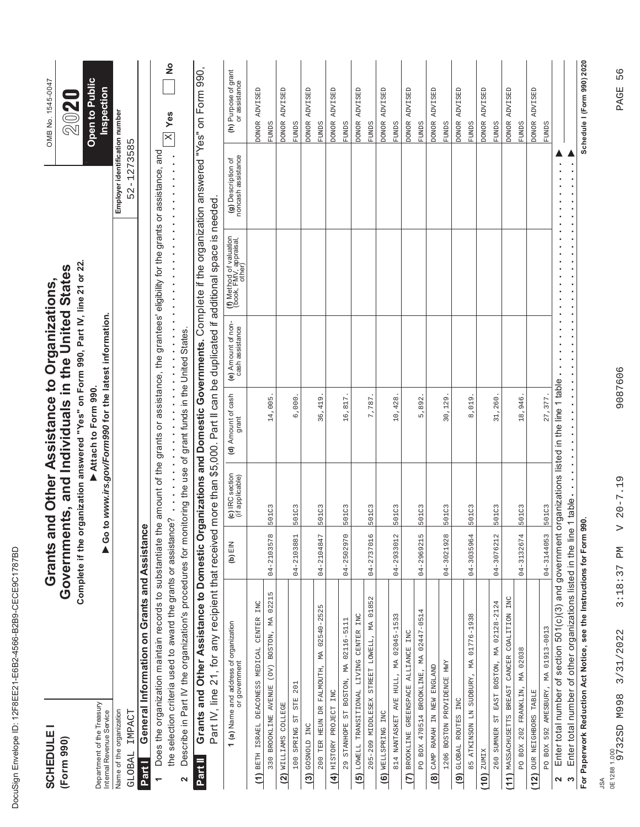| Í<br>۱           |
|------------------|
| Í<br>١<br>ı      |
| ¢                |
| ı<br>Ç           |
| ١<br>l           |
| Ó<br>l           |
| ĺ<br>l<br>O      |
| ¢                |
| ı<br>ı<br>Ì      |
| ı<br>i<br>I      |
| Ì<br>l<br>l      |
| Ì                |
| I<br>ı<br>ı      |
| Ì<br>í<br>Ī      |
| ١                |
| l<br>l<br>ı<br>I |
| Ó                |
| l                |
| ı                |
|                  |
| í                |
|                  |
| I                |
| ١                |
| I<br>l           |
|                  |
| Í                |

| Schedule I (Form 990) 2020<br>$\frac{8}{1}$<br>anizations and Domestic Governments. Complete if the organization answered "Yes" on Form 990,<br>(h) Purpose of grant<br>or assistance<br>Open to Public<br>Inspection<br>ADVISED<br><b>ADVISED</b><br>ADVISED<br>ADVISED<br>ADVISED<br>ADVISED<br>ADVISED<br>ADVISED<br>DONOR ADVISED<br>ADVISED<br>ADVISED<br>ADVISED<br>Employer identification number<br>$X$ Yes<br><b>DONOR</b><br><b>DONOR</b><br><b>DONOR</b><br><b>DONOR</b><br><b>DONOR</b><br><b>DONOR</b><br><b>DONOR</b><br><b>DONOR</b><br><b>DONOR</b><br><b>DONOR</b><br><b>DONOR</b><br><b>FUNDS</b><br><b>FUNDS</b><br><b>FUNDS</b><br><b>FUNDS</b><br><b>FUNDS</b><br><b>FUNDS</b><br><b>FUNDS</b><br><b>FUNDS</b><br><b>FUNDS</b><br><b>FUNDS</b><br><b>FUNDS</b><br><b>FUNDS</b><br>52-1273585<br>Does the organization maintain records to substantiate the amount of the grants or assistance, the grantees' eligibility for the grants or assistance, and<br>$\begin{array}{c} \bullet \\ \bullet \\ \bullet \\ \bullet \end{array}$<br>(g) Description of<br>noncash assistance<br>more than \$5,000. Part II can be duplicated if additional space is needed.<br>,,,,,,,,,,,,,,,,,,,,,,<br>(f) Method of valuation<br>(book, FMV, appraisal,<br>other)<br>to www.irs.gov/Form990 for the latest information.<br>(e) Amount of non-<br>cash assistance<br>Describe in Part IV the organization's procedures for monitoring the use of grant funds in the United States.<br>the selection criteria used to award the grants or assistance?<br>×<br>Enter total number of section 501(c)(3) and government organizations listed in the line 1 table<br>Attach to Form 990.<br>(d) Amount of cash<br>grant<br>27,377<br>10,428<br>8,019<br>18,946<br>14,005<br>6,000<br>36,419<br>16,817<br>31,260<br>7,787<br>5,892<br>30,129<br>(c) IRC section<br>(if applicable)<br>Enter total number of other organizations listed in the line 1 table.<br>501C3<br>501C3<br>501C3<br>501C3<br>501C3<br>501C3<br>501C3<br>501C3<br>501C3<br>501C3<br>501C3<br>501C3<br>For Paperwork Reduction Act Notice, see the Instructions for Form 990.<br>General Information on Grants and Assistance<br>Grants and Other Assistance to Domestic Org<br>$\bullet$ Go t<br>Part IV, line 21, for any recipient that received<br>04-3144053<br>04-2737016<br>04-2933012<br>$04 - 2103578$<br>04-2104847<br>04-2502970<br>S<br>04-3021928<br>04-3035964<br>04-3076212<br>$04 - 3132674$<br>04-2103881<br>04-296921<br>$(D)$ $EIN$<br>02215<br>MA 01852<br>(11) MASSACHUSETTS BREAST CANCER COALITION INC<br>INC<br>260 SUMNER ST EAST BOSTON, MA 02128-2124<br>200 TER HEUN DR FALMOUTH, MA 02540-2525<br>$02447 - 0514$<br>814 NANTASKET AVE HULL, MA 02045-1533<br>85 ATKINSON LN SUDBURY, MA 01776-1938<br>(5) LOWELL TRANSITIONAL LIVING CENTER INC<br>(1) BETH ISRAEL DEACONESS MEDICAL CENTER<br>330 BROOKLINE AVENUE (OV) BOSTON, MA<br>29 STANHOPE ST BOSTON, MA 02116-5111<br><b>1 (a)</b> Name and address of organization<br>or government<br>PO BOX 592 AMESBURY, MA 01913-0013<br>BROOKLINE GREENSPACE ALLIANCE INC<br>205-209 MIDDLESEX STREET LOWELL,<br>MA 02038<br>PO BOX 470514 BROOKLINE, MA<br><b>1206 BOSTON PROVIDENCE HWY</b><br>CAMP RAMAH IN NEW ENGLAND<br>201<br>PO BOX 202 FRANKLIN,<br>OUR NEIGHBORS TABLE<br>HISTORY PROJECT INC<br>100 SPRING ST STE<br>$(9)$ GLOBAL ROUTES INC<br>Department of the Treasury<br>Internal Revenue Service<br>(2) WILLIAMS COLLEGE<br>Name of the organization<br>IMPACT<br>(6) WELLSPRING INC<br>GOSNOLD INC<br><b>GLOBAL</b><br>ZUMIX<br>Part II<br>Part I<br>$\overline{3}$<br>$\circ$<br>$\widehat{4}$<br>(12)<br>$\overline{C}$<br>(10)<br>$\mathbf{\Omega}$<br>$\sim$<br>$\infty$<br>٣ | <b>SCHEDULE1</b><br>(Form 990) |  | Complete if the organization answered "Yes" on Form 990, Part IV, line 21 or 22.<br>Governments, and Individuals in the United States<br>Grants and Other Assistance to Organizations, |  | OMB No. 1545-0047<br>2020 |
|-----------------------------------------------------------------------------------------------------------------------------------------------------------------------------------------------------------------------------------------------------------------------------------------------------------------------------------------------------------------------------------------------------------------------------------------------------------------------------------------------------------------------------------------------------------------------------------------------------------------------------------------------------------------------------------------------------------------------------------------------------------------------------------------------------------------------------------------------------------------------------------------------------------------------------------------------------------------------------------------------------------------------------------------------------------------------------------------------------------------------------------------------------------------------------------------------------------------------------------------------------------------------------------------------------------------------------------------------------------------------------------------------------------------------------------------------------------------------------------------------------------------------------------------------------------------------------------------------------------------------------------------------------------------------------------------------------------------------------------------------------------------------------------------------------------------------------------------------------------------------------------------------------------------------------------------------------------------------------------------------------------------------------------------------------------------------------------------------------------------------------------------------------------------------------------------------------------------------------------------------------------------------------------------------------------------------------------------------------------------------------------------------------------------------------------------------------------------------------------------------------------------------------------------------------------------------------------------------------------------------------------------------------------------------------------------------------------------------------------------------------------------------------------------------------------------------------------------------------------------------------------------------------------------------------------------------------------------------------------------------------------------------------------------------------------------------------------------------------------------------------------------------------------------------------------------------------------------------------------------------------------------------------------------------------------------------------------------------------------------------------------------------------------------------------------------------------------------------------------------------------------------------------------------------------------------------------------------------------------------------------------------------------------------------------------------------------------------------------------------------------------|--------------------------------|--|----------------------------------------------------------------------------------------------------------------------------------------------------------------------------------------|--|---------------------------|
|                                                                                                                                                                                                                                                                                                                                                                                                                                                                                                                                                                                                                                                                                                                                                                                                                                                                                                                                                                                                                                                                                                                                                                                                                                                                                                                                                                                                                                                                                                                                                                                                                                                                                                                                                                                                                                                                                                                                                                                                                                                                                                                                                                                                                                                                                                                                                                                                                                                                                                                                                                                                                                                                                                                                                                                                                                                                                                                                                                                                                                                                                                                                                                                                                                                                                                                                                                                                                                                                                                                                                                                                                                                                                                                                                           |                                |  |                                                                                                                                                                                        |  |                           |
|                                                                                                                                                                                                                                                                                                                                                                                                                                                                                                                                                                                                                                                                                                                                                                                                                                                                                                                                                                                                                                                                                                                                                                                                                                                                                                                                                                                                                                                                                                                                                                                                                                                                                                                                                                                                                                                                                                                                                                                                                                                                                                                                                                                                                                                                                                                                                                                                                                                                                                                                                                                                                                                                                                                                                                                                                                                                                                                                                                                                                                                                                                                                                                                                                                                                                                                                                                                                                                                                                                                                                                                                                                                                                                                                                           |                                |  |                                                                                                                                                                                        |  |                           |
|                                                                                                                                                                                                                                                                                                                                                                                                                                                                                                                                                                                                                                                                                                                                                                                                                                                                                                                                                                                                                                                                                                                                                                                                                                                                                                                                                                                                                                                                                                                                                                                                                                                                                                                                                                                                                                                                                                                                                                                                                                                                                                                                                                                                                                                                                                                                                                                                                                                                                                                                                                                                                                                                                                                                                                                                                                                                                                                                                                                                                                                                                                                                                                                                                                                                                                                                                                                                                                                                                                                                                                                                                                                                                                                                                           |                                |  |                                                                                                                                                                                        |  |                           |
|                                                                                                                                                                                                                                                                                                                                                                                                                                                                                                                                                                                                                                                                                                                                                                                                                                                                                                                                                                                                                                                                                                                                                                                                                                                                                                                                                                                                                                                                                                                                                                                                                                                                                                                                                                                                                                                                                                                                                                                                                                                                                                                                                                                                                                                                                                                                                                                                                                                                                                                                                                                                                                                                                                                                                                                                                                                                                                                                                                                                                                                                                                                                                                                                                                                                                                                                                                                                                                                                                                                                                                                                                                                                                                                                                           |                                |  |                                                                                                                                                                                        |  |                           |
|                                                                                                                                                                                                                                                                                                                                                                                                                                                                                                                                                                                                                                                                                                                                                                                                                                                                                                                                                                                                                                                                                                                                                                                                                                                                                                                                                                                                                                                                                                                                                                                                                                                                                                                                                                                                                                                                                                                                                                                                                                                                                                                                                                                                                                                                                                                                                                                                                                                                                                                                                                                                                                                                                                                                                                                                                                                                                                                                                                                                                                                                                                                                                                                                                                                                                                                                                                                                                                                                                                                                                                                                                                                                                                                                                           |                                |  |                                                                                                                                                                                        |  |                           |
|                                                                                                                                                                                                                                                                                                                                                                                                                                                                                                                                                                                                                                                                                                                                                                                                                                                                                                                                                                                                                                                                                                                                                                                                                                                                                                                                                                                                                                                                                                                                                                                                                                                                                                                                                                                                                                                                                                                                                                                                                                                                                                                                                                                                                                                                                                                                                                                                                                                                                                                                                                                                                                                                                                                                                                                                                                                                                                                                                                                                                                                                                                                                                                                                                                                                                                                                                                                                                                                                                                                                                                                                                                                                                                                                                           |                                |  |                                                                                                                                                                                        |  |                           |
|                                                                                                                                                                                                                                                                                                                                                                                                                                                                                                                                                                                                                                                                                                                                                                                                                                                                                                                                                                                                                                                                                                                                                                                                                                                                                                                                                                                                                                                                                                                                                                                                                                                                                                                                                                                                                                                                                                                                                                                                                                                                                                                                                                                                                                                                                                                                                                                                                                                                                                                                                                                                                                                                                                                                                                                                                                                                                                                                                                                                                                                                                                                                                                                                                                                                                                                                                                                                                                                                                                                                                                                                                                                                                                                                                           |                                |  |                                                                                                                                                                                        |  |                           |
|                                                                                                                                                                                                                                                                                                                                                                                                                                                                                                                                                                                                                                                                                                                                                                                                                                                                                                                                                                                                                                                                                                                                                                                                                                                                                                                                                                                                                                                                                                                                                                                                                                                                                                                                                                                                                                                                                                                                                                                                                                                                                                                                                                                                                                                                                                                                                                                                                                                                                                                                                                                                                                                                                                                                                                                                                                                                                                                                                                                                                                                                                                                                                                                                                                                                                                                                                                                                                                                                                                                                                                                                                                                                                                                                                           |                                |  |                                                                                                                                                                                        |  |                           |
|                                                                                                                                                                                                                                                                                                                                                                                                                                                                                                                                                                                                                                                                                                                                                                                                                                                                                                                                                                                                                                                                                                                                                                                                                                                                                                                                                                                                                                                                                                                                                                                                                                                                                                                                                                                                                                                                                                                                                                                                                                                                                                                                                                                                                                                                                                                                                                                                                                                                                                                                                                                                                                                                                                                                                                                                                                                                                                                                                                                                                                                                                                                                                                                                                                                                                                                                                                                                                                                                                                                                                                                                                                                                                                                                                           |                                |  |                                                                                                                                                                                        |  |                           |
|                                                                                                                                                                                                                                                                                                                                                                                                                                                                                                                                                                                                                                                                                                                                                                                                                                                                                                                                                                                                                                                                                                                                                                                                                                                                                                                                                                                                                                                                                                                                                                                                                                                                                                                                                                                                                                                                                                                                                                                                                                                                                                                                                                                                                                                                                                                                                                                                                                                                                                                                                                                                                                                                                                                                                                                                                                                                                                                                                                                                                                                                                                                                                                                                                                                                                                                                                                                                                                                                                                                                                                                                                                                                                                                                                           |                                |  |                                                                                                                                                                                        |  |                           |
|                                                                                                                                                                                                                                                                                                                                                                                                                                                                                                                                                                                                                                                                                                                                                                                                                                                                                                                                                                                                                                                                                                                                                                                                                                                                                                                                                                                                                                                                                                                                                                                                                                                                                                                                                                                                                                                                                                                                                                                                                                                                                                                                                                                                                                                                                                                                                                                                                                                                                                                                                                                                                                                                                                                                                                                                                                                                                                                                                                                                                                                                                                                                                                                                                                                                                                                                                                                                                                                                                                                                                                                                                                                                                                                                                           |                                |  |                                                                                                                                                                                        |  |                           |
|                                                                                                                                                                                                                                                                                                                                                                                                                                                                                                                                                                                                                                                                                                                                                                                                                                                                                                                                                                                                                                                                                                                                                                                                                                                                                                                                                                                                                                                                                                                                                                                                                                                                                                                                                                                                                                                                                                                                                                                                                                                                                                                                                                                                                                                                                                                                                                                                                                                                                                                                                                                                                                                                                                                                                                                                                                                                                                                                                                                                                                                                                                                                                                                                                                                                                                                                                                                                                                                                                                                                                                                                                                                                                                                                                           |                                |  |                                                                                                                                                                                        |  |                           |
|                                                                                                                                                                                                                                                                                                                                                                                                                                                                                                                                                                                                                                                                                                                                                                                                                                                                                                                                                                                                                                                                                                                                                                                                                                                                                                                                                                                                                                                                                                                                                                                                                                                                                                                                                                                                                                                                                                                                                                                                                                                                                                                                                                                                                                                                                                                                                                                                                                                                                                                                                                                                                                                                                                                                                                                                                                                                                                                                                                                                                                                                                                                                                                                                                                                                                                                                                                                                                                                                                                                                                                                                                                                                                                                                                           |                                |  |                                                                                                                                                                                        |  |                           |
|                                                                                                                                                                                                                                                                                                                                                                                                                                                                                                                                                                                                                                                                                                                                                                                                                                                                                                                                                                                                                                                                                                                                                                                                                                                                                                                                                                                                                                                                                                                                                                                                                                                                                                                                                                                                                                                                                                                                                                                                                                                                                                                                                                                                                                                                                                                                                                                                                                                                                                                                                                                                                                                                                                                                                                                                                                                                                                                                                                                                                                                                                                                                                                                                                                                                                                                                                                                                                                                                                                                                                                                                                                                                                                                                                           |                                |  |                                                                                                                                                                                        |  |                           |
|                                                                                                                                                                                                                                                                                                                                                                                                                                                                                                                                                                                                                                                                                                                                                                                                                                                                                                                                                                                                                                                                                                                                                                                                                                                                                                                                                                                                                                                                                                                                                                                                                                                                                                                                                                                                                                                                                                                                                                                                                                                                                                                                                                                                                                                                                                                                                                                                                                                                                                                                                                                                                                                                                                                                                                                                                                                                                                                                                                                                                                                                                                                                                                                                                                                                                                                                                                                                                                                                                                                                                                                                                                                                                                                                                           |                                |  |                                                                                                                                                                                        |  |                           |
|                                                                                                                                                                                                                                                                                                                                                                                                                                                                                                                                                                                                                                                                                                                                                                                                                                                                                                                                                                                                                                                                                                                                                                                                                                                                                                                                                                                                                                                                                                                                                                                                                                                                                                                                                                                                                                                                                                                                                                                                                                                                                                                                                                                                                                                                                                                                                                                                                                                                                                                                                                                                                                                                                                                                                                                                                                                                                                                                                                                                                                                                                                                                                                                                                                                                                                                                                                                                                                                                                                                                                                                                                                                                                                                                                           |                                |  |                                                                                                                                                                                        |  |                           |
|                                                                                                                                                                                                                                                                                                                                                                                                                                                                                                                                                                                                                                                                                                                                                                                                                                                                                                                                                                                                                                                                                                                                                                                                                                                                                                                                                                                                                                                                                                                                                                                                                                                                                                                                                                                                                                                                                                                                                                                                                                                                                                                                                                                                                                                                                                                                                                                                                                                                                                                                                                                                                                                                                                                                                                                                                                                                                                                                                                                                                                                                                                                                                                                                                                                                                                                                                                                                                                                                                                                                                                                                                                                                                                                                                           |                                |  |                                                                                                                                                                                        |  |                           |
|                                                                                                                                                                                                                                                                                                                                                                                                                                                                                                                                                                                                                                                                                                                                                                                                                                                                                                                                                                                                                                                                                                                                                                                                                                                                                                                                                                                                                                                                                                                                                                                                                                                                                                                                                                                                                                                                                                                                                                                                                                                                                                                                                                                                                                                                                                                                                                                                                                                                                                                                                                                                                                                                                                                                                                                                                                                                                                                                                                                                                                                                                                                                                                                                                                                                                                                                                                                                                                                                                                                                                                                                                                                                                                                                                           |                                |  |                                                                                                                                                                                        |  |                           |
|                                                                                                                                                                                                                                                                                                                                                                                                                                                                                                                                                                                                                                                                                                                                                                                                                                                                                                                                                                                                                                                                                                                                                                                                                                                                                                                                                                                                                                                                                                                                                                                                                                                                                                                                                                                                                                                                                                                                                                                                                                                                                                                                                                                                                                                                                                                                                                                                                                                                                                                                                                                                                                                                                                                                                                                                                                                                                                                                                                                                                                                                                                                                                                                                                                                                                                                                                                                                                                                                                                                                                                                                                                                                                                                                                           |                                |  |                                                                                                                                                                                        |  |                           |
|                                                                                                                                                                                                                                                                                                                                                                                                                                                                                                                                                                                                                                                                                                                                                                                                                                                                                                                                                                                                                                                                                                                                                                                                                                                                                                                                                                                                                                                                                                                                                                                                                                                                                                                                                                                                                                                                                                                                                                                                                                                                                                                                                                                                                                                                                                                                                                                                                                                                                                                                                                                                                                                                                                                                                                                                                                                                                                                                                                                                                                                                                                                                                                                                                                                                                                                                                                                                                                                                                                                                                                                                                                                                                                                                                           |                                |  |                                                                                                                                                                                        |  |                           |
|                                                                                                                                                                                                                                                                                                                                                                                                                                                                                                                                                                                                                                                                                                                                                                                                                                                                                                                                                                                                                                                                                                                                                                                                                                                                                                                                                                                                                                                                                                                                                                                                                                                                                                                                                                                                                                                                                                                                                                                                                                                                                                                                                                                                                                                                                                                                                                                                                                                                                                                                                                                                                                                                                                                                                                                                                                                                                                                                                                                                                                                                                                                                                                                                                                                                                                                                                                                                                                                                                                                                                                                                                                                                                                                                                           |                                |  |                                                                                                                                                                                        |  |                           |
|                                                                                                                                                                                                                                                                                                                                                                                                                                                                                                                                                                                                                                                                                                                                                                                                                                                                                                                                                                                                                                                                                                                                                                                                                                                                                                                                                                                                                                                                                                                                                                                                                                                                                                                                                                                                                                                                                                                                                                                                                                                                                                                                                                                                                                                                                                                                                                                                                                                                                                                                                                                                                                                                                                                                                                                                                                                                                                                                                                                                                                                                                                                                                                                                                                                                                                                                                                                                                                                                                                                                                                                                                                                                                                                                                           |                                |  |                                                                                                                                                                                        |  |                           |
|                                                                                                                                                                                                                                                                                                                                                                                                                                                                                                                                                                                                                                                                                                                                                                                                                                                                                                                                                                                                                                                                                                                                                                                                                                                                                                                                                                                                                                                                                                                                                                                                                                                                                                                                                                                                                                                                                                                                                                                                                                                                                                                                                                                                                                                                                                                                                                                                                                                                                                                                                                                                                                                                                                                                                                                                                                                                                                                                                                                                                                                                                                                                                                                                                                                                                                                                                                                                                                                                                                                                                                                                                                                                                                                                                           |                                |  |                                                                                                                                                                                        |  |                           |
|                                                                                                                                                                                                                                                                                                                                                                                                                                                                                                                                                                                                                                                                                                                                                                                                                                                                                                                                                                                                                                                                                                                                                                                                                                                                                                                                                                                                                                                                                                                                                                                                                                                                                                                                                                                                                                                                                                                                                                                                                                                                                                                                                                                                                                                                                                                                                                                                                                                                                                                                                                                                                                                                                                                                                                                                                                                                                                                                                                                                                                                                                                                                                                                                                                                                                                                                                                                                                                                                                                                                                                                                                                                                                                                                                           |                                |  |                                                                                                                                                                                        |  |                           |
|                                                                                                                                                                                                                                                                                                                                                                                                                                                                                                                                                                                                                                                                                                                                                                                                                                                                                                                                                                                                                                                                                                                                                                                                                                                                                                                                                                                                                                                                                                                                                                                                                                                                                                                                                                                                                                                                                                                                                                                                                                                                                                                                                                                                                                                                                                                                                                                                                                                                                                                                                                                                                                                                                                                                                                                                                                                                                                                                                                                                                                                                                                                                                                                                                                                                                                                                                                                                                                                                                                                                                                                                                                                                                                                                                           |                                |  |                                                                                                                                                                                        |  |                           |
|                                                                                                                                                                                                                                                                                                                                                                                                                                                                                                                                                                                                                                                                                                                                                                                                                                                                                                                                                                                                                                                                                                                                                                                                                                                                                                                                                                                                                                                                                                                                                                                                                                                                                                                                                                                                                                                                                                                                                                                                                                                                                                                                                                                                                                                                                                                                                                                                                                                                                                                                                                                                                                                                                                                                                                                                                                                                                                                                                                                                                                                                                                                                                                                                                                                                                                                                                                                                                                                                                                                                                                                                                                                                                                                                                           |                                |  |                                                                                                                                                                                        |  |                           |
|                                                                                                                                                                                                                                                                                                                                                                                                                                                                                                                                                                                                                                                                                                                                                                                                                                                                                                                                                                                                                                                                                                                                                                                                                                                                                                                                                                                                                                                                                                                                                                                                                                                                                                                                                                                                                                                                                                                                                                                                                                                                                                                                                                                                                                                                                                                                                                                                                                                                                                                                                                                                                                                                                                                                                                                                                                                                                                                                                                                                                                                                                                                                                                                                                                                                                                                                                                                                                                                                                                                                                                                                                                                                                                                                                           |                                |  |                                                                                                                                                                                        |  |                           |
|                                                                                                                                                                                                                                                                                                                                                                                                                                                                                                                                                                                                                                                                                                                                                                                                                                                                                                                                                                                                                                                                                                                                                                                                                                                                                                                                                                                                                                                                                                                                                                                                                                                                                                                                                                                                                                                                                                                                                                                                                                                                                                                                                                                                                                                                                                                                                                                                                                                                                                                                                                                                                                                                                                                                                                                                                                                                                                                                                                                                                                                                                                                                                                                                                                                                                                                                                                                                                                                                                                                                                                                                                                                                                                                                                           |                                |  |                                                                                                                                                                                        |  |                           |
|                                                                                                                                                                                                                                                                                                                                                                                                                                                                                                                                                                                                                                                                                                                                                                                                                                                                                                                                                                                                                                                                                                                                                                                                                                                                                                                                                                                                                                                                                                                                                                                                                                                                                                                                                                                                                                                                                                                                                                                                                                                                                                                                                                                                                                                                                                                                                                                                                                                                                                                                                                                                                                                                                                                                                                                                                                                                                                                                                                                                                                                                                                                                                                                                                                                                                                                                                                                                                                                                                                                                                                                                                                                                                                                                                           |                                |  |                                                                                                                                                                                        |  |                           |
|                                                                                                                                                                                                                                                                                                                                                                                                                                                                                                                                                                                                                                                                                                                                                                                                                                                                                                                                                                                                                                                                                                                                                                                                                                                                                                                                                                                                                                                                                                                                                                                                                                                                                                                                                                                                                                                                                                                                                                                                                                                                                                                                                                                                                                                                                                                                                                                                                                                                                                                                                                                                                                                                                                                                                                                                                                                                                                                                                                                                                                                                                                                                                                                                                                                                                                                                                                                                                                                                                                                                                                                                                                                                                                                                                           |                                |  |                                                                                                                                                                                        |  |                           |
|                                                                                                                                                                                                                                                                                                                                                                                                                                                                                                                                                                                                                                                                                                                                                                                                                                                                                                                                                                                                                                                                                                                                                                                                                                                                                                                                                                                                                                                                                                                                                                                                                                                                                                                                                                                                                                                                                                                                                                                                                                                                                                                                                                                                                                                                                                                                                                                                                                                                                                                                                                                                                                                                                                                                                                                                                                                                                                                                                                                                                                                                                                                                                                                                                                                                                                                                                                                                                                                                                                                                                                                                                                                                                                                                                           |                                |  |                                                                                                                                                                                        |  |                           |
|                                                                                                                                                                                                                                                                                                                                                                                                                                                                                                                                                                                                                                                                                                                                                                                                                                                                                                                                                                                                                                                                                                                                                                                                                                                                                                                                                                                                                                                                                                                                                                                                                                                                                                                                                                                                                                                                                                                                                                                                                                                                                                                                                                                                                                                                                                                                                                                                                                                                                                                                                                                                                                                                                                                                                                                                                                                                                                                                                                                                                                                                                                                                                                                                                                                                                                                                                                                                                                                                                                                                                                                                                                                                                                                                                           |                                |  |                                                                                                                                                                                        |  |                           |
|                                                                                                                                                                                                                                                                                                                                                                                                                                                                                                                                                                                                                                                                                                                                                                                                                                                                                                                                                                                                                                                                                                                                                                                                                                                                                                                                                                                                                                                                                                                                                                                                                                                                                                                                                                                                                                                                                                                                                                                                                                                                                                                                                                                                                                                                                                                                                                                                                                                                                                                                                                                                                                                                                                                                                                                                                                                                                                                                                                                                                                                                                                                                                                                                                                                                                                                                                                                                                                                                                                                                                                                                                                                                                                                                                           |                                |  |                                                                                                                                                                                        |  |                           |
|                                                                                                                                                                                                                                                                                                                                                                                                                                                                                                                                                                                                                                                                                                                                                                                                                                                                                                                                                                                                                                                                                                                                                                                                                                                                                                                                                                                                                                                                                                                                                                                                                                                                                                                                                                                                                                                                                                                                                                                                                                                                                                                                                                                                                                                                                                                                                                                                                                                                                                                                                                                                                                                                                                                                                                                                                                                                                                                                                                                                                                                                                                                                                                                                                                                                                                                                                                                                                                                                                                                                                                                                                                                                                                                                                           |                                |  |                                                                                                                                                                                        |  |                           |
|                                                                                                                                                                                                                                                                                                                                                                                                                                                                                                                                                                                                                                                                                                                                                                                                                                                                                                                                                                                                                                                                                                                                                                                                                                                                                                                                                                                                                                                                                                                                                                                                                                                                                                                                                                                                                                                                                                                                                                                                                                                                                                                                                                                                                                                                                                                                                                                                                                                                                                                                                                                                                                                                                                                                                                                                                                                                                                                                                                                                                                                                                                                                                                                                                                                                                                                                                                                                                                                                                                                                                                                                                                                                                                                                                           |                                |  |                                                                                                                                                                                        |  |                           |

9087606

9732SD M998 3/31/2022 3:18:37 PM V 20-7.19 9087606 PAGE 56  $V 20 - 7.19$ 3:18:37 PM JSA<br>0E12881.000<br>9732SD M998 3/31/2022 0E1288 1.000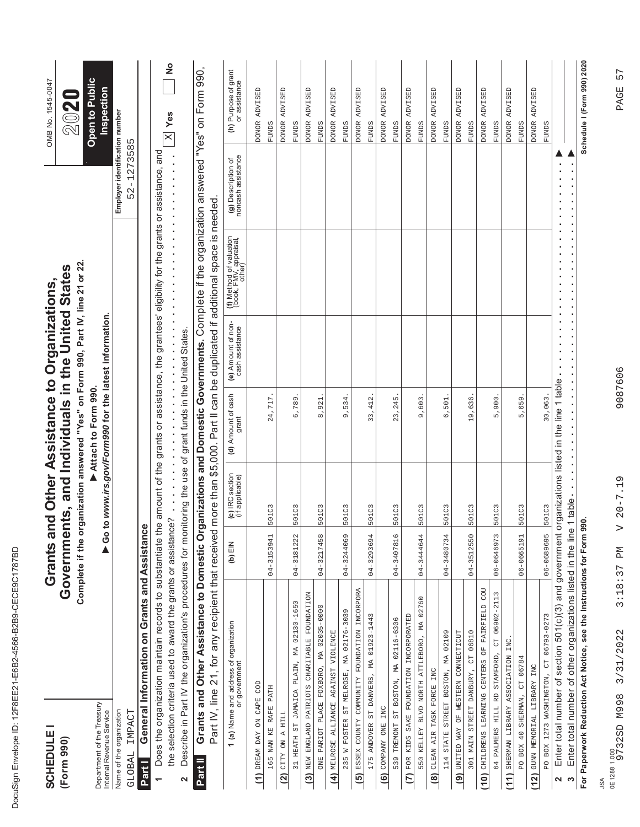| Í<br>۱           |
|------------------|
| Í<br>١<br>ı      |
| ¢                |
| ı<br>Ç           |
| ١<br>l           |
| Ó<br>l           |
| ĺ<br>l<br>O      |
| ¢                |
| ı<br>ı<br>Ì      |
| ı<br>I<br>I      |
| Ì<br>l<br>l      |
| Ì                |
| I<br>ı<br>ı      |
| Ì<br>í<br>Ī      |
| ١                |
| l<br>l<br>ı<br>I |
| Ó                |
| i                |
| ı                |
|                  |
| í                |
|                  |
| ı                |
| ١                |
| I<br>l           |
|                  |
| Í                |

| <b>SCHEDULE1</b><br>(Form 990)                              |                                                                                                                                                                                               | Grants a   |                                    | Complete if the organization answered "Yes" on Form 990, Part IV, line 21 or 22.<br>Governments, and Individuals in the United States<br>nd Other Assistance to Organizations, |                                                                         |                                                                            |                                              | OMB No. 1545-0047<br>2020             |
|-------------------------------------------------------------|-----------------------------------------------------------------------------------------------------------------------------------------------------------------------------------------------|------------|------------------------------------|--------------------------------------------------------------------------------------------------------------------------------------------------------------------------------|-------------------------------------------------------------------------|----------------------------------------------------------------------------|----------------------------------------------|---------------------------------------|
| Department of the Treasury<br>Internal Revenue Service      |                                                                                                                                                                                               | 60         |                                    | to www.irs.gov/Form990 for the latest information.<br>Attach to Form 990.                                                                                                      |                                                                         |                                                                            |                                              | <b>Open to Public</b><br>Inspection   |
| Name of the organization<br>IMPACT<br><b>GLOBAL</b>         |                                                                                                                                                                                               |            |                                    |                                                                                                                                                                                |                                                                         |                                                                            | Employer identification number<br>52-1273585 |                                       |
| Part I                                                      | General Information on Grants and Assistanc                                                                                                                                                   | بهِ        |                                    |                                                                                                                                                                                |                                                                         |                                                                            |                                              |                                       |
|                                                             | Does the organization maintain records to substantiate the amount of the grants or assistance, the grantees' eligibility for the grants or assistance, and                                    |            |                                    |                                                                                                                                                                                |                                                                         |                                                                            |                                              |                                       |
|                                                             | the selection criteria used to award the grants or assistance?                                                                                                                                |            |                                    | .                                                                                                                                                                              | $\begin{array}{c} \bullet \\ \bullet \\ \bullet \\ \bullet \end{array}$ | $\frac{1}{2}$<br>ä,                                                        | $\ddot{\cdot}$<br>ä<br>ä                     | $\frac{1}{2}$<br>$\mathbb{X}$ Yes     |
| $\mathbf{\Omega}$                                           | Describe in Part IV the organization's procedures for monitoring the use of grant funds in the United States.                                                                                 |            |                                    |                                                                                                                                                                                |                                                                         |                                                                            |                                              |                                       |
| Part II                                                     | Grants and Other Assistance to Domestic Organizations and Domestic Governments. Complete if the organization answered "Yes" on Form 990,<br>Part IV, line 21, for any recipient that received |            |                                    |                                                                                                                                                                                |                                                                         | more than \$5,000. Part II can be duplicated if additional space is needed |                                              |                                       |
|                                                             | (a) Name and address of organization<br>or government                                                                                                                                         | (b) $EIN$  | (c) IRC section<br>(if applicable) | (d) Amount of cash<br>grant                                                                                                                                                    | (e) Amount of non-<br>cash assistance                                   | (f) Method of valuation<br>(book, FMV, appraisal,<br>other)                | (g) Description of<br>noncash assistance     | (h) Purpose of grant<br>or assistance |
| (1) DREAM DAY ON CAPE                                       | COD                                                                                                                                                                                           |            |                                    |                                                                                                                                                                                |                                                                         |                                                                            |                                              | ADVISED<br><b>DONOR</b>               |
| 165 NAN KE RAFE PATH                                        |                                                                                                                                                                                               | 04-3153941 | 501C3                              | 24,717                                                                                                                                                                         |                                                                         |                                                                            |                                              | <b>EUNDS</b>                          |
| $(2)$ CITY ON A HILL                                        |                                                                                                                                                                                               |            |                                    |                                                                                                                                                                                |                                                                         |                                                                            |                                              | DONOR ADVISED                         |
| 31 HEATH ST JAMAICA PLAIN,                                  | $02130 - 1650$<br>MĄ                                                                                                                                                                          | 04-3181222 | 501C3                              | 6,789                                                                                                                                                                          |                                                                         |                                                                            |                                              | <b>FUNDS</b>                          |
|                                                             | (3) NEW ENGLAND PATRIOTS CHARITABLE FOUNDATION                                                                                                                                                |            |                                    |                                                                                                                                                                                |                                                                         |                                                                            |                                              | ADVISED<br><b>DONOR</b>               |
|                                                             | ONE PARIOT PLACE FOXBORO, MA 02035-0000                                                                                                                                                       | 04-3217458 | 501C3                              | 8,921                                                                                                                                                                          |                                                                         |                                                                            |                                              | <b>FUNDS</b>                          |
| MELROSE ALLIANCE AGAINST VIOLENCE<br>$\widehat{4}$          |                                                                                                                                                                                               |            |                                    |                                                                                                                                                                                |                                                                         |                                                                            |                                              | ADVISED<br><b>DONOR</b>               |
|                                                             | 235 W FOSTER ST MELROSE, MA 02176-3039                                                                                                                                                        | 04-3244069 | 501C3                              | 534<br>$\overline{\circ}$                                                                                                                                                      |                                                                         |                                                                            |                                              | <b>EUNDS</b>                          |
|                                                             | (5) ESSEX COUNTY COMMUNITY FOUNDATION INCORPORA                                                                                                                                               |            |                                    |                                                                                                                                                                                |                                                                         |                                                                            |                                              | ADVISED<br><b>DONOR</b>               |
|                                                             | 175 ANDOVER ST DANVERS, MA 01923-1443                                                                                                                                                         | 04-3293694 | 501C3                              | 33, 412                                                                                                                                                                        |                                                                         |                                                                            |                                              | <b>EUNDS</b>                          |
| COMPANY ONE INC<br>$\widehat{\mathbf{e}}$                   |                                                                                                                                                                                               |            |                                    |                                                                                                                                                                                |                                                                         |                                                                            |                                              | <b>ADVISED</b><br><b>DONOR</b>        |
| 539 TREMONT ST BOSTON, MA 02116-6306                        |                                                                                                                                                                                               | 04-3407816 | 501C3                              | 23, 245                                                                                                                                                                        |                                                                         |                                                                            |                                              | <b>FUNDS</b>                          |
| FOR KIDS SAKE FOUNDATION INCORPORATED<br>ε                  |                                                                                                                                                                                               |            |                                    |                                                                                                                                                                                |                                                                         |                                                                            |                                              | <b>ADVISED</b><br><b>DONOR</b>        |
|                                                             | 550 KELLEY BLVD NORTH ATTLEBORO, MA 02760                                                                                                                                                     | 04-3444644 | 501C3                              | 9,603                                                                                                                                                                          |                                                                         |                                                                            |                                              | <b>FUNDS</b>                          |
| (8) CLEAN AIR TASK FORCE INC                                |                                                                                                                                                                                               |            |                                    |                                                                                                                                                                                |                                                                         |                                                                            |                                              | ADVISED<br><b>DONOR</b>               |
| 114 STATE STREET BOSTON, MA 02109                           |                                                                                                                                                                                               | 04-3480734 | 501C3                              | 6,501                                                                                                                                                                          |                                                                         |                                                                            |                                              | <b>FUNDS</b>                          |
| UNITED WAY OF WESTERN CONNECTICUT<br>$\widehat{\mathbf{e}}$ |                                                                                                                                                                                               |            |                                    |                                                                                                                                                                                |                                                                         |                                                                            |                                              | ADVISED<br><b>DONOR</b>               |
| 301 MAIN STREET DANBURY, CT 06810                           |                                                                                                                                                                                               | 04-3512550 | 501C3                              | 19,636                                                                                                                                                                         |                                                                         |                                                                            |                                              | <b>EUNDS</b>                          |
| (10)                                                        | CHILDRENS LEARNING CENTERS OF FAIRFIELD COU                                                                                                                                                   |            |                                    |                                                                                                                                                                                |                                                                         |                                                                            |                                              | ADVISED<br><b>DONOR</b>               |
| 64 PALMERS HILL RD STAMFORD,                                | CT 06902-2113                                                                                                                                                                                 | 06-0646973 | 501C3                              | 5,900                                                                                                                                                                          |                                                                         |                                                                            |                                              | <b>EUNDS</b>                          |
| (11) SHERMAN LIBRARY ASSOCIATION                            | INC.                                                                                                                                                                                          |            |                                    |                                                                                                                                                                                |                                                                         |                                                                            |                                              | ADVISED<br><b>DONOR</b>               |
| PO BOX 40 SHERMAN,                                          | CT 06784                                                                                                                                                                                      | 06-0665191 | 501C3                              | 5,659                                                                                                                                                                          |                                                                         |                                                                            |                                              | <b>FUNDS</b>                          |
| GUNN MEMORIAL LIBRARY INC<br>(12)                           |                                                                                                                                                                                               |            |                                    |                                                                                                                                                                                |                                                                         |                                                                            |                                              | ADVISED<br><b>DONOR</b>               |
|                                                             | PO BOX 1273 WASHINGTON, CT 06793-0273                                                                                                                                                         | 06-0689695 | 501C3                              | 30,063.                                                                                                                                                                        |                                                                         |                                                                            |                                              | <b>FUNDS</b>                          |
| 2                                                           | Enter total number of section 501(c)(3) and government                                                                                                                                        |            |                                    | organizations listed in the line 1 table                                                                                                                                       |                                                                         |                                                                            |                                              |                                       |
| $\boldsymbol{\varsigma}$                                    | Enter total number of other organizations listed in the line 1 table                                                                                                                          |            |                                    |                                                                                                                                                                                |                                                                         |                                                                            |                                              |                                       |
|                                                             | For Paperwork Reduction Act Notice, see the Instructions for Form 990.                                                                                                                        |            |                                    |                                                                                                                                                                                |                                                                         |                                                                            |                                              | Schedule I (Form 990) 2020            |
|                                                             |                                                                                                                                                                                               |            |                                    |                                                                                                                                                                                |                                                                         |                                                                            |                                              |                                       |

 $V 20 - 7.19$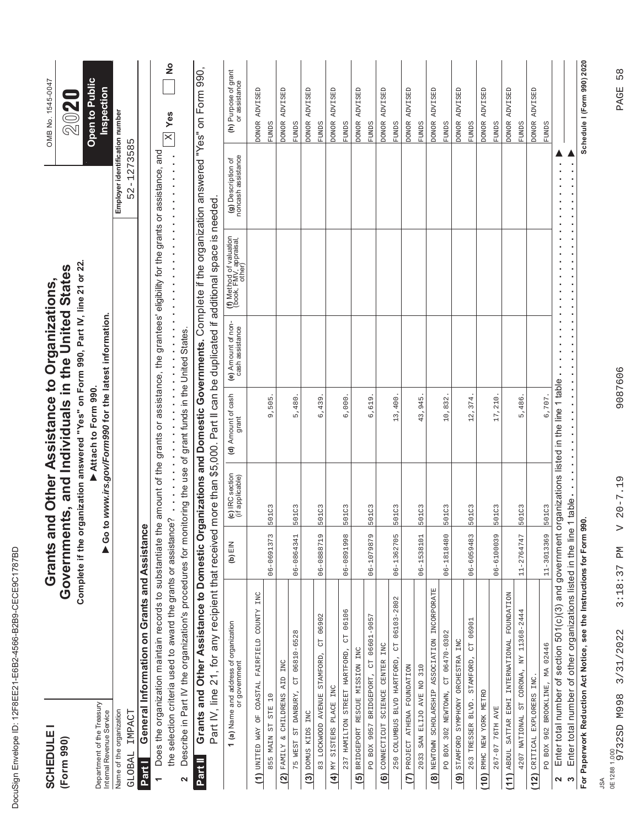| ı<br>۱           |
|------------------|
| ĺ<br>١<br>ı      |
| ¢                |
| Ç<br>ı           |
| ١<br>l           |
| Ó                |
| ĺ<br>O           |
| I<br>¢           |
| ı<br>ı<br>١      |
| Í<br>I           |
| d<br>I<br>l      |
| Ì<br>١           |
| ı<br>I           |
| ı                |
| Ì<br>ı           |
| l<br>ı<br>I<br>l |
| Ì                |
| ı<br>١           |
| Í                |
|                  |
| ı<br>١           |
|                  |
| 1                |
| ١                |
| Ï<br>֠           |
|                  |
| ı                |

| <b>SCHEDULE</b><br>(Form 990)                                                                                                                                                                            |                       |                                    | Complete if the organization answered "Yes" on Form 990, Part IV, line 21 or 22<br>Governments, and Individuals in the United States<br>Grants and Other Assistance to Organizations, |                                       |                                                                             |                                          | OMB No. 1545-0047<br>2020             |
|----------------------------------------------------------------------------------------------------------------------------------------------------------------------------------------------------------|-----------------------|------------------------------------|---------------------------------------------------------------------------------------------------------------------------------------------------------------------------------------|---------------------------------------|-----------------------------------------------------------------------------|------------------------------------------|---------------------------------------|
| Department of the Treasury<br>Internal Revenue Service                                                                                                                                                   | $\triangleright$ Go t |                                    | to www.irs.gov/Form990 for the latest information.<br>Attach to Form 990.                                                                                                             |                                       |                                                                             |                                          | <b>Open to Public</b><br>Inspection   |
| Name of the organization                                                                                                                                                                                 |                       |                                    |                                                                                                                                                                                       |                                       |                                                                             | Employer identification number           |                                       |
| General Information on Grants and Assistance<br>IMPACT<br>GLOBAL<br>Part I                                                                                                                               |                       |                                    |                                                                                                                                                                                       |                                       |                                                                             | 52-1273585                               |                                       |
| Does the organization maintain records to substantiate the amount of the grants or assistance, the grantees' eligibility for the grants or assistance, and                                               |                       |                                    |                                                                                                                                                                                       |                                       |                                                                             |                                          |                                       |
| the selection criteria used to award the grants or assistance?                                                                                                                                           |                       |                                    |                                                                                                                                                                                       |                                       |                                                                             |                                          | $\frac{1}{2}$<br>$\mathbb{X}$ Yes     |
| Describe in Part IV the organization's procedures for monitoring the use of grant funds in the United States.<br>2                                                                                       |                       |                                    |                                                                                                                                                                                       |                                       |                                                                             |                                          |                                       |
| Grants and Other Assistance to Domestic Organizations and Domestic Governments. Complete if the organization answered "Yes" on Form 990,<br>Part IV, line 21, for any recipient that received<br>Part II |                       |                                    |                                                                                                                                                                                       |                                       | more than \$5,000. Part II can be duplicated if additional space is needed. |                                          |                                       |
| <b>1 (a)</b> Name and address of organization                                                                                                                                                            | (b) $EIN$             | (c) IRC section<br>(if applicable) | (d) Amount of cash<br>grant                                                                                                                                                           | (e) Amount of non-<br>cash assistance | (f) Method of valuation<br>(book, FMV, appraisal,<br>other)                 | (g) Description of<br>noncash assistance | (h) Purpose of grant<br>or assistance |
| (1) UNITED WAY OF COASTAL FAIRFIELD COUNTY INC<br>$\overline{a}$<br><b>STE</b><br>855 MAIN ST                                                                                                            | 06-0691373            |                                    | 9,505                                                                                                                                                                                 |                                       |                                                                             |                                          | <b>DONOR ADVISED</b><br><b>FUNDS</b>  |
| FAMILY & CHILDRENS AID INC<br>$\widetilde{a}$                                                                                                                                                            |                       | 501C3                              |                                                                                                                                                                                       |                                       |                                                                             |                                          | ADVISED<br><b>DONOR</b>               |
| 75 WEST ST DANBURY, CT 06810-6528                                                                                                                                                                        | 06-0864341            | 501C3                              | 5,480                                                                                                                                                                                 |                                       |                                                                             |                                          | <b>FUNDS</b>                          |
| (3) DOMUS KIDS INC                                                                                                                                                                                       |                       |                                    |                                                                                                                                                                                       |                                       |                                                                             |                                          | ADVISED<br><b>DONOR</b>               |
| CT 06902<br>83 LOCKWOOD AVENUE STAMFORD,                                                                                                                                                                 | 06-0888719            | 501C3                              | 6,439                                                                                                                                                                                 |                                       |                                                                             |                                          | <b>FUNDS</b>                          |
| SISTERS PLACE INC<br>$(4)$ MY                                                                                                                                                                            |                       |                                    |                                                                                                                                                                                       |                                       |                                                                             |                                          | ADVISED<br><b>DONOR</b>               |
| CT 06106<br>237 HAMILTON STREET HARTFORD,                                                                                                                                                                | 8667680-90            | 501C3                              | 6,000                                                                                                                                                                                 |                                       |                                                                             |                                          | <b>FUNDS</b>                          |
| BRIDGEPORT RESCUE MISSION INC<br>$\overline{5}$                                                                                                                                                          |                       |                                    |                                                                                                                                                                                       |                                       |                                                                             |                                          | ADVISED<br><b>DONOR</b>               |
| PO BOX 9057 BRIDGEPORT, CT 06601-9057                                                                                                                                                                    | 06-1079879            | 501C3                              | 6,619                                                                                                                                                                                 |                                       |                                                                             |                                          | <b>FUNDS</b>                          |
| (6) COMNECTICUT SCIENCE CENTER INC                                                                                                                                                                       |                       |                                    |                                                                                                                                                                                       |                                       |                                                                             |                                          | ADVISED<br><b>DONOR</b>               |
| 06103-2802<br>$\overline{\text{C}}$<br>250 COLUMBUS BLVD HARTFORD,                                                                                                                                       | 06-1362705            | 501C3                              | 13,400                                                                                                                                                                                |                                       |                                                                             |                                          | <b>FUNDS</b>                          |
| (7) PROJECT ATHENA FOUNDATION<br>310<br>SAN ELIJO AVE NO                                                                                                                                                 | 06-1538101            | 501C3                              | 43,945                                                                                                                                                                                |                                       |                                                                             |                                          | DONOR ADVISED<br><b>FUNDS</b>         |
| NEWTOWN SCHOLARSHIP ASSOCIATION INCORPORATE<br>$\widehat{\mathbf{e}}$                                                                                                                                    |                       |                                    |                                                                                                                                                                                       |                                       |                                                                             |                                          | ADVISED<br><b>DONOR</b>               |
| PO BOX 302 NEWTOWN, CT 06470-0302                                                                                                                                                                        | 06-1818480            | 501C3                              | 10,832                                                                                                                                                                                |                                       |                                                                             |                                          | <b>FUNDS</b>                          |
| (9) STAMFORD SYMPHONY ORCHESTRA INC                                                                                                                                                                      |                       |                                    |                                                                                                                                                                                       |                                       |                                                                             |                                          | ADVISED<br><b>DONOR</b>               |
| 06901<br>$\overline{\overline{C}}$<br>STAMFORD,<br>263 TRESSER BLVD.                                                                                                                                     | 06-6059483            | 501C3                              | 12,374                                                                                                                                                                                |                                       |                                                                             |                                          | <b>FUNDS</b>                          |
| (10) RMHC NEW YORK METRO                                                                                                                                                                                 |                       |                                    |                                                                                                                                                                                       |                                       |                                                                             |                                          | DONOR ADVISED                         |
| 76TH AVE<br>$267 - 07$                                                                                                                                                                                   | 06-6100039            | 501C3                              | 17,210                                                                                                                                                                                |                                       |                                                                             |                                          | <b>FUNDS</b>                          |
| ABDUL SATTAR EDHI INTERNATIONAL FOUNDATION<br>(11)                                                                                                                                                       |                       |                                    |                                                                                                                                                                                       |                                       |                                                                             |                                          | ADVISED<br><b>DONOR</b>               |
| 4207 NATIONAL ST CORONA, NY 11368-2444                                                                                                                                                                   | 11-2764747            | 501C3                              | 5,486                                                                                                                                                                                 |                                       |                                                                             |                                          | <b>FUNDS</b>                          |
| CRITICAL EXPLORERS INC.<br>(12)                                                                                                                                                                          |                       |                                    |                                                                                                                                                                                       |                                       |                                                                             |                                          | ADVISED<br><b>DONOR</b>               |
| PO BOX 962 BROOKLINE, MA 02446                                                                                                                                                                           | 11-3013369            | 501C3                              | 6,707.                                                                                                                                                                                |                                       |                                                                             |                                          | <b>FUNDS</b>                          |
| Enter total number of section 501(c)(3) and government organizations listed in the line 1 table<br>2                                                                                                     |                       |                                    |                                                                                                                                                                                       |                                       |                                                                             |                                          |                                       |
| Enter total number of other organizations listed in the line 1 table<br>$\boldsymbol{\omega}$                                                                                                            |                       |                                    |                                                                                                                                                                                       |                                       |                                                                             |                                          |                                       |
| For Paperwork Reduction Act Notice, see the Instructions for Form 990.                                                                                                                                   |                       |                                    |                                                                                                                                                                                       |                                       |                                                                             |                                          | Schedule I (Form 990) 2020            |

0E1288 1.000

9087606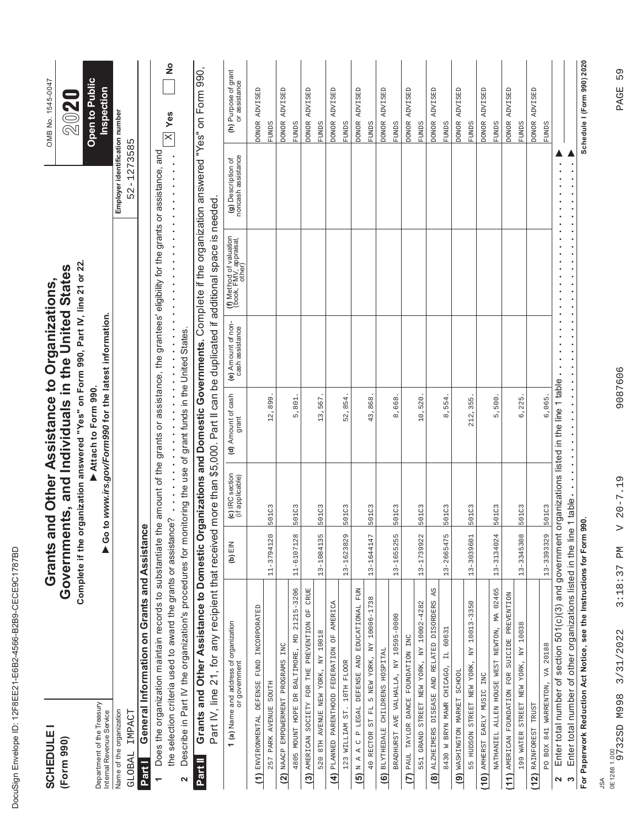| ı<br>۱                                                                                                                         |
|--------------------------------------------------------------------------------------------------------------------------------|
| ĺ<br>١<br>ı                                                                                                                    |
| ¢                                                                                                                              |
| Ç<br>ı                                                                                                                         |
| ١<br>l                                                                                                                         |
| Ó                                                                                                                              |
| ĺ<br>O                                                                                                                         |
| I<br>¢                                                                                                                         |
| ı<br>ı<br>١                                                                                                                    |
| Í<br><b>STATE OF STATE OF STATE OF STATE OF STATE OF STATE OF STATE OF STATE OF STATE OF STATE OF STATE OF STATE OF S</b><br>I |
| d<br>I<br>l                                                                                                                    |
| Ì<br>١                                                                                                                         |
| ı<br>I                                                                                                                         |
| ı                                                                                                                              |
| Ì<br>ı                                                                                                                         |
| l<br>ı<br>I<br>l                                                                                                               |
| Ì                                                                                                                              |
| ı<br>١                                                                                                                         |
| Í                                                                                                                              |
|                                                                                                                                |
| ı<br>١                                                                                                                         |
|                                                                                                                                |
| 1                                                                                                                              |
| ١                                                                                                                              |
| Ï<br>֠                                                                                                                         |
|                                                                                                                                |
| ı                                                                                                                              |

| <b>SCHEDULE</b><br>(Form 990)                                              |                                                                                                                                                                 | Complete if the or |                                    | ganization answered "Yes" on Form 990, Part IV, line 21 or 22<br>Governments, and Individuals in the United States<br>Grants and Other Assistance to Organizations, |                                       |                                                                                                                                            |                                              | OMB No. 1545-0047<br>20                 |
|----------------------------------------------------------------------------|-----------------------------------------------------------------------------------------------------------------------------------------------------------------|--------------------|------------------------------------|---------------------------------------------------------------------------------------------------------------------------------------------------------------------|---------------------------------------|--------------------------------------------------------------------------------------------------------------------------------------------|----------------------------------------------|-----------------------------------------|
| Department of the Treasury<br>Internal Revenue Service                     |                                                                                                                                                                 |                    |                                    | Go to www.irs.gov/Form990 for the latest information.<br>Attach to Form 990.                                                                                        |                                       |                                                                                                                                            |                                              | Open to Public<br>Inspection            |
| Name of the organization<br>IMPACT<br>GLOBAL                               |                                                                                                                                                                 |                    |                                    |                                                                                                                                                                     |                                       |                                                                                                                                            | Employer identification number<br>52-1273585 |                                         |
| Part I                                                                     | General Information on Grants and Assistance                                                                                                                    |                    |                                    |                                                                                                                                                                     |                                       |                                                                                                                                            |                                              |                                         |
| $\overline{ }$                                                             | Does the organization maintain records to substantiate the amount of the grants or assistance, the grantees' eligibility for the grants or assistance, and      |                    |                                    |                                                                                                                                                                     |                                       |                                                                                                                                            |                                              | $\frac{1}{2}$<br>$\mathbb{X}$ Yes       |
| $\mathbf{\Omega}$                                                          | the selection criteria used to award the grants or assistance?                                                                                                  |                    |                                    |                                                                                                                                                                     |                                       |                                                                                                                                            |                                              |                                         |
| Part II                                                                    | Grants and Other Assistance to Domestic Organizations and Domestic Governments. Complete if the organization answered                                           |                    |                                    |                                                                                                                                                                     |                                       |                                                                                                                                            |                                              | "Yes" on Form 990,                      |
|                                                                            | Part IV, line 21, for any recipient that received<br><b>1 (a)</b> Name and address of organization<br>or government                                             | $(D)$ $EIN$        | (c) IRC section<br>(if applicable) | (d) Amount of cash<br>grant                                                                                                                                         | (e) Amount of non-<br>cash assistance | more than \$5,000. Part II can be duplicated if additional space is needed.<br>(f) Method of valuation<br>(book, FMV, appraisal,<br>other) | (g) Description of<br>noncash assistance     | (h) Purpose of grant<br>or assistance   |
|                                                                            |                                                                                                                                                                 |                    |                                    |                                                                                                                                                                     |                                       |                                                                                                                                            |                                              |                                         |
| (1) ENVIRONMENTAL DEFENSE                                                  | FUND INCORPORATED                                                                                                                                               |                    |                                    |                                                                                                                                                                     |                                       |                                                                                                                                            |                                              | <b>ADVISED</b><br><b>DONOR</b>          |
| 257 PARK AVENUE SOUTH                                                      |                                                                                                                                                                 | 11-3794120         | 501C3                              | 12,899                                                                                                                                                              |                                       |                                                                                                                                            |                                              | <b>FUNDS</b>                            |
| (2) NAACP EMPOWERMENT PROGRAMS INC                                         |                                                                                                                                                                 |                    |                                    |                                                                                                                                                                     |                                       |                                                                                                                                            |                                              | <b>ADVISED</b><br><b>DONOR</b>          |
| 4805 MOUNT HOPE DR BALTIMORE,                                              | 21215-3206<br>$\mathbf{\Xi}$                                                                                                                                    | 11-6107128         | 501C3                              | 5,801                                                                                                                                                               |                                       |                                                                                                                                            |                                              | <b>FUNDS</b>                            |
| 520 8TH AVENUE NEW YORK, NY 10018                                          | (3) AMERICAN SOCIETY FOR THE PREVENTION OF CRUE                                                                                                                 | 13-1084135         | 501C3                              | 13,567                                                                                                                                                              |                                       |                                                                                                                                            |                                              | ADVISED<br><b>DONOR</b><br><b>FUNDS</b> |
|                                                                            | (4) PLANNED PARENTHOOD FEDERATION OF AMERICA                                                                                                                    |                    |                                    |                                                                                                                                                                     |                                       |                                                                                                                                            |                                              | ADVISED<br><b>DONOR</b>                 |
| 123 WILLIAM ST. 10TH FLOOR                                                 |                                                                                                                                                                 | 13-1623829         | 501C3                              | 52,854                                                                                                                                                              |                                       |                                                                                                                                            |                                              | <b>FUNDS</b>                            |
| $\mathbf{A}_i$<br>N A<br>$\widehat{5}$                                     | C P LEGAL DEFENSE AND EDUCATIONAL FUN                                                                                                                           |                    |                                    |                                                                                                                                                                     |                                       |                                                                                                                                            |                                              | <b>ADVISED</b><br><b>DONOR</b>          |
|                                                                            | 40 RECTOR ST FL 5 NEW YORK, NY 10006-1738                                                                                                                       | 13-1644147         | 501C3                              | 43,868                                                                                                                                                              |                                       |                                                                                                                                            |                                              | <b>EUNDS</b>                            |
| BLYTHEDALE CHILDRENS HOSPITAL<br>$\widehat{\mathbf{e}}$                    |                                                                                                                                                                 |                    |                                    |                                                                                                                                                                     |                                       |                                                                                                                                            |                                              | ADVISED<br><b>DONOR</b>                 |
|                                                                            | BRADHURST AVE VALHALLA, NY 10595-0000                                                                                                                           | 13-1655255         | 501C3                              | 8,668                                                                                                                                                               |                                       |                                                                                                                                            |                                              | <b>FUNDS</b>                            |
| PAUL TAYLOR DANCE FOUNDATION INC<br>$\tilde{c}$                            |                                                                                                                                                                 |                    |                                    |                                                                                                                                                                     |                                       |                                                                                                                                            |                                              | DONOR ADVISED                           |
| GRAND                                                                      | STREET NEW YORK, NY 10002-4282                                                                                                                                  | 13-1739922         | 501C3                              | 10,520                                                                                                                                                              |                                       |                                                                                                                                            |                                              | <b>FUNDS</b>                            |
|                                                                            | $\mathbb{A}\mathbb{S}$<br>(8) ALZHEIMERS DISEASE AND RELATED DISORDERS                                                                                          |                    |                                    |                                                                                                                                                                     |                                       |                                                                                                                                            |                                              | ADVISED<br><b>DONOR</b>                 |
| 8430 W BRYN MAWR CHICAGO, IL 60631                                         |                                                                                                                                                                 | 13-2665475         | 501C3                              | 8,554                                                                                                                                                               |                                       |                                                                                                                                            |                                              | <b>FUNDS</b>                            |
| WASHINGTON MARKET SCHOOL<br>$\left( \begin{matrix} 9 \end{matrix} \right)$ |                                                                                                                                                                 |                    |                                    |                                                                                                                                                                     |                                       |                                                                                                                                            |                                              | ADVISED<br><b>DONOR</b>                 |
|                                                                            | 55 HUDSON STREET NEW YORK, NY 10013-3350                                                                                                                        | 13-3039601         | 501C3                              | 212,355                                                                                                                                                             |                                       |                                                                                                                                            |                                              | <b>FUNDS</b>                            |
| AMHERST EARLY MUSIC INC<br>(10)                                            |                                                                                                                                                                 |                    |                                    |                                                                                                                                                                     |                                       |                                                                                                                                            |                                              | ADVISED<br><b>DONOR</b>                 |
|                                                                            | NATHANIEL ALLEN HOUSE WEST NEWTON, MA 02465                                                                                                                     | 13-3134024         | 501C3                              | 5,500                                                                                                                                                               |                                       |                                                                                                                                            |                                              | <b>FUNDS</b>                            |
| $\frac{1}{2}$                                                              | AMERICAN FOUNDATION FOR SUICIDE PREVENTION                                                                                                                      |                    |                                    |                                                                                                                                                                     |                                       |                                                                                                                                            |                                              | ADVISED<br><b>DONOR</b>                 |
|                                                                            | 199 WATER STREET NEW YORK, NY 10038                                                                                                                             | 13-3345308         | 501C3                              | 6,225                                                                                                                                                               |                                       |                                                                                                                                            |                                              | <b>EUNDS</b>                            |
| RAINFOREST TRUST<br>(12)                                                   |                                                                                                                                                                 |                    |                                    |                                                                                                                                                                     |                                       |                                                                                                                                            |                                              | <b>ADVISED</b><br><b>DONOR</b>          |
| PO BOX 841 WARRENTON, VA 20188                                             |                                                                                                                                                                 | 13-3393329         | 501C3                              | 6,065.                                                                                                                                                              |                                       |                                                                                                                                            |                                              | <b>FUNDS</b>                            |
| $\boldsymbol{\mathrm{o}}$<br>$\boldsymbol{\sim}$                           | Enter total number of section 501(c)(3) and government organizations listed in the line 1 table<br>Enter total number of other organizations listed in the line |                    | 1 table                            |                                                                                                                                                                     |                                       |                                                                                                                                            |                                              |                                         |
|                                                                            | For Paperwork Reduction Act Notice, see the Instructions for Form 990.                                                                                          |                    |                                    |                                                                                                                                                                     |                                       |                                                                                                                                            |                                              | Schedule I (Form 990) 2020              |
| ₹                                                                          |                                                                                                                                                                 |                    |                                    |                                                                                                                                                                     |                                       |                                                                                                                                            |                                              |                                         |
| 0E12881.000<br>9732SD M998                                                 | 3:18:37 PM<br>3/31/2022                                                                                                                                         |                    | $20 - 7.19$                        | 9087606                                                                                                                                                             |                                       |                                                                                                                                            |                                              | 59<br>PAGE                              |
|                                                                            |                                                                                                                                                                 |                    |                                    |                                                                                                                                                                     |                                       |                                                                                                                                            |                                              |                                         |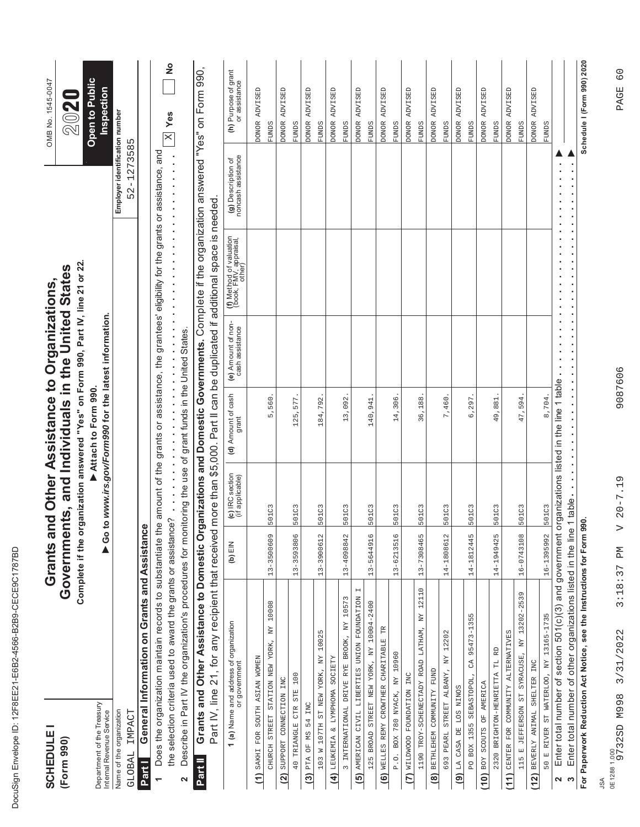| Ĺ<br>J                                                                                                              |
|---------------------------------------------------------------------------------------------------------------------|
| ĺ<br>١<br>ı                                                                                                         |
| d<br>ı                                                                                                              |
| O<br>۱                                                                                                              |
| ١                                                                                                                   |
| l<br>¢<br>l                                                                                                         |
| I<br>¢                                                                                                              |
| I<br>١                                                                                                              |
| Í<br>ı<br>١                                                                                                         |
| ı                                                                                                                   |
| Ì<br>d                                                                                                              |
| I<br>l                                                                                                              |
| Ì<br>I                                                                                                              |
| ı<br>¢                                                                                                              |
| ĺ<br>ı                                                                                                              |
| l<br>I<br>l<br>J<br>l                                                                                               |
| I                                                                                                                   |
| Ì                                                                                                                   |
| ı<br>Ó                                                                                                              |
| ı<br>Ì                                                                                                              |
|                                                                                                                     |
| ı<br>١                                                                                                              |
|                                                                                                                     |
| ĺ<br>and the state of the state of the state of the state of the state of the state of the state of the state of th |
|                                                                                                                     |
| ١<br>Ó<br>֠                                                                                                         |
|                                                                                                                     |
| ı                                                                                                                   |

| Grants and Other Assistance to Domestic Organizations and Domestic Governments. Complete if the organization answered "Yes" on Form 990,<br>Open to Public<br>Inspection<br>DONOR ADVISED<br>ADVISED<br>ADVISED<br><b>ADVISED</b><br><b>ADVISED</b><br><b>ADVISED</b><br>ADVISED<br><b>ADVISED</b><br>ADVISED<br>ADVISED<br>ADVISED<br>DONOR ADVISED<br>Employer identification number<br>$\mathbb{X}$ Yes<br><b>DONOR</b><br><b>DONOR</b><br><b>DONOR</b><br><b>DONOR</b><br><b>DONOR</b><br><b>DONOR</b><br><b>DONOR</b><br><b>DONOR</b><br><b>DONOR</b><br><b>DONOR</b><br><b>FUNDS</b><br><b>FUNDS</b><br><b>FUNDS</b><br><b>FUNDS</b><br><b>FUNDS</b><br><b>FUNDS</b><br><b>FUNDS</b><br><b>FUNDS</b><br><b>FUNDS</b><br><b>EUNDS</b><br><b>EUNDS</b><br><b>FUNDS</b><br>52-1273585<br>Does the organization maintain records to substantiate the amount of the grants or assistance, the grantees' eligibility for the grants or assistance, and<br>$\ddot{\cdot}$<br>(g) Description of<br>noncash assistance<br>more than \$5,000. Part II can be duplicated if additional space is needed<br>(f) Method of valuation<br>(book, FMV, appraisal,<br>other)<br>to www.irs.gov/Form990 for the latest information.<br>$\begin{array}{c} \bullet \\ \bullet \\ \bullet \\ \bullet \end{array}$<br>(e) Amount of non-<br>cash assistance<br>Describe in Part IV the organization's procedures for monitoring the use of grant funds in the United States.<br>organizations listed in the line 1 table<br>Attach to Form 990.<br>(d) Amount of cash<br>grant<br>.<br>8,704.<br>140,941<br>14,306<br>47,594<br>5,560<br>125,577<br>184,792<br>13,092<br>36,188<br>7,460<br>6,297<br>49,881<br>$\frac{1}{2}$<br>(c) IRC section<br>(if applicable)<br>Enter total number of other organizations listed in the line 1 table<br>501C3<br>501C3<br>501C3<br>501C3<br>501C3<br>501C3<br>501C3<br>501C3<br>501C3<br>501C3<br>501C3<br>501C3<br>the selection criteria used to award the grants or assistance?<br>For Paperwork Reduction Act Notice, see the Instructions for Form 990.<br>General Information on Grants and Assistance<br>60<br>Part IV, line 21, for any recipient that received<br>Enter total number of section 501(c)(3) and government<br>13-3593806<br>13-3900612<br>13-5644916<br>13-6213516<br>14-1812445<br>16-1395992<br>13-3500609<br>13-4098842<br>13-7308465<br>14-1808612<br>16-0743108<br>14-1949425<br>$(h)$ EIN<br>12110<br>115 E JEFFERSON ST SYRACUSE, NY 13202-2539<br>(5) AMERICAN CIVIL LIBERTIES UNION FOUNDATION<br>INTERNATIONAL DRIVE RYE BROOK, NY 10573<br>10008<br>125 BROAD STREET NEW YORK, NY 10004-2400<br>1190 TROY-SCHENECTADY ROAD LATHAM, NY<br>E RIVER ST WATERLOO, NY 13165-1735<br>CA 95473-1355<br><b>1 (a)</b> Name and address of organization<br>or government<br>$\Xi$<br>臣<br>COMMUNITY ALTERNATIVES<br>103 W 107TH ST NEW YORK, NY 10025<br>12202<br>WELLES REMY CROWTHER CHARITABLE<br>CHURCH STREET STATION NEW YORK,<br>2320 BRIGHTON-HENRIETTA TL RD<br>NY 10960<br>$\stackrel{\textstyle{Y}}{\textstyle{X}}$<br>(1) SAKHI FOR SOUTH ASIAN WOMEN<br>(4) LEUKEMIA & LAYPHOMA SOCIETY<br>BEVERLY ANIMAL SHELTER INC<br>693 PEARL STREET ALBANY,<br>FUND<br>PO BOX 1355 SEBASTOPOL,<br>INC<br>40 TRIANGLE CTR STE 100<br>SUPPORT CONNECTION INC<br>BOY SCOUTS OF AMERICA<br>$(9)$ LA CASA DE LOS NINOS<br>BOX 780 NYACK,<br><b>WILDWOOD FOUNDATION</b><br>XLINONNO <sub>C</sub> MEHETHLER (8)<br>Department of the Treasury<br>Internal Revenue Service<br>PTA OF MS 54 INC<br>Name of the organization<br>IMPACT<br>$(11)$ CENTER FOR<br><b>GLOBAL</b><br>$\overline{P}$ . O.<br>Part II<br>50<br>Part I<br>$\widetilde{a}$<br>$\widehat{\mathbf{e}}$<br>$\overline{c}$<br>$\tilde{c}$<br>(12)<br>(10)<br>2<br>S<br>2 | <b>SCHEDULE</b><br>(Form 990) | Grants a | Complete if the organization answered "Yes" on Form 990, Part IV, line 21 or 22.<br>Governments, and Individuals in the United States<br>nd Other Assistance to Organizations, |  | OMB No. 1545-0047<br>2020             |
|------------------------------------------------------------------------------------------------------------------------------------------------------------------------------------------------------------------------------------------------------------------------------------------------------------------------------------------------------------------------------------------------------------------------------------------------------------------------------------------------------------------------------------------------------------------------------------------------------------------------------------------------------------------------------------------------------------------------------------------------------------------------------------------------------------------------------------------------------------------------------------------------------------------------------------------------------------------------------------------------------------------------------------------------------------------------------------------------------------------------------------------------------------------------------------------------------------------------------------------------------------------------------------------------------------------------------------------------------------------------------------------------------------------------------------------------------------------------------------------------------------------------------------------------------------------------------------------------------------------------------------------------------------------------------------------------------------------------------------------------------------------------------------------------------------------------------------------------------------------------------------------------------------------------------------------------------------------------------------------------------------------------------------------------------------------------------------------------------------------------------------------------------------------------------------------------------------------------------------------------------------------------------------------------------------------------------------------------------------------------------------------------------------------------------------------------------------------------------------------------------------------------------------------------------------------------------------------------------------------------------------------------------------------------------------------------------------------------------------------------------------------------------------------------------------------------------------------------------------------------------------------------------------------------------------------------------------------------------------------------------------------------------------------------------------------------------------------------------------------------------------------------------------------------------------------------------------------------------------------------------------------------------------------------------------------------------------------------------------------------------------------------------------------------------------------------------------------------------------------------------------------------------------------------------------------------------------------------------------------------------------------------------------------------------------------------------------------------------------------------------------------------------------|-------------------------------|----------|--------------------------------------------------------------------------------------------------------------------------------------------------------------------------------|--|---------------------------------------|
|                                                                                                                                                                                                                                                                                                                                                                                                                                                                                                                                                                                                                                                                                                                                                                                                                                                                                                                                                                                                                                                                                                                                                                                                                                                                                                                                                                                                                                                                                                                                                                                                                                                                                                                                                                                                                                                                                                                                                                                                                                                                                                                                                                                                                                                                                                                                                                                                                                                                                                                                                                                                                                                                                                                                                                                                                                                                                                                                                                                                                                                                                                                                                                                                                                                                                                                                                                                                                                                                                                                                                                                                                                                                                                                                                                                    |                               |          |                                                                                                                                                                                |  |                                       |
|                                                                                                                                                                                                                                                                                                                                                                                                                                                                                                                                                                                                                                                                                                                                                                                                                                                                                                                                                                                                                                                                                                                                                                                                                                                                                                                                                                                                                                                                                                                                                                                                                                                                                                                                                                                                                                                                                                                                                                                                                                                                                                                                                                                                                                                                                                                                                                                                                                                                                                                                                                                                                                                                                                                                                                                                                                                                                                                                                                                                                                                                                                                                                                                                                                                                                                                                                                                                                                                                                                                                                                                                                                                                                                                                                                                    |                               |          |                                                                                                                                                                                |  |                                       |
|                                                                                                                                                                                                                                                                                                                                                                                                                                                                                                                                                                                                                                                                                                                                                                                                                                                                                                                                                                                                                                                                                                                                                                                                                                                                                                                                                                                                                                                                                                                                                                                                                                                                                                                                                                                                                                                                                                                                                                                                                                                                                                                                                                                                                                                                                                                                                                                                                                                                                                                                                                                                                                                                                                                                                                                                                                                                                                                                                                                                                                                                                                                                                                                                                                                                                                                                                                                                                                                                                                                                                                                                                                                                                                                                                                                    |                               |          |                                                                                                                                                                                |  |                                       |
|                                                                                                                                                                                                                                                                                                                                                                                                                                                                                                                                                                                                                                                                                                                                                                                                                                                                                                                                                                                                                                                                                                                                                                                                                                                                                                                                                                                                                                                                                                                                                                                                                                                                                                                                                                                                                                                                                                                                                                                                                                                                                                                                                                                                                                                                                                                                                                                                                                                                                                                                                                                                                                                                                                                                                                                                                                                                                                                                                                                                                                                                                                                                                                                                                                                                                                                                                                                                                                                                                                                                                                                                                                                                                                                                                                                    |                               |          |                                                                                                                                                                                |  |                                       |
|                                                                                                                                                                                                                                                                                                                                                                                                                                                                                                                                                                                                                                                                                                                                                                                                                                                                                                                                                                                                                                                                                                                                                                                                                                                                                                                                                                                                                                                                                                                                                                                                                                                                                                                                                                                                                                                                                                                                                                                                                                                                                                                                                                                                                                                                                                                                                                                                                                                                                                                                                                                                                                                                                                                                                                                                                                                                                                                                                                                                                                                                                                                                                                                                                                                                                                                                                                                                                                                                                                                                                                                                                                                                                                                                                                                    |                               |          |                                                                                                                                                                                |  | $rac{1}{2}$                           |
|                                                                                                                                                                                                                                                                                                                                                                                                                                                                                                                                                                                                                                                                                                                                                                                                                                                                                                                                                                                                                                                                                                                                                                                                                                                                                                                                                                                                                                                                                                                                                                                                                                                                                                                                                                                                                                                                                                                                                                                                                                                                                                                                                                                                                                                                                                                                                                                                                                                                                                                                                                                                                                                                                                                                                                                                                                                                                                                                                                                                                                                                                                                                                                                                                                                                                                                                                                                                                                                                                                                                                                                                                                                                                                                                                                                    |                               |          |                                                                                                                                                                                |  |                                       |
|                                                                                                                                                                                                                                                                                                                                                                                                                                                                                                                                                                                                                                                                                                                                                                                                                                                                                                                                                                                                                                                                                                                                                                                                                                                                                                                                                                                                                                                                                                                                                                                                                                                                                                                                                                                                                                                                                                                                                                                                                                                                                                                                                                                                                                                                                                                                                                                                                                                                                                                                                                                                                                                                                                                                                                                                                                                                                                                                                                                                                                                                                                                                                                                                                                                                                                                                                                                                                                                                                                                                                                                                                                                                                                                                                                                    |                               |          |                                                                                                                                                                                |  |                                       |
|                                                                                                                                                                                                                                                                                                                                                                                                                                                                                                                                                                                                                                                                                                                                                                                                                                                                                                                                                                                                                                                                                                                                                                                                                                                                                                                                                                                                                                                                                                                                                                                                                                                                                                                                                                                                                                                                                                                                                                                                                                                                                                                                                                                                                                                                                                                                                                                                                                                                                                                                                                                                                                                                                                                                                                                                                                                                                                                                                                                                                                                                                                                                                                                                                                                                                                                                                                                                                                                                                                                                                                                                                                                                                                                                                                                    |                               |          |                                                                                                                                                                                |  | (h) Purpose of grant<br>or assistance |
|                                                                                                                                                                                                                                                                                                                                                                                                                                                                                                                                                                                                                                                                                                                                                                                                                                                                                                                                                                                                                                                                                                                                                                                                                                                                                                                                                                                                                                                                                                                                                                                                                                                                                                                                                                                                                                                                                                                                                                                                                                                                                                                                                                                                                                                                                                                                                                                                                                                                                                                                                                                                                                                                                                                                                                                                                                                                                                                                                                                                                                                                                                                                                                                                                                                                                                                                                                                                                                                                                                                                                                                                                                                                                                                                                                                    |                               |          |                                                                                                                                                                                |  |                                       |
|                                                                                                                                                                                                                                                                                                                                                                                                                                                                                                                                                                                                                                                                                                                                                                                                                                                                                                                                                                                                                                                                                                                                                                                                                                                                                                                                                                                                                                                                                                                                                                                                                                                                                                                                                                                                                                                                                                                                                                                                                                                                                                                                                                                                                                                                                                                                                                                                                                                                                                                                                                                                                                                                                                                                                                                                                                                                                                                                                                                                                                                                                                                                                                                                                                                                                                                                                                                                                                                                                                                                                                                                                                                                                                                                                                                    |                               |          |                                                                                                                                                                                |  |                                       |
|                                                                                                                                                                                                                                                                                                                                                                                                                                                                                                                                                                                                                                                                                                                                                                                                                                                                                                                                                                                                                                                                                                                                                                                                                                                                                                                                                                                                                                                                                                                                                                                                                                                                                                                                                                                                                                                                                                                                                                                                                                                                                                                                                                                                                                                                                                                                                                                                                                                                                                                                                                                                                                                                                                                                                                                                                                                                                                                                                                                                                                                                                                                                                                                                                                                                                                                                                                                                                                                                                                                                                                                                                                                                                                                                                                                    |                               |          |                                                                                                                                                                                |  |                                       |
|                                                                                                                                                                                                                                                                                                                                                                                                                                                                                                                                                                                                                                                                                                                                                                                                                                                                                                                                                                                                                                                                                                                                                                                                                                                                                                                                                                                                                                                                                                                                                                                                                                                                                                                                                                                                                                                                                                                                                                                                                                                                                                                                                                                                                                                                                                                                                                                                                                                                                                                                                                                                                                                                                                                                                                                                                                                                                                                                                                                                                                                                                                                                                                                                                                                                                                                                                                                                                                                                                                                                                                                                                                                                                                                                                                                    |                               |          |                                                                                                                                                                                |  |                                       |
|                                                                                                                                                                                                                                                                                                                                                                                                                                                                                                                                                                                                                                                                                                                                                                                                                                                                                                                                                                                                                                                                                                                                                                                                                                                                                                                                                                                                                                                                                                                                                                                                                                                                                                                                                                                                                                                                                                                                                                                                                                                                                                                                                                                                                                                                                                                                                                                                                                                                                                                                                                                                                                                                                                                                                                                                                                                                                                                                                                                                                                                                                                                                                                                                                                                                                                                                                                                                                                                                                                                                                                                                                                                                                                                                                                                    |                               |          |                                                                                                                                                                                |  |                                       |
|                                                                                                                                                                                                                                                                                                                                                                                                                                                                                                                                                                                                                                                                                                                                                                                                                                                                                                                                                                                                                                                                                                                                                                                                                                                                                                                                                                                                                                                                                                                                                                                                                                                                                                                                                                                                                                                                                                                                                                                                                                                                                                                                                                                                                                                                                                                                                                                                                                                                                                                                                                                                                                                                                                                                                                                                                                                                                                                                                                                                                                                                                                                                                                                                                                                                                                                                                                                                                                                                                                                                                                                                                                                                                                                                                                                    |                               |          |                                                                                                                                                                                |  |                                       |
|                                                                                                                                                                                                                                                                                                                                                                                                                                                                                                                                                                                                                                                                                                                                                                                                                                                                                                                                                                                                                                                                                                                                                                                                                                                                                                                                                                                                                                                                                                                                                                                                                                                                                                                                                                                                                                                                                                                                                                                                                                                                                                                                                                                                                                                                                                                                                                                                                                                                                                                                                                                                                                                                                                                                                                                                                                                                                                                                                                                                                                                                                                                                                                                                                                                                                                                                                                                                                                                                                                                                                                                                                                                                                                                                                                                    |                               |          |                                                                                                                                                                                |  |                                       |
|                                                                                                                                                                                                                                                                                                                                                                                                                                                                                                                                                                                                                                                                                                                                                                                                                                                                                                                                                                                                                                                                                                                                                                                                                                                                                                                                                                                                                                                                                                                                                                                                                                                                                                                                                                                                                                                                                                                                                                                                                                                                                                                                                                                                                                                                                                                                                                                                                                                                                                                                                                                                                                                                                                                                                                                                                                                                                                                                                                                                                                                                                                                                                                                                                                                                                                                                                                                                                                                                                                                                                                                                                                                                                                                                                                                    |                               |          |                                                                                                                                                                                |  |                                       |
|                                                                                                                                                                                                                                                                                                                                                                                                                                                                                                                                                                                                                                                                                                                                                                                                                                                                                                                                                                                                                                                                                                                                                                                                                                                                                                                                                                                                                                                                                                                                                                                                                                                                                                                                                                                                                                                                                                                                                                                                                                                                                                                                                                                                                                                                                                                                                                                                                                                                                                                                                                                                                                                                                                                                                                                                                                                                                                                                                                                                                                                                                                                                                                                                                                                                                                                                                                                                                                                                                                                                                                                                                                                                                                                                                                                    |                               |          |                                                                                                                                                                                |  |                                       |
|                                                                                                                                                                                                                                                                                                                                                                                                                                                                                                                                                                                                                                                                                                                                                                                                                                                                                                                                                                                                                                                                                                                                                                                                                                                                                                                                                                                                                                                                                                                                                                                                                                                                                                                                                                                                                                                                                                                                                                                                                                                                                                                                                                                                                                                                                                                                                                                                                                                                                                                                                                                                                                                                                                                                                                                                                                                                                                                                                                                                                                                                                                                                                                                                                                                                                                                                                                                                                                                                                                                                                                                                                                                                                                                                                                                    |                               |          |                                                                                                                                                                                |  |                                       |
|                                                                                                                                                                                                                                                                                                                                                                                                                                                                                                                                                                                                                                                                                                                                                                                                                                                                                                                                                                                                                                                                                                                                                                                                                                                                                                                                                                                                                                                                                                                                                                                                                                                                                                                                                                                                                                                                                                                                                                                                                                                                                                                                                                                                                                                                                                                                                                                                                                                                                                                                                                                                                                                                                                                                                                                                                                                                                                                                                                                                                                                                                                                                                                                                                                                                                                                                                                                                                                                                                                                                                                                                                                                                                                                                                                                    |                               |          |                                                                                                                                                                                |  |                                       |
|                                                                                                                                                                                                                                                                                                                                                                                                                                                                                                                                                                                                                                                                                                                                                                                                                                                                                                                                                                                                                                                                                                                                                                                                                                                                                                                                                                                                                                                                                                                                                                                                                                                                                                                                                                                                                                                                                                                                                                                                                                                                                                                                                                                                                                                                                                                                                                                                                                                                                                                                                                                                                                                                                                                                                                                                                                                                                                                                                                                                                                                                                                                                                                                                                                                                                                                                                                                                                                                                                                                                                                                                                                                                                                                                                                                    |                               |          |                                                                                                                                                                                |  |                                       |
|                                                                                                                                                                                                                                                                                                                                                                                                                                                                                                                                                                                                                                                                                                                                                                                                                                                                                                                                                                                                                                                                                                                                                                                                                                                                                                                                                                                                                                                                                                                                                                                                                                                                                                                                                                                                                                                                                                                                                                                                                                                                                                                                                                                                                                                                                                                                                                                                                                                                                                                                                                                                                                                                                                                                                                                                                                                                                                                                                                                                                                                                                                                                                                                                                                                                                                                                                                                                                                                                                                                                                                                                                                                                                                                                                                                    |                               |          |                                                                                                                                                                                |  |                                       |
|                                                                                                                                                                                                                                                                                                                                                                                                                                                                                                                                                                                                                                                                                                                                                                                                                                                                                                                                                                                                                                                                                                                                                                                                                                                                                                                                                                                                                                                                                                                                                                                                                                                                                                                                                                                                                                                                                                                                                                                                                                                                                                                                                                                                                                                                                                                                                                                                                                                                                                                                                                                                                                                                                                                                                                                                                                                                                                                                                                                                                                                                                                                                                                                                                                                                                                                                                                                                                                                                                                                                                                                                                                                                                                                                                                                    |                               |          |                                                                                                                                                                                |  |                                       |
|                                                                                                                                                                                                                                                                                                                                                                                                                                                                                                                                                                                                                                                                                                                                                                                                                                                                                                                                                                                                                                                                                                                                                                                                                                                                                                                                                                                                                                                                                                                                                                                                                                                                                                                                                                                                                                                                                                                                                                                                                                                                                                                                                                                                                                                                                                                                                                                                                                                                                                                                                                                                                                                                                                                                                                                                                                                                                                                                                                                                                                                                                                                                                                                                                                                                                                                                                                                                                                                                                                                                                                                                                                                                                                                                                                                    |                               |          |                                                                                                                                                                                |  |                                       |
|                                                                                                                                                                                                                                                                                                                                                                                                                                                                                                                                                                                                                                                                                                                                                                                                                                                                                                                                                                                                                                                                                                                                                                                                                                                                                                                                                                                                                                                                                                                                                                                                                                                                                                                                                                                                                                                                                                                                                                                                                                                                                                                                                                                                                                                                                                                                                                                                                                                                                                                                                                                                                                                                                                                                                                                                                                                                                                                                                                                                                                                                                                                                                                                                                                                                                                                                                                                                                                                                                                                                                                                                                                                                                                                                                                                    |                               |          |                                                                                                                                                                                |  |                                       |
|                                                                                                                                                                                                                                                                                                                                                                                                                                                                                                                                                                                                                                                                                                                                                                                                                                                                                                                                                                                                                                                                                                                                                                                                                                                                                                                                                                                                                                                                                                                                                                                                                                                                                                                                                                                                                                                                                                                                                                                                                                                                                                                                                                                                                                                                                                                                                                                                                                                                                                                                                                                                                                                                                                                                                                                                                                                                                                                                                                                                                                                                                                                                                                                                                                                                                                                                                                                                                                                                                                                                                                                                                                                                                                                                                                                    |                               |          |                                                                                                                                                                                |  |                                       |
|                                                                                                                                                                                                                                                                                                                                                                                                                                                                                                                                                                                                                                                                                                                                                                                                                                                                                                                                                                                                                                                                                                                                                                                                                                                                                                                                                                                                                                                                                                                                                                                                                                                                                                                                                                                                                                                                                                                                                                                                                                                                                                                                                                                                                                                                                                                                                                                                                                                                                                                                                                                                                                                                                                                                                                                                                                                                                                                                                                                                                                                                                                                                                                                                                                                                                                                                                                                                                                                                                                                                                                                                                                                                                                                                                                                    |                               |          |                                                                                                                                                                                |  |                                       |
|                                                                                                                                                                                                                                                                                                                                                                                                                                                                                                                                                                                                                                                                                                                                                                                                                                                                                                                                                                                                                                                                                                                                                                                                                                                                                                                                                                                                                                                                                                                                                                                                                                                                                                                                                                                                                                                                                                                                                                                                                                                                                                                                                                                                                                                                                                                                                                                                                                                                                                                                                                                                                                                                                                                                                                                                                                                                                                                                                                                                                                                                                                                                                                                                                                                                                                                                                                                                                                                                                                                                                                                                                                                                                                                                                                                    |                               |          |                                                                                                                                                                                |  |                                       |
|                                                                                                                                                                                                                                                                                                                                                                                                                                                                                                                                                                                                                                                                                                                                                                                                                                                                                                                                                                                                                                                                                                                                                                                                                                                                                                                                                                                                                                                                                                                                                                                                                                                                                                                                                                                                                                                                                                                                                                                                                                                                                                                                                                                                                                                                                                                                                                                                                                                                                                                                                                                                                                                                                                                                                                                                                                                                                                                                                                                                                                                                                                                                                                                                                                                                                                                                                                                                                                                                                                                                                                                                                                                                                                                                                                                    |                               |          |                                                                                                                                                                                |  |                                       |
|                                                                                                                                                                                                                                                                                                                                                                                                                                                                                                                                                                                                                                                                                                                                                                                                                                                                                                                                                                                                                                                                                                                                                                                                                                                                                                                                                                                                                                                                                                                                                                                                                                                                                                                                                                                                                                                                                                                                                                                                                                                                                                                                                                                                                                                                                                                                                                                                                                                                                                                                                                                                                                                                                                                                                                                                                                                                                                                                                                                                                                                                                                                                                                                                                                                                                                                                                                                                                                                                                                                                                                                                                                                                                                                                                                                    |                               |          |                                                                                                                                                                                |  |                                       |
|                                                                                                                                                                                                                                                                                                                                                                                                                                                                                                                                                                                                                                                                                                                                                                                                                                                                                                                                                                                                                                                                                                                                                                                                                                                                                                                                                                                                                                                                                                                                                                                                                                                                                                                                                                                                                                                                                                                                                                                                                                                                                                                                                                                                                                                                                                                                                                                                                                                                                                                                                                                                                                                                                                                                                                                                                                                                                                                                                                                                                                                                                                                                                                                                                                                                                                                                                                                                                                                                                                                                                                                                                                                                                                                                                                                    |                               |          |                                                                                                                                                                                |  |                                       |
|                                                                                                                                                                                                                                                                                                                                                                                                                                                                                                                                                                                                                                                                                                                                                                                                                                                                                                                                                                                                                                                                                                                                                                                                                                                                                                                                                                                                                                                                                                                                                                                                                                                                                                                                                                                                                                                                                                                                                                                                                                                                                                                                                                                                                                                                                                                                                                                                                                                                                                                                                                                                                                                                                                                                                                                                                                                                                                                                                                                                                                                                                                                                                                                                                                                                                                                                                                                                                                                                                                                                                                                                                                                                                                                                                                                    |                               |          |                                                                                                                                                                                |  |                                       |
|                                                                                                                                                                                                                                                                                                                                                                                                                                                                                                                                                                                                                                                                                                                                                                                                                                                                                                                                                                                                                                                                                                                                                                                                                                                                                                                                                                                                                                                                                                                                                                                                                                                                                                                                                                                                                                                                                                                                                                                                                                                                                                                                                                                                                                                                                                                                                                                                                                                                                                                                                                                                                                                                                                                                                                                                                                                                                                                                                                                                                                                                                                                                                                                                                                                                                                                                                                                                                                                                                                                                                                                                                                                                                                                                                                                    |                               |          |                                                                                                                                                                                |  |                                       |
|                                                                                                                                                                                                                                                                                                                                                                                                                                                                                                                                                                                                                                                                                                                                                                                                                                                                                                                                                                                                                                                                                                                                                                                                                                                                                                                                                                                                                                                                                                                                                                                                                                                                                                                                                                                                                                                                                                                                                                                                                                                                                                                                                                                                                                                                                                                                                                                                                                                                                                                                                                                                                                                                                                                                                                                                                                                                                                                                                                                                                                                                                                                                                                                                                                                                                                                                                                                                                                                                                                                                                                                                                                                                                                                                                                                    |                               |          |                                                                                                                                                                                |  | Schedule I (Form 990) 2020            |

9087606

9732SD M998 3/31/2022 3:18:37 PM V 20-7.19 9087606 PAGE 60  $V 20 - 7.19$ 3:18:37 PM JSA<br>0E1288 1.000<br>9732SD M998 3/31/2022

0E1288 1.000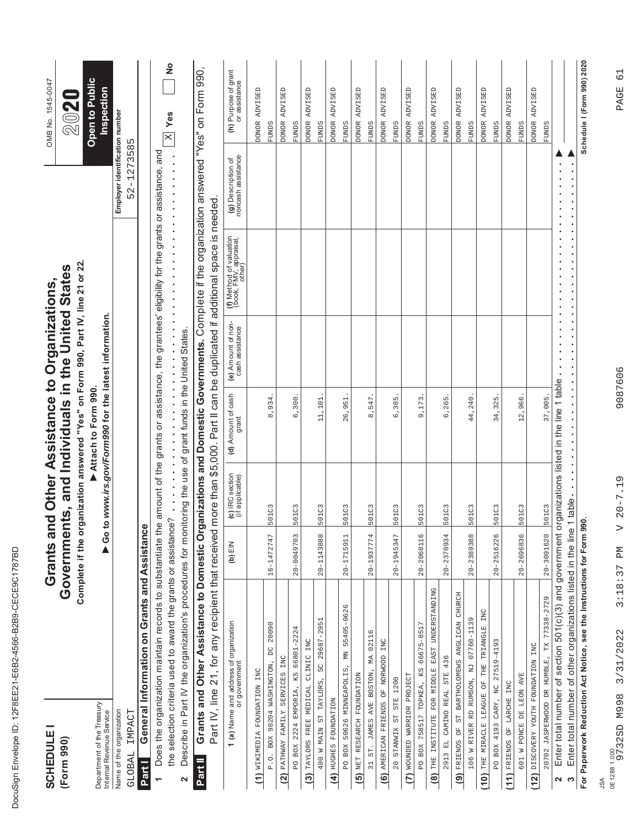| ı<br>۱                                                                                                                         |
|--------------------------------------------------------------------------------------------------------------------------------|
| ĺ<br>١<br>ı                                                                                                                    |
| ¢                                                                                                                              |
| Ç<br>ı                                                                                                                         |
| ١<br>l                                                                                                                         |
| Ó                                                                                                                              |
| ĺ<br>O                                                                                                                         |
| í<br>¢                                                                                                                         |
| ı<br>ı<br>١                                                                                                                    |
| Í<br><b>STATE OF STATE OF STATE OF STATE OF STATE OF STATE OF STATE OF STATE OF STATE OF STATE OF STATE OF STATE OF S</b><br>I |
| d<br>I<br>l                                                                                                                    |
| Ì<br>١                                                                                                                         |
| ı<br>I                                                                                                                         |
| ı                                                                                                                              |
| Ì<br>ı                                                                                                                         |
| l<br>ı<br>I<br>l                                                                                                               |
| Ì                                                                                                                              |
| ı<br>١                                                                                                                         |
| Í                                                                                                                              |
|                                                                                                                                |
| ı<br>١                                                                                                                         |
|                                                                                                                                |
| 1                                                                                                                              |
| ١                                                                                                                              |
| Ï<br>֠                                                                                                                         |
|                                                                                                                                |
| ı                                                                                                                              |

| Grants and Other Assistance to Domestic Organizations and Domestic Governments. Complete if the organization answered "Yes" on Form 990,<br>Employer identification number<br><b>DONOR</b><br><b>DONOR</b><br><b>DONOR</b><br><b>DONOR</b><br><b>DONOR</b><br><b>DONOR</b><br><b>DONOR</b><br><b>DONOR</b><br><b>PONOR</b><br><b>DONOR</b><br><b>DONOR</b><br><b>DONOR</b><br><b>FUNDS</b><br><b>FUNDS</b><br><b>FUNDS</b><br><b>FUNDS</b><br><b>FUNDS</b><br><b>FUNDS</b><br><b>FUNDS</b><br><b>FUNDS</b><br><b>FUNDS</b><br><b>FUNDS</b><br><b>FUNDS</b><br><b>FUNDS</b><br>52-1273585<br>Does the organization maintain records to substantiate the amount of the grants or assistance, the grantees' eligibility for the grants or assistance, and<br>$\frac{1}{2}$<br>(g) Description of<br>noncash assistance<br>more than \$5,000. Part II can be duplicated if additional space is needed<br>(f) Method of valuation<br>(book, FMV, appraisal,<br>other)<br>to www.irs.gov/Form990 for the latest information.<br>(e) Amount of non-<br>cash assistance<br>$\begin{array}{c} \bullet \\ \bullet \\ \bullet \\ \bullet \end{array}$<br>Describe in Part IV the organization's procedures for monitoring the use of grant funds in the United States.<br>Enter total number of section 501(c)(3) and government organizations listed in the line 1 table<br>Attach to Form 990.<br>(d) Amount of cash<br>grant<br>12,966<br>6,300<br>9,173<br>34,325<br>37,005<br>8,934<br>11,101<br>26,951<br>8,547<br>6,385<br>6,265<br>44,240<br>.<br>$e$ ? $\cdots$ $\cdots$<br>(c) IRC section<br>(if applicable)<br>Enter total number of other organizations listed in the line 1 table.<br>501C3<br>501C3<br>501C3<br>501C3<br>501C3<br>501C3<br>501C3<br>501C3<br>501C3<br>501C3<br>501C3<br>501C3<br>General Information on Grants and Assistance<br>the selection criteria used to award the grants or assistanc<br>Part IV, line 21, for any recipient that received<br>60<br>20-3091620<br>20-0049703<br>$20 - 1143888$<br>20-1937774<br>20-2068116<br>20-2370934<br>20-2389388<br>$20 - 2516226$<br>20-2696836<br>16-1472747<br>$20 - 1945347$<br>$20 - 1715911$<br>(b) $EIN$<br>THE INSTITUTE FOR MIDDLE EAST UNDERSTANDING<br>(9) FRIENDS OF ST BARTHOLOMEWS ANGLICAN CHURCH<br>20702 JASPERWOOD DR HUMBLE, TX 77338-2729<br>55405-0626<br>INC<br>106 W RIVER RD RUMSON, NJ 07760-1139<br>400 W MAIN ST TAYLORS, SC 29687-2951<br><b>1 (a)</b> Name and address of organization<br>or government<br>20090<br>66675-8517<br>TRIANGLE<br>2224 EMPORIA, KS 66801-2224<br>MA 02116<br>(3) TAYLORS FREE MEDICAL CLINIC INC<br>(6) AMERICAN FRIENDS OF NORWOOD INC<br>PO BOX 4193 CARY, NC 27519-4193<br>DISCOVERY YOUTH FOUNDATION INC<br>$\beta$<br>PO BOX 50626 MINNEAPOLIS, MN<br>(2) PATHWAY FAMILY SERVICES INC<br>2913 EL CAMINO REAL STE 436<br>P.O. BOX 98204 WASHINGTON,<br>THE MIRACLE LEAGUE OF THE<br>PO BOX 758517 TOPKEA, KS<br>31 ST. JAMES AVE BOSTON,<br>(1) WIKIMEDIA FOUNDATION INC<br>(5) NET RESEARCH FOUNDATION<br>WOUNDED WARRIOR PROJECT<br>601 W PONCE DE LEON AVE<br>STANWIX ST STE 1200<br>FRIENDS OF LARCHE INC<br>HUGHES FOUNDATION<br>Department of the Treasury<br>Name of the organization<br>IMPACT<br>Internal Revenue Service<br>PO BOX<br>GLOBAL<br>Part II<br><b>Part I</b><br>$\tilde{c}$<br>(10)<br>(11)<br>(12)<br>$\widehat{4}$<br>$\circledR$<br>$\sim$<br>S<br>$\mathbf{\Omega}$<br>٣ | <b>SCHEDULE</b><br>(Form 990) | Complete if the or<br>Grants a | ganization answered "Yes" on Form 990, Part IV, line 21 or 22.<br>Governments, and Individuals in the United States<br>nd Other Assistance to Organizations, |  | OMB No. 1545-0047<br>2020             |
|-----------------------------------------------------------------------------------------------------------------------------------------------------------------------------------------------------------------------------------------------------------------------------------------------------------------------------------------------------------------------------------------------------------------------------------------------------------------------------------------------------------------------------------------------------------------------------------------------------------------------------------------------------------------------------------------------------------------------------------------------------------------------------------------------------------------------------------------------------------------------------------------------------------------------------------------------------------------------------------------------------------------------------------------------------------------------------------------------------------------------------------------------------------------------------------------------------------------------------------------------------------------------------------------------------------------------------------------------------------------------------------------------------------------------------------------------------------------------------------------------------------------------------------------------------------------------------------------------------------------------------------------------------------------------------------------------------------------------------------------------------------------------------------------------------------------------------------------------------------------------------------------------------------------------------------------------------------------------------------------------------------------------------------------------------------------------------------------------------------------------------------------------------------------------------------------------------------------------------------------------------------------------------------------------------------------------------------------------------------------------------------------------------------------------------------------------------------------------------------------------------------------------------------------------------------------------------------------------------------------------------------------------------------------------------------------------------------------------------------------------------------------------------------------------------------------------------------------------------------------------------------------------------------------------------------------------------------------------------------------------------------------------------------------------------------------------------------------------------------------------------------------------------------------------------------------------------------------------------------------------------------------------------------------------------------------------------------------------------------------------------------------------------------------------------------|-------------------------------|--------------------------------|--------------------------------------------------------------------------------------------------------------------------------------------------------------|--|---------------------------------------|
|                                                                                                                                                                                                                                                                                                                                                                                                                                                                                                                                                                                                                                                                                                                                                                                                                                                                                                                                                                                                                                                                                                                                                                                                                                                                                                                                                                                                                                                                                                                                                                                                                                                                                                                                                                                                                                                                                                                                                                                                                                                                                                                                                                                                                                                                                                                                                                                                                                                                                                                                                                                                                                                                                                                                                                                                                                                                                                                                                                                                                                                                                                                                                                                                                                                                                                                                                                                                                                   |                               |                                |                                                                                                                                                              |  | Open to Public<br>Inspection          |
|                                                                                                                                                                                                                                                                                                                                                                                                                                                                                                                                                                                                                                                                                                                                                                                                                                                                                                                                                                                                                                                                                                                                                                                                                                                                                                                                                                                                                                                                                                                                                                                                                                                                                                                                                                                                                                                                                                                                                                                                                                                                                                                                                                                                                                                                                                                                                                                                                                                                                                                                                                                                                                                                                                                                                                                                                                                                                                                                                                                                                                                                                                                                                                                                                                                                                                                                                                                                                                   |                               |                                |                                                                                                                                                              |  |                                       |
|                                                                                                                                                                                                                                                                                                                                                                                                                                                                                                                                                                                                                                                                                                                                                                                                                                                                                                                                                                                                                                                                                                                                                                                                                                                                                                                                                                                                                                                                                                                                                                                                                                                                                                                                                                                                                                                                                                                                                                                                                                                                                                                                                                                                                                                                                                                                                                                                                                                                                                                                                                                                                                                                                                                                                                                                                                                                                                                                                                                                                                                                                                                                                                                                                                                                                                                                                                                                                                   |                               |                                |                                                                                                                                                              |  |                                       |
|                                                                                                                                                                                                                                                                                                                                                                                                                                                                                                                                                                                                                                                                                                                                                                                                                                                                                                                                                                                                                                                                                                                                                                                                                                                                                                                                                                                                                                                                                                                                                                                                                                                                                                                                                                                                                                                                                                                                                                                                                                                                                                                                                                                                                                                                                                                                                                                                                                                                                                                                                                                                                                                                                                                                                                                                                                                                                                                                                                                                                                                                                                                                                                                                                                                                                                                                                                                                                                   |                               |                                |                                                                                                                                                              |  |                                       |
|                                                                                                                                                                                                                                                                                                                                                                                                                                                                                                                                                                                                                                                                                                                                                                                                                                                                                                                                                                                                                                                                                                                                                                                                                                                                                                                                                                                                                                                                                                                                                                                                                                                                                                                                                                                                                                                                                                                                                                                                                                                                                                                                                                                                                                                                                                                                                                                                                                                                                                                                                                                                                                                                                                                                                                                                                                                                                                                                                                                                                                                                                                                                                                                                                                                                                                                                                                                                                                   |                               |                                |                                                                                                                                                              |  | $\frac{1}{2}$<br>$\mathbb{X}$ Yes     |
|                                                                                                                                                                                                                                                                                                                                                                                                                                                                                                                                                                                                                                                                                                                                                                                                                                                                                                                                                                                                                                                                                                                                                                                                                                                                                                                                                                                                                                                                                                                                                                                                                                                                                                                                                                                                                                                                                                                                                                                                                                                                                                                                                                                                                                                                                                                                                                                                                                                                                                                                                                                                                                                                                                                                                                                                                                                                                                                                                                                                                                                                                                                                                                                                                                                                                                                                                                                                                                   |                               |                                |                                                                                                                                                              |  |                                       |
|                                                                                                                                                                                                                                                                                                                                                                                                                                                                                                                                                                                                                                                                                                                                                                                                                                                                                                                                                                                                                                                                                                                                                                                                                                                                                                                                                                                                                                                                                                                                                                                                                                                                                                                                                                                                                                                                                                                                                                                                                                                                                                                                                                                                                                                                                                                                                                                                                                                                                                                                                                                                                                                                                                                                                                                                                                                                                                                                                                                                                                                                                                                                                                                                                                                                                                                                                                                                                                   |                               |                                |                                                                                                                                                              |  |                                       |
|                                                                                                                                                                                                                                                                                                                                                                                                                                                                                                                                                                                                                                                                                                                                                                                                                                                                                                                                                                                                                                                                                                                                                                                                                                                                                                                                                                                                                                                                                                                                                                                                                                                                                                                                                                                                                                                                                                                                                                                                                                                                                                                                                                                                                                                                                                                                                                                                                                                                                                                                                                                                                                                                                                                                                                                                                                                                                                                                                                                                                                                                                                                                                                                                                                                                                                                                                                                                                                   |                               |                                |                                                                                                                                                              |  | (h) Purpose of grant<br>or assistance |
|                                                                                                                                                                                                                                                                                                                                                                                                                                                                                                                                                                                                                                                                                                                                                                                                                                                                                                                                                                                                                                                                                                                                                                                                                                                                                                                                                                                                                                                                                                                                                                                                                                                                                                                                                                                                                                                                                                                                                                                                                                                                                                                                                                                                                                                                                                                                                                                                                                                                                                                                                                                                                                                                                                                                                                                                                                                                                                                                                                                                                                                                                                                                                                                                                                                                                                                                                                                                                                   |                               |                                |                                                                                                                                                              |  | ADVISED                               |
|                                                                                                                                                                                                                                                                                                                                                                                                                                                                                                                                                                                                                                                                                                                                                                                                                                                                                                                                                                                                                                                                                                                                                                                                                                                                                                                                                                                                                                                                                                                                                                                                                                                                                                                                                                                                                                                                                                                                                                                                                                                                                                                                                                                                                                                                                                                                                                                                                                                                                                                                                                                                                                                                                                                                                                                                                                                                                                                                                                                                                                                                                                                                                                                                                                                                                                                                                                                                                                   |                               |                                |                                                                                                                                                              |  |                                       |
|                                                                                                                                                                                                                                                                                                                                                                                                                                                                                                                                                                                                                                                                                                                                                                                                                                                                                                                                                                                                                                                                                                                                                                                                                                                                                                                                                                                                                                                                                                                                                                                                                                                                                                                                                                                                                                                                                                                                                                                                                                                                                                                                                                                                                                                                                                                                                                                                                                                                                                                                                                                                                                                                                                                                                                                                                                                                                                                                                                                                                                                                                                                                                                                                                                                                                                                                                                                                                                   |                               |                                |                                                                                                                                                              |  | ADVISED                               |
|                                                                                                                                                                                                                                                                                                                                                                                                                                                                                                                                                                                                                                                                                                                                                                                                                                                                                                                                                                                                                                                                                                                                                                                                                                                                                                                                                                                                                                                                                                                                                                                                                                                                                                                                                                                                                                                                                                                                                                                                                                                                                                                                                                                                                                                                                                                                                                                                                                                                                                                                                                                                                                                                                                                                                                                                                                                                                                                                                                                                                                                                                                                                                                                                                                                                                                                                                                                                                                   |                               |                                |                                                                                                                                                              |  |                                       |
|                                                                                                                                                                                                                                                                                                                                                                                                                                                                                                                                                                                                                                                                                                                                                                                                                                                                                                                                                                                                                                                                                                                                                                                                                                                                                                                                                                                                                                                                                                                                                                                                                                                                                                                                                                                                                                                                                                                                                                                                                                                                                                                                                                                                                                                                                                                                                                                                                                                                                                                                                                                                                                                                                                                                                                                                                                                                                                                                                                                                                                                                                                                                                                                                                                                                                                                                                                                                                                   |                               |                                |                                                                                                                                                              |  | <b>ADVISED</b>                        |
|                                                                                                                                                                                                                                                                                                                                                                                                                                                                                                                                                                                                                                                                                                                                                                                                                                                                                                                                                                                                                                                                                                                                                                                                                                                                                                                                                                                                                                                                                                                                                                                                                                                                                                                                                                                                                                                                                                                                                                                                                                                                                                                                                                                                                                                                                                                                                                                                                                                                                                                                                                                                                                                                                                                                                                                                                                                                                                                                                                                                                                                                                                                                                                                                                                                                                                                                                                                                                                   |                               |                                |                                                                                                                                                              |  |                                       |
|                                                                                                                                                                                                                                                                                                                                                                                                                                                                                                                                                                                                                                                                                                                                                                                                                                                                                                                                                                                                                                                                                                                                                                                                                                                                                                                                                                                                                                                                                                                                                                                                                                                                                                                                                                                                                                                                                                                                                                                                                                                                                                                                                                                                                                                                                                                                                                                                                                                                                                                                                                                                                                                                                                                                                                                                                                                                                                                                                                                                                                                                                                                                                                                                                                                                                                                                                                                                                                   |                               |                                |                                                                                                                                                              |  | ADVISED                               |
|                                                                                                                                                                                                                                                                                                                                                                                                                                                                                                                                                                                                                                                                                                                                                                                                                                                                                                                                                                                                                                                                                                                                                                                                                                                                                                                                                                                                                                                                                                                                                                                                                                                                                                                                                                                                                                                                                                                                                                                                                                                                                                                                                                                                                                                                                                                                                                                                                                                                                                                                                                                                                                                                                                                                                                                                                                                                                                                                                                                                                                                                                                                                                                                                                                                                                                                                                                                                                                   |                               |                                |                                                                                                                                                              |  |                                       |
|                                                                                                                                                                                                                                                                                                                                                                                                                                                                                                                                                                                                                                                                                                                                                                                                                                                                                                                                                                                                                                                                                                                                                                                                                                                                                                                                                                                                                                                                                                                                                                                                                                                                                                                                                                                                                                                                                                                                                                                                                                                                                                                                                                                                                                                                                                                                                                                                                                                                                                                                                                                                                                                                                                                                                                                                                                                                                                                                                                                                                                                                                                                                                                                                                                                                                                                                                                                                                                   |                               |                                |                                                                                                                                                              |  | ADVISED                               |
|                                                                                                                                                                                                                                                                                                                                                                                                                                                                                                                                                                                                                                                                                                                                                                                                                                                                                                                                                                                                                                                                                                                                                                                                                                                                                                                                                                                                                                                                                                                                                                                                                                                                                                                                                                                                                                                                                                                                                                                                                                                                                                                                                                                                                                                                                                                                                                                                                                                                                                                                                                                                                                                                                                                                                                                                                                                                                                                                                                                                                                                                                                                                                                                                                                                                                                                                                                                                                                   |                               |                                |                                                                                                                                                              |  |                                       |
|                                                                                                                                                                                                                                                                                                                                                                                                                                                                                                                                                                                                                                                                                                                                                                                                                                                                                                                                                                                                                                                                                                                                                                                                                                                                                                                                                                                                                                                                                                                                                                                                                                                                                                                                                                                                                                                                                                                                                                                                                                                                                                                                                                                                                                                                                                                                                                                                                                                                                                                                                                                                                                                                                                                                                                                                                                                                                                                                                                                                                                                                                                                                                                                                                                                                                                                                                                                                                                   |                               |                                |                                                                                                                                                              |  | ADVISED                               |
|                                                                                                                                                                                                                                                                                                                                                                                                                                                                                                                                                                                                                                                                                                                                                                                                                                                                                                                                                                                                                                                                                                                                                                                                                                                                                                                                                                                                                                                                                                                                                                                                                                                                                                                                                                                                                                                                                                                                                                                                                                                                                                                                                                                                                                                                                                                                                                                                                                                                                                                                                                                                                                                                                                                                                                                                                                                                                                                                                                                                                                                                                                                                                                                                                                                                                                                                                                                                                                   |                               |                                |                                                                                                                                                              |  |                                       |
|                                                                                                                                                                                                                                                                                                                                                                                                                                                                                                                                                                                                                                                                                                                                                                                                                                                                                                                                                                                                                                                                                                                                                                                                                                                                                                                                                                                                                                                                                                                                                                                                                                                                                                                                                                                                                                                                                                                                                                                                                                                                                                                                                                                                                                                                                                                                                                                                                                                                                                                                                                                                                                                                                                                                                                                                                                                                                                                                                                                                                                                                                                                                                                                                                                                                                                                                                                                                                                   |                               |                                |                                                                                                                                                              |  | ADVISED                               |
|                                                                                                                                                                                                                                                                                                                                                                                                                                                                                                                                                                                                                                                                                                                                                                                                                                                                                                                                                                                                                                                                                                                                                                                                                                                                                                                                                                                                                                                                                                                                                                                                                                                                                                                                                                                                                                                                                                                                                                                                                                                                                                                                                                                                                                                                                                                                                                                                                                                                                                                                                                                                                                                                                                                                                                                                                                                                                                                                                                                                                                                                                                                                                                                                                                                                                                                                                                                                                                   |                               |                                |                                                                                                                                                              |  |                                       |
|                                                                                                                                                                                                                                                                                                                                                                                                                                                                                                                                                                                                                                                                                                                                                                                                                                                                                                                                                                                                                                                                                                                                                                                                                                                                                                                                                                                                                                                                                                                                                                                                                                                                                                                                                                                                                                                                                                                                                                                                                                                                                                                                                                                                                                                                                                                                                                                                                                                                                                                                                                                                                                                                                                                                                                                                                                                                                                                                                                                                                                                                                                                                                                                                                                                                                                                                                                                                                                   |                               |                                |                                                                                                                                                              |  | <b>ADVISED</b>                        |
|                                                                                                                                                                                                                                                                                                                                                                                                                                                                                                                                                                                                                                                                                                                                                                                                                                                                                                                                                                                                                                                                                                                                                                                                                                                                                                                                                                                                                                                                                                                                                                                                                                                                                                                                                                                                                                                                                                                                                                                                                                                                                                                                                                                                                                                                                                                                                                                                                                                                                                                                                                                                                                                                                                                                                                                                                                                                                                                                                                                                                                                                                                                                                                                                                                                                                                                                                                                                                                   |                               |                                |                                                                                                                                                              |  |                                       |
|                                                                                                                                                                                                                                                                                                                                                                                                                                                                                                                                                                                                                                                                                                                                                                                                                                                                                                                                                                                                                                                                                                                                                                                                                                                                                                                                                                                                                                                                                                                                                                                                                                                                                                                                                                                                                                                                                                                                                                                                                                                                                                                                                                                                                                                                                                                                                                                                                                                                                                                                                                                                                                                                                                                                                                                                                                                                                                                                                                                                                                                                                                                                                                                                                                                                                                                                                                                                                                   |                               |                                |                                                                                                                                                              |  | <b>ADVISED</b>                        |
|                                                                                                                                                                                                                                                                                                                                                                                                                                                                                                                                                                                                                                                                                                                                                                                                                                                                                                                                                                                                                                                                                                                                                                                                                                                                                                                                                                                                                                                                                                                                                                                                                                                                                                                                                                                                                                                                                                                                                                                                                                                                                                                                                                                                                                                                                                                                                                                                                                                                                                                                                                                                                                                                                                                                                                                                                                                                                                                                                                                                                                                                                                                                                                                                                                                                                                                                                                                                                                   |                               |                                |                                                                                                                                                              |  |                                       |
|                                                                                                                                                                                                                                                                                                                                                                                                                                                                                                                                                                                                                                                                                                                                                                                                                                                                                                                                                                                                                                                                                                                                                                                                                                                                                                                                                                                                                                                                                                                                                                                                                                                                                                                                                                                                                                                                                                                                                                                                                                                                                                                                                                                                                                                                                                                                                                                                                                                                                                                                                                                                                                                                                                                                                                                                                                                                                                                                                                                                                                                                                                                                                                                                                                                                                                                                                                                                                                   |                               |                                |                                                                                                                                                              |  | ADVISED                               |
|                                                                                                                                                                                                                                                                                                                                                                                                                                                                                                                                                                                                                                                                                                                                                                                                                                                                                                                                                                                                                                                                                                                                                                                                                                                                                                                                                                                                                                                                                                                                                                                                                                                                                                                                                                                                                                                                                                                                                                                                                                                                                                                                                                                                                                                                                                                                                                                                                                                                                                                                                                                                                                                                                                                                                                                                                                                                                                                                                                                                                                                                                                                                                                                                                                                                                                                                                                                                                                   |                               |                                |                                                                                                                                                              |  |                                       |
|                                                                                                                                                                                                                                                                                                                                                                                                                                                                                                                                                                                                                                                                                                                                                                                                                                                                                                                                                                                                                                                                                                                                                                                                                                                                                                                                                                                                                                                                                                                                                                                                                                                                                                                                                                                                                                                                                                                                                                                                                                                                                                                                                                                                                                                                                                                                                                                                                                                                                                                                                                                                                                                                                                                                                                                                                                                                                                                                                                                                                                                                                                                                                                                                                                                                                                                                                                                                                                   |                               |                                |                                                                                                                                                              |  | ADVISED                               |
|                                                                                                                                                                                                                                                                                                                                                                                                                                                                                                                                                                                                                                                                                                                                                                                                                                                                                                                                                                                                                                                                                                                                                                                                                                                                                                                                                                                                                                                                                                                                                                                                                                                                                                                                                                                                                                                                                                                                                                                                                                                                                                                                                                                                                                                                                                                                                                                                                                                                                                                                                                                                                                                                                                                                                                                                                                                                                                                                                                                                                                                                                                                                                                                                                                                                                                                                                                                                                                   |                               |                                |                                                                                                                                                              |  |                                       |
|                                                                                                                                                                                                                                                                                                                                                                                                                                                                                                                                                                                                                                                                                                                                                                                                                                                                                                                                                                                                                                                                                                                                                                                                                                                                                                                                                                                                                                                                                                                                                                                                                                                                                                                                                                                                                                                                                                                                                                                                                                                                                                                                                                                                                                                                                                                                                                                                                                                                                                                                                                                                                                                                                                                                                                                                                                                                                                                                                                                                                                                                                                                                                                                                                                                                                                                                                                                                                                   |                               |                                |                                                                                                                                                              |  | ADVISED                               |
|                                                                                                                                                                                                                                                                                                                                                                                                                                                                                                                                                                                                                                                                                                                                                                                                                                                                                                                                                                                                                                                                                                                                                                                                                                                                                                                                                                                                                                                                                                                                                                                                                                                                                                                                                                                                                                                                                                                                                                                                                                                                                                                                                                                                                                                                                                                                                                                                                                                                                                                                                                                                                                                                                                                                                                                                                                                                                                                                                                                                                                                                                                                                                                                                                                                                                                                                                                                                                                   |                               |                                |                                                                                                                                                              |  |                                       |
|                                                                                                                                                                                                                                                                                                                                                                                                                                                                                                                                                                                                                                                                                                                                                                                                                                                                                                                                                                                                                                                                                                                                                                                                                                                                                                                                                                                                                                                                                                                                                                                                                                                                                                                                                                                                                                                                                                                                                                                                                                                                                                                                                                                                                                                                                                                                                                                                                                                                                                                                                                                                                                                                                                                                                                                                                                                                                                                                                                                                                                                                                                                                                                                                                                                                                                                                                                                                                                   |                               |                                |                                                                                                                                                              |  |                                       |
| For Paperwork Reduction Act Notice, see the Instructions for Form 990.                                                                                                                                                                                                                                                                                                                                                                                                                                                                                                                                                                                                                                                                                                                                                                                                                                                                                                                                                                                                                                                                                                                                                                                                                                                                                                                                                                                                                                                                                                                                                                                                                                                                                                                                                                                                                                                                                                                                                                                                                                                                                                                                                                                                                                                                                                                                                                                                                                                                                                                                                                                                                                                                                                                                                                                                                                                                                                                                                                                                                                                                                                                                                                                                                                                                                                                                                            |                               |                                |                                                                                                                                                              |  | Schedule I (Form 990) 2020            |
|                                                                                                                                                                                                                                                                                                                                                                                                                                                                                                                                                                                                                                                                                                                                                                                                                                                                                                                                                                                                                                                                                                                                                                                                                                                                                                                                                                                                                                                                                                                                                                                                                                                                                                                                                                                                                                                                                                                                                                                                                                                                                                                                                                                                                                                                                                                                                                                                                                                                                                                                                                                                                                                                                                                                                                                                                                                                                                                                                                                                                                                                                                                                                                                                                                                                                                                                                                                                                                   |                               |                                |                                                                                                                                                              |  |                                       |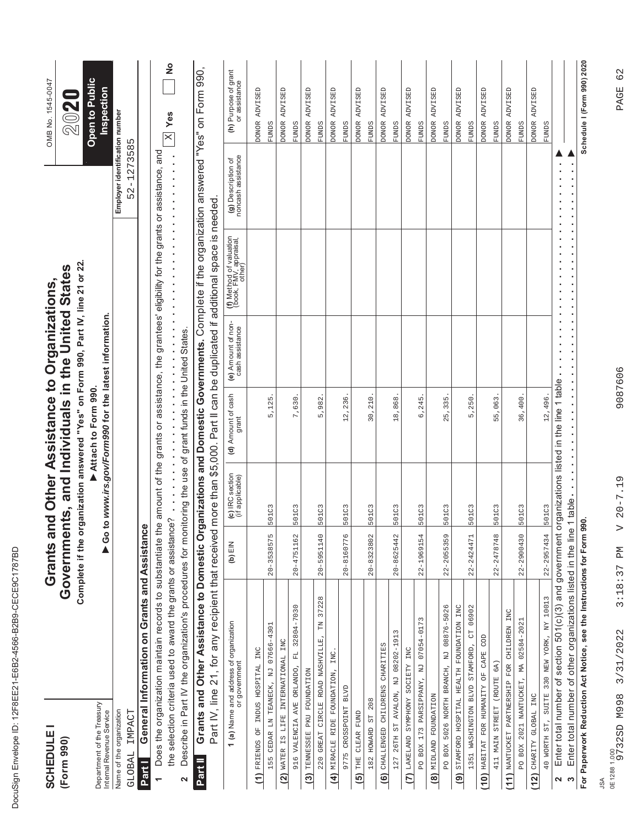| ı<br>۱                                                                                                                         |
|--------------------------------------------------------------------------------------------------------------------------------|
| ĺ<br>١<br>ı                                                                                                                    |
| ¢                                                                                                                              |
| Ç<br>ı                                                                                                                         |
| ١<br>l                                                                                                                         |
| Ó                                                                                                                              |
| ĺ<br>O                                                                                                                         |
| í<br>¢                                                                                                                         |
| ı<br>ı<br>١                                                                                                                    |
| Í<br><b>STATE OF STATE OF STATE OF STATE OF STATE OF STATE OF STATE OF STATE OF STATE OF STATE OF STATE OF STATE OF S</b><br>I |
| d<br>I<br>l                                                                                                                    |
| Ì<br>١                                                                                                                         |
| ı<br>I                                                                                                                         |
| ı                                                                                                                              |
| Ì<br>ı                                                                                                                         |
| l<br>ı<br>I<br>l                                                                                                               |
| Ì                                                                                                                              |
| ı<br>١                                                                                                                         |
| Í                                                                                                                              |
|                                                                                                                                |
| ı<br>١                                                                                                                         |
|                                                                                                                                |
| 1                                                                                                                              |
| ١                                                                                                                              |
| Ï<br>֠                                                                                                                         |
|                                                                                                                                |
| ı                                                                                                                              |

| $\frac{1}{2}$<br>Grants and Other Assistance to Domestic Organizations and Domestic Governments. Complete if the organization answered "Yes" on Form 990,<br>(h) Purpose of grant<br>or assistance<br>Open to Public<br><b>Inspection</b><br>ADVISED<br><b>ADVISED</b><br><b>ADVISED</b><br>ADVISED<br>ADVISED<br>ADVISED<br><b>ADVISED</b><br>DONOR ADVISED<br>ADVISED<br>ADVISED<br>ADVISED<br>ADVISED<br>Employer identification number<br>$\mathbb{X}$ Yes<br><b>DONOR</b><br><b>DONOR</b><br><b>DONOR</b><br><b>DONOR</b><br>ponor<br><b>DONOR</b><br><b>DONOR</b><br><b>DONOR</b><br><b>DONOR</b><br><b>DONOR</b><br><b>DONOR</b><br><b>FUNDS</b><br><b>FUNDS</b><br><b>FUNDS</b><br><b>FUNDS</b><br><b>FUNDS</b><br><b>FUNDS</b><br><b>FUNDS</b><br><b>FUNDS</b><br><b>FUNDS</b><br><b>FUNDS</b><br><b>FUNDS</b><br><b>FUNDS</b><br>$-1273585$<br>Does the organization maintain records to substantiate the amount of the grants or assistance, the grantees' eligibility for the grants or assistance, and<br>(g) Description of<br>noncash assistance<br>52<br>Part II can be duplicated if additional space is needed<br>(f) Method of valuation<br>(book, FMV, appraisal,<br>other)<br>Go to www.irs.gov/Form990 for the latest information.<br>(e) Amount of non-<br>cash assistance<br>the selection criteria used to award the grants or assistance? The selection criteria used to award the selection criteria<br>Describe in Part IV the organization's procedures for monitoring the use of grant funds in the United States.<br>Enter total number of section 501(c)(3) and government organizations listed in the line 1 table<br>Attach to Form 990.<br>(d) Amount of cash<br>grant<br>12,496<br>30,210<br>7,630<br>12,236<br>6,245<br>25,335<br>55,063<br>36,400<br>5,982.<br>18,868<br>5,250<br>,125<br>۱<br>more than \$5,000.<br>(c) IRC section<br>(if applicable)<br>Enter total number of other organizations listed in the line 1 table<br>501C3<br>501C3<br>501C3<br>501C3<br>501C3<br>501C3<br>501C3<br>501C3<br>501C3<br>501C3<br>501C3<br>501C3<br>For Paperwork Reduction Act Notice, see the Instructions for Form 990.<br>General Information on Grants and Assistance<br>Part IV, line 21, for any recipient that received<br>$22 - 2957434$<br>$20 - 3538575$<br>$20 - 4751162$<br>$20 - 5951140$<br>20-8160776<br>20-8323802<br>20-8625442<br>22-1969154<br>$22 - 2055359$<br>$22 - 2478748$<br>22-2900430<br>$22 - 2424471$<br>$(b)$ EIN<br>37228<br>40 WORTH ST, SUITE 330 NEW YORK, NY 10013<br>PO BOX 5026 NORTH BRANCH, NJ 08876-5026<br>FL 32804-7030<br>STAMFORD HOSPITAL HEALTH FOUNDATION INC<br>06902<br>NANTUCKET PARTNERSHIP FOR CHILDREN INC<br>PO BOX 173 PARSIPPANY, NJ 07054-0173<br>PO BOX 2021 NANTUCKET, MA 02584-2021<br>$\overline{\text{M}}$<br><b>1 (a)</b> Name and address of organization<br>or government<br>07666-4301<br>$\overline{\text{C}}$<br>26TH ST AVALON, NJ 08202-1913<br>220 GREAT CIRCLE ROAD NASHVILLE,<br>HABITAT FOR HUMANITY OF CAPE COD<br>WATER IS LIFE INTERNATIONAL INC<br>1351 WASHINGTON BLVD STAMFORD,<br>CHALLENGED CHILDRENS CHARITIES<br>(1) FRIENDS OF INDUS HOSPITAL INC<br>LAKELAND SYMPHONY SOCIETY INC<br>INC.<br>411 MAIN STREET (ROUTE 6A)<br>916 VALENCIA AVE ORLANDO,<br>CEDAR LN TEANECK, NJ<br>TENNESSEE PKU FOUNDATION<br>MIRACLE RIDE FOUNDATION,<br>BLVD<br>MIDLAND FOUNDATION<br>CHARITY GLOBAL INC<br>182 HOWARD ST 208<br>Department of the Treasury<br>Internal Revenue Service<br>9775 CROSSPOINT<br>Name of the organization<br>IMPACT<br>THE CLEAR FUND<br><b>GLOBAL</b><br>155<br>127<br>Part II<br>Part I<br>$\widehat{\mathcal{C}}$<br>$\widehat{\mathbf{e}}$<br>$\widehat{\mathbf{e}}$<br>$\widehat{4}$<br>(2)<br>$\widehat{\epsilon}$<br>(10)<br>(11)<br>$\overline{5}$<br>$\circledR$<br>(12)<br>$\boldsymbol{\mathsf{N}}$<br>$\boldsymbol{\omega}$<br>$\overline{ }$<br>$\mathbf{\Omega}$ | <b>SCHEDULE</b><br>(Form 990) | Complete if the or<br>Governmer | ganization answered "Yes" on Form 990, Part IV, line 21 or 22.<br>nts, and Individuals in the United States<br>Grants and Other Assistance to Organizations, |  | OMB No. 1545-0047<br>2020 |
|---------------------------------------------------------------------------------------------------------------------------------------------------------------------------------------------------------------------------------------------------------------------------------------------------------------------------------------------------------------------------------------------------------------------------------------------------------------------------------------------------------------------------------------------------------------------------------------------------------------------------------------------------------------------------------------------------------------------------------------------------------------------------------------------------------------------------------------------------------------------------------------------------------------------------------------------------------------------------------------------------------------------------------------------------------------------------------------------------------------------------------------------------------------------------------------------------------------------------------------------------------------------------------------------------------------------------------------------------------------------------------------------------------------------------------------------------------------------------------------------------------------------------------------------------------------------------------------------------------------------------------------------------------------------------------------------------------------------------------------------------------------------------------------------------------------------------------------------------------------------------------------------------------------------------------------------------------------------------------------------------------------------------------------------------------------------------------------------------------------------------------------------------------------------------------------------------------------------------------------------------------------------------------------------------------------------------------------------------------------------------------------------------------------------------------------------------------------------------------------------------------------------------------------------------------------------------------------------------------------------------------------------------------------------------------------------------------------------------------------------------------------------------------------------------------------------------------------------------------------------------------------------------------------------------------------------------------------------------------------------------------------------------------------------------------------------------------------------------------------------------------------------------------------------------------------------------------------------------------------------------------------------------------------------------------------------------------------------------------------------------------------------------------------------------------------------------------------------------------------------------------------------------------------------------------------------------------------------------------------------------------------------------------------------------------------------------------------------------------------------------------------------------------------------------------------------------------------------------------------------------------------------------------------------|-------------------------------|---------------------------------|--------------------------------------------------------------------------------------------------------------------------------------------------------------|--|---------------------------|
| Schedule I (Form 990) 2020                                                                                                                                                                                                                                                                                                                                                                                                                                                                                                                                                                                                                                                                                                                                                                                                                                                                                                                                                                                                                                                                                                                                                                                                                                                                                                                                                                                                                                                                                                                                                                                                                                                                                                                                                                                                                                                                                                                                                                                                                                                                                                                                                                                                                                                                                                                                                                                                                                                                                                                                                                                                                                                                                                                                                                                                                                                                                                                                                                                                                                                                                                                                                                                                                                                                                                                                                                                                                                                                                                                                                                                                                                                                                                                                                                                                                                                                                          |                               |                                 |                                                                                                                                                              |  |                           |
|                                                                                                                                                                                                                                                                                                                                                                                                                                                                                                                                                                                                                                                                                                                                                                                                                                                                                                                                                                                                                                                                                                                                                                                                                                                                                                                                                                                                                                                                                                                                                                                                                                                                                                                                                                                                                                                                                                                                                                                                                                                                                                                                                                                                                                                                                                                                                                                                                                                                                                                                                                                                                                                                                                                                                                                                                                                                                                                                                                                                                                                                                                                                                                                                                                                                                                                                                                                                                                                                                                                                                                                                                                                                                                                                                                                                                                                                                                                     |                               |                                 |                                                                                                                                                              |  |                           |
|                                                                                                                                                                                                                                                                                                                                                                                                                                                                                                                                                                                                                                                                                                                                                                                                                                                                                                                                                                                                                                                                                                                                                                                                                                                                                                                                                                                                                                                                                                                                                                                                                                                                                                                                                                                                                                                                                                                                                                                                                                                                                                                                                                                                                                                                                                                                                                                                                                                                                                                                                                                                                                                                                                                                                                                                                                                                                                                                                                                                                                                                                                                                                                                                                                                                                                                                                                                                                                                                                                                                                                                                                                                                                                                                                                                                                                                                                                                     |                               |                                 |                                                                                                                                                              |  |                           |
|                                                                                                                                                                                                                                                                                                                                                                                                                                                                                                                                                                                                                                                                                                                                                                                                                                                                                                                                                                                                                                                                                                                                                                                                                                                                                                                                                                                                                                                                                                                                                                                                                                                                                                                                                                                                                                                                                                                                                                                                                                                                                                                                                                                                                                                                                                                                                                                                                                                                                                                                                                                                                                                                                                                                                                                                                                                                                                                                                                                                                                                                                                                                                                                                                                                                                                                                                                                                                                                                                                                                                                                                                                                                                                                                                                                                                                                                                                                     |                               |                                 |                                                                                                                                                              |  |                           |
|                                                                                                                                                                                                                                                                                                                                                                                                                                                                                                                                                                                                                                                                                                                                                                                                                                                                                                                                                                                                                                                                                                                                                                                                                                                                                                                                                                                                                                                                                                                                                                                                                                                                                                                                                                                                                                                                                                                                                                                                                                                                                                                                                                                                                                                                                                                                                                                                                                                                                                                                                                                                                                                                                                                                                                                                                                                                                                                                                                                                                                                                                                                                                                                                                                                                                                                                                                                                                                                                                                                                                                                                                                                                                                                                                                                                                                                                                                                     |                               |                                 |                                                                                                                                                              |  |                           |
|                                                                                                                                                                                                                                                                                                                                                                                                                                                                                                                                                                                                                                                                                                                                                                                                                                                                                                                                                                                                                                                                                                                                                                                                                                                                                                                                                                                                                                                                                                                                                                                                                                                                                                                                                                                                                                                                                                                                                                                                                                                                                                                                                                                                                                                                                                                                                                                                                                                                                                                                                                                                                                                                                                                                                                                                                                                                                                                                                                                                                                                                                                                                                                                                                                                                                                                                                                                                                                                                                                                                                                                                                                                                                                                                                                                                                                                                                                                     |                               |                                 |                                                                                                                                                              |  |                           |
|                                                                                                                                                                                                                                                                                                                                                                                                                                                                                                                                                                                                                                                                                                                                                                                                                                                                                                                                                                                                                                                                                                                                                                                                                                                                                                                                                                                                                                                                                                                                                                                                                                                                                                                                                                                                                                                                                                                                                                                                                                                                                                                                                                                                                                                                                                                                                                                                                                                                                                                                                                                                                                                                                                                                                                                                                                                                                                                                                                                                                                                                                                                                                                                                                                                                                                                                                                                                                                                                                                                                                                                                                                                                                                                                                                                                                                                                                                                     |                               |                                 |                                                                                                                                                              |  |                           |
|                                                                                                                                                                                                                                                                                                                                                                                                                                                                                                                                                                                                                                                                                                                                                                                                                                                                                                                                                                                                                                                                                                                                                                                                                                                                                                                                                                                                                                                                                                                                                                                                                                                                                                                                                                                                                                                                                                                                                                                                                                                                                                                                                                                                                                                                                                                                                                                                                                                                                                                                                                                                                                                                                                                                                                                                                                                                                                                                                                                                                                                                                                                                                                                                                                                                                                                                                                                                                                                                                                                                                                                                                                                                                                                                                                                                                                                                                                                     |                               |                                 |                                                                                                                                                              |  |                           |
|                                                                                                                                                                                                                                                                                                                                                                                                                                                                                                                                                                                                                                                                                                                                                                                                                                                                                                                                                                                                                                                                                                                                                                                                                                                                                                                                                                                                                                                                                                                                                                                                                                                                                                                                                                                                                                                                                                                                                                                                                                                                                                                                                                                                                                                                                                                                                                                                                                                                                                                                                                                                                                                                                                                                                                                                                                                                                                                                                                                                                                                                                                                                                                                                                                                                                                                                                                                                                                                                                                                                                                                                                                                                                                                                                                                                                                                                                                                     |                               |                                 |                                                                                                                                                              |  |                           |
|                                                                                                                                                                                                                                                                                                                                                                                                                                                                                                                                                                                                                                                                                                                                                                                                                                                                                                                                                                                                                                                                                                                                                                                                                                                                                                                                                                                                                                                                                                                                                                                                                                                                                                                                                                                                                                                                                                                                                                                                                                                                                                                                                                                                                                                                                                                                                                                                                                                                                                                                                                                                                                                                                                                                                                                                                                                                                                                                                                                                                                                                                                                                                                                                                                                                                                                                                                                                                                                                                                                                                                                                                                                                                                                                                                                                                                                                                                                     |                               |                                 |                                                                                                                                                              |  |                           |
|                                                                                                                                                                                                                                                                                                                                                                                                                                                                                                                                                                                                                                                                                                                                                                                                                                                                                                                                                                                                                                                                                                                                                                                                                                                                                                                                                                                                                                                                                                                                                                                                                                                                                                                                                                                                                                                                                                                                                                                                                                                                                                                                                                                                                                                                                                                                                                                                                                                                                                                                                                                                                                                                                                                                                                                                                                                                                                                                                                                                                                                                                                                                                                                                                                                                                                                                                                                                                                                                                                                                                                                                                                                                                                                                                                                                                                                                                                                     |                               |                                 |                                                                                                                                                              |  |                           |
|                                                                                                                                                                                                                                                                                                                                                                                                                                                                                                                                                                                                                                                                                                                                                                                                                                                                                                                                                                                                                                                                                                                                                                                                                                                                                                                                                                                                                                                                                                                                                                                                                                                                                                                                                                                                                                                                                                                                                                                                                                                                                                                                                                                                                                                                                                                                                                                                                                                                                                                                                                                                                                                                                                                                                                                                                                                                                                                                                                                                                                                                                                                                                                                                                                                                                                                                                                                                                                                                                                                                                                                                                                                                                                                                                                                                                                                                                                                     |                               |                                 |                                                                                                                                                              |  |                           |
|                                                                                                                                                                                                                                                                                                                                                                                                                                                                                                                                                                                                                                                                                                                                                                                                                                                                                                                                                                                                                                                                                                                                                                                                                                                                                                                                                                                                                                                                                                                                                                                                                                                                                                                                                                                                                                                                                                                                                                                                                                                                                                                                                                                                                                                                                                                                                                                                                                                                                                                                                                                                                                                                                                                                                                                                                                                                                                                                                                                                                                                                                                                                                                                                                                                                                                                                                                                                                                                                                                                                                                                                                                                                                                                                                                                                                                                                                                                     |                               |                                 |                                                                                                                                                              |  |                           |
|                                                                                                                                                                                                                                                                                                                                                                                                                                                                                                                                                                                                                                                                                                                                                                                                                                                                                                                                                                                                                                                                                                                                                                                                                                                                                                                                                                                                                                                                                                                                                                                                                                                                                                                                                                                                                                                                                                                                                                                                                                                                                                                                                                                                                                                                                                                                                                                                                                                                                                                                                                                                                                                                                                                                                                                                                                                                                                                                                                                                                                                                                                                                                                                                                                                                                                                                                                                                                                                                                                                                                                                                                                                                                                                                                                                                                                                                                                                     |                               |                                 |                                                                                                                                                              |  |                           |
|                                                                                                                                                                                                                                                                                                                                                                                                                                                                                                                                                                                                                                                                                                                                                                                                                                                                                                                                                                                                                                                                                                                                                                                                                                                                                                                                                                                                                                                                                                                                                                                                                                                                                                                                                                                                                                                                                                                                                                                                                                                                                                                                                                                                                                                                                                                                                                                                                                                                                                                                                                                                                                                                                                                                                                                                                                                                                                                                                                                                                                                                                                                                                                                                                                                                                                                                                                                                                                                                                                                                                                                                                                                                                                                                                                                                                                                                                                                     |                               |                                 |                                                                                                                                                              |  |                           |
|                                                                                                                                                                                                                                                                                                                                                                                                                                                                                                                                                                                                                                                                                                                                                                                                                                                                                                                                                                                                                                                                                                                                                                                                                                                                                                                                                                                                                                                                                                                                                                                                                                                                                                                                                                                                                                                                                                                                                                                                                                                                                                                                                                                                                                                                                                                                                                                                                                                                                                                                                                                                                                                                                                                                                                                                                                                                                                                                                                                                                                                                                                                                                                                                                                                                                                                                                                                                                                                                                                                                                                                                                                                                                                                                                                                                                                                                                                                     |                               |                                 |                                                                                                                                                              |  |                           |
|                                                                                                                                                                                                                                                                                                                                                                                                                                                                                                                                                                                                                                                                                                                                                                                                                                                                                                                                                                                                                                                                                                                                                                                                                                                                                                                                                                                                                                                                                                                                                                                                                                                                                                                                                                                                                                                                                                                                                                                                                                                                                                                                                                                                                                                                                                                                                                                                                                                                                                                                                                                                                                                                                                                                                                                                                                                                                                                                                                                                                                                                                                                                                                                                                                                                                                                                                                                                                                                                                                                                                                                                                                                                                                                                                                                                                                                                                                                     |                               |                                 |                                                                                                                                                              |  |                           |
|                                                                                                                                                                                                                                                                                                                                                                                                                                                                                                                                                                                                                                                                                                                                                                                                                                                                                                                                                                                                                                                                                                                                                                                                                                                                                                                                                                                                                                                                                                                                                                                                                                                                                                                                                                                                                                                                                                                                                                                                                                                                                                                                                                                                                                                                                                                                                                                                                                                                                                                                                                                                                                                                                                                                                                                                                                                                                                                                                                                                                                                                                                                                                                                                                                                                                                                                                                                                                                                                                                                                                                                                                                                                                                                                                                                                                                                                                                                     |                               |                                 |                                                                                                                                                              |  |                           |
|                                                                                                                                                                                                                                                                                                                                                                                                                                                                                                                                                                                                                                                                                                                                                                                                                                                                                                                                                                                                                                                                                                                                                                                                                                                                                                                                                                                                                                                                                                                                                                                                                                                                                                                                                                                                                                                                                                                                                                                                                                                                                                                                                                                                                                                                                                                                                                                                                                                                                                                                                                                                                                                                                                                                                                                                                                                                                                                                                                                                                                                                                                                                                                                                                                                                                                                                                                                                                                                                                                                                                                                                                                                                                                                                                                                                                                                                                                                     |                               |                                 |                                                                                                                                                              |  |                           |
|                                                                                                                                                                                                                                                                                                                                                                                                                                                                                                                                                                                                                                                                                                                                                                                                                                                                                                                                                                                                                                                                                                                                                                                                                                                                                                                                                                                                                                                                                                                                                                                                                                                                                                                                                                                                                                                                                                                                                                                                                                                                                                                                                                                                                                                                                                                                                                                                                                                                                                                                                                                                                                                                                                                                                                                                                                                                                                                                                                                                                                                                                                                                                                                                                                                                                                                                                                                                                                                                                                                                                                                                                                                                                                                                                                                                                                                                                                                     |                               |                                 |                                                                                                                                                              |  |                           |
|                                                                                                                                                                                                                                                                                                                                                                                                                                                                                                                                                                                                                                                                                                                                                                                                                                                                                                                                                                                                                                                                                                                                                                                                                                                                                                                                                                                                                                                                                                                                                                                                                                                                                                                                                                                                                                                                                                                                                                                                                                                                                                                                                                                                                                                                                                                                                                                                                                                                                                                                                                                                                                                                                                                                                                                                                                                                                                                                                                                                                                                                                                                                                                                                                                                                                                                                                                                                                                                                                                                                                                                                                                                                                                                                                                                                                                                                                                                     |                               |                                 |                                                                                                                                                              |  |                           |
|                                                                                                                                                                                                                                                                                                                                                                                                                                                                                                                                                                                                                                                                                                                                                                                                                                                                                                                                                                                                                                                                                                                                                                                                                                                                                                                                                                                                                                                                                                                                                                                                                                                                                                                                                                                                                                                                                                                                                                                                                                                                                                                                                                                                                                                                                                                                                                                                                                                                                                                                                                                                                                                                                                                                                                                                                                                                                                                                                                                                                                                                                                                                                                                                                                                                                                                                                                                                                                                                                                                                                                                                                                                                                                                                                                                                                                                                                                                     |                               |                                 |                                                                                                                                                              |  |                           |
|                                                                                                                                                                                                                                                                                                                                                                                                                                                                                                                                                                                                                                                                                                                                                                                                                                                                                                                                                                                                                                                                                                                                                                                                                                                                                                                                                                                                                                                                                                                                                                                                                                                                                                                                                                                                                                                                                                                                                                                                                                                                                                                                                                                                                                                                                                                                                                                                                                                                                                                                                                                                                                                                                                                                                                                                                                                                                                                                                                                                                                                                                                                                                                                                                                                                                                                                                                                                                                                                                                                                                                                                                                                                                                                                                                                                                                                                                                                     |                               |                                 |                                                                                                                                                              |  |                           |
|                                                                                                                                                                                                                                                                                                                                                                                                                                                                                                                                                                                                                                                                                                                                                                                                                                                                                                                                                                                                                                                                                                                                                                                                                                                                                                                                                                                                                                                                                                                                                                                                                                                                                                                                                                                                                                                                                                                                                                                                                                                                                                                                                                                                                                                                                                                                                                                                                                                                                                                                                                                                                                                                                                                                                                                                                                                                                                                                                                                                                                                                                                                                                                                                                                                                                                                                                                                                                                                                                                                                                                                                                                                                                                                                                                                                                                                                                                                     |                               |                                 |                                                                                                                                                              |  |                           |
|                                                                                                                                                                                                                                                                                                                                                                                                                                                                                                                                                                                                                                                                                                                                                                                                                                                                                                                                                                                                                                                                                                                                                                                                                                                                                                                                                                                                                                                                                                                                                                                                                                                                                                                                                                                                                                                                                                                                                                                                                                                                                                                                                                                                                                                                                                                                                                                                                                                                                                                                                                                                                                                                                                                                                                                                                                                                                                                                                                                                                                                                                                                                                                                                                                                                                                                                                                                                                                                                                                                                                                                                                                                                                                                                                                                                                                                                                                                     |                               |                                 |                                                                                                                                                              |  |                           |
|                                                                                                                                                                                                                                                                                                                                                                                                                                                                                                                                                                                                                                                                                                                                                                                                                                                                                                                                                                                                                                                                                                                                                                                                                                                                                                                                                                                                                                                                                                                                                                                                                                                                                                                                                                                                                                                                                                                                                                                                                                                                                                                                                                                                                                                                                                                                                                                                                                                                                                                                                                                                                                                                                                                                                                                                                                                                                                                                                                                                                                                                                                                                                                                                                                                                                                                                                                                                                                                                                                                                                                                                                                                                                                                                                                                                                                                                                                                     |                               |                                 |                                                                                                                                                              |  |                           |
|                                                                                                                                                                                                                                                                                                                                                                                                                                                                                                                                                                                                                                                                                                                                                                                                                                                                                                                                                                                                                                                                                                                                                                                                                                                                                                                                                                                                                                                                                                                                                                                                                                                                                                                                                                                                                                                                                                                                                                                                                                                                                                                                                                                                                                                                                                                                                                                                                                                                                                                                                                                                                                                                                                                                                                                                                                                                                                                                                                                                                                                                                                                                                                                                                                                                                                                                                                                                                                                                                                                                                                                                                                                                                                                                                                                                                                                                                                                     |                               |                                 |                                                                                                                                                              |  |                           |
|                                                                                                                                                                                                                                                                                                                                                                                                                                                                                                                                                                                                                                                                                                                                                                                                                                                                                                                                                                                                                                                                                                                                                                                                                                                                                                                                                                                                                                                                                                                                                                                                                                                                                                                                                                                                                                                                                                                                                                                                                                                                                                                                                                                                                                                                                                                                                                                                                                                                                                                                                                                                                                                                                                                                                                                                                                                                                                                                                                                                                                                                                                                                                                                                                                                                                                                                                                                                                                                                                                                                                                                                                                                                                                                                                                                                                                                                                                                     |                               |                                 |                                                                                                                                                              |  |                           |
|                                                                                                                                                                                                                                                                                                                                                                                                                                                                                                                                                                                                                                                                                                                                                                                                                                                                                                                                                                                                                                                                                                                                                                                                                                                                                                                                                                                                                                                                                                                                                                                                                                                                                                                                                                                                                                                                                                                                                                                                                                                                                                                                                                                                                                                                                                                                                                                                                                                                                                                                                                                                                                                                                                                                                                                                                                                                                                                                                                                                                                                                                                                                                                                                                                                                                                                                                                                                                                                                                                                                                                                                                                                                                                                                                                                                                                                                                                                     |                               |                                 |                                                                                                                                                              |  |                           |
|                                                                                                                                                                                                                                                                                                                                                                                                                                                                                                                                                                                                                                                                                                                                                                                                                                                                                                                                                                                                                                                                                                                                                                                                                                                                                                                                                                                                                                                                                                                                                                                                                                                                                                                                                                                                                                                                                                                                                                                                                                                                                                                                                                                                                                                                                                                                                                                                                                                                                                                                                                                                                                                                                                                                                                                                                                                                                                                                                                                                                                                                                                                                                                                                                                                                                                                                                                                                                                                                                                                                                                                                                                                                                                                                                                                                                                                                                                                     |                               |                                 |                                                                                                                                                              |  |                           |
|                                                                                                                                                                                                                                                                                                                                                                                                                                                                                                                                                                                                                                                                                                                                                                                                                                                                                                                                                                                                                                                                                                                                                                                                                                                                                                                                                                                                                                                                                                                                                                                                                                                                                                                                                                                                                                                                                                                                                                                                                                                                                                                                                                                                                                                                                                                                                                                                                                                                                                                                                                                                                                                                                                                                                                                                                                                                                                                                                                                                                                                                                                                                                                                                                                                                                                                                                                                                                                                                                                                                                                                                                                                                                                                                                                                                                                                                                                                     |                               |                                 |                                                                                                                                                              |  |                           |
|                                                                                                                                                                                                                                                                                                                                                                                                                                                                                                                                                                                                                                                                                                                                                                                                                                                                                                                                                                                                                                                                                                                                                                                                                                                                                                                                                                                                                                                                                                                                                                                                                                                                                                                                                                                                                                                                                                                                                                                                                                                                                                                                                                                                                                                                                                                                                                                                                                                                                                                                                                                                                                                                                                                                                                                                                                                                                                                                                                                                                                                                                                                                                                                                                                                                                                                                                                                                                                                                                                                                                                                                                                                                                                                                                                                                                                                                                                                     |                               |                                 |                                                                                                                                                              |  |                           |
|                                                                                                                                                                                                                                                                                                                                                                                                                                                                                                                                                                                                                                                                                                                                                                                                                                                                                                                                                                                                                                                                                                                                                                                                                                                                                                                                                                                                                                                                                                                                                                                                                                                                                                                                                                                                                                                                                                                                                                                                                                                                                                                                                                                                                                                                                                                                                                                                                                                                                                                                                                                                                                                                                                                                                                                                                                                                                                                                                                                                                                                                                                                                                                                                                                                                                                                                                                                                                                                                                                                                                                                                                                                                                                                                                                                                                                                                                                                     |                               |                                 |                                                                                                                                                              |  |                           |

9087606

 $V 20 - 7.19$ 

9732SD M998 3/31/2022 3:18:37 PM V 20-7.19 9087606 PAGE 62 3:18:37 PM JSA<br>0E12881.000<br>9732SD M998 3/31/2022

0E1288 1.000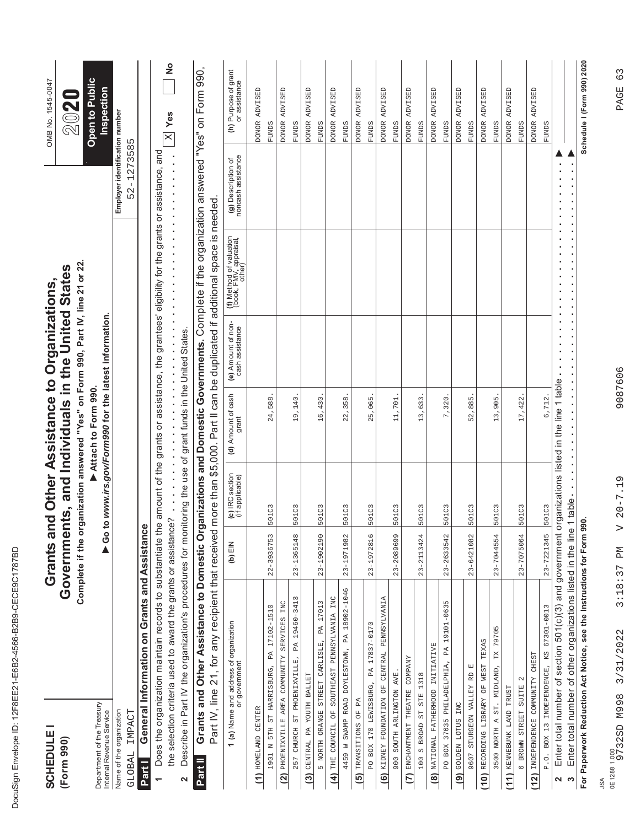| ſ<br>J             |
|--------------------|
| ĺ<br>١<br>֡֡֡֡֡֡֡֡ |
| ı<br>d             |
|                    |
| O<br>١<br>¢        |
| I                  |
| ¢<br>í<br>I        |
| ¢<br>l             |
| I<br>I             |
| ĺ<br>ı<br>١        |
|                    |
| ١<br>Ì<br>١        |
| ı                  |
| ١                  |
| ı<br>Ì             |
|                    |
| ī                  |
| ١<br>ı<br>ı        |
| l<br>¢             |
| ĺ                  |
| ١                  |
| ĺ<br>ı             |
| ١                  |
| l                  |
|                    |
|                    |
| I                  |
| ١                  |
| Ï<br>í             |
|                    |
| ĺ                  |

| <b>SCHEDULE</b><br>(Form 990)                          |                                                                                                                                                                                               | Grants a       |                                    | Complete if the organization answered "Yes" on Form 990, Part IV, line 21 or 22<br>Governments, and Individuals in the United States<br>nd Other Assistance to Organizations, |                                       |                                                                             |                                          | OMB No. 1545-0047<br>2020               |
|--------------------------------------------------------|-----------------------------------------------------------------------------------------------------------------------------------------------------------------------------------------------|----------------|------------------------------------|-------------------------------------------------------------------------------------------------------------------------------------------------------------------------------|---------------------------------------|-----------------------------------------------------------------------------|------------------------------------------|-----------------------------------------|
| Department of the Treasury<br>Internal Revenue Service |                                                                                                                                                                                               | 60             |                                    | to www.irs.gov/Form990 for the latest information.<br>Attach to Form 990.                                                                                                     |                                       |                                                                             |                                          | Open to Public<br><b>Inspection</b>     |
| Name of the organization                               |                                                                                                                                                                                               |                |                                    |                                                                                                                                                                               |                                       |                                                                             | Employer identification number           |                                         |
| IMPACT<br><b>GLOBAL</b><br>Part I                      | General Information on Grants and Assistance                                                                                                                                                  |                |                                    |                                                                                                                                                                               |                                       |                                                                             | 52-1273585                               |                                         |
| $\overline{\phantom{0}}$                               | Does the organization maintain records to substantiate the amount of the grants or assistance, the grantees' eligibility for the grants or assistance, and                                    |                |                                    |                                                                                                                                                                               |                                       |                                                                             |                                          |                                         |
|                                                        | the selection criteria used to award the grants or assistance?                                                                                                                                |                |                                    |                                                                                                                                                                               |                                       |                                                                             |                                          | ş<br>Yes<br>$\overline{\mathsf{x}}$     |
| $\mathbf{\Omega}$                                      | - - - - - - -   -  -                    .<br>Describe in Part IV the organization's procedures for monitoring the use of grant funds in the United States.                                    |                |                                    |                                                                                                                                                                               |                                       |                                                                             |                                          |                                         |
| Part II                                                | Grants and Other Assistance to Domestic Organizations and Domestic Governments. Complete if the organization answered "Yes" on Form 990,<br>Part IV, line 21, for any recipient that received |                |                                    |                                                                                                                                                                               |                                       | more than \$5,000. Part II can be duplicated if additional space is needed. |                                          |                                         |
| $\overline{ }$                                         | (a) Name and address of organization<br>or government                                                                                                                                         | $(b)$ $EIN$    | (c) IRC section<br>(if applicable) | (d) Amount of cash<br>grant                                                                                                                                                   | (e) Amount of non-<br>cash assistance | (f) Method of valuation<br>(book, FMV, appraisal,<br>other)                 | (g) Description of<br>noncash assistance | (h) Purpose of grant<br>or assistance   |
| HOMELAND CENTER<br>$\widehat{E}$                       |                                                                                                                                                                                               |                |                                    |                                                                                                                                                                               |                                       |                                                                             |                                          | <b>ADVISED</b><br><b>DONOR</b>          |
|                                                        | 1901 N 5TH ST HARRISBURG, PA 17102-1510                                                                                                                                                       | 22-3936753     | 501C3                              | 24,588                                                                                                                                                                        |                                       |                                                                             |                                          | <b>FUNDS</b>                            |
| (2) PHOENIXVILLE AREA COMMUNITY                        | INC<br>SERVICES                                                                                                                                                                               |                |                                    |                                                                                                                                                                               |                                       |                                                                             |                                          | <b>ADVISED</b><br><b>DONOR</b>          |
| 257 CHURCH ST PHOENIXVILLE,                            | PA 19460-3413                                                                                                                                                                                 | $23 - 1365148$ | 501C3                              | 19,140                                                                                                                                                                        |                                       |                                                                             |                                          | <b>FUNDS</b>                            |
| $(3)$ CENTRAL PA YOUTH BALLET                          | 5 NORTH ORANGE STREET CARLISLE, PA 17013                                                                                                                                                      | 23-1902190     | 501C3                              | 16,430                                                                                                                                                                        |                                       |                                                                             |                                          | DONOR ADVISED<br>FUNDS                  |
|                                                        | (4) THE COUNCIL OF SOUTHEAST PENNSYLVANIA INC                                                                                                                                                 |                |                                    |                                                                                                                                                                               |                                       |                                                                             |                                          | <b>ADVISED</b><br><b>DONOR</b>          |
|                                                        | 4459 W SWAMP ROAD DOYLESTOWN, PA 18902-1046                                                                                                                                                   | 23-1971982     | 501C3                              | 22,358                                                                                                                                                                        |                                       |                                                                             |                                          | <b>FUNDS</b>                            |
| (5) TRANSITIONS OF PA                                  |                                                                                                                                                                                               |                |                                    |                                                                                                                                                                               |                                       |                                                                             |                                          | ADVISED<br><b>DONOR</b>                 |
|                                                        | PO BOX 170 LEWISBURG, PA 17837-0170                                                                                                                                                           | 23-1972816     | 501C3                              | 25,065                                                                                                                                                                        |                                       |                                                                             |                                          | <b>FUNDS</b>                            |
| $\ddot{\mathbf{e}}$                                    | KIDNEY FOUNDATION OF CENTRAL PENNSYLVANIA                                                                                                                                                     |                |                                    |                                                                                                                                                                               |                                       |                                                                             |                                          | ADVISED<br><b>DONOR</b>                 |
| 900 SOUTH ARLINGTON AVE                                |                                                                                                                                                                                               | 23-2089699     | 501C3                              | 11,701                                                                                                                                                                        |                                       |                                                                             |                                          | <b>FUNDS</b>                            |
| ENCHANTMENT THEATRE COMPANY<br>$\tilde{c}$             |                                                                                                                                                                                               |                |                                    |                                                                                                                                                                               |                                       |                                                                             |                                          | <b>ADVISED</b><br><b>DONOR</b>          |
| 100 S BROAD ST STE 1318                                |                                                                                                                                                                                               | $23 - 2113424$ | 501C3                              | 13,633                                                                                                                                                                        |                                       |                                                                             |                                          | <b>FUNDS</b>                            |
| $(8)$ NATIONAL FATHERHOOD INITIATIVE                   | PO BOX 37635 PHILADELPHIA, PA 19101-0635                                                                                                                                                      | $23 - 2633542$ | 501C3                              | 7,320                                                                                                                                                                         |                                       |                                                                             |                                          | ADVISED<br><b>DONOR</b><br><b>FUNDS</b> |
| GOLDEN LOTUS INC<br>ම                                  |                                                                                                                                                                                               |                |                                    |                                                                                                                                                                               |                                       |                                                                             |                                          | ADVISED<br><b>DONOR</b>                 |
| 9607 STURGEON VALLEY RD E                              |                                                                                                                                                                                               | 23-6421082     | 501C3                              | 52,885                                                                                                                                                                        |                                       |                                                                             |                                          | <b>FUNDS</b>                            |
| RECORDING LIBRARY OF WEST TEXAS<br>(10)                |                                                                                                                                                                                               |                |                                    |                                                                                                                                                                               |                                       |                                                                             |                                          | ADVISED<br><b>DONOR</b>                 |
| 3500 NORTH A ST. MIDLAND,                              | TX 79705                                                                                                                                                                                      | $23 - 7044554$ | 501C3                              | 13,905                                                                                                                                                                        |                                       |                                                                             |                                          | EUNDS                                   |
| KENNEBUNK LAND TRUST<br>(11)                           |                                                                                                                                                                                               |                |                                    |                                                                                                                                                                               |                                       |                                                                             |                                          | <b>ADVISED</b><br><b>DONOR</b>          |
| BROWN STREET SUITE<br>$\circ$                          | $\mathbf{\Omega}$                                                                                                                                                                             | 23-7075064     | 501C3                              | 17,422                                                                                                                                                                        |                                       |                                                                             |                                          | <b>EUNDS</b>                            |
| TADEPENGENCE COMMUNITY CHEST<br>(12)                   |                                                                                                                                                                                               |                |                                    |                                                                                                                                                                               |                                       |                                                                             |                                          | DONOR ADVISED                           |
| P.0.                                                   | BOX 13 INDEPENDENCE, KS 67301-0013                                                                                                                                                            | $23 - 7221345$ | 501C3                              | 6,712.                                                                                                                                                                        |                                       |                                                                             |                                          | <b>FUNDS</b>                            |
| S<br>$\boldsymbol{\mathsf{N}}$                         | Enter total number of section 501(c)(3) and government organizations listed in the line 1 table<br>Enter total number of other organizations listed in the line 1 table                       |                |                                    |                                                                                                                                                                               |                                       |                                                                             |                                          |                                         |
|                                                        | For Paperwork Reduction Act Notice, see the Instructions for Form 990.                                                                                                                        |                |                                    |                                                                                                                                                                               |                                       |                                                                             |                                          | Schedule I (Form 990) 2020              |
| JSA                                                    |                                                                                                                                                                                               |                |                                    |                                                                                                                                                                               |                                       |                                                                             |                                          |                                         |
| 0E1288 1.000<br>9732SD M998                            | 3/31/2022                                                                                                                                                                                     | 3:18:37 PM     | $20 - 7.19$<br>$\triangleright$    | 9087606                                                                                                                                                                       |                                       |                                                                             |                                          | 63<br>PAGE                              |
|                                                        |                                                                                                                                                                                               |                |                                    |                                                                                                                                                                               |                                       |                                                                             |                                          |                                         |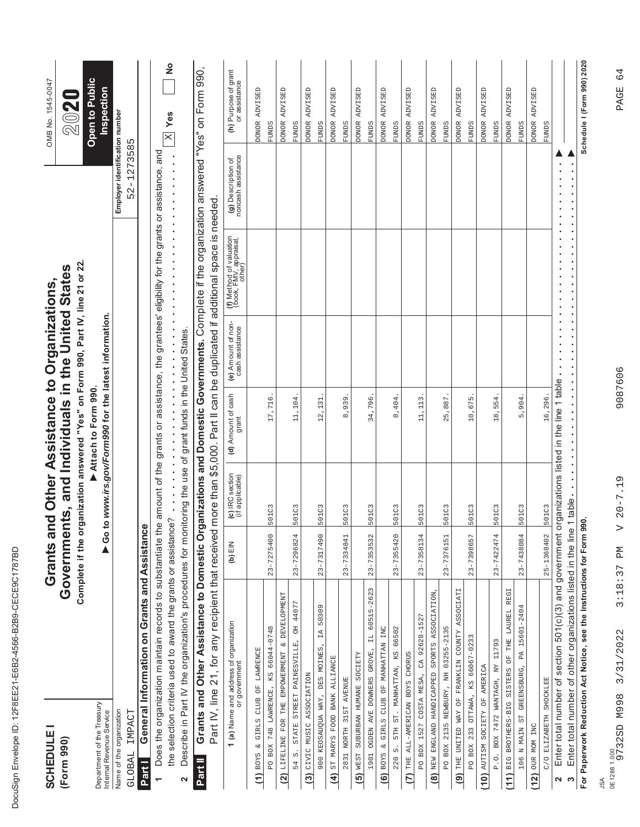| ı<br>۱                                                                                                                         |
|--------------------------------------------------------------------------------------------------------------------------------|
| ĺ<br>١<br>ı                                                                                                                    |
| ¢                                                                                                                              |
| Ç<br>ı                                                                                                                         |
| ١<br>l                                                                                                                         |
| Ó                                                                                                                              |
| ĺ<br>O                                                                                                                         |
| I<br>¢                                                                                                                         |
| ı<br>ı<br>١                                                                                                                    |
| Í<br><b>STATE OF STATE OF STATE OF STATE OF STATE OF STATE OF STATE OF STATE OF STATE OF STATE OF STATE OF STATE OF S</b><br>I |
| d<br>I<br>l                                                                                                                    |
| Ì<br>١                                                                                                                         |
| ı<br>I                                                                                                                         |
| ı                                                                                                                              |
| Ì<br>ı                                                                                                                         |
| l<br>ı<br>I<br>l                                                                                                               |
| Ì                                                                                                                              |
| ı<br>١                                                                                                                         |
| Í                                                                                                                              |
|                                                                                                                                |
| ı<br>١                                                                                                                         |
|                                                                                                                                |
| 1                                                                                                                              |
| ١                                                                                                                              |
| Ï<br>֠                                                                                                                         |
|                                                                                                                                |
| ı                                                                                                                              |

| Grants and Other Assistance to Domestic Organizations and Domestic Governments. Complete if the organization answered "Yes" on Form 990,<br>(h) Purpose of grant<br>or assistance<br><b>Inspection</b><br>ADVISED<br>ADVISED<br>ADVISED<br><b>ADVISED</b><br><b>ADVISED</b><br><b>ADVISED</b><br>ADVISED<br>ADVISED<br>ADVISED<br>ADVISED<br>ADVISED<br>ADVISED<br>Employer identification number<br>Yes<br><b>DONOR</b><br><b>DONOR</b><br><b>DONOR</b><br><b>DONOR</b><br><b>DONOR</b><br><b>DONOR</b><br><b>DONOR</b><br><b>DONOR</b><br><b>DONOR</b><br><b>DONOR</b><br><b>DONOR</b><br><b>DONOR</b><br><b>FUNDS</b><br><b>FUNDS</b><br><b>FUNDS</b><br><b>FUNDS</b><br><b>FUNDS</b><br><b>FUNDS</b><br><b>FUNDS</b><br><b>FUNDS</b><br><b>FUNDS</b><br><b>FUNDS</b><br><b>FUNDS</b><br><b>FUNDS</b><br>$\overline{\mathbf{x}}$<br>m<br>$-127358$<br>Does the organization maintain records to substantiate the amount of the grants or assistance, the grantees' eligibility for the grants or assistance, and<br>$\ddot{\phantom{0}}$<br>(g) Description of<br>noncash assistance<br>$\frac{1}{2}$<br>52<br>more than \$5,000. Part II can be duplicated if additional space is needed<br>×<br>$\ddot{\phantom{0}}$<br>(f) Method of valuation<br>(book, FMV, appraisal,<br>other)<br>ä,<br>ä,<br>$\ddot{\phantom{0}}$<br>$\ddot{\cdot}$<br>$\frac{1}{2}$<br>o www.irs.gov/Form990 for the latest information.<br>(e) Amount of non-<br>cash assistance<br>$\frac{1}{2}$<br>Describe in Part IV the organization's procedures for monitoring the use of grant funds in the United States.<br>Enter total number of section 501(c)(3) and government organizations listed in the line 1 table<br>Attach to Form 990.<br>(d) Amount of cash<br>grant<br>16,296<br>17,716<br>11, 113<br>11,104<br>34,796<br>10,675<br>18,554<br>939<br>8,404<br>25,887<br>5,904<br>12,131<br>the selection criteria used to award the grants or assistance?<br>$\sim$<br>(c) IRC section<br>(if applicable)<br>Enter total number of other organizations listed in the line 1 table<br>501C3<br>501C3<br>501C3<br>501C3<br>501C3<br>501C3<br>501C3<br>501C3<br>501C3<br>501C3<br>501C3<br>501C3<br>General Information on Grants and Assistance<br>Part IV, line 21, for any recipient that received<br>60<br>$23 - 7275400$<br>$23 - 7422474$<br>25-1368402<br>23-7296824<br>23-7317490<br>$23 - 7353532$<br>$23 - 7355420$<br>23-7358134<br>$23 - 7438084$<br>23-7334841<br>23-7398657<br>23-7376151<br>(b) $EIN$<br>IL 60515-2623<br>THE UNITED WAY OF FRANKLIN COUNTY ASSOCIATI<br>BIG BROTHERS-BIG SISTERS OF THE LAUREL REGI<br>(8) NEW ENGLAND HANDICAPPED SPORTS ASSOCIATION<br><b>DEVELOPMENT</b><br>54 S. STATE STREET PAINESVILLE, OH 44077<br>50309<br>106 N MAIN ST GREENSBURG, PA 15601-2404<br>PO BOX 1527 COSTA MESA, CA 92628-1527<br><b>1 (a)</b> Name and address of organization<br>or government<br>5TH ST. MANHATTAN, KS 66502<br>PO BOX 748 LAWRENCE, KS 66044-0748<br>INC<br>2135 NEWBURY, NH 03255-2135<br>IA<br>PO BOX 233 OTTAWA, KS 66067-0233<br>P.O. BOX 7472 WANTAGH, NY 11793<br>$\infty$<br>BOYS & GIRLS CLUB OF MANHATTAN<br>900 KEOSAUQUA WAY, DES MOINES<br>A) BOYS & GLID SLIR & GLUB OF [1AMRENCE<br>1901 OGDEN AVE DOWNERS GROVE,<br>LIFELINE FOR THE EMPOWERMENT<br>THE ALL-AMERICAN BOYS CHORUS<br>WEST SUBURBAN HUMANE SOCIETY<br>ST MARYS FOOD BANK ALLIANCE<br>(10) AUTISM SOCIETY OF AMERICA<br>(3) CIVIC MUSIC ASSOCIATION<br>C/O ELIZABETH SHOCKLEE<br>2831 NORTH 31ST AVENUE<br>Department of the Treasury<br>Internal Revenue Service<br>Name of the organization<br>IMPACT<br>OUR MOM INC<br>PO BOX<br>220 S.<br>GLOBAL<br>Part II<br>Part I<br>$\widehat{\mathbf{e}}$<br>$\widehat{\mathbf{e}}$<br>$\widetilde{a}$<br>$\widehat{4}$<br>(11)<br>$\overline{5}$<br>$\tilde{c}$<br>(12)<br>S<br>2<br>2<br>٣ | Schedule I (Form 990) 2020<br>$\frac{1}{2}$<br>For Paperwork Reduction Act Notice, see the Instructions for Form 990. | <b>SCHEDULE</b><br>(Form 990) | Complete if the or | ganization answered "Yes" on Form 990, Part IV, line 21 or 22<br>Governments, and Individuals in the United States<br>Grants and Other Assistance to Organizations, |  | OMB No. 1545-0047<br>2020 |
|------------------------------------------------------------------------------------------------------------------------------------------------------------------------------------------------------------------------------------------------------------------------------------------------------------------------------------------------------------------------------------------------------------------------------------------------------------------------------------------------------------------------------------------------------------------------------------------------------------------------------------------------------------------------------------------------------------------------------------------------------------------------------------------------------------------------------------------------------------------------------------------------------------------------------------------------------------------------------------------------------------------------------------------------------------------------------------------------------------------------------------------------------------------------------------------------------------------------------------------------------------------------------------------------------------------------------------------------------------------------------------------------------------------------------------------------------------------------------------------------------------------------------------------------------------------------------------------------------------------------------------------------------------------------------------------------------------------------------------------------------------------------------------------------------------------------------------------------------------------------------------------------------------------------------------------------------------------------------------------------------------------------------------------------------------------------------------------------------------------------------------------------------------------------------------------------------------------------------------------------------------------------------------------------------------------------------------------------------------------------------------------------------------------------------------------------------------------------------------------------------------------------------------------------------------------------------------------------------------------------------------------------------------------------------------------------------------------------------------------------------------------------------------------------------------------------------------------------------------------------------------------------------------------------------------------------------------------------------------------------------------------------------------------------------------------------------------------------------------------------------------------------------------------------------------------------------------------------------------------------------------------------------------------------------------------------------------------------------------------------------------------------------------------------------------------------------------------------------------------------------------------------------------------------------------------------------------------------------------------------------------------------------------------------------------------------------------------------------------------------------------------------------------------------------------------------------------------------|-----------------------------------------------------------------------------------------------------------------------|-------------------------------|--------------------|---------------------------------------------------------------------------------------------------------------------------------------------------------------------|--|---------------------------|
|                                                                                                                                                                                                                                                                                                                                                                                                                                                                                                                                                                                                                                                                                                                                                                                                                                                                                                                                                                                                                                                                                                                                                                                                                                                                                                                                                                                                                                                                                                                                                                                                                                                                                                                                                                                                                                                                                                                                                                                                                                                                                                                                                                                                                                                                                                                                                                                                                                                                                                                                                                                                                                                                                                                                                                                                                                                                                                                                                                                                                                                                                                                                                                                                                                                                                                                                                                                                                                                                                                                                                                                                                                                                                                                                                                                                                                                |                                                                                                                       |                               |                    |                                                                                                                                                                     |  | Open to Public            |
|                                                                                                                                                                                                                                                                                                                                                                                                                                                                                                                                                                                                                                                                                                                                                                                                                                                                                                                                                                                                                                                                                                                                                                                                                                                                                                                                                                                                                                                                                                                                                                                                                                                                                                                                                                                                                                                                                                                                                                                                                                                                                                                                                                                                                                                                                                                                                                                                                                                                                                                                                                                                                                                                                                                                                                                                                                                                                                                                                                                                                                                                                                                                                                                                                                                                                                                                                                                                                                                                                                                                                                                                                                                                                                                                                                                                                                                |                                                                                                                       |                               |                    |                                                                                                                                                                     |  |                           |
|                                                                                                                                                                                                                                                                                                                                                                                                                                                                                                                                                                                                                                                                                                                                                                                                                                                                                                                                                                                                                                                                                                                                                                                                                                                                                                                                                                                                                                                                                                                                                                                                                                                                                                                                                                                                                                                                                                                                                                                                                                                                                                                                                                                                                                                                                                                                                                                                                                                                                                                                                                                                                                                                                                                                                                                                                                                                                                                                                                                                                                                                                                                                                                                                                                                                                                                                                                                                                                                                                                                                                                                                                                                                                                                                                                                                                                                |                                                                                                                       |                               |                    |                                                                                                                                                                     |  |                           |
|                                                                                                                                                                                                                                                                                                                                                                                                                                                                                                                                                                                                                                                                                                                                                                                                                                                                                                                                                                                                                                                                                                                                                                                                                                                                                                                                                                                                                                                                                                                                                                                                                                                                                                                                                                                                                                                                                                                                                                                                                                                                                                                                                                                                                                                                                                                                                                                                                                                                                                                                                                                                                                                                                                                                                                                                                                                                                                                                                                                                                                                                                                                                                                                                                                                                                                                                                                                                                                                                                                                                                                                                                                                                                                                                                                                                                                                |                                                                                                                       |                               |                    |                                                                                                                                                                     |  |                           |
|                                                                                                                                                                                                                                                                                                                                                                                                                                                                                                                                                                                                                                                                                                                                                                                                                                                                                                                                                                                                                                                                                                                                                                                                                                                                                                                                                                                                                                                                                                                                                                                                                                                                                                                                                                                                                                                                                                                                                                                                                                                                                                                                                                                                                                                                                                                                                                                                                                                                                                                                                                                                                                                                                                                                                                                                                                                                                                                                                                                                                                                                                                                                                                                                                                                                                                                                                                                                                                                                                                                                                                                                                                                                                                                                                                                                                                                |                                                                                                                       |                               |                    |                                                                                                                                                                     |  |                           |
|                                                                                                                                                                                                                                                                                                                                                                                                                                                                                                                                                                                                                                                                                                                                                                                                                                                                                                                                                                                                                                                                                                                                                                                                                                                                                                                                                                                                                                                                                                                                                                                                                                                                                                                                                                                                                                                                                                                                                                                                                                                                                                                                                                                                                                                                                                                                                                                                                                                                                                                                                                                                                                                                                                                                                                                                                                                                                                                                                                                                                                                                                                                                                                                                                                                                                                                                                                                                                                                                                                                                                                                                                                                                                                                                                                                                                                                |                                                                                                                       |                               |                    |                                                                                                                                                                     |  |                           |
|                                                                                                                                                                                                                                                                                                                                                                                                                                                                                                                                                                                                                                                                                                                                                                                                                                                                                                                                                                                                                                                                                                                                                                                                                                                                                                                                                                                                                                                                                                                                                                                                                                                                                                                                                                                                                                                                                                                                                                                                                                                                                                                                                                                                                                                                                                                                                                                                                                                                                                                                                                                                                                                                                                                                                                                                                                                                                                                                                                                                                                                                                                                                                                                                                                                                                                                                                                                                                                                                                                                                                                                                                                                                                                                                                                                                                                                |                                                                                                                       |                               |                    |                                                                                                                                                                     |  |                           |
|                                                                                                                                                                                                                                                                                                                                                                                                                                                                                                                                                                                                                                                                                                                                                                                                                                                                                                                                                                                                                                                                                                                                                                                                                                                                                                                                                                                                                                                                                                                                                                                                                                                                                                                                                                                                                                                                                                                                                                                                                                                                                                                                                                                                                                                                                                                                                                                                                                                                                                                                                                                                                                                                                                                                                                                                                                                                                                                                                                                                                                                                                                                                                                                                                                                                                                                                                                                                                                                                                                                                                                                                                                                                                                                                                                                                                                                |                                                                                                                       |                               |                    |                                                                                                                                                                     |  |                           |
|                                                                                                                                                                                                                                                                                                                                                                                                                                                                                                                                                                                                                                                                                                                                                                                                                                                                                                                                                                                                                                                                                                                                                                                                                                                                                                                                                                                                                                                                                                                                                                                                                                                                                                                                                                                                                                                                                                                                                                                                                                                                                                                                                                                                                                                                                                                                                                                                                                                                                                                                                                                                                                                                                                                                                                                                                                                                                                                                                                                                                                                                                                                                                                                                                                                                                                                                                                                                                                                                                                                                                                                                                                                                                                                                                                                                                                                |                                                                                                                       |                               |                    |                                                                                                                                                                     |  |                           |
|                                                                                                                                                                                                                                                                                                                                                                                                                                                                                                                                                                                                                                                                                                                                                                                                                                                                                                                                                                                                                                                                                                                                                                                                                                                                                                                                                                                                                                                                                                                                                                                                                                                                                                                                                                                                                                                                                                                                                                                                                                                                                                                                                                                                                                                                                                                                                                                                                                                                                                                                                                                                                                                                                                                                                                                                                                                                                                                                                                                                                                                                                                                                                                                                                                                                                                                                                                                                                                                                                                                                                                                                                                                                                                                                                                                                                                                |                                                                                                                       |                               |                    |                                                                                                                                                                     |  |                           |
|                                                                                                                                                                                                                                                                                                                                                                                                                                                                                                                                                                                                                                                                                                                                                                                                                                                                                                                                                                                                                                                                                                                                                                                                                                                                                                                                                                                                                                                                                                                                                                                                                                                                                                                                                                                                                                                                                                                                                                                                                                                                                                                                                                                                                                                                                                                                                                                                                                                                                                                                                                                                                                                                                                                                                                                                                                                                                                                                                                                                                                                                                                                                                                                                                                                                                                                                                                                                                                                                                                                                                                                                                                                                                                                                                                                                                                                |                                                                                                                       |                               |                    |                                                                                                                                                                     |  |                           |
|                                                                                                                                                                                                                                                                                                                                                                                                                                                                                                                                                                                                                                                                                                                                                                                                                                                                                                                                                                                                                                                                                                                                                                                                                                                                                                                                                                                                                                                                                                                                                                                                                                                                                                                                                                                                                                                                                                                                                                                                                                                                                                                                                                                                                                                                                                                                                                                                                                                                                                                                                                                                                                                                                                                                                                                                                                                                                                                                                                                                                                                                                                                                                                                                                                                                                                                                                                                                                                                                                                                                                                                                                                                                                                                                                                                                                                                |                                                                                                                       |                               |                    |                                                                                                                                                                     |  |                           |
|                                                                                                                                                                                                                                                                                                                                                                                                                                                                                                                                                                                                                                                                                                                                                                                                                                                                                                                                                                                                                                                                                                                                                                                                                                                                                                                                                                                                                                                                                                                                                                                                                                                                                                                                                                                                                                                                                                                                                                                                                                                                                                                                                                                                                                                                                                                                                                                                                                                                                                                                                                                                                                                                                                                                                                                                                                                                                                                                                                                                                                                                                                                                                                                                                                                                                                                                                                                                                                                                                                                                                                                                                                                                                                                                                                                                                                                |                                                                                                                       |                               |                    |                                                                                                                                                                     |  |                           |
|                                                                                                                                                                                                                                                                                                                                                                                                                                                                                                                                                                                                                                                                                                                                                                                                                                                                                                                                                                                                                                                                                                                                                                                                                                                                                                                                                                                                                                                                                                                                                                                                                                                                                                                                                                                                                                                                                                                                                                                                                                                                                                                                                                                                                                                                                                                                                                                                                                                                                                                                                                                                                                                                                                                                                                                                                                                                                                                                                                                                                                                                                                                                                                                                                                                                                                                                                                                                                                                                                                                                                                                                                                                                                                                                                                                                                                                |                                                                                                                       |                               |                    |                                                                                                                                                                     |  |                           |
|                                                                                                                                                                                                                                                                                                                                                                                                                                                                                                                                                                                                                                                                                                                                                                                                                                                                                                                                                                                                                                                                                                                                                                                                                                                                                                                                                                                                                                                                                                                                                                                                                                                                                                                                                                                                                                                                                                                                                                                                                                                                                                                                                                                                                                                                                                                                                                                                                                                                                                                                                                                                                                                                                                                                                                                                                                                                                                                                                                                                                                                                                                                                                                                                                                                                                                                                                                                                                                                                                                                                                                                                                                                                                                                                                                                                                                                |                                                                                                                       |                               |                    |                                                                                                                                                                     |  |                           |
|                                                                                                                                                                                                                                                                                                                                                                                                                                                                                                                                                                                                                                                                                                                                                                                                                                                                                                                                                                                                                                                                                                                                                                                                                                                                                                                                                                                                                                                                                                                                                                                                                                                                                                                                                                                                                                                                                                                                                                                                                                                                                                                                                                                                                                                                                                                                                                                                                                                                                                                                                                                                                                                                                                                                                                                                                                                                                                                                                                                                                                                                                                                                                                                                                                                                                                                                                                                                                                                                                                                                                                                                                                                                                                                                                                                                                                                |                                                                                                                       |                               |                    |                                                                                                                                                                     |  |                           |
|                                                                                                                                                                                                                                                                                                                                                                                                                                                                                                                                                                                                                                                                                                                                                                                                                                                                                                                                                                                                                                                                                                                                                                                                                                                                                                                                                                                                                                                                                                                                                                                                                                                                                                                                                                                                                                                                                                                                                                                                                                                                                                                                                                                                                                                                                                                                                                                                                                                                                                                                                                                                                                                                                                                                                                                                                                                                                                                                                                                                                                                                                                                                                                                                                                                                                                                                                                                                                                                                                                                                                                                                                                                                                                                                                                                                                                                |                                                                                                                       |                               |                    |                                                                                                                                                                     |  |                           |
|                                                                                                                                                                                                                                                                                                                                                                                                                                                                                                                                                                                                                                                                                                                                                                                                                                                                                                                                                                                                                                                                                                                                                                                                                                                                                                                                                                                                                                                                                                                                                                                                                                                                                                                                                                                                                                                                                                                                                                                                                                                                                                                                                                                                                                                                                                                                                                                                                                                                                                                                                                                                                                                                                                                                                                                                                                                                                                                                                                                                                                                                                                                                                                                                                                                                                                                                                                                                                                                                                                                                                                                                                                                                                                                                                                                                                                                |                                                                                                                       |                               |                    |                                                                                                                                                                     |  |                           |
|                                                                                                                                                                                                                                                                                                                                                                                                                                                                                                                                                                                                                                                                                                                                                                                                                                                                                                                                                                                                                                                                                                                                                                                                                                                                                                                                                                                                                                                                                                                                                                                                                                                                                                                                                                                                                                                                                                                                                                                                                                                                                                                                                                                                                                                                                                                                                                                                                                                                                                                                                                                                                                                                                                                                                                                                                                                                                                                                                                                                                                                                                                                                                                                                                                                                                                                                                                                                                                                                                                                                                                                                                                                                                                                                                                                                                                                |                                                                                                                       |                               |                    |                                                                                                                                                                     |  |                           |
|                                                                                                                                                                                                                                                                                                                                                                                                                                                                                                                                                                                                                                                                                                                                                                                                                                                                                                                                                                                                                                                                                                                                                                                                                                                                                                                                                                                                                                                                                                                                                                                                                                                                                                                                                                                                                                                                                                                                                                                                                                                                                                                                                                                                                                                                                                                                                                                                                                                                                                                                                                                                                                                                                                                                                                                                                                                                                                                                                                                                                                                                                                                                                                                                                                                                                                                                                                                                                                                                                                                                                                                                                                                                                                                                                                                                                                                |                                                                                                                       |                               |                    |                                                                                                                                                                     |  |                           |
|                                                                                                                                                                                                                                                                                                                                                                                                                                                                                                                                                                                                                                                                                                                                                                                                                                                                                                                                                                                                                                                                                                                                                                                                                                                                                                                                                                                                                                                                                                                                                                                                                                                                                                                                                                                                                                                                                                                                                                                                                                                                                                                                                                                                                                                                                                                                                                                                                                                                                                                                                                                                                                                                                                                                                                                                                                                                                                                                                                                                                                                                                                                                                                                                                                                                                                                                                                                                                                                                                                                                                                                                                                                                                                                                                                                                                                                |                                                                                                                       |                               |                    |                                                                                                                                                                     |  |                           |
|                                                                                                                                                                                                                                                                                                                                                                                                                                                                                                                                                                                                                                                                                                                                                                                                                                                                                                                                                                                                                                                                                                                                                                                                                                                                                                                                                                                                                                                                                                                                                                                                                                                                                                                                                                                                                                                                                                                                                                                                                                                                                                                                                                                                                                                                                                                                                                                                                                                                                                                                                                                                                                                                                                                                                                                                                                                                                                                                                                                                                                                                                                                                                                                                                                                                                                                                                                                                                                                                                                                                                                                                                                                                                                                                                                                                                                                |                                                                                                                       |                               |                    |                                                                                                                                                                     |  |                           |
|                                                                                                                                                                                                                                                                                                                                                                                                                                                                                                                                                                                                                                                                                                                                                                                                                                                                                                                                                                                                                                                                                                                                                                                                                                                                                                                                                                                                                                                                                                                                                                                                                                                                                                                                                                                                                                                                                                                                                                                                                                                                                                                                                                                                                                                                                                                                                                                                                                                                                                                                                                                                                                                                                                                                                                                                                                                                                                                                                                                                                                                                                                                                                                                                                                                                                                                                                                                                                                                                                                                                                                                                                                                                                                                                                                                                                                                |                                                                                                                       |                               |                    |                                                                                                                                                                     |  |                           |
|                                                                                                                                                                                                                                                                                                                                                                                                                                                                                                                                                                                                                                                                                                                                                                                                                                                                                                                                                                                                                                                                                                                                                                                                                                                                                                                                                                                                                                                                                                                                                                                                                                                                                                                                                                                                                                                                                                                                                                                                                                                                                                                                                                                                                                                                                                                                                                                                                                                                                                                                                                                                                                                                                                                                                                                                                                                                                                                                                                                                                                                                                                                                                                                                                                                                                                                                                                                                                                                                                                                                                                                                                                                                                                                                                                                                                                                |                                                                                                                       |                               |                    |                                                                                                                                                                     |  |                           |
|                                                                                                                                                                                                                                                                                                                                                                                                                                                                                                                                                                                                                                                                                                                                                                                                                                                                                                                                                                                                                                                                                                                                                                                                                                                                                                                                                                                                                                                                                                                                                                                                                                                                                                                                                                                                                                                                                                                                                                                                                                                                                                                                                                                                                                                                                                                                                                                                                                                                                                                                                                                                                                                                                                                                                                                                                                                                                                                                                                                                                                                                                                                                                                                                                                                                                                                                                                                                                                                                                                                                                                                                                                                                                                                                                                                                                                                |                                                                                                                       |                               |                    |                                                                                                                                                                     |  |                           |
|                                                                                                                                                                                                                                                                                                                                                                                                                                                                                                                                                                                                                                                                                                                                                                                                                                                                                                                                                                                                                                                                                                                                                                                                                                                                                                                                                                                                                                                                                                                                                                                                                                                                                                                                                                                                                                                                                                                                                                                                                                                                                                                                                                                                                                                                                                                                                                                                                                                                                                                                                                                                                                                                                                                                                                                                                                                                                                                                                                                                                                                                                                                                                                                                                                                                                                                                                                                                                                                                                                                                                                                                                                                                                                                                                                                                                                                |                                                                                                                       |                               |                    |                                                                                                                                                                     |  |                           |
|                                                                                                                                                                                                                                                                                                                                                                                                                                                                                                                                                                                                                                                                                                                                                                                                                                                                                                                                                                                                                                                                                                                                                                                                                                                                                                                                                                                                                                                                                                                                                                                                                                                                                                                                                                                                                                                                                                                                                                                                                                                                                                                                                                                                                                                                                                                                                                                                                                                                                                                                                                                                                                                                                                                                                                                                                                                                                                                                                                                                                                                                                                                                                                                                                                                                                                                                                                                                                                                                                                                                                                                                                                                                                                                                                                                                                                                |                                                                                                                       |                               |                    |                                                                                                                                                                     |  |                           |
|                                                                                                                                                                                                                                                                                                                                                                                                                                                                                                                                                                                                                                                                                                                                                                                                                                                                                                                                                                                                                                                                                                                                                                                                                                                                                                                                                                                                                                                                                                                                                                                                                                                                                                                                                                                                                                                                                                                                                                                                                                                                                                                                                                                                                                                                                                                                                                                                                                                                                                                                                                                                                                                                                                                                                                                                                                                                                                                                                                                                                                                                                                                                                                                                                                                                                                                                                                                                                                                                                                                                                                                                                                                                                                                                                                                                                                                |                                                                                                                       |                               |                    |                                                                                                                                                                     |  |                           |
|                                                                                                                                                                                                                                                                                                                                                                                                                                                                                                                                                                                                                                                                                                                                                                                                                                                                                                                                                                                                                                                                                                                                                                                                                                                                                                                                                                                                                                                                                                                                                                                                                                                                                                                                                                                                                                                                                                                                                                                                                                                                                                                                                                                                                                                                                                                                                                                                                                                                                                                                                                                                                                                                                                                                                                                                                                                                                                                                                                                                                                                                                                                                                                                                                                                                                                                                                                                                                                                                                                                                                                                                                                                                                                                                                                                                                                                |                                                                                                                       |                               |                    |                                                                                                                                                                     |  |                           |
|                                                                                                                                                                                                                                                                                                                                                                                                                                                                                                                                                                                                                                                                                                                                                                                                                                                                                                                                                                                                                                                                                                                                                                                                                                                                                                                                                                                                                                                                                                                                                                                                                                                                                                                                                                                                                                                                                                                                                                                                                                                                                                                                                                                                                                                                                                                                                                                                                                                                                                                                                                                                                                                                                                                                                                                                                                                                                                                                                                                                                                                                                                                                                                                                                                                                                                                                                                                                                                                                                                                                                                                                                                                                                                                                                                                                                                                |                                                                                                                       |                               |                    |                                                                                                                                                                     |  |                           |
|                                                                                                                                                                                                                                                                                                                                                                                                                                                                                                                                                                                                                                                                                                                                                                                                                                                                                                                                                                                                                                                                                                                                                                                                                                                                                                                                                                                                                                                                                                                                                                                                                                                                                                                                                                                                                                                                                                                                                                                                                                                                                                                                                                                                                                                                                                                                                                                                                                                                                                                                                                                                                                                                                                                                                                                                                                                                                                                                                                                                                                                                                                                                                                                                                                                                                                                                                                                                                                                                                                                                                                                                                                                                                                                                                                                                                                                |                                                                                                                       |                               |                    |                                                                                                                                                                     |  |                           |
|                                                                                                                                                                                                                                                                                                                                                                                                                                                                                                                                                                                                                                                                                                                                                                                                                                                                                                                                                                                                                                                                                                                                                                                                                                                                                                                                                                                                                                                                                                                                                                                                                                                                                                                                                                                                                                                                                                                                                                                                                                                                                                                                                                                                                                                                                                                                                                                                                                                                                                                                                                                                                                                                                                                                                                                                                                                                                                                                                                                                                                                                                                                                                                                                                                                                                                                                                                                                                                                                                                                                                                                                                                                                                                                                                                                                                                                |                                                                                                                       |                               |                    |                                                                                                                                                                     |  |                           |
|                                                                                                                                                                                                                                                                                                                                                                                                                                                                                                                                                                                                                                                                                                                                                                                                                                                                                                                                                                                                                                                                                                                                                                                                                                                                                                                                                                                                                                                                                                                                                                                                                                                                                                                                                                                                                                                                                                                                                                                                                                                                                                                                                                                                                                                                                                                                                                                                                                                                                                                                                                                                                                                                                                                                                                                                                                                                                                                                                                                                                                                                                                                                                                                                                                                                                                                                                                                                                                                                                                                                                                                                                                                                                                                                                                                                                                                |                                                                                                                       |                               |                    |                                                                                                                                                                     |  |                           |
|                                                                                                                                                                                                                                                                                                                                                                                                                                                                                                                                                                                                                                                                                                                                                                                                                                                                                                                                                                                                                                                                                                                                                                                                                                                                                                                                                                                                                                                                                                                                                                                                                                                                                                                                                                                                                                                                                                                                                                                                                                                                                                                                                                                                                                                                                                                                                                                                                                                                                                                                                                                                                                                                                                                                                                                                                                                                                                                                                                                                                                                                                                                                                                                                                                                                                                                                                                                                                                                                                                                                                                                                                                                                                                                                                                                                                                                |                                                                                                                       |                               |                    |                                                                                                                                                                     |  |                           |
|                                                                                                                                                                                                                                                                                                                                                                                                                                                                                                                                                                                                                                                                                                                                                                                                                                                                                                                                                                                                                                                                                                                                                                                                                                                                                                                                                                                                                                                                                                                                                                                                                                                                                                                                                                                                                                                                                                                                                                                                                                                                                                                                                                                                                                                                                                                                                                                                                                                                                                                                                                                                                                                                                                                                                                                                                                                                                                                                                                                                                                                                                                                                                                                                                                                                                                                                                                                                                                                                                                                                                                                                                                                                                                                                                                                                                                                |                                                                                                                       |                               |                    |                                                                                                                                                                     |  |                           |

9087606

9732SD M998 3/31/2022 3:18:37 PM V 20-7.19 9087606 PAGE 64  $V 20 - 7.19$ 3:18:37 PM JSA<br>0E12881.000<br>9732SD M998 3/31/2022

0E1288 1.000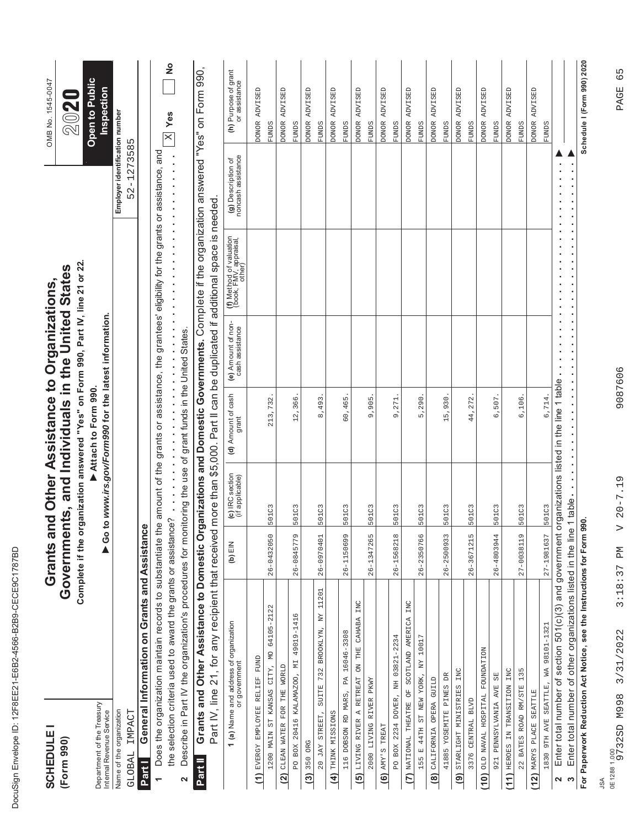| ı<br>۱                                                                                                                         |
|--------------------------------------------------------------------------------------------------------------------------------|
| ĺ<br>١<br>ı                                                                                                                    |
| ¢                                                                                                                              |
| Ç<br>ı                                                                                                                         |
| ١<br>l                                                                                                                         |
| Ó                                                                                                                              |
| ĺ<br>O                                                                                                                         |
| í<br>¢                                                                                                                         |
| ı<br>ı<br>١                                                                                                                    |
| Í<br><b>STATE OF STATE OF STATE OF STATE OF STATE OF STATE OF STATE OF STATE OF STATE OF STATE OF STATE OF STATE OF S</b><br>I |
| d<br>I<br>l                                                                                                                    |
| Ì<br>١                                                                                                                         |
| ı<br>I                                                                                                                         |
| ı                                                                                                                              |
| Ì<br>ı                                                                                                                         |
| l<br>ı<br>I<br>l                                                                                                               |
| Ì                                                                                                                              |
| ı<br>١                                                                                                                         |
| Í                                                                                                                              |
|                                                                                                                                |
| ı<br>١                                                                                                                         |
|                                                                                                                                |
| 1                                                                                                                              |
| ١                                                                                                                              |
| Ï<br>֠                                                                                                                         |
|                                                                                                                                |
| ı                                                                                                                              |

| Schedule I (Form 990) 2020<br>$\frac{1}{2}$<br>Grants and Other Assistance to Domestic Organizations and Domestic Governments. Complete if the organization answered "Yes" on Form 990,<br>(h) Purpose of grant<br>or assistance<br>Open to Public<br>Inspection<br>DONOR ADVISED<br>ADVISED<br>ADVISED<br>ADVISED<br>ADVISED<br>ADVISED<br>ADVISED<br>ADVISED<br>ADVISED<br>ADVISED<br>DONOR ADVISED<br>DONOR ADVISED<br>Employer identification number<br>$\mathbb{X}$ Yes<br><b>DONOR</b><br><b>DONOR</b><br><b>DONOR</b><br><b>DONOR</b><br><b>DONOR</b><br><b>DONOR</b><br><b>DONOR</b><br><b>DONOR</b><br><b>PONOR</b><br><b>EUNDS</b><br><b>FUNDS</b><br><b>FUNDS</b><br><b>FUNDS</b><br><b>FUNDS</b><br><b>FUNDS</b><br><b>FUNDS</b><br><b>FUNDS</b><br><b>FUNDS</b><br><b>FUNDS</b><br><b>FUNDS</b><br><b>FUNDS</b><br>52-1273585<br>Does the organization maintain records to substantiate the amount of the grants or assistance, the grantees' eligibility for the grants or assistance, and<br>$\frac{1}{2}$<br>(g) Description of<br>noncash assistance<br>$\frac{1}{2}$<br>more than \$5,000. Part II can be duplicated if additional space is needed.<br>$\begin{array}{c} \bullet \\ \bullet \\ \bullet \\ \bullet \end{array}$<br>(f) Method of valuation<br>(book, FMV, appraisal,<br>other)<br><b>.</b> .<br>Go to www.irs.gov/Form990 for the latest information.<br>(e) Amount of non-<br>cash assistance<br>the selection criteria used to award the grants or assistance?<br>Describe in Part IV the organization's procedures for monitoring the use of grant funds in the United States.<br>Enter total number of section 501(c)(3) and government organizations listed in the line 1 table<br>Attach to Form 990.<br>(d) Amount of cash<br>grant<br>5,290.<br>6,714.<br>213,732.<br>6,507<br>12,366<br>60,465<br>9,271.<br>15,930<br>44, 272.<br>8,493<br>6,106<br>9,905<br>(c) IRC section<br>(if applicable)<br>Enter total number of other organizations listed in the line 1 table.<br>501C3<br>501C3<br>501C3<br>501C3<br>501C3<br>501C3<br>501C3<br>501C3<br>501C3<br>501C3<br>501C3<br>501C3<br>For Paperwork Reduction Act Notice, see the Instructions for Form 990.<br>General Information on Grants and Assistance<br>Part IV, line 21, for any recipient that received<br>26-0432050<br>26-1150699<br>26-1568218<br>26-2350766<br>27-1981637<br>26-0845779<br>26-1347265<br>26-2500933<br>$26 - 3671215$<br>$26 - 4803944$<br>27-0038119<br>26-0970401<br>(b) $EIN$<br>11201<br>INC<br>INC<br>1200 MAIN ST KANSAS CITY, MO 64105-2122<br>$\stackrel{\textstyle\sim}{\approx}$<br>49019-1416<br>(7) NATIONAL THEATRE OF SCOTLAND AMERICA<br>CAHABA<br><b>1 (a)</b> Name and address of organization<br>or government<br>1830 9TH AVE SEATTLE, WA 98101-1321<br>BROOKLYN,<br>116 DOBSON RD MARS, PA 16046-3308<br>DOVER, NH 03821-2234<br>155 E 44TH ST NEW YORK, NY 10017<br>THE<br>OLD NAVAL HOSPITAL FOUNDATION<br>(1) EVERGY EMPLOYEE RELIEF FUND<br>NI<br><b>NO</b><br>CLEAN WATER FOR THE WORLD<br>732<br>STARLIGHT MINISTRIES INC<br>135<br>PO BOX 20416 KALAMAZOO,<br>5E<br>41885 YOSEMITE PINES DR<br>LIVING RIVER A RETREAT<br>(8) CALIFORNIA OPERA GUILD<br>2000 LIVING RIVER PKWY<br>921 PENNSYLVANIA AVE<br><b>SUITE</b><br>HEROES IN TRANSITION<br>22 BATES ROAD RM/STE<br>MARYS PLACE SEATTLE<br>CENTRAL BLVD<br>Department of the Treasury<br>Name of the organization<br>GLOBAL IMPACT<br>20 JAY STREET,<br>Internal Revenue Service<br>THINK MISSIONS<br>PO BOX 2234<br>$(6)$ AMY'S TREAT<br>$(3)$ 350 ORG<br>3376<br>Part I<br>Part II<br>$\widehat{\mathbf{e}}$<br>(10)<br>(12)<br>$\widehat{4}$<br>$\widehat{a}$<br>$\overline{5}$<br>(11)<br>$\boldsymbol{\varsigma}$<br>$\boldsymbol{\mathsf{N}}$<br>2 | <b>SCHEDULE</b><br>(Form 990) |  | Complete if the organization answered "Yes" on Form 990, Part IV, line 21 or 22.<br>Governments, and Individuals in the United States<br>Grants and Other Assistance to Organizations, |  | OMB No. 1545-0047<br>20 |
|--------------------------------------------------------------------------------------------------------------------------------------------------------------------------------------------------------------------------------------------------------------------------------------------------------------------------------------------------------------------------------------------------------------------------------------------------------------------------------------------------------------------------------------------------------------------------------------------------------------------------------------------------------------------------------------------------------------------------------------------------------------------------------------------------------------------------------------------------------------------------------------------------------------------------------------------------------------------------------------------------------------------------------------------------------------------------------------------------------------------------------------------------------------------------------------------------------------------------------------------------------------------------------------------------------------------------------------------------------------------------------------------------------------------------------------------------------------------------------------------------------------------------------------------------------------------------------------------------------------------------------------------------------------------------------------------------------------------------------------------------------------------------------------------------------------------------------------------------------------------------------------------------------------------------------------------------------------------------------------------------------------------------------------------------------------------------------------------------------------------------------------------------------------------------------------------------------------------------------------------------------------------------------------------------------------------------------------------------------------------------------------------------------------------------------------------------------------------------------------------------------------------------------------------------------------------------------------------------------------------------------------------------------------------------------------------------------------------------------------------------------------------------------------------------------------------------------------------------------------------------------------------------------------------------------------------------------------------------------------------------------------------------------------------------------------------------------------------------------------------------------------------------------------------------------------------------------------------------------------------------------------------------------------------------------------------------------------------------------------------------------------------------------------------------------------------------------------------------------------------------------------------------------------------------------------------------------------------------------------------------------------------------------------------------------------------------------------------------------------------------------------------|-------------------------------|--|----------------------------------------------------------------------------------------------------------------------------------------------------------------------------------------|--|-------------------------|
|                                                                                                                                                                                                                                                                                                                                                                                                                                                                                                                                                                                                                                                                                                                                                                                                                                                                                                                                                                                                                                                                                                                                                                                                                                                                                                                                                                                                                                                                                                                                                                                                                                                                                                                                                                                                                                                                                                                                                                                                                                                                                                                                                                                                                                                                                                                                                                                                                                                                                                                                                                                                                                                                                                                                                                                                                                                                                                                                                                                                                                                                                                                                                                                                                                                                                                                                                                                                                                                                                                                                                                                                                                                                                                                                                                    |                               |  |                                                                                                                                                                                        |  |                         |
|                                                                                                                                                                                                                                                                                                                                                                                                                                                                                                                                                                                                                                                                                                                                                                                                                                                                                                                                                                                                                                                                                                                                                                                                                                                                                                                                                                                                                                                                                                                                                                                                                                                                                                                                                                                                                                                                                                                                                                                                                                                                                                                                                                                                                                                                                                                                                                                                                                                                                                                                                                                                                                                                                                                                                                                                                                                                                                                                                                                                                                                                                                                                                                                                                                                                                                                                                                                                                                                                                                                                                                                                                                                                                                                                                                    |                               |  |                                                                                                                                                                                        |  |                         |
|                                                                                                                                                                                                                                                                                                                                                                                                                                                                                                                                                                                                                                                                                                                                                                                                                                                                                                                                                                                                                                                                                                                                                                                                                                                                                                                                                                                                                                                                                                                                                                                                                                                                                                                                                                                                                                                                                                                                                                                                                                                                                                                                                                                                                                                                                                                                                                                                                                                                                                                                                                                                                                                                                                                                                                                                                                                                                                                                                                                                                                                                                                                                                                                                                                                                                                                                                                                                                                                                                                                                                                                                                                                                                                                                                                    |                               |  |                                                                                                                                                                                        |  |                         |
|                                                                                                                                                                                                                                                                                                                                                                                                                                                                                                                                                                                                                                                                                                                                                                                                                                                                                                                                                                                                                                                                                                                                                                                                                                                                                                                                                                                                                                                                                                                                                                                                                                                                                                                                                                                                                                                                                                                                                                                                                                                                                                                                                                                                                                                                                                                                                                                                                                                                                                                                                                                                                                                                                                                                                                                                                                                                                                                                                                                                                                                                                                                                                                                                                                                                                                                                                                                                                                                                                                                                                                                                                                                                                                                                                                    |                               |  |                                                                                                                                                                                        |  |                         |
|                                                                                                                                                                                                                                                                                                                                                                                                                                                                                                                                                                                                                                                                                                                                                                                                                                                                                                                                                                                                                                                                                                                                                                                                                                                                                                                                                                                                                                                                                                                                                                                                                                                                                                                                                                                                                                                                                                                                                                                                                                                                                                                                                                                                                                                                                                                                                                                                                                                                                                                                                                                                                                                                                                                                                                                                                                                                                                                                                                                                                                                                                                                                                                                                                                                                                                                                                                                                                                                                                                                                                                                                                                                                                                                                                                    |                               |  |                                                                                                                                                                                        |  |                         |
|                                                                                                                                                                                                                                                                                                                                                                                                                                                                                                                                                                                                                                                                                                                                                                                                                                                                                                                                                                                                                                                                                                                                                                                                                                                                                                                                                                                                                                                                                                                                                                                                                                                                                                                                                                                                                                                                                                                                                                                                                                                                                                                                                                                                                                                                                                                                                                                                                                                                                                                                                                                                                                                                                                                                                                                                                                                                                                                                                                                                                                                                                                                                                                                                                                                                                                                                                                                                                                                                                                                                                                                                                                                                                                                                                                    |                               |  |                                                                                                                                                                                        |  |                         |
|                                                                                                                                                                                                                                                                                                                                                                                                                                                                                                                                                                                                                                                                                                                                                                                                                                                                                                                                                                                                                                                                                                                                                                                                                                                                                                                                                                                                                                                                                                                                                                                                                                                                                                                                                                                                                                                                                                                                                                                                                                                                                                                                                                                                                                                                                                                                                                                                                                                                                                                                                                                                                                                                                                                                                                                                                                                                                                                                                                                                                                                                                                                                                                                                                                                                                                                                                                                                                                                                                                                                                                                                                                                                                                                                                                    |                               |  |                                                                                                                                                                                        |  |                         |
|                                                                                                                                                                                                                                                                                                                                                                                                                                                                                                                                                                                                                                                                                                                                                                                                                                                                                                                                                                                                                                                                                                                                                                                                                                                                                                                                                                                                                                                                                                                                                                                                                                                                                                                                                                                                                                                                                                                                                                                                                                                                                                                                                                                                                                                                                                                                                                                                                                                                                                                                                                                                                                                                                                                                                                                                                                                                                                                                                                                                                                                                                                                                                                                                                                                                                                                                                                                                                                                                                                                                                                                                                                                                                                                                                                    |                               |  |                                                                                                                                                                                        |  |                         |
|                                                                                                                                                                                                                                                                                                                                                                                                                                                                                                                                                                                                                                                                                                                                                                                                                                                                                                                                                                                                                                                                                                                                                                                                                                                                                                                                                                                                                                                                                                                                                                                                                                                                                                                                                                                                                                                                                                                                                                                                                                                                                                                                                                                                                                                                                                                                                                                                                                                                                                                                                                                                                                                                                                                                                                                                                                                                                                                                                                                                                                                                                                                                                                                                                                                                                                                                                                                                                                                                                                                                                                                                                                                                                                                                                                    |                               |  |                                                                                                                                                                                        |  |                         |
|                                                                                                                                                                                                                                                                                                                                                                                                                                                                                                                                                                                                                                                                                                                                                                                                                                                                                                                                                                                                                                                                                                                                                                                                                                                                                                                                                                                                                                                                                                                                                                                                                                                                                                                                                                                                                                                                                                                                                                                                                                                                                                                                                                                                                                                                                                                                                                                                                                                                                                                                                                                                                                                                                                                                                                                                                                                                                                                                                                                                                                                                                                                                                                                                                                                                                                                                                                                                                                                                                                                                                                                                                                                                                                                                                                    |                               |  |                                                                                                                                                                                        |  |                         |
|                                                                                                                                                                                                                                                                                                                                                                                                                                                                                                                                                                                                                                                                                                                                                                                                                                                                                                                                                                                                                                                                                                                                                                                                                                                                                                                                                                                                                                                                                                                                                                                                                                                                                                                                                                                                                                                                                                                                                                                                                                                                                                                                                                                                                                                                                                                                                                                                                                                                                                                                                                                                                                                                                                                                                                                                                                                                                                                                                                                                                                                                                                                                                                                                                                                                                                                                                                                                                                                                                                                                                                                                                                                                                                                                                                    |                               |  |                                                                                                                                                                                        |  |                         |
|                                                                                                                                                                                                                                                                                                                                                                                                                                                                                                                                                                                                                                                                                                                                                                                                                                                                                                                                                                                                                                                                                                                                                                                                                                                                                                                                                                                                                                                                                                                                                                                                                                                                                                                                                                                                                                                                                                                                                                                                                                                                                                                                                                                                                                                                                                                                                                                                                                                                                                                                                                                                                                                                                                                                                                                                                                                                                                                                                                                                                                                                                                                                                                                                                                                                                                                                                                                                                                                                                                                                                                                                                                                                                                                                                                    |                               |  |                                                                                                                                                                                        |  |                         |
|                                                                                                                                                                                                                                                                                                                                                                                                                                                                                                                                                                                                                                                                                                                                                                                                                                                                                                                                                                                                                                                                                                                                                                                                                                                                                                                                                                                                                                                                                                                                                                                                                                                                                                                                                                                                                                                                                                                                                                                                                                                                                                                                                                                                                                                                                                                                                                                                                                                                                                                                                                                                                                                                                                                                                                                                                                                                                                                                                                                                                                                                                                                                                                                                                                                                                                                                                                                                                                                                                                                                                                                                                                                                                                                                                                    |                               |  |                                                                                                                                                                                        |  |                         |
|                                                                                                                                                                                                                                                                                                                                                                                                                                                                                                                                                                                                                                                                                                                                                                                                                                                                                                                                                                                                                                                                                                                                                                                                                                                                                                                                                                                                                                                                                                                                                                                                                                                                                                                                                                                                                                                                                                                                                                                                                                                                                                                                                                                                                                                                                                                                                                                                                                                                                                                                                                                                                                                                                                                                                                                                                                                                                                                                                                                                                                                                                                                                                                                                                                                                                                                                                                                                                                                                                                                                                                                                                                                                                                                                                                    |                               |  |                                                                                                                                                                                        |  |                         |
|                                                                                                                                                                                                                                                                                                                                                                                                                                                                                                                                                                                                                                                                                                                                                                                                                                                                                                                                                                                                                                                                                                                                                                                                                                                                                                                                                                                                                                                                                                                                                                                                                                                                                                                                                                                                                                                                                                                                                                                                                                                                                                                                                                                                                                                                                                                                                                                                                                                                                                                                                                                                                                                                                                                                                                                                                                                                                                                                                                                                                                                                                                                                                                                                                                                                                                                                                                                                                                                                                                                                                                                                                                                                                                                                                                    |                               |  |                                                                                                                                                                                        |  |                         |
|                                                                                                                                                                                                                                                                                                                                                                                                                                                                                                                                                                                                                                                                                                                                                                                                                                                                                                                                                                                                                                                                                                                                                                                                                                                                                                                                                                                                                                                                                                                                                                                                                                                                                                                                                                                                                                                                                                                                                                                                                                                                                                                                                                                                                                                                                                                                                                                                                                                                                                                                                                                                                                                                                                                                                                                                                                                                                                                                                                                                                                                                                                                                                                                                                                                                                                                                                                                                                                                                                                                                                                                                                                                                                                                                                                    |                               |  |                                                                                                                                                                                        |  |                         |
|                                                                                                                                                                                                                                                                                                                                                                                                                                                                                                                                                                                                                                                                                                                                                                                                                                                                                                                                                                                                                                                                                                                                                                                                                                                                                                                                                                                                                                                                                                                                                                                                                                                                                                                                                                                                                                                                                                                                                                                                                                                                                                                                                                                                                                                                                                                                                                                                                                                                                                                                                                                                                                                                                                                                                                                                                                                                                                                                                                                                                                                                                                                                                                                                                                                                                                                                                                                                                                                                                                                                                                                                                                                                                                                                                                    |                               |  |                                                                                                                                                                                        |  |                         |
|                                                                                                                                                                                                                                                                                                                                                                                                                                                                                                                                                                                                                                                                                                                                                                                                                                                                                                                                                                                                                                                                                                                                                                                                                                                                                                                                                                                                                                                                                                                                                                                                                                                                                                                                                                                                                                                                                                                                                                                                                                                                                                                                                                                                                                                                                                                                                                                                                                                                                                                                                                                                                                                                                                                                                                                                                                                                                                                                                                                                                                                                                                                                                                                                                                                                                                                                                                                                                                                                                                                                                                                                                                                                                                                                                                    |                               |  |                                                                                                                                                                                        |  |                         |
|                                                                                                                                                                                                                                                                                                                                                                                                                                                                                                                                                                                                                                                                                                                                                                                                                                                                                                                                                                                                                                                                                                                                                                                                                                                                                                                                                                                                                                                                                                                                                                                                                                                                                                                                                                                                                                                                                                                                                                                                                                                                                                                                                                                                                                                                                                                                                                                                                                                                                                                                                                                                                                                                                                                                                                                                                                                                                                                                                                                                                                                                                                                                                                                                                                                                                                                                                                                                                                                                                                                                                                                                                                                                                                                                                                    |                               |  |                                                                                                                                                                                        |  |                         |
|                                                                                                                                                                                                                                                                                                                                                                                                                                                                                                                                                                                                                                                                                                                                                                                                                                                                                                                                                                                                                                                                                                                                                                                                                                                                                                                                                                                                                                                                                                                                                                                                                                                                                                                                                                                                                                                                                                                                                                                                                                                                                                                                                                                                                                                                                                                                                                                                                                                                                                                                                                                                                                                                                                                                                                                                                                                                                                                                                                                                                                                                                                                                                                                                                                                                                                                                                                                                                                                                                                                                                                                                                                                                                                                                                                    |                               |  |                                                                                                                                                                                        |  |                         |
|                                                                                                                                                                                                                                                                                                                                                                                                                                                                                                                                                                                                                                                                                                                                                                                                                                                                                                                                                                                                                                                                                                                                                                                                                                                                                                                                                                                                                                                                                                                                                                                                                                                                                                                                                                                                                                                                                                                                                                                                                                                                                                                                                                                                                                                                                                                                                                                                                                                                                                                                                                                                                                                                                                                                                                                                                                                                                                                                                                                                                                                                                                                                                                                                                                                                                                                                                                                                                                                                                                                                                                                                                                                                                                                                                                    |                               |  |                                                                                                                                                                                        |  |                         |
|                                                                                                                                                                                                                                                                                                                                                                                                                                                                                                                                                                                                                                                                                                                                                                                                                                                                                                                                                                                                                                                                                                                                                                                                                                                                                                                                                                                                                                                                                                                                                                                                                                                                                                                                                                                                                                                                                                                                                                                                                                                                                                                                                                                                                                                                                                                                                                                                                                                                                                                                                                                                                                                                                                                                                                                                                                                                                                                                                                                                                                                                                                                                                                                                                                                                                                                                                                                                                                                                                                                                                                                                                                                                                                                                                                    |                               |  |                                                                                                                                                                                        |  |                         |
|                                                                                                                                                                                                                                                                                                                                                                                                                                                                                                                                                                                                                                                                                                                                                                                                                                                                                                                                                                                                                                                                                                                                                                                                                                                                                                                                                                                                                                                                                                                                                                                                                                                                                                                                                                                                                                                                                                                                                                                                                                                                                                                                                                                                                                                                                                                                                                                                                                                                                                                                                                                                                                                                                                                                                                                                                                                                                                                                                                                                                                                                                                                                                                                                                                                                                                                                                                                                                                                                                                                                                                                                                                                                                                                                                                    |                               |  |                                                                                                                                                                                        |  |                         |
|                                                                                                                                                                                                                                                                                                                                                                                                                                                                                                                                                                                                                                                                                                                                                                                                                                                                                                                                                                                                                                                                                                                                                                                                                                                                                                                                                                                                                                                                                                                                                                                                                                                                                                                                                                                                                                                                                                                                                                                                                                                                                                                                                                                                                                                                                                                                                                                                                                                                                                                                                                                                                                                                                                                                                                                                                                                                                                                                                                                                                                                                                                                                                                                                                                                                                                                                                                                                                                                                                                                                                                                                                                                                                                                                                                    |                               |  |                                                                                                                                                                                        |  |                         |
|                                                                                                                                                                                                                                                                                                                                                                                                                                                                                                                                                                                                                                                                                                                                                                                                                                                                                                                                                                                                                                                                                                                                                                                                                                                                                                                                                                                                                                                                                                                                                                                                                                                                                                                                                                                                                                                                                                                                                                                                                                                                                                                                                                                                                                                                                                                                                                                                                                                                                                                                                                                                                                                                                                                                                                                                                                                                                                                                                                                                                                                                                                                                                                                                                                                                                                                                                                                                                                                                                                                                                                                                                                                                                                                                                                    |                               |  |                                                                                                                                                                                        |  |                         |
|                                                                                                                                                                                                                                                                                                                                                                                                                                                                                                                                                                                                                                                                                                                                                                                                                                                                                                                                                                                                                                                                                                                                                                                                                                                                                                                                                                                                                                                                                                                                                                                                                                                                                                                                                                                                                                                                                                                                                                                                                                                                                                                                                                                                                                                                                                                                                                                                                                                                                                                                                                                                                                                                                                                                                                                                                                                                                                                                                                                                                                                                                                                                                                                                                                                                                                                                                                                                                                                                                                                                                                                                                                                                                                                                                                    |                               |  |                                                                                                                                                                                        |  |                         |
|                                                                                                                                                                                                                                                                                                                                                                                                                                                                                                                                                                                                                                                                                                                                                                                                                                                                                                                                                                                                                                                                                                                                                                                                                                                                                                                                                                                                                                                                                                                                                                                                                                                                                                                                                                                                                                                                                                                                                                                                                                                                                                                                                                                                                                                                                                                                                                                                                                                                                                                                                                                                                                                                                                                                                                                                                                                                                                                                                                                                                                                                                                                                                                                                                                                                                                                                                                                                                                                                                                                                                                                                                                                                                                                                                                    |                               |  |                                                                                                                                                                                        |  |                         |
|                                                                                                                                                                                                                                                                                                                                                                                                                                                                                                                                                                                                                                                                                                                                                                                                                                                                                                                                                                                                                                                                                                                                                                                                                                                                                                                                                                                                                                                                                                                                                                                                                                                                                                                                                                                                                                                                                                                                                                                                                                                                                                                                                                                                                                                                                                                                                                                                                                                                                                                                                                                                                                                                                                                                                                                                                                                                                                                                                                                                                                                                                                                                                                                                                                                                                                                                                                                                                                                                                                                                                                                                                                                                                                                                                                    |                               |  |                                                                                                                                                                                        |  |                         |
|                                                                                                                                                                                                                                                                                                                                                                                                                                                                                                                                                                                                                                                                                                                                                                                                                                                                                                                                                                                                                                                                                                                                                                                                                                                                                                                                                                                                                                                                                                                                                                                                                                                                                                                                                                                                                                                                                                                                                                                                                                                                                                                                                                                                                                                                                                                                                                                                                                                                                                                                                                                                                                                                                                                                                                                                                                                                                                                                                                                                                                                                                                                                                                                                                                                                                                                                                                                                                                                                                                                                                                                                                                                                                                                                                                    |                               |  |                                                                                                                                                                                        |  |                         |
|                                                                                                                                                                                                                                                                                                                                                                                                                                                                                                                                                                                                                                                                                                                                                                                                                                                                                                                                                                                                                                                                                                                                                                                                                                                                                                                                                                                                                                                                                                                                                                                                                                                                                                                                                                                                                                                                                                                                                                                                                                                                                                                                                                                                                                                                                                                                                                                                                                                                                                                                                                                                                                                                                                                                                                                                                                                                                                                                                                                                                                                                                                                                                                                                                                                                                                                                                                                                                                                                                                                                                                                                                                                                                                                                                                    |                               |  |                                                                                                                                                                                        |  |                         |

9732SD M998 3/31/2022 3:18:37 PM V 20-7.19 9087606 PAGE 65  $V 20 - 7.19$ 3:18:37 PM JSA<br>0E12881.000<br>9732SD M998 3/31/2022

0E1288 1.000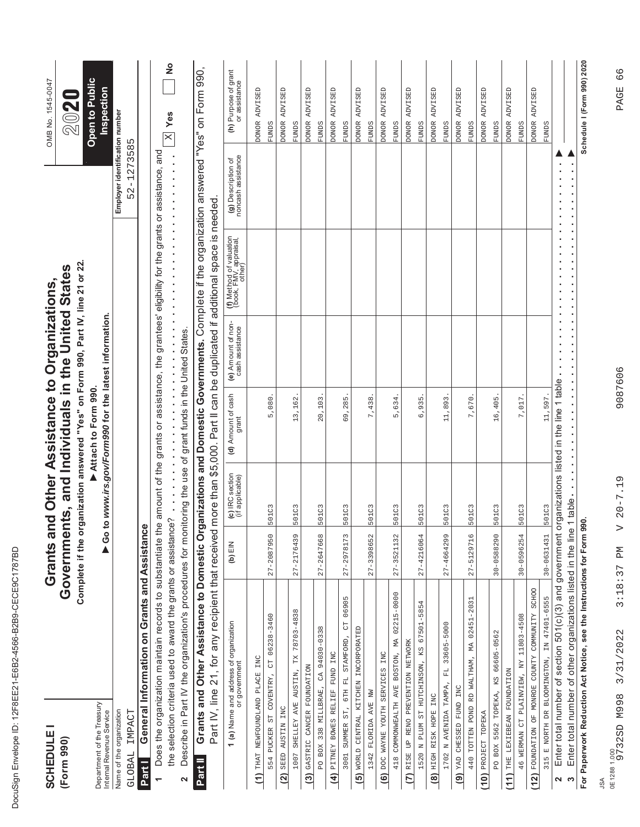| ı<br>۱           |
|------------------|
| ĺ<br>١<br>ı      |
| ¢                |
| Ç<br>ı           |
| ١<br>l           |
| Ó                |
| ĺ<br>O           |
| í<br>¢           |
| ı<br>ı<br>١      |
| Í<br>I           |
| d<br>I<br>l      |
| Ì<br>١           |
| ı<br>I           |
| ı                |
| Ì<br>ı           |
| l<br>ı<br>I<br>l |
| Ì                |
| ı<br>١           |
| Í                |
|                  |
| ı<br>١           |
|                  |
| 1                |
| ١                |
| Ï<br>֠           |
|                  |
| ı                |

| <b>SCHEDULE</b><br>(Form 990)                                |                                                                                                                                                                                                                                                                           | Grants a         |                                    | Complete if the organization answered "Yes" on Form 990, Part IV, line 21 or 22.<br>Governments, and Individuals in the United States<br>nd Other Assistance to Organizations, |                                       |                                                             |                                              | OMB No. 1545-0047<br>202                     |
|--------------------------------------------------------------|---------------------------------------------------------------------------------------------------------------------------------------------------------------------------------------------------------------------------------------------------------------------------|------------------|------------------------------------|--------------------------------------------------------------------------------------------------------------------------------------------------------------------------------|---------------------------------------|-------------------------------------------------------------|----------------------------------------------|----------------------------------------------|
| Department of the Treasury<br>Internal Revenue Service       |                                                                                                                                                                                                                                                                           | 60               |                                    | to www.irs.gov/Form990 for the latest information.<br>Attach to Form 990.                                                                                                      |                                       |                                                             |                                              | <b>Open to Public</b><br>Inspection          |
| Name of the organization<br>IMPACT<br><b>GLOBAL</b>          |                                                                                                                                                                                                                                                                           |                  |                                    |                                                                                                                                                                                |                                       |                                                             | Employer identification number<br>52-1273585 |                                              |
| <b>Part I</b>                                                | General Information on Grants and Assistance                                                                                                                                                                                                                              |                  |                                    |                                                                                                                                                                                |                                       |                                                             |                                              |                                              |
| $\overline{ }$                                               | Does the organization maintain records to substantiate the amount of the grants or assistance, the grantees' eligibility for the grants or assistance, and                                                                                                                |                  |                                    |                                                                                                                                                                                |                                       |                                                             |                                              | $\frac{1}{2}$<br>$\overline{\mathbf{x}}$ Yes |
| $\mathbf{\Omega}$                                            | the selection criteria used to award the grants or assistance?                                                                                                                                                                                                            |                  |                                    |                                                                                                                                                                                |                                       |                                                             |                                              |                                              |
| Part II                                                      | Grants and Other Assistance to Domestic Organizations and Domestic Governments. Complete if the organization answered "Yes" on Form 990,<br>Part IV, line 21, for any recipient that received more than \$5,000. Part II can be duplicated if additional space is needed. |                  |                                    |                                                                                                                                                                                |                                       |                                                             |                                              |                                              |
|                                                              | (a) Name and address of organization<br>or government                                                                                                                                                                                                                     | (b) $EIN$        | (c) IRC section<br>(if applicable) | (d) Amount of cash<br>grant                                                                                                                                                    | (e) Amount of non-<br>cash assistance | (f) Method of valuation<br>(book, FMV, appraisal,<br>other) | (g) Description of<br>noncash assistance     | (h) Purpose of grant<br>or assistance        |
| (1) THAT NEWFOUNDLAND PLACE INC                              |                                                                                                                                                                                                                                                                           |                  |                                    |                                                                                                                                                                                |                                       |                                                             |                                              | DONOR ADVISED                                |
|                                                              | 554 PUCKER ST COVENTRY, CT 06238-3460                                                                                                                                                                                                                                     | 27-2087950       | 501C3                              | 5,080                                                                                                                                                                          |                                       |                                                             |                                              | <b>EUNDS</b>                                 |
| SHELLEY AVE AUSTIN,<br>SEED AUSTIN INC<br>1007<br>(2)        | TX 78703-4838                                                                                                                                                                                                                                                             | 27-2176439       | 501C3                              | 13,162                                                                                                                                                                         |                                       |                                                             |                                              | DONOR ADVISED<br><b>FUNDS</b>                |
| (3) GASTRIC CANCER FOUNDATION                                |                                                                                                                                                                                                                                                                           |                  |                                    |                                                                                                                                                                                |                                       |                                                             |                                              | ADVISED<br><b>DONOR</b>                      |
| PO BOX 338 MILLBRAE, CA 94030-0338                           |                                                                                                                                                                                                                                                                           | 27-2647668       | 501C3                              | 20,103                                                                                                                                                                         |                                       |                                                             |                                              | <b>FUNDS</b>                                 |
| ONI CENEY BOWES RELIEF FUND INC                              | 3001 SUMMER ST, 6TH FL STAMFORD, CT 06905                                                                                                                                                                                                                                 | 27-2978173       | 501C3                              | 69,285                                                                                                                                                                         |                                       |                                                             |                                              | ADVISED<br><b>DONOR</b><br><b>FUNDS</b>      |
| (5) WORLD CENTRAL KITCHEN INCORPORATED                       |                                                                                                                                                                                                                                                                           |                  |                                    |                                                                                                                                                                                |                                       |                                                             |                                              | DONOR ADVISED                                |
| 1342 FLORIDA AVE NW                                          |                                                                                                                                                                                                                                                                           | 27-3398652       | 501C3                              | 7,438                                                                                                                                                                          |                                       |                                                             |                                              | <b>EUNDS</b>                                 |
| (6) DOC WAYNE YOUTH SERVICES INC                             |                                                                                                                                                                                                                                                                           |                  |                                    |                                                                                                                                                                                |                                       |                                                             |                                              | ADVISED<br><b>DONOR</b>                      |
| 418 COMMONWEALTH AVE BOSTON, MA                              | 02215-0000                                                                                                                                                                                                                                                                | 27-3521132       | 501C3                              | 5,634                                                                                                                                                                          |                                       |                                                             |                                              | <b>EUNDS</b>                                 |
| RISE UP RENO PREVENTION NETWORK<br>$\widehat{\epsilon}$      |                                                                                                                                                                                                                                                                           |                  |                                    |                                                                                                                                                                                |                                       |                                                             |                                              | DONOR ADVISED                                |
| 1520 N PLUM ST HUTCHINSON, KS                                | 67501-5854                                                                                                                                                                                                                                                                | 27-4216064       | 501C3                              | 6,935                                                                                                                                                                          |                                       |                                                             |                                              | <b>FUNDS</b>                                 |
| 1702 N AVENIDA TAMPA,<br>HIGH RISK HOPE INC<br>$\circledast$ | FL 33605-5000                                                                                                                                                                                                                                                             | 27-4664299       | 501C3                              | 11,893                                                                                                                                                                         |                                       |                                                             |                                              | ADVISED<br><b>DONOR</b><br><b>FUNDS</b>      |
| YAD CHESSED FUND INC<br>$\widehat{\mathbf{e}}$               |                                                                                                                                                                                                                                                                           |                  |                                    |                                                                                                                                                                                |                                       |                                                             |                                              | ADVISED<br><b>DONOR</b>                      |
|                                                              | 440 TOTTEN POND RD WALTHAM, MA 02451-2031                                                                                                                                                                                                                                 | 27-5129716       | 501C3                              | 7,670                                                                                                                                                                          |                                       |                                                             |                                              | <b>FUNDS</b>                                 |
| PO BOX 5562 TOPEKA,<br>PROJECT TOPEKA<br>(10)                | KS 66605-0562                                                                                                                                                                                                                                                             | 30-0588290       | 501C3                              | 16,405                                                                                                                                                                         |                                       |                                                             |                                              | ADVISED<br><b>DONOR</b><br><b>FUNDS</b>      |
| THE LEXIEBEAN FOUNDATION<br>$\frac{1}{2}$                    |                                                                                                                                                                                                                                                                           |                  |                                    |                                                                                                                                                                                |                                       |                                                             |                                              | ADVISED<br><b>DONOR</b>                      |
|                                                              | 46 WERMAN CT PLAINVIEW, NY 11803-4508                                                                                                                                                                                                                                     | 30-0596254       | 501C3                              | 7,017                                                                                                                                                                          |                                       |                                                             |                                              | <b>EUNDS</b>                                 |
| (12)                                                         | FOUNDATION OF MONROE COUNTY COMMUNITY SCHOO                                                                                                                                                                                                                               |                  |                                    |                                                                                                                                                                                |                                       |                                                             |                                              | <b>ADVISED</b><br><b>DONOR</b>               |
|                                                              | 315 E NORTH DR BLOOMINGTON, IN 47401-6555                                                                                                                                                                                                                                 | 30-0631431       | 501C3                              | 11,597.                                                                                                                                                                        |                                       |                                                             |                                              | <b>FUNDS</b>                                 |
| $\infty$<br>$\boldsymbol{\mathsf{N}}$                        | Enter total number of section 501(c)(3) and government organizations listed in the line 1 table<br>Enter total number of other organizations listed in the line 1 table.                                                                                                  |                  |                                    |                                                                                                                                                                                |                                       |                                                             |                                              |                                              |
|                                                              | For Paperwork Reduction Act Notice, see the Instructions for Form 990.                                                                                                                                                                                                    |                  |                                    |                                                                                                                                                                                |                                       |                                                             |                                              | Schedule I (Form 990) 2020                   |
| 0E1288 1.000<br>9732SD M998<br>JSA                           |                                                                                                                                                                                                                                                                           |                  |                                    |                                                                                                                                                                                |                                       |                                                             |                                              |                                              |
|                                                              | 3:18:37 PM<br>3/31/2022                                                                                                                                                                                                                                                   | $\triangleright$ | $20 - 7.19$                        | 9087606                                                                                                                                                                        |                                       |                                                             |                                              | $\frac{6}{6}$<br>PAGE                        |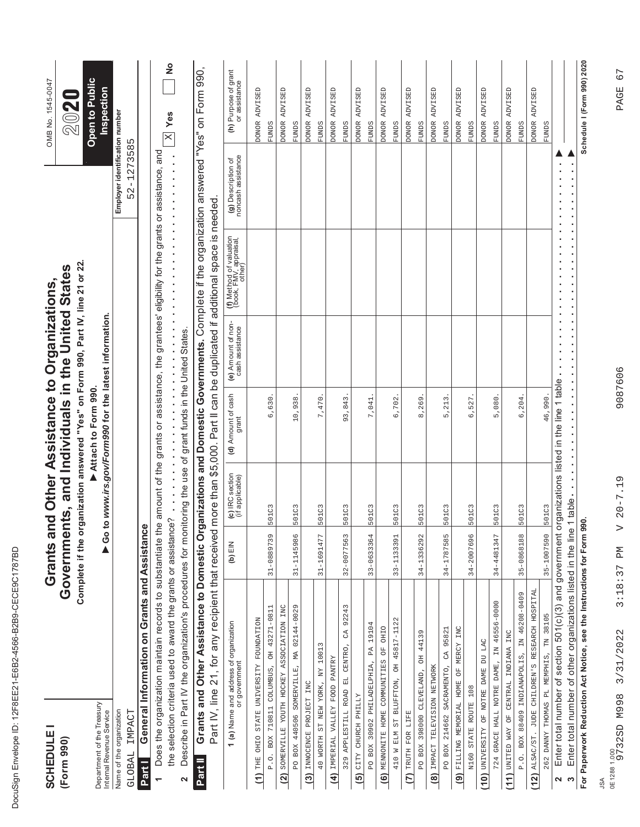| ı<br>۱                                                                                                                         |
|--------------------------------------------------------------------------------------------------------------------------------|
| ĺ<br>١<br>ı                                                                                                                    |
| ¢                                                                                                                              |
| Ç<br>ı                                                                                                                         |
| ١<br>l                                                                                                                         |
| Ó                                                                                                                              |
| ĺ<br>O                                                                                                                         |
| I<br>¢                                                                                                                         |
| ı<br>ı<br>١                                                                                                                    |
| Í<br><b>STATE OF STATE OF STATE OF STATE OF STATE OF STATE OF STATE OF STATE OF STATE OF STATE OF STATE OF STATE OF S</b><br>I |
| d<br>I<br>l                                                                                                                    |
| Ì<br>١                                                                                                                         |
| ı<br>I                                                                                                                         |
| ı                                                                                                                              |
| Ì<br>ı                                                                                                                         |
| l<br>ı<br>I<br>l                                                                                                               |
| Ì                                                                                                                              |
| ı<br>١                                                                                                                         |
| Í                                                                                                                              |
|                                                                                                                                |
| ı<br>١                                                                                                                         |
|                                                                                                                                |
| 1                                                                                                                              |
| ١                                                                                                                              |
| Ï<br>֠                                                                                                                         |
|                                                                                                                                |
| ı                                                                                                                              |

| <b>SCHEDULE</b><br>(Form 990)                                                                                                                              |            |                                                                         | Complete if the organization answered "Yes" on Form 990, Part IV, line 21 or 22.<br>Governments, and Individuals in the United States<br>Grants and Other Assistance to Organizations, |                                                                         |                                                                                                                                                                              |                                              | OMB No. 1545-0047<br>2020               |
|------------------------------------------------------------------------------------------------------------------------------------------------------------|------------|-------------------------------------------------------------------------|----------------------------------------------------------------------------------------------------------------------------------------------------------------------------------------|-------------------------------------------------------------------------|------------------------------------------------------------------------------------------------------------------------------------------------------------------------------|----------------------------------------------|-----------------------------------------|
| Department of the Treasury<br>Internal Revenue Service                                                                                                     |            |                                                                         | Go to www.irs.gov/Form990 for the latest information.<br>Attach to Form 990.                                                                                                           |                                                                         |                                                                                                                                                                              |                                              | <b>Open to Public</b><br>Inspection     |
| Name of the organization<br>IMPACT<br>GLOBAL                                                                                                               |            |                                                                         |                                                                                                                                                                                        |                                                                         |                                                                                                                                                                              | Employer identification number<br>52-1273585 |                                         |
| General Information on Grants and Assistance<br>Part I                                                                                                     |            |                                                                         |                                                                                                                                                                                        |                                                                         |                                                                                                                                                                              |                                              |                                         |
| Does the organization maintain records to substantiate the amount of the grants or assistance, the grantees' eligibility for the grants or assistance, and |            |                                                                         |                                                                                                                                                                                        |                                                                         |                                                                                                                                                                              |                                              |                                         |
| the selection criteria used to award the grants or assistance?                                                                                             |            | $\begin{array}{c} \bullet \\ \bullet \\ \bullet \\ \bullet \end{array}$ | .                                                                                                                                                                                      | $\begin{array}{c} \bullet \\ \bullet \\ \bullet \\ \bullet \end{array}$ | $\frac{1}{2}$<br>$\frac{1}{2}$                                                                                                                                               | .                                            | $\frac{1}{2}$<br>$\mathbb{X}$ Yes       |
| Describe in Part IV the organization's procedures for monitoring the use of grant funds in the United States.<br>2                                         |            |                                                                         |                                                                                                                                                                                        |                                                                         |                                                                                                                                                                              |                                              |                                         |
| Grants and Other Assistance to Domestic Org<br>Part IV, line 21, for any recipient that received<br>Part II                                                |            |                                                                         |                                                                                                                                                                                        |                                                                         | anizations and Domestic Governments. Complete if the organization answered "Yes" on Form 990,<br>more than \$5,000. Part II can be duplicated if additional space is needed. |                                              |                                         |
| <b>1 (a)</b> Name and address of organization<br>or government                                                                                             | (b) $EIN$  | (c) IRC section<br>(if applicable)                                      | (d) Amount of cash<br>grant                                                                                                                                                            | (e) Amount of non-<br>cash assistance                                   | (f) Method of valuation<br>(book, FMV, appraisal,<br>other)                                                                                                                  | (g) Description of<br>noncash assistance     | (h) Purpose of grant<br>or assistance   |
| NOITAGNUOR YTISARVIVU ETATE OIHI (1)                                                                                                                       |            |                                                                         |                                                                                                                                                                                        |                                                                         |                                                                                                                                                                              |                                              | DONOR ADVISED                           |
| BOX 710811 COLUMBUS, OH 43271-0811<br>P. O.                                                                                                                | 31-0889739 | 501C3                                                                   | 6,630.                                                                                                                                                                                 |                                                                         |                                                                                                                                                                              |                                              | <b>FUNDS</b>                            |
| SOMERVILLE YOUTH HOCKEY ASSOCIATION INC<br>PO BOX 440506 SOMERVILLE, MA 02144-0029<br>$\overline{2}$                                                       | 31-1145986 | 501C3                                                                   | 10,938                                                                                                                                                                                 |                                                                         |                                                                                                                                                                              |                                              | ADVISED<br><b>DONOR</b><br><b>FUNDS</b> |
| (3) INNOCENCE PROJECT INC                                                                                                                                  |            |                                                                         |                                                                                                                                                                                        |                                                                         |                                                                                                                                                                              |                                              | ADVISED<br><b>DONOR</b>                 |
| 40 WORTH ST NEW YORK, NY 10013                                                                                                                             | 31-1691477 | 501C3                                                                   | 7,470.                                                                                                                                                                                 |                                                                         |                                                                                                                                                                              |                                              | <b>FUNDS</b>                            |
| VALNES COOR AETTEL NATEREAL (1)                                                                                                                            |            |                                                                         |                                                                                                                                                                                        |                                                                         |                                                                                                                                                                              |                                              | DONOR ADVISED                           |
| 92243<br>$\mathbb{C}^{\mathbb{A}}$<br>EL CENTRO,<br>329 APPLESTILL ROAD                                                                                    | 32-0077563 | 501C3                                                                   | 93,843                                                                                                                                                                                 |                                                                         |                                                                                                                                                                              |                                              | <b>FUNDS</b>                            |
| CITY CHURCH PHILLY<br>$\overline{5}$                                                                                                                       |            |                                                                         |                                                                                                                                                                                        |                                                                         |                                                                                                                                                                              |                                              | ADVISED<br><b>DONOR</b>                 |
| 19104<br>PA<br>PO BOX 30902 PHILADELPHIA,                                                                                                                  | 33-0633364 | 501C3                                                                   | 7,041                                                                                                                                                                                  |                                                                         |                                                                                                                                                                              |                                              | <b>FUNDS</b>                            |
| OHIO<br>F <sub>O</sub><br>(6) MENDONITE HOME COMMUNITEES                                                                                                   |            |                                                                         |                                                                                                                                                                                        |                                                                         |                                                                                                                                                                              |                                              | ADVISED<br><b>DONOR</b>                 |
| 45817-1122<br><b>FO</b><br>410 W ELM ST BLUFFTON,                                                                                                          | 33-1133391 | 501C3                                                                   | 6,702                                                                                                                                                                                  |                                                                         |                                                                                                                                                                              |                                              | <b>FUNDS</b>                            |
| (7) TRUTH FOR LIFE                                                                                                                                         |            |                                                                         |                                                                                                                                                                                        |                                                                         |                                                                                                                                                                              |                                              | DONOR ADVISED                           |
| 44139<br>50<br>PO BOX 398000 CLEVELAND,                                                                                                                    | 34-1336292 | 501C3                                                                   | 8,269                                                                                                                                                                                  |                                                                         |                                                                                                                                                                              |                                              | <b>FUNDS</b>                            |
| IMPACT TELEVISION NETWORK<br>$\widehat{\mathbf{e}}$                                                                                                        |            |                                                                         |                                                                                                                                                                                        |                                                                         |                                                                                                                                                                              |                                              | ADVISED<br><b>DONOR</b>                 |
| CA 95821<br>PO BOX 214662 SACRAMENTO,                                                                                                                      | 34-1787585 | 501C3                                                                   | 5,213                                                                                                                                                                                  |                                                                         |                                                                                                                                                                              |                                              | <b>FUNDS</b>                            |
| (9) FILLING MEMORIAL HOME OF MERCY INC                                                                                                                     |            |                                                                         |                                                                                                                                                                                        |                                                                         |                                                                                                                                                                              |                                              | ADVISED<br><b>DONOR</b>                 |
| N160 STATE ROUTE 108                                                                                                                                       | 34-2007696 | 501C3                                                                   | 6,527.                                                                                                                                                                                 |                                                                         |                                                                                                                                                                              |                                              | <b>FUNDS</b>                            |
| (10) UNIVERSITY OF NOTRE DAME DU LAC                                                                                                                       |            |                                                                         |                                                                                                                                                                                        |                                                                         |                                                                                                                                                                              |                                              | DONOR ADVISED                           |
| 724 GRACE HALL NOTRE DAME, IN 46556-0000                                                                                                                   | 34-4481347 | 501C3                                                                   | 5,080                                                                                                                                                                                  |                                                                         |                                                                                                                                                                              |                                              | <b>FUNDS</b>                            |
| (11) UNITED WAY OF CENTRAL INDIANA INC                                                                                                                     |            |                                                                         |                                                                                                                                                                                        |                                                                         |                                                                                                                                                                              |                                              | ADVISED<br><b>DONOR</b>                 |
| P.O. BOX 88409 INDIANAPOLIS, IN 46208-0409                                                                                                                 | 35-0868188 | 501C3                                                                   | 6, 204.                                                                                                                                                                                |                                                                         |                                                                                                                                                                              |                                              | <b>FUNDS</b>                            |
| ALSAC/ST. JUDE CHILDREN'S RESEARCH HOSPITAL<br>(12)                                                                                                        |            |                                                                         |                                                                                                                                                                                        |                                                                         |                                                                                                                                                                              |                                              | ADVISED<br><b>DONOR</b>                 |
| 262 DANNY THOMAS PL MEMPHIS, TN 38105                                                                                                                      | 35-1007590 | 501C3                                                                   | 46,990.                                                                                                                                                                                |                                                                         |                                                                                                                                                                              |                                              | <b>FUNDS</b>                            |
| Enter total number of section 501(c)(3) and government organizations listed in the line 1 table<br>2                                                       |            |                                                                         |                                                                                                                                                                                        |                                                                         |                                                                                                                                                                              |                                              |                                         |
| Enter total number of other organizations listed in the line 1 table<br>S                                                                                  |            |                                                                         |                                                                                                                                                                                        |                                                                         |                                                                                                                                                                              |                                              |                                         |
| For Paperwork Reduction Act Notice, see the Instructions for Form 990.                                                                                     |            |                                                                         |                                                                                                                                                                                        |                                                                         |                                                                                                                                                                              |                                              | Schedule I (Form 990) 2020              |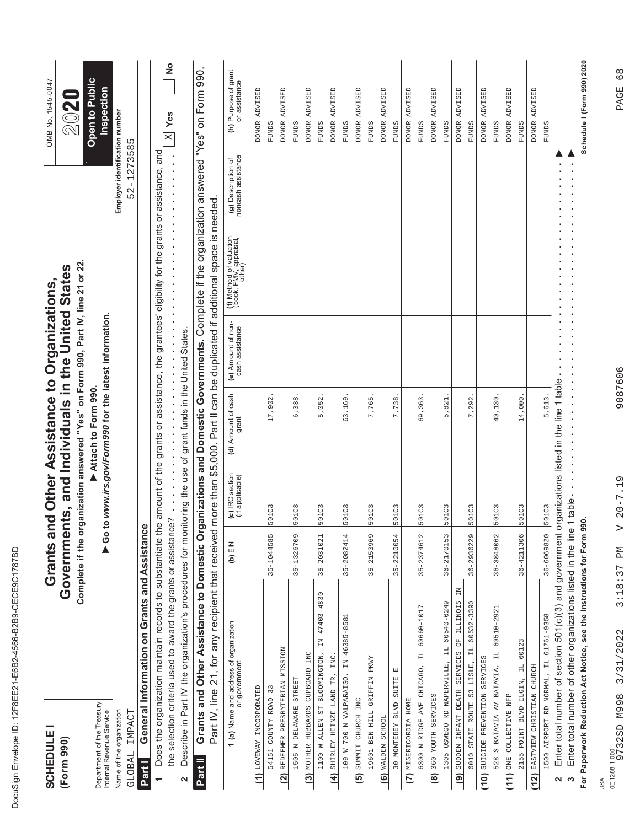| Ĺ<br>J                                                                                                              |
|---------------------------------------------------------------------------------------------------------------------|
| ĺ<br>١<br>ı                                                                                                         |
| d<br>ı                                                                                                              |
| O<br>۱                                                                                                              |
| ١                                                                                                                   |
| l<br>¢<br>l                                                                                                         |
| I<br>¢                                                                                                              |
| I<br>١                                                                                                              |
| Í<br>ı<br>١                                                                                                         |
| ı                                                                                                                   |
| Ì<br>d                                                                                                              |
| I<br>l                                                                                                              |
| Ì<br>I                                                                                                              |
| ı<br>¢                                                                                                              |
| ĺ<br>ı                                                                                                              |
| l<br>I<br>l<br>J<br>l                                                                                               |
| I                                                                                                                   |
| Ì                                                                                                                   |
| ı<br>Ó                                                                                                              |
| ı<br>Ì                                                                                                              |
|                                                                                                                     |
| ı<br>١                                                                                                              |
|                                                                                                                     |
| ĺ<br>and the state of the state of the state of the state of the state of the state of the state of the state of th |
|                                                                                                                     |
| ١<br>Ó<br>֠                                                                                                         |
|                                                                                                                     |
| ı                                                                                                                   |

| <b>SCHEDULE1</b><br>(Form 990)                                                                                                                                                                           |                |                                    | Complete if the organization answered "Yes" on Form 990, Part IV, line 21 or 22.<br>Governments, and Individuals in the United States<br>Grants and Other Assistance to Organizations,<br>Attach to Form 990. |                                       |                                                                             |                                          | <b>Open to Public</b><br>OMB No. 1545-0047<br>$20$ 20 |
|----------------------------------------------------------------------------------------------------------------------------------------------------------------------------------------------------------|----------------|------------------------------------|---------------------------------------------------------------------------------------------------------------------------------------------------------------------------------------------------------------|---------------------------------------|-----------------------------------------------------------------------------|------------------------------------------|-------------------------------------------------------|
| Department of the Treasury<br>Internal Revenue Service                                                                                                                                                   |                |                                    | Go to www.irs.gov/Form990 for the latest information.                                                                                                                                                         |                                       |                                                                             |                                          | Inspection                                            |
| Name of the organization                                                                                                                                                                                 |                |                                    |                                                                                                                                                                                                               |                                       |                                                                             | Employer identification number           |                                                       |
| General Information on Grants and Assistance<br>IMPACT<br>GLOBAL<br>Part I                                                                                                                               |                |                                    |                                                                                                                                                                                                               |                                       |                                                                             | 52-1273585                               |                                                       |
| Does the organization maintain records to substantiate the amount of the grants or assistance, the grantees' eligibility for the grants or assistance, and                                               |                |                                    |                                                                                                                                                                                                               |                                       |                                                                             |                                          |                                                       |
| the selection criteria used to award the grants or assistance?                                                                                                                                           |                |                                    |                                                                                                                                                                                                               |                                       |                                                                             |                                          | $\frac{1}{2}$<br>$\mathbb{X}$ Yes                     |
| Describe in Part IV the organization's procedures for monitoring the use of grant funds in the United States.<br>2                                                                                       |                |                                    |                                                                                                                                                                                                               |                                       |                                                                             |                                          |                                                       |
| Grants and Other Assistance to Domestic Organizations and Domestic Governments. Complete if the organization answered "Yes" on Form 990,<br>Part IV, line 21, for any recipient that received<br>Part II |                |                                    |                                                                                                                                                                                                               |                                       | more than \$5,000. Part II can be duplicated if additional space is needed. |                                          |                                                       |
| <b>1 (a)</b> Name and address of organization<br>or government                                                                                                                                           | (b) $EIN$      | (c) IRC section<br>(if applicable) | (d) Amount of cash<br>grant                                                                                                                                                                                   | (e) Amount of non-<br>cash assistance | (f) Method of valuation<br>(book, FMV, appraisal,<br>other)                 | (g) Description of<br>noncash assistance | (h) Purpose of grant<br>or assistance                 |
| (1) LOVEWAY INCORPORATED                                                                                                                                                                                 |                |                                    |                                                                                                                                                                                                               |                                       |                                                                             |                                          | <b>ONOR ADVISED</b>                                   |
| COUNTY ROAD<br>54151                                                                                                                                                                                     | 35-1044585     | 501C3                              | 17,902                                                                                                                                                                                                        |                                       |                                                                             |                                          | <b>FUNDS</b>                                          |
| REDEEMER PRESBYTERIAN MISSION<br>1505 N DELAWARE STREET<br>$\widetilde{2}$                                                                                                                               | 35-1326709     | 501C3                              | 6,338                                                                                                                                                                                                         |                                       |                                                                             |                                          | ADVISED<br><b>DONOR</b><br><b>SCINTLE</b>             |
| INC<br>(3) MOTHER HUBBARDS CUPBOARD                                                                                                                                                                      |                |                                    |                                                                                                                                                                                                               |                                       |                                                                             |                                          | ADVISED<br><b>DONOR</b>                               |
| IN 47403-4830<br>1100 W ALLEN ST BLOOMINGTON,                                                                                                                                                            | 35-2031021     | 501C3                              | 5,052                                                                                                                                                                                                         |                                       |                                                                             |                                          | <b>FUNDS</b>                                          |
| INC.<br>(4) SHIRLEY HEINZE LAND TR,                                                                                                                                                                      |                |                                    |                                                                                                                                                                                                               |                                       |                                                                             |                                          | ADVISED<br><b>DONOR</b>                               |
| IN 46385-8581<br>109 W 700 N VALPARAISO,                                                                                                                                                                 | 35-2082414     | 501C3                              | 63,169                                                                                                                                                                                                        |                                       |                                                                             |                                          | <b>FUNDS</b>                                          |
| SUMMIT CHURCH INC<br>$\overline{6}$                                                                                                                                                                      |                |                                    |                                                                                                                                                                                                               |                                       |                                                                             |                                          | ADVISED<br><b>DONOR</b>                               |
| T9601 BEN HILL GRIFFIN PKWY                                                                                                                                                                              | 35-2153969     | 501C3                              | 7,765                                                                                                                                                                                                         |                                       |                                                                             |                                          | <b>FUNDS</b>                                          |
| (6) WALDEN SCHOOL                                                                                                                                                                                        |                |                                    |                                                                                                                                                                                                               |                                       |                                                                             |                                          | <b>ADVISED</b><br><b>DONOR</b>                        |
| $\mathbb{E}$<br>30 MONTEREY BLVD SUITE                                                                                                                                                                   | $35 - 2210054$ | 501C3                              | 7,738                                                                                                                                                                                                         |                                       |                                                                             |                                          | <b>FUNDS</b>                                          |
| (7) MISERICORDIA HOME                                                                                                                                                                                    |                |                                    |                                                                                                                                                                                                               |                                       |                                                                             |                                          | DONOR ADVISED                                         |
| 60660-1017<br>$\overline{11}$<br>6300 N RIDGE AVE CHICAGO,                                                                                                                                               | 35-2374612     | 501C3                              | 69,363                                                                                                                                                                                                        |                                       |                                                                             |                                          | <b>FUNDS</b>                                          |
| (8) 360 YOUTH SERVICES                                                                                                                                                                                   |                |                                    |                                                                                                                                                                                                               |                                       |                                                                             |                                          | ADVISED<br><b>DONOR</b>                               |
| IL 60540-6249<br>1305 OSWEGO RD NAPERVILLE,                                                                                                                                                              | 36-2170153     | 501C3                              | 5,821                                                                                                                                                                                                         |                                       |                                                                             |                                          | <b>FUNDS</b>                                          |
| $\Xi$<br>(9) SUDDEN INFANT DEATH SERVICES OF ILLINOIS                                                                                                                                                    |                |                                    |                                                                                                                                                                                                               |                                       |                                                                             |                                          | ADVISED<br><b>DONOR</b>                               |
| IL 60532-3390<br>6010 STATE ROUTE 53 LISLE,                                                                                                                                                              | 36-2936229     | 501C3                              | 7,292                                                                                                                                                                                                         |                                       |                                                                             |                                          | <b>FUNDS</b>                                          |
| SUICIDE PREVENTION SERVICES<br>(10)                                                                                                                                                                      |                |                                    |                                                                                                                                                                                                               |                                       |                                                                             |                                          | ADVISED<br><b>DONOR</b>                               |
| 60510-2921<br>$\overline{11}$<br>528 S BATAVIA AV BATAVIA,                                                                                                                                               | 36-3848062     | 501C3                              | 40,130                                                                                                                                                                                                        |                                       |                                                                             |                                          | <b>FUNDS</b>                                          |
| ONE COLLECTIVE NFP<br>(11)                                                                                                                                                                               |                |                                    |                                                                                                                                                                                                               |                                       |                                                                             |                                          | ADVISED<br><b>DONOR</b>                               |
| 2155 POINT BLVD ELGIN, IL 60123                                                                                                                                                                          | 36-4211306     | 501C3                              | 14,000.                                                                                                                                                                                                       |                                       |                                                                             |                                          | <b>FUNDS</b>                                          |
| EASTVIEW CHRISTIAN CHURCH<br>(12)                                                                                                                                                                        |                |                                    |                                                                                                                                                                                                               |                                       |                                                                             |                                          | ADVISED<br><b>DONOR</b>                               |
| 1500 AIRPORT RD NORMAL, IL 61761-9358                                                                                                                                                                    | 36-6069820     | 501C3                              | 5,613.                                                                                                                                                                                                        |                                       |                                                                             |                                          | <b>FUNDS</b>                                          |
| Enter total number of section $501(c)(3)$ and government organizations listed in the line 1 table<br>2                                                                                                   |                |                                    |                                                                                                                                                                                                               | þ,                                    |                                                                             |                                          |                                                       |
| Enter total number of other organizations listed in the line 1 table<br>$\infty$                                                                                                                         |                |                                    |                                                                                                                                                                                                               |                                       |                                                                             |                                          |                                                       |
| For Paperwork Reduction Act Notice, see the Instructions for Form 990.                                                                                                                                   |                |                                    |                                                                                                                                                                                                               |                                       |                                                                             |                                          | Schedule I (Form 990) 2020                            |

PAGE 68

9087606

9732SD M998 3/31/2022 3:18:37 PM V 20-7.19 9087606 PAGE 68  $V 20 - 7.19$ 3:18:37 PM JSA<br>0E12881.000<br>9732SD M998 3/31/2022 0E1288 1.000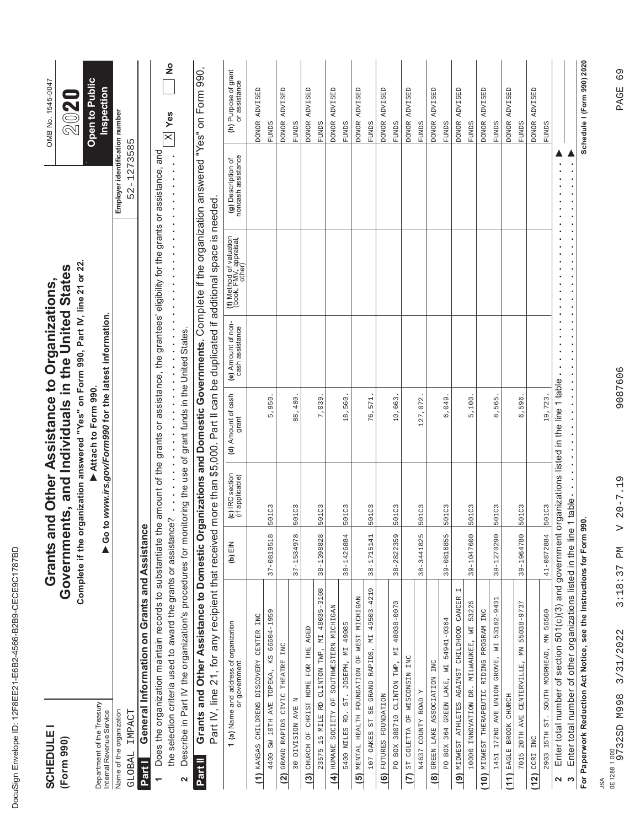| ı<br>۱           |
|------------------|
| ĺ<br>١<br>ı      |
| ¢                |
| Ç<br>ı           |
| ١<br>l           |
| Ó                |
| ĺ<br>O           |
| I<br>¢           |
| ı<br>ı<br>١      |
| Í<br>I           |
| d<br>I<br>l      |
| Ì<br>١           |
| ı<br>I           |
| ı                |
| Ì<br>ı           |
| l<br>ı<br>I<br>l |
| Ì                |
| ı<br>١           |
| Í                |
|                  |
| ı<br>١           |
|                  |
| 1                |
| ١                |
| Ï<br>֠           |
|                  |
| ı                |

| <b>SCHEDULE</b><br>(Form 990)                          |                                                                                                                                                                                               | Grants a   |                                    | Complete if the organization answered "Yes" on Form 990, Part IV, line 21 or 22.<br>Governments, and Individuals in the United States<br>nd Other Assistance to Organizations, |                                                                         |                                                                             |                                              | OMB No. 1545-0047<br>2020             |
|--------------------------------------------------------|-----------------------------------------------------------------------------------------------------------------------------------------------------------------------------------------------|------------|------------------------------------|--------------------------------------------------------------------------------------------------------------------------------------------------------------------------------|-------------------------------------------------------------------------|-----------------------------------------------------------------------------|----------------------------------------------|---------------------------------------|
| Department of the Treasury<br>Internal Revenue Service |                                                                                                                                                                                               | 60         |                                    | to www.irs.gov/Form990 for the latest information.<br>Attach to Form 990.                                                                                                      |                                                                         |                                                                             |                                              | <b>Open to Public</b><br>Inspection   |
| Name of the organization<br>GLOBAL IMPACT              |                                                                                                                                                                                               |            |                                    |                                                                                                                                                                                |                                                                         |                                                                             | Employer identification number<br>52-1273585 |                                       |
| <b>Part I</b>                                          | General Information on Grants and Assistanc                                                                                                                                                   | بهِ        |                                    |                                                                                                                                                                                |                                                                         |                                                                             |                                              |                                       |
|                                                        | Does the organization maintain records to substantiate the amount of the grants or assistance, the grantees' eligibility for the grants or assistance, and                                    |            |                                    |                                                                                                                                                                                |                                                                         |                                                                             |                                              |                                       |
|                                                        | the selection criteria used to award the grants or assistance?                                                                                                                                |            |                                    | $\begin{array}{c} \bullet \\ \bullet \\ \bullet \\ \bullet \end{array}$<br>.                                                                                                   | $\begin{array}{c} \bullet \\ \bullet \\ \bullet \\ \bullet \end{array}$ | $\frac{1}{2}$                                                               |                                              | $\frac{1}{2}$<br>$\mathbb{X}$ Yes     |
| 2                                                      | Describe in Part IV the organization's procedures for monitoring the use of grant funds in the United States.                                                                                 |            |                                    |                                                                                                                                                                                |                                                                         |                                                                             |                                              |                                       |
| Part II                                                | Grants and Other Assistance to Domestic Organizations and Domestic Governments. Complete if the organization answered "Yes" on Form 990,<br>Part IV, line 21, for any recipient that received |            |                                    |                                                                                                                                                                                |                                                                         | more than \$5,000. Part II can be duplicated if additional space is needed. |                                              |                                       |
|                                                        | <b>1 (a)</b> Name and address of organization<br>or government                                                                                                                                | $(h)$ EIN  | (c) IRC section<br>(if applicable) | (d) Amount of cash<br>grant                                                                                                                                                    | (e) Amount of non-<br>cash assistance                                   | (f) Method of valuation<br>(book, FMV, appraisal,<br>other)                 | (g) Description of<br>noncash assistance     | (h) Purpose of grant<br>or assistance |
| (1) KANSAS CHILDRENS DISCOVERY CENTER INC              | 4400 SW 10TH AVE TOPEKA, KS 66604-1959                                                                                                                                                        | 37-0819518 | 501C3                              | 0.56<br>5,                                                                                                                                                                     |                                                                         |                                                                             |                                              | DONOR ADVISED<br><b>FUNDS</b>         |
| GRAND RAPIDS CIVIC THEATRE INC<br>(2)                  |                                                                                                                                                                                               |            |                                    |                                                                                                                                                                                |                                                                         |                                                                             |                                              | <b>ADVISED</b><br><b>DONOR</b>        |
| 30 DIVISION AVE N                                      |                                                                                                                                                                                               | 37-1534978 | 501C3                              | 88,480.                                                                                                                                                                        |                                                                         |                                                                             |                                              | <b>FUNDS</b>                          |
| CHURCH OF CHRIST HOME FOR THE AGED<br>$\binom{3}{2}$   |                                                                                                                                                                                               |            |                                    |                                                                                                                                                                                |                                                                         |                                                                             |                                              | DONOR ADVISED                         |
|                                                        | 23575 15 MILE RD CLINTON TWP, MI 48035-3108                                                                                                                                                   | 38-1398828 | 501C3                              | 7,039                                                                                                                                                                          |                                                                         |                                                                             |                                              | <b>FUNDS</b>                          |
|                                                        | (4) HUMANE SOCIETY OF SOUTHWESTERN MICHIGAN                                                                                                                                                   |            |                                    |                                                                                                                                                                                |                                                                         |                                                                             |                                              | DONOR ADVISED                         |
| 5400 NILES RD.                                         | ST. JOSEPH, MI 49085                                                                                                                                                                          | 38-1426884 | 501C3                              | 18,560                                                                                                                                                                         |                                                                         |                                                                             |                                              | <b>FUNDS</b>                          |
|                                                        | (5) MENTAL HEALTH FOUNDATION OF WEST MICHIGAN                                                                                                                                                 |            |                                    |                                                                                                                                                                                |                                                                         |                                                                             |                                              | <b>ADVISED</b><br><b>DONOR</b>        |
|                                                        | 107 OAKES ST SE GRAND RAPIDS, MI 49503-4219                                                                                                                                                   | 38-1715141 | 501C3                              | 76,571                                                                                                                                                                         |                                                                         |                                                                             |                                              | <b>FUNDS</b>                          |
| FUTURES FOUNDATION<br>$\ddot{\mathbf{e}}$              |                                                                                                                                                                                               |            |                                    |                                                                                                                                                                                |                                                                         |                                                                             |                                              | DONOR ADVISED                         |
| PO BOX 380710 CLINTON TWP, MI                          | 48038-0070                                                                                                                                                                                    | 38-2822359 | 501C3                              | 10,663                                                                                                                                                                         |                                                                         |                                                                             |                                              | <b>FUNDS</b>                          |
| (7) ST COLETTA OF WISCONSIN INC                        |                                                                                                                                                                                               |            |                                    |                                                                                                                                                                                |                                                                         |                                                                             |                                              | DONOR ADVISED                         |
| <b>N4637 COUNTY ROAD Y</b>                             |                                                                                                                                                                                               | 38-3441825 | 501C3                              | 127,072                                                                                                                                                                        |                                                                         |                                                                             |                                              | <b>FUNDS</b>                          |
| (8) GREEN LAKE ASSOCIATION INC                         |                                                                                                                                                                                               |            |                                    |                                                                                                                                                                                |                                                                         |                                                                             |                                              | ADVISED<br><b>DONOR</b>               |
|                                                        | PO BOX 364 GREEN LAKE, WI 54941-0364                                                                                                                                                          | 39-0816855 | 501C3                              | 6,049                                                                                                                                                                          |                                                                         |                                                                             |                                              | <b>FUNDS</b>                          |
| $\left( \begin{matrix} 9 \end{matrix} \right)$         | $\overline{\phantom{a}}$<br>MIDWEST ATHLETES AGAINST CHILDHOOD CANCER                                                                                                                         |            |                                    |                                                                                                                                                                                |                                                                         |                                                                             |                                              | DONOR ADVISED                         |
| 10000 INNOVATION DR. MILWAUKEE, WI                     | 53226                                                                                                                                                                                         | 39-1047600 | 501C3                              | 5,100                                                                                                                                                                          |                                                                         |                                                                             |                                              | <b>FUNDS</b>                          |
| (10) MIDWEST THERAPEUTIC RIDING PROGRAM                | INC                                                                                                                                                                                           |            |                                    |                                                                                                                                                                                |                                                                         |                                                                             |                                              | DONOR ADVISED                         |
| 1451 172ND AVE UNION GROVE, WI                         | 53182-9431                                                                                                                                                                                    | 39-1270290 | 501C3                              | 565<br>$\ddot{\circ}$                                                                                                                                                          |                                                                         |                                                                             |                                              | <b>FUNDS</b>                          |
| EAGLE BROOK CHURCH<br>(11)                             |                                                                                                                                                                                               |            |                                    |                                                                                                                                                                                |                                                                         |                                                                             |                                              | <b>ADVISED</b><br><b>DONOR</b>        |
| 7015 20TH AVE CENTERVILLE, MN                          | 55038-9737                                                                                                                                                                                    | 39-1964780 | 501C3                              | 6,596.                                                                                                                                                                         |                                                                         |                                                                             |                                              | <b>FUNDS</b>                          |
| INC<br>CCRI<br>(12)                                    |                                                                                                                                                                                               |            |                                    |                                                                                                                                                                                |                                                                         |                                                                             |                                              | ADVISED<br><b>DONOR</b>               |
|                                                        | 2903 15TH ST. SOUTH MOORHEAD, MN 56560                                                                                                                                                        | 41-0872884 | 501C3                              | 19,723.                                                                                                                                                                        |                                                                         |                                                                             |                                              | <b>FUNDS</b>                          |
| 2                                                      | Enter total number of section 501(c)(3) and government                                                                                                                                        |            |                                    | organizations listed in the line 1 table                                                                                                                                       | ×                                                                       |                                                                             |                                              |                                       |
| $\boldsymbol{\omega}$                                  | Enter total number of other organizations listed in the line 1 table                                                                                                                          |            |                                    |                                                                                                                                                                                |                                                                         |                                                                             |                                              |                                       |
|                                                        | For Paperwork Reduction Act Notice, see the Instructions for Form 990.                                                                                                                        |            |                                    |                                                                                                                                                                                |                                                                         |                                                                             |                                              | Schedule I (Form 990) 2020            |

9087606

9732SD M998 3/31/2022 3:18:37 PM V 20-7.19 9087606 PAGE 69  $V 20 - 7.19$ 3:18:37 PM JSA<br>0E1288 1.000<br>9732SD M998 3/31/2022 0E1288 1.000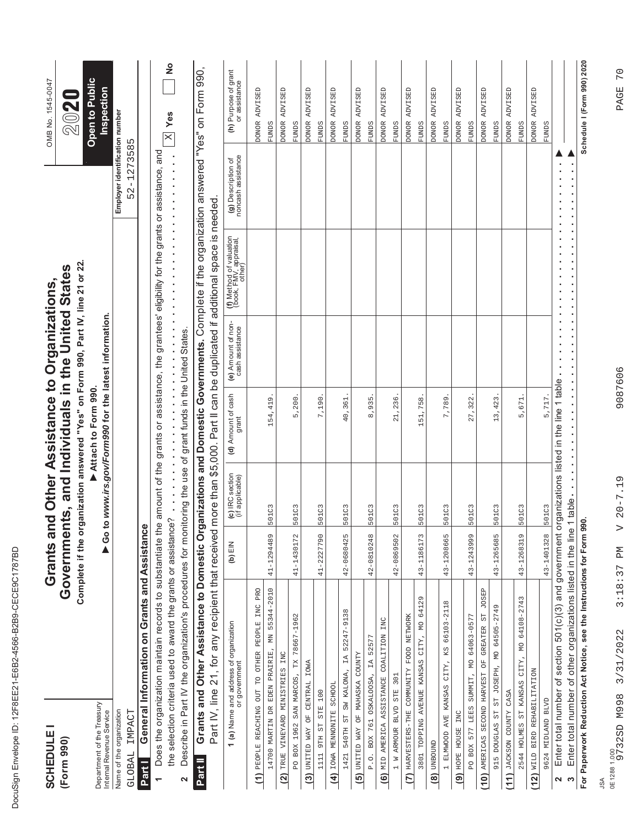| ı<br>۱                                                                                                                         |
|--------------------------------------------------------------------------------------------------------------------------------|
| ĺ<br>١<br>ı                                                                                                                    |
| ¢                                                                                                                              |
| Ç<br>ı                                                                                                                         |
| ١<br>l                                                                                                                         |
| Ó                                                                                                                              |
| ĺ<br>O                                                                                                                         |
| í<br>¢                                                                                                                         |
| ı<br>ı<br>١                                                                                                                    |
| Í<br><b>STATE OF STATE OF STATE OF STATE OF STATE OF STATE OF STATE OF STATE OF STATE OF STATE OF STATE OF STATE OF S</b><br>I |
| d<br>I<br>l                                                                                                                    |
| Ì<br>١                                                                                                                         |
| ı<br>I                                                                                                                         |
| ı                                                                                                                              |
| Ì<br>ı                                                                                                                         |
| l<br>ı<br>I<br>l                                                                                                               |
| Ì                                                                                                                              |
| ı<br>١                                                                                                                         |
| Í                                                                                                                              |
|                                                                                                                                |
| ı<br>١                                                                                                                         |
|                                                                                                                                |
| 1                                                                                                                              |
| ١                                                                                                                              |
| Ï<br>֠                                                                                                                         |
|                                                                                                                                |
| ı                                                                                                                              |

| <b>SCHEDULE</b><br>(Form 990)                                                                                  |                                                                                                                                                                                               | Grants an  |                                    | Complete if the organization answered "Yes" on Form 990, Part IV, line 21 or 22.<br>Governments, and Individuals in the United States<br>d Other Assistance to Organizations, |                                       |                                                                              |                                                  | OMB No. 1545-0047<br>2020                       |
|----------------------------------------------------------------------------------------------------------------|-----------------------------------------------------------------------------------------------------------------------------------------------------------------------------------------------|------------|------------------------------------|-------------------------------------------------------------------------------------------------------------------------------------------------------------------------------|---------------------------------------|------------------------------------------------------------------------------|--------------------------------------------------|-------------------------------------------------|
| Department of the Treasury<br>Internal Revenue Service                                                         |                                                                                                                                                                                               |            |                                    | Go to www.irs.gov/Form990 for the latest information.<br>Attach to Form 990.                                                                                                  |                                       |                                                                              |                                                  | Open to Public<br>Inspection                    |
| Name of the organization<br>IMPACT<br>GLOBAL                                                                   |                                                                                                                                                                                               |            |                                    |                                                                                                                                                                               |                                       |                                                                              | Employer identification number<br>1273585<br>52- |                                                 |
| Part I                                                                                                         | General Information on Grants and Assistance                                                                                                                                                  |            |                                    |                                                                                                                                                                               |                                       |                                                                              |                                                  |                                                 |
|                                                                                                                | Does the organization maintain records to substantiate the amount of the grants or assistance, the grantees' eligibility for the grants or assistance, and                                    |            |                                    |                                                                                                                                                                               |                                       |                                                                              |                                                  | $\frac{1}{2}$<br>Yes<br>$\overline{\mathsf{x}}$ |
| 2                                                                                                              | the selection criteria used to award the grants or assistance?<br>Describe in Part IV the organization's procedures for monitoring the use of grant funds in the United States.               |            |                                    |                                                                                                                                                                               |                                       | $\begin{array}{c} \bullet \\ \bullet \\ \bullet \\ \bullet \end{array}$<br>. |                                                  |                                                 |
| Part II                                                                                                        | Grants and Other Assistance to Domestic Organizations and Domestic Governments. Complete if the organization answered "Yes" on Form 990,<br>Part IV, line 21, for any recipient that received |            |                                    |                                                                                                                                                                               |                                       | more than \$5,000. Part II can be duplicated if additional space is needed   |                                                  |                                                 |
|                                                                                                                | <b>1 (a)</b> Name and address of organization<br>or government                                                                                                                                | $(h)$ EIN  | (c) IRC section<br>(if applicable) | (d) Amount of cash<br>grant                                                                                                                                                   | (e) Amount of non-<br>cash assistance | (f) Method of valuation<br>(book, FMV, appraisal,<br>other)                  | (g) Description of<br>noncash assistance         | (h) Purpose of grant<br>or assistance           |
|                                                                                                                | 14700 MARTIN DR EDEN PRAIRIE, MN 55344-2010<br>(1) PEOPLE REACHING OUT TO OTHER PEOPLE INC PRO                                                                                                | 41-1294489 | 501C3                              | 154,419                                                                                                                                                                       |                                       |                                                                              |                                                  | ADVISED<br><b>DONOR</b><br><b>FUNDS</b>         |
| (2) TRUE VINEYARD MINISTRIES INC                                                                               |                                                                                                                                                                                               |            |                                    |                                                                                                                                                                               |                                       |                                                                              |                                                  | <b>ADVISED</b><br><b>DONOR</b>                  |
| PO BOX 1962 SAN MARCOS, TX                                                                                     | 78667-1962                                                                                                                                                                                    | 41-1430172 | 501C3                              | 5,200                                                                                                                                                                         |                                       |                                                                              |                                                  | <b>FUNDS</b>                                    |
| (3) UNITED WAY OF CENTRAL IOWA                                                                                 |                                                                                                                                                                                               |            |                                    |                                                                                                                                                                               |                                       |                                                                              |                                                  | DONOR ADVISED                                   |
| OOL STE TE HTO<br>1111                                                                                         |                                                                                                                                                                                               | 41-2227790 | 501C3                              | ,190<br>$\overline{ }$                                                                                                                                                        |                                       |                                                                              |                                                  | <b>FUNDS</b>                                    |
| (4) IOWA MENNONITE SCHOOL                                                                                      |                                                                                                                                                                                               |            |                                    |                                                                                                                                                                               |                                       |                                                                              |                                                  | ADVISED<br><b>DONOR</b>                         |
| 540TH ST SW KALONA,<br>1421                                                                                    | IA 52247-9138                                                                                                                                                                                 | 42-0680425 | 501C3                              | 40,361                                                                                                                                                                        |                                       |                                                                              |                                                  | <b>FUNDS</b>                                    |
| (5) UNITED WAY OF MAHASKA COUNTY<br>761 OSKALOOSA,<br>BOX<br>$\stackrel{\textstyle\circ}{\textstyle\bullet}$ . | 52577<br>$\mathbb{I} \mathbb{A}$                                                                                                                                                              | 42-0810248 | 501C3                              | 8,935                                                                                                                                                                         |                                       |                                                                              |                                                  | ADVISED<br><b>DONOR</b><br><b>FUNDS</b>         |
| (6) MID AMERICA ASSISTANCE COALITION                                                                           | INC                                                                                                                                                                                           |            |                                    |                                                                                                                                                                               |                                       |                                                                              |                                                  | ADVISED<br><b>DONOR</b>                         |
| 1 W ARMOUR BLVD STE 301                                                                                        |                                                                                                                                                                                               | 42-0869502 | 501C3                              | 21,236                                                                                                                                                                        |                                       |                                                                              |                                                  | <b>FUNDS</b>                                    |
| $\overline{C}$                                                                                                 | HARVESTERS-THE COMMUNITY FOOD NETWORK                                                                                                                                                         |            |                                    |                                                                                                                                                                               |                                       |                                                                              |                                                  | ADVISED<br><b>DONOR</b>                         |
| 3801                                                                                                           | TOPPING AVENUE KANSAS CITY, MO 64129                                                                                                                                                          | 43-1186173 | 501C3                              | 51,758                                                                                                                                                                        |                                       |                                                                              |                                                  | <b>FUNDS</b>                                    |
| (8) UNBOUND                                                                                                    |                                                                                                                                                                                               |            |                                    |                                                                                                                                                                               |                                       |                                                                              |                                                  | ADVISED<br><b>DONOR</b>                         |
|                                                                                                                | ELMWOOD AVE KANSAS CITY, KS 66103-2118                                                                                                                                                        | 43-1208665 | 501C3                              | 7,789                                                                                                                                                                         |                                       |                                                                              |                                                  | <b>FUNDS</b>                                    |
| $(9)$ HOPE HOUSE INC                                                                                           |                                                                                                                                                                                               |            |                                    |                                                                                                                                                                               |                                       |                                                                              |                                                  | ADVISED<br><b>DONOR</b>                         |
|                                                                                                                | PO BOX 577 LEES SUMMIT, MO 64063-0577                                                                                                                                                         | 43-1243999 | 501C3                              | 27,322                                                                                                                                                                        |                                       |                                                                              |                                                  | <b>FUNDS</b>                                    |
| AMERICAS SECOND HARVEST OF<br>(10)                                                                             | <b>JOSEP</b><br>GREATER ST                                                                                                                                                                    |            |                                    |                                                                                                                                                                               |                                       |                                                                              |                                                  | ADVISED<br><b>DONOR</b>                         |
| 915 DOUGLAS ST                                                                                                 | ST JOSEPH, MO 64505-2749                                                                                                                                                                      | 43-1265685 | 501C3                              | 423<br>$\tilde{\mathcal{E}}$                                                                                                                                                  |                                       |                                                                              |                                                  | <b>FUNDS</b>                                    |
| JACKSON COUNTY CASA<br>(11)                                                                                    |                                                                                                                                                                                               |            |                                    |                                                                                                                                                                               |                                       |                                                                              |                                                  | ADVISED<br><b>DONOR</b>                         |
| 2544 HOLMES                                                                                                    | ST KANSAS CITY, MO 64108-2743                                                                                                                                                                 | 43-1268319 | 501C3                              | 5,671                                                                                                                                                                         |                                       |                                                                              |                                                  | <b>FUNDS</b>                                    |
| WILD BIRD REHABILITATION<br>(12)                                                                               |                                                                                                                                                                                               |            |                                    |                                                                                                                                                                               |                                       |                                                                              |                                                  | ADVISED<br><b>DONOR</b>                         |
| 9624 MIDLAND BLVD                                                                                              |                                                                                                                                                                                               | 43-1401328 | 501C3                              | 5,717.                                                                                                                                                                        |                                       |                                                                              |                                                  | <b>FUNDS</b>                                    |
| S<br>2                                                                                                         | Enter total number of section 501(c)(3) and government organizations listed in the line 1 table<br>Enter total number of other organizations listed in the line                               |            | 1 table                            |                                                                                                                                                                               | ×                                     |                                                                              |                                                  |                                                 |
|                                                                                                                | For Paperwork Reduction Act Notice, see the Instructions for Form 990.                                                                                                                        |            |                                    |                                                                                                                                                                               |                                       |                                                                              |                                                  | Schedule I (Form 990) 2020                      |
|                                                                                                                |                                                                                                                                                                                               |            |                                    |                                                                                                                                                                               |                                       |                                                                              |                                                  |                                                 |

9087606

9732SD M998 3/31/2022 3:18:37 PM V 20-7.19 9087606 PAGE 70  $V 20 - 7.19$ 3:18:37 PM JSA<br>0E12881.000<br>9732SD M998 3/31/2022

0E1288 1.000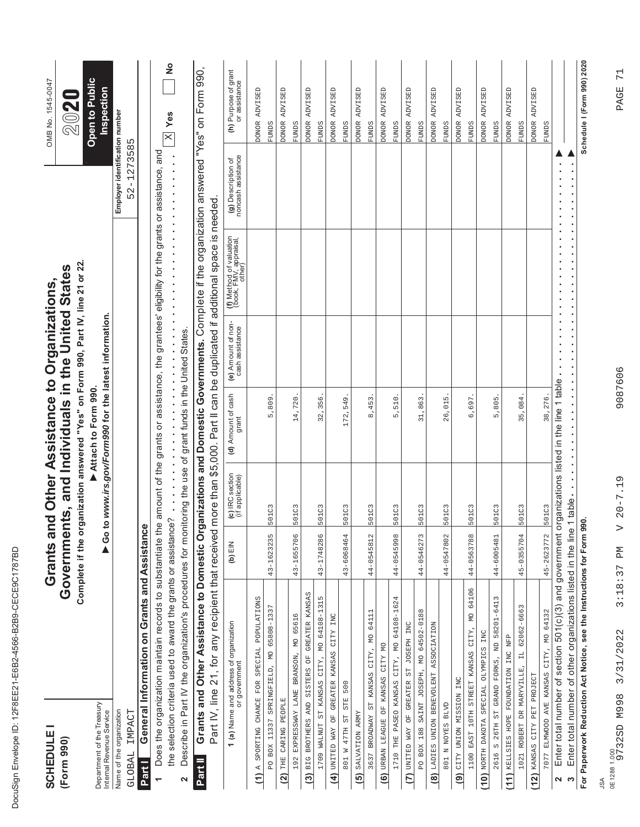| Ĺ<br>J                                                                                                              |
|---------------------------------------------------------------------------------------------------------------------|
| ĺ<br>١<br>ı                                                                                                         |
| d<br>ı                                                                                                              |
| O<br>۱                                                                                                              |
| ١                                                                                                                   |
| l<br>¢<br>l                                                                                                         |
| I<br>¢                                                                                                              |
| I<br>١                                                                                                              |
| Í<br>ı<br>١                                                                                                         |
| ı                                                                                                                   |
| Ì<br>d                                                                                                              |
| I<br>l                                                                                                              |
| Ì<br>I                                                                                                              |
| ı<br>¢                                                                                                              |
| ĺ<br>ı                                                                                                              |
| l<br>I<br>l<br>J<br>l                                                                                               |
| I                                                                                                                   |
| Ì                                                                                                                   |
| ı<br>Ó                                                                                                              |
| ı<br>Ì                                                                                                              |
|                                                                                                                     |
| ı<br>١                                                                                                              |
|                                                                                                                     |
| ĺ<br>and the state of the state of the state of the state of the state of the state of the state of the state of th |
|                                                                                                                     |
| ١<br>Ó<br>֠                                                                                                         |
|                                                                                                                     |
| ı                                                                                                                   |

| <b>SCHEDULE</b><br>(Form 990)                          |                                                                                                                                                                                               | Complete if the or |                                    | ganization answered "Yes" on Form 990, Part IV, line 21 or 22.<br>Governments, and Individuals in the United States<br>Grants and Other Assistance to Organizations, |                                                                         |                                                                            |                                                          | OMB No. 1545-0047<br>2020                       |
|--------------------------------------------------------|-----------------------------------------------------------------------------------------------------------------------------------------------------------------------------------------------|--------------------|------------------------------------|----------------------------------------------------------------------------------------------------------------------------------------------------------------------|-------------------------------------------------------------------------|----------------------------------------------------------------------------|----------------------------------------------------------|-------------------------------------------------|
| Department of the Treasury<br>Internal Revenue Service |                                                                                                                                                                                               | ● Go               |                                    | o www.irs.gov/Form990 for the latest information.<br>Attach to Form 990.                                                                                             |                                                                         |                                                                            |                                                          | Open to Public<br>Inspection                    |
| Name of the organization                               |                                                                                                                                                                                               |                    |                                    |                                                                                                                                                                      |                                                                         |                                                                            | Employer identification number                           |                                                 |
| IMPACT<br>GLOBAL                                       |                                                                                                                                                                                               |                    |                                    |                                                                                                                                                                      |                                                                         |                                                                            | 58<br>$-1273$<br>$\frac{1}{5}$ 2                         | S                                               |
| Part I                                                 | General Information on Grants and Assistance                                                                                                                                                  |                    |                                    |                                                                                                                                                                      |                                                                         |                                                                            |                                                          |                                                 |
| $\overline{ }$                                         | Does the organization maintain records to substantiate the amount of the grants or assistance, the grantees' eligibility for the grants or assistance, and                                    |                    |                                    |                                                                                                                                                                      |                                                                         |                                                                            |                                                          |                                                 |
| 2                                                      | Describe in Part IV the organization's procedures for monitoring the use of grant funds in the United States.<br>the selection criteria used to award the grants or assistance?               |                    |                                    |                                                                                                                                                                      | $\begin{array}{c} \bullet \\ \bullet \\ \bullet \\ \bullet \end{array}$ | $\blacksquare$<br>$\frac{1}{2}$                                            | $\ddot{\cdot}$<br>$\blacksquare$<br>ä,<br>$\blacksquare$ | $\frac{1}{2}$<br>Yes<br>$\overline{\mathsf{x}}$ |
|                                                        |                                                                                                                                                                                               |                    |                                    |                                                                                                                                                                      |                                                                         |                                                                            |                                                          |                                                 |
| Part II                                                | Grants and Other Assistance to Domestic Organizations and Domestic Governments. Complete if the organization answered "Yes" on Form 990,<br>Part IV, line 21, for any recipient that received |                    |                                    |                                                                                                                                                                      |                                                                         | more than \$5,000. Part II can be duplicated if additional space is needed |                                                          |                                                 |
|                                                        | <b>1 (a)</b> Name and address of organization<br>or government                                                                                                                                | (b) $EIN$          | (c) IRC section<br>(if applicable) | (d) Amount of cash<br>grant                                                                                                                                          | (e) Amount of non-<br>cash assistance                                   | (f) Method of valuation<br>(book, FMV, appraisal,<br>other)                | (g) Description of<br>noncash assistance                 | (h) Purpose of grant<br>or assistance           |
|                                                        | (1) A SPORTING CHANCE FOR SPECIAL POPULATIONS                                                                                                                                                 |                    |                                    |                                                                                                                                                                      |                                                                         |                                                                            |                                                          | ADVISED<br><b>DONOR</b>                         |
|                                                        | PO BOX 11337 SPRINGFIELD, MO 65808-1337                                                                                                                                                       | 43-1623235         | 501C3                              | 5,809                                                                                                                                                                |                                                                         |                                                                            |                                                          | <b>FUNDS</b>                                    |
| THE CARING PEOPLE<br>$\Omega$                          |                                                                                                                                                                                               |                    |                                    |                                                                                                                                                                      |                                                                         |                                                                            |                                                          | ADVISED<br><b>DONOR</b>                         |
|                                                        | 192 EXPRESSWAY LANE BRANSON, MO 65616                                                                                                                                                         | 43-1655706         | 501C3                              | 14,720                                                                                                                                                               |                                                                         |                                                                            |                                                          | <b>FUNDS</b>                                    |
| $\overline{c}$                                         | BIG BROTHERS AND SISTERS OF GREATER KANSAS                                                                                                                                                    |                    |                                    |                                                                                                                                                                      |                                                                         |                                                                            |                                                          | ADVISED<br><b>DONOR</b>                         |
|                                                        | 1709 WALNUT ST KANSAS CITY, MO 64108-1315                                                                                                                                                     | 43-1748286         | 501C3                              | 32,356                                                                                                                                                               |                                                                         |                                                                            |                                                          | <b>FUNDS</b>                                    |
| UNITED WAY OF GREATER<br>$\widehat{f}$                 | INC<br>KANSAS CITY                                                                                                                                                                            |                    |                                    |                                                                                                                                                                      |                                                                         |                                                                            |                                                          | ADVISED<br><b>DONOR</b>                         |
| 801 W 47TH ST STE 500                                  |                                                                                                                                                                                               | 43-6068464         | 501C3                              | 172,549                                                                                                                                                              |                                                                         |                                                                            |                                                          | <b>FUNDS</b>                                    |
| SALVATION ARMY<br>$\overline{5}$                       |                                                                                                                                                                                               |                    |                                    |                                                                                                                                                                      |                                                                         |                                                                            |                                                          | ADVISED<br><b>DONOR</b>                         |
|                                                        | 3637 BROADWAY ST KANSAS CITY, MO 64111                                                                                                                                                        | 44-0545812         | 501C3                              | 453<br>$\ddot{\circ}$                                                                                                                                                |                                                                         |                                                                            |                                                          | <b>FUNDS</b>                                    |
| (6) URBAN LEAGUE OF KANSAS CITY MO                     |                                                                                                                                                                                               |                    |                                    |                                                                                                                                                                      |                                                                         |                                                                            |                                                          | ADVISED<br><b>DONOR</b>                         |
|                                                        | 1710 THE PASEO KANSAS CITY, MO 64108-1624                                                                                                                                                     | 44-0545998         | 501C3                              | 5,510                                                                                                                                                                |                                                                         |                                                                            |                                                          | <b>FUNDS</b>                                    |
| $\tilde{c}$                                            | UNITED WAY OF GREATER ST JOSEPH INC                                                                                                                                                           |                    |                                    |                                                                                                                                                                      |                                                                         |                                                                            |                                                          | ADVISED<br><b>DONOR</b>                         |
|                                                        | PO BOX 188 SAINT JOSEPH, MO 64502-0188                                                                                                                                                        | 44-0546273         | 501C3                              | 31,863                                                                                                                                                               |                                                                         |                                                                            |                                                          | <b>FUNDS</b>                                    |
| LADIES UNION BENEVOLENT<br>$\widehat{\mathbf{e}}$      | ASSOCIATION                                                                                                                                                                                   |                    |                                    |                                                                                                                                                                      |                                                                         |                                                                            |                                                          | ADVISED<br><b>DONOR</b>                         |
| <b>GOIN NOYES BLVD</b>                                 |                                                                                                                                                                                               | 44-0547802         | 501C3                              | 26,015                                                                                                                                                               |                                                                         |                                                                            |                                                          | <b>FUNDS</b>                                    |
| OUT MOISSIM MOIND YTIS<br>$\widehat{\mathbf{e}}$       |                                                                                                                                                                                               |                    |                                    |                                                                                                                                                                      |                                                                         |                                                                            |                                                          | <b>ADVISED</b><br><b>DONOR</b>                  |
|                                                        | 1100 EAST 10TH STREET KANSAS CITY, MO 64106                                                                                                                                                   | 44-0563788         | 501C3                              | 6,697                                                                                                                                                                |                                                                         |                                                                            |                                                          | <b>FUNDS</b>                                    |
| (10) NORTH DAKOTA SPECIAL OLYMPICS INC                 |                                                                                                                                                                                               |                    |                                    |                                                                                                                                                                      |                                                                         |                                                                            |                                                          | ADVISED<br><b>DONOR</b>                         |
| 2616                                                   | S 26TH ST GRAND FORKS, ND 58201-6413                                                                                                                                                          | 44-6005481         | 501C3                              | 805<br>$\overline{5}$                                                                                                                                                |                                                                         |                                                                            |                                                          | <b>FUNDS</b>                                    |
| (11) KELLSIES HOPE FOUNDATION INC NFP                  |                                                                                                                                                                                               |                    |                                    |                                                                                                                                                                      |                                                                         |                                                                            |                                                          | ADVISED<br><b>DONOR</b>                         |
|                                                        | 1021 ROBERT DR MARYVILLE, IL 62062-6663                                                                                                                                                       | 45-0355704         | 501C3                              | 35,084                                                                                                                                                               |                                                                         |                                                                            |                                                          | <b>FUNDS</b>                                    |
| KANSAS CITY PET PROJECT<br>(12)                        |                                                                                                                                                                                               |                    |                                    |                                                                                                                                                                      |                                                                         |                                                                            |                                                          | ADVISED<br><b>DONOR</b>                         |
|                                                        | 7077 ELMWOOD AVE KANSAS CITY, MO 64132                                                                                                                                                        | 45-2623772         | 501C3                              | 38,276                                                                                                                                                               |                                                                         |                                                                            |                                                          | <b>FUNDS</b>                                    |
| $\infty$<br>$\mathbf{\Omega}$                          | Enter total number of section 501(c)(3) and government organizations listed in the line 1 table<br>Enter total number of other organizations listed in the line                               |                    | 1 table                            |                                                                                                                                                                      | ×<br>$\blacksquare$                                                     | ×                                                                          |                                                          |                                                 |
|                                                        | For Paperwork Reduction Act Notice, see the Instructions for Form 990.                                                                                                                        |                    |                                    |                                                                                                                                                                      |                                                                         |                                                                            |                                                          | Schedule I (Form 990) 2020                      |
| <b>ASL</b>                                             |                                                                                                                                                                                               |                    |                                    |                                                                                                                                                                      |                                                                         |                                                                            |                                                          |                                                 |

9087606

9732SD M998 3/31/2022 3:18:37 PM V 20-7.19 9087606 PAGE 71  $V 20 - 7.19$ 3:18:37 PM JSA<br>0E12881.000<br>9732SD M998 3/31/2022

0E1288 1.000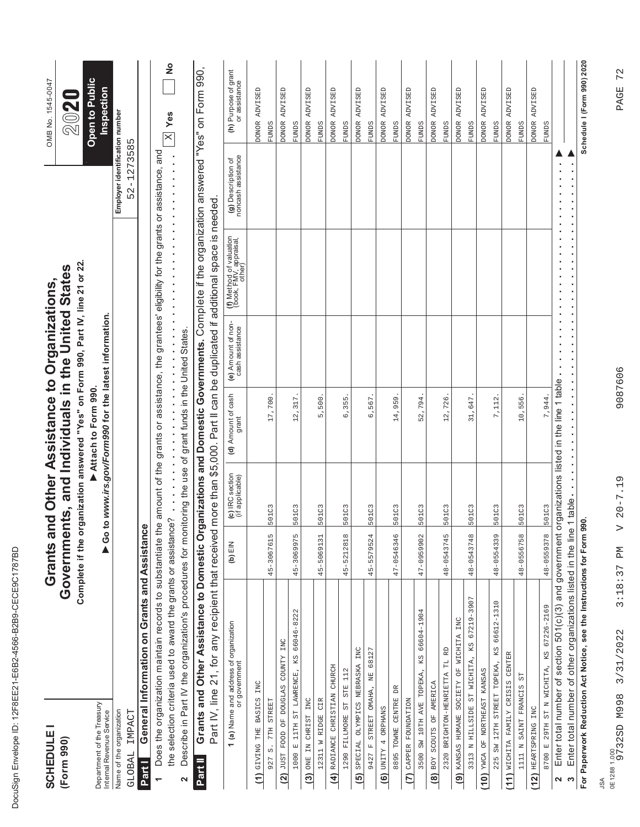| Ĺ<br>J                                                                                                              |
|---------------------------------------------------------------------------------------------------------------------|
| ĺ<br>١<br>ı                                                                                                         |
| d<br>ı                                                                                                              |
| O<br>۱                                                                                                              |
| ١                                                                                                                   |
| l<br>¢<br>l                                                                                                         |
| I<br>¢                                                                                                              |
| I<br>١                                                                                                              |
| Í<br>ı<br>١                                                                                                         |
| ı                                                                                                                   |
| Ì<br>d                                                                                                              |
| I<br>l                                                                                                              |
| Ì<br>I                                                                                                              |
| ı<br>¢                                                                                                              |
| ĺ<br>ı                                                                                                              |
| l<br>I<br>l<br>J<br>l                                                                                               |
| I                                                                                                                   |
| Ì                                                                                                                   |
| ı<br>Ó                                                                                                              |
| ı<br>Ì                                                                                                              |
|                                                                                                                     |
| ı<br>١                                                                                                              |
|                                                                                                                     |
| ĺ<br>and the state of the state of the state of the state of the state of the state of the state of the state of th |
|                                                                                                                     |
| ١<br>Ó<br>֠                                                                                                         |
|                                                                                                                     |
| ı                                                                                                                   |

| Grants and Other Assistance to Domestic Organizations and Domestic Governments. Complete if the organization answered "Yes" on Form 990,<br>Inspection<br><b>ADVISED</b><br>ADVISED<br>ADVISED<br>ADVISED<br>ADVISED<br>ADVISED<br>ADVISED<br>ADVISED<br>ADVISED<br>ADVISED<br>ADVISED<br>ADVISED<br>Employer identification number<br>$\mathbb{X}$ Yes<br><b>DONOR</b><br><b>DONOR</b><br><b>DONOR</b><br><b>DONOR</b><br><b>DONOR</b><br><b>DONOR</b><br><b>DONOR</b><br><b>DONOR</b><br><b>DONOR</b><br><b>DONOR</b><br><b>DONOR</b><br><b>DONOR</b><br><b>FUNDS</b><br><b>FUNDS</b><br><b>FUNDS</b><br><b>FUNDS</b><br><b>FUNDS</b><br><b>FUNDS</b><br><b>FUNDS</b><br><b>FUNDS</b><br><b>FUNDS</b><br><b>FUNDS</b><br><b>FUNDS</b><br><b>FUNDS</b><br>1273585<br>Does the organization maintain records to substantiate the amount of the grants or assistance, the grantees' eligibility for the grants or assistance, and<br>$\frac{1}{2}$<br>(g) Description of<br>noncash assistance<br>$\begin{bmatrix} 1 \\ 1 \\ 2 \\ 3 \\ 4 \end{bmatrix}$<br>52-<br>more than \$5,000. Part II can be duplicated if additional space is needed<br>(f) Method of valuation<br>(book, FMV, appraisal,<br>other)<br>$\ddot{\phantom{0}}$<br>$\begin{array}{ccc}\n\bullet & \bullet & \bullet & \bullet \\ \bullet & \bullet & \bullet & \bullet\n\end{array}$<br>$\frac{1}{2}$<br>to www.irs.gov/Form990 for the latest information.<br>(e) Amount of non-<br>cash assistance<br>Describe in Part IV the organization's procedures for monitoring the use of grant funds in the United States.<br>Enter total number of section 501(c)(3) and government organizations listed in the line 1 table<br>Attach to Form 990.<br>(d) Amount of cash<br>grant<br>7,944.<br>10,556.<br>52,794<br>17,700<br>12,317<br>500<br>6,355<br>12,726<br>7,112<br>14,959<br>31,647<br>6,567<br>LŊ<br>(c) IRC section<br>(if applicable)<br>1 table<br>501C3<br>501C3<br>501C3<br>501C3<br>501C3<br>501C3<br>501C3<br>501C3<br>501C3<br>501C3<br>501C3<br>501C3<br>General Information on Grants and Assistance<br>Part IV, line 21, for any recipient that received<br>Enter total number of other organizations listed in the line<br>60<br>47-0959902<br>48-0559378<br>45-3067615<br>45-3069975<br>45-5212818<br>45-5579524<br>47-0546346<br>48-0543745<br>48-0543748<br>48-0554339<br>48-0556758<br>45-5069131<br>$(h)$ EIN<br>3313 N HILLSIDE ST WICHITA, KS 67219-3907<br>66612-1310<br>8700 E 29TH ST N WICHITA, KS 67226-2169<br>66046-8222<br>66604-1904<br>(9) KANSAS HUMANE SOCIETY OF WICHITA INC<br><b>1 (a)</b> Name and address of organization<br>or government<br>(2) JUST FOOD OF DOUGLAS COUNTY INC<br>2320 BRIGHTON-HENRIETTA TL RD<br>KS<br>INC<br>9427 F STREET OMAHA, NE 68127<br>WICHITA FAMILY CRISIS CENTER<br>KS<br>KS<br>225 SW 12TH STREET TOPEKA,<br>SPECIAL OLYMPICS NEBRASKA<br>(4) RADIANCE CHRISTIAN CHURCH<br>1000 E 11TH ST LAWRENCE,<br>3500 SW 10TH AVE TOPEKA,<br>112<br>$(10)$ YWCA OF NORTHEAST KANSAS<br>SAINT FRANCIS ST<br>(1) GIVING THE BASICS INC<br>BOY SCOUTS OF AMERICA<br>1290 FILLMORE ST STE<br>BR<br>8895 TOWNE CENTRE<br>(7) CAPPER FOUNDATION<br>S. 7TH STREET<br>$(3)$ ONE IN CHRIST INC<br>CIR<br>Department of the Treasury<br>(6) UNITY 4 ORPHANS<br>HEARTSPRING INC<br>Name of the organization<br>IMPACT<br>Internal Revenue Service<br>12311 W RIDGE<br>11111 N<br><b>GLOBAL</b><br>927<br>Part II<br><b>Part I</b><br>$\widehat{5}$<br>$\widehat{\mathbf{e}}$<br>(11)<br>(12)<br>$\boldsymbol{\varsigma}$<br>$\mathbf{\Omega}$<br>$\mathbf{\Omega}$<br>$\overline{\phantom{0}}$ | Complete if the or | Governmer | ganization answered "Yes" on Form 990, Part IV, line 21 or 22. | nts, and Individuals in the United States |  | 2020                                  |
|-------------------------------------------------------------------------------------------------------------------------------------------------------------------------------------------------------------------------------------------------------------------------------------------------------------------------------------------------------------------------------------------------------------------------------------------------------------------------------------------------------------------------------------------------------------------------------------------------------------------------------------------------------------------------------------------------------------------------------------------------------------------------------------------------------------------------------------------------------------------------------------------------------------------------------------------------------------------------------------------------------------------------------------------------------------------------------------------------------------------------------------------------------------------------------------------------------------------------------------------------------------------------------------------------------------------------------------------------------------------------------------------------------------------------------------------------------------------------------------------------------------------------------------------------------------------------------------------------------------------------------------------------------------------------------------------------------------------------------------------------------------------------------------------------------------------------------------------------------------------------------------------------------------------------------------------------------------------------------------------------------------------------------------------------------------------------------------------------------------------------------------------------------------------------------------------------------------------------------------------------------------------------------------------------------------------------------------------------------------------------------------------------------------------------------------------------------------------------------------------------------------------------------------------------------------------------------------------------------------------------------------------------------------------------------------------------------------------------------------------------------------------------------------------------------------------------------------------------------------------------------------------------------------------------------------------------------------------------------------------------------------------------------------------------------------------------------------------------------------------------------------------------------------------------------------------------------------------------------------------------------------------------------------------------------------------------------------------------------------------------------------------------------------------------------------------------------------------------------------------------------------------------------------------------------------------------------------------------------------------------|--------------------|-----------|----------------------------------------------------------------|-------------------------------------------|--|---------------------------------------|
|                                                                                                                                                                                                                                                                                                                                                                                                                                                                                                                                                                                                                                                                                                                                                                                                                                                                                                                                                                                                                                                                                                                                                                                                                                                                                                                                                                                                                                                                                                                                                                                                                                                                                                                                                                                                                                                                                                                                                                                                                                                                                                                                                                                                                                                                                                                                                                                                                                                                                                                                                                                                                                                                                                                                                                                                                                                                                                                                                                                                                                                                                                                                                                                                                                                                                                                                                                                                                                                                                                                                                                                                                         |                    |           |                                                                |                                           |  | Open to Public                        |
|                                                                                                                                                                                                                                                                                                                                                                                                                                                                                                                                                                                                                                                                                                                                                                                                                                                                                                                                                                                                                                                                                                                                                                                                                                                                                                                                                                                                                                                                                                                                                                                                                                                                                                                                                                                                                                                                                                                                                                                                                                                                                                                                                                                                                                                                                                                                                                                                                                                                                                                                                                                                                                                                                                                                                                                                                                                                                                                                                                                                                                                                                                                                                                                                                                                                                                                                                                                                                                                                                                                                                                                                                         |                    |           |                                                                |                                           |  |                                       |
|                                                                                                                                                                                                                                                                                                                                                                                                                                                                                                                                                                                                                                                                                                                                                                                                                                                                                                                                                                                                                                                                                                                                                                                                                                                                                                                                                                                                                                                                                                                                                                                                                                                                                                                                                                                                                                                                                                                                                                                                                                                                                                                                                                                                                                                                                                                                                                                                                                                                                                                                                                                                                                                                                                                                                                                                                                                                                                                                                                                                                                                                                                                                                                                                                                                                                                                                                                                                                                                                                                                                                                                                                         |                    |           |                                                                |                                           |  |                                       |
|                                                                                                                                                                                                                                                                                                                                                                                                                                                                                                                                                                                                                                                                                                                                                                                                                                                                                                                                                                                                                                                                                                                                                                                                                                                                                                                                                                                                                                                                                                                                                                                                                                                                                                                                                                                                                                                                                                                                                                                                                                                                                                                                                                                                                                                                                                                                                                                                                                                                                                                                                                                                                                                                                                                                                                                                                                                                                                                                                                                                                                                                                                                                                                                                                                                                                                                                                                                                                                                                                                                                                                                                                         |                    |           |                                                                |                                           |  |                                       |
|                                                                                                                                                                                                                                                                                                                                                                                                                                                                                                                                                                                                                                                                                                                                                                                                                                                                                                                                                                                                                                                                                                                                                                                                                                                                                                                                                                                                                                                                                                                                                                                                                                                                                                                                                                                                                                                                                                                                                                                                                                                                                                                                                                                                                                                                                                                                                                                                                                                                                                                                                                                                                                                                                                                                                                                                                                                                                                                                                                                                                                                                                                                                                                                                                                                                                                                                                                                                                                                                                                                                                                                                                         |                    |           |                                                                |                                           |  | $\frac{1}{2}$                         |
|                                                                                                                                                                                                                                                                                                                                                                                                                                                                                                                                                                                                                                                                                                                                                                                                                                                                                                                                                                                                                                                                                                                                                                                                                                                                                                                                                                                                                                                                                                                                                                                                                                                                                                                                                                                                                                                                                                                                                                                                                                                                                                                                                                                                                                                                                                                                                                                                                                                                                                                                                                                                                                                                                                                                                                                                                                                                                                                                                                                                                                                                                                                                                                                                                                                                                                                                                                                                                                                                                                                                                                                                                         |                    |           |                                                                |                                           |  |                                       |
|                                                                                                                                                                                                                                                                                                                                                                                                                                                                                                                                                                                                                                                                                                                                                                                                                                                                                                                                                                                                                                                                                                                                                                                                                                                                                                                                                                                                                                                                                                                                                                                                                                                                                                                                                                                                                                                                                                                                                                                                                                                                                                                                                                                                                                                                                                                                                                                                                                                                                                                                                                                                                                                                                                                                                                                                                                                                                                                                                                                                                                                                                                                                                                                                                                                                                                                                                                                                                                                                                                                                                                                                                         |                    |           |                                                                |                                           |  |                                       |
|                                                                                                                                                                                                                                                                                                                                                                                                                                                                                                                                                                                                                                                                                                                                                                                                                                                                                                                                                                                                                                                                                                                                                                                                                                                                                                                                                                                                                                                                                                                                                                                                                                                                                                                                                                                                                                                                                                                                                                                                                                                                                                                                                                                                                                                                                                                                                                                                                                                                                                                                                                                                                                                                                                                                                                                                                                                                                                                                                                                                                                                                                                                                                                                                                                                                                                                                                                                                                                                                                                                                                                                                                         |                    |           |                                                                |                                           |  | (h) Purpose of grant<br>or assistance |
|                                                                                                                                                                                                                                                                                                                                                                                                                                                                                                                                                                                                                                                                                                                                                                                                                                                                                                                                                                                                                                                                                                                                                                                                                                                                                                                                                                                                                                                                                                                                                                                                                                                                                                                                                                                                                                                                                                                                                                                                                                                                                                                                                                                                                                                                                                                                                                                                                                                                                                                                                                                                                                                                                                                                                                                                                                                                                                                                                                                                                                                                                                                                                                                                                                                                                                                                                                                                                                                                                                                                                                                                                         |                    |           |                                                                |                                           |  |                                       |
|                                                                                                                                                                                                                                                                                                                                                                                                                                                                                                                                                                                                                                                                                                                                                                                                                                                                                                                                                                                                                                                                                                                                                                                                                                                                                                                                                                                                                                                                                                                                                                                                                                                                                                                                                                                                                                                                                                                                                                                                                                                                                                                                                                                                                                                                                                                                                                                                                                                                                                                                                                                                                                                                                                                                                                                                                                                                                                                                                                                                                                                                                                                                                                                                                                                                                                                                                                                                                                                                                                                                                                                                                         |                    |           |                                                                |                                           |  |                                       |
|                                                                                                                                                                                                                                                                                                                                                                                                                                                                                                                                                                                                                                                                                                                                                                                                                                                                                                                                                                                                                                                                                                                                                                                                                                                                                                                                                                                                                                                                                                                                                                                                                                                                                                                                                                                                                                                                                                                                                                                                                                                                                                                                                                                                                                                                                                                                                                                                                                                                                                                                                                                                                                                                                                                                                                                                                                                                                                                                                                                                                                                                                                                                                                                                                                                                                                                                                                                                                                                                                                                                                                                                                         |                    |           |                                                                |                                           |  |                                       |
|                                                                                                                                                                                                                                                                                                                                                                                                                                                                                                                                                                                                                                                                                                                                                                                                                                                                                                                                                                                                                                                                                                                                                                                                                                                                                                                                                                                                                                                                                                                                                                                                                                                                                                                                                                                                                                                                                                                                                                                                                                                                                                                                                                                                                                                                                                                                                                                                                                                                                                                                                                                                                                                                                                                                                                                                                                                                                                                                                                                                                                                                                                                                                                                                                                                                                                                                                                                                                                                                                                                                                                                                                         |                    |           |                                                                |                                           |  |                                       |
|                                                                                                                                                                                                                                                                                                                                                                                                                                                                                                                                                                                                                                                                                                                                                                                                                                                                                                                                                                                                                                                                                                                                                                                                                                                                                                                                                                                                                                                                                                                                                                                                                                                                                                                                                                                                                                                                                                                                                                                                                                                                                                                                                                                                                                                                                                                                                                                                                                                                                                                                                                                                                                                                                                                                                                                                                                                                                                                                                                                                                                                                                                                                                                                                                                                                                                                                                                                                                                                                                                                                                                                                                         |                    |           |                                                                |                                           |  |                                       |
|                                                                                                                                                                                                                                                                                                                                                                                                                                                                                                                                                                                                                                                                                                                                                                                                                                                                                                                                                                                                                                                                                                                                                                                                                                                                                                                                                                                                                                                                                                                                                                                                                                                                                                                                                                                                                                                                                                                                                                                                                                                                                                                                                                                                                                                                                                                                                                                                                                                                                                                                                                                                                                                                                                                                                                                                                                                                                                                                                                                                                                                                                                                                                                                                                                                                                                                                                                                                                                                                                                                                                                                                                         |                    |           |                                                                |                                           |  |                                       |
|                                                                                                                                                                                                                                                                                                                                                                                                                                                                                                                                                                                                                                                                                                                                                                                                                                                                                                                                                                                                                                                                                                                                                                                                                                                                                                                                                                                                                                                                                                                                                                                                                                                                                                                                                                                                                                                                                                                                                                                                                                                                                                                                                                                                                                                                                                                                                                                                                                                                                                                                                                                                                                                                                                                                                                                                                                                                                                                                                                                                                                                                                                                                                                                                                                                                                                                                                                                                                                                                                                                                                                                                                         |                    |           |                                                                |                                           |  |                                       |
|                                                                                                                                                                                                                                                                                                                                                                                                                                                                                                                                                                                                                                                                                                                                                                                                                                                                                                                                                                                                                                                                                                                                                                                                                                                                                                                                                                                                                                                                                                                                                                                                                                                                                                                                                                                                                                                                                                                                                                                                                                                                                                                                                                                                                                                                                                                                                                                                                                                                                                                                                                                                                                                                                                                                                                                                                                                                                                                                                                                                                                                                                                                                                                                                                                                                                                                                                                                                                                                                                                                                                                                                                         |                    |           |                                                                |                                           |  |                                       |
|                                                                                                                                                                                                                                                                                                                                                                                                                                                                                                                                                                                                                                                                                                                                                                                                                                                                                                                                                                                                                                                                                                                                                                                                                                                                                                                                                                                                                                                                                                                                                                                                                                                                                                                                                                                                                                                                                                                                                                                                                                                                                                                                                                                                                                                                                                                                                                                                                                                                                                                                                                                                                                                                                                                                                                                                                                                                                                                                                                                                                                                                                                                                                                                                                                                                                                                                                                                                                                                                                                                                                                                                                         |                    |           |                                                                |                                           |  |                                       |
|                                                                                                                                                                                                                                                                                                                                                                                                                                                                                                                                                                                                                                                                                                                                                                                                                                                                                                                                                                                                                                                                                                                                                                                                                                                                                                                                                                                                                                                                                                                                                                                                                                                                                                                                                                                                                                                                                                                                                                                                                                                                                                                                                                                                                                                                                                                                                                                                                                                                                                                                                                                                                                                                                                                                                                                                                                                                                                                                                                                                                                                                                                                                                                                                                                                                                                                                                                                                                                                                                                                                                                                                                         |                    |           |                                                                |                                           |  |                                       |
|                                                                                                                                                                                                                                                                                                                                                                                                                                                                                                                                                                                                                                                                                                                                                                                                                                                                                                                                                                                                                                                                                                                                                                                                                                                                                                                                                                                                                                                                                                                                                                                                                                                                                                                                                                                                                                                                                                                                                                                                                                                                                                                                                                                                                                                                                                                                                                                                                                                                                                                                                                                                                                                                                                                                                                                                                                                                                                                                                                                                                                                                                                                                                                                                                                                                                                                                                                                                                                                                                                                                                                                                                         |                    |           |                                                                |                                           |  |                                       |
|                                                                                                                                                                                                                                                                                                                                                                                                                                                                                                                                                                                                                                                                                                                                                                                                                                                                                                                                                                                                                                                                                                                                                                                                                                                                                                                                                                                                                                                                                                                                                                                                                                                                                                                                                                                                                                                                                                                                                                                                                                                                                                                                                                                                                                                                                                                                                                                                                                                                                                                                                                                                                                                                                                                                                                                                                                                                                                                                                                                                                                                                                                                                                                                                                                                                                                                                                                                                                                                                                                                                                                                                                         |                    |           |                                                                |                                           |  |                                       |
|                                                                                                                                                                                                                                                                                                                                                                                                                                                                                                                                                                                                                                                                                                                                                                                                                                                                                                                                                                                                                                                                                                                                                                                                                                                                                                                                                                                                                                                                                                                                                                                                                                                                                                                                                                                                                                                                                                                                                                                                                                                                                                                                                                                                                                                                                                                                                                                                                                                                                                                                                                                                                                                                                                                                                                                                                                                                                                                                                                                                                                                                                                                                                                                                                                                                                                                                                                                                                                                                                                                                                                                                                         |                    |           |                                                                |                                           |  |                                       |
|                                                                                                                                                                                                                                                                                                                                                                                                                                                                                                                                                                                                                                                                                                                                                                                                                                                                                                                                                                                                                                                                                                                                                                                                                                                                                                                                                                                                                                                                                                                                                                                                                                                                                                                                                                                                                                                                                                                                                                                                                                                                                                                                                                                                                                                                                                                                                                                                                                                                                                                                                                                                                                                                                                                                                                                                                                                                                                                                                                                                                                                                                                                                                                                                                                                                                                                                                                                                                                                                                                                                                                                                                         |                    |           |                                                                |                                           |  |                                       |
|                                                                                                                                                                                                                                                                                                                                                                                                                                                                                                                                                                                                                                                                                                                                                                                                                                                                                                                                                                                                                                                                                                                                                                                                                                                                                                                                                                                                                                                                                                                                                                                                                                                                                                                                                                                                                                                                                                                                                                                                                                                                                                                                                                                                                                                                                                                                                                                                                                                                                                                                                                                                                                                                                                                                                                                                                                                                                                                                                                                                                                                                                                                                                                                                                                                                                                                                                                                                                                                                                                                                                                                                                         |                    |           |                                                                |                                           |  |                                       |
|                                                                                                                                                                                                                                                                                                                                                                                                                                                                                                                                                                                                                                                                                                                                                                                                                                                                                                                                                                                                                                                                                                                                                                                                                                                                                                                                                                                                                                                                                                                                                                                                                                                                                                                                                                                                                                                                                                                                                                                                                                                                                                                                                                                                                                                                                                                                                                                                                                                                                                                                                                                                                                                                                                                                                                                                                                                                                                                                                                                                                                                                                                                                                                                                                                                                                                                                                                                                                                                                                                                                                                                                                         |                    |           |                                                                |                                           |  |                                       |
|                                                                                                                                                                                                                                                                                                                                                                                                                                                                                                                                                                                                                                                                                                                                                                                                                                                                                                                                                                                                                                                                                                                                                                                                                                                                                                                                                                                                                                                                                                                                                                                                                                                                                                                                                                                                                                                                                                                                                                                                                                                                                                                                                                                                                                                                                                                                                                                                                                                                                                                                                                                                                                                                                                                                                                                                                                                                                                                                                                                                                                                                                                                                                                                                                                                                                                                                                                                                                                                                                                                                                                                                                         |                    |           |                                                                |                                           |  |                                       |
|                                                                                                                                                                                                                                                                                                                                                                                                                                                                                                                                                                                                                                                                                                                                                                                                                                                                                                                                                                                                                                                                                                                                                                                                                                                                                                                                                                                                                                                                                                                                                                                                                                                                                                                                                                                                                                                                                                                                                                                                                                                                                                                                                                                                                                                                                                                                                                                                                                                                                                                                                                                                                                                                                                                                                                                                                                                                                                                                                                                                                                                                                                                                                                                                                                                                                                                                                                                                                                                                                                                                                                                                                         |                    |           |                                                                |                                           |  |                                       |
|                                                                                                                                                                                                                                                                                                                                                                                                                                                                                                                                                                                                                                                                                                                                                                                                                                                                                                                                                                                                                                                                                                                                                                                                                                                                                                                                                                                                                                                                                                                                                                                                                                                                                                                                                                                                                                                                                                                                                                                                                                                                                                                                                                                                                                                                                                                                                                                                                                                                                                                                                                                                                                                                                                                                                                                                                                                                                                                                                                                                                                                                                                                                                                                                                                                                                                                                                                                                                                                                                                                                                                                                                         |                    |           |                                                                |                                           |  |                                       |
|                                                                                                                                                                                                                                                                                                                                                                                                                                                                                                                                                                                                                                                                                                                                                                                                                                                                                                                                                                                                                                                                                                                                                                                                                                                                                                                                                                                                                                                                                                                                                                                                                                                                                                                                                                                                                                                                                                                                                                                                                                                                                                                                                                                                                                                                                                                                                                                                                                                                                                                                                                                                                                                                                                                                                                                                                                                                                                                                                                                                                                                                                                                                                                                                                                                                                                                                                                                                                                                                                                                                                                                                                         |                    |           |                                                                |                                           |  |                                       |
|                                                                                                                                                                                                                                                                                                                                                                                                                                                                                                                                                                                                                                                                                                                                                                                                                                                                                                                                                                                                                                                                                                                                                                                                                                                                                                                                                                                                                                                                                                                                                                                                                                                                                                                                                                                                                                                                                                                                                                                                                                                                                                                                                                                                                                                                                                                                                                                                                                                                                                                                                                                                                                                                                                                                                                                                                                                                                                                                                                                                                                                                                                                                                                                                                                                                                                                                                                                                                                                                                                                                                                                                                         |                    |           |                                                                |                                           |  |                                       |
|                                                                                                                                                                                                                                                                                                                                                                                                                                                                                                                                                                                                                                                                                                                                                                                                                                                                                                                                                                                                                                                                                                                                                                                                                                                                                                                                                                                                                                                                                                                                                                                                                                                                                                                                                                                                                                                                                                                                                                                                                                                                                                                                                                                                                                                                                                                                                                                                                                                                                                                                                                                                                                                                                                                                                                                                                                                                                                                                                                                                                                                                                                                                                                                                                                                                                                                                                                                                                                                                                                                                                                                                                         |                    |           |                                                                |                                           |  |                                       |
|                                                                                                                                                                                                                                                                                                                                                                                                                                                                                                                                                                                                                                                                                                                                                                                                                                                                                                                                                                                                                                                                                                                                                                                                                                                                                                                                                                                                                                                                                                                                                                                                                                                                                                                                                                                                                                                                                                                                                                                                                                                                                                                                                                                                                                                                                                                                                                                                                                                                                                                                                                                                                                                                                                                                                                                                                                                                                                                                                                                                                                                                                                                                                                                                                                                                                                                                                                                                                                                                                                                                                                                                                         |                    |           |                                                                |                                           |  |                                       |
|                                                                                                                                                                                                                                                                                                                                                                                                                                                                                                                                                                                                                                                                                                                                                                                                                                                                                                                                                                                                                                                                                                                                                                                                                                                                                                                                                                                                                                                                                                                                                                                                                                                                                                                                                                                                                                                                                                                                                                                                                                                                                                                                                                                                                                                                                                                                                                                                                                                                                                                                                                                                                                                                                                                                                                                                                                                                                                                                                                                                                                                                                                                                                                                                                                                                                                                                                                                                                                                                                                                                                                                                                         |                    |           |                                                                |                                           |  |                                       |
|                                                                                                                                                                                                                                                                                                                                                                                                                                                                                                                                                                                                                                                                                                                                                                                                                                                                                                                                                                                                                                                                                                                                                                                                                                                                                                                                                                                                                                                                                                                                                                                                                                                                                                                                                                                                                                                                                                                                                                                                                                                                                                                                                                                                                                                                                                                                                                                                                                                                                                                                                                                                                                                                                                                                                                                                                                                                                                                                                                                                                                                                                                                                                                                                                                                                                                                                                                                                                                                                                                                                                                                                                         |                    |           |                                                                |                                           |  |                                       |
| For Paperwork Reduction Act Notice, see the Instructions for Form 990.                                                                                                                                                                                                                                                                                                                                                                                                                                                                                                                                                                                                                                                                                                                                                                                                                                                                                                                                                                                                                                                                                                                                                                                                                                                                                                                                                                                                                                                                                                                                                                                                                                                                                                                                                                                                                                                                                                                                                                                                                                                                                                                                                                                                                                                                                                                                                                                                                                                                                                                                                                                                                                                                                                                                                                                                                                                                                                                                                                                                                                                                                                                                                                                                                                                                                                                                                                                                                                                                                                                                                  |                    |           |                                                                |                                           |  | Schedule I (Form 990) 2020            |

9087606

9732SD M998 3/31/2022 3:18:37 PM V 20-7.19 9087606 PAGE 72  $V 20 - 7.19$ 3:18:37 PM JSA<br>0E12881.000<br>9732SD M998 3/31/2022

0E1288 1.000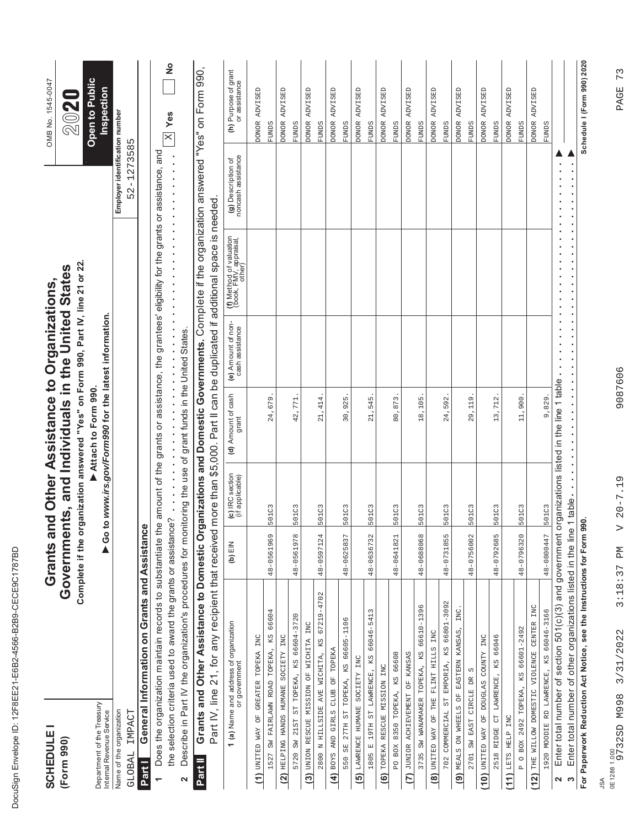| ı<br>۱           |
|------------------|
| ĺ<br>١<br>ı      |
| ¢                |
| Ç<br>ı           |
| ١<br>l           |
| Ó                |
| ĺ<br>O           |
| I<br>¢           |
| ı<br>ı<br>١      |
| Í<br>I           |
| d<br>I<br>l      |
| Ì<br>١           |
| ı<br>I           |
| ı                |
| Ì<br>ı           |
| l<br>ı<br>I<br>l |
| Ì                |
| ı<br>١           |
| Í                |
|                  |
| ı<br>١           |
|                  |
| 1                |
| ١                |
| Ï<br>֠           |
|                  |
| ı                |

| <b>SCHEDULE</b><br>(Form 990)                                              |                                                                                                                                                                                                                                                                                                   | Grants ar   |                                                          | Complete if the organization answered "Yes" on Form 990, Part IV, line 21 or 22.<br>Governments, and Individuals in the United States<br>nd Other Assistance to Organizations, |                                       |                                                                            |                                              | OMB No. 1545-0047<br>202                |
|----------------------------------------------------------------------------|---------------------------------------------------------------------------------------------------------------------------------------------------------------------------------------------------------------------------------------------------------------------------------------------------|-------------|----------------------------------------------------------|--------------------------------------------------------------------------------------------------------------------------------------------------------------------------------|---------------------------------------|----------------------------------------------------------------------------|----------------------------------------------|-----------------------------------------|
| Department of the Treasury<br>Internal Revenue Service                     |                                                                                                                                                                                                                                                                                                   | 60          |                                                          | to www.irs.gov/Form990 for the latest information.<br>Attach to Form 990.                                                                                                      |                                       |                                                                            |                                              | Open to Public<br><b>Inspection</b>     |
| IMPACT<br>Name of the organization<br>GLOBAL                               |                                                                                                                                                                                                                                                                                                   |             |                                                          |                                                                                                                                                                                |                                       |                                                                            | Employer identification number<br>52-1273585 |                                         |
| Part I                                                                     | General Information on Grants and Assistance                                                                                                                                                                                                                                                      |             |                                                          |                                                                                                                                                                                |                                       |                                                                            |                                              |                                         |
|                                                                            | Does the organization maintain records to substantiate the amount of the grants or assistance, the grantees' eligibility for the grants or assistance, and                                                                                                                                        |             |                                                          |                                                                                                                                                                                |                                       |                                                                            |                                              |                                         |
| 2                                                                          | ייע בעברייט אוייט און א פון א פון א פון א פון א פון א פון א פון א פון א פון א פון א פון א פון א פון א פון א פו<br>Describe in Part IV the organization's procedures for monitoring the use of grant funds in the United States.<br>the selection criteria used to award the grants or assistance? |             |                                                          |                                                                                                                                                                                |                                       |                                                                            |                                              | $\frac{1}{2}$<br>$\mathbb{X}$ Yes       |
| Part II                                                                    | Grants and Other Assistance to Domestic Organizations and Domestic Governments. Complete if the organization answered "Yes" on Form 990,                                                                                                                                                          |             |                                                          |                                                                                                                                                                                |                                       |                                                                            |                                              |                                         |
|                                                                            | Part IV, line 21, for any recipient that received                                                                                                                                                                                                                                                 |             |                                                          |                                                                                                                                                                                |                                       | more than \$5,000. Part II can be duplicated if additional space is needed |                                              |                                         |
|                                                                            | <b>1 (a)</b> Name and address of organization                                                                                                                                                                                                                                                     | $(b)$ $EIN$ | IRC section<br>f applicable)<br>$\widetilde{\mathbf{c}}$ | (d) Amount of cash<br>grant                                                                                                                                                    | (e) Amount of non-<br>cash assistance | (f) Method of valuation<br>(book, FMV, appraisal,<br>other)                | (g) Description of<br>noncash assistance     | (h) Purpose of grant<br>or assistance   |
| (1) UNITED WAY OF GREATER TOPEKA INC                                       |                                                                                                                                                                                                                                                                                                   |             |                                                          |                                                                                                                                                                                |                                       |                                                                            |                                              | ADVISED<br><b>DONOR</b>                 |
| 1527 SW FAIRLAWN ROAD TOPEKA, KS                                           | 66604                                                                                                                                                                                                                                                                                             | 48-0561969  | 501C3                                                    | 24,679                                                                                                                                                                         |                                       |                                                                            |                                              | <b>FUNDS</b>                            |
| ONI TELPING HANDS HUMANE SOCIETY INC                                       |                                                                                                                                                                                                                                                                                                   |             |                                                          |                                                                                                                                                                                |                                       |                                                                            |                                              | <b>ADVISED</b><br><b>DONOR</b>          |
|                                                                            | 5720 SW 21ST ST TOPEKA, KS 66604-3720                                                                                                                                                                                                                                                             | 48-0561978  | 501C3                                                    | 42,771                                                                                                                                                                         |                                       |                                                                            |                                              | <b>FUNDS</b>                            |
| (3) UNION RESCUE MISSION OF WICHITA INC<br>2800 N HILLSIDE AVE WICHITA, KS |                                                                                                                                                                                                                                                                                                   |             |                                                          |                                                                                                                                                                                |                                       |                                                                            |                                              | ADVISED<br><b>DONOR</b>                 |
|                                                                            | 67219-4702                                                                                                                                                                                                                                                                                        | 48-0597124  | 501C3                                                    | 21, 414                                                                                                                                                                        |                                       |                                                                            |                                              | ADVISED<br><b>DONOR</b><br><b>FUNDS</b> |
| (4) BOYS AND GIRLS CLUB OF TOPEKA                                          | 550 SE 27TH ST TOPEKA, KS 66605-1106                                                                                                                                                                                                                                                              | 48-0625837  | 501C3                                                    | 30,925                                                                                                                                                                         |                                       |                                                                            |                                              | <b>FUNDS</b>                            |
| (5) LAWRENCE HUMANE SOCIETY INC                                            |                                                                                                                                                                                                                                                                                                   |             |                                                          |                                                                                                                                                                                |                                       |                                                                            |                                              | ADVISED<br><b>DONOR</b>                 |
| 1805 E 19TH ST LAWRENCE, KS                                                | 66046-5413                                                                                                                                                                                                                                                                                        | 48-0636732  | 501C3                                                    | 21,545                                                                                                                                                                         |                                       |                                                                            |                                              | <b>FUNDS</b>                            |
| RESCUE MISSION INC<br>TOPEKA<br>$\widehat{\mathbf{e}}$                     |                                                                                                                                                                                                                                                                                                   |             |                                                          |                                                                                                                                                                                |                                       |                                                                            |                                              | ADVISED<br><b>DONOR</b>                 |
| PO BOX 8350 TOPEKA, KS 66608                                               |                                                                                                                                                                                                                                                                                                   | 48-0641821  | 501C3                                                    | 80,873                                                                                                                                                                         |                                       |                                                                            |                                              | <b>FUNDS</b>                            |
| (7) JUNIOR ACHIEVEMENT OF KANSAS                                           |                                                                                                                                                                                                                                                                                                   |             |                                                          |                                                                                                                                                                                |                                       |                                                                            |                                              | ADVISED<br><b>DONOR</b>                 |
|                                                                            | 3735 SW WANAMAKER TOPEKA, KS 66610-1396                                                                                                                                                                                                                                                           | 48-0688068  | 501C3                                                    | 18,105                                                                                                                                                                         |                                       |                                                                            |                                              | <b>FUNDS</b>                            |
| (8) UNITED WAY OF THE FLINT HILLS INC                                      |                                                                                                                                                                                                                                                                                                   |             |                                                          |                                                                                                                                                                                |                                       |                                                                            |                                              | ADVISED<br><b>DONOR</b>                 |
|                                                                            | 702 COMMERCIAL ST EMPORIA, KS 66801-3092                                                                                                                                                                                                                                                          | 48-0731855  | 501C3                                                    | 24,592                                                                                                                                                                         |                                       |                                                                            |                                              | <b>FUNDS</b>                            |
| MEALS ON WHEELS OF EASTERN KANSAS,<br>$\widehat{\mathbf{e}}$               | INC.                                                                                                                                                                                                                                                                                              |             |                                                          |                                                                                                                                                                                |                                       |                                                                            |                                              | ADVISED<br><b>DONOR</b>                 |
| 2701 SW EAST CIRCLE DR S                                                   |                                                                                                                                                                                                                                                                                                   | 48-0756002  | 501C3                                                    | 29,119                                                                                                                                                                         |                                       |                                                                            |                                              | <b>FUNDS</b>                            |
| UNITED WAY OF DOUGLAS COUNTY INC<br>(10)                                   |                                                                                                                                                                                                                                                                                                   | 48-0792685  | 501C3                                                    | 13,712                                                                                                                                                                         |                                       |                                                                            |                                              | ADVISED<br><b>DONOR</b>                 |
| 2518 RIDGE CT LAWRENCE, KS 66046<br>LETS HELP INC<br>(11)                  |                                                                                                                                                                                                                                                                                                   |             |                                                          |                                                                                                                                                                                |                                       |                                                                            |                                              | ADVISED<br><b>DONOR</b><br><b>FUNDS</b> |
|                                                                            | P O BOX 2492 TOPEKA, KS 66601-2492                                                                                                                                                                                                                                                                | 48-0796320  | 501C3                                                    | 11,900                                                                                                                                                                         |                                       |                                                                            |                                              | <b>FUNDS</b>                            |
| (12)                                                                       | THE WILLOW DOMESTIC VIOLENCE CENTER INC                                                                                                                                                                                                                                                           |             |                                                          |                                                                                                                                                                                |                                       |                                                                            |                                              | <b>ADVISED</b><br><b>DONOR</b>          |
|                                                                            | 1920 MOODIE RD LAWRENCE, KS 66046-3166                                                                                                                                                                                                                                                            | 48-0800447  | 501C3                                                    | 9,829.                                                                                                                                                                         |                                       |                                                                            |                                              | <b>FUNDS</b>                            |
| $\tilde{\mathbf{c}}$<br>$\boldsymbol{\mathsf{N}}$                          | Enter total number of section 501(c)(3) and government organizations listed in the line 1 table<br>Enter total number of other organizations listed in the line                                                                                                                                   |             | 1 table                                                  |                                                                                                                                                                                |                                       |                                                                            |                                              |                                         |
|                                                                            | For Paperwork Reduction Act Notice, see the Instructions for Form 990.                                                                                                                                                                                                                            |             |                                                          |                                                                                                                                                                                |                                       |                                                                            |                                              | Schedule I (Form 990) 2020              |
| <b>ASL</b>                                                                 |                                                                                                                                                                                                                                                                                                   |             |                                                          |                                                                                                                                                                                |                                       |                                                                            |                                              |                                         |
| 0E1288 1.000<br>9732SD M998                                                | 3/31/2022                                                                                                                                                                                                                                                                                         | 3:18:37 PM  | $20 - 7.19$                                              | 9087606                                                                                                                                                                        |                                       |                                                                            |                                              | 73<br>PAGE                              |
|                                                                            |                                                                                                                                                                                                                                                                                                   |             |                                                          |                                                                                                                                                                                |                                       |                                                                            |                                              |                                         |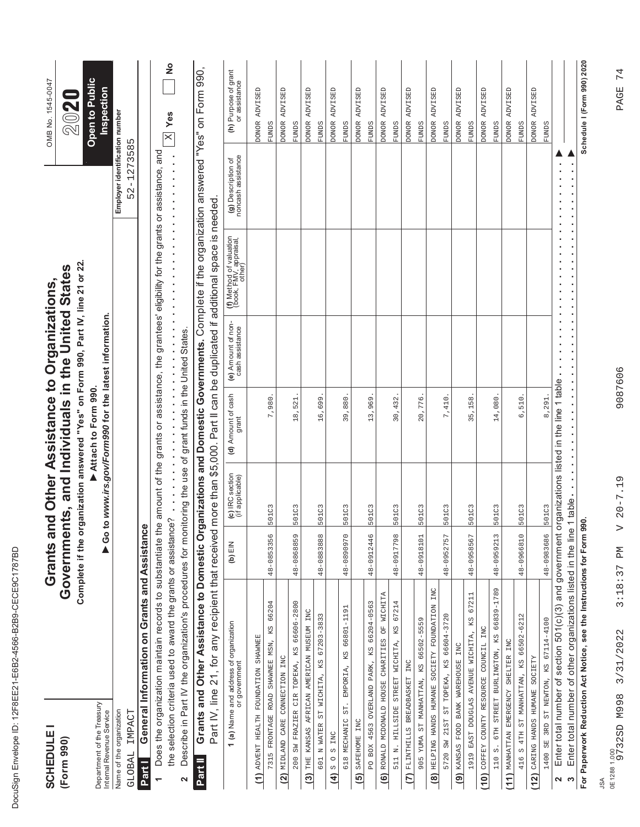| ı<br>۱                                                                                                                         |
|--------------------------------------------------------------------------------------------------------------------------------|
| ĺ<br>١<br>ı                                                                                                                    |
| ¢                                                                                                                              |
| Ç<br>ı                                                                                                                         |
| ١<br>l                                                                                                                         |
| Ó                                                                                                                              |
| ĺ<br>O                                                                                                                         |
| í<br>¢                                                                                                                         |
| ı<br>ı<br>١                                                                                                                    |
| Í<br><b>STATE OF STATE OF STATE OF STATE OF STATE OF STATE OF STATE OF STATE OF STATE OF STATE OF STATE OF STATE OF S</b><br>I |
| d<br>I<br>l                                                                                                                    |
| Ì<br>١                                                                                                                         |
| ı<br>I                                                                                                                         |
| ı                                                                                                                              |
| Ì<br>ı                                                                                                                         |
| l<br>ı<br>I<br>l                                                                                                               |
| Ì                                                                                                                              |
| ı<br>١                                                                                                                         |
| Í                                                                                                                              |
|                                                                                                                                |
| ı<br>١                                                                                                                         |
|                                                                                                                                |
| 1                                                                                                                              |
| ١                                                                                                                              |
| Ï<br>֠                                                                                                                         |
|                                                                                                                                |
| ı                                                                                                                              |

| <b>SCHEDULE</b><br>(Form 990)                            | Complete if the or                                                                                                                                                                                                                                 |            |                                    | ganization answered "Yes" on Form 990, Part IV, line 21 or 22.<br>Governments, and Individuals in the United States<br>Grants and Other Assistance to Organizations, |                                       |                                                                            |                                                                                              | OMB No. 1545-0047<br>20                 |
|----------------------------------------------------------|----------------------------------------------------------------------------------------------------------------------------------------------------------------------------------------------------------------------------------------------------|------------|------------------------------------|----------------------------------------------------------------------------------------------------------------------------------------------------------------------|---------------------------------------|----------------------------------------------------------------------------|----------------------------------------------------------------------------------------------|-----------------------------------------|
| Department of the Treasury<br>Internal Revenue Service   |                                                                                                                                                                                                                                                    |            |                                    | Go to www.irs.gov/Form990 for the latest information.<br>Attach to Form 990.                                                                                         |                                       |                                                                            |                                                                                              | Open to Public<br>Inspection            |
| Name of the organization<br>IMPACT<br>GLOBAL             |                                                                                                                                                                                                                                                    |            |                                    |                                                                                                                                                                      |                                       |                                                                            | Employer identification number<br>52-1273585                                                 |                                         |
| Part I                                                   | General Information on Grants and Assistance                                                                                                                                                                                                       |            |                                    |                                                                                                                                                                      |                                       |                                                                            |                                                                                              |                                         |
| $\overline{\phantom{0}}$                                 | Does the organization maintain records to substantiate the amount of the grants or assistance, the grantees' eligibility for the grants or assistance, and                                                                                         |            |                                    |                                                                                                                                                                      |                                       |                                                                            |                                                                                              |                                         |
| 2                                                        | ure serecucur criteria used to awaru tire grants or assistante?<br>Describe in Part IV the organization's procedures for monitoring the use of grant funds in the United States.<br>the selection criteria used to award the grants or assistance? |            |                                    |                                                                                                                                                                      |                                       | $\blacksquare$<br>$\blacksquare$<br>×<br>$\ddot{\cdot}$<br>$\ddot{\cdot}$  | $\ddot{\cdot}$<br>$\blacksquare$<br>i,<br>$\blacksquare$<br>$\blacksquare$<br>$\blacksquare$ | $\frac{1}{2}$<br>$\mathbb{X}$ Yes       |
| Part II                                                  | Grants and Other Assistance to Domestic Organizations and Domestic Governments. Complete if the organization answered "Yes" on Form 990,                                                                                                           |            |                                    |                                                                                                                                                                      |                                       |                                                                            |                                                                                              |                                         |
|                                                          | Part IV, line 21, for any recipient that received                                                                                                                                                                                                  |            |                                    |                                                                                                                                                                      |                                       | more than \$5,000. Part II can be duplicated if additional space is needed |                                                                                              |                                         |
|                                                          | <b>1 (a)</b> Name and address of organization<br>or government                                                                                                                                                                                     | (b) $EIN$  | (c) IRC section<br>(if applicable) | (d) Amount of cash<br>grant                                                                                                                                          | (e) Amount of non-<br>cash assistance | <b>(f)</b> Method of valuation<br>(book, FMV, appraisal,<br>other)         | (g) Description of<br>noncash assistance                                                     | (h) Purpose of grant                    |
| (1) ADVENT HEALTH FOUNDATION SHAWNEE                     |                                                                                                                                                                                                                                                    |            |                                    |                                                                                                                                                                      |                                       |                                                                            |                                                                                              | ADVISED<br><b>DONOR</b>                 |
|                                                          | 66204<br>7315 FRONTAGE ROAD SHAWNEE MSN, KS                                                                                                                                                                                                        | 48-0853356 | 501C3                              | 7,980                                                                                                                                                                |                                       |                                                                            |                                                                                              | <b>FUNDS</b>                            |
| (2) MIDLAND CARE CONNECTION INC                          |                                                                                                                                                                                                                                                    |            |                                    |                                                                                                                                                                      |                                       |                                                                            |                                                                                              | DONOR ADVISED                           |
|                                                          | 200 SW FRAZIER CIR TOPEKA, KS 66606-2800                                                                                                                                                                                                           | 48-0868859 | 501C3                              | 18,521                                                                                                                                                               |                                       |                                                                            |                                                                                              | <b>FUNDS</b>                            |
|                                                          | (3) THE KANSAS AFRICAN AMERICAN MUSEUM INC                                                                                                                                                                                                         | 48-0883888 | 501C3                              |                                                                                                                                                                      |                                       |                                                                            |                                                                                              | ADVISED<br><b>PONOR</b><br><b>FUNDS</b> |
|                                                          | 601 N WATER ST WICHITA, KS 67203-3833                                                                                                                                                                                                              |            |                                    | 16,699                                                                                                                                                               |                                       |                                                                            |                                                                                              |                                         |
| 618 MECHANIC ST.<br>$(4)$ s o s rnc                      | KS 66801-1191<br>EMPORIA,                                                                                                                                                                                                                          | 48-0890970 | 501C3                              | 39,880                                                                                                                                                               |                                       |                                                                            |                                                                                              | ADVISED<br><b>DONOR</b><br><b>FUNDS</b> |
|                                                          |                                                                                                                                                                                                                                                    |            |                                    |                                                                                                                                                                      |                                       |                                                                            |                                                                                              |                                         |
| SAFEHOME INC<br>$\Omega$<br>$\overline{5}$               | BOX 4563 OVERLAND PARK, KS 66204-0563                                                                                                                                                                                                              | 48-0912446 | 501C3                              | 13,969                                                                                                                                                               |                                       |                                                                            |                                                                                              | DONOR ADVISED<br><b>FUNDS</b>           |
|                                                          | (6) RONALD MCDONALD HOUSE CHARITIES OF WICHITA                                                                                                                                                                                                     |            |                                    |                                                                                                                                                                      |                                       |                                                                            |                                                                                              | ADVISED<br><b>DONOR</b>                 |
| 511 N. HILLSIDE                                          | STREET WICHITA, KS 67214                                                                                                                                                                                                                           | 48-0917798 | 501C3                              | 30,432                                                                                                                                                               |                                       |                                                                            |                                                                                              | <b>EUNDS</b>                            |
| FLINTHILLS BREADBASKET INC<br>$\tilde{c}$                |                                                                                                                                                                                                                                                    |            |                                    |                                                                                                                                                                      |                                       |                                                                            |                                                                                              | ADVISED<br><b>DONOR</b>                 |
|                                                          | 905 YUMA ST MANHATTAN, KS 66502-5559                                                                                                                                                                                                               | 48-0918101 | 501C3                              | 20,776.                                                                                                                                                              |                                       |                                                                            |                                                                                              | <b>FUNDS</b>                            |
|                                                          | INC<br>WOITAGUNOT YTEIDOS HUMANE SOCIETY FOUNDATION                                                                                                                                                                                                |            |                                    |                                                                                                                                                                      |                                       |                                                                            |                                                                                              | ADVISED<br><b>DONOR</b>                 |
|                                                          | 5720 SW 21ST ST TOPEKA, KS 66604-3720                                                                                                                                                                                                              | 48-0952757 | 501C3                              | 7,410                                                                                                                                                                |                                       |                                                                            |                                                                                              | <b>FUNDS</b>                            |
| KANSAS FOOD BANK WAREHOUSE INC<br>$\widehat{\mathbf{e}}$ |                                                                                                                                                                                                                                                    |            |                                    |                                                                                                                                                                      |                                       |                                                                            |                                                                                              | ADVISED<br><b>DONOR</b>                 |
|                                                          | 1919 EAST DOUGLAS AVENUE WICHITA, KS 67211                                                                                                                                                                                                         | 48-0958567 | 501C3                              | 35,158                                                                                                                                                               |                                       |                                                                            |                                                                                              | <b>FUNDS</b>                            |
| (10)                                                     | COFFEY COUNTY RESOURCE COUNCIL INC                                                                                                                                                                                                                 |            |                                    |                                                                                                                                                                      |                                       |                                                                            |                                                                                              | ADVISED<br><b>DONOR</b>                 |
| $\ddot{\circ}$<br>110                                    | 66839-1789<br>6TH STREET BURLINGTON, KS                                                                                                                                                                                                            | 48-0959213 | 501C3                              | 14,080                                                                                                                                                               |                                       |                                                                            |                                                                                              | <b>FUNDS</b>                            |
| (11) MANHATTAN EMERGENCY SHELTER INC                     |                                                                                                                                                                                                                                                    |            |                                    |                                                                                                                                                                      |                                       |                                                                            |                                                                                              | ADVISED<br><b>DONOR</b>                 |
|                                                          | 416 S 4TH ST MANHATTAN, KS 66502-6212                                                                                                                                                                                                              | 48-0966810 | 501C3                              | 6,510                                                                                                                                                                |                                       |                                                                            |                                                                                              | <b>EUNDS</b>                            |
| CARING HANDS HUMANE SOCIETY<br>(12)                      |                                                                                                                                                                                                                                                    |            |                                    |                                                                                                                                                                      |                                       |                                                                            |                                                                                              | DONOR ADVISED                           |
|                                                          | 1400 SE 3RD ST NEWTON, KS 67114-4100                                                                                                                                                                                                               | 48-0983686 | 501C3                              | 8,291.                                                                                                                                                               |                                       |                                                                            |                                                                                              | <b>FUNDS</b>                            |
| $\boldsymbol{\mathrm{o}}$<br>$\boldsymbol{\sim}$         | Enter total number of section 501(c)(3) and government organizations listed in the line 1 table<br>Enter total number of other organizations listed in the line                                                                                    |            | 1 table                            |                                                                                                                                                                      | $\blacksquare$                        |                                                                            | $\blacksquare$                                                                               |                                         |
|                                                          | For Paperwork Reduction Act Notice, see the Instructions for Form 990.                                                                                                                                                                             |            |                                    |                                                                                                                                                                      |                                       |                                                                            |                                                                                              | Schedule I (Form 990) 2020              |
| ₹                                                        |                                                                                                                                                                                                                                                    |            |                                    |                                                                                                                                                                      |                                       |                                                                            |                                                                                              |                                         |
| 0E12881.000<br>9732SD M998                               | 3:18:37 PM<br>3/31/2022                                                                                                                                                                                                                            |            | $20 - 7.19$                        | 9087606                                                                                                                                                              |                                       |                                                                            |                                                                                              | 74<br>PAGE                              |
|                                                          |                                                                                                                                                                                                                                                    |            |                                    |                                                                                                                                                                      |                                       |                                                                            |                                                                                              |                                         |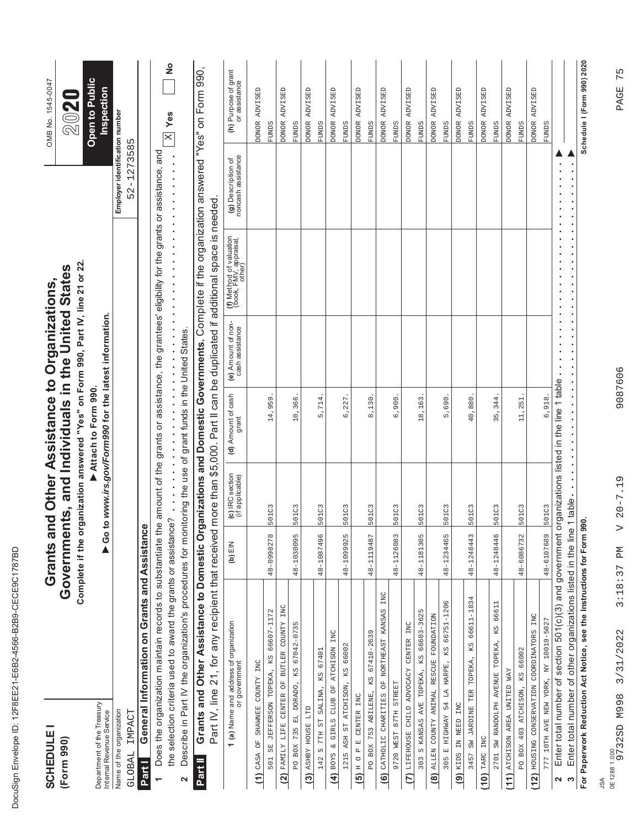| ı<br>۱           |
|------------------|
| ĺ<br>١<br>ı      |
| ¢                |
| Ç<br>ı           |
| ١<br>l           |
| Ó                |
| ĺ<br>O           |
| I<br>¢           |
| ı<br>ı<br>١      |
| Í<br>I           |
| d<br>I<br>l      |
| Ì<br>١           |
| ı<br>I           |
| ı                |
| Ì<br>ı           |
| l<br>ı<br>I<br>l |
| Ì                |
| ı<br>١           |
| Í                |
|                  |
| ı<br>١           |
|                  |
| 1                |
| ١                |
| Ï<br>֠           |
|                  |
| ı                |

| <b>SCHEDULE</b><br>(Form 990)                                       |                                                                                                                                                                                               | Grants ar  |                                    | Complete if the organization answered "Yes" on Form 990, Part IV, line 21 or 22.<br>Governments, and Individuals in the United States<br>nd Other Assistance to Organizations, |                                       |                                                                             |                                          | Open to Public<br>OMB No. 1545-0047<br>2020 |
|---------------------------------------------------------------------|-----------------------------------------------------------------------------------------------------------------------------------------------------------------------------------------------|------------|------------------------------------|--------------------------------------------------------------------------------------------------------------------------------------------------------------------------------|---------------------------------------|-----------------------------------------------------------------------------|------------------------------------------|---------------------------------------------|
| Department of the Treasury<br>Internal Revenue Service              |                                                                                                                                                                                               | 60         |                                    | to www.irs.gov/Form990 for the latest information.<br>Attach to Form 990.                                                                                                      |                                       |                                                                             |                                          | Inspection                                  |
| Name of the organization                                            |                                                                                                                                                                                               |            |                                    |                                                                                                                                                                                |                                       |                                                                             | Employer identification number           |                                             |
| GLOBAL IMPACT<br>Part I                                             | General Information on Grants and Assistance                                                                                                                                                  |            |                                    |                                                                                                                                                                                |                                       |                                                                             | 52-1273585                               |                                             |
| $\overline{\phantom{0}}$                                            | Does the organization maintain records to substantiate the amount of the grants or assistance, the grantees' eligibility for the grants or assistance, and                                    |            |                                    |                                                                                                                                                                                |                                       |                                                                             |                                          |                                             |
|                                                                     | the selection criteria used to award the grants or assistanc                                                                                                                                  |            | $e$ ? $\cdots$ $\cdots$ $\cdots$   |                                                                                                                                                                                | $\frac{1}{2}$                         |                                                                             |                                          | $\frac{1}{2}$<br>$\mathbb{X}$ Yes           |
| $\mathbf{\Omega}$                                                   |                                                                                                                                                                                               |            |                                    |                                                                                                                                                                                |                                       |                                                                             |                                          |                                             |
| Part II                                                             | Grants and Other Assistance to Domestic Organizations and Domestic Governments. Complete if the organization answered "Yes" on Form 990,<br>Part IV, line 21, for any recipient that received |            |                                    |                                                                                                                                                                                |                                       | more than \$5,000. Part II can be duplicated if additional space is needed. |                                          |                                             |
|                                                                     | <b>1 (a)</b> Name and address of organization<br>or government                                                                                                                                | (b) $EIN$  | (c) IRC section<br>(if applicable) | (d) Amount of cash<br>grant                                                                                                                                                    | (e) Amount of non-<br>cash assistance | <b>(f)</b> Method of valuation<br>(book, FMV, appraisal,<br>other)          | (g) Description of<br>noncash assistance | (h) Purpose of grant<br>or assistance       |
| OF SHAWNER COUNTY INC<br>$(1)$ CASA                                 |                                                                                                                                                                                               |            |                                    |                                                                                                                                                                                |                                       |                                                                             |                                          | DONOR ADVISED                               |
| 501 SE JEFFERSON TOPEKA,                                            | KS 66607-1172                                                                                                                                                                                 | 48-0998278 | 501C3                              | 14,959                                                                                                                                                                         |                                       |                                                                             |                                          | <b>FUNDS</b>                                |
|                                                                     | (2) FAMILY LIFE CENTER OF BUTLER COUNTY INC                                                                                                                                                   |            |                                    |                                                                                                                                                                                |                                       |                                                                             |                                          | ADVISED<br><b>DONOR</b>                     |
|                                                                     | PO BOX 735 EL DORADO, KS 67042-0735                                                                                                                                                           | 48-1030095 | 501C3                              | 10,366                                                                                                                                                                         |                                       |                                                                             |                                          | <b>EUNDS</b>                                |
| (3) ASHBY HOUSE LTD                                                 |                                                                                                                                                                                               |            |                                    |                                                                                                                                                                                |                                       |                                                                             |                                          | ADVISED<br><b>DONOR</b>                     |
| 142 S 7TH ST SALINA, KS 67401                                       |                                                                                                                                                                                               | 48-1087496 | 501C3                              | 5,714                                                                                                                                                                          |                                       |                                                                             |                                          | <b>EUNDS</b>                                |
| 1215 ASH ST ATCHISON, KS 66002<br>(4) BOYS & GIRLS CLUB OF ATCHISOM | INC                                                                                                                                                                                           | 48-1099925 | 501C3                              | 6,227                                                                                                                                                                          |                                       |                                                                             |                                          | ADVISED<br><b>boxor</b><br><b>FUNDS</b>     |
| $(5)$ H O P E CENTER INC                                            |                                                                                                                                                                                               |            |                                    |                                                                                                                                                                                |                                       |                                                                             |                                          | DONOR ADVISED                               |
| PO BOX 753 ABILENE,                                                 | 67410-2639<br>KS                                                                                                                                                                              | 48-1119487 | 501C3                              | 8,130                                                                                                                                                                          |                                       |                                                                             |                                          | <b>EUNDS</b>                                |
| $\widehat{\mathbf{e}}$                                              | INC<br>CATHOLIC CHARITIES OF NORTHEAST KANSAS                                                                                                                                                 |            |                                    |                                                                                                                                                                                |                                       |                                                                             |                                          | <b>ADVISED</b><br><b>DONOR</b>              |
| 9720 WEST 87TH STREET                                               |                                                                                                                                                                                               | 48-1126083 | 501C3                              | 6,900                                                                                                                                                                          |                                       |                                                                             |                                          | <b>FUNDS</b>                                |
| (7) LIFEHOUSE CHILD ADVOCACY                                        | CENTER INC                                                                                                                                                                                    |            |                                    |                                                                                                                                                                                |                                       |                                                                             |                                          | ADVISED<br><b>DONOR</b>                     |
|                                                                     | 303 S KANSAS AVE TOPEKA, KS 66603-3625                                                                                                                                                        | 48-1181305 | 501C3                              | 18,163                                                                                                                                                                         |                                       |                                                                             |                                          | <b>FUNDS</b>                                |
|                                                                     | (8) ALLEN COUNTY ANIMAL RESCUE FOUNDATION                                                                                                                                                     |            |                                    |                                                                                                                                                                                |                                       |                                                                             |                                          | ADVISED<br><b>DONOR</b>                     |
|                                                                     | 305 E HIGHWAY 54 LA HARPE, KS 66751-1206                                                                                                                                                      | 48-1234465 | 501C3                              | 5,690                                                                                                                                                                          |                                       |                                                                             |                                          | <b>FUNDS</b>                                |
| (9) KIDS IN NEED INC                                                |                                                                                                                                                                                               |            |                                    | 40,880                                                                                                                                                                         |                                       |                                                                             |                                          | ADVISED<br><b>DONOR</b><br>FUNDS            |
| TARC INC<br>(10)                                                    | 3457 SW JARDINE TER TOPEKA, KS 66611-1834                                                                                                                                                     | 48-1248443 | 501C3                              |                                                                                                                                                                                |                                       |                                                                             |                                          | ADVISED<br><b>PONOR</b>                     |
| 2701 SW RANDOLPH AVENUE TOPEKA,                                     | 66611<br>KS                                                                                                                                                                                   | 48-1248446 | 501C3                              | 35,344                                                                                                                                                                         |                                       |                                                                             |                                          | <b>EUNDS</b>                                |
| ATCHISON AREA UNITED WAY<br>(11)                                    |                                                                                                                                                                                               |            |                                    |                                                                                                                                                                                |                                       |                                                                             |                                          | <b>ADVISED</b><br><b>DONOR</b>              |
| PO BOX 403 ATCHISON, KS 66002                                       |                                                                                                                                                                                               | 48-6086732 | 501C3                              | 11,251                                                                                                                                                                         |                                       |                                                                             |                                          | <b>EUNDS</b>                                |
| (12) HOUSING CONSERVATION COORDINATORS INC                          |                                                                                                                                                                                               |            |                                    |                                                                                                                                                                                |                                       |                                                                             |                                          | <b>ADVISED</b><br><b>DONOR</b>              |
|                                                                     | 777 10TH AVE NEW YORK, NY 10019-5027                                                                                                                                                          | 48-6107689 | 501C3                              | 6,918.                                                                                                                                                                         |                                       |                                                                             |                                          | <b>FUNDS</b>                                |
| $\infty$<br>$\boldsymbol{\mathsf{N}}$                               | Enter total number of section 501(c)(3) and government organizations listed in the line 1 table<br>Enter total number of other organizations listed in the line                               |            | 1 table                            |                                                                                                                                                                                |                                       |                                                                             |                                          |                                             |
|                                                                     | For Paperwork Reduction Act Notice, see the Instructions for Form 990.                                                                                                                        |            |                                    |                                                                                                                                                                                |                                       |                                                                             |                                          | Schedule I (Form 990) 2020                  |
| JSA                                                                 |                                                                                                                                                                                               |            |                                    |                                                                                                                                                                                |                                       |                                                                             |                                          |                                             |
| 0E1288 1.000<br>9732SD M998                                         | 3/31/2022                                                                                                                                                                                     | 3:18:37 PM | $20 - 7.19$                        | 9087606                                                                                                                                                                        |                                       |                                                                             |                                          | 75<br>PAGE                                  |
|                                                                     |                                                                                                                                                                                               |            |                                    |                                                                                                                                                                                |                                       |                                                                             |                                          |                                             |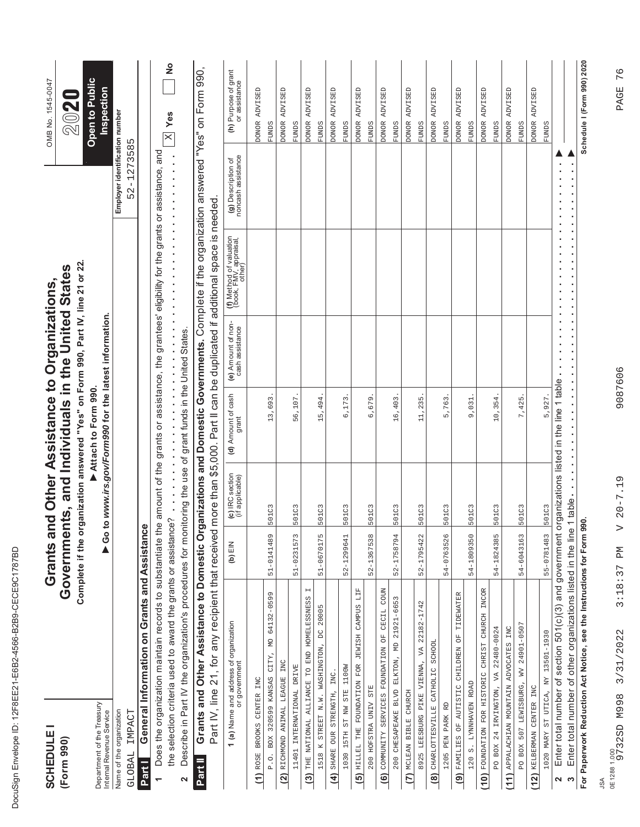| Ĺ<br>J                                                                                                              |
|---------------------------------------------------------------------------------------------------------------------|
| ĺ<br>١<br>ı                                                                                                         |
| d<br>ı                                                                                                              |
| O<br>۱                                                                                                              |
| ١                                                                                                                   |
| l<br>¢<br>l                                                                                                         |
| I<br>¢                                                                                                              |
| I<br>١                                                                                                              |
| Í<br>ı<br>١                                                                                                         |
| ı                                                                                                                   |
| Ì<br>d                                                                                                              |
| I<br>l                                                                                                              |
| Ì<br>I                                                                                                              |
| ı<br>¢                                                                                                              |
| ı                                                                                                                   |
| l<br>I<br>l<br>J<br>l                                                                                               |
| I                                                                                                                   |
| Ì                                                                                                                   |
| ı<br>Ó                                                                                                              |
| ı<br>Ì                                                                                                              |
|                                                                                                                     |
| ı<br>١                                                                                                              |
|                                                                                                                     |
| ĺ<br>and the state of the state of the state of the state of the state of the state of the state of the state of th |
|                                                                                                                     |
| ١<br>Ó<br>֠                                                                                                         |
|                                                                                                                     |
| ı                                                                                                                   |

| <b>SCHEDULE</b><br>(Form 990)                                           |                                                                                                                                                                                                                                                                                                 |                       |                                    | Complete if the organization answered "Yes" on Form 990, Part IV, line 21 or 22.<br>Governments, and Individuals in the United States<br>Grants and Other Assistance to Organizations, |                                       |                                                                             |                                              | OMB No. 1545-0047<br>20                 |
|-------------------------------------------------------------------------|-------------------------------------------------------------------------------------------------------------------------------------------------------------------------------------------------------------------------------------------------------------------------------------------------|-----------------------|------------------------------------|----------------------------------------------------------------------------------------------------------------------------------------------------------------------------------------|---------------------------------------|-----------------------------------------------------------------------------|----------------------------------------------|-----------------------------------------|
| Department of the Treasury<br>Internal Revenue Service                  |                                                                                                                                                                                                                                                                                                 | $\triangleright$ Go t |                                    | to www.irs.gov/Form990 for the latest information.<br>Attach to Form 990.                                                                                                              |                                       |                                                                             |                                              | <b>Open to Public</b><br>Inspection     |
| Name of the organization<br>IMPACT<br>GLOBAL                            |                                                                                                                                                                                                                                                                                                 |                       |                                    |                                                                                                                                                                                        |                                       |                                                                             | Employer identification number<br>52-1273585 |                                         |
| Part I                                                                  | General Information on Grants and Assistance                                                                                                                                                                                                                                                    |                       |                                    |                                                                                                                                                                                        |                                       |                                                                             |                                              |                                         |
| $\overline{\phantom{0}}$                                                | Does the organization maintain records to substantiate the amount of the grants or assistance, the grantees' eligibility for the grants or assistance, and                                                                                                                                      |                       |                                    |                                                                                                                                                                                        |                                       |                                                                             |                                              |                                         |
| 2                                                                       | ure experiment and the organization's procedures for monitoring the use of grant funds in the United States.<br>Describe in Part IV the organization's procedures for monitoring the use of grant funds in the United States.<br>the selection criteria used to award the grants or assistance? |                       |                                    |                                                                                                                                                                                        |                                       |                                                                             |                                              | $\frac{1}{2}$<br>$\mathbb{X}$ Yes       |
| Part II                                                                 | Grants and Other Assistance to Domestic Organizations and Domestic Governments. Complete if the organization answered "Yes" on Form 990,                                                                                                                                                        |                       |                                    |                                                                                                                                                                                        |                                       |                                                                             |                                              |                                         |
|                                                                         | Part IV, line 21, for any recipient that received                                                                                                                                                                                                                                               |                       |                                    |                                                                                                                                                                                        |                                       | more than \$5,000. Part II can be duplicated if additional space is needed. |                                              |                                         |
|                                                                         | <b>1 (a)</b> Name and address of organization                                                                                                                                                                                                                                                   | NIE (q)               | (c) IRC section<br>(if applicable) | (d) Amount of cash<br>grant                                                                                                                                                            | (e) Amount of non-<br>cash assistance | (f) Method of valuation<br>(book, FMV, appraisal,<br>other)                 | (g) Description of<br>noncash assistance     | (h) Purpose of grant<br>or assistance   |
| (1) ROSE BROOKS CENTER INC                                              |                                                                                                                                                                                                                                                                                                 |                       |                                    |                                                                                                                                                                                        |                                       |                                                                             |                                              | <b>ADVISED</b><br><b>DONOR</b>          |
| P.O. BOX 320599 KANSAS CITY,                                            | 64132-0599<br>$\overline{M}$                                                                                                                                                                                                                                                                    | 51-0141489            | 501C3                              | 13,693                                                                                                                                                                                 |                                       |                                                                             |                                              | <b>FUNDS</b>                            |
| (2) RICHMOND ANIMAL LEAGUE INC                                          |                                                                                                                                                                                                                                                                                                 |                       |                                    |                                                                                                                                                                                        |                                       |                                                                             |                                              | <b>ADVISED</b><br><b>DONOR</b>          |
| 11401 INTERNATIONAL DRIVE                                               |                                                                                                                                                                                                                                                                                                 | 51-0231573            | 501C3                              | 56,107                                                                                                                                                                                 |                                       |                                                                             |                                              | <b>FUNDS</b>                            |
| (3) THE NATIONAL ALLIANCE TO END HOMELESSNESS                           | $\mathrel{\mathop{\mapsto}\,}$                                                                                                                                                                                                                                                                  |                       |                                    |                                                                                                                                                                                        |                                       |                                                                             |                                              | DONOR ADVISED                           |
| 1518 K STREET N.W. WASHINGTON, DC 20005                                 |                                                                                                                                                                                                                                                                                                 | 51-0670175            | 501C3                              | 15,494                                                                                                                                                                                 |                                       |                                                                             |                                              | <b>FUNDS</b>                            |
| (4) SHARE OUR STRENGTH, INC.                                            |                                                                                                                                                                                                                                                                                                 |                       |                                    |                                                                                                                                                                                        |                                       |                                                                             |                                              | ADVISED<br><b>DONOR</b>                 |
| 1030 15TH ST NW STE 1100W                                               |                                                                                                                                                                                                                                                                                                 | 52-1299641            | 501C3                              | 6,173                                                                                                                                                                                  |                                       |                                                                             |                                              | <b>FUNDS</b>                            |
| (5)                                                                     | HILLEL THE FOUNDATION FOR JEWISH CAMPUS LIF                                                                                                                                                                                                                                                     |                       |                                    |                                                                                                                                                                                        |                                       |                                                                             |                                              | ADVISED<br><b>DONOR</b>                 |
| 200 HOFSTRA UNIV STE                                                    |                                                                                                                                                                                                                                                                                                 | 52-1367538            | 501C3                              | 6,679                                                                                                                                                                                  |                                       |                                                                             |                                              | <b>FUNDS</b>                            |
| COMMUNITY<br>$\widehat{\mathbf{e}}$                                     | COUN<br>CECIL<br>F)<br>SERVICES FOUNDATION                                                                                                                                                                                                                                                      |                       |                                    |                                                                                                                                                                                        |                                       |                                                                             |                                              | ADVISED<br><b>DONOR</b>                 |
|                                                                         | 200 CHESAPEAKE BLVD ELKTON, MD 21921-6653                                                                                                                                                                                                                                                       | 52-1758794            | 501C3                              | 16,403                                                                                                                                                                                 |                                       |                                                                             |                                              | <b>FUNDS</b>                            |
| (7) MCLEAN BIBLE CHURCH                                                 |                                                                                                                                                                                                                                                                                                 |                       |                                    |                                                                                                                                                                                        |                                       |                                                                             |                                              | ADVISED<br><b>DONOR</b>                 |
| 8925 LEESBURG PIKE VIENNA,                                              | $22182 - 1742$<br>VĄ                                                                                                                                                                                                                                                                            | 52-1795422            | 501C3                              | 11,235                                                                                                                                                                                 |                                       |                                                                             |                                              | <b>FUNDS</b>                            |
| CHARLOTTESVILLE CATHOLIC SCHOOL<br>$\widehat{\mathbf{e}}$               |                                                                                                                                                                                                                                                                                                 |                       |                                    |                                                                                                                                                                                        |                                       |                                                                             |                                              | ADVISED<br><b>DONOR</b>                 |
| 1205 PEN PARK RD                                                        |                                                                                                                                                                                                                                                                                                 | 54-0763526            | 501C3                              | 5,763.                                                                                                                                                                                 |                                       |                                                                             |                                              | <b>FUNDS</b>                            |
| (9) FAMILIES OF AUTISTIC CHILDREN OF TIDEWATER<br>120 S. LYNNHAVEN ROAD |                                                                                                                                                                                                                                                                                                 | 54-1809350            | 501C3                              | 9,031                                                                                                                                                                                  |                                       |                                                                             |                                              | ADVISED<br><b>DONOR</b><br><b>FUNDS</b> |
| (10)                                                                    | FOUNDATION FOR HISTORIC CHRIST CHURCH INCOR                                                                                                                                                                                                                                                     |                       |                                    |                                                                                                                                                                                        |                                       |                                                                             |                                              | ADVISED<br><b>DONOR</b>                 |
| PO BOX 24 IRVINGTON, VA 22480-0024                                      |                                                                                                                                                                                                                                                                                                 | 54-1824385            | 501C3                              | 10,354                                                                                                                                                                                 |                                       |                                                                             |                                              | <b>FUNDS</b>                            |
| APPALACHIAN MOUNTAIN ADVOCATES<br>(11)                                  | INC                                                                                                                                                                                                                                                                                             |                       |                                    |                                                                                                                                                                                        |                                       |                                                                             |                                              | ADVISED<br><b>DONOR</b>                 |
| PO BOX 507 LEWISBURG, WV 24901-0507                                     |                                                                                                                                                                                                                                                                                                 | 54-6043163            | 501C3                              | 7,425.                                                                                                                                                                                 |                                       |                                                                             |                                              | <b>FUNDS</b>                            |
| KELBERMAN CENTER INC<br>(12)                                            |                                                                                                                                                                                                                                                                                                 |                       |                                    |                                                                                                                                                                                        |                                       |                                                                             |                                              | ADVISED<br><b>DONOR</b>                 |
| 1020 MARY ST UTICA, NY 13501-1930                                       |                                                                                                                                                                                                                                                                                                 | 55-0781483            | 501C3                              | 5,927                                                                                                                                                                                  |                                       |                                                                             |                                              | <b>FUNDS</b>                            |
| $\infty$<br>$\boldsymbol{\sim}$                                         | Enter total number of section 501(c)(3) and government organizations listed in the line 1 table                                                                                                                                                                                                 |                       |                                    |                                                                                                                                                                                        | $\blacksquare$                        |                                                                             |                                              |                                         |
|                                                                         | Enter total number of other organizations listed in the line                                                                                                                                                                                                                                    |                       | 1 table.                           |                                                                                                                                                                                        |                                       |                                                                             |                                              |                                         |
| ₹                                                                       | For Paperwork Reduction Act Notice, see the Instructions for Form 990.                                                                                                                                                                                                                          |                       |                                    |                                                                                                                                                                                        |                                       |                                                                             |                                              | Schedule I (Form 990) 2020              |
| 0E12881.000<br>9732SD M998                                              | 3/31/2022                                                                                                                                                                                                                                                                                       | 3:18:37 PM            | $20 - 7.19$                        | 9087606                                                                                                                                                                                |                                       |                                                                             |                                              | 76<br>PAGE                              |
|                                                                         |                                                                                                                                                                                                                                                                                                 |                       |                                    |                                                                                                                                                                                        |                                       |                                                                             |                                              |                                         |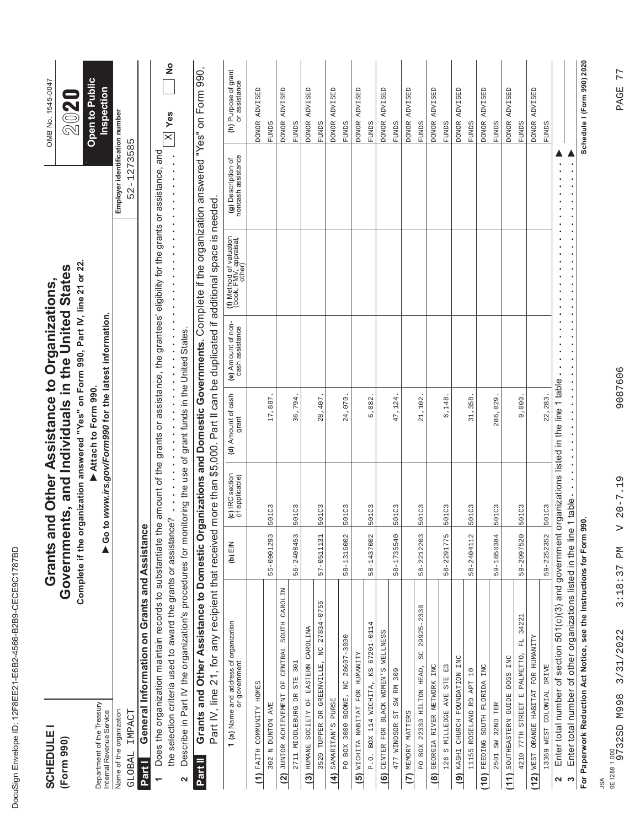| ı<br>۱                                                                                                                         |
|--------------------------------------------------------------------------------------------------------------------------------|
| ĺ<br>١<br>ı                                                                                                                    |
| ¢                                                                                                                              |
| Ç<br>ı                                                                                                                         |
| ١<br>l                                                                                                                         |
| Ó                                                                                                                              |
| ĺ<br>O                                                                                                                         |
| I<br>¢                                                                                                                         |
| ı<br>ı<br>١                                                                                                                    |
| Í<br><b>STATE OF STATE OF STATE OF STATE OF STATE OF STATE OF STATE OF STATE OF STATE OF STATE OF STATE OF STATE OF S</b><br>I |
| d<br>I<br>l                                                                                                                    |
| Ì<br>١                                                                                                                         |
| ı<br>I                                                                                                                         |
| ı                                                                                                                              |
| Ì<br>ı                                                                                                                         |
| l<br>ı<br>I<br>l                                                                                                               |
| Ì                                                                                                                              |
| ı<br>١                                                                                                                         |
| Í                                                                                                                              |
|                                                                                                                                |
| ı<br>١                                                                                                                         |
|                                                                                                                                |
| 1                                                                                                                              |
| ١                                                                                                                              |
| Ï<br>֠                                                                                                                         |
|                                                                                                                                |
| ı                                                                                                                              |

| <b>SCHEDULE</b><br>(Form 990)                          |                                                                                                                                                                                                                                                                                                | Grants an<br>Governmen |                                    | Complete if the organization answered "Yes" on Form 990, Part IV, line 21 or 22.<br>ts, and Individuals in the United States<br>d Other Assistance to Organizations, |                                       |                                                                                                                                                                             |                                                                                                                                | OMB No. 1545-0047<br>202     |
|--------------------------------------------------------|------------------------------------------------------------------------------------------------------------------------------------------------------------------------------------------------------------------------------------------------------------------------------------------------|------------------------|------------------------------------|----------------------------------------------------------------------------------------------------------------------------------------------------------------------|---------------------------------------|-----------------------------------------------------------------------------------------------------------------------------------------------------------------------------|--------------------------------------------------------------------------------------------------------------------------------|------------------------------|
| Department of the Treasury<br>Internal Revenue Service |                                                                                                                                                                                                                                                                                                |                        |                                    | Go to www.irs.gov/Form990 for the latest information.<br>Attach to Form 990.                                                                                         |                                       |                                                                                                                                                                             |                                                                                                                                | Open to Public<br>Inspection |
| Name of the organization<br>IMPACT<br>GLOBAL           |                                                                                                                                                                                                                                                                                                |                        |                                    |                                                                                                                                                                      |                                       |                                                                                                                                                                             | Employer identification number<br>52-1273585                                                                                   |                              |
| Part I                                                 | General Information on Grants and Assistance                                                                                                                                                                                                                                                   |                        |                                    |                                                                                                                                                                      |                                       |                                                                                                                                                                             |                                                                                                                                |                              |
| $\overline{\phantom{0}}$                               | Does the organization maintain records to substantiate the                                                                                                                                                                                                                                     |                        |                                    |                                                                                                                                                                      |                                       | amount of the grants or assistance, the grantees' eligibility for the grants or assistance, and                                                                             |                                                                                                                                |                              |
| 2                                                      | ure accuration in the organization's procedures for monitoring the use of grant funds in the United States.<br>Describe in Part IV the organization's procedures for monitoring the use of grant funds in the United States.<br>the selection criteria used to award the grants or assistance? |                        |                                    |                                                                                                                                                                      |                                       | $\blacksquare$<br>$\hat{\textbf{r}}$<br>ä,<br>$\blacksquare$<br>$\ddot{\cdot}$<br>$\blacksquare$<br>$\begin{array}{c} \bullet \\ \bullet \\ \bullet \\ \bullet \end{array}$ | $\frac{1}{2}$<br>$\blacksquare$<br>i,<br>$\blacksquare$<br>$\frac{1}{2}$<br>$\blacksquare$<br>$\blacksquare$<br>$\blacksquare$ | 2<br>$\mathbb{X}$ Yes        |
| Part II                                                | Grants and Other Assistance to Domestic Organizations and Domestic Governments. Complete if the organization answered "Yes" on Form 990,                                                                                                                                                       |                        |                                    |                                                                                                                                                                      |                                       |                                                                                                                                                                             |                                                                                                                                |                              |
|                                                        | Part IV, line 21, for any recipient that received more than \$5,000. Part II can be duplicated if additional space is needed                                                                                                                                                                   |                        |                                    |                                                                                                                                                                      |                                       |                                                                                                                                                                             |                                                                                                                                |                              |
|                                                        | <b>1 (a)</b> Name and address of organization<br>or government                                                                                                                                                                                                                                 | (b) $EIN$              | (c) IRC section<br>(if applicable) | (d) Amount of cash<br>grant                                                                                                                                          | (e) Amount of non-<br>cash assistance | <b>(f)</b> Method of valuation<br>(book, FMV, appraisal,<br>other)                                                                                                          | (g) Description of<br>noncash assistance                                                                                       | (h) Purpose of grant         |
| (1) FAITH COMMUNITY HOMES                              |                                                                                                                                                                                                                                                                                                |                        |                                    |                                                                                                                                                                      |                                       |                                                                                                                                                                             |                                                                                                                                | DONOR ADVISED                |
| 302 N DUNTON AVE                                       |                                                                                                                                                                                                                                                                                                | 55-0901293             | 501C3                              | 17,887                                                                                                                                                               |                                       |                                                                                                                                                                             |                                                                                                                                | <b>FUNDS</b>                 |
| JUNIOR ACHIEVEMENT OF CENTRAL<br>$\widetilde{a}$       | CAROLIN<br><b>SOUTH</b>                                                                                                                                                                                                                                                                        |                        |                                    |                                                                                                                                                                      |                                       |                                                                                                                                                                             |                                                                                                                                | DONOR ADVISED                |
| 2711 MIDDLEBURG DR STE 301                             |                                                                                                                                                                                                                                                                                                | 56-2408453             | 501C3                              | 36,794                                                                                                                                                               |                                       |                                                                                                                                                                             |                                                                                                                                | <b>FUNDS</b>                 |
| (3) HUMANE SOCIETY OF EASTERN CAROLINA                 |                                                                                                                                                                                                                                                                                                |                        |                                    |                                                                                                                                                                      |                                       |                                                                                                                                                                             |                                                                                                                                | ADVISED<br><b>PONOR</b>      |
|                                                        | 3520 TUPPER DR GREENVILLE, NC 27834-0755                                                                                                                                                                                                                                                       | 57-0511131             | 501C3                              | 28,407                                                                                                                                                               |                                       |                                                                                                                                                                             |                                                                                                                                | <b>FUNDS</b>                 |
| (4) SAMARITAN'S PURSE                                  |                                                                                                                                                                                                                                                                                                |                        |                                    |                                                                                                                                                                      |                                       |                                                                                                                                                                             |                                                                                                                                | ADVISED<br><b>DONOR</b>      |
| PO BOX 3000 BOONE, NC 28607-3000                       |                                                                                                                                                                                                                                                                                                | 58-1316002             | 501C3                              | 24,070                                                                                                                                                               |                                       |                                                                                                                                                                             |                                                                                                                                | <b>FUNDS</b>                 |
| (5) WICHITA HABITAT FOR HUMANITY                       |                                                                                                                                                                                                                                                                                                |                        |                                    |                                                                                                                                                                      |                                       |                                                                                                                                                                             |                                                                                                                                | DONOR ADVISED                |
| P. O.                                                  | BOX 114 WICHITA, KS 67201-0114                                                                                                                                                                                                                                                                 | 58-1437002             | 501C3                              | 6,082                                                                                                                                                                |                                       |                                                                                                                                                                             |                                                                                                                                | <b>FUNDS</b>                 |
| CENTER FOR BLACK WOMEN'S WELLNESS<br><u>ට</u>          |                                                                                                                                                                                                                                                                                                |                        |                                    |                                                                                                                                                                      |                                       |                                                                                                                                                                             |                                                                                                                                | ADVISED<br><b>DONOR</b>      |
| 477 WINDSOR ST SW RM                                   | 309                                                                                                                                                                                                                                                                                            | 58-1735540             | 501C3                              | 47,124                                                                                                                                                               |                                       |                                                                                                                                                                             |                                                                                                                                | <b>FUNDS</b>                 |
| (7) MEMORY MATTERS                                     |                                                                                                                                                                                                                                                                                                |                        |                                    |                                                                                                                                                                      |                                       |                                                                                                                                                                             |                                                                                                                                | DONOR ADVISED                |
| PO BOX 22330 HILTON HEAD,                              | $29925 - 2330$<br>SC                                                                                                                                                                                                                                                                           | 58-2212203             | 501C3                              | 21,102                                                                                                                                                               |                                       |                                                                                                                                                                             |                                                                                                                                | <b>FUNDS</b>                 |
| GEORGIA RIVER NETWORK INC<br>$\circledast$             |                                                                                                                                                                                                                                                                                                |                        |                                    |                                                                                                                                                                      |                                       |                                                                                                                                                                             |                                                                                                                                | ADVISED<br><b>DONOR</b>      |
| 126 S MILLEDGE AVE STE E3                              |                                                                                                                                                                                                                                                                                                | 58-2291775             | 501C3                              | 6,148                                                                                                                                                                |                                       |                                                                                                                                                                             |                                                                                                                                | <b>FUNDS</b>                 |
| KASHI CHURCH FOUNDATION INC<br>$\widehat{\mathbf{e}}$  |                                                                                                                                                                                                                                                                                                |                        |                                    |                                                                                                                                                                      |                                       |                                                                                                                                                                             |                                                                                                                                | ADVISED<br><b>DONOR</b>      |
| 11155 ROSELAND RD APT 10                               |                                                                                                                                                                                                                                                                                                | 58-2404112             | 501C3                              | 31,358                                                                                                                                                               |                                       |                                                                                                                                                                             |                                                                                                                                | <b>FUNDS</b>                 |
| FEEDING SOUTH FLORIDA<br>(10)                          | INC                                                                                                                                                                                                                                                                                            |                        |                                    |                                                                                                                                                                      |                                       |                                                                                                                                                                             |                                                                                                                                | ADVISED<br><b>DONOR</b>      |
| SW 32ND TER<br>2501                                    |                                                                                                                                                                                                                                                                                                | 59-1850384             | 501C3                              | 286,029                                                                                                                                                              |                                       |                                                                                                                                                                             |                                                                                                                                | <b>FUNDS</b>                 |
| SOUTHEASTERN GUIDE DOGS INC<br>(11)                    |                                                                                                                                                                                                                                                                                                |                        |                                    |                                                                                                                                                                      |                                       |                                                                                                                                                                             |                                                                                                                                | ADVISED<br><b>DONOR</b>      |
| 77TH STREET E PALMETTO,<br>4210                        | 34221<br>$\mathbb{H}$                                                                                                                                                                                                                                                                          | 59-2097520             | 501C3                              | 9,000                                                                                                                                                                |                                       |                                                                                                                                                                             |                                                                                                                                | <b>FUNDS</b>                 |
| WEST ORANGE HABITAT FOR HUMANITY<br>(12)               |                                                                                                                                                                                                                                                                                                |                        |                                    |                                                                                                                                                                      |                                       |                                                                                                                                                                             |                                                                                                                                | DONOR ADVISED                |
| 13369 WEST COLONIAL DRIVE                              |                                                                                                                                                                                                                                                                                                | 59-2252352             | 501C3                              | 22, 283.                                                                                                                                                             |                                       |                                                                                                                                                                             |                                                                                                                                | <b>FUNDS</b>                 |
| S<br>$\mathbf{z}$                                      | Enter total number of section $501(c)(3)$ and government organizations listed in the line 1 table<br>Enter total number of other organizations listed in the line                                                                                                                              |                        | 1 table.                           |                                                                                                                                                                      | $\blacksquare$<br>$\blacksquare$      |                                                                                                                                                                             | ×                                                                                                                              |                              |
|                                                        | For Paperwork Reduction Act Notice, see the Instructions for Form 990.                                                                                                                                                                                                                         |                        |                                    |                                                                                                                                                                      |                                       |                                                                                                                                                                             |                                                                                                                                | Schedule I (Form 990) 2020   |
| JSA                                                    |                                                                                                                                                                                                                                                                                                |                        |                                    |                                                                                                                                                                      |                                       |                                                                                                                                                                             |                                                                                                                                |                              |
| 0E12881.000<br>9732SD M998                             | 3:18:37<br>3/31/2022                                                                                                                                                                                                                                                                           | $\triangleright$<br>ЫĀ | $20 - 7.19$                        | 9087606                                                                                                                                                              |                                       |                                                                                                                                                                             |                                                                                                                                | 77<br>PAGE                   |
|                                                        |                                                                                                                                                                                                                                                                                                |                        |                                    |                                                                                                                                                                      |                                       |                                                                                                                                                                             |                                                                                                                                |                              |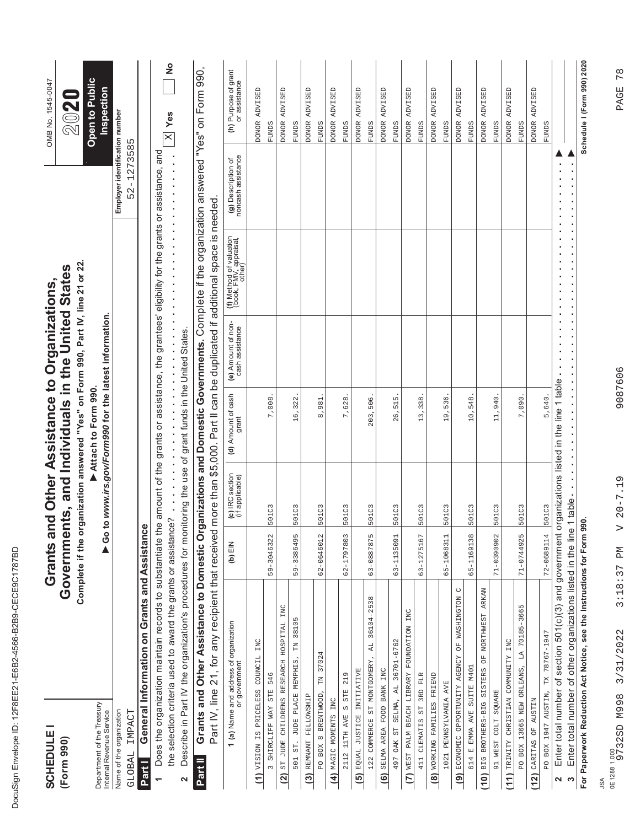| ı<br>۱           |
|------------------|
| ĺ<br>١<br>ı      |
| ¢                |
| Ç<br>ı           |
| ١<br>l           |
| Ó                |
| ĺ<br>O           |
| I<br>¢           |
| ı<br>ı<br>١      |
| Í<br>I           |
| d<br>I<br>l      |
| Ì<br>١           |
| ı<br>I           |
| ı                |
| Ì<br>ı           |
| l<br>ı<br>I<br>l |
| Ì                |
| ı<br>١           |
| Í                |
|                  |
| ı<br>١           |
|                  |
| 1                |
| ١                |
| Ï<br>֠           |
|                  |
| ı                |

| <b>SCHEDULE</b><br>(Form 990)                                             |                                                                                                                                                                                                                            | Complete if the or<br>Grants a |                                    | ganization answered "Yes" on Form 990, Part IV, line 21 or 22.<br>Governments, and Individuals in the United States<br>nd Other Assistance to Organizations, |                                                                         |                                                             |                                                     | OMB No. 1545-0047<br>2020               |
|---------------------------------------------------------------------------|----------------------------------------------------------------------------------------------------------------------------------------------------------------------------------------------------------------------------|--------------------------------|------------------------------------|--------------------------------------------------------------------------------------------------------------------------------------------------------------|-------------------------------------------------------------------------|-------------------------------------------------------------|-----------------------------------------------------|-----------------------------------------|
| Department of the Treasury<br>Internal Revenue Service                    |                                                                                                                                                                                                                            | 60                             |                                    | to www.irs.gov/Form990 for the latest information.<br>Attach to Form 990.                                                                                    |                                                                         |                                                             |                                                     | Open to Public<br>Inspection            |
| IMPACT<br>Name of the organization<br>GLOBAL                              |                                                                                                                                                                                                                            |                                |                                    |                                                                                                                                                              |                                                                         |                                                             | Employer identification number<br>1273585<br>$52 -$ |                                         |
| Part I                                                                    | General Information on Grants and Assistance                                                                                                                                                                               |                                |                                    |                                                                                                                                                              |                                                                         |                                                             |                                                     |                                         |
| $\overline{\phantom{0}}$                                                  | Does the organization maintain records to substantiate the amount of the grants or assistance, the grantees' eligibility for the grants or assistance, and<br>the selection criteria used to award the grants or assistanc |                                | $\cdots \cdots$                    |                                                                                                                                                              | $\begin{array}{c} \bullet \\ \bullet \\ \bullet \\ \bullet \end{array}$ |                                                             |                                                     | $\frac{1}{2}$<br>Yes<br>$\times$        |
| 2                                                                         | Describe in Part IV the organization's procedures for monitoring the use of grant funds in the United States.                                                                                                              |                                |                                    |                                                                                                                                                              |                                                                         |                                                             |                                                     |                                         |
| Part II                                                                   | Grants and Other Assistance to Domestic Organizations and Domestic Governments. Complete if the organization answered "Yes" on Form 990,<br>Part IV, line 21, for any recipient that received                              |                                | more than \$5,000.                 |                                                                                                                                                              |                                                                         | Part II can be duplicated if additional space is needed     |                                                     |                                         |
|                                                                           | <b>1 (a)</b> Name and address of organization                                                                                                                                                                              | (b) $EIN$                      | (c) IRC section<br>(if applicable) | (d) Amount of cash<br>grant                                                                                                                                  | (e) Amount of non-<br>cash assistance                                   | (f) Method of valuation<br>(book, FMV, appraisal,<br>other) | (g) Description of<br>noncash assistance            | (h) Purpose of grant<br>or assistance   |
| (1) VISION IS PRICELESS COUNCIL INC                                       |                                                                                                                                                                                                                            |                                |                                    |                                                                                                                                                              |                                                                         |                                                             |                                                     | ADVISED<br><b>DONOR</b>                 |
| SHIRCLIFF WAY STE                                                         | 546                                                                                                                                                                                                                        | 59-3046322                     | 501C3                              | 7,008                                                                                                                                                        |                                                                         |                                                             |                                                     | <b>FUNDS</b>                            |
| 57<br>$\widetilde{a}$                                                     | INC<br>JUDE CHILDRENS RESEARCH HOSPITAL                                                                                                                                                                                    |                                |                                    |                                                                                                                                                              |                                                                         |                                                             |                                                     | ADVISED<br><b>DONOR</b>                 |
| 501 ST. JUDE PLACE MEMPHIS,                                               | TN 38105                                                                                                                                                                                                                   | 59-3386495                     | 501C3                              | 16,322                                                                                                                                                       |                                                                         |                                                             |                                                     | <b>FUNDS</b>                            |
| (3) REMOANT FELLOWSHIP                                                    |                                                                                                                                                                                                                            |                                |                                    |                                                                                                                                                              |                                                                         |                                                             |                                                     | ADVISED<br><b>DONOR</b>                 |
| PO BOX 8 BRENTWOOD,                                                       | 37024<br>$\overline{\text{M}}$                                                                                                                                                                                             | 62-0646012                     | 501C3                              | 8,981                                                                                                                                                        |                                                                         |                                                             |                                                     | <b>FUNDS</b>                            |
| (4) MAGN OLD MONENTS INC                                                  |                                                                                                                                                                                                                            |                                |                                    |                                                                                                                                                              |                                                                         |                                                             |                                                     | <b>ADVISED</b><br><b>DONOR</b>          |
| 2112 11TH AVE S STE                                                       | 219                                                                                                                                                                                                                        | 62-1797803                     | 501C3                              | 7,628                                                                                                                                                        |                                                                         |                                                             |                                                     | <b>FUNDS</b>                            |
| 122 COMMERCE ST MONTGOMERY,<br>EQUAL JUSTICE INITIATIVE<br>$\overline{5}$ | AL 36104-2538                                                                                                                                                                                                              | 63-0887875                     | 501C3                              | 203,506                                                                                                                                                      |                                                                         |                                                             |                                                     | ADVISED<br><b>DONOR</b><br><b>FUNDS</b> |
| (6) SELMA AREA FOOD BANK INC                                              |                                                                                                                                                                                                                            |                                |                                    |                                                                                                                                                              |                                                                         |                                                             |                                                     | ADVISED<br><b>DONOR</b>                 |
| 497 OAK ST SELMA, AL 36701-6762                                           |                                                                                                                                                                                                                            | 63-1135091                     | 501C3                              | 26,515                                                                                                                                                       |                                                                         |                                                             |                                                     | <b>FUNDS</b>                            |
| (7) WEST PALM BEACH LIBRARY FOUNDATION                                    | INC                                                                                                                                                                                                                        |                                |                                    |                                                                                                                                                              |                                                                         |                                                             |                                                     | ADVISED<br><b>DONOR</b>                 |
| CLEMATIS ST 3RD FLR<br>411                                                |                                                                                                                                                                                                                            | 63-1275167                     | 501C3                              | 13,338                                                                                                                                                       |                                                                         |                                                             |                                                     | <b>FUNDS</b>                            |
| WORKING FAMILIES FRIEND<br>$\circledast$                                  |                                                                                                                                                                                                                            |                                |                                    |                                                                                                                                                              |                                                                         |                                                             |                                                     | ADVISED<br><b>DONOR</b>                 |
| 1021 PENNSYLVANIA AVE                                                     |                                                                                                                                                                                                                            | 65-1068311                     | 501C3                              | 19,536                                                                                                                                                       |                                                                         |                                                             |                                                     | <b>FUNDS</b>                            |
| ECONOMOTO PORTUNITY AGENCY<br>$\widehat{\mathbf{e}}$                      | $\cup$<br><b>WASHINGTON</b><br>FJ<br>O                                                                                                                                                                                     |                                |                                    |                                                                                                                                                              |                                                                         |                                                             |                                                     | ADVISED<br><b>DONOR</b>                 |
| 614 E EMMA AVE SUITE M401                                                 |                                                                                                                                                                                                                            | 65-1169138                     | 501C3                              | 10,548                                                                                                                                                       |                                                                         |                                                             |                                                     | <b>FUNDS</b>                            |
|                                                                           | (10) BIG BROTHERS-BIG SISTERS OF NORTHWEST ARKAN                                                                                                                                                                           |                                |                                    |                                                                                                                                                              |                                                                         |                                                             |                                                     | ADVISED<br><b>DONOR</b>                 |
| 91 WEST COLT SQUARE                                                       |                                                                                                                                                                                                                            | 71-0390902                     | 501C3                              | 11,940                                                                                                                                                       |                                                                         |                                                             |                                                     | <b>FUNDS</b>                            |
| TRINITY CHRISTIAN COMMUNITY INC<br>(11)                                   |                                                                                                                                                                                                                            |                                |                                    |                                                                                                                                                              |                                                                         |                                                             |                                                     | ADVISED<br><b>DONOR</b>                 |
|                                                                           | PO BOX 13665 NEW ORLEANS, LA 70185-3665                                                                                                                                                                                    | 71-0744925                     | 501C3                              | 7,090.                                                                                                                                                       |                                                                         |                                                             |                                                     | <b>EUNDS</b>                            |
| CARITAS OF AUSTIN<br>(12)                                                 |                                                                                                                                                                                                                            |                                |                                    |                                                                                                                                                              |                                                                         |                                                             |                                                     | ADVISED<br><b>DONOR</b>                 |
| PO BOX 1947 AUSTIN, TX 78767-1947                                         |                                                                                                                                                                                                                            | 72-0689114                     | 501C3                              | 5,640.                                                                                                                                                       |                                                                         |                                                             |                                                     | <b>FUNDS</b>                            |
| 2                                                                         | Enter total number of section 501(c)(3) and government organizations listed in the line 1 table                                                                                                                            |                                |                                    |                                                                                                                                                              | ×<br>þ,                                                                 | ×                                                           |                                                     |                                         |
| S                                                                         | Enter total number of other organizations listed in the line                                                                                                                                                               |                                | 1 table                            |                                                                                                                                                              |                                                                         |                                                             |                                                     |                                         |
|                                                                           | For Paperwork Reduction Act Notice, see the Instructions for Form 990.                                                                                                                                                     |                                |                                    |                                                                                                                                                              |                                                                         |                                                             |                                                     | Schedule I (Form 990) 2020              |
| <b>JSA</b>                                                                |                                                                                                                                                                                                                            |                                |                                    |                                                                                                                                                              |                                                                         |                                                             |                                                     |                                         |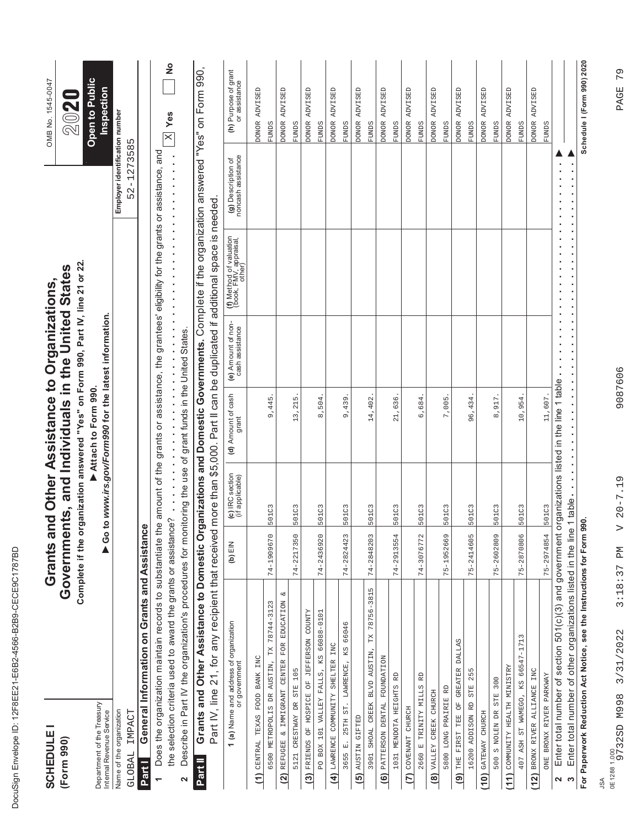| ı<br>۱                                                                                                                         |
|--------------------------------------------------------------------------------------------------------------------------------|
| ĺ<br>١<br>ı                                                                                                                    |
| ¢                                                                                                                              |
| Ç<br>ı                                                                                                                         |
| ١<br>l                                                                                                                         |
| Ó                                                                                                                              |
| ĺ<br>O                                                                                                                         |
| I<br>¢                                                                                                                         |
| ı<br>ı<br>١                                                                                                                    |
| Í<br><b>STATE OF STATE OF STATE OF STATE OF STATE OF STATE OF STATE OF STATE OF STATE OF STATE OF STATE OF STATE OF S</b><br>I |
| d<br>I<br>l                                                                                                                    |
| Ì<br>١                                                                                                                         |
| ı<br>I                                                                                                                         |
| ı                                                                                                                              |
| Ì<br>ı                                                                                                                         |
| l<br>ı<br>I<br>l                                                                                                               |
| Ì                                                                                                                              |
| ı<br>١                                                                                                                         |
| Í                                                                                                                              |
|                                                                                                                                |
| ı<br>١                                                                                                                         |
|                                                                                                                                |
| 1                                                                                                                              |
| ١                                                                                                                              |
| Ï<br>֠                                                                                                                         |
|                                                                                                                                |
| ı                                                                                                                              |

| Department of the Treasury<br><b>SCHEDULE</b><br>(Form 990) |                                                                                                                                                                                               |                        |                                    | Complete if the organization answered "Yes" on Form 990, Part IV, line 21 or 22.<br>Governments, and Individuals in the United States<br>Grants and Other Assistance to Organizations,<br>Attach to Form 990. |                                       |                                                                            |                                          | <b>Open to Public</b><br>OMB No. 1545-0047<br>2020 |
|-------------------------------------------------------------|-----------------------------------------------------------------------------------------------------------------------------------------------------------------------------------------------|------------------------|------------------------------------|---------------------------------------------------------------------------------------------------------------------------------------------------------------------------------------------------------------|---------------------------------------|----------------------------------------------------------------------------|------------------------------------------|----------------------------------------------------|
| Name of the organization<br>Internal Revenue Service        |                                                                                                                                                                                               |                        |                                    | Go to www.irs.gov/Form990 for the latest information.                                                                                                                                                         |                                       |                                                                            | Employer identification number           | Inspection                                         |
| IMPACT<br>GLOBAL<br>Part I                                  | General Information on Grants and Assistance                                                                                                                                                  |                        |                                    |                                                                                                                                                                                                               |                                       |                                                                            | $-1273585$<br>52                         |                                                    |
| ÷                                                           | Does the organization maintain records to substantiate the amount of the grants or assistance, the grantees' eligibility for the grants or assistance, and                                    |                        |                                    |                                                                                                                                                                                                               |                                       |                                                                            |                                          |                                                    |
|                                                             | the selection criteria used to award the grants or assistance?                                                                                                                                |                        | .                                  | $\frac{1}{2}$                                                                                                                                                                                                 |                                       | ä,<br>,,,,,,,,,,,,,,,,                                                     | .<br>$\frac{1}{2}$                       | $rac{6}{5}$<br>$\mathbb{X}$ Yes                    |
| 2                                                           | Describe in Part IV the organization's procedures for monitoring the use of grant funds in the United States.                                                                                 |                        |                                    |                                                                                                                                                                                                               |                                       |                                                                            |                                          |                                                    |
| Part II                                                     | Grants and Other Assistance to Domestic Organizations and Domestic Governments. Complete if the organization answered "Yes" on Form 990,<br>Part IV, line 21, for any recipient that received |                        |                                    |                                                                                                                                                                                                               |                                       | more than \$5,000. Part II can be duplicated if additional space is needed |                                          |                                                    |
|                                                             | <b>1 (a)</b> Name and address of organization<br>or government                                                                                                                                | (b) $EIN$              | (c) IRC section<br>(if applicable) | (d) Amount of cash<br>grant                                                                                                                                                                                   | (e) Amount of non-<br>cash assistance | (f) Method of valuation<br>(book, FMV, appraisal,<br>other)                | (g) Description of<br>noncash assistance | (h) Purpose of grant<br>or assistance              |
| (1) CENTRAL TEXAS FOOD BANK INC                             |                                                                                                                                                                                               |                        |                                    |                                                                                                                                                                                                               |                                       |                                                                            |                                          | DONOR ADVISED                                      |
| 6500 METROPOLIS DR AUSTIN,                                  | 78744-3123<br>$\mathbb{R}^2$                                                                                                                                                                  | 74-1909670             | 501C3                              | 9,445                                                                                                                                                                                                         |                                       |                                                                            |                                          | <b>FUNDS</b>                                       |
| $\widetilde{a}$                                             | z<br>REFUGEE & IMMIGRANT CENTER FOR EDUCATION                                                                                                                                                 |                        |                                    |                                                                                                                                                                                                               |                                       |                                                                            |                                          | ADVISED<br><b>DONOR</b>                            |
| 5121 CRESTWAY DR STE 105                                    |                                                                                                                                                                                               | 74-2217350             | 501C3                              | 13,215                                                                                                                                                                                                        |                                       |                                                                            |                                          | <b>FUNDS</b>                                       |
| $\overline{c}$                                              | FRIENDS OF HOSPICE OF JEFFERSON COUNTY                                                                                                                                                        |                        |                                    |                                                                                                                                                                                                               |                                       |                                                                            |                                          | ADVISED<br><b>DONOR</b>                            |
|                                                             | PO BOX 101 VALLEY FALLS, KS 66088-0101                                                                                                                                                        | 74-2436920             | 501C3                              | 504<br>$\infty$                                                                                                                                                                                               |                                       |                                                                            |                                          | <b>FUNDS</b>                                       |
| (4) LAWRENCE COMMUNITY SHELTER INC<br>3655 E. 25TH ST.      | LAWRENCE, KS 66046                                                                                                                                                                            | 74-2824423             | 501C3                              | 9,439                                                                                                                                                                                                         |                                       |                                                                            |                                          | ADVISED<br><b>DONOR</b><br><b>FUNDS</b>            |
| (5) AUSTIN GIFTED                                           |                                                                                                                                                                                               |                        |                                    |                                                                                                                                                                                                               |                                       |                                                                            |                                          | ADVISED<br><b>DONOR</b>                            |
| 3901 SHOAL CREEK BLVD AUSTIN,                               | TX 78756-3815                                                                                                                                                                                 | 74-2848203             | 501C3                              | 14,402                                                                                                                                                                                                        |                                       |                                                                            |                                          | <b>FUNDS</b>                                       |
| (6) PATTERSON DENTAL FOUNDATION                             |                                                                                                                                                                                               |                        |                                    |                                                                                                                                                                                                               |                                       |                                                                            |                                          | ADVISED<br><b>DONOR</b>                            |
| 1031 MENDOTA HEIGHTS RD                                     |                                                                                                                                                                                               | 74-2913554             | 501C3                              | 21,636                                                                                                                                                                                                        |                                       |                                                                            |                                          | <b>FUNDS</b>                                       |
| COVENANT CHURCH<br>$\overline{c}$                           |                                                                                                                                                                                               |                        |                                    |                                                                                                                                                                                                               |                                       |                                                                            |                                          | DONOR ADVISED                                      |
| 2660 E TRINITY MILLS                                        | $\mathbb R$                                                                                                                                                                                   | 74-3076772             | 501C3                              | ,684<br>$\circ$                                                                                                                                                                                               |                                       |                                                                            |                                          | <b>FUNDS</b>                                       |
| (8) VALLEY CREEK CHURCH                                     |                                                                                                                                                                                               |                        |                                    |                                                                                                                                                                                                               |                                       |                                                                            |                                          | ADVISED<br><b>DONOR</b>                            |
| 5800 LONG PRAIRIE RD                                        |                                                                                                                                                                                               | 75-1952669             | 501C3                              | 7,005                                                                                                                                                                                                         |                                       |                                                                            |                                          | <b>FUNDS</b>                                       |
| THE FIRST TEE OF GREATER DALLAS<br>$\widehat{\mathbf{e}}$   |                                                                                                                                                                                               |                        |                                    |                                                                                                                                                                                                               |                                       |                                                                            |                                          | ADVISED<br><b>DONOR</b>                            |
| 16200 ADDISON RD STE 255                                    |                                                                                                                                                                                               | 75-2414605             | 501C3                              | 96,434.                                                                                                                                                                                                       |                                       |                                                                            |                                          | <b>FUNDS</b>                                       |
| 500 S NOLEN DR STE 300<br>GATEWAY CHURCH<br>(10)            |                                                                                                                                                                                               | 75-2602809             | 501C3                              | 8,917                                                                                                                                                                                                         |                                       |                                                                            |                                          | ADVISED<br><b>DONOR</b><br><b>FUNDS</b>            |
| COMUNITY HEALTH MINISTRY<br>(11)                            |                                                                                                                                                                                               |                        |                                    |                                                                                                                                                                                                               |                                       |                                                                            |                                          | ADVISED<br><b>DONOR</b>                            |
| 407 ASH ST WAMEGO, KS 66547-1713                            |                                                                                                                                                                                               | 75-2870806             | 501C3                              | 10,954.                                                                                                                                                                                                       |                                       |                                                                            |                                          | <b>FUNDS</b>                                       |
| BRONX RIVER ALLIANCE<br>(12)                                | INC                                                                                                                                                                                           |                        |                                    |                                                                                                                                                                                                               |                                       |                                                                            |                                          | ADVISED<br><b>PONOR</b>                            |
| ONE BRONX RIVER PARKWAY                                     |                                                                                                                                                                                               | 75-2974854             | 501C3                              | 11,607.                                                                                                                                                                                                       |                                       |                                                                            |                                          | <b>FUNDS</b>                                       |
| 2<br>S                                                      | Enter total number of section 501(c)(3) and government organizations listed in the line 1 table<br>Enter total number of other organizations listed in the line                               |                        | 1 table                            |                                                                                                                                                                                                               |                                       |                                                                            |                                          |                                                    |
|                                                             | For Paperwork Reduction Act Notice, see the Instructions for Form 990.                                                                                                                        |                        |                                    |                                                                                                                                                                                                               |                                       |                                                                            |                                          | Schedule I (Form 990) 2020                         |
| JSA                                                         |                                                                                                                                                                                               |                        |                                    |                                                                                                                                                                                                               |                                       |                                                                            |                                          |                                                    |
| 0E12881.000<br>9732SD M998                                  | 3:18:37<br>3/31/2022                                                                                                                                                                          | $\triangleright$<br>Md | $20 - 7.19$                        | 9087606                                                                                                                                                                                                       |                                       |                                                                            |                                          | 79<br>PAGE                                         |
|                                                             |                                                                                                                                                                                               |                        |                                    |                                                                                                                                                                                                               |                                       |                                                                            |                                          |                                                    |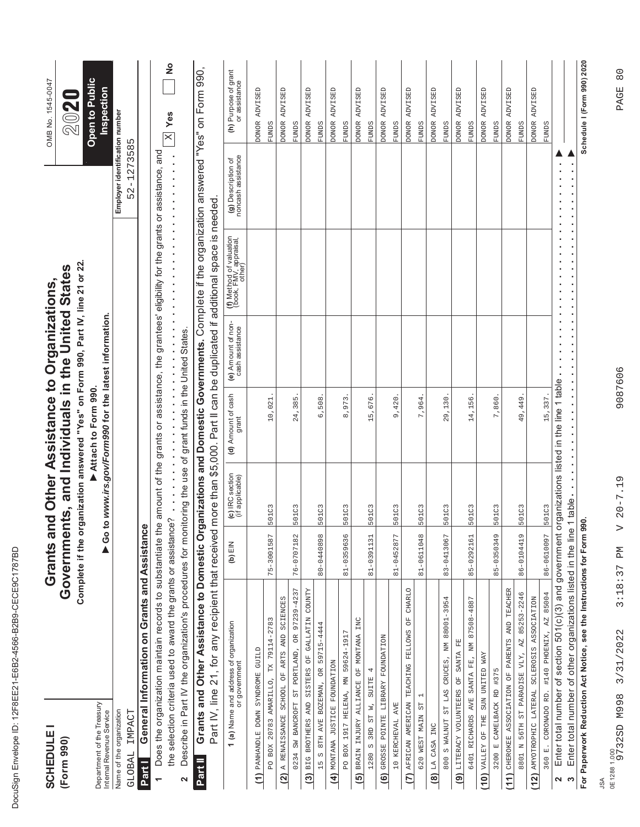| ı<br>۱           |
|------------------|
| ĺ<br>١<br>ı      |
| ¢                |
| Ç<br>ı           |
| ١<br>l           |
| Ó                |
| ĺ<br>O           |
| I<br>¢           |
| ı<br>ı<br>١      |
| Í<br>I           |
| d<br>I<br>l      |
| Ì<br>١           |
| ı<br>I           |
| ı                |
| Ì<br>ı           |
| l<br>ı<br>I<br>l |
| Ì                |
| ı<br>١           |
| Í                |
|                  |
| ı<br>١           |
|                  |
| 1                |
| ١                |
| Ï<br>֠           |
|                  |
| ı                |

| <b>SCHEDULE</b><br>(Form 990)                              |                                                                                                                                                                 | Grants an              |                                    | Complete if the organization answered "Yes" on Form 990, Part IV, line 21 or 22<br>Governments, and Individuals in the United States<br>d Other Assistance to Organizations, |                                                    |                                                                                                 |                                                       | OMB No. 1545-0047<br>202              |
|------------------------------------------------------------|-----------------------------------------------------------------------------------------------------------------------------------------------------------------|------------------------|------------------------------------|------------------------------------------------------------------------------------------------------------------------------------------------------------------------------|----------------------------------------------------|-------------------------------------------------------------------------------------------------|-------------------------------------------------------|---------------------------------------|
| Department of the Treasury<br>Internal Revenue Service     |                                                                                                                                                                 |                        |                                    | Go to www.irs.gov/Form990 for the latest information.<br>Attach to Form 990.                                                                                                 |                                                    |                                                                                                 |                                                       | Open to Public<br>Inspection          |
| IMPACT<br>Name of the organization<br>GLOBAL               |                                                                                                                                                                 |                        |                                    |                                                                                                                                                                              |                                                    |                                                                                                 | Employer identification number<br>$2 - 1273585$<br>Ь٦ |                                       |
| <b>Part I</b>                                              | General Information on Grants and Assistance                                                                                                                    |                        |                                    |                                                                                                                                                                              |                                                    |                                                                                                 |                                                       |                                       |
| $\overline{ }$                                             | Does the organization maintain records to substantiate the                                                                                                      |                        |                                    |                                                                                                                                                                              |                                                    | amount of the grants or assistance, the grantees' eligibility for the grants or assistance, and |                                                       | $\mathbb{X}$ Yes                      |
| 2                                                          | the selection criteria used to award the grants or assistance?                                                                                                  |                        |                                    |                                                                                                                                                                              |                                                    |                                                                                                 |                                                       | $rac{8}{1}$                           |
| Part II                                                    | Grants and Other Assistance to Domestic Organizations and Domestic Governments. Complete if the organization answered "Yes" on Form 990,                        |                        |                                    |                                                                                                                                                                              |                                                    |                                                                                                 |                                                       |                                       |
|                                                            | Part IV, line 21, for any recipient that received more than \$5,000. Part II can be duplicated if additional space is needed.                                   |                        |                                    |                                                                                                                                                                              |                                                    |                                                                                                 |                                                       |                                       |
|                                                            | <b>1 (a)</b> Name and address of organization<br>or government                                                                                                  | (b) EIN                | (c) IRC section<br>(if applicable) | (d) Amount of cash<br>grant                                                                                                                                                  | (e) Amount of non-<br>cash assistance              | (f) Method of valuation<br>(book, FMV, appraisal,<br>other)                                     | (g) Description of<br>noncash assistance              | (h) Purpose of grant<br>or assistance |
| (1) PANHANDLE DOWN SYNDROME GUILD                          |                                                                                                                                                                 |                        |                                    |                                                                                                                                                                              |                                                    |                                                                                                 |                                                       | <b>DONOR ADVISED</b>                  |
| PO BOX 20783 AMARILLO,                                     | TX 79114-2783                                                                                                                                                   | 75-3001587             | 501C3                              | 10,021                                                                                                                                                                       |                                                    |                                                                                                 |                                                       | <b>FUNDS</b>                          |
| (2)                                                        | A RENAISSANCE SCHOOL OF ARTS AND SCIENCES                                                                                                                       |                        |                                    |                                                                                                                                                                              |                                                    |                                                                                                 |                                                       | ADVISED<br><b>DONOR</b>               |
|                                                            | 0234 SW BANCROFT ST PORTLAND, OR 97239-4237                                                                                                                     | 76-0707182             | 501C3                              | 24,385                                                                                                                                                                       |                                                    |                                                                                                 |                                                       | <b>FUNDS</b>                          |
|                                                            | (3) BIG BROTHERS AND SISTERS OF GALLATIN COUNTY                                                                                                                 |                        |                                    |                                                                                                                                                                              |                                                    |                                                                                                 |                                                       | ADVISED<br><b>DONOR</b>               |
| 15 S 8TH AVE BOZEMAN, OR 59715-4444                        |                                                                                                                                                                 | 80-0440898             | 501C3                              | 6,508                                                                                                                                                                        |                                                    |                                                                                                 |                                                       | <b>FUNDS</b>                          |
| MONTANA JUSTICE FOUNDATION                                 |                                                                                                                                                                 |                        |                                    |                                                                                                                                                                              |                                                    |                                                                                                 |                                                       | ADVISED<br><b>DONOR</b>               |
| PO BOX 1917 HELENA, MN 59624-1917                          |                                                                                                                                                                 | 81-0359636             | 501C3                              | 8,973                                                                                                                                                                        |                                                    |                                                                                                 |                                                       | <b>FUNDS</b>                          |
| (5) BRAIN INJURY ALLIANCE OF MONTANA INC                   |                                                                                                                                                                 |                        |                                    |                                                                                                                                                                              |                                                    |                                                                                                 |                                                       | DONOR ADVISED                         |
| S 3RD ST W,<br>1280                                        | 4<br><b>SUITE</b>                                                                                                                                               | 81-0391131             | 501C3                              | 15,676                                                                                                                                                                       |                                                    |                                                                                                 |                                                       | <b>FUNDS</b>                          |
| GROSSE POINTE LIBRARY FOUNDATION<br>$\widehat{\mathbf{e}}$ |                                                                                                                                                                 |                        |                                    |                                                                                                                                                                              |                                                    |                                                                                                 |                                                       | ADVISED<br><b>DONOR</b>               |
| 10 KERCHEVAL AVE                                           |                                                                                                                                                                 | 81-0452877             | 501C3                              | 9,420                                                                                                                                                                        |                                                    |                                                                                                 |                                                       | <b>EUNDS</b>                          |
| AFRICAN AMERICAN<br>$\tilde{c}$                            | <b>CHARLO</b><br>TEACHING FELLOWS OF                                                                                                                            |                        |                                    |                                                                                                                                                                              |                                                    |                                                                                                 |                                                       | ADVISED<br><b>DONOR</b>               |
| $\overline{\phantom{a}}$<br>55<br>620 WEST MAIN            |                                                                                                                                                                 | 81-0611048             | 501C3                              | 7,964                                                                                                                                                                        |                                                    |                                                                                                 |                                                       | <b>FUNDS</b>                          |
| $(8)$ LA CASA INC                                          |                                                                                                                                                                 |                        |                                    |                                                                                                                                                                              |                                                    |                                                                                                 |                                                       | ADVISED<br><b>DONOR</b>               |
|                                                            | 800 S WALNUT ST LAS CRUCES, NM 88001-3954                                                                                                                       | 83-0413067             | 501C3                              | 29,130                                                                                                                                                                       |                                                    |                                                                                                 |                                                       | <b>FUNDS</b>                          |
| LITERACY VOLUNTEERS OF SANTA FE<br>$\widehat{\mathbf{e}}$  |                                                                                                                                                                 |                        |                                    |                                                                                                                                                                              |                                                    |                                                                                                 |                                                       | ADVISED<br><b>DONOR</b>               |
|                                                            | 6401 RICHARDS AVE SANTA FE, NM 87508-4887                                                                                                                       | 85-0292161             | 501C3                              | 14,156                                                                                                                                                                       |                                                    |                                                                                                 |                                                       | <b>FUNDS</b>                          |
| AVA CELIMO MOS EHL JO ATTIVA<br>(10)                       |                                                                                                                                                                 |                        |                                    |                                                                                                                                                                              |                                                    |                                                                                                 |                                                       | ADVISED<br><b>DONOR</b>               |
| 3200 E CAMELBACK RD #375                                   |                                                                                                                                                                 | 85-0350349             | 501C3                              | 7,860                                                                                                                                                                        |                                                    |                                                                                                 |                                                       | <b>FUNDS</b>                          |
| (11)                                                       | CHEROKEE ASSOCIATION OF PARENTS AND TEACHER                                                                                                                     |                        |                                    |                                                                                                                                                                              |                                                    |                                                                                                 |                                                       | ADVISED<br><b>DONOR</b>               |
| 8801                                                       | N 56TH ST PARADISE VLY, AZ 85253-2246                                                                                                                           | 86-0104419             | 501C3                              | 49, 449.                                                                                                                                                                     |                                                    |                                                                                                 |                                                       | <b>FUNDS</b>                          |
| (12)                                                       | AMYOTROPHIC LATERAL SCLEROSIS ASSOCIATION                                                                                                                       |                        |                                    |                                                                                                                                                                              |                                                    |                                                                                                 |                                                       | DONOR ADVISED                         |
|                                                            | 360 E. CORONADO RD. #140 PHOENIX, AZ 85004                                                                                                                      | 86-0610097             | 501C3                              | 15, 337.                                                                                                                                                                     |                                                    |                                                                                                 |                                                       | <b>FUNDS</b>                          |
| S<br>2                                                     | Enter total number of section 501(c)(3) and government organizations listed in the line 1 table<br>Enter total number of other organizations listed in the line |                        | 1 table.                           | ×                                                                                                                                                                            | $\blacksquare$<br>$\blacksquare$<br>$\blacksquare$ |                                                                                                 | ×                                                     |                                       |
|                                                            | For Paperwork Reduction Act Notice, see the Instructions for Form 990.                                                                                          |                        |                                    |                                                                                                                                                                              |                                                    |                                                                                                 |                                                       | Schedule I (Form 990) 2020            |
| JSA                                                        |                                                                                                                                                                 |                        |                                    |                                                                                                                                                                              |                                                    |                                                                                                 |                                                       |                                       |
| 0E1288 1.000<br>9732SD M998                                | 3:18:37<br>3/31/2022                                                                                                                                            | $\triangleright$<br>ЫĀ | $20 - 7.19$                        | 9087606                                                                                                                                                                      |                                                    |                                                                                                 |                                                       | $\frac{0}{8}$<br>PAGE                 |
|                                                            |                                                                                                                                                                 |                        |                                    |                                                                                                                                                                              |                                                    |                                                                                                 |                                                       |                                       |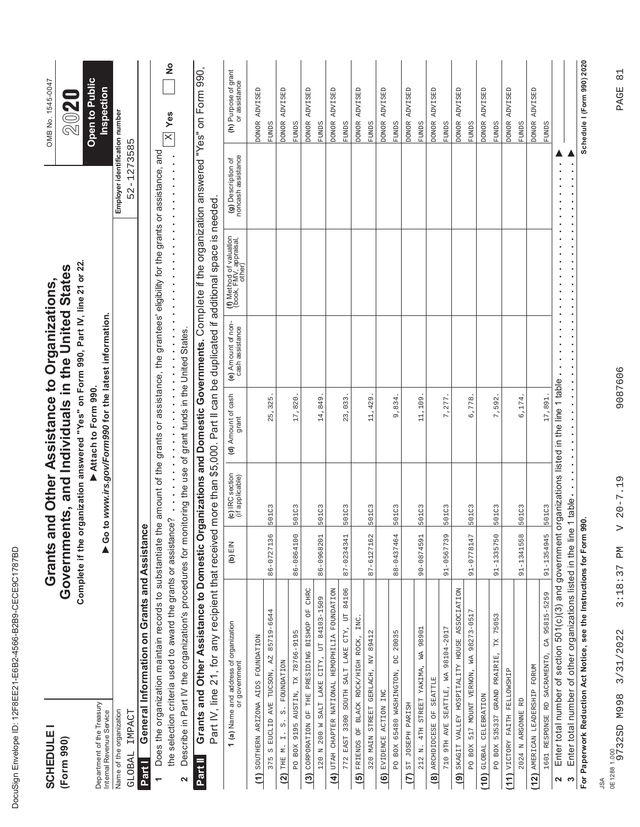| Ĺ<br>J                                                                                                              |
|---------------------------------------------------------------------------------------------------------------------|
| ĺ<br>١<br>ı                                                                                                         |
| d<br>ı                                                                                                              |
| O<br>۱                                                                                                              |
| ١                                                                                                                   |
| l<br>¢<br>l                                                                                                         |
| I<br>¢                                                                                                              |
| I<br>١                                                                                                              |
| Í<br>ı<br>١                                                                                                         |
| ı                                                                                                                   |
| Ì<br>d                                                                                                              |
| I<br>l                                                                                                              |
| Ì<br>I                                                                                                              |
| ı<br>¢                                                                                                              |
| ĺ<br>ı                                                                                                              |
| l<br>I<br>l<br>J<br>l                                                                                               |
| I                                                                                                                   |
| Ì                                                                                                                   |
| ı<br>Ó                                                                                                              |
| ı<br>Ì                                                                                                              |
|                                                                                                                     |
| ı<br>١                                                                                                              |
|                                                                                                                     |
| ĺ<br>and the state of the state of the state of the state of the state of the state of the state of the state of th |
|                                                                                                                     |
| ١<br>Ó<br>֠                                                                                                         |
|                                                                                                                     |
| ı                                                                                                                   |

| <b>SCHEDULE</b><br>(Form 990)                                                                                                                                                        |                                  | Grants a   |                                    | Complete if the organization answered "Yes" on Form 990, Part IV, line 21 or 22.<br>Governments, and Individuals in the United States<br>nd Other Assistance to Organizations, |                                       |                                                                             |                                                                                                             | OMB No. 1545-0047<br>2020             |
|--------------------------------------------------------------------------------------------------------------------------------------------------------------------------------------|----------------------------------|------------|------------------------------------|--------------------------------------------------------------------------------------------------------------------------------------------------------------------------------|---------------------------------------|-----------------------------------------------------------------------------|-------------------------------------------------------------------------------------------------------------|---------------------------------------|
| Department of the Treasury<br>Internal Revenue Service                                                                                                                               |                                  | 60         |                                    | to www.irs.gov/Form990 for the latest information.<br>Attach to Form 990.                                                                                                      |                                       |                                                                             |                                                                                                             | <b>Open to Public</b><br>Inspection   |
| Name of the organization<br>IMPACT<br>GLOBAL                                                                                                                                         |                                  |            |                                    |                                                                                                                                                                                |                                       |                                                                             | Employer identification number<br>52-1273585                                                                |                                       |
| General Information on Grants and Assistanc<br><b>Part I</b>                                                                                                                         |                                  | بهِ        |                                    |                                                                                                                                                                                |                                       |                                                                             |                                                                                                             |                                       |
| Does the organization maintain records to substantiate the amount of the grants or assistance, the grantees' eligibility for the grants or assistance, and                           |                                  |            |                                    |                                                                                                                                                                                |                                       |                                                                             |                                                                                                             |                                       |
| Describe in Part IV the organization's procedures for monitoring the use of grant funds in the United States.<br>the selection criteria used to award the grants or assistance?<br>2 |                                  |            |                                    | .                                                                                                                                                                              |                                       | $\frac{1}{2}$                                                               | $\ddot{\cdot}$<br>$\begin{array}{c} \bullet \\ \bullet \\ \bullet \\ \bullet \end{array}$<br>$\ddot{\cdot}$ | $\frac{1}{2}$<br>$X$ Yes              |
| Grants and Other Assistance to Domestic Organizations and Domestic Governments. Complete if the organization answered "Yes" on Form 990,<br>Part II                                  |                                  |            |                                    |                                                                                                                                                                                |                                       |                                                                             |                                                                                                             |                                       |
| Part IV, line 21, for any recipient that received                                                                                                                                    |                                  |            |                                    |                                                                                                                                                                                |                                       | more than \$5,000. Part II can be duplicated if additional space is needed. |                                                                                                             |                                       |
| <b>1 (a)</b> Name and address of organization<br>or government                                                                                                                       |                                  | (b) $EIN$  | (c) IRC section<br>(if applicable) | (d) Amount of cash<br>grant                                                                                                                                                    | (e) Amount of non-<br>cash assistance | (f) Method of valuation<br>(book, FMV, appraisal,<br>other)                 | (g) Description of<br>noncash assistance                                                                    | (h) Purpose of grant<br>or assistance |
| (1) SOUTHERN ARIZONA AIDS FOUNDATION                                                                                                                                                 |                                  |            |                                    |                                                                                                                                                                                |                                       |                                                                             |                                                                                                             | DONOR ADVISED                         |
| EUCLID AVE TUCSON, AZ<br>$\omega$                                                                                                                                                    | 85719-6644                       | 86-0727136 | 501C3                              | 25,325                                                                                                                                                                         |                                       |                                                                             |                                                                                                             | <b>FUNDS</b>                          |
| FOUNDATION<br>$\ddot{\circ}$<br>$\ddot{\circ}$<br>$\vec{r}$<br>THE M.<br>$\overline{2}$                                                                                              |                                  |            |                                    |                                                                                                                                                                                |                                       |                                                                             |                                                                                                             | <b>ADVISED</b><br><b>DONOR</b>        |
| PO BOX 9195 AUSTIN, TX 78766-9195                                                                                                                                                    |                                  | 86-0864100 | 501C3                              | 17,820                                                                                                                                                                         |                                       |                                                                             |                                                                                                             | <b>FUNDS</b>                          |
| CORPORATION OF THE PRESIDING BISHOP OF CHRC<br>120 N 200 W SALT LAKE CITY, UT 84103-1509<br>(3)                                                                                      |                                  | 86-0968201 | 501C3                              | 14,849                                                                                                                                                                         |                                       |                                                                             |                                                                                                             | DONOR ADVISED<br><b>FUNDS</b>         |
| (4) UTAH CHAPTER NATIONAL HEMOPHILIA FOUNDATION                                                                                                                                      |                                  |            |                                    |                                                                                                                                                                                |                                       |                                                                             |                                                                                                             | DONOR ADVISED                         |
| 772 EAST 3300 SOUTH SALT LAKE CTY, UT 84106                                                                                                                                          |                                  | 87-0234341 | 501C3                              | 23,033                                                                                                                                                                         |                                       |                                                                             |                                                                                                             | <b>FUNDS</b>                          |
| FRIENDS OF BLACK ROCK/HIGH ROCK, INC.<br>$\overline{5}$                                                                                                                              |                                  |            |                                    |                                                                                                                                                                                |                                       |                                                                             |                                                                                                             | DONOR ADVISED                         |
| 320 MAIN STREET GERLACH, NV 89412                                                                                                                                                    |                                  | 87-6127162 | 501C3                              | 11,429                                                                                                                                                                         |                                       |                                                                             |                                                                                                             | <b>FUNDS</b>                          |
| EVIDENCE ACTION INC<br><u>ට</u>                                                                                                                                                      |                                  |            |                                    |                                                                                                                                                                                |                                       |                                                                             |                                                                                                             | ADVISED<br><b>DONOR</b>               |
| $\sum_{i=1}^{n}$<br>PO BOX 65480 WASHINGTON,                                                                                                                                         | 20035                            | 88-0437464 | 501C3                              | 9,834                                                                                                                                                                          |                                       |                                                                             |                                                                                                             | <b>FUNDS</b>                          |
| ST JOSEPH PARISH<br>$\tilde{c}$                                                                                                                                                      |                                  |            |                                    |                                                                                                                                                                                |                                       |                                                                             |                                                                                                             | DONOR ADVISED                         |
| 212 N. 4TH STREET YAKIMA,                                                                                                                                                            | WA 98901                         | 90-0874591 | 501C3                              | 11,109                                                                                                                                                                         |                                       |                                                                             |                                                                                                             | <b>FUNDS</b>                          |
| ARCHDIOCESE OF SEATTLE<br>$\widehat{a}$                                                                                                                                              |                                  |            |                                    |                                                                                                                                                                                |                                       |                                                                             |                                                                                                             | ADVISED<br><b>DONOR</b>               |
| 710 9TH AVE SEATTLE, WA                                                                                                                                                              | 98104-2017                       | 91-0567739 | 501C3                              | 7,277                                                                                                                                                                          |                                       |                                                                             |                                                                                                             | <b>FUNDS</b>                          |
| SKAGIT VALLEY HOSPITALITY HOUSE ASSOCIATION<br>$\widehat{\mathbf{e}}$                                                                                                                |                                  |            |                                    |                                                                                                                                                                                |                                       |                                                                             |                                                                                                             | ADVISED<br><b>DONOR</b>               |
| PO BOX 517 MOUNT VERNON, WA 98273-0517                                                                                                                                               |                                  | 91-0778147 | 501C3                              | 6,778                                                                                                                                                                          |                                       |                                                                             |                                                                                                             | <b>FUNDS</b>                          |
| (10) GLOBAL CELEBRATION                                                                                                                                                              |                                  |            |                                    |                                                                                                                                                                                |                                       |                                                                             |                                                                                                             | DONOR ADVISED                         |
| PO BOX 535337 GRAND PRAIRIE,                                                                                                                                                         | 75053<br>$\mathbb{T} \mathbf{X}$ | 91-1335750 | 501C3                              | 7,592                                                                                                                                                                          |                                       |                                                                             |                                                                                                             | <b>FUNDS</b>                          |
| VICTORY FAITH FELLOWSHIP<br>(11)                                                                                                                                                     |                                  |            |                                    |                                                                                                                                                                                |                                       |                                                                             |                                                                                                             | ADVISED<br><b>DONOR</b>               |
| 2024 N ARGONNE RD                                                                                                                                                                    |                                  | 91-1341558 | 501C3                              | 6,174.                                                                                                                                                                         |                                       |                                                                             |                                                                                                             | <b>FUNDS</b>                          |
| AMERICAN LEADERSHIP FORUM<br>(12)                                                                                                                                                    |                                  |            |                                    |                                                                                                                                                                                |                                       |                                                                             |                                                                                                             | DONOR ADVISED                         |
| 1601 RESPONSE RD SACRAMENTO, CA 95815-5259                                                                                                                                           |                                  | 91-1354945 | 501C3                              | 17,891                                                                                                                                                                         |                                       |                                                                             |                                                                                                             | <b>FUNDS</b>                          |
| Enter total number of section 501(c)(3) and government<br>$\mathbf{\Omega}$                                                                                                          |                                  |            |                                    | organizations listed in the line 1 table                                                                                                                                       |                                       |                                                                             |                                                                                                             |                                       |
| Enter total number of other organizations listed in the line 1 table<br>S                                                                                                            |                                  |            |                                    |                                                                                                                                                                                |                                       |                                                                             |                                                                                                             |                                       |
| For Paperwork Reduction Act Notice, see the Instructions for Form 990.                                                                                                               |                                  |            |                                    |                                                                                                                                                                                |                                       |                                                                             |                                                                                                             | Schedule I (Form 990) 2020            |

PAGE 81

9087606

9732SD M998 3/31/2022 3:18:37 PM V 20-7.19 9087606 PAGE 81  $V 20 - 7.19$ 3:18:37 PM JSA<br>0E12881.000<br>9732SD M998 3/31/2022 0E1288 1.000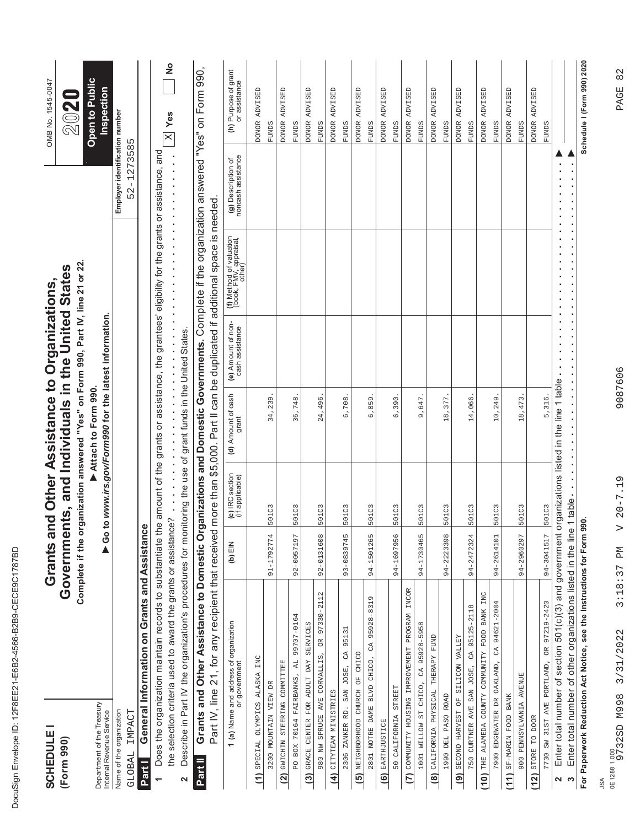| ı<br>۱                                                                                                                         |
|--------------------------------------------------------------------------------------------------------------------------------|
| ĺ<br>١<br>ı                                                                                                                    |
| ¢                                                                                                                              |
| Ç<br>ı                                                                                                                         |
| ١<br>l                                                                                                                         |
| Ó                                                                                                                              |
| ĺ<br>O                                                                                                                         |
| í<br>¢                                                                                                                         |
| ı<br>ı<br>١                                                                                                                    |
| Í<br><b>STATE OF STATE OF STATE OF STATE OF STATE OF STATE OF STATE OF STATE OF STATE OF STATE OF STATE OF STATE OF S</b><br>I |
| d<br>I<br>l                                                                                                                    |
| Ì<br>١                                                                                                                         |
| ı<br>I                                                                                                                         |
| ı                                                                                                                              |
| Ì<br>ı                                                                                                                         |
| l<br>ı<br>I<br>l                                                                                                               |
| Ì                                                                                                                              |
| ı<br>١                                                                                                                         |
| Í                                                                                                                              |
|                                                                                                                                |
| ı<br>١                                                                                                                         |
|                                                                                                                                |
| 1                                                                                                                              |
| ١                                                                                                                              |
| Ï<br>֠                                                                                                                         |
|                                                                                                                                |
| ı                                                                                                                              |

| <b>SCHEDULE</b><br>(Form 990)                            |                                                                                                                                                            | Complete if the or |                                    | ganization answered "Yes" on Form 990, Part IV, line 21 or 22<br>Governments, and Individuals in the United States<br>Grants and Other Assistance to Organizations, |                                       |                                                                                                                                            |                                              | OMB No. 1545-0047<br>20                        |
|----------------------------------------------------------|------------------------------------------------------------------------------------------------------------------------------------------------------------|--------------------|------------------------------------|---------------------------------------------------------------------------------------------------------------------------------------------------------------------|---------------------------------------|--------------------------------------------------------------------------------------------------------------------------------------------|----------------------------------------------|------------------------------------------------|
| Department of the Treasury<br>Internal Revenue Service   |                                                                                                                                                            |                    |                                    | Go to www.irs.gov/Form990 for the latest information.<br>Attach to Form 990.                                                                                        |                                       |                                                                                                                                            |                                              | Open to Public<br>Inspection                   |
| Name of the organization<br>IMPACT<br>GLOBAL             |                                                                                                                                                            |                    |                                    |                                                                                                                                                                     |                                       |                                                                                                                                            | Employer identification number<br>52-1273585 |                                                |
| Part I                                                   | General Information on Grants and Assistance                                                                                                               |                    |                                    |                                                                                                                                                                     |                                       |                                                                                                                                            |                                              |                                                |
| $\overline{ }$                                           | Does the organization maintain records to substantiate the amount of the grants or assistance, the grantees' eligibility for the grants or assistance, and |                    |                                    |                                                                                                                                                                     |                                       |                                                                                                                                            |                                              | $\frac{1}{2}$<br>$\mathbb{X}$ Yes              |
| 2                                                        | the selection criteria used to award the grants or assistance?                                                                                             |                    |                                    |                                                                                                                                                                     |                                       |                                                                                                                                            |                                              |                                                |
| Part II                                                  | Grants and Other Assistance to Domestic Organizations and Domestic Governments. Complete if the organization answered                                      |                    |                                    |                                                                                                                                                                     |                                       |                                                                                                                                            |                                              | "Yes" on Form 990,                             |
|                                                          | Part IV, line 21, for any recipient that received<br><b>1 (a)</b> Name and address of organization<br>or government                                        | $(h)$ EIN          | (c) IRC section<br>(if applicable) | (d) Amount of cash<br>grant                                                                                                                                         | (e) Amount of non-<br>cash assistance | more than \$5,000. Part II can be duplicated if additional space is needed.<br>(f) Method of valuation<br>(book, FMV, appraisal,<br>other) | (g) Description of<br>noncash assistance     | (h) Purpose of grant<br>or assistance          |
|                                                          |                                                                                                                                                            |                    |                                    |                                                                                                                                                                     |                                       |                                                                                                                                            |                                              |                                                |
| (1) SPECIAL OLYMPICS ALASKA INC<br>3200 MOUNTAIN VIEW DR |                                                                                                                                                            | 91-1792774         | 501C3                              | 34,239                                                                                                                                                              |                                       |                                                                                                                                            |                                              | ADVISED<br><b>DONOR</b><br><b>FUNDS</b>        |
| GWICHIN STEERING COMMITTEE<br>(2)                        |                                                                                                                                                            |                    |                                    |                                                                                                                                                                     |                                       |                                                                                                                                            |                                              | <b>ADVISED</b><br><b>DONOR</b>                 |
| 70164 FAIRBANKS,<br>PO BOX                               | 99707-0164<br>AL                                                                                                                                           | 92-0057197         | 501C3                              | 36,748                                                                                                                                                              |                                       |                                                                                                                                            |                                              | <b>FUNDS</b>                                   |
| (3) GRACE CENTER FOR ADULT DAY SERVICES                  |                                                                                                                                                            |                    |                                    |                                                                                                                                                                     |                                       |                                                                                                                                            |                                              | ADVISED<br><b>DONOR</b>                        |
|                                                          | 980 NW SPRUCE AVE CORVALLIS, OR 97330-2112                                                                                                                 | 92-0131608         | 501C3                              | 24,496                                                                                                                                                              |                                       |                                                                                                                                            |                                              | <b>FUNDS</b>                                   |
| CITYTEAM MINISTRIES<br>$\widehat{4}$                     |                                                                                                                                                            |                    |                                    |                                                                                                                                                                     |                                       |                                                                                                                                            |                                              | ADVISED<br><b>DONOR</b>                        |
|                                                          | 2306 ZANKER RD. SAN JOSE, CA 95131                                                                                                                         | 93-0839745         | 501C3                              | 6,708                                                                                                                                                               |                                       |                                                                                                                                            |                                              | <b>FUNDS</b>                                   |
| NEIGHBORHOOD CHURCH OF CHICO<br>$\widehat{5}$            |                                                                                                                                                            |                    |                                    |                                                                                                                                                                     |                                       |                                                                                                                                            |                                              | <b>ADVISED</b><br><b>DONOR</b>                 |
| 2801 NOTRE DAME BLVD CHICO,                              | 95928-8319<br>$\mathbb{C}^{\mathbb{A}}$                                                                                                                    | 94-1501265         | 501C3                              | 6,859                                                                                                                                                               |                                       |                                                                                                                                            |                                              | <b>EUNDS</b>                                   |
| EARTHJUSTICE<br>$\widehat{\mathbf{e}}$                   |                                                                                                                                                            |                    |                                    |                                                                                                                                                                     |                                       |                                                                                                                                            |                                              | ADVISED<br><b>DONOR</b>                        |
| 50 CALIFORNIA STREET                                     |                                                                                                                                                            | 94-1697956         | 501C3                              | 6,390                                                                                                                                                               |                                       |                                                                                                                                            |                                              | <b>FUNDS</b>                                   |
| $\tilde{c}$                                              | COMMUNITY HOUSING IMPROVEMENT PROGRAM INCOR                                                                                                                |                    |                                    |                                                                                                                                                                     |                                       |                                                                                                                                            |                                              | DONOR ADVISED                                  |
| 1001 WILLOW ST CHICO,                                    | 95928-5958<br>$\mathbb S$                                                                                                                                  | 94-1730465         | 501C3                              | 9,647                                                                                                                                                               |                                       |                                                                                                                                            |                                              | <b>FUNDS</b>                                   |
| CALIFORNIA PHYSICAL THERAPY FUND<br>$\circledast$        |                                                                                                                                                            |                    |                                    |                                                                                                                                                                     |                                       |                                                                                                                                            |                                              | ADVISED<br><b>DONOR</b>                        |
| 1990 DEL PASO ROAD                                       |                                                                                                                                                            | 94-2223398         | 501C3                              | 18,377                                                                                                                                                              |                                       |                                                                                                                                            |                                              | <b>FUNDS</b>                                   |
| SECOND HARVEST OF SILICON VALLEY<br>$\boxed{9}$          |                                                                                                                                                            |                    |                                    |                                                                                                                                                                     |                                       |                                                                                                                                            |                                              | ADVISED<br><b>DONOR</b>                        |
|                                                          | 750 CURTNER AVE SAN JOSE, CA 95125-2118                                                                                                                    | 94-2472324         | 501C3                              | 14,066                                                                                                                                                              |                                       |                                                                                                                                            |                                              | <b>FUNDS</b>                                   |
| (10)                                                     | THE ALAMEDA COUNTY COMMUNITY FOOD BANK INC                                                                                                                 |                    |                                    |                                                                                                                                                                     |                                       |                                                                                                                                            |                                              | ADVISED<br><b>DONOR</b>                        |
|                                                          | 7900 EDGEWATER DR OAKLAND, CA 94621-2004                                                                                                                   | 94-2614101         | 501C3                              | 10,249                                                                                                                                                              |                                       |                                                                                                                                            |                                              | <b>FUNDS</b>                                   |
| SF-MARIN FOOD BANK<br>$\frac{1}{2}$                      |                                                                                                                                                            |                    |                                    |                                                                                                                                                                     |                                       |                                                                                                                                            |                                              | ADVISED<br><b>DONOR</b>                        |
| <b>900 PENNSYLVANIA AVENUE</b>                           |                                                                                                                                                            | 94-2960297         | 501C3                              | 18,473                                                                                                                                                              |                                       |                                                                                                                                            |                                              | <b>EUNDS</b>                                   |
| STORE TO DOOR<br>(12)                                    | 7730 SW 31ST AVE PORTLAND, OR 97219-2420                                                                                                                   | 94-3041517         | 501C3                              | 5,316.                                                                                                                                                              |                                       |                                                                                                                                            |                                              | <b>ADVISED</b><br><b>DONOR</b><br><b>FUNDS</b> |
| $\boldsymbol{\sim}$                                      | Enter total number of section 501(c)(3) and government organizations listed in the line 1 table                                                            |                    |                                    |                                                                                                                                                                     |                                       |                                                                                                                                            |                                              |                                                |
| $\infty$                                                 | Enter total number of other organizations listed in the line                                                                                               |                    | 1 table                            |                                                                                                                                                                     |                                       |                                                                                                                                            |                                              |                                                |
|                                                          | For Paperwork Reduction Act Notice, see the Instructions for Form 990.                                                                                     |                    |                                    |                                                                                                                                                                     |                                       |                                                                                                                                            |                                              | Schedule I (Form 990) 2020                     |
| ₹                                                        |                                                                                                                                                            |                    |                                    |                                                                                                                                                                     |                                       |                                                                                                                                            |                                              |                                                |
| 0E12881.000<br>9732SD M998                               | 3/31/2022                                                                                                                                                  | 3:18:37 PM         | $20 - 7.19$                        | 9087606                                                                                                                                                             |                                       |                                                                                                                                            |                                              | $\frac{2}{8}$<br>PAGE                          |
|                                                          |                                                                                                                                                            |                    |                                    |                                                                                                                                                                     |                                       |                                                                                                                                            |                                              |                                                |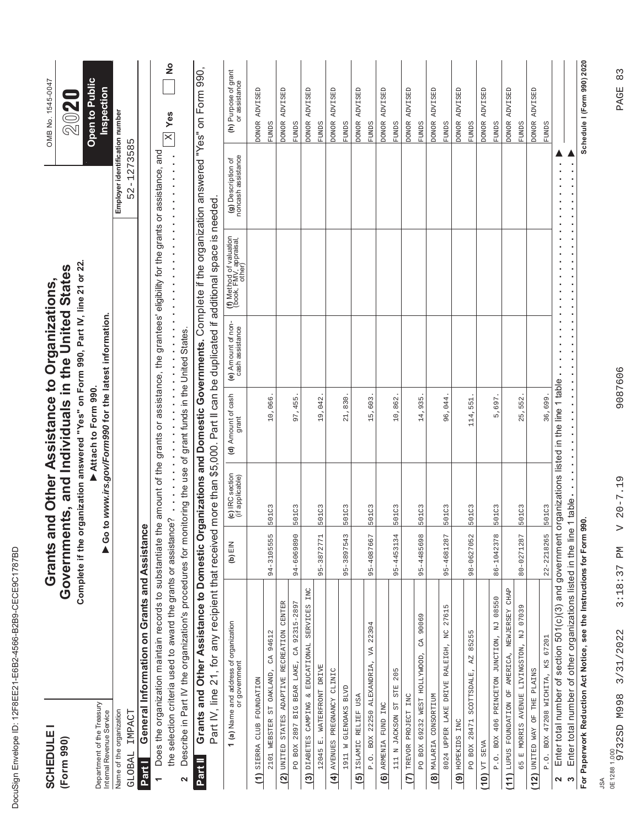| ı<br>۱                                                                                                                         |
|--------------------------------------------------------------------------------------------------------------------------------|
| ĺ<br>١<br>ı                                                                                                                    |
| ¢                                                                                                                              |
| Ç<br>ı                                                                                                                         |
| ١<br>l                                                                                                                         |
| Ó                                                                                                                              |
| ĺ<br>O                                                                                                                         |
| í<br>¢                                                                                                                         |
| ı<br>ı<br>١                                                                                                                    |
| Í<br><b>STATE OF STATE OF STATE OF STATE OF STATE OF STATE OF STATE OF STATE OF STATE OF STATE OF STATE OF STATE OF S</b><br>I |
| d<br>I<br>l                                                                                                                    |
| Ì<br>١                                                                                                                         |
| ı<br>I                                                                                                                         |
| ı                                                                                                                              |
| Ì<br>ı                                                                                                                         |
| l<br>ı<br>I<br>l                                                                                                               |
| Ì                                                                                                                              |
| ı<br>١                                                                                                                         |
| Í                                                                                                                              |
|                                                                                                                                |
| ı<br>١                                                                                                                         |
|                                                                                                                                |
| 1                                                                                                                              |
| ١                                                                                                                              |
| Ï<br>֠                                                                                                                         |
|                                                                                                                                |
| ı                                                                                                                              |

| <b>SCHEDULE1</b><br>(Form 990)                                                                                                                                                                                                                                                       | Grants a       |                                    | Complete if the organization answered "Yes" on Form 990, Part IV, line 21 or 22.<br>Governments, and Individuals in the United States<br>nd Other Assistance to Organizations, |                                       |                                                             |                                              | OMB No. 1545-0047<br>20                        |
|--------------------------------------------------------------------------------------------------------------------------------------------------------------------------------------------------------------------------------------------------------------------------------------|----------------|------------------------------------|--------------------------------------------------------------------------------------------------------------------------------------------------------------------------------|---------------------------------------|-------------------------------------------------------------|----------------------------------------------|------------------------------------------------|
| Department of the Treasury<br>Internal Revenue Service                                                                                                                                                                                                                               |                |                                    | Go to www.irs.gov/Form990 for the latest information.<br>Attach to Form 990.                                                                                                   |                                       |                                                             |                                              | <b>Open to Public</b><br>Inspection            |
| Name of the organization<br>GLOBAL IMPACT                                                                                                                                                                                                                                            |                |                                    |                                                                                                                                                                                |                                       |                                                             | Employer identification number<br>52-1273585 |                                                |
| General Information on Grants and Assistanc<br>Part I                                                                                                                                                                                                                                |                | Φ                                  |                                                                                                                                                                                |                                       |                                                             |                                              |                                                |
| Does the organization maintain records to substantiate the amount of the grants or assistance, the grantees' eligibility for the grants or assistance, and                                                                                                                           |                |                                    |                                                                                                                                                                                |                                       |                                                             |                                              |                                                |
| Describe in Part IV the organization's procedures for monitoring the use of grant funds in the United States.<br>the selection criteria used to award the grants or assistance?<br>$\mathbf{\Omega}$                                                                                 |                |                                    |                                                                                                                                                                                |                                       |                                                             |                                              | $\frac{1}{2}$<br>$\mathbb{X}$ Yes              |
| Grants and Other Assistance to Domestic Organizations and Domestic Governments. Complete if the organization answered "Yes" on Form 990,<br>Part IV, line 21, for any recipient that received more than \$5,000. Part II can be duplicated if additional space is needed.<br>Part II |                |                                    |                                                                                                                                                                                |                                       |                                                             |                                              |                                                |
| (a) Name and address of organization<br>or government<br>$\overline{\phantom{0}}$                                                                                                                                                                                                    | (b) $EIN$      | (c) IRC section<br>(if applicable) | (d) Amount of cash<br>grant                                                                                                                                                    | (e) Amount of non-<br>cash assistance | (f) Method of valuation<br>(book, FMV, appraisal,<br>other) | (g) Description of<br>noncash assistance     | (h) Purpose of grant<br>or assistance          |
| CA 94612<br>2101 WEBSTER ST OAKLAND,<br>$(1)$ SIERRA CLUB FOUNDATION                                                                                                                                                                                                                 | 94-3105555     | 501C3                              | 10,066.                                                                                                                                                                        |                                       |                                                             |                                              | DONOR ADVISED<br><b>FUNDS</b>                  |
| UNITED STATES ADAPTIVE RECREATION CENTER<br>PO BOX 2897 BIG BEAR LAKE, CA 92315-2897<br>(2)                                                                                                                                                                                          | 94-6069890     | 501C3                              | 97,455                                                                                                                                                                         |                                       |                                                             |                                              | ADVISED<br><b>DONOR</b><br><b>FUNDS</b>        |
| (3) DIABETES CAMPING & EDUCATIONAL SERVICES INC<br>12045 E. WATERFRONT DRIVE                                                                                                                                                                                                         | 95-3872771     | 501C3                              | 19,042                                                                                                                                                                         |                                       |                                                             |                                              | ADVISED<br><b>DONOR</b><br><b>EUNDS</b>        |
| (4) AVENUES PREGNANCY CLINIC<br>1911 W GLENOAKS BLVD                                                                                                                                                                                                                                 | 95-3897543     | 501C3                              | 21,830                                                                                                                                                                         |                                       |                                                             |                                              | DONOR ADVISED<br><b>FUNDS</b>                  |
| 22304<br>VA<br>P.O. BOX 22250 ALEXANDRIA,<br>ISLAMIC RELIEF USA<br>$\overline{5}$                                                                                                                                                                                                    | 95-4087667     | 501C3                              | 15,603                                                                                                                                                                         |                                       |                                                             |                                              | ADVISED<br><b>DONOR</b><br><b>FUNDS</b>        |
| 205<br><b>STE</b><br>111 N JACKSON ST<br>(6) ARMENIA FUND INC                                                                                                                                                                                                                        | 95-4453134     | 501C3                              | 10,862                                                                                                                                                                         |                                       |                                                             |                                              | ADVISED<br><b>DONOR</b><br><b>EUNDS</b>        |
| 90069<br>$C\overline{A}$<br>PO BOX 69232 WEST HOLLYWOOD,<br>(7) TREVOR PROJECT INC                                                                                                                                                                                                   | 95-4485698     | 501C3                              | 14,935                                                                                                                                                                         |                                       |                                                             |                                              | DONOR ADVISED<br><b>FUNDS</b>                  |
| 27615<br>8024 UPPER LAKE DRIVE RALEIGH, NC<br>MALARIA CONSORTIUM<br>$\widehat{\mathbf{e}}$                                                                                                                                                                                           | 95-4681287     | 501C3                              | 96,044                                                                                                                                                                         |                                       |                                                             |                                              | ADVISED<br><b>DONOR</b><br><b>FUNDS</b>        |
| AZ 85255<br>SCOTTSDALE,<br>PO BOX 28471<br>(9) HOPEKIDS INC                                                                                                                                                                                                                          | 98-0627052     | 501C3                              | 114,551                                                                                                                                                                        |                                       |                                                             |                                              | ADVISED<br>ponor<br><b>EUNDS</b>               |
| BOX 406 PRINCETON JUNCTION, NJ 08550<br>(10) VT SEVA<br>$\stackrel{\textstyle\circ}{\textstyle\circ}$ .                                                                                                                                                                              | 86-1042378     | 501C3                              | 5,697                                                                                                                                                                          |                                       |                                                             |                                              | DONOR ADVISED<br><b>FUNDS</b>                  |
| LUPUS FOUNDATION OF AMERICA, NEWJERSEY CHAP<br>65 E MORRIS AVENUE LIVINGSTON, NJ 07039<br>(11)                                                                                                                                                                                       | 80-0271287     | 501C3                              | 25,552                                                                                                                                                                         |                                       |                                                             |                                              | <b>ADVISED</b><br><b>DONOR</b><br><b>FUNDS</b> |
| P.O. BOX 47208 WICHITA, KS 67201<br>(12) UNITED WAY OF THE PLAINS                                                                                                                                                                                                                    | $22 - 2218265$ | 501C3                              | 36,699.                                                                                                                                                                        |                                       |                                                             |                                              | ADVISED<br><b>DONOR</b><br><b>FUNDS</b>        |
| Enter total number of other organizations listed in the line 1 table<br>For Paperwork Reduction Act Notice, see the Instructions for Form 990.<br>Enter total number of section 501(c)(3) and government<br>$\boldsymbol{\sim}$<br>$\boldsymbol{\varsigma}$                          |                |                                    | organizations listed in the line 1 table                                                                                                                                       | ٠                                     | ٠<br>٠                                                      |                                              | Schedule I (Form 990) 2020                     |
|                                                                                                                                                                                                                                                                                      |                |                                    |                                                                                                                                                                                |                                       |                                                             |                                              |                                                |

PAGE 83

9732SD M998 3/31/2022 3:18:37 PM V 20-7.19 9087606 PAGE 83  $V 20 - 7.19$ 3:18:37 PM

9087606

JSA<br>0E12881.000<br>9732SD M998 3/31/2022 0E1288 1.000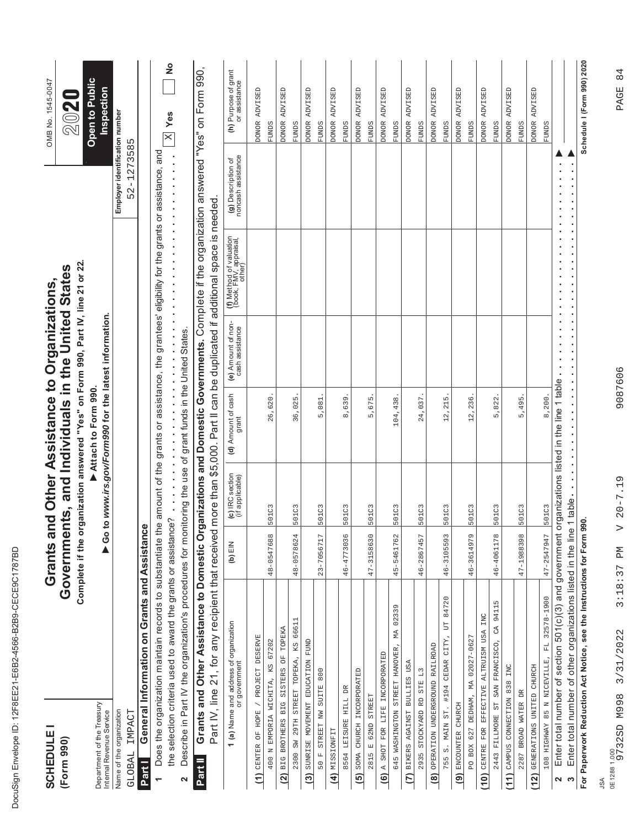| ı<br>۱                                                                                                                         |
|--------------------------------------------------------------------------------------------------------------------------------|
| ĺ<br>١<br>ı                                                                                                                    |
| ¢                                                                                                                              |
| Ç<br>ı                                                                                                                         |
| ١<br>l                                                                                                                         |
| Ó                                                                                                                              |
| ĺ<br>O                                                                                                                         |
| í<br>¢                                                                                                                         |
| ı<br>ı<br>١                                                                                                                    |
| Í<br><b>STATE OF STATE OF STATE OF STATE OF STATE OF STATE OF STATE OF STATE OF STATE OF STATE OF STATE OF STATE OF S</b><br>I |
| d<br>I<br>l                                                                                                                    |
| Ì<br>١                                                                                                                         |
| ı<br>I                                                                                                                         |
| ı                                                                                                                              |
| Ì<br>ı                                                                                                                         |
| l<br>ı<br>I<br>l                                                                                                               |
| Ì                                                                                                                              |
| ı<br>١                                                                                                                         |
| Í                                                                                                                              |
|                                                                                                                                |
| ı<br>١                                                                                                                         |
|                                                                                                                                |
| 1                                                                                                                              |
| ١                                                                                                                              |
| Ï<br>֠                                                                                                                         |
|                                                                                                                                |
| ı                                                                                                                              |

| <b>SCHEDULE</b><br>(Form 990)                             |                                                                                                                                                                                                                                                                                                   | Complete if the or |                                    | ganization answered "Yes" on Form 990, Part IV, line 21 or 22.<br>Governments, and Individuals in the United States<br>Grants and Other Assistance to Organizations, |                                       |                                                                             |                                              | OMB No. 1545-0047<br>2020                    |
|-----------------------------------------------------------|---------------------------------------------------------------------------------------------------------------------------------------------------------------------------------------------------------------------------------------------------------------------------------------------------|--------------------|------------------------------------|----------------------------------------------------------------------------------------------------------------------------------------------------------------------|---------------------------------------|-----------------------------------------------------------------------------|----------------------------------------------|----------------------------------------------|
| Department of the Treasury<br>Internal Revenue Service    |                                                                                                                                                                                                                                                                                                   |                    |                                    | ► Go to www.irs.gov/Form990 for the latest information.<br>Attach to Form 990.                                                                                       |                                       |                                                                             |                                              | <b>Open to Public</b><br><b>Inspection</b>   |
| IMPACT<br>Name of the organization<br>GLOBAL              |                                                                                                                                                                                                                                                                                                   |                    |                                    |                                                                                                                                                                      |                                       |                                                                             | Employer identification number<br>52-1273585 |                                              |
| Part I                                                    | General Information on Grants and Assistance                                                                                                                                                                                                                                                      |                    |                                    |                                                                                                                                                                      |                                       |                                                                             |                                              |                                              |
| $\overline{\phantom{0}}$                                  | Does the organization maintain records to substantiate the amount of the grants or assistance, the grantees' eligibility for the grants or assistance, and                                                                                                                                        |                    |                                    |                                                                                                                                                                      |                                       |                                                                             |                                              |                                              |
| 2                                                         | ייי בעברייי און איינט איינט איינט איינט און א פון פארייט איינט איינט איינט איינט איינט איינט איינט איינט איינט<br>Describe in Part IV the organization's procedures for monitoring the use of grant funds in the United States.<br>the selection criteria used to award the grants or assistance? |                    |                                    |                                                                                                                                                                      |                                       |                                                                             |                                              | $\frac{1}{2}$<br>$\overline{\mathbb{X}}$ Yes |
| Part II                                                   | Grants and Other Assistance to Domestic Organizations and Domestic Governments. Complete if the organization answered "Yes" on Form 990,                                                                                                                                                          |                    |                                    |                                                                                                                                                                      |                                       |                                                                             |                                              |                                              |
|                                                           | Part IV, line 21, for any recipient that received                                                                                                                                                                                                                                                 |                    |                                    |                                                                                                                                                                      |                                       | more than \$5,000. Part II can be duplicated if additional space is needed. |                                              |                                              |
|                                                           | <b>1 (a)</b> Name and address of organization                                                                                                                                                                                                                                                     | (b) $EIN$          | (c) IRC section<br>(if applicable) | (d) Amount of cash<br>grant                                                                                                                                          | (e) Amount of non-<br>cash assistance | <b>(f)</b> Method of valuation<br>(book, FMV, appraisal,<br>other)          | (g) Description of<br>noncash assistance     | (h) Purpose of grant<br>or assistance        |
| CENTER OF HOPE<br>$\widehat{E}$                           | / PROJECT DESERVE                                                                                                                                                                                                                                                                                 |                    |                                    |                                                                                                                                                                      |                                       |                                                                             |                                              | ADVISED<br><b>DONOR</b>                      |
| 400 N EMPORIA WICHITA, KS 67202                           |                                                                                                                                                                                                                                                                                                   | 48-0547688         | 501C3                              | 26,620                                                                                                                                                               |                                       |                                                                             |                                              | <b>FUNDS</b>                                 |
| (2) BIG BROTHERS BIG SISTERS OF TOPEKA                    |                                                                                                                                                                                                                                                                                                   |                    |                                    |                                                                                                                                                                      |                                       |                                                                             |                                              | <b>ADVISED</b><br><b>DONOR</b>               |
|                                                           | 2300 SW 29TH STREET TOPEKA, KS 66611                                                                                                                                                                                                                                                              | 48-0578624         | 501C3                              | 36,025                                                                                                                                                               |                                       |                                                                             |                                              | <b>FUNDS</b>                                 |
| (3) SUNRISE MOVEMENT EDUCATION FUND                       |                                                                                                                                                                                                                                                                                                   |                    |                                    |                                                                                                                                                                      |                                       |                                                                             |                                              | DONOR ADVISED                                |
| 50 F STREET NW SUITE 800                                  |                                                                                                                                                                                                                                                                                                   | 23-7056717         | 501C3                              | 5,081                                                                                                                                                                |                                       |                                                                             |                                              | <b>FUNDS</b>                                 |
| TIMUSSIONFIT                                              |                                                                                                                                                                                                                                                                                                   |                    |                                    |                                                                                                                                                                      |                                       |                                                                             |                                              | ADVISED<br><b>DONOR</b>                      |
| 8564 LEISURE HILL DR                                      |                                                                                                                                                                                                                                                                                                   | 46-4773036         | 501C3                              | 8,639                                                                                                                                                                |                                       |                                                                             |                                              | <b>FUNDS</b>                                 |
| SOMA CHURCH INCORPORATED<br>$\overline{5}$                |                                                                                                                                                                                                                                                                                                   |                    |                                    |                                                                                                                                                                      |                                       |                                                                             |                                              | ADVISED<br><b>DONOR</b>                      |
| 2815 E 62ND STREET                                        |                                                                                                                                                                                                                                                                                                   | 47-3158630         | 501C3                              | 5,675                                                                                                                                                                |                                       |                                                                             |                                              | <b>EUNDS</b>                                 |
| FOR LIFE INCORPORATED<br>A SHOT<br>$\widehat{\mathbf{e}}$ |                                                                                                                                                                                                                                                                                                   |                    |                                    |                                                                                                                                                                      |                                       |                                                                             |                                              | ADVISED<br><b>DONOR</b>                      |
| 645 WASHINGTON STREET HANOVER                             | 02339<br>MA                                                                                                                                                                                                                                                                                       | 45-5461762         | 501C3                              | 104,438                                                                                                                                                              |                                       |                                                                             |                                              | <b>FUNDS</b>                                 |
| BIKERS AGAINST BULLIES USA<br>$\tilde{c}$                 |                                                                                                                                                                                                                                                                                                   |                    |                                    |                                                                                                                                                                      |                                       |                                                                             |                                              | <b>ADVISED</b><br><b>DONOR</b>               |
| 2935 STOCKYARD RD STE L3                                  |                                                                                                                                                                                                                                                                                                   | 46-2867457         | 501C3                              | 24,037                                                                                                                                                               |                                       |                                                                             |                                              | <b>FUNDS</b>                                 |
| OPERATION UNDERGROUND RAILROAD<br>$\widehat{\mathbf{e}}$  |                                                                                                                                                                                                                                                                                                   |                    |                                    |                                                                                                                                                                      |                                       |                                                                             |                                              | ADVISED<br><b>DONOR</b>                      |
|                                                           | 755 S. MAIN ST. #194 CEDAR CITY, UT 84720                                                                                                                                                                                                                                                         | 46-3105593         | 501C3                              | 12, 215                                                                                                                                                              |                                       |                                                                             |                                              | <b>FUNDS</b>                                 |
| ENCOUNTER CHURCH<br>$\widehat{\mathbf{e}}$                |                                                                                                                                                                                                                                                                                                   |                    |                                    |                                                                                                                                                                      |                                       |                                                                             |                                              | ADVISED<br><b>DONOR</b>                      |
| PO BOX 627 DEDHAM, MA 02027-0627                          |                                                                                                                                                                                                                                                                                                   | 46-3614979         | 501C3                              | 12,236                                                                                                                                                               |                                       |                                                                             |                                              | <b>FUNDS</b>                                 |
| (10)                                                      | CENTRE FOR EFFECTIVE ALTRUISM USA INC                                                                                                                                                                                                                                                             |                    |                                    |                                                                                                                                                                      |                                       |                                                                             |                                              | ADVISED<br><b>DONOR</b>                      |
|                                                           | LN<br>2443 FILLMORE ST SAN FRANCISCO, CA 9411                                                                                                                                                                                                                                                     | 46-4061178         | 501C3                              | 5,822                                                                                                                                                                |                                       |                                                                             |                                              | <b>FUNDS</b>                                 |
| CAMPUS CONNECTION 838 INC<br>(11)                         |                                                                                                                                                                                                                                                                                                   |                    |                                    |                                                                                                                                                                      |                                       |                                                                             |                                              | ADVISED<br><b>DONOR</b>                      |
| 2287 BROAD WATER DR                                       |                                                                                                                                                                                                                                                                                                   | 47-1988398         | 501C3                              | 5,495                                                                                                                                                                |                                       |                                                                             |                                              | <b>EUNDS</b>                                 |
| GENERATIONS UNITED CHURCH<br>(12)                         |                                                                                                                                                                                                                                                                                                   |                    |                                    |                                                                                                                                                                      |                                       |                                                                             |                                              | ADVISED<br><b>DONOR</b>                      |
| 108 HIGHWAY 85 N NICEVILLE,                               | FL 32578-1900                                                                                                                                                                                                                                                                                     | 47-2547947         | 501C3                              | 8,200.                                                                                                                                                               |                                       |                                                                             |                                              | <b>FUNDS</b>                                 |
| $\infty$<br>$\boldsymbol{\sim}$                           | Enter total number of section 501(c)(3) and government organizations listed in the line 1 table<br>Enter total number of other organizations listed in the line                                                                                                                                   |                    | 1 table                            |                                                                                                                                                                      |                                       |                                                                             |                                              |                                              |
|                                                           | For Paperwork Reduction Act Notice, see the Instructions for Form 990.                                                                                                                                                                                                                            |                    |                                    |                                                                                                                                                                      |                                       |                                                                             |                                              | Schedule I (Form 990) 2020                   |
|                                                           |                                                                                                                                                                                                                                                                                                   |                    |                                    |                                                                                                                                                                      |                                       |                                                                             |                                              |                                              |
| 0E12881.000<br>9732SD M998                                | 3/31/2022                                                                                                                                                                                                                                                                                         | 3:18:37 PM         | $20 - 7.19$                        | 9087606                                                                                                                                                              |                                       |                                                                             |                                              | 84<br>PAGE                                   |
|                                                           |                                                                                                                                                                                                                                                                                                   |                    |                                    |                                                                                                                                                                      |                                       |                                                                             |                                              |                                              |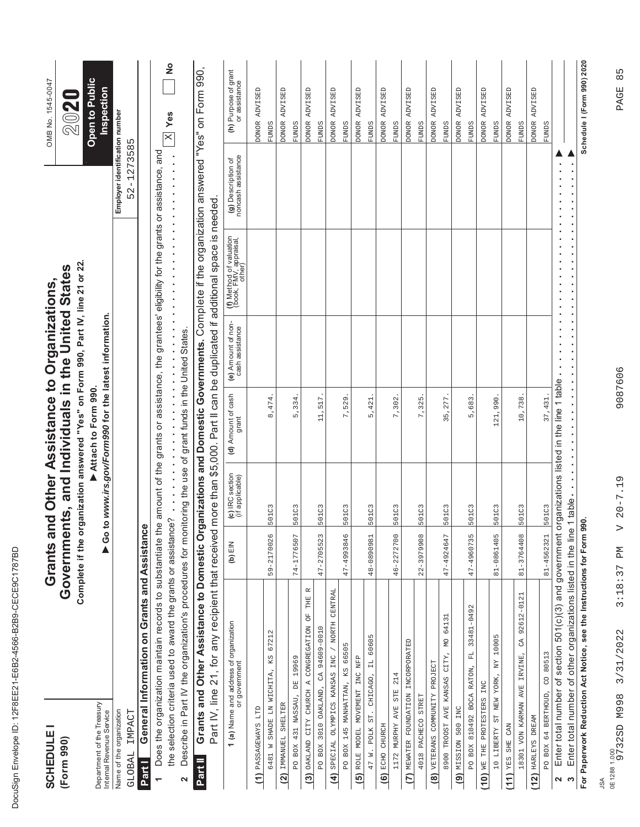| ı<br>۱           |
|------------------|
| ĺ<br>١<br>ı      |
| ¢                |
| Ç<br>ı           |
| ١<br>l           |
| Ó                |
| ĺ<br>O           |
| í<br>¢           |
| ı<br>ı<br>١      |
| Í<br>I           |
| d<br>I<br>l      |
| Ì<br>١           |
| ı<br>I           |
| ı                |
| Ì<br>ı           |
| l<br>ı<br>I<br>l |
| Ì                |
| ı<br>١           |
| Í                |
|                  |
| ı<br>١           |
|                  |
| 1                |
| ١                |
| Ï<br>֠           |
|                  |
| ı                |

| <b>SCHEDULE</b><br>(Form 990)                          |                                                                                                                                                                                                                                                           |                 |                                    | Complete if the organization answered "Yes" on Form 990, Part IV, line 21 or 22.<br>Governments, and Individuals in the United States<br>Grants and Other Assistance to Organizations, |                                                                         |                                                                             |                                                   | OMB No. 1545-0047<br>20                 |
|--------------------------------------------------------|-----------------------------------------------------------------------------------------------------------------------------------------------------------------------------------------------------------------------------------------------------------|-----------------|------------------------------------|----------------------------------------------------------------------------------------------------------------------------------------------------------------------------------------|-------------------------------------------------------------------------|-----------------------------------------------------------------------------|---------------------------------------------------|-----------------------------------------|
| Department of the Treasury<br>Internal Revenue Service |                                                                                                                                                                                                                                                           |                 |                                    | Go to www.irs.gov/Form990 for the latest information.<br>Attach to Form 990.                                                                                                           |                                                                         |                                                                             |                                                   | Open to Public<br>Inspection            |
| Name of the organization<br>IMPACT<br><b>GLOBAL</b>    |                                                                                                                                                                                                                                                           |                 |                                    |                                                                                                                                                                                        |                                                                         |                                                                             | Employer identification number<br>52-1273585      |                                         |
| Part I                                                 | General Information on Grants and Assistance                                                                                                                                                                                                              |                 |                                    |                                                                                                                                                                                        |                                                                         |                                                                             |                                                   |                                         |
| $\overline{ }$                                         | Does the organization maintain records to substantiate the amount of the grants or assistance, the grantees' eligibility for the grants or assistance, and                                                                                                |                 |                                    |                                                                                                                                                                                        |                                                                         |                                                                             |                                                   |                                         |
| 2                                                      | ure serecuon criteria used to award the grants or assistance reserved.<br>Describe in Part IV the organization's procedures for monitoring the use of grant funds in the United States.<br>the selection criteria used to award the grants or assistance? |                 |                                    |                                                                                                                                                                                        | $\begin{array}{c} \bullet \\ \bullet \\ \bullet \\ \bullet \end{array}$ | $\ddot{\cdot}$<br>$\blacksquare$<br>Î,                                      | $\frac{1}{2}$<br>$\blacksquare$<br>$\blacksquare$ | $\frac{1}{2}$<br>Yes<br>$\times$        |
| Part II                                                | Grants and Other Assistance to Domestic Organizations and Domestic Governments. Complete if the organization answered "Yes" on Form 990,                                                                                                                  |                 |                                    |                                                                                                                                                                                        |                                                                         |                                                                             |                                                   |                                         |
|                                                        | Part IV, line 21, for any recipient that received                                                                                                                                                                                                         |                 |                                    |                                                                                                                                                                                        |                                                                         | more than \$5,000. Part II can be duplicated if additional space is needed. |                                                   |                                         |
|                                                        | <b>1 (a)</b> Name and address of organization<br>or government                                                                                                                                                                                            | (b) $EIN$       | (c) IRC section<br>(if applicable) | (d) Amount of cash<br>grant                                                                                                                                                            | (e) Amount of non-<br>cash assistance                                   | (f) Method of valuation<br>(book, FMV, appraisal,<br>other)                 | (g) Description of<br>noncash assistance          | (h) Purpose of grant<br>or assistance   |
| (1) PASSAGEWAYS LTD                                    |                                                                                                                                                                                                                                                           |                 |                                    |                                                                                                                                                                                        |                                                                         |                                                                             |                                                   | ADVISED<br><b>DONOR</b>                 |
| 6481 W SHADE LN WICHITA, KS 67212                      |                                                                                                                                                                                                                                                           | 59-2170026      | 501C3                              | 8,474                                                                                                                                                                                  |                                                                         |                                                                             |                                                   | <b>FUNDS</b>                            |
| (2) IMMANUEL SHELTER                                   |                                                                                                                                                                                                                                                           |                 |                                    |                                                                                                                                                                                        |                                                                         |                                                                             |                                                   | ADVISED<br><b>DONOR</b>                 |
| PO BOX 431 NASSAU, DE 19969                            |                                                                                                                                                                                                                                                           | 74-1776507      | 501C3                              | 5,334                                                                                                                                                                                  |                                                                         |                                                                             |                                                   | <b>FUNDS</b>                            |
|                                                        | (3) OAKLAND CITY CHURCH A CONGREGATION OF THE R                                                                                                                                                                                                           |                 |                                    |                                                                                                                                                                                        |                                                                         |                                                                             |                                                   | ADVISED<br><b>DONOR</b>                 |
| PO BOX 3010 OAKLAND, CA 94609-0010                     |                                                                                                                                                                                                                                                           | 47-2705523      | 501C3                              | 11,517                                                                                                                                                                                 |                                                                         |                                                                             |                                                   | <b>FUNDS</b>                            |
|                                                        | (4) SPECIAL OLYMPICS KANSAS INC / NORTH CENTRAL                                                                                                                                                                                                           |                 |                                    |                                                                                                                                                                                        |                                                                         |                                                                             |                                                   | DONOR ADVISED                           |
| PO BOX 145 MANHATTAN, KS 66505                         |                                                                                                                                                                                                                                                           | 47-4993846      | 501C3                              | 7,529                                                                                                                                                                                  |                                                                         |                                                                             |                                                   | <b>FUNDS</b>                            |
| (5) ROLE MODEL MOVEMENT                                | INC NFP                                                                                                                                                                                                                                                   |                 |                                    |                                                                                                                                                                                        |                                                                         |                                                                             |                                                   | DONOR ADVISED                           |
| 47 W. POLK ST. CHICAGO,                                | 60605<br>$\overline{\Box}$                                                                                                                                                                                                                                | 48-0890981      | 501C3                              | 5,421                                                                                                                                                                                  |                                                                         |                                                                             |                                                   | <b>EUNDS</b>                            |
| $(6)$ ECHO CHURCH                                      |                                                                                                                                                                                                                                                           |                 |                                    |                                                                                                                                                                                        |                                                                         |                                                                             |                                                   | ADVISED<br><b>DONOR</b>                 |
| <b>STE</b><br>1172 MURPHY AVE                          | 214                                                                                                                                                                                                                                                       | 46-2272700      | 501C3                              | 7,302.                                                                                                                                                                                 |                                                                         |                                                                             |                                                   | <b>FUNDS</b>                            |
| (7) MEWATER FOUNDATION INCORPORATED                    |                                                                                                                                                                                                                                                           |                 |                                    |                                                                                                                                                                                        |                                                                         |                                                                             |                                                   | ADVISED<br><b>PONOR</b>                 |
| 4018 PACHECO STRET                                     |                                                                                                                                                                                                                                                           | 22-3979908      | 501C3                              | 7,325                                                                                                                                                                                  |                                                                         |                                                                             |                                                   | <b>FUNDS</b>                            |
| $(8)$ veterans community project                       |                                                                                                                                                                                                                                                           |                 |                                    |                                                                                                                                                                                        |                                                                         |                                                                             |                                                   | ADVISED<br><b>DONOR</b>                 |
| 8900 TROOST AVE KANSAS CITY, MO 64131                  |                                                                                                                                                                                                                                                           | 47-4924647      | 501C3                              | 35,277                                                                                                                                                                                 |                                                                         |                                                                             |                                                   | <b>FUNDS</b>                            |
| (9) MISSION 500 INC                                    |                                                                                                                                                                                                                                                           |                 |                                    |                                                                                                                                                                                        |                                                                         |                                                                             |                                                   | ADVISED<br><b>DONOR</b>                 |
|                                                        | PO BOX 810492 BOCA RATON, FL 33481-0492                                                                                                                                                                                                                   | 47-4960735      | 501C3                              | 5,683                                                                                                                                                                                  |                                                                         |                                                                             |                                                   | <b>FUNDS</b>                            |
| (10) WE THE PROTESTERS INC                             |                                                                                                                                                                                                                                                           |                 |                                    |                                                                                                                                                                                        |                                                                         |                                                                             |                                                   | ADVISED<br><b>DONOR</b>                 |
| 10 LIBERTY ST NEW YORK, NY 10005                       |                                                                                                                                                                                                                                                           | 81-0861405      | 501C3                              | 121,990.                                                                                                                                                                               |                                                                         |                                                                             |                                                   | <b>FUNDS</b>                            |
| YES SHE CAN<br>(11)                                    | 18301 VON KARMAN AVE IRVINE, CA 92612-0121                                                                                                                                                                                                                | 81-3764408      | 501C3                              | 10,738                                                                                                                                                                                 |                                                                         |                                                                             |                                                   | ADVISED<br><b>DONOR</b><br><b>FUNDS</b> |
|                                                        |                                                                                                                                                                                                                                                           |                 |                                    |                                                                                                                                                                                        |                                                                         |                                                                             |                                                   | <b>ADVISED</b>                          |
| PO BOX 64 BERTHOUD,<br>(12) HARLEYS DREAM              | CO 80513                                                                                                                                                                                                                                                  | 81-4562321      | 501C3                              | 37,431.                                                                                                                                                                                |                                                                         |                                                                             |                                                   | <b>PONOR</b><br><b>FUNDS</b>            |
| $\boldsymbol{\mathsf{N}}$                              | Enter total number of section 501(c)(3) and government organizations listed in the line 1 table                                                                                                                                                           |                 |                                    |                                                                                                                                                                                        |                                                                         |                                                                             |                                                   |                                         |
| က                                                      | Enter total number of other organizations listed in the line                                                                                                                                                                                              |                 | 1 table.                           |                                                                                                                                                                                        |                                                                         |                                                                             |                                                   |                                         |
|                                                        | For Paperwork Reduction Act Notice, see the Instructions for Form 990.                                                                                                                                                                                    |                 |                                    |                                                                                                                                                                                        |                                                                         |                                                                             |                                                   | Schedule I (Form 990) 2020              |
| ₹                                                      |                                                                                                                                                                                                                                                           |                 |                                    |                                                                                                                                                                                        |                                                                         |                                                                             |                                                   |                                         |
| 0E12881.000<br>9732SD M998                             | 3/31/2022                                                                                                                                                                                                                                                 | ⋗<br>3:18:37 PM | $20 - 7.19$                        | 9087606                                                                                                                                                                                |                                                                         |                                                                             |                                                   | 85<br>PAGE                              |
|                                                        |                                                                                                                                                                                                                                                           |                 |                                    |                                                                                                                                                                                        |                                                                         |                                                                             |                                                   |                                         |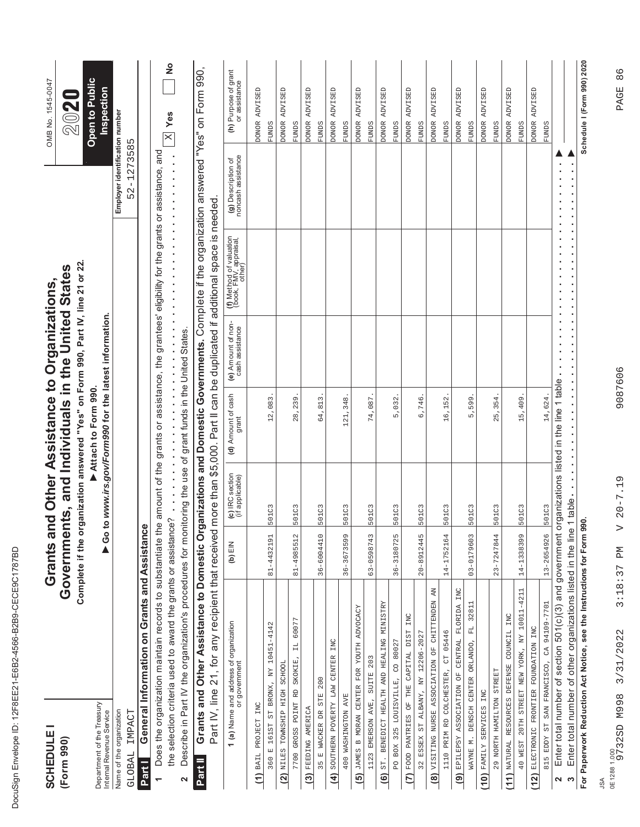| ı<br>۱           |
|------------------|
| ĺ<br>١<br>ı      |
| ¢                |
| Ç<br>ı           |
| ١<br>l           |
| Ó                |
| ĺ<br>O           |
| I<br>¢           |
| ı<br>ı<br>١      |
| Í<br>I           |
| d<br>I<br>l      |
| Ì<br>١           |
| ı<br>I           |
| ı                |
| Ì<br>ı           |
| l<br>ı<br>I<br>l |
| Ì                |
| ı<br>١           |
| Í                |
|                  |
| ı<br>١           |
|                  |
| 1                |
| ١                |
| Ï<br>֠           |
|                  |
| ı                |

| <b>SCHEDULE</b><br>(Form 990)                                                                                                                                                                            |            |                                    | Governments, and Individuals in the United States<br>Grants and Other Assistance to Organizations,                                                               |                                       |                                                                             |                                                                                          | OMB No. 1545-0047                     |
|----------------------------------------------------------------------------------------------------------------------------------------------------------------------------------------------------------|------------|------------------------------------|------------------------------------------------------------------------------------------------------------------------------------------------------------------|---------------------------------------|-----------------------------------------------------------------------------|------------------------------------------------------------------------------------------|---------------------------------------|
| Department of the Treasury<br>Internal Revenue Service                                                                                                                                                   |            |                                    | Complete if the organization answered "Yes" on Form 990, Part IV, line 21 or 22.<br>Go to www.irs.gov/Form990 for the latest information.<br>Attach to Form 990. |                                       |                                                                             |                                                                                          | Open to Public<br>Inspection<br>20    |
| Name of the organization<br>IMPACT<br>GLOBAL                                                                                                                                                             |            |                                    |                                                                                                                                                                  |                                       |                                                                             | Employer identification number<br>$2 - 1273585$<br>Ь٦                                    |                                       |
| General Information on Grants and Assistance<br>Part I                                                                                                                                                   |            |                                    |                                                                                                                                                                  |                                       |                                                                             |                                                                                          |                                       |
| Does the organization maintain records to substantiate the amount of the grants or assistance, the grantees' eligibility for the grants or assistance, and                                               |            |                                    |                                                                                                                                                                  |                                       |                                                                             |                                                                                          |                                       |
| the selection criteria used to award the grants or assistance?<br>Describe in Part IV the organization's procedures for monitoring the use of grant funds in the United States.<br>2                     |            |                                    |                                                                                                                                                                  |                                       | $\begin{array}{c} \bullet \\ \bullet \\ \bullet \\ \bullet \end{array}$     | $\begin{array}{c} \bullet \\ \bullet \\ \bullet \\ \bullet \end{array}$<br>$\frac{1}{2}$ | $\frac{1}{2}$<br>$\mathbb{X}$ Yes     |
| Grants and Other Assistance to Domestic Organizations and Domestic Governments. Complete if the organization answered "Yes" on Form 990,<br>Part IV, line 21, for any recipient that received<br>Part II |            |                                    |                                                                                                                                                                  |                                       | more than \$5,000. Part II can be duplicated if additional space is needed. |                                                                                          |                                       |
| <b>1 (a)</b> Name and address of organization<br>or government                                                                                                                                           | (b) $EIN$  | (c) IRC section<br>(if applicable) | (d) Amount of cash<br>grant                                                                                                                                      | (e) Amount of non-<br>cash assistance | (f) Method of valuation<br>(book, FMV, appraisal,<br>other)                 | (g) Description of<br>noncash assistance                                                 | (h) Purpose of grant<br>or assistance |
| (1) BAIL PROJECT INC                                                                                                                                                                                     |            |                                    |                                                                                                                                                                  |                                       |                                                                             |                                                                                          | DONOR ADVISED                         |
| ST BRONX, NY 10451-4142<br>360 E 161ST                                                                                                                                                                   | 81-4432191 | 501C3                              | 12,083                                                                                                                                                           |                                       |                                                                             |                                                                                          | <b>FUNDS</b>                          |
| COROS TRES TRESPIRENCE                                                                                                                                                                                   |            |                                    |                                                                                                                                                                  |                                       |                                                                             |                                                                                          | ADVISED<br><b>DONOR</b>               |
| IL 60077<br>7700 GROSS POINT RD SKOKIE,                                                                                                                                                                  | 81-4985512 | 501C3                              | 28, 239                                                                                                                                                          |                                       |                                                                             |                                                                                          | <b>FUNDS</b>                          |
| (3) FEEDING AMERICA                                                                                                                                                                                      |            |                                    |                                                                                                                                                                  |                                       |                                                                             |                                                                                          | DONOR ADVISED                         |
| STE 200<br>E WACKER DR<br>35                                                                                                                                                                             | 36-6004410 | 501C3                              | 64,813                                                                                                                                                           |                                       |                                                                             |                                                                                          | <b>FUNDS</b>                          |
| CENTER INC<br>NAT XLARAN POARELY LAW<br>$\overline{4}$                                                                                                                                                   |            |                                    |                                                                                                                                                                  |                                       |                                                                             |                                                                                          | ADVISED<br><b>DONOR</b>               |
| <b>400 WASHINGTON AVE</b>                                                                                                                                                                                | 36-3673599 | 501C3                              | 121,348.                                                                                                                                                         |                                       |                                                                             |                                                                                          | ADVISED<br><b>FUNDS</b>               |
| JAMES B MORAN CENTER FOR YOUTH ADVOCACY<br>1123 EMERSON AVE, SUITE 203<br>$\overline{5}$                                                                                                                 | 63-0598743 | 501C3                              | 74,087                                                                                                                                                           |                                       |                                                                             |                                                                                          | <b>DONOR</b><br><b>FUNDS</b>          |
| (6) ST. BENEDICT HEALTH AND HEALING MINISTRY                                                                                                                                                             |            |                                    |                                                                                                                                                                  |                                       |                                                                             |                                                                                          | ADVISED<br><b>DONOR</b>               |
| PO BOX 325 LOUISVILLE, CO 80027                                                                                                                                                                          | 36-3180725 | 501C3                              | 5,032                                                                                                                                                            |                                       |                                                                             |                                                                                          | <b>FUNDS</b>                          |
| FOOD PANTRIES OF THE CAPITAL DIST INC<br>$\overline{c}$                                                                                                                                                  |            |                                    |                                                                                                                                                                  |                                       |                                                                             |                                                                                          | ADVISED<br><b>DONOR</b>               |
| 32 ESSEX ST ALBANY, NY 12206-2027                                                                                                                                                                        | 20-8912445 | 501C3                              | 6,746.                                                                                                                                                           |                                       |                                                                             |                                                                                          | <b>FUNDS</b>                          |
| (8) VISITING NURSE ASSOCIATION OF CHITTENDEN AN                                                                                                                                                          |            |                                    |                                                                                                                                                                  |                                       |                                                                             |                                                                                          | ADVISED<br><b>DONOR</b>               |
| 1110 PRIM RD COLCHESTER, CT 05446                                                                                                                                                                        | 14-1752164 | 501C3                              | 16,152                                                                                                                                                           |                                       |                                                                             |                                                                                          | <b>FUNDS</b>                          |
| INC<br>(9) EPILEPSY ASSOCIATION OF CENTRAL FLORIDA                                                                                                                                                       |            |                                    |                                                                                                                                                                  |                                       |                                                                             |                                                                                          | DONOR ADVISED                         |
| 32811<br>Ę<br>DENSCH CENTER ORLANDO,<br>WAYNE M.                                                                                                                                                         | 03-0179603 | 501C3                              | 5,599                                                                                                                                                            |                                       |                                                                             |                                                                                          | <b>FUNDS</b>                          |
| (10) FAMILY SERVICES INC                                                                                                                                                                                 |            |                                    |                                                                                                                                                                  |                                       |                                                                             |                                                                                          | ADVISED<br><b>DONOR</b>               |
| 29 NORTH HAMILTON STREET                                                                                                                                                                                 | 23-7247844 | 501C3                              | 25,354                                                                                                                                                           |                                       |                                                                             |                                                                                          | <b>FUNDS</b>                          |
| INC<br>COUNCIL<br>(11) NATURAL RESOURCES DEFENSE                                                                                                                                                         |            |                                    |                                                                                                                                                                  |                                       |                                                                             |                                                                                          | ADVISED<br><b>DONOR</b>               |
| 40 WEST 20TH STREET NEW YORK, NY 10011-4211                                                                                                                                                              | 14-1338399 | 501C3                              | 15,409                                                                                                                                                           |                                       |                                                                             |                                                                                          | <b>FUNDS</b>                          |
| ELECTRONIC FRONTIER FOUNDATION INC<br>(12)                                                                                                                                                               |            |                                    |                                                                                                                                                                  |                                       |                                                                             |                                                                                          | ADVISED<br><b>DONOR</b>               |
| 815 EDDY ST SAN FRANCISCO, CA 94109-7701                                                                                                                                                                 | 13-2654926 | 501C3                              | 14,624.                                                                                                                                                          |                                       |                                                                             |                                                                                          | <b>EUNDS</b>                          |
| Enter total number of section 501(c)(3) and government organizations listed in the line 1 table<br>$\boldsymbol{\mathsf{N}}$                                                                             |            |                                    |                                                                                                                                                                  |                                       |                                                                             |                                                                                          |                                       |
| Enter total number of other organizations listed in the line 1 table.<br>S                                                                                                                               |            |                                    |                                                                                                                                                                  |                                       |                                                                             |                                                                                          |                                       |
| For Paperwork Reduction Act Notice, see the Instructions for Form 990.                                                                                                                                   |            |                                    |                                                                                                                                                                  |                                       |                                                                             |                                                                                          | Schedule I (Form 990) 2020            |

PAGE 86

9087606

9732SD M998 3/31/2022 3:18:37 PM V 20-7.19 9087606 PAGE 86  $V 20 - 7.19$ 3:18:37 PM JSA<br>0E12881.000<br>9732SD M998 3/31/2022

0E1288 1.000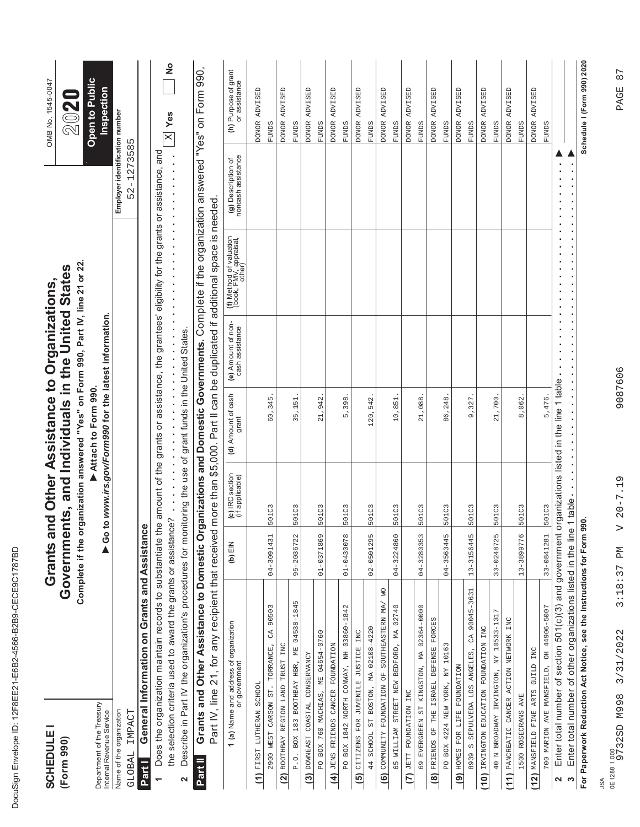| ı<br>۱           |
|------------------|
| ĺ<br>١<br>ı      |
| ¢                |
| Ç<br>ı           |
| ١<br>l           |
| Ó                |
| ĺ<br>O           |
| I<br>¢           |
| ı<br>ı<br>١      |
| Í<br>I           |
| d<br>I<br>l      |
| Ì<br>١           |
| ı<br>I           |
| ı                |
| Ì<br>ı           |
| l<br>ı<br>I<br>l |
| Ì                |
| ı<br>١           |
| Í                |
|                  |
| ı<br>١           |
|                  |
| 1                |
| ١                |
| Ï<br>֠           |
|                  |
| ı                |

| Schedule I (Form 990) 2020<br>$\frac{1}{2}$<br>Grants and Other Assistance to Domestic Organizations and Domestic Governments. Complete if the organization answered "Yes" on Form 990,<br>(h) Purpose of grant<br>or assistance<br>Open to Public<br>Inspection<br>DONOR ADVISED<br>ADVISED<br>ADVISED<br>ADVISED<br>ADVISED<br>ADVISED<br>ADVISED<br>ADVISED<br>ADVISED<br>DONOR ADVISED<br>ADVISED<br>ADVISED<br>Employer identification number<br>$\mathbb{X}$ Yes<br><b>DONOR</b><br><b>DONOR</b><br><b>DONOR</b><br><b>DONOR</b><br><b>DONOR</b><br><b>DONOR</b><br><b>DONOR</b><br><b>DONOR</b><br><b>DONOR</b><br><b>DONOR</b><br><b>FUNDS</b><br><b>FUNDS</b><br><b>FUNDS</b><br><b>FUNDS</b><br><b>FUNDS</b><br><b>FUNDS</b><br><b>FUNDS</b><br><b>FUNDS</b><br><b>FUNDS</b><br><b>FUNDS</b><br><b>FUNDS</b><br><b>FUNDS</b><br>52-1273585<br>Does the organization maintain records to substantiate the amount of the grants or assistance, the grantees' eligibility for the grants or assistance, and<br>(g) Description of<br>noncash assistance<br>more than \$5,000. Part II can be duplicated if additional space is needed.<br>(f) Method of valuation<br>(book, FMV, appraisal,<br>other)<br>Go to www.irs.gov/Form990 for the latest information.<br>(e) Amount of non-<br>cash assistance<br>Describe in Part IV the organization's procedures for monitoring the use of grant funds in the United States.<br>Enter total number of section 501(c)(3) and government organizations listed in the line 1 table<br>Attach to Form 990.<br>(d) Amount of cash<br>grant<br>21,700.<br>5,476.<br>5,398<br>9,327.<br>60,345<br>10,851<br>21,088<br>86,248<br>8,062<br>21,942<br>35,151<br>120,542<br>(c) IRC section<br>(if applicable)<br>Enter total number of other organizations listed in the line 1 table.<br>501C3<br>501C3<br>501C3<br>501C3<br>501C3<br>501C3<br>501C3<br>501C3<br>501C3<br>501C3<br>501C3<br>501C3<br>the selection criteria used to award the grants or assistance?<br>For Paperwork Reduction Act Notice, see the Instructions for Form 990.<br>General Information on Grants and Assistance<br>Part IV, line 21, for any recipient that received<br>01-0430078<br>04-3224860<br>13-3156445<br>33-0841281<br>95-2036722<br>01-0371869<br>$02 - 0501295$<br>04-3280353<br>04-3563445<br>33-0248725<br>13-3899776<br>04-3091431<br>$\mathsf{N} \equiv \mathsf{N}$<br>$\overline{\mathsf{x}}$<br>CA 90045-3631<br>04538-1845<br>(6) COMMUNITY FOUNDATION OF SOUTHEASTERN MA/<br>700 MARION AVE MANSFIELD, OH 44906-5007<br>CA 90503<br>65 WILLIAM STREET NEW BEDFORD, MA 02740<br>69 EVERGREEN ST KINGSTON, MA 02364-0000<br>PO BOX 1842 NORTH CONWAY, NH 03860-1842<br>40 N BROADWAY IRVINGTON, NY 10533-1317<br>FORCES<br>(11) PANCREATIC CANCER ACTION NETWORK INC<br><b>1 (a)</b> Name and address of organization<br>or government<br>SCHOOL ST BOSTON, MA 02108-4220<br>IRVINGTON EDUCATION FOUNDATION INC<br>PO BOX 760 MACHIAS, ME 04654-0760<br>INC<br>JENS FRIENDS CANCER FOUNDATION<br>2900 WEST CARSON ST. TORRANCE,<br>BOOTHBAY REGION LAND TRUST INC<br>PO BOX 4224 NEW YORK, NY 10163<br>CITIZENS FOR JUVENILE JUSTICE<br>(8) FRIENDS OF THE ISRAEL DEFENSE<br>P.O. BOX 183 BOOTHBAY HBR, ME<br>8939 S SEPULVEDA LOS ANGELES,<br>MANSFIELD FINE ARTS GUID INC<br>(3) DOWNEAST COASTAL CONSERVANCY<br>(9) HOMES FOR LIFE FOUNDATION<br>(1) FIRST LUTHERAN SCHOOL<br>JETT FOUNDATION INC<br>1500 ROSECRANS AVE<br>Department of the Treasury<br>Internal Revenue Service<br>Name of the organization<br>IMPACT<br>GLOBAL<br>Part I<br>Part II<br>44<br>$\widetilde{a}$<br>$\widehat{4}$<br>$\overline{5}$<br>$\widehat{\epsilon}$<br>(10)<br>(12)<br>$\mathbf{\Omega}$<br>$\boldsymbol{\varsigma}$<br>2 | <b>SCHEDULE</b><br>(Form 990) |  | Complete if the organization answered "Yes" on Form 990, Part IV, line 21 or 22.<br>Governments, and Individuals in the United States<br>Grants and Other Assistance to Organizations, |  | OMB No. 1545-0047<br>20 |
|--------------------------------------------------------------------------------------------------------------------------------------------------------------------------------------------------------------------------------------------------------------------------------------------------------------------------------------------------------------------------------------------------------------------------------------------------------------------------------------------------------------------------------------------------------------------------------------------------------------------------------------------------------------------------------------------------------------------------------------------------------------------------------------------------------------------------------------------------------------------------------------------------------------------------------------------------------------------------------------------------------------------------------------------------------------------------------------------------------------------------------------------------------------------------------------------------------------------------------------------------------------------------------------------------------------------------------------------------------------------------------------------------------------------------------------------------------------------------------------------------------------------------------------------------------------------------------------------------------------------------------------------------------------------------------------------------------------------------------------------------------------------------------------------------------------------------------------------------------------------------------------------------------------------------------------------------------------------------------------------------------------------------------------------------------------------------------------------------------------------------------------------------------------------------------------------------------------------------------------------------------------------------------------------------------------------------------------------------------------------------------------------------------------------------------------------------------------------------------------------------------------------------------------------------------------------------------------------------------------------------------------------------------------------------------------------------------------------------------------------------------------------------------------------------------------------------------------------------------------------------------------------------------------------------------------------------------------------------------------------------------------------------------------------------------------------------------------------------------------------------------------------------------------------------------------------------------------------------------------------------------------------------------------------------------------------------------------------------------------------------------------------------------------------------------------------------------------------------------------------------------------------------------------------------------------------------------------------------------------------------------------------------------------------------------------------------------------------------------------------------------------|-------------------------------|--|----------------------------------------------------------------------------------------------------------------------------------------------------------------------------------------|--|-------------------------|
|                                                                                                                                                                                                                                                                                                                                                                                                                                                                                                                                                                                                                                                                                                                                                                                                                                                                                                                                                                                                                                                                                                                                                                                                                                                                                                                                                                                                                                                                                                                                                                                                                                                                                                                                                                                                                                                                                                                                                                                                                                                                                                                                                                                                                                                                                                                                                                                                                                                                                                                                                                                                                                                                                                                                                                                                                                                                                                                                                                                                                                                                                                                                                                                                                                                                                                                                                                                                                                                                                                                                                                                                                                                                                                                                                              |                               |  |                                                                                                                                                                                        |  |                         |
|                                                                                                                                                                                                                                                                                                                                                                                                                                                                                                                                                                                                                                                                                                                                                                                                                                                                                                                                                                                                                                                                                                                                                                                                                                                                                                                                                                                                                                                                                                                                                                                                                                                                                                                                                                                                                                                                                                                                                                                                                                                                                                                                                                                                                                                                                                                                                                                                                                                                                                                                                                                                                                                                                                                                                                                                                                                                                                                                                                                                                                                                                                                                                                                                                                                                                                                                                                                                                                                                                                                                                                                                                                                                                                                                                              |                               |  |                                                                                                                                                                                        |  |                         |
|                                                                                                                                                                                                                                                                                                                                                                                                                                                                                                                                                                                                                                                                                                                                                                                                                                                                                                                                                                                                                                                                                                                                                                                                                                                                                                                                                                                                                                                                                                                                                                                                                                                                                                                                                                                                                                                                                                                                                                                                                                                                                                                                                                                                                                                                                                                                                                                                                                                                                                                                                                                                                                                                                                                                                                                                                                                                                                                                                                                                                                                                                                                                                                                                                                                                                                                                                                                                                                                                                                                                                                                                                                                                                                                                                              |                               |  |                                                                                                                                                                                        |  |                         |
|                                                                                                                                                                                                                                                                                                                                                                                                                                                                                                                                                                                                                                                                                                                                                                                                                                                                                                                                                                                                                                                                                                                                                                                                                                                                                                                                                                                                                                                                                                                                                                                                                                                                                                                                                                                                                                                                                                                                                                                                                                                                                                                                                                                                                                                                                                                                                                                                                                                                                                                                                                                                                                                                                                                                                                                                                                                                                                                                                                                                                                                                                                                                                                                                                                                                                                                                                                                                                                                                                                                                                                                                                                                                                                                                                              |                               |  |                                                                                                                                                                                        |  |                         |
|                                                                                                                                                                                                                                                                                                                                                                                                                                                                                                                                                                                                                                                                                                                                                                                                                                                                                                                                                                                                                                                                                                                                                                                                                                                                                                                                                                                                                                                                                                                                                                                                                                                                                                                                                                                                                                                                                                                                                                                                                                                                                                                                                                                                                                                                                                                                                                                                                                                                                                                                                                                                                                                                                                                                                                                                                                                                                                                                                                                                                                                                                                                                                                                                                                                                                                                                                                                                                                                                                                                                                                                                                                                                                                                                                              |                               |  |                                                                                                                                                                                        |  |                         |
|                                                                                                                                                                                                                                                                                                                                                                                                                                                                                                                                                                                                                                                                                                                                                                                                                                                                                                                                                                                                                                                                                                                                                                                                                                                                                                                                                                                                                                                                                                                                                                                                                                                                                                                                                                                                                                                                                                                                                                                                                                                                                                                                                                                                                                                                                                                                                                                                                                                                                                                                                                                                                                                                                                                                                                                                                                                                                                                                                                                                                                                                                                                                                                                                                                                                                                                                                                                                                                                                                                                                                                                                                                                                                                                                                              |                               |  |                                                                                                                                                                                        |  |                         |
|                                                                                                                                                                                                                                                                                                                                                                                                                                                                                                                                                                                                                                                                                                                                                                                                                                                                                                                                                                                                                                                                                                                                                                                                                                                                                                                                                                                                                                                                                                                                                                                                                                                                                                                                                                                                                                                                                                                                                                                                                                                                                                                                                                                                                                                                                                                                                                                                                                                                                                                                                                                                                                                                                                                                                                                                                                                                                                                                                                                                                                                                                                                                                                                                                                                                                                                                                                                                                                                                                                                                                                                                                                                                                                                                                              |                               |  |                                                                                                                                                                                        |  |                         |
|                                                                                                                                                                                                                                                                                                                                                                                                                                                                                                                                                                                                                                                                                                                                                                                                                                                                                                                                                                                                                                                                                                                                                                                                                                                                                                                                                                                                                                                                                                                                                                                                                                                                                                                                                                                                                                                                                                                                                                                                                                                                                                                                                                                                                                                                                                                                                                                                                                                                                                                                                                                                                                                                                                                                                                                                                                                                                                                                                                                                                                                                                                                                                                                                                                                                                                                                                                                                                                                                                                                                                                                                                                                                                                                                                              |                               |  |                                                                                                                                                                                        |  |                         |
|                                                                                                                                                                                                                                                                                                                                                                                                                                                                                                                                                                                                                                                                                                                                                                                                                                                                                                                                                                                                                                                                                                                                                                                                                                                                                                                                                                                                                                                                                                                                                                                                                                                                                                                                                                                                                                                                                                                                                                                                                                                                                                                                                                                                                                                                                                                                                                                                                                                                                                                                                                                                                                                                                                                                                                                                                                                                                                                                                                                                                                                                                                                                                                                                                                                                                                                                                                                                                                                                                                                                                                                                                                                                                                                                                              |                               |  |                                                                                                                                                                                        |  |                         |
|                                                                                                                                                                                                                                                                                                                                                                                                                                                                                                                                                                                                                                                                                                                                                                                                                                                                                                                                                                                                                                                                                                                                                                                                                                                                                                                                                                                                                                                                                                                                                                                                                                                                                                                                                                                                                                                                                                                                                                                                                                                                                                                                                                                                                                                                                                                                                                                                                                                                                                                                                                                                                                                                                                                                                                                                                                                                                                                                                                                                                                                                                                                                                                                                                                                                                                                                                                                                                                                                                                                                                                                                                                                                                                                                                              |                               |  |                                                                                                                                                                                        |  |                         |
|                                                                                                                                                                                                                                                                                                                                                                                                                                                                                                                                                                                                                                                                                                                                                                                                                                                                                                                                                                                                                                                                                                                                                                                                                                                                                                                                                                                                                                                                                                                                                                                                                                                                                                                                                                                                                                                                                                                                                                                                                                                                                                                                                                                                                                                                                                                                                                                                                                                                                                                                                                                                                                                                                                                                                                                                                                                                                                                                                                                                                                                                                                                                                                                                                                                                                                                                                                                                                                                                                                                                                                                                                                                                                                                                                              |                               |  |                                                                                                                                                                                        |  |                         |
|                                                                                                                                                                                                                                                                                                                                                                                                                                                                                                                                                                                                                                                                                                                                                                                                                                                                                                                                                                                                                                                                                                                                                                                                                                                                                                                                                                                                                                                                                                                                                                                                                                                                                                                                                                                                                                                                                                                                                                                                                                                                                                                                                                                                                                                                                                                                                                                                                                                                                                                                                                                                                                                                                                                                                                                                                                                                                                                                                                                                                                                                                                                                                                                                                                                                                                                                                                                                                                                                                                                                                                                                                                                                                                                                                              |                               |  |                                                                                                                                                                                        |  |                         |
|                                                                                                                                                                                                                                                                                                                                                                                                                                                                                                                                                                                                                                                                                                                                                                                                                                                                                                                                                                                                                                                                                                                                                                                                                                                                                                                                                                                                                                                                                                                                                                                                                                                                                                                                                                                                                                                                                                                                                                                                                                                                                                                                                                                                                                                                                                                                                                                                                                                                                                                                                                                                                                                                                                                                                                                                                                                                                                                                                                                                                                                                                                                                                                                                                                                                                                                                                                                                                                                                                                                                                                                                                                                                                                                                                              |                               |  |                                                                                                                                                                                        |  |                         |
|                                                                                                                                                                                                                                                                                                                                                                                                                                                                                                                                                                                                                                                                                                                                                                                                                                                                                                                                                                                                                                                                                                                                                                                                                                                                                                                                                                                                                                                                                                                                                                                                                                                                                                                                                                                                                                                                                                                                                                                                                                                                                                                                                                                                                                                                                                                                                                                                                                                                                                                                                                                                                                                                                                                                                                                                                                                                                                                                                                                                                                                                                                                                                                                                                                                                                                                                                                                                                                                                                                                                                                                                                                                                                                                                                              |                               |  |                                                                                                                                                                                        |  |                         |
|                                                                                                                                                                                                                                                                                                                                                                                                                                                                                                                                                                                                                                                                                                                                                                                                                                                                                                                                                                                                                                                                                                                                                                                                                                                                                                                                                                                                                                                                                                                                                                                                                                                                                                                                                                                                                                                                                                                                                                                                                                                                                                                                                                                                                                                                                                                                                                                                                                                                                                                                                                                                                                                                                                                                                                                                                                                                                                                                                                                                                                                                                                                                                                                                                                                                                                                                                                                                                                                                                                                                                                                                                                                                                                                                                              |                               |  |                                                                                                                                                                                        |  |                         |
|                                                                                                                                                                                                                                                                                                                                                                                                                                                                                                                                                                                                                                                                                                                                                                                                                                                                                                                                                                                                                                                                                                                                                                                                                                                                                                                                                                                                                                                                                                                                                                                                                                                                                                                                                                                                                                                                                                                                                                                                                                                                                                                                                                                                                                                                                                                                                                                                                                                                                                                                                                                                                                                                                                                                                                                                                                                                                                                                                                                                                                                                                                                                                                                                                                                                                                                                                                                                                                                                                                                                                                                                                                                                                                                                                              |                               |  |                                                                                                                                                                                        |  |                         |
|                                                                                                                                                                                                                                                                                                                                                                                                                                                                                                                                                                                                                                                                                                                                                                                                                                                                                                                                                                                                                                                                                                                                                                                                                                                                                                                                                                                                                                                                                                                                                                                                                                                                                                                                                                                                                                                                                                                                                                                                                                                                                                                                                                                                                                                                                                                                                                                                                                                                                                                                                                                                                                                                                                                                                                                                                                                                                                                                                                                                                                                                                                                                                                                                                                                                                                                                                                                                                                                                                                                                                                                                                                                                                                                                                              |                               |  |                                                                                                                                                                                        |  |                         |
|                                                                                                                                                                                                                                                                                                                                                                                                                                                                                                                                                                                                                                                                                                                                                                                                                                                                                                                                                                                                                                                                                                                                                                                                                                                                                                                                                                                                                                                                                                                                                                                                                                                                                                                                                                                                                                                                                                                                                                                                                                                                                                                                                                                                                                                                                                                                                                                                                                                                                                                                                                                                                                                                                                                                                                                                                                                                                                                                                                                                                                                                                                                                                                                                                                                                                                                                                                                                                                                                                                                                                                                                                                                                                                                                                              |                               |  |                                                                                                                                                                                        |  |                         |
|                                                                                                                                                                                                                                                                                                                                                                                                                                                                                                                                                                                                                                                                                                                                                                                                                                                                                                                                                                                                                                                                                                                                                                                                                                                                                                                                                                                                                                                                                                                                                                                                                                                                                                                                                                                                                                                                                                                                                                                                                                                                                                                                                                                                                                                                                                                                                                                                                                                                                                                                                                                                                                                                                                                                                                                                                                                                                                                                                                                                                                                                                                                                                                                                                                                                                                                                                                                                                                                                                                                                                                                                                                                                                                                                                              |                               |  |                                                                                                                                                                                        |  |                         |
|                                                                                                                                                                                                                                                                                                                                                                                                                                                                                                                                                                                                                                                                                                                                                                                                                                                                                                                                                                                                                                                                                                                                                                                                                                                                                                                                                                                                                                                                                                                                                                                                                                                                                                                                                                                                                                                                                                                                                                                                                                                                                                                                                                                                                                                                                                                                                                                                                                                                                                                                                                                                                                                                                                                                                                                                                                                                                                                                                                                                                                                                                                                                                                                                                                                                                                                                                                                                                                                                                                                                                                                                                                                                                                                                                              |                               |  |                                                                                                                                                                                        |  |                         |
|                                                                                                                                                                                                                                                                                                                                                                                                                                                                                                                                                                                                                                                                                                                                                                                                                                                                                                                                                                                                                                                                                                                                                                                                                                                                                                                                                                                                                                                                                                                                                                                                                                                                                                                                                                                                                                                                                                                                                                                                                                                                                                                                                                                                                                                                                                                                                                                                                                                                                                                                                                                                                                                                                                                                                                                                                                                                                                                                                                                                                                                                                                                                                                                                                                                                                                                                                                                                                                                                                                                                                                                                                                                                                                                                                              |                               |  |                                                                                                                                                                                        |  |                         |
|                                                                                                                                                                                                                                                                                                                                                                                                                                                                                                                                                                                                                                                                                                                                                                                                                                                                                                                                                                                                                                                                                                                                                                                                                                                                                                                                                                                                                                                                                                                                                                                                                                                                                                                                                                                                                                                                                                                                                                                                                                                                                                                                                                                                                                                                                                                                                                                                                                                                                                                                                                                                                                                                                                                                                                                                                                                                                                                                                                                                                                                                                                                                                                                                                                                                                                                                                                                                                                                                                                                                                                                                                                                                                                                                                              |                               |  |                                                                                                                                                                                        |  |                         |
|                                                                                                                                                                                                                                                                                                                                                                                                                                                                                                                                                                                                                                                                                                                                                                                                                                                                                                                                                                                                                                                                                                                                                                                                                                                                                                                                                                                                                                                                                                                                                                                                                                                                                                                                                                                                                                                                                                                                                                                                                                                                                                                                                                                                                                                                                                                                                                                                                                                                                                                                                                                                                                                                                                                                                                                                                                                                                                                                                                                                                                                                                                                                                                                                                                                                                                                                                                                                                                                                                                                                                                                                                                                                                                                                                              |                               |  |                                                                                                                                                                                        |  |                         |
|                                                                                                                                                                                                                                                                                                                                                                                                                                                                                                                                                                                                                                                                                                                                                                                                                                                                                                                                                                                                                                                                                                                                                                                                                                                                                                                                                                                                                                                                                                                                                                                                                                                                                                                                                                                                                                                                                                                                                                                                                                                                                                                                                                                                                                                                                                                                                                                                                                                                                                                                                                                                                                                                                                                                                                                                                                                                                                                                                                                                                                                                                                                                                                                                                                                                                                                                                                                                                                                                                                                                                                                                                                                                                                                                                              |                               |  |                                                                                                                                                                                        |  |                         |
|                                                                                                                                                                                                                                                                                                                                                                                                                                                                                                                                                                                                                                                                                                                                                                                                                                                                                                                                                                                                                                                                                                                                                                                                                                                                                                                                                                                                                                                                                                                                                                                                                                                                                                                                                                                                                                                                                                                                                                                                                                                                                                                                                                                                                                                                                                                                                                                                                                                                                                                                                                                                                                                                                                                                                                                                                                                                                                                                                                                                                                                                                                                                                                                                                                                                                                                                                                                                                                                                                                                                                                                                                                                                                                                                                              |                               |  |                                                                                                                                                                                        |  |                         |
|                                                                                                                                                                                                                                                                                                                                                                                                                                                                                                                                                                                                                                                                                                                                                                                                                                                                                                                                                                                                                                                                                                                                                                                                                                                                                                                                                                                                                                                                                                                                                                                                                                                                                                                                                                                                                                                                                                                                                                                                                                                                                                                                                                                                                                                                                                                                                                                                                                                                                                                                                                                                                                                                                                                                                                                                                                                                                                                                                                                                                                                                                                                                                                                                                                                                                                                                                                                                                                                                                                                                                                                                                                                                                                                                                              |                               |  |                                                                                                                                                                                        |  |                         |
|                                                                                                                                                                                                                                                                                                                                                                                                                                                                                                                                                                                                                                                                                                                                                                                                                                                                                                                                                                                                                                                                                                                                                                                                                                                                                                                                                                                                                                                                                                                                                                                                                                                                                                                                                                                                                                                                                                                                                                                                                                                                                                                                                                                                                                                                                                                                                                                                                                                                                                                                                                                                                                                                                                                                                                                                                                                                                                                                                                                                                                                                                                                                                                                                                                                                                                                                                                                                                                                                                                                                                                                                                                                                                                                                                              |                               |  |                                                                                                                                                                                        |  |                         |
|                                                                                                                                                                                                                                                                                                                                                                                                                                                                                                                                                                                                                                                                                                                                                                                                                                                                                                                                                                                                                                                                                                                                                                                                                                                                                                                                                                                                                                                                                                                                                                                                                                                                                                                                                                                                                                                                                                                                                                                                                                                                                                                                                                                                                                                                                                                                                                                                                                                                                                                                                                                                                                                                                                                                                                                                                                                                                                                                                                                                                                                                                                                                                                                                                                                                                                                                                                                                                                                                                                                                                                                                                                                                                                                                                              |                               |  |                                                                                                                                                                                        |  |                         |
|                                                                                                                                                                                                                                                                                                                                                                                                                                                                                                                                                                                                                                                                                                                                                                                                                                                                                                                                                                                                                                                                                                                                                                                                                                                                                                                                                                                                                                                                                                                                                                                                                                                                                                                                                                                                                                                                                                                                                                                                                                                                                                                                                                                                                                                                                                                                                                                                                                                                                                                                                                                                                                                                                                                                                                                                                                                                                                                                                                                                                                                                                                                                                                                                                                                                                                                                                                                                                                                                                                                                                                                                                                                                                                                                                              |                               |  |                                                                                                                                                                                        |  |                         |
|                                                                                                                                                                                                                                                                                                                                                                                                                                                                                                                                                                                                                                                                                                                                                                                                                                                                                                                                                                                                                                                                                                                                                                                                                                                                                                                                                                                                                                                                                                                                                                                                                                                                                                                                                                                                                                                                                                                                                                                                                                                                                                                                                                                                                                                                                                                                                                                                                                                                                                                                                                                                                                                                                                                                                                                                                                                                                                                                                                                                                                                                                                                                                                                                                                                                                                                                                                                                                                                                                                                                                                                                                                                                                                                                                              |                               |  |                                                                                                                                                                                        |  |                         |
|                                                                                                                                                                                                                                                                                                                                                                                                                                                                                                                                                                                                                                                                                                                                                                                                                                                                                                                                                                                                                                                                                                                                                                                                                                                                                                                                                                                                                                                                                                                                                                                                                                                                                                                                                                                                                                                                                                                                                                                                                                                                                                                                                                                                                                                                                                                                                                                                                                                                                                                                                                                                                                                                                                                                                                                                                                                                                                                                                                                                                                                                                                                                                                                                                                                                                                                                                                                                                                                                                                                                                                                                                                                                                                                                                              |                               |  |                                                                                                                                                                                        |  |                         |
|                                                                                                                                                                                                                                                                                                                                                                                                                                                                                                                                                                                                                                                                                                                                                                                                                                                                                                                                                                                                                                                                                                                                                                                                                                                                                                                                                                                                                                                                                                                                                                                                                                                                                                                                                                                                                                                                                                                                                                                                                                                                                                                                                                                                                                                                                                                                                                                                                                                                                                                                                                                                                                                                                                                                                                                                                                                                                                                                                                                                                                                                                                                                                                                                                                                                                                                                                                                                                                                                                                                                                                                                                                                                                                                                                              |                               |  |                                                                                                                                                                                        |  |                         |

PAGE 87

9087606

9732SD M998 3/31/2022 3:18:37 PM V 20-7.19 9087606 PAGE 87  $V 20 - 7.19$ 3:18:37 PM JSA<br>0E12881.000<br>9732SD M998 3/31/2022

0E1288 1.000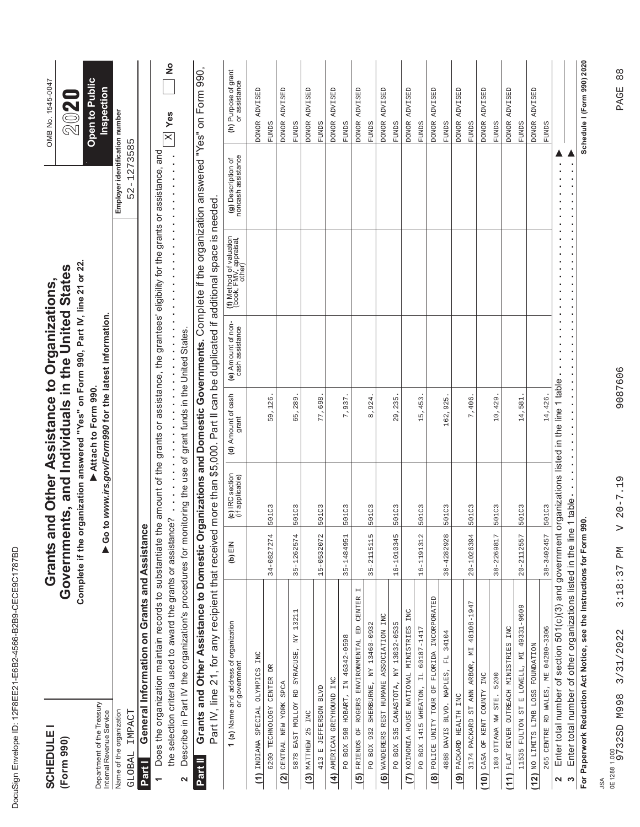| ı<br>۱                                                                                                                         |
|--------------------------------------------------------------------------------------------------------------------------------|
| ĺ<br>١<br>ı                                                                                                                    |
| ¢                                                                                                                              |
| Ç<br>ı                                                                                                                         |
| ١<br>l                                                                                                                         |
| Ó                                                                                                                              |
| ĺ<br>O                                                                                                                         |
| I<br>¢                                                                                                                         |
| ı<br>ı<br>١                                                                                                                    |
| Í<br><b>STATE OF STATE OF STATE OF STATE OF STATE OF STATE OF STATE OF STATE OF STATE OF STATE OF STATE OF STATE OF S</b><br>I |
| d<br>I<br>l                                                                                                                    |
| Ì<br>١                                                                                                                         |
| ı<br>I                                                                                                                         |
| ı                                                                                                                              |
| Ì<br>ı                                                                                                                         |
| l<br>ı<br>I<br>l                                                                                                               |
| Ì                                                                                                                              |
| ı<br>١                                                                                                                         |
| Í                                                                                                                              |
|                                                                                                                                |
| ı<br>١                                                                                                                         |
|                                                                                                                                |
| 1                                                                                                                              |
| ١                                                                                                                              |
| Ï<br>֠                                                                                                                         |
|                                                                                                                                |
| ı                                                                                                                              |

| anizations and Domestic Governments. Complete if the organization answered "Yes" on Form 990,<br>(h) Purpose of grant<br>or assistance<br>Open to Public<br>Inspection<br>DONOR ADVISED<br>ADVISED<br>DONOR ADVISED<br>ADVISED<br>ADVISED<br>ADVISED<br>ADVISED<br>ADVISED<br>ADVISED<br>ADVISED<br>ADVISED<br>ADVISED<br>Employer identification number<br>$\mathbb{X}$ Yes<br><b>DONOR</b><br><b>DONOR</b><br><b>DONOR</b><br><b>DONOR</b><br><b>DONOR</b><br><b>DONOR</b><br><b>DONOR</b><br><b>DONOR</b><br><b>DONOR</b><br><b>DONOR</b><br><b>FUNDS</b><br><b>FUNDS</b><br><b>FUNDS</b><br><b>FUNDS</b><br><b>FUNDS</b><br><b>FUNDS</b><br><b>FUNDS</b><br><b>FUNDS</b><br><b>FUNDS</b><br><b>FUNDS</b><br><b>FUNDS</b><br><b>FUNDS</b><br>52-1273585<br>Does the organization maintain records to substantiate the amount of the grants or assistance, the grantees' eligibility for the grants or assistance, and<br>$\frac{1}{2}$<br>(g) Description of<br>noncash assistance<br>ä,<br>$\ddot{\cdot}$<br>more than \$5,000. Part II can be duplicated if additional space is needed.<br>$\begin{array}{c} \bullet \\ \bullet \\ \bullet \\ \bullet \end{array}$<br>(f) Method of valuation<br>(book, FMV, appraisal,<br>other)<br><b>.</b><br>.<br>Go to www.irs.gov/Form990 for the latest information.<br>(e) Amount of non-<br>cash assistance<br>Describe in Part IV the organization's procedures for monitoring the use of grant funds in the United States.<br>$\frac{1}{2}$<br>.<br>Enter total number of section 501(c)(3) and government organizations listed in the line 1 table<br>Attach to Form 990.<br>(d) Amount of cash<br>grant<br>8,924.<br>65,289<br>14,581<br>14,426<br>77,698<br>162,925<br>59,126<br>29,235<br>15,453<br>7,406.<br>10,429<br>7,937<br>(c) IRC section<br>(if applicable)<br>Enter total number of other organizations listed in the line 1 table<br>501C3<br>501C3<br>501C3<br>501C3<br>501C3<br>501C3<br>501C3<br>501C3<br>501C3<br>501C3<br>501C3<br>501C3<br>the selection criteria used to award the grants or assistance?<br>General Information on Grants and Assistance<br>Grants and Other Assistance to Domestic Org<br>Part IV, line 21, for any recipient that received<br>36-4282928<br>38-3402457<br>34-0827274<br>35-1262574<br>15-0532072<br>35-2115115<br>16-1010345<br>16-1191312<br>$20 - 1026394$<br>38-2269817<br>$20 - 2112557$<br>35-1484951<br>$(h)$ EIN<br>(5) FRIENDS OF ROGERS ENVIRONMENTAL ED CENTER<br>FLORIDA INCORPORATED<br>48108-1947<br>11535 FULTON ST E LOWELL, MI 49331-9609<br>INC<br>NY 13211<br>INC<br><b>1 (a)</b> Name and address of organization<br>or government<br>PO BOX 932 SHERBURNE, NY 13460-0932<br>PO BOX 535 CANASTOTA, NY 13032-0535<br>(7) KOINONIA HOUSE NATIONAL MINISTRIES<br>CENTRE RD WALES, ME 04280-3306<br>PO BOX 1415 WHEATON, IL 60187-1417<br>FLAT RIVER OUTREACH MINISTRIES INC<br>(6) WANDERERS REST HUMANE ASSOCIATION<br>4888 DAVIS BLVD. NAPLES, FL 34104<br>BOX 598 HOBART, IN 46342-0598<br>(12) NO LIMITS LIMB LOSS FOUNDATION<br>5878 EAST MOLLOY RD SYRACUSE,<br>NЦ<br>(1) INDIANA SPECIAL OLYMPICS INC<br>3174 PACKARD ST ANN ARBOR,<br>6200 TECHNOLOGY CENTER DR<br>INC<br>5200<br>(4) AMERICAN GREYHOUND INC<br>CENTRAL NEW YORK SPCA<br>(8) POLICE UNITY TOUR OF<br>413 E JEFFERSON BLVD<br>OF KENT COUNTY<br>180 OTTAWA NW STE.<br>PACKARD HEALTH INC<br>Department of the Treasury<br>Name of the organization<br>IMPACT<br>Internal Revenue Service<br>INC<br>$(3)$ MATTHEW 25<br>GLOBAL<br>CASA<br>265<br>Part II<br>Part I<br>$\overline{P}$<br>(11)<br>(2)<br>$\widehat{\mathbf{e}}$<br>(10)<br>2<br>S<br>2 | <b>SCHEDULE</b><br>(Form 990) |  | Complete if the organization answered "Yes" on Form 990, Part IV, line 21 or 22.<br>Governments, and Individuals in the United States<br>Grants and Other Assistance to Organizations, |  | OMB No. 1545-0047<br>2020 |
|---------------------------------------------------------------------------------------------------------------------------------------------------------------------------------------------------------------------------------------------------------------------------------------------------------------------------------------------------------------------------------------------------------------------------------------------------------------------------------------------------------------------------------------------------------------------------------------------------------------------------------------------------------------------------------------------------------------------------------------------------------------------------------------------------------------------------------------------------------------------------------------------------------------------------------------------------------------------------------------------------------------------------------------------------------------------------------------------------------------------------------------------------------------------------------------------------------------------------------------------------------------------------------------------------------------------------------------------------------------------------------------------------------------------------------------------------------------------------------------------------------------------------------------------------------------------------------------------------------------------------------------------------------------------------------------------------------------------------------------------------------------------------------------------------------------------------------------------------------------------------------------------------------------------------------------------------------------------------------------------------------------------------------------------------------------------------------------------------------------------------------------------------------------------------------------------------------------------------------------------------------------------------------------------------------------------------------------------------------------------------------------------------------------------------------------------------------------------------------------------------------------------------------------------------------------------------------------------------------------------------------------------------------------------------------------------------------------------------------------------------------------------------------------------------------------------------------------------------------------------------------------------------------------------------------------------------------------------------------------------------------------------------------------------------------------------------------------------------------------------------------------------------------------------------------------------------------------------------------------------------------------------------------------------------------------------------------------------------------------------------------------------------------------------------------------------------------------------------------------------------------------------------------------------------------------------------------------------------------------------------------------------------|-------------------------------|--|----------------------------------------------------------------------------------------------------------------------------------------------------------------------------------------|--|---------------------------|
|                                                                                                                                                                                                                                                                                                                                                                                                                                                                                                                                                                                                                                                                                                                                                                                                                                                                                                                                                                                                                                                                                                                                                                                                                                                                                                                                                                                                                                                                                                                                                                                                                                                                                                                                                                                                                                                                                                                                                                                                                                                                                                                                                                                                                                                                                                                                                                                                                                                                                                                                                                                                                                                                                                                                                                                                                                                                                                                                                                                                                                                                                                                                                                                                                                                                                                                                                                                                                                                                                                                                                                                                                                                   |                               |  |                                                                                                                                                                                        |  |                           |
|                                                                                                                                                                                                                                                                                                                                                                                                                                                                                                                                                                                                                                                                                                                                                                                                                                                                                                                                                                                                                                                                                                                                                                                                                                                                                                                                                                                                                                                                                                                                                                                                                                                                                                                                                                                                                                                                                                                                                                                                                                                                                                                                                                                                                                                                                                                                                                                                                                                                                                                                                                                                                                                                                                                                                                                                                                                                                                                                                                                                                                                                                                                                                                                                                                                                                                                                                                                                                                                                                                                                                                                                                                                   |                               |  |                                                                                                                                                                                        |  |                           |
|                                                                                                                                                                                                                                                                                                                                                                                                                                                                                                                                                                                                                                                                                                                                                                                                                                                                                                                                                                                                                                                                                                                                                                                                                                                                                                                                                                                                                                                                                                                                                                                                                                                                                                                                                                                                                                                                                                                                                                                                                                                                                                                                                                                                                                                                                                                                                                                                                                                                                                                                                                                                                                                                                                                                                                                                                                                                                                                                                                                                                                                                                                                                                                                                                                                                                                                                                                                                                                                                                                                                                                                                                                                   |                               |  |                                                                                                                                                                                        |  |                           |
|                                                                                                                                                                                                                                                                                                                                                                                                                                                                                                                                                                                                                                                                                                                                                                                                                                                                                                                                                                                                                                                                                                                                                                                                                                                                                                                                                                                                                                                                                                                                                                                                                                                                                                                                                                                                                                                                                                                                                                                                                                                                                                                                                                                                                                                                                                                                                                                                                                                                                                                                                                                                                                                                                                                                                                                                                                                                                                                                                                                                                                                                                                                                                                                                                                                                                                                                                                                                                                                                                                                                                                                                                                                   |                               |  |                                                                                                                                                                                        |  |                           |
|                                                                                                                                                                                                                                                                                                                                                                                                                                                                                                                                                                                                                                                                                                                                                                                                                                                                                                                                                                                                                                                                                                                                                                                                                                                                                                                                                                                                                                                                                                                                                                                                                                                                                                                                                                                                                                                                                                                                                                                                                                                                                                                                                                                                                                                                                                                                                                                                                                                                                                                                                                                                                                                                                                                                                                                                                                                                                                                                                                                                                                                                                                                                                                                                                                                                                                                                                                                                                                                                                                                                                                                                                                                   |                               |  |                                                                                                                                                                                        |  | $\frac{1}{2}$             |
|                                                                                                                                                                                                                                                                                                                                                                                                                                                                                                                                                                                                                                                                                                                                                                                                                                                                                                                                                                                                                                                                                                                                                                                                                                                                                                                                                                                                                                                                                                                                                                                                                                                                                                                                                                                                                                                                                                                                                                                                                                                                                                                                                                                                                                                                                                                                                                                                                                                                                                                                                                                                                                                                                                                                                                                                                                                                                                                                                                                                                                                                                                                                                                                                                                                                                                                                                                                                                                                                                                                                                                                                                                                   |                               |  |                                                                                                                                                                                        |  |                           |
|                                                                                                                                                                                                                                                                                                                                                                                                                                                                                                                                                                                                                                                                                                                                                                                                                                                                                                                                                                                                                                                                                                                                                                                                                                                                                                                                                                                                                                                                                                                                                                                                                                                                                                                                                                                                                                                                                                                                                                                                                                                                                                                                                                                                                                                                                                                                                                                                                                                                                                                                                                                                                                                                                                                                                                                                                                                                                                                                                                                                                                                                                                                                                                                                                                                                                                                                                                                                                                                                                                                                                                                                                                                   |                               |  |                                                                                                                                                                                        |  |                           |
|                                                                                                                                                                                                                                                                                                                                                                                                                                                                                                                                                                                                                                                                                                                                                                                                                                                                                                                                                                                                                                                                                                                                                                                                                                                                                                                                                                                                                                                                                                                                                                                                                                                                                                                                                                                                                                                                                                                                                                                                                                                                                                                                                                                                                                                                                                                                                                                                                                                                                                                                                                                                                                                                                                                                                                                                                                                                                                                                                                                                                                                                                                                                                                                                                                                                                                                                                                                                                                                                                                                                                                                                                                                   |                               |  |                                                                                                                                                                                        |  |                           |
|                                                                                                                                                                                                                                                                                                                                                                                                                                                                                                                                                                                                                                                                                                                                                                                                                                                                                                                                                                                                                                                                                                                                                                                                                                                                                                                                                                                                                                                                                                                                                                                                                                                                                                                                                                                                                                                                                                                                                                                                                                                                                                                                                                                                                                                                                                                                                                                                                                                                                                                                                                                                                                                                                                                                                                                                                                                                                                                                                                                                                                                                                                                                                                                                                                                                                                                                                                                                                                                                                                                                                                                                                                                   |                               |  |                                                                                                                                                                                        |  |                           |
|                                                                                                                                                                                                                                                                                                                                                                                                                                                                                                                                                                                                                                                                                                                                                                                                                                                                                                                                                                                                                                                                                                                                                                                                                                                                                                                                                                                                                                                                                                                                                                                                                                                                                                                                                                                                                                                                                                                                                                                                                                                                                                                                                                                                                                                                                                                                                                                                                                                                                                                                                                                                                                                                                                                                                                                                                                                                                                                                                                                                                                                                                                                                                                                                                                                                                                                                                                                                                                                                                                                                                                                                                                                   |                               |  |                                                                                                                                                                                        |  |                           |
|                                                                                                                                                                                                                                                                                                                                                                                                                                                                                                                                                                                                                                                                                                                                                                                                                                                                                                                                                                                                                                                                                                                                                                                                                                                                                                                                                                                                                                                                                                                                                                                                                                                                                                                                                                                                                                                                                                                                                                                                                                                                                                                                                                                                                                                                                                                                                                                                                                                                                                                                                                                                                                                                                                                                                                                                                                                                                                                                                                                                                                                                                                                                                                                                                                                                                                                                                                                                                                                                                                                                                                                                                                                   |                               |  |                                                                                                                                                                                        |  |                           |
|                                                                                                                                                                                                                                                                                                                                                                                                                                                                                                                                                                                                                                                                                                                                                                                                                                                                                                                                                                                                                                                                                                                                                                                                                                                                                                                                                                                                                                                                                                                                                                                                                                                                                                                                                                                                                                                                                                                                                                                                                                                                                                                                                                                                                                                                                                                                                                                                                                                                                                                                                                                                                                                                                                                                                                                                                                                                                                                                                                                                                                                                                                                                                                                                                                                                                                                                                                                                                                                                                                                                                                                                                                                   |                               |  |                                                                                                                                                                                        |  |                           |
|                                                                                                                                                                                                                                                                                                                                                                                                                                                                                                                                                                                                                                                                                                                                                                                                                                                                                                                                                                                                                                                                                                                                                                                                                                                                                                                                                                                                                                                                                                                                                                                                                                                                                                                                                                                                                                                                                                                                                                                                                                                                                                                                                                                                                                                                                                                                                                                                                                                                                                                                                                                                                                                                                                                                                                                                                                                                                                                                                                                                                                                                                                                                                                                                                                                                                                                                                                                                                                                                                                                                                                                                                                                   |                               |  |                                                                                                                                                                                        |  |                           |
|                                                                                                                                                                                                                                                                                                                                                                                                                                                                                                                                                                                                                                                                                                                                                                                                                                                                                                                                                                                                                                                                                                                                                                                                                                                                                                                                                                                                                                                                                                                                                                                                                                                                                                                                                                                                                                                                                                                                                                                                                                                                                                                                                                                                                                                                                                                                                                                                                                                                                                                                                                                                                                                                                                                                                                                                                                                                                                                                                                                                                                                                                                                                                                                                                                                                                                                                                                                                                                                                                                                                                                                                                                                   |                               |  |                                                                                                                                                                                        |  |                           |
|                                                                                                                                                                                                                                                                                                                                                                                                                                                                                                                                                                                                                                                                                                                                                                                                                                                                                                                                                                                                                                                                                                                                                                                                                                                                                                                                                                                                                                                                                                                                                                                                                                                                                                                                                                                                                                                                                                                                                                                                                                                                                                                                                                                                                                                                                                                                                                                                                                                                                                                                                                                                                                                                                                                                                                                                                                                                                                                                                                                                                                                                                                                                                                                                                                                                                                                                                                                                                                                                                                                                                                                                                                                   |                               |  |                                                                                                                                                                                        |  |                           |
|                                                                                                                                                                                                                                                                                                                                                                                                                                                                                                                                                                                                                                                                                                                                                                                                                                                                                                                                                                                                                                                                                                                                                                                                                                                                                                                                                                                                                                                                                                                                                                                                                                                                                                                                                                                                                                                                                                                                                                                                                                                                                                                                                                                                                                                                                                                                                                                                                                                                                                                                                                                                                                                                                                                                                                                                                                                                                                                                                                                                                                                                                                                                                                                                                                                                                                                                                                                                                                                                                                                                                                                                                                                   |                               |  |                                                                                                                                                                                        |  |                           |
|                                                                                                                                                                                                                                                                                                                                                                                                                                                                                                                                                                                                                                                                                                                                                                                                                                                                                                                                                                                                                                                                                                                                                                                                                                                                                                                                                                                                                                                                                                                                                                                                                                                                                                                                                                                                                                                                                                                                                                                                                                                                                                                                                                                                                                                                                                                                                                                                                                                                                                                                                                                                                                                                                                                                                                                                                                                                                                                                                                                                                                                                                                                                                                                                                                                                                                                                                                                                                                                                                                                                                                                                                                                   |                               |  |                                                                                                                                                                                        |  |                           |
|                                                                                                                                                                                                                                                                                                                                                                                                                                                                                                                                                                                                                                                                                                                                                                                                                                                                                                                                                                                                                                                                                                                                                                                                                                                                                                                                                                                                                                                                                                                                                                                                                                                                                                                                                                                                                                                                                                                                                                                                                                                                                                                                                                                                                                                                                                                                                                                                                                                                                                                                                                                                                                                                                                                                                                                                                                                                                                                                                                                                                                                                                                                                                                                                                                                                                                                                                                                                                                                                                                                                                                                                                                                   |                               |  |                                                                                                                                                                                        |  |                           |
|                                                                                                                                                                                                                                                                                                                                                                                                                                                                                                                                                                                                                                                                                                                                                                                                                                                                                                                                                                                                                                                                                                                                                                                                                                                                                                                                                                                                                                                                                                                                                                                                                                                                                                                                                                                                                                                                                                                                                                                                                                                                                                                                                                                                                                                                                                                                                                                                                                                                                                                                                                                                                                                                                                                                                                                                                                                                                                                                                                                                                                                                                                                                                                                                                                                                                                                                                                                                                                                                                                                                                                                                                                                   |                               |  |                                                                                                                                                                                        |  |                           |
|                                                                                                                                                                                                                                                                                                                                                                                                                                                                                                                                                                                                                                                                                                                                                                                                                                                                                                                                                                                                                                                                                                                                                                                                                                                                                                                                                                                                                                                                                                                                                                                                                                                                                                                                                                                                                                                                                                                                                                                                                                                                                                                                                                                                                                                                                                                                                                                                                                                                                                                                                                                                                                                                                                                                                                                                                                                                                                                                                                                                                                                                                                                                                                                                                                                                                                                                                                                                                                                                                                                                                                                                                                                   |                               |  |                                                                                                                                                                                        |  |                           |
|                                                                                                                                                                                                                                                                                                                                                                                                                                                                                                                                                                                                                                                                                                                                                                                                                                                                                                                                                                                                                                                                                                                                                                                                                                                                                                                                                                                                                                                                                                                                                                                                                                                                                                                                                                                                                                                                                                                                                                                                                                                                                                                                                                                                                                                                                                                                                                                                                                                                                                                                                                                                                                                                                                                                                                                                                                                                                                                                                                                                                                                                                                                                                                                                                                                                                                                                                                                                                                                                                                                                                                                                                                                   |                               |  |                                                                                                                                                                                        |  |                           |
|                                                                                                                                                                                                                                                                                                                                                                                                                                                                                                                                                                                                                                                                                                                                                                                                                                                                                                                                                                                                                                                                                                                                                                                                                                                                                                                                                                                                                                                                                                                                                                                                                                                                                                                                                                                                                                                                                                                                                                                                                                                                                                                                                                                                                                                                                                                                                                                                                                                                                                                                                                                                                                                                                                                                                                                                                                                                                                                                                                                                                                                                                                                                                                                                                                                                                                                                                                                                                                                                                                                                                                                                                                                   |                               |  |                                                                                                                                                                                        |  |                           |
|                                                                                                                                                                                                                                                                                                                                                                                                                                                                                                                                                                                                                                                                                                                                                                                                                                                                                                                                                                                                                                                                                                                                                                                                                                                                                                                                                                                                                                                                                                                                                                                                                                                                                                                                                                                                                                                                                                                                                                                                                                                                                                                                                                                                                                                                                                                                                                                                                                                                                                                                                                                                                                                                                                                                                                                                                                                                                                                                                                                                                                                                                                                                                                                                                                                                                                                                                                                                                                                                                                                                                                                                                                                   |                               |  |                                                                                                                                                                                        |  |                           |
|                                                                                                                                                                                                                                                                                                                                                                                                                                                                                                                                                                                                                                                                                                                                                                                                                                                                                                                                                                                                                                                                                                                                                                                                                                                                                                                                                                                                                                                                                                                                                                                                                                                                                                                                                                                                                                                                                                                                                                                                                                                                                                                                                                                                                                                                                                                                                                                                                                                                                                                                                                                                                                                                                                                                                                                                                                                                                                                                                                                                                                                                                                                                                                                                                                                                                                                                                                                                                                                                                                                                                                                                                                                   |                               |  |                                                                                                                                                                                        |  |                           |
|                                                                                                                                                                                                                                                                                                                                                                                                                                                                                                                                                                                                                                                                                                                                                                                                                                                                                                                                                                                                                                                                                                                                                                                                                                                                                                                                                                                                                                                                                                                                                                                                                                                                                                                                                                                                                                                                                                                                                                                                                                                                                                                                                                                                                                                                                                                                                                                                                                                                                                                                                                                                                                                                                                                                                                                                                                                                                                                                                                                                                                                                                                                                                                                                                                                                                                                                                                                                                                                                                                                                                                                                                                                   |                               |  |                                                                                                                                                                                        |  |                           |
|                                                                                                                                                                                                                                                                                                                                                                                                                                                                                                                                                                                                                                                                                                                                                                                                                                                                                                                                                                                                                                                                                                                                                                                                                                                                                                                                                                                                                                                                                                                                                                                                                                                                                                                                                                                                                                                                                                                                                                                                                                                                                                                                                                                                                                                                                                                                                                                                                                                                                                                                                                                                                                                                                                                                                                                                                                                                                                                                                                                                                                                                                                                                                                                                                                                                                                                                                                                                                                                                                                                                                                                                                                                   |                               |  |                                                                                                                                                                                        |  |                           |
|                                                                                                                                                                                                                                                                                                                                                                                                                                                                                                                                                                                                                                                                                                                                                                                                                                                                                                                                                                                                                                                                                                                                                                                                                                                                                                                                                                                                                                                                                                                                                                                                                                                                                                                                                                                                                                                                                                                                                                                                                                                                                                                                                                                                                                                                                                                                                                                                                                                                                                                                                                                                                                                                                                                                                                                                                                                                                                                                                                                                                                                                                                                                                                                                                                                                                                                                                                                                                                                                                                                                                                                                                                                   |                               |  |                                                                                                                                                                                        |  |                           |
|                                                                                                                                                                                                                                                                                                                                                                                                                                                                                                                                                                                                                                                                                                                                                                                                                                                                                                                                                                                                                                                                                                                                                                                                                                                                                                                                                                                                                                                                                                                                                                                                                                                                                                                                                                                                                                                                                                                                                                                                                                                                                                                                                                                                                                                                                                                                                                                                                                                                                                                                                                                                                                                                                                                                                                                                                                                                                                                                                                                                                                                                                                                                                                                                                                                                                                                                                                                                                                                                                                                                                                                                                                                   |                               |  |                                                                                                                                                                                        |  |                           |
|                                                                                                                                                                                                                                                                                                                                                                                                                                                                                                                                                                                                                                                                                                                                                                                                                                                                                                                                                                                                                                                                                                                                                                                                                                                                                                                                                                                                                                                                                                                                                                                                                                                                                                                                                                                                                                                                                                                                                                                                                                                                                                                                                                                                                                                                                                                                                                                                                                                                                                                                                                                                                                                                                                                                                                                                                                                                                                                                                                                                                                                                                                                                                                                                                                                                                                                                                                                                                                                                                                                                                                                                                                                   |                               |  |                                                                                                                                                                                        |  |                           |
|                                                                                                                                                                                                                                                                                                                                                                                                                                                                                                                                                                                                                                                                                                                                                                                                                                                                                                                                                                                                                                                                                                                                                                                                                                                                                                                                                                                                                                                                                                                                                                                                                                                                                                                                                                                                                                                                                                                                                                                                                                                                                                                                                                                                                                                                                                                                                                                                                                                                                                                                                                                                                                                                                                                                                                                                                                                                                                                                                                                                                                                                                                                                                                                                                                                                                                                                                                                                                                                                                                                                                                                                                                                   |                               |  |                                                                                                                                                                                        |  |                           |
|                                                                                                                                                                                                                                                                                                                                                                                                                                                                                                                                                                                                                                                                                                                                                                                                                                                                                                                                                                                                                                                                                                                                                                                                                                                                                                                                                                                                                                                                                                                                                                                                                                                                                                                                                                                                                                                                                                                                                                                                                                                                                                                                                                                                                                                                                                                                                                                                                                                                                                                                                                                                                                                                                                                                                                                                                                                                                                                                                                                                                                                                                                                                                                                                                                                                                                                                                                                                                                                                                                                                                                                                                                                   |                               |  |                                                                                                                                                                                        |  |                           |
|                                                                                                                                                                                                                                                                                                                                                                                                                                                                                                                                                                                                                                                                                                                                                                                                                                                                                                                                                                                                                                                                                                                                                                                                                                                                                                                                                                                                                                                                                                                                                                                                                                                                                                                                                                                                                                                                                                                                                                                                                                                                                                                                                                                                                                                                                                                                                                                                                                                                                                                                                                                                                                                                                                                                                                                                                                                                                                                                                                                                                                                                                                                                                                                                                                                                                                                                                                                                                                                                                                                                                                                                                                                   |                               |  |                                                                                                                                                                                        |  |                           |
| Schedule I (Form 990) 2020<br>For Paperwork Reduction Act Notice, see the Instructions for Form 990.                                                                                                                                                                                                                                                                                                                                                                                                                                                                                                                                                                                                                                                                                                                                                                                                                                                                                                                                                                                                                                                                                                                                                                                                                                                                                                                                                                                                                                                                                                                                                                                                                                                                                                                                                                                                                                                                                                                                                                                                                                                                                                                                                                                                                                                                                                                                                                                                                                                                                                                                                                                                                                                                                                                                                                                                                                                                                                                                                                                                                                                                                                                                                                                                                                                                                                                                                                                                                                                                                                                                              |                               |  |                                                                                                                                                                                        |  |                           |

PAGE 88

9087606

9732SD M998 3/31/2022 3:18:37 PM V 20-7.19 9087606 PAGE 88  $V 20 - 7.19$ 3:18:37 PM JSA<br>0E12881.000<br>9732SD M998 3/31/2022 0E1288 1.000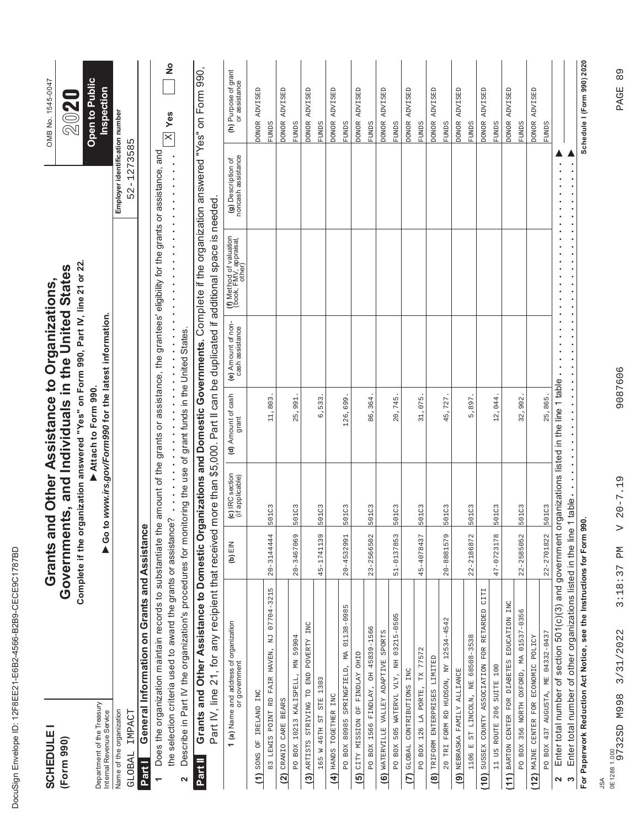| Ĺ<br>J                                                                                                              |
|---------------------------------------------------------------------------------------------------------------------|
| ĺ<br>١<br>ı                                                                                                         |
| d<br>ı                                                                                                              |
| O<br>۱                                                                                                              |
| ١                                                                                                                   |
| l<br>¢<br>l                                                                                                         |
| I<br>¢                                                                                                              |
| I<br>١                                                                                                              |
| Í<br>ı<br>١                                                                                                         |
| ı                                                                                                                   |
| Ì<br>d                                                                                                              |
| I<br>l                                                                                                              |
| Ì<br>I                                                                                                              |
| ı<br>¢                                                                                                              |
| ĺ<br>ı                                                                                                              |
| l<br>I<br>l<br>J<br>l                                                                                               |
| I                                                                                                                   |
| Ì                                                                                                                   |
| ı<br>Ó                                                                                                              |
| ı<br>Ì                                                                                                              |
|                                                                                                                     |
| ı<br>١                                                                                                              |
|                                                                                                                     |
| ĺ<br>and the state of the state of the state of the state of the state of the state of the state of the state of th |
|                                                                                                                     |
| ١<br>Ó<br>֠                                                                                                         |
|                                                                                                                     |
| ı                                                                                                                   |

| anizations and Domestic Governments. Complete if the organization answered "Yes" on Form 990,<br>(h) Purpose of grant<br>or assistance<br>Open to Public<br>Inspection<br>DONOR ADVISED<br>ADVISED<br>DONOR ADVISED<br>ADVISED<br>DONOR ADVISED<br>ADVISED<br>ADVISED<br>ADVISED<br>ADVISED<br>ADVISED<br>ADVISED<br>ADVISED<br>Employer identification number<br>$\mathbb{X}$ Yes<br><b>DONOR</b><br><b>DONOR</b><br><b>DONOR</b><br><b>DONOR</b><br><b>DONOR</b><br><b>DONOR</b><br><b>DONOR</b><br><b>DONOR</b><br><b>DONOR</b><br><b>FUNDS</b><br><b>FUNDS</b><br><b>FUNDS</b><br><b>FUNDS</b><br><b>FUNDS</b><br><b>FUNDS</b><br><b>EUNDS</b><br><b>FUNDS</b><br><b>FUNDS</b><br><b>FUNDS</b><br><b>FUNDS</b><br><b>FUNDS</b><br>52-1273585<br>Does the organization maintain records to substantiate the amount of the grants or assistance, the grantees' eligibility for the grants or assistance, and<br>,,,,,,,,,,,,,,,,,,,,,<br>(g) Description of<br>noncash assistance<br>more than \$5,000. Part II can be duplicated if additional space is needed.<br>(f) Method of valuation<br>(book, FMV, appraisal,<br>other)<br>.<br>Go to www.irs.gov/Form990 for the latest information.<br>(e) Amount of non-<br>cash assistance<br>Describe in Part IV the organization's procedures for monitoring the use of grant funds in the United States.<br>Enter total number of section 501(c)(3) and government organizations listed in the line 1 table<br>Attach to Form 990.<br>(d) Amount of cash<br>grant<br>32,902<br>25,865<br>25,991<br>86,364<br>11,803<br>20,745<br>31,075<br>45,727<br>12,044<br>6,533<br>126,699<br>5,897<br>$\begin{array}{c} \bullet \\ \bullet \\ \bullet \\ \bullet \end{array}$<br>(c) IRC section<br>(if applicable)<br>Enter total number of other organizations listed in the line 1 table<br>501C3<br>501C3<br>501C3<br>501C3<br>501C3<br>501C3<br>501C3<br>501C3<br>501C3<br>501C3<br>501C3<br>501C3<br>the selection criteria used to award the grants or assistance?<br>General Information on Grants and Assistance<br>Grants and Other Assistance to Domestic Org<br>Part IV, line 21, for any recipient that received<br>22-2585052<br>22-2701822<br>$20 - 3144444$<br>20-3467069<br>23-2566502<br>51-0137853<br>45-4078437<br>20-8881579<br>22-2186872<br>47-0723178<br>45-1741139<br>$20 - 4532991$<br>$(D)$ $EIN$<br>07704-3215<br>SUSSEX COUNTY ASSOCIATION FOR RETARDED CITI<br>INC<br>01138-0985<br>PO BOX 356 NORTH OXFORD, MA 01537-0356<br>03215-0505<br>BARTON CENTER FOR DIABETES EDUCATION<br>TRI FORM RD HUDSON, NY 12534-4542<br><b>1 (a)</b> Name and address of organization<br>or government<br>INC<br>OH 45839-1566<br>SPORTS<br>PO BOX 437 AUGUSTA, ME 04332-0437<br>$\rm \overline{N}$<br>1106 E ST LINCOLN, NE 68508-3538<br>MN 59904<br>(12) MAINE CENTER FOR ECONOMIC POLICY<br>(3) ARTISTS STRIVING TO END POVERTY<br>HAVEN,<br>TX 77572<br>PO BOX 80985 SPRINGFIELD, MA<br>CITEO YALGMIF HO MOISSIM YTIO<br>TRIFORM ENTERPRISES LIMITED<br>PO BOX 505 WATERVL VLY, NH<br>(6) WATERVILLE VALLEY ADAPTIVE<br>11 US ROUTE 206 SUITE 100<br>(7) GLOBAL CONTRIBUTIONS INC<br>(9) NEBRASKA FAMILY ALLIANCE<br>PO BOX 10213 KALISPELL,<br>LEWIS POINT RD FAIR<br>165 W 46TH ST STE 1303<br>PO BOX 1566 FINDLAY,<br>PO BOX 126 LA PORTE,<br>(1) SONS OF IRELAND INC<br>INC<br>CRANIO CARE BEARS<br>Department of the Treasury<br>(4) HANDS TOGETHER<br>Name of the organization<br>GLOBAL IMPACT<br>Internal Revenue Service<br>Part II<br>Part I<br>$\overline{20}$<br>$\overline{5}$<br>$\overline{6}$<br>$\widetilde{a}$<br>(10)<br>(11)<br>2<br>S<br>2 |                                                                        |  | $\frac{1}{2}$ |
|----------------------------------------------------------------------------------------------------------------------------------------------------------------------------------------------------------------------------------------------------------------------------------------------------------------------------------------------------------------------------------------------------------------------------------------------------------------------------------------------------------------------------------------------------------------------------------------------------------------------------------------------------------------------------------------------------------------------------------------------------------------------------------------------------------------------------------------------------------------------------------------------------------------------------------------------------------------------------------------------------------------------------------------------------------------------------------------------------------------------------------------------------------------------------------------------------------------------------------------------------------------------------------------------------------------------------------------------------------------------------------------------------------------------------------------------------------------------------------------------------------------------------------------------------------------------------------------------------------------------------------------------------------------------------------------------------------------------------------------------------------------------------------------------------------------------------------------------------------------------------------------------------------------------------------------------------------------------------------------------------------------------------------------------------------------------------------------------------------------------------------------------------------------------------------------------------------------------------------------------------------------------------------------------------------------------------------------------------------------------------------------------------------------------------------------------------------------------------------------------------------------------------------------------------------------------------------------------------------------------------------------------------------------------------------------------------------------------------------------------------------------------------------------------------------------------------------------------------------------------------------------------------------------------------------------------------------------------------------------------------------------------------------------------------------------------------------------------------------------------------------------------------------------------------------------------------------------------------------------------------------------------------------------------------------------------------------------------------------------------------------------------------------------------------------------------------------------------------------------------------------------------------------------------------------------------------------------------------------------------------|------------------------------------------------------------------------|--|---------------|
|                                                                                                                                                                                                                                                                                                                                                                                                                                                                                                                                                                                                                                                                                                                                                                                                                                                                                                                                                                                                                                                                                                                                                                                                                                                                                                                                                                                                                                                                                                                                                                                                                                                                                                                                                                                                                                                                                                                                                                                                                                                                                                                                                                                                                                                                                                                                                                                                                                                                                                                                                                                                                                                                                                                                                                                                                                                                                                                                                                                                                                                                                                                                                                                                                                                                                                                                                                                                                                                                                                                                                                                                                            |                                                                        |  |               |
|                                                                                                                                                                                                                                                                                                                                                                                                                                                                                                                                                                                                                                                                                                                                                                                                                                                                                                                                                                                                                                                                                                                                                                                                                                                                                                                                                                                                                                                                                                                                                                                                                                                                                                                                                                                                                                                                                                                                                                                                                                                                                                                                                                                                                                                                                                                                                                                                                                                                                                                                                                                                                                                                                                                                                                                                                                                                                                                                                                                                                                                                                                                                                                                                                                                                                                                                                                                                                                                                                                                                                                                                                            |                                                                        |  |               |
|                                                                                                                                                                                                                                                                                                                                                                                                                                                                                                                                                                                                                                                                                                                                                                                                                                                                                                                                                                                                                                                                                                                                                                                                                                                                                                                                                                                                                                                                                                                                                                                                                                                                                                                                                                                                                                                                                                                                                                                                                                                                                                                                                                                                                                                                                                                                                                                                                                                                                                                                                                                                                                                                                                                                                                                                                                                                                                                                                                                                                                                                                                                                                                                                                                                                                                                                                                                                                                                                                                                                                                                                                            |                                                                        |  |               |
|                                                                                                                                                                                                                                                                                                                                                                                                                                                                                                                                                                                                                                                                                                                                                                                                                                                                                                                                                                                                                                                                                                                                                                                                                                                                                                                                                                                                                                                                                                                                                                                                                                                                                                                                                                                                                                                                                                                                                                                                                                                                                                                                                                                                                                                                                                                                                                                                                                                                                                                                                                                                                                                                                                                                                                                                                                                                                                                                                                                                                                                                                                                                                                                                                                                                                                                                                                                                                                                                                                                                                                                                                            |                                                                        |  |               |
|                                                                                                                                                                                                                                                                                                                                                                                                                                                                                                                                                                                                                                                                                                                                                                                                                                                                                                                                                                                                                                                                                                                                                                                                                                                                                                                                                                                                                                                                                                                                                                                                                                                                                                                                                                                                                                                                                                                                                                                                                                                                                                                                                                                                                                                                                                                                                                                                                                                                                                                                                                                                                                                                                                                                                                                                                                                                                                                                                                                                                                                                                                                                                                                                                                                                                                                                                                                                                                                                                                                                                                                                                            |                                                                        |  |               |
|                                                                                                                                                                                                                                                                                                                                                                                                                                                                                                                                                                                                                                                                                                                                                                                                                                                                                                                                                                                                                                                                                                                                                                                                                                                                                                                                                                                                                                                                                                                                                                                                                                                                                                                                                                                                                                                                                                                                                                                                                                                                                                                                                                                                                                                                                                                                                                                                                                                                                                                                                                                                                                                                                                                                                                                                                                                                                                                                                                                                                                                                                                                                                                                                                                                                                                                                                                                                                                                                                                                                                                                                                            |                                                                        |  |               |
|                                                                                                                                                                                                                                                                                                                                                                                                                                                                                                                                                                                                                                                                                                                                                                                                                                                                                                                                                                                                                                                                                                                                                                                                                                                                                                                                                                                                                                                                                                                                                                                                                                                                                                                                                                                                                                                                                                                                                                                                                                                                                                                                                                                                                                                                                                                                                                                                                                                                                                                                                                                                                                                                                                                                                                                                                                                                                                                                                                                                                                                                                                                                                                                                                                                                                                                                                                                                                                                                                                                                                                                                                            |                                                                        |  |               |
|                                                                                                                                                                                                                                                                                                                                                                                                                                                                                                                                                                                                                                                                                                                                                                                                                                                                                                                                                                                                                                                                                                                                                                                                                                                                                                                                                                                                                                                                                                                                                                                                                                                                                                                                                                                                                                                                                                                                                                                                                                                                                                                                                                                                                                                                                                                                                                                                                                                                                                                                                                                                                                                                                                                                                                                                                                                                                                                                                                                                                                                                                                                                                                                                                                                                                                                                                                                                                                                                                                                                                                                                                            |                                                                        |  |               |
|                                                                                                                                                                                                                                                                                                                                                                                                                                                                                                                                                                                                                                                                                                                                                                                                                                                                                                                                                                                                                                                                                                                                                                                                                                                                                                                                                                                                                                                                                                                                                                                                                                                                                                                                                                                                                                                                                                                                                                                                                                                                                                                                                                                                                                                                                                                                                                                                                                                                                                                                                                                                                                                                                                                                                                                                                                                                                                                                                                                                                                                                                                                                                                                                                                                                                                                                                                                                                                                                                                                                                                                                                            |                                                                        |  |               |
|                                                                                                                                                                                                                                                                                                                                                                                                                                                                                                                                                                                                                                                                                                                                                                                                                                                                                                                                                                                                                                                                                                                                                                                                                                                                                                                                                                                                                                                                                                                                                                                                                                                                                                                                                                                                                                                                                                                                                                                                                                                                                                                                                                                                                                                                                                                                                                                                                                                                                                                                                                                                                                                                                                                                                                                                                                                                                                                                                                                                                                                                                                                                                                                                                                                                                                                                                                                                                                                                                                                                                                                                                            |                                                                        |  |               |
|                                                                                                                                                                                                                                                                                                                                                                                                                                                                                                                                                                                                                                                                                                                                                                                                                                                                                                                                                                                                                                                                                                                                                                                                                                                                                                                                                                                                                                                                                                                                                                                                                                                                                                                                                                                                                                                                                                                                                                                                                                                                                                                                                                                                                                                                                                                                                                                                                                                                                                                                                                                                                                                                                                                                                                                                                                                                                                                                                                                                                                                                                                                                                                                                                                                                                                                                                                                                                                                                                                                                                                                                                            |                                                                        |  |               |
|                                                                                                                                                                                                                                                                                                                                                                                                                                                                                                                                                                                                                                                                                                                                                                                                                                                                                                                                                                                                                                                                                                                                                                                                                                                                                                                                                                                                                                                                                                                                                                                                                                                                                                                                                                                                                                                                                                                                                                                                                                                                                                                                                                                                                                                                                                                                                                                                                                                                                                                                                                                                                                                                                                                                                                                                                                                                                                                                                                                                                                                                                                                                                                                                                                                                                                                                                                                                                                                                                                                                                                                                                            |                                                                        |  |               |
|                                                                                                                                                                                                                                                                                                                                                                                                                                                                                                                                                                                                                                                                                                                                                                                                                                                                                                                                                                                                                                                                                                                                                                                                                                                                                                                                                                                                                                                                                                                                                                                                                                                                                                                                                                                                                                                                                                                                                                                                                                                                                                                                                                                                                                                                                                                                                                                                                                                                                                                                                                                                                                                                                                                                                                                                                                                                                                                                                                                                                                                                                                                                                                                                                                                                                                                                                                                                                                                                                                                                                                                                                            |                                                                        |  |               |
|                                                                                                                                                                                                                                                                                                                                                                                                                                                                                                                                                                                                                                                                                                                                                                                                                                                                                                                                                                                                                                                                                                                                                                                                                                                                                                                                                                                                                                                                                                                                                                                                                                                                                                                                                                                                                                                                                                                                                                                                                                                                                                                                                                                                                                                                                                                                                                                                                                                                                                                                                                                                                                                                                                                                                                                                                                                                                                                                                                                                                                                                                                                                                                                                                                                                                                                                                                                                                                                                                                                                                                                                                            |                                                                        |  |               |
|                                                                                                                                                                                                                                                                                                                                                                                                                                                                                                                                                                                                                                                                                                                                                                                                                                                                                                                                                                                                                                                                                                                                                                                                                                                                                                                                                                                                                                                                                                                                                                                                                                                                                                                                                                                                                                                                                                                                                                                                                                                                                                                                                                                                                                                                                                                                                                                                                                                                                                                                                                                                                                                                                                                                                                                                                                                                                                                                                                                                                                                                                                                                                                                                                                                                                                                                                                                                                                                                                                                                                                                                                            |                                                                        |  |               |
|                                                                                                                                                                                                                                                                                                                                                                                                                                                                                                                                                                                                                                                                                                                                                                                                                                                                                                                                                                                                                                                                                                                                                                                                                                                                                                                                                                                                                                                                                                                                                                                                                                                                                                                                                                                                                                                                                                                                                                                                                                                                                                                                                                                                                                                                                                                                                                                                                                                                                                                                                                                                                                                                                                                                                                                                                                                                                                                                                                                                                                                                                                                                                                                                                                                                                                                                                                                                                                                                                                                                                                                                                            |                                                                        |  |               |
|                                                                                                                                                                                                                                                                                                                                                                                                                                                                                                                                                                                                                                                                                                                                                                                                                                                                                                                                                                                                                                                                                                                                                                                                                                                                                                                                                                                                                                                                                                                                                                                                                                                                                                                                                                                                                                                                                                                                                                                                                                                                                                                                                                                                                                                                                                                                                                                                                                                                                                                                                                                                                                                                                                                                                                                                                                                                                                                                                                                                                                                                                                                                                                                                                                                                                                                                                                                                                                                                                                                                                                                                                            |                                                                        |  |               |
|                                                                                                                                                                                                                                                                                                                                                                                                                                                                                                                                                                                                                                                                                                                                                                                                                                                                                                                                                                                                                                                                                                                                                                                                                                                                                                                                                                                                                                                                                                                                                                                                                                                                                                                                                                                                                                                                                                                                                                                                                                                                                                                                                                                                                                                                                                                                                                                                                                                                                                                                                                                                                                                                                                                                                                                                                                                                                                                                                                                                                                                                                                                                                                                                                                                                                                                                                                                                                                                                                                                                                                                                                            |                                                                        |  |               |
|                                                                                                                                                                                                                                                                                                                                                                                                                                                                                                                                                                                                                                                                                                                                                                                                                                                                                                                                                                                                                                                                                                                                                                                                                                                                                                                                                                                                                                                                                                                                                                                                                                                                                                                                                                                                                                                                                                                                                                                                                                                                                                                                                                                                                                                                                                                                                                                                                                                                                                                                                                                                                                                                                                                                                                                                                                                                                                                                                                                                                                                                                                                                                                                                                                                                                                                                                                                                                                                                                                                                                                                                                            |                                                                        |  |               |
|                                                                                                                                                                                                                                                                                                                                                                                                                                                                                                                                                                                                                                                                                                                                                                                                                                                                                                                                                                                                                                                                                                                                                                                                                                                                                                                                                                                                                                                                                                                                                                                                                                                                                                                                                                                                                                                                                                                                                                                                                                                                                                                                                                                                                                                                                                                                                                                                                                                                                                                                                                                                                                                                                                                                                                                                                                                                                                                                                                                                                                                                                                                                                                                                                                                                                                                                                                                                                                                                                                                                                                                                                            |                                                                        |  |               |
|                                                                                                                                                                                                                                                                                                                                                                                                                                                                                                                                                                                                                                                                                                                                                                                                                                                                                                                                                                                                                                                                                                                                                                                                                                                                                                                                                                                                                                                                                                                                                                                                                                                                                                                                                                                                                                                                                                                                                                                                                                                                                                                                                                                                                                                                                                                                                                                                                                                                                                                                                                                                                                                                                                                                                                                                                                                                                                                                                                                                                                                                                                                                                                                                                                                                                                                                                                                                                                                                                                                                                                                                                            |                                                                        |  |               |
|                                                                                                                                                                                                                                                                                                                                                                                                                                                                                                                                                                                                                                                                                                                                                                                                                                                                                                                                                                                                                                                                                                                                                                                                                                                                                                                                                                                                                                                                                                                                                                                                                                                                                                                                                                                                                                                                                                                                                                                                                                                                                                                                                                                                                                                                                                                                                                                                                                                                                                                                                                                                                                                                                                                                                                                                                                                                                                                                                                                                                                                                                                                                                                                                                                                                                                                                                                                                                                                                                                                                                                                                                            |                                                                        |  |               |
|                                                                                                                                                                                                                                                                                                                                                                                                                                                                                                                                                                                                                                                                                                                                                                                                                                                                                                                                                                                                                                                                                                                                                                                                                                                                                                                                                                                                                                                                                                                                                                                                                                                                                                                                                                                                                                                                                                                                                                                                                                                                                                                                                                                                                                                                                                                                                                                                                                                                                                                                                                                                                                                                                                                                                                                                                                                                                                                                                                                                                                                                                                                                                                                                                                                                                                                                                                                                                                                                                                                                                                                                                            |                                                                        |  |               |
|                                                                                                                                                                                                                                                                                                                                                                                                                                                                                                                                                                                                                                                                                                                                                                                                                                                                                                                                                                                                                                                                                                                                                                                                                                                                                                                                                                                                                                                                                                                                                                                                                                                                                                                                                                                                                                                                                                                                                                                                                                                                                                                                                                                                                                                                                                                                                                                                                                                                                                                                                                                                                                                                                                                                                                                                                                                                                                                                                                                                                                                                                                                                                                                                                                                                                                                                                                                                                                                                                                                                                                                                                            |                                                                        |  |               |
|                                                                                                                                                                                                                                                                                                                                                                                                                                                                                                                                                                                                                                                                                                                                                                                                                                                                                                                                                                                                                                                                                                                                                                                                                                                                                                                                                                                                                                                                                                                                                                                                                                                                                                                                                                                                                                                                                                                                                                                                                                                                                                                                                                                                                                                                                                                                                                                                                                                                                                                                                                                                                                                                                                                                                                                                                                                                                                                                                                                                                                                                                                                                                                                                                                                                                                                                                                                                                                                                                                                                                                                                                            |                                                                        |  |               |
|                                                                                                                                                                                                                                                                                                                                                                                                                                                                                                                                                                                                                                                                                                                                                                                                                                                                                                                                                                                                                                                                                                                                                                                                                                                                                                                                                                                                                                                                                                                                                                                                                                                                                                                                                                                                                                                                                                                                                                                                                                                                                                                                                                                                                                                                                                                                                                                                                                                                                                                                                                                                                                                                                                                                                                                                                                                                                                                                                                                                                                                                                                                                                                                                                                                                                                                                                                                                                                                                                                                                                                                                                            |                                                                        |  |               |
|                                                                                                                                                                                                                                                                                                                                                                                                                                                                                                                                                                                                                                                                                                                                                                                                                                                                                                                                                                                                                                                                                                                                                                                                                                                                                                                                                                                                                                                                                                                                                                                                                                                                                                                                                                                                                                                                                                                                                                                                                                                                                                                                                                                                                                                                                                                                                                                                                                                                                                                                                                                                                                                                                                                                                                                                                                                                                                                                                                                                                                                                                                                                                                                                                                                                                                                                                                                                                                                                                                                                                                                                                            |                                                                        |  |               |
|                                                                                                                                                                                                                                                                                                                                                                                                                                                                                                                                                                                                                                                                                                                                                                                                                                                                                                                                                                                                                                                                                                                                                                                                                                                                                                                                                                                                                                                                                                                                                                                                                                                                                                                                                                                                                                                                                                                                                                                                                                                                                                                                                                                                                                                                                                                                                                                                                                                                                                                                                                                                                                                                                                                                                                                                                                                                                                                                                                                                                                                                                                                                                                                                                                                                                                                                                                                                                                                                                                                                                                                                                            |                                                                        |  |               |
|                                                                                                                                                                                                                                                                                                                                                                                                                                                                                                                                                                                                                                                                                                                                                                                                                                                                                                                                                                                                                                                                                                                                                                                                                                                                                                                                                                                                                                                                                                                                                                                                                                                                                                                                                                                                                                                                                                                                                                                                                                                                                                                                                                                                                                                                                                                                                                                                                                                                                                                                                                                                                                                                                                                                                                                                                                                                                                                                                                                                                                                                                                                                                                                                                                                                                                                                                                                                                                                                                                                                                                                                                            |                                                                        |  |               |
|                                                                                                                                                                                                                                                                                                                                                                                                                                                                                                                                                                                                                                                                                                                                                                                                                                                                                                                                                                                                                                                                                                                                                                                                                                                                                                                                                                                                                                                                                                                                                                                                                                                                                                                                                                                                                                                                                                                                                                                                                                                                                                                                                                                                                                                                                                                                                                                                                                                                                                                                                                                                                                                                                                                                                                                                                                                                                                                                                                                                                                                                                                                                                                                                                                                                                                                                                                                                                                                                                                                                                                                                                            |                                                                        |  |               |
|                                                                                                                                                                                                                                                                                                                                                                                                                                                                                                                                                                                                                                                                                                                                                                                                                                                                                                                                                                                                                                                                                                                                                                                                                                                                                                                                                                                                                                                                                                                                                                                                                                                                                                                                                                                                                                                                                                                                                                                                                                                                                                                                                                                                                                                                                                                                                                                                                                                                                                                                                                                                                                                                                                                                                                                                                                                                                                                                                                                                                                                                                                                                                                                                                                                                                                                                                                                                                                                                                                                                                                                                                            |                                                                        |  |               |
|                                                                                                                                                                                                                                                                                                                                                                                                                                                                                                                                                                                                                                                                                                                                                                                                                                                                                                                                                                                                                                                                                                                                                                                                                                                                                                                                                                                                                                                                                                                                                                                                                                                                                                                                                                                                                                                                                                                                                                                                                                                                                                                                                                                                                                                                                                                                                                                                                                                                                                                                                                                                                                                                                                                                                                                                                                                                                                                                                                                                                                                                                                                                                                                                                                                                                                                                                                                                                                                                                                                                                                                                                            |                                                                        |  |               |
| Schedule I (Form 990) 2020                                                                                                                                                                                                                                                                                                                                                                                                                                                                                                                                                                                                                                                                                                                                                                                                                                                                                                                                                                                                                                                                                                                                                                                                                                                                                                                                                                                                                                                                                                                                                                                                                                                                                                                                                                                                                                                                                                                                                                                                                                                                                                                                                                                                                                                                                                                                                                                                                                                                                                                                                                                                                                                                                                                                                                                                                                                                                                                                                                                                                                                                                                                                                                                                                                                                                                                                                                                                                                                                                                                                                                                                 | For Paperwork Reduction Act Notice, see the Instructions for Form 990. |  |               |

PAGE 89

9087606

9732SD M998 3/31/2022 3:18:37 PM V 20-7.19 9087606 PAGE 89  $V 20 - 7.19$ 3:18:37 PM JSA<br>0E12881.000<br>9732SD M998 3/31/2022 0E1288 1.000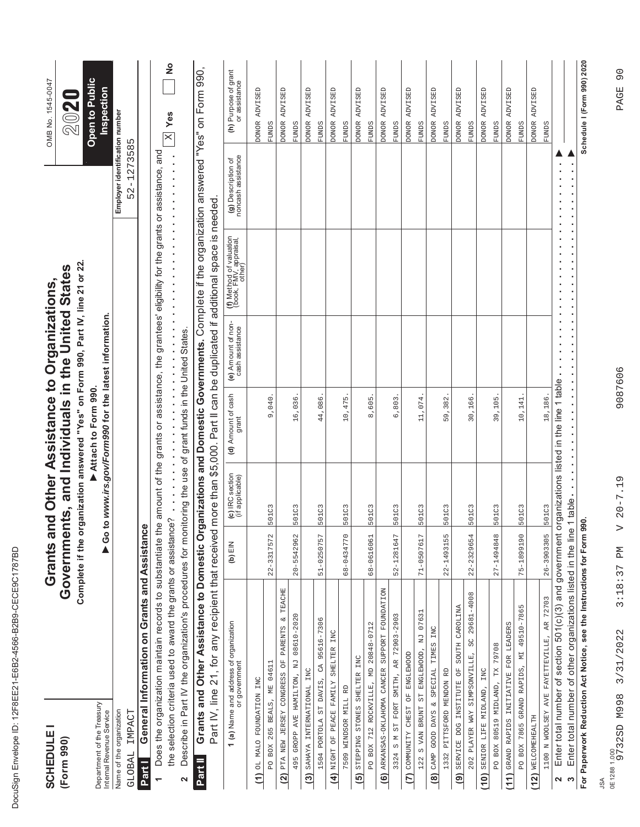| ı<br>۱           |
|------------------|
| ĺ<br>١<br>ı      |
| ¢                |
| Ç<br>ı           |
| ١<br>l           |
| Ó                |
| ĺ<br>O           |
| I<br>¢           |
| ı<br>ı<br>١      |
| Í<br>I           |
| d<br>I<br>l      |
| Ì<br>١           |
| ı<br>I           |
| ı                |
| Ì<br>ı           |
| l<br>ı<br>I<br>l |
| Ì                |
| ı<br>١           |
| Í                |
|                  |
| ı<br>١           |
|                  |
| 1                |
| ١                |
| Ï<br>֠           |
|                  |
| ı                |

| Grants and Other Assistance to Domestic Organizations and Domestic Governments. Complete if the organization answered "Yes" on Form 990,<br>Employer identification number<br><b>FUNDS</b><br>1273585<br>Does the organization maintain records to substantiate the amount of the grants or assistance, the grantees' eligibility for the grants or assistance, and<br>(g) Description of<br>noncash assistance<br>52-<br>Part II can be duplicated if additional space is needed<br>(f) Method of valuation<br>(book, FMV, appraisal,<br>other)<br>to www.irs.gov/Form990 for the latest information.<br>(e) Amount of non-<br>cash assistance<br>$\frac{1}{2}$<br>Describe in Part IV the organization's procedures for monitoring the use of grant funds in the United States.<br>Enter total number of section 501(c)(3) and government organizations listed in the line 1 table<br>Attach to Form 990.<br>(d) Amount of cash<br>grant<br>18,186.<br>16,036<br>44,086<br>11,074<br>9,040<br>10,475<br>8,605<br>59,382<br>30,166<br>39,105<br>10,141<br>,803<br>$\circ$<br>$\begin{array}{c} \bullet \\ \bullet \\ \bullet \\ \bullet \end{array}$<br>more than \$5,000.<br>the selection criteria used to award the grants or assistance?<br>(c) IRC section<br>(if applicable)<br>501C3<br>501C3<br>501C3<br>501C3<br>501C3<br>501C3<br>501C3<br>501C3<br>501C3<br>501C3<br>501C3<br>501C3<br>General Information on Grants and Assistance<br>Part IV, line 21, for any recipient that received<br>60<br>68-0434770<br>27-1494848<br>26-3903305<br>22-3317572<br>$20 - 5542962$<br>71-0507617<br>$22 - 1493155$<br>$22 - 2329654$<br>75-1899190<br>51-0250757<br>68-0616061<br>52-1281647<br>$(h)$ EIN<br>TEACHE<br>(6) ARKANSAS-OKLAHOMA CANCER SUPPORT FOUNDATION<br>202 PLAYER WAY SIMPSONVILLE, SC 29681-4008<br>1100 N WOOLSEY AVE FAYETTEVILLE, AR 72703<br>PO BOX 7865 GRAND RAPIDS, MI 49510-7865<br>SOUTH CAROLINA<br>122 S VAN BRUNT ST ENGLEWOOD, NJ 07631<br>08610-2020<br>3324 S M ST FORT SMITH, AR 72903-2903<br>$\infty$<br>95616-7306<br><b>1 (a)</b> Name and address of organization<br>or government<br>PO BOX 712 ROCKVILLE, MD 20848-0712<br>GRAND RAPIDS INITIATIVE FOR LEADERS<br>PARENTS<br>INC<br>INC<br>TIMES<br>TX 79708<br>SHELTER<br>(7) COMMUNITY CHEST OF ENGLEWOOD<br>STEPPING STONES SHELTER INC<br>(2) PTA NEW JERSEY CONGRESS OF<br>495 GROPP AVE HAMILTON, NJ<br>PO BOX 265 BEALS, ME 04611<br>$\mathbb{C}^{\mathbb{A}}$<br>CAMP GOOD DAYS & SPECIAL<br>(9) SERVICE DOG INSTITUTE OF<br>$(3)$ SAHAYA INTERNATIONAL INC<br>SENIOR LIFE MIDLAND, INC<br>1332 PITTSFORD MENDON RD<br>OL MALO FOUNDATION INC<br>DAVIS,<br>PO BOX 80519 MIDLAND,<br>NIGHT OF PEACE FAMILY<br>7509 WINDSOR MILL RD<br>Department of the Treasury<br>1504 PORTOLA ST<br>Name of the organization<br>IMPACT<br>Internal Revenue Service<br>(12) WELCOMEHEALTH<br>GLOBAL<br>Part II<br>Part I<br>$\widehat{4}$<br>$\overline{5}$<br>$\circledR$<br>(10)<br>(11)<br>$\boldsymbol{\mathsf{N}}$<br>۳<br>2 | <b>SCHEDULE</b><br>(Form 990) | Complete if the or<br>Grants ar | ganization answered "Yes" on Form 990, Part IV, line 21 or 22.<br>Governments, and Individuals in the United States<br>nd Other Assistance to Organizations, |  | OMB No. 1545-0047<br>2020                      |
|-------------------------------------------------------------------------------------------------------------------------------------------------------------------------------------------------------------------------------------------------------------------------------------------------------------------------------------------------------------------------------------------------------------------------------------------------------------------------------------------------------------------------------------------------------------------------------------------------------------------------------------------------------------------------------------------------------------------------------------------------------------------------------------------------------------------------------------------------------------------------------------------------------------------------------------------------------------------------------------------------------------------------------------------------------------------------------------------------------------------------------------------------------------------------------------------------------------------------------------------------------------------------------------------------------------------------------------------------------------------------------------------------------------------------------------------------------------------------------------------------------------------------------------------------------------------------------------------------------------------------------------------------------------------------------------------------------------------------------------------------------------------------------------------------------------------------------------------------------------------------------------------------------------------------------------------------------------------------------------------------------------------------------------------------------------------------------------------------------------------------------------------------------------------------------------------------------------------------------------------------------------------------------------------------------------------------------------------------------------------------------------------------------------------------------------------------------------------------------------------------------------------------------------------------------------------------------------------------------------------------------------------------------------------------------------------------------------------------------------------------------------------------------------------------------------------------------------------------------------------------------------------------------------------------------------------------------------------------------------------------------------------------|-------------------------------|---------------------------------|--------------------------------------------------------------------------------------------------------------------------------------------------------------|--|------------------------------------------------|
|                                                                                                                                                                                                                                                                                                                                                                                                                                                                                                                                                                                                                                                                                                                                                                                                                                                                                                                                                                                                                                                                                                                                                                                                                                                                                                                                                                                                                                                                                                                                                                                                                                                                                                                                                                                                                                                                                                                                                                                                                                                                                                                                                                                                                                                                                                                                                                                                                                                                                                                                                                                                                                                                                                                                                                                                                                                                                                                                                                                                                         |                               |                                 |                                                                                                                                                              |  | <b>Open to Public</b><br>Inspection            |
|                                                                                                                                                                                                                                                                                                                                                                                                                                                                                                                                                                                                                                                                                                                                                                                                                                                                                                                                                                                                                                                                                                                                                                                                                                                                                                                                                                                                                                                                                                                                                                                                                                                                                                                                                                                                                                                                                                                                                                                                                                                                                                                                                                                                                                                                                                                                                                                                                                                                                                                                                                                                                                                                                                                                                                                                                                                                                                                                                                                                                         |                               |                                 |                                                                                                                                                              |  |                                                |
|                                                                                                                                                                                                                                                                                                                                                                                                                                                                                                                                                                                                                                                                                                                                                                                                                                                                                                                                                                                                                                                                                                                                                                                                                                                                                                                                                                                                                                                                                                                                                                                                                                                                                                                                                                                                                                                                                                                                                                                                                                                                                                                                                                                                                                                                                                                                                                                                                                                                                                                                                                                                                                                                                                                                                                                                                                                                                                                                                                                                                         |                               |                                 |                                                                                                                                                              |  |                                                |
|                                                                                                                                                                                                                                                                                                                                                                                                                                                                                                                                                                                                                                                                                                                                                                                                                                                                                                                                                                                                                                                                                                                                                                                                                                                                                                                                                                                                                                                                                                                                                                                                                                                                                                                                                                                                                                                                                                                                                                                                                                                                                                                                                                                                                                                                                                                                                                                                                                                                                                                                                                                                                                                                                                                                                                                                                                                                                                                                                                                                                         |                               |                                 |                                                                                                                                                              |  | $\frac{1}{2}$<br>Yes<br>$\frac{1}{\mathbb{X}}$ |
|                                                                                                                                                                                                                                                                                                                                                                                                                                                                                                                                                                                                                                                                                                                                                                                                                                                                                                                                                                                                                                                                                                                                                                                                                                                                                                                                                                                                                                                                                                                                                                                                                                                                                                                                                                                                                                                                                                                                                                                                                                                                                                                                                                                                                                                                                                                                                                                                                                                                                                                                                                                                                                                                                                                                                                                                                                                                                                                                                                                                                         |                               |                                 |                                                                                                                                                              |  |                                                |
|                                                                                                                                                                                                                                                                                                                                                                                                                                                                                                                                                                                                                                                                                                                                                                                                                                                                                                                                                                                                                                                                                                                                                                                                                                                                                                                                                                                                                                                                                                                                                                                                                                                                                                                                                                                                                                                                                                                                                                                                                                                                                                                                                                                                                                                                                                                                                                                                                                                                                                                                                                                                                                                                                                                                                                                                                                                                                                                                                                                                                         |                               |                                 |                                                                                                                                                              |  |                                                |
|                                                                                                                                                                                                                                                                                                                                                                                                                                                                                                                                                                                                                                                                                                                                                                                                                                                                                                                                                                                                                                                                                                                                                                                                                                                                                                                                                                                                                                                                                                                                                                                                                                                                                                                                                                                                                                                                                                                                                                                                                                                                                                                                                                                                                                                                                                                                                                                                                                                                                                                                                                                                                                                                                                                                                                                                                                                                                                                                                                                                                         |                               |                                 |                                                                                                                                                              |  | (h) Purpose of grant<br>or assistance          |
|                                                                                                                                                                                                                                                                                                                                                                                                                                                                                                                                                                                                                                                                                                                                                                                                                                                                                                                                                                                                                                                                                                                                                                                                                                                                                                                                                                                                                                                                                                                                                                                                                                                                                                                                                                                                                                                                                                                                                                                                                                                                                                                                                                                                                                                                                                                                                                                                                                                                                                                                                                                                                                                                                                                                                                                                                                                                                                                                                                                                                         |                               |                                 |                                                                                                                                                              |  | ADVISED<br><b>DONOR</b>                        |
|                                                                                                                                                                                                                                                                                                                                                                                                                                                                                                                                                                                                                                                                                                                                                                                                                                                                                                                                                                                                                                                                                                                                                                                                                                                                                                                                                                                                                                                                                                                                                                                                                                                                                                                                                                                                                                                                                                                                                                                                                                                                                                                                                                                                                                                                                                                                                                                                                                                                                                                                                                                                                                                                                                                                                                                                                                                                                                                                                                                                                         |                               |                                 |                                                                                                                                                              |  | <b>FUNDS</b>                                   |
|                                                                                                                                                                                                                                                                                                                                                                                                                                                                                                                                                                                                                                                                                                                                                                                                                                                                                                                                                                                                                                                                                                                                                                                                                                                                                                                                                                                                                                                                                                                                                                                                                                                                                                                                                                                                                                                                                                                                                                                                                                                                                                                                                                                                                                                                                                                                                                                                                                                                                                                                                                                                                                                                                                                                                                                                                                                                                                                                                                                                                         |                               |                                 |                                                                                                                                                              |  | ADVISED<br><b>bonor</b>                        |
|                                                                                                                                                                                                                                                                                                                                                                                                                                                                                                                                                                                                                                                                                                                                                                                                                                                                                                                                                                                                                                                                                                                                                                                                                                                                                                                                                                                                                                                                                                                                                                                                                                                                                                                                                                                                                                                                                                                                                                                                                                                                                                                                                                                                                                                                                                                                                                                                                                                                                                                                                                                                                                                                                                                                                                                                                                                                                                                                                                                                                         |                               |                                 |                                                                                                                                                              |  | <b>FUNDS</b>                                   |
|                                                                                                                                                                                                                                                                                                                                                                                                                                                                                                                                                                                                                                                                                                                                                                                                                                                                                                                                                                                                                                                                                                                                                                                                                                                                                                                                                                                                                                                                                                                                                                                                                                                                                                                                                                                                                                                                                                                                                                                                                                                                                                                                                                                                                                                                                                                                                                                                                                                                                                                                                                                                                                                                                                                                                                                                                                                                                                                                                                                                                         |                               |                                 |                                                                                                                                                              |  | ADVISED<br><b>DONOR</b>                        |
|                                                                                                                                                                                                                                                                                                                                                                                                                                                                                                                                                                                                                                                                                                                                                                                                                                                                                                                                                                                                                                                                                                                                                                                                                                                                                                                                                                                                                                                                                                                                                                                                                                                                                                                                                                                                                                                                                                                                                                                                                                                                                                                                                                                                                                                                                                                                                                                                                                                                                                                                                                                                                                                                                                                                                                                                                                                                                                                                                                                                                         |                               |                                 |                                                                                                                                                              |  | <b>FUNDS</b>                                   |
|                                                                                                                                                                                                                                                                                                                                                                                                                                                                                                                                                                                                                                                                                                                                                                                                                                                                                                                                                                                                                                                                                                                                                                                                                                                                                                                                                                                                                                                                                                                                                                                                                                                                                                                                                                                                                                                                                                                                                                                                                                                                                                                                                                                                                                                                                                                                                                                                                                                                                                                                                                                                                                                                                                                                                                                                                                                                                                                                                                                                                         |                               |                                 |                                                                                                                                                              |  | ADVISED<br><b>DONOR</b>                        |
|                                                                                                                                                                                                                                                                                                                                                                                                                                                                                                                                                                                                                                                                                                                                                                                                                                                                                                                                                                                                                                                                                                                                                                                                                                                                                                                                                                                                                                                                                                                                                                                                                                                                                                                                                                                                                                                                                                                                                                                                                                                                                                                                                                                                                                                                                                                                                                                                                                                                                                                                                                                                                                                                                                                                                                                                                                                                                                                                                                                                                         |                               |                                 |                                                                                                                                                              |  | <b>FUNDS</b>                                   |
|                                                                                                                                                                                                                                                                                                                                                                                                                                                                                                                                                                                                                                                                                                                                                                                                                                                                                                                                                                                                                                                                                                                                                                                                                                                                                                                                                                                                                                                                                                                                                                                                                                                                                                                                                                                                                                                                                                                                                                                                                                                                                                                                                                                                                                                                                                                                                                                                                                                                                                                                                                                                                                                                                                                                                                                                                                                                                                                                                                                                                         |                               |                                 |                                                                                                                                                              |  | ADVISED<br><b>DONOR</b>                        |
|                                                                                                                                                                                                                                                                                                                                                                                                                                                                                                                                                                                                                                                                                                                                                                                                                                                                                                                                                                                                                                                                                                                                                                                                                                                                                                                                                                                                                                                                                                                                                                                                                                                                                                                                                                                                                                                                                                                                                                                                                                                                                                                                                                                                                                                                                                                                                                                                                                                                                                                                                                                                                                                                                                                                                                                                                                                                                                                                                                                                                         |                               |                                 |                                                                                                                                                              |  | <b>FUNDS</b>                                   |
|                                                                                                                                                                                                                                                                                                                                                                                                                                                                                                                                                                                                                                                                                                                                                                                                                                                                                                                                                                                                                                                                                                                                                                                                                                                                                                                                                                                                                                                                                                                                                                                                                                                                                                                                                                                                                                                                                                                                                                                                                                                                                                                                                                                                                                                                                                                                                                                                                                                                                                                                                                                                                                                                                                                                                                                                                                                                                                                                                                                                                         |                               |                                 |                                                                                                                                                              |  | DONOR ADVISED                                  |
|                                                                                                                                                                                                                                                                                                                                                                                                                                                                                                                                                                                                                                                                                                                                                                                                                                                                                                                                                                                                                                                                                                                                                                                                                                                                                                                                                                                                                                                                                                                                                                                                                                                                                                                                                                                                                                                                                                                                                                                                                                                                                                                                                                                                                                                                                                                                                                                                                                                                                                                                                                                                                                                                                                                                                                                                                                                                                                                                                                                                                         |                               |                                 |                                                                                                                                                              |  | <b>FUNDS</b>                                   |
|                                                                                                                                                                                                                                                                                                                                                                                                                                                                                                                                                                                                                                                                                                                                                                                                                                                                                                                                                                                                                                                                                                                                                                                                                                                                                                                                                                                                                                                                                                                                                                                                                                                                                                                                                                                                                                                                                                                                                                                                                                                                                                                                                                                                                                                                                                                                                                                                                                                                                                                                                                                                                                                                                                                                                                                                                                                                                                                                                                                                                         |                               |                                 |                                                                                                                                                              |  | ADVISED<br><b>DONOR</b>                        |
|                                                                                                                                                                                                                                                                                                                                                                                                                                                                                                                                                                                                                                                                                                                                                                                                                                                                                                                                                                                                                                                                                                                                                                                                                                                                                                                                                                                                                                                                                                                                                                                                                                                                                                                                                                                                                                                                                                                                                                                                                                                                                                                                                                                                                                                                                                                                                                                                                                                                                                                                                                                                                                                                                                                                                                                                                                                                                                                                                                                                                         |                               |                                 |                                                                                                                                                              |  | <b>FUNDS</b>                                   |
|                                                                                                                                                                                                                                                                                                                                                                                                                                                                                                                                                                                                                                                                                                                                                                                                                                                                                                                                                                                                                                                                                                                                                                                                                                                                                                                                                                                                                                                                                                                                                                                                                                                                                                                                                                                                                                                                                                                                                                                                                                                                                                                                                                                                                                                                                                                                                                                                                                                                                                                                                                                                                                                                                                                                                                                                                                                                                                                                                                                                                         |                               |                                 |                                                                                                                                                              |  | ADVISED<br><b>DONOR</b>                        |
|                                                                                                                                                                                                                                                                                                                                                                                                                                                                                                                                                                                                                                                                                                                                                                                                                                                                                                                                                                                                                                                                                                                                                                                                                                                                                                                                                                                                                                                                                                                                                                                                                                                                                                                                                                                                                                                                                                                                                                                                                                                                                                                                                                                                                                                                                                                                                                                                                                                                                                                                                                                                                                                                                                                                                                                                                                                                                                                                                                                                                         |                               |                                 |                                                                                                                                                              |  | ADVISED<br><b>DONOR</b>                        |
|                                                                                                                                                                                                                                                                                                                                                                                                                                                                                                                                                                                                                                                                                                                                                                                                                                                                                                                                                                                                                                                                                                                                                                                                                                                                                                                                                                                                                                                                                                                                                                                                                                                                                                                                                                                                                                                                                                                                                                                                                                                                                                                                                                                                                                                                                                                                                                                                                                                                                                                                                                                                                                                                                                                                                                                                                                                                                                                                                                                                                         |                               |                                 |                                                                                                                                                              |  | <b>FUNDS</b>                                   |
|                                                                                                                                                                                                                                                                                                                                                                                                                                                                                                                                                                                                                                                                                                                                                                                                                                                                                                                                                                                                                                                                                                                                                                                                                                                                                                                                                                                                                                                                                                                                                                                                                                                                                                                                                                                                                                                                                                                                                                                                                                                                                                                                                                                                                                                                                                                                                                                                                                                                                                                                                                                                                                                                                                                                                                                                                                                                                                                                                                                                                         |                               |                                 |                                                                                                                                                              |  | <b>ADVISED</b><br><b>DONOR</b>                 |
|                                                                                                                                                                                                                                                                                                                                                                                                                                                                                                                                                                                                                                                                                                                                                                                                                                                                                                                                                                                                                                                                                                                                                                                                                                                                                                                                                                                                                                                                                                                                                                                                                                                                                                                                                                                                                                                                                                                                                                                                                                                                                                                                                                                                                                                                                                                                                                                                                                                                                                                                                                                                                                                                                                                                                                                                                                                                                                                                                                                                                         |                               |                                 |                                                                                                                                                              |  | <b>FUNDS</b>                                   |
|                                                                                                                                                                                                                                                                                                                                                                                                                                                                                                                                                                                                                                                                                                                                                                                                                                                                                                                                                                                                                                                                                                                                                                                                                                                                                                                                                                                                                                                                                                                                                                                                                                                                                                                                                                                                                                                                                                                                                                                                                                                                                                                                                                                                                                                                                                                                                                                                                                                                                                                                                                                                                                                                                                                                                                                                                                                                                                                                                                                                                         |                               |                                 |                                                                                                                                                              |  | ADVISED<br><b>DONOR</b>                        |
|                                                                                                                                                                                                                                                                                                                                                                                                                                                                                                                                                                                                                                                                                                                                                                                                                                                                                                                                                                                                                                                                                                                                                                                                                                                                                                                                                                                                                                                                                                                                                                                                                                                                                                                                                                                                                                                                                                                                                                                                                                                                                                                                                                                                                                                                                                                                                                                                                                                                                                                                                                                                                                                                                                                                                                                                                                                                                                                                                                                                                         |                               |                                 |                                                                                                                                                              |  | <b>EUNDS</b>                                   |
|                                                                                                                                                                                                                                                                                                                                                                                                                                                                                                                                                                                                                                                                                                                                                                                                                                                                                                                                                                                                                                                                                                                                                                                                                                                                                                                                                                                                                                                                                                                                                                                                                                                                                                                                                                                                                                                                                                                                                                                                                                                                                                                                                                                                                                                                                                                                                                                                                                                                                                                                                                                                                                                                                                                                                                                                                                                                                                                                                                                                                         |                               |                                 |                                                                                                                                                              |  | ADVISED<br><b>DONOR</b>                        |
|                                                                                                                                                                                                                                                                                                                                                                                                                                                                                                                                                                                                                                                                                                                                                                                                                                                                                                                                                                                                                                                                                                                                                                                                                                                                                                                                                                                                                                                                                                                                                                                                                                                                                                                                                                                                                                                                                                                                                                                                                                                                                                                                                                                                                                                                                                                                                                                                                                                                                                                                                                                                                                                                                                                                                                                                                                                                                                                                                                                                                         |                               |                                 |                                                                                                                                                              |  | <b>FUNDS</b>                                   |
|                                                                                                                                                                                                                                                                                                                                                                                                                                                                                                                                                                                                                                                                                                                                                                                                                                                                                                                                                                                                                                                                                                                                                                                                                                                                                                                                                                                                                                                                                                                                                                                                                                                                                                                                                                                                                                                                                                                                                                                                                                                                                                                                                                                                                                                                                                                                                                                                                                                                                                                                                                                                                                                                                                                                                                                                                                                                                                                                                                                                                         |                               |                                 |                                                                                                                                                              |  |                                                |
| 1 table<br>For Paperwork Reduction Act Notice, see the Instructions for Form 990.<br>Enter total number of other organizations listed in the line<br>$\boldsymbol{\omega}$                                                                                                                                                                                                                                                                                                                                                                                                                                                                                                                                                                                                                                                                                                                                                                                                                                                                                                                                                                                                                                                                                                                                                                                                                                                                                                                                                                                                                                                                                                                                                                                                                                                                                                                                                                                                                                                                                                                                                                                                                                                                                                                                                                                                                                                                                                                                                                                                                                                                                                                                                                                                                                                                                                                                                                                                                                              |                               |                                 |                                                                                                                                                              |  | Schedule I (Form 990) 2020                     |
|                                                                                                                                                                                                                                                                                                                                                                                                                                                                                                                                                                                                                                                                                                                                                                                                                                                                                                                                                                                                                                                                                                                                                                                                                                                                                                                                                                                                                                                                                                                                                                                                                                                                                                                                                                                                                                                                                                                                                                                                                                                                                                                                                                                                                                                                                                                                                                                                                                                                                                                                                                                                                                                                                                                                                                                                                                                                                                                                                                                                                         |                               |                                 |                                                                                                                                                              |  |                                                |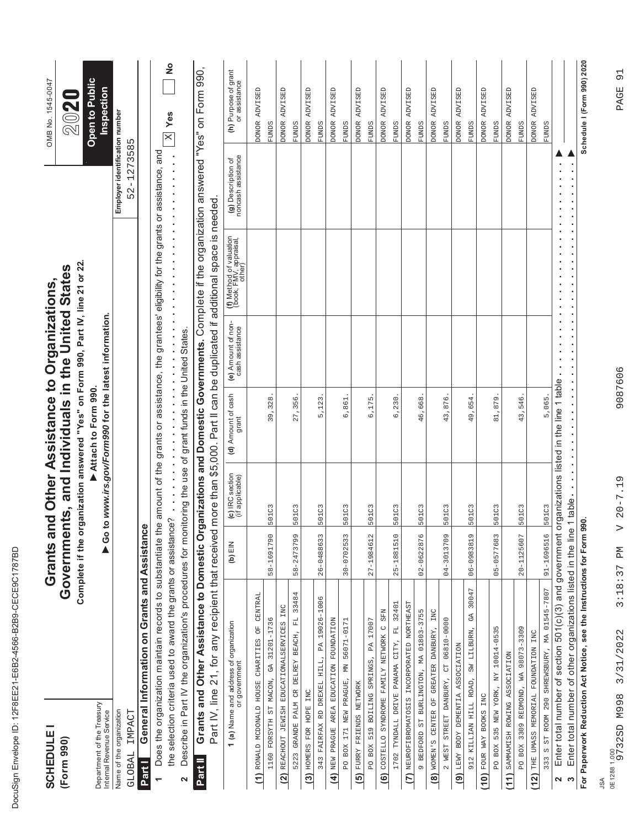| ı<br>۱                                                                                                                         |
|--------------------------------------------------------------------------------------------------------------------------------|
| ĺ<br>١<br>ı                                                                                                                    |
| ¢                                                                                                                              |
| Ç<br>ı                                                                                                                         |
| ١<br>l                                                                                                                         |
| Ó                                                                                                                              |
| ĺ<br>O                                                                                                                         |
| I<br>¢                                                                                                                         |
| ı<br>ı<br>١                                                                                                                    |
| Í<br><b>STATE OF STATE OF STATE OF STATE OF STATE OF STATE OF STATE OF STATE OF STATE OF STATE OF STATE OF STATE OF S</b><br>I |
| d<br>I<br>l                                                                                                                    |
| Ì<br>١                                                                                                                         |
| ı<br>I                                                                                                                         |
| ı                                                                                                                              |
| Ì<br>ı                                                                                                                         |
| l<br>ı<br>I<br>l                                                                                                               |
| Ì                                                                                                                              |
| ı<br>١                                                                                                                         |
| Í                                                                                                                              |
|                                                                                                                                |
| ı<br>١                                                                                                                         |
|                                                                                                                                |
| 1                                                                                                                              |
| ١                                                                                                                              |
| Ï<br>֠                                                                                                                         |
|                                                                                                                                |
| ı                                                                                                                              |

| <b>SCHEDULE</b><br>(Form 990)                            |                                                                                                                                                                 |             |                                    | Complete if the organization answered "Yes" on Form 990, Part IV, line 21 or 22.<br>Governments, and Individuals in the United States<br>Grants and Other Assistance to Organizations, |                                       |                                                                                                                                           |                                              | OMB No. 1545-0047<br>202                       |
|----------------------------------------------------------|-----------------------------------------------------------------------------------------------------------------------------------------------------------------|-------------|------------------------------------|----------------------------------------------------------------------------------------------------------------------------------------------------------------------------------------|---------------------------------------|-------------------------------------------------------------------------------------------------------------------------------------------|----------------------------------------------|------------------------------------------------|
| Department of the Treasury<br>Internal Revenue Service   |                                                                                                                                                                 | 60          |                                    | to www.irs.gov/Form990 for the latest information.<br>Attach to Form 990.                                                                                                              |                                       |                                                                                                                                           |                                              | Open to Public<br>Inspection                   |
| Name of the organization<br>IMPACT<br>GLOBAL             |                                                                                                                                                                 |             |                                    |                                                                                                                                                                                        |                                       |                                                                                                                                           | Employer identification number<br>52-1273585 |                                                |
| Part I                                                   | General Information on Grants and Assistance                                                                                                                    |             |                                    |                                                                                                                                                                                        |                                       |                                                                                                                                           |                                              |                                                |
| $\overline{\phantom{0}}$                                 | Does the organization maintain records to substantiate the amount of the grants or assistance, the grantees' eligibility for the grants or assistance, and      |             |                                    |                                                                                                                                                                                        |                                       |                                                                                                                                           |                                              | ş<br>$\mathbb{X}$ Yes                          |
| 2                                                        | the selection criteria used to award the grants or assistance?                                                                                                  |             |                                    |                                                                                                                                                                                        |                                       |                                                                                                                                           |                                              |                                                |
| Part II                                                  | Grants and Other Assistance to Domestic Organizations and Domestic Governments. Complete if the organization answered                                           |             |                                    |                                                                                                                                                                                        |                                       |                                                                                                                                           |                                              | "Yes" on Form 990,                             |
|                                                          | Part IV, line 21, for any recipient that received<br>(a) Name and address of organization<br>or government                                                      | $(D)$ $EIN$ | (c) IRC section<br>(if applicable) | (d) Amount of cash<br>grant                                                                                                                                                            | (e) Amount of non-<br>cash assistance | more than \$5,000. Part II can be duplicated if additional space is needed<br>(f) Method of valuation<br>(book, FMV, appraisal,<br>other) | (g) Description of<br>noncash assistance     | (h) Purpose of grant<br>or assistance          |
|                                                          |                                                                                                                                                                 |             |                                    |                                                                                                                                                                                        |                                       |                                                                                                                                           |                                              |                                                |
|                                                          | (1) RONALD MCDONALD HOUSE CHARITIES OF CENTRAL<br>1160 FORSYTH ST MACON, GA 31201-1736                                                                          | 58-1691790  | 501C3                              | 39, 328.                                                                                                                                                                               |                                       |                                                                                                                                           |                                              | <b>ADVISED</b><br><b>DONOR</b><br><b>FUNDS</b> |
|                                                          | $(2)$ REACHOUT JEWISH EDUCATIONALSERVICES INC                                                                                                                   |             |                                    |                                                                                                                                                                                        |                                       |                                                                                                                                           |                                              | <b>ADVISED</b><br><b>DONOR</b>                 |
| 5223 GRANDE PALM CR DELREY BEACH,                        | FL 33484                                                                                                                                                        | 58-2473799  | 501C3                              | 27,356                                                                                                                                                                                 |                                       |                                                                                                                                           |                                              | <b>FUNDS</b>                                   |
| (3) HOMERS FOR HOPE INC                                  |                                                                                                                                                                 |             |                                    |                                                                                                                                                                                        |                                       |                                                                                                                                           |                                              | ADVISED<br><b>DONOR</b>                        |
|                                                          | 343 FAIRFAX RD DREXEL HILL, PA 19026-1006                                                                                                                       | 26-0488633  | 501C3                              | 5,123                                                                                                                                                                                  |                                       |                                                                                                                                           |                                              | <b>FUNDS</b>                                   |
| (4) NEW PRAGUE AREA EDUCATION FOUNDATION                 |                                                                                                                                                                 |             |                                    |                                                                                                                                                                                        |                                       |                                                                                                                                           |                                              | ADVISED<br><b>DONOR</b>                        |
|                                                          | PO BOX 171 NEW PRAGUE, MN 56071-0171                                                                                                                            | 30-0702533  | 501C3                              | 6,861                                                                                                                                                                                  |                                       |                                                                                                                                           |                                              | <b>FUNDS</b>                                   |
| (5) FURRY FRIENDS NETWORK                                |                                                                                                                                                                 |             |                                    |                                                                                                                                                                                        |                                       |                                                                                                                                           |                                              | <b>ADVISED</b><br><b>DONOR</b>                 |
|                                                          | PO BOX 519 BOILING SPRINGS, PA 17007                                                                                                                            | 27-1984612  | 501C3                              | 6,175.                                                                                                                                                                                 |                                       |                                                                                                                                           |                                              | <b>FUNDS</b>                                   |
|                                                          | (6) COSTELELO SYNDROME FAMILY NETWORK C SFN                                                                                                                     |             |                                    |                                                                                                                                                                                        |                                       |                                                                                                                                           |                                              | ADVISED<br><b>DONOR</b>                        |
|                                                          | 1702 TYNDALL DRIVE PANAMA CITY, FL 32401                                                                                                                        | 25-1881510  | 501C3                              | 6,230                                                                                                                                                                                  |                                       |                                                                                                                                           |                                              | <b>FUNDS</b>                                   |
|                                                          | (7) NEUROFIBROMATOSIS INCORPORATED NORTHEAST                                                                                                                    |             |                                    |                                                                                                                                                                                        |                                       |                                                                                                                                           |                                              | ADVISED<br><b>DONOR</b>                        |
|                                                          | BEDFORD ST BURLINGTOM, MA 01803-3755                                                                                                                            | 02-0622876  | 501C3                              | 46,668                                                                                                                                                                                 |                                       |                                                                                                                                           |                                              | <b>FUNDS</b>                                   |
| WOMEN'S CENTER OF GREATER DANBURY,<br>$\circledR$        | INC                                                                                                                                                             |             |                                    |                                                                                                                                                                                        |                                       |                                                                                                                                           |                                              | ADVISED<br><b>DONOR</b>                        |
|                                                          | 2 WEST STREET DANBURY, CT 06810-0000                                                                                                                            | 04-3013709  | 501C3                              | 43,876.                                                                                                                                                                                |                                       |                                                                                                                                           |                                              | <b>FUNDS</b>                                   |
| LEWY BODY DEMENTIA ASSOCIATION<br>$\widehat{\mathbf{e}}$ |                                                                                                                                                                 |             |                                    |                                                                                                                                                                                        |                                       |                                                                                                                                           |                                              | ADVISED<br><b>DONOR</b>                        |
|                                                          | 912 KILLIAN HILL ROAD, SW LILBURN, GA 30047                                                                                                                     | 06-0983819  | 501C3                              | 49,654                                                                                                                                                                                 |                                       |                                                                                                                                           |                                              | <b>FUNDS</b>                                   |
| FOUR WAY BOOKS INC<br>(10)                               | PO BOX 535 NEW YORK, NY 10014-0535                                                                                                                              | 05-0577683  | 501C3                              | 81,879                                                                                                                                                                                 |                                       |                                                                                                                                           |                                              | ADVISED<br><b>DONOR</b><br><b>FUNDS</b>        |
| SAMMAMISH ROWING ASSOCIATION<br>$\frac{1}{2}$            |                                                                                                                                                                 |             |                                    |                                                                                                                                                                                        |                                       |                                                                                                                                           |                                              | ADVISED<br><b>DONOR</b>                        |
|                                                          | PO BOX 3309 REDMOND, WA 98073-3309                                                                                                                              | 20-1125607  | 501C3                              | 43,546                                                                                                                                                                                 |                                       |                                                                                                                                           |                                              | <b>FUNDS</b>                                   |
| THE UMASS MEMORIAL FOUNDATION INC<br>(12)                |                                                                                                                                                                 |             |                                    |                                                                                                                                                                                        |                                       |                                                                                                                                           |                                              | <b>ADVISED</b><br><b>DONOR</b>                 |
| 333                                                      | S ST ROOM 290 SHREWSBURY, MA 01545-7807                                                                                                                         | 91-1696516  | 501C3                              | 5,065.                                                                                                                                                                                 |                                       |                                                                                                                                           |                                              | <b>FUNDS</b>                                   |
| $\infty$<br>$\boldsymbol{\mathsf{N}}$                    | Enter total number of section 501(c)(3) and government organizations listed in the line 1 table<br>Enter total number of other organizations listed in the line |             | 1 table                            |                                                                                                                                                                                        |                                       |                                                                                                                                           |                                              |                                                |
|                                                          | For Paperwork Reduction Act Notice, see the Instructions for Form 990.                                                                                          |             |                                    |                                                                                                                                                                                        |                                       |                                                                                                                                           |                                              | Schedule I (Form 990) 2020                     |
| <b>ASL</b>                                               |                                                                                                                                                                 |             |                                    |                                                                                                                                                                                        |                                       |                                                                                                                                           |                                              |                                                |
| 0E1288 1.000<br>9732SD M998                              | 3:18:37 PM<br>3/31/2022                                                                                                                                         |             | $20 - 7.19$                        | 9087606                                                                                                                                                                                |                                       |                                                                                                                                           |                                              | 5<br>PAGE                                      |
|                                                          |                                                                                                                                                                 |             |                                    |                                                                                                                                                                                        |                                       |                                                                                                                                           |                                              |                                                |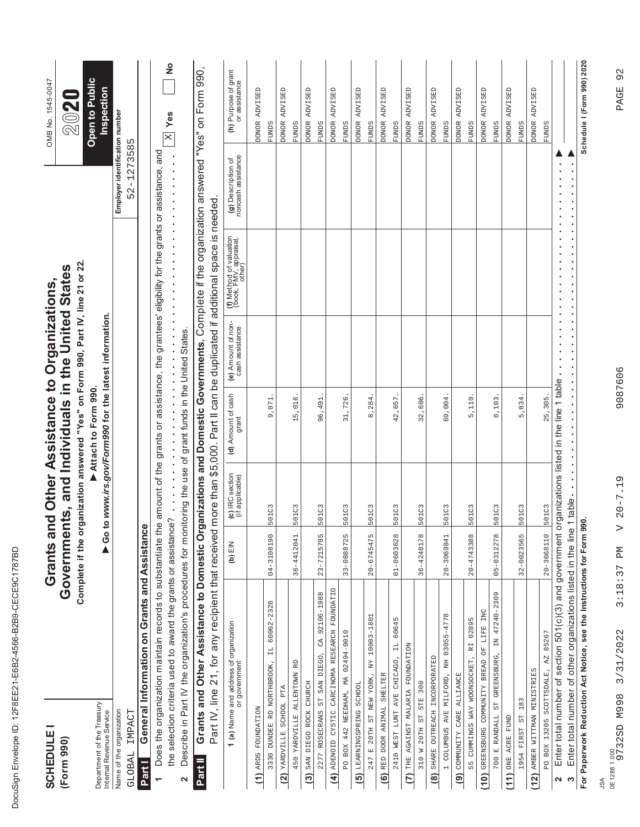| Ĺ<br>J                                                                                                              |
|---------------------------------------------------------------------------------------------------------------------|
| ĺ<br>١<br>ı                                                                                                         |
| d<br>ı                                                                                                              |
| O<br>۱                                                                                                              |
| ١                                                                                                                   |
| l<br>¢<br>l                                                                                                         |
| I<br>¢                                                                                                              |
| I<br>١                                                                                                              |
| Í<br>ı<br>١                                                                                                         |
| ı                                                                                                                   |
| Ì<br>d                                                                                                              |
| I<br>l                                                                                                              |
| Ì<br>I                                                                                                              |
| ı<br>¢                                                                                                              |
| ĺ<br>ı                                                                                                              |
| l<br>I<br>l<br>J<br>l                                                                                               |
| I                                                                                                                   |
| Ì                                                                                                                   |
| ı<br>Ó                                                                                                              |
| ı<br>Ì                                                                                                              |
|                                                                                                                     |
| ı<br>١                                                                                                              |
|                                                                                                                     |
| ĺ<br>and the state of the state of the state of the state of the state of the state of the state of the state of th |
|                                                                                                                     |
| ١<br>Ó<br>֠                                                                                                         |
|                                                                                                                     |
| ı                                                                                                                   |

| Schedule I (Form 990) 2020<br>ž<br>anizations and Domestic Governments. Complete if the organization answered "Yes" on Form 990,<br>(h) Purpose of grant<br>or assistance<br><b>Open to Public</b><br><b>Inspection</b><br>ADVISED<br>ADVISED<br>ADVISED<br>ADVISED<br>ADVISED<br>ADVISED<br>ADVISED<br>ADVISED<br>ADVISED<br>ADVISED<br>DONOR ADVISED<br>ADVISED<br>Employer identification number<br>$\mathbb{X}$ Yes<br><b>DONOR</b><br><b>DONOR</b><br><b>DONOR</b><br><b>DONOR</b><br><b>DONOR</b><br><b>DONOR</b><br><b>DONOR</b><br><b>DONOR</b><br><b>DONOR</b><br><b>DONOR</b><br><b>DONOR</b><br><b>FUNDS</b><br><b>FUNDS</b><br><b>FUNDS</b><br><b>FUNDS</b><br><b>FUNDS</b><br><b>FUNDS</b><br><b>FUNDS</b><br><b>FUNDS</b><br><b>FUNDS</b><br><b>FUNDS</b><br><b>FUNDS</b><br><b>FUNDS</b><br>1273585<br>Does the organization maintain records to substantiate the amount of the grants or assistance, the grantees' eligibility for the grants or assistance, and<br>$\ddot{\cdot}$<br>(g) Description of<br>noncash assistance<br>$\begin{array}{c} \bullet \\ \bullet \\ \bullet \\ \bullet \end{array}$<br>52-<br>more than \$5,000. Part II can be duplicated if additional space is needed.<br>×<br>,,,,,,,,,,,,,,,,,,,,,<br>(f) Method of valuation<br>(book, FMV, appraisal,<br>other)<br>o www.irs.gov/Form990 for the latest information.<br>(e) Amount of non-<br>cash assistance<br>Describe in Part IV the organization's procedures for monitoring the use of grant funds in the United States.<br>Enter total number of section 501(c)(3) and government organizations listed in the line 1 table<br>Attach to Form 990.<br><b>(d)</b> Amount of cash<br>grant<br>5,110<br>5,834<br>25,305<br>15,016<br>96,491<br>31,726<br>8,284<br>42,657<br>32,606<br>69,004<br>9,871<br>8,103<br>(c) IRC section<br>(if applicable)<br>Enter total number of other organizations listed in the line 1 table.<br>501C3<br>501C3<br>501C3<br>501C3<br>501C3<br>501C3<br>501C3<br>501C3<br>501C3<br>501C3<br>501C3<br>501C3<br>For Paperwork Reduction Act Notice, see the Instructions for Form 990.<br>General Information on Grants and Assistance<br>Grants and Other Assistance to Domestic Org<br>60<br>Part IV, line 21, for any recipient that received<br>20-3668110<br>04-3108190<br>$23 - 7215785$<br>33-0888725<br>$20 - 6745475$<br>01-0603628<br>36-4248178<br>$20 - 4743388$<br>05-0312278<br>32-0023565<br>20-3069841<br>36-4412041<br>$(D)$ $EIN$<br>ADENOID CYSTIC CARCINOMA RESEARCH FOUNDATIO<br>92106-1988<br>700 E RANDALL ST GREENSBURG, IN 47240-2309<br>3330 DUNDEE RD NORTHBROOK, IL 60062-2328<br>GREENSBURG COMMUNITY BREAD OF LIFE INC<br>NH 03055-4778<br>NY 10003-1801<br>CUMMINGS WAY WOONSOCKET, RI 02895<br>60645<br><b>1 (a)</b> Name and address of organization<br>or government<br>PO BOX 442 NEEDHAM, MA 02494-0010<br>BOX 13205 SCOTTSDALE, AZ 85267<br>$C_{\mathcal{A}}$<br>$\overline{11}$<br>THE AGAINST MALARIA FOUNDATION<br>ST SAN DIEGO,<br>2410 WEST LUNT AVE CHICAGO,<br>$(8)$ SHARE OUTREACH INCORPORATED<br>$\mathbb R$<br>AMBER WITTMAN MINISTRIES<br><b>450 YARDVILLE ALLENTOWN</b><br>247 E 20TH ST NEW YORK,<br>COMMUNITY CARE ALLIANCE<br>1 COLUMBUS AVE MILFORD,<br>(6) RED DOOR ANIMAL SHELTER<br>310 W 20TH ST STE 300<br>SAN DIEGO ROCK CHURCH<br>(5) LEARNINGSPRING SCHOOL<br>$(2)$ YARDVILLE SCHOOL PTA<br>1954 FIRST ST 183<br>Department of the Treasury<br>Internal Revenue Service<br>(1) ARDS FOUNDATION<br>Name of the organization<br>IMPACT<br>2277 ROSECRANS<br>$(11)$ ONE ACRE FUND<br>GLOBAL<br>Part II<br>$\Omega$<br>Part I<br>55<br>$\tilde{C}$<br>$\overline{1}$<br>(12)<br>$\overline{c}$<br>$\overline{4}$<br>(10)<br>$\mathbf{\tilde{z}}$<br>S<br>2 | <b>SCHEDULE</b><br>(Form 990) |  | Complete if the organization answered "Yes" on Form 990, Part IV, line 21 or 22.<br>Governments, and Individuals in the United States<br>Grants and Other Assistance to Organizations, |  | OMB No. 1545-0047<br>2020 |
|---------------------------------------------------------------------------------------------------------------------------------------------------------------------------------------------------------------------------------------------------------------------------------------------------------------------------------------------------------------------------------------------------------------------------------------------------------------------------------------------------------------------------------------------------------------------------------------------------------------------------------------------------------------------------------------------------------------------------------------------------------------------------------------------------------------------------------------------------------------------------------------------------------------------------------------------------------------------------------------------------------------------------------------------------------------------------------------------------------------------------------------------------------------------------------------------------------------------------------------------------------------------------------------------------------------------------------------------------------------------------------------------------------------------------------------------------------------------------------------------------------------------------------------------------------------------------------------------------------------------------------------------------------------------------------------------------------------------------------------------------------------------------------------------------------------------------------------------------------------------------------------------------------------------------------------------------------------------------------------------------------------------------------------------------------------------------------------------------------------------------------------------------------------------------------------------------------------------------------------------------------------------------------------------------------------------------------------------------------------------------------------------------------------------------------------------------------------------------------------------------------------------------------------------------------------------------------------------------------------------------------------------------------------------------------------------------------------------------------------------------------------------------------------------------------------------------------------------------------------------------------------------------------------------------------------------------------------------------------------------------------------------------------------------------------------------------------------------------------------------------------------------------------------------------------------------------------------------------------------------------------------------------------------------------------------------------------------------------------------------------------------------------------------------------------------------------------------------------------------------------------------------------------------------------------------------------------------------------------------------------------------------------------------------------------------------------------------------------------------------------|-------------------------------|--|----------------------------------------------------------------------------------------------------------------------------------------------------------------------------------------|--|---------------------------|
|                                                                                                                                                                                                                                                                                                                                                                                                                                                                                                                                                                                                                                                                                                                                                                                                                                                                                                                                                                                                                                                                                                                                                                                                                                                                                                                                                                                                                                                                                                                                                                                                                                                                                                                                                                                                                                                                                                                                                                                                                                                                                                                                                                                                                                                                                                                                                                                                                                                                                                                                                                                                                                                                                                                                                                                                                                                                                                                                                                                                                                                                                                                                                                                                                                                                                                                                                                                                                                                                                                                                                                                                                                                                                                                                                   |                               |  |                                                                                                                                                                                        |  |                           |
|                                                                                                                                                                                                                                                                                                                                                                                                                                                                                                                                                                                                                                                                                                                                                                                                                                                                                                                                                                                                                                                                                                                                                                                                                                                                                                                                                                                                                                                                                                                                                                                                                                                                                                                                                                                                                                                                                                                                                                                                                                                                                                                                                                                                                                                                                                                                                                                                                                                                                                                                                                                                                                                                                                                                                                                                                                                                                                                                                                                                                                                                                                                                                                                                                                                                                                                                                                                                                                                                                                                                                                                                                                                                                                                                                   |                               |  |                                                                                                                                                                                        |  |                           |
|                                                                                                                                                                                                                                                                                                                                                                                                                                                                                                                                                                                                                                                                                                                                                                                                                                                                                                                                                                                                                                                                                                                                                                                                                                                                                                                                                                                                                                                                                                                                                                                                                                                                                                                                                                                                                                                                                                                                                                                                                                                                                                                                                                                                                                                                                                                                                                                                                                                                                                                                                                                                                                                                                                                                                                                                                                                                                                                                                                                                                                                                                                                                                                                                                                                                                                                                                                                                                                                                                                                                                                                                                                                                                                                                                   |                               |  |                                                                                                                                                                                        |  |                           |
|                                                                                                                                                                                                                                                                                                                                                                                                                                                                                                                                                                                                                                                                                                                                                                                                                                                                                                                                                                                                                                                                                                                                                                                                                                                                                                                                                                                                                                                                                                                                                                                                                                                                                                                                                                                                                                                                                                                                                                                                                                                                                                                                                                                                                                                                                                                                                                                                                                                                                                                                                                                                                                                                                                                                                                                                                                                                                                                                                                                                                                                                                                                                                                                                                                                                                                                                                                                                                                                                                                                                                                                                                                                                                                                                                   |                               |  |                                                                                                                                                                                        |  |                           |
|                                                                                                                                                                                                                                                                                                                                                                                                                                                                                                                                                                                                                                                                                                                                                                                                                                                                                                                                                                                                                                                                                                                                                                                                                                                                                                                                                                                                                                                                                                                                                                                                                                                                                                                                                                                                                                                                                                                                                                                                                                                                                                                                                                                                                                                                                                                                                                                                                                                                                                                                                                                                                                                                                                                                                                                                                                                                                                                                                                                                                                                                                                                                                                                                                                                                                                                                                                                                                                                                                                                                                                                                                                                                                                                                                   |                               |  |                                                                                                                                                                                        |  |                           |
|                                                                                                                                                                                                                                                                                                                                                                                                                                                                                                                                                                                                                                                                                                                                                                                                                                                                                                                                                                                                                                                                                                                                                                                                                                                                                                                                                                                                                                                                                                                                                                                                                                                                                                                                                                                                                                                                                                                                                                                                                                                                                                                                                                                                                                                                                                                                                                                                                                                                                                                                                                                                                                                                                                                                                                                                                                                                                                                                                                                                                                                                                                                                                                                                                                                                                                                                                                                                                                                                                                                                                                                                                                                                                                                                                   |                               |  |                                                                                                                                                                                        |  |                           |
|                                                                                                                                                                                                                                                                                                                                                                                                                                                                                                                                                                                                                                                                                                                                                                                                                                                                                                                                                                                                                                                                                                                                                                                                                                                                                                                                                                                                                                                                                                                                                                                                                                                                                                                                                                                                                                                                                                                                                                                                                                                                                                                                                                                                                                                                                                                                                                                                                                                                                                                                                                                                                                                                                                                                                                                                                                                                                                                                                                                                                                                                                                                                                                                                                                                                                                                                                                                                                                                                                                                                                                                                                                                                                                                                                   |                               |  |                                                                                                                                                                                        |  |                           |
|                                                                                                                                                                                                                                                                                                                                                                                                                                                                                                                                                                                                                                                                                                                                                                                                                                                                                                                                                                                                                                                                                                                                                                                                                                                                                                                                                                                                                                                                                                                                                                                                                                                                                                                                                                                                                                                                                                                                                                                                                                                                                                                                                                                                                                                                                                                                                                                                                                                                                                                                                                                                                                                                                                                                                                                                                                                                                                                                                                                                                                                                                                                                                                                                                                                                                                                                                                                                                                                                                                                                                                                                                                                                                                                                                   |                               |  |                                                                                                                                                                                        |  |                           |
|                                                                                                                                                                                                                                                                                                                                                                                                                                                                                                                                                                                                                                                                                                                                                                                                                                                                                                                                                                                                                                                                                                                                                                                                                                                                                                                                                                                                                                                                                                                                                                                                                                                                                                                                                                                                                                                                                                                                                                                                                                                                                                                                                                                                                                                                                                                                                                                                                                                                                                                                                                                                                                                                                                                                                                                                                                                                                                                                                                                                                                                                                                                                                                                                                                                                                                                                                                                                                                                                                                                                                                                                                                                                                                                                                   |                               |  |                                                                                                                                                                                        |  |                           |
|                                                                                                                                                                                                                                                                                                                                                                                                                                                                                                                                                                                                                                                                                                                                                                                                                                                                                                                                                                                                                                                                                                                                                                                                                                                                                                                                                                                                                                                                                                                                                                                                                                                                                                                                                                                                                                                                                                                                                                                                                                                                                                                                                                                                                                                                                                                                                                                                                                                                                                                                                                                                                                                                                                                                                                                                                                                                                                                                                                                                                                                                                                                                                                                                                                                                                                                                                                                                                                                                                                                                                                                                                                                                                                                                                   |                               |  |                                                                                                                                                                                        |  |                           |
|                                                                                                                                                                                                                                                                                                                                                                                                                                                                                                                                                                                                                                                                                                                                                                                                                                                                                                                                                                                                                                                                                                                                                                                                                                                                                                                                                                                                                                                                                                                                                                                                                                                                                                                                                                                                                                                                                                                                                                                                                                                                                                                                                                                                                                                                                                                                                                                                                                                                                                                                                                                                                                                                                                                                                                                                                                                                                                                                                                                                                                                                                                                                                                                                                                                                                                                                                                                                                                                                                                                                                                                                                                                                                                                                                   |                               |  |                                                                                                                                                                                        |  |                           |
|                                                                                                                                                                                                                                                                                                                                                                                                                                                                                                                                                                                                                                                                                                                                                                                                                                                                                                                                                                                                                                                                                                                                                                                                                                                                                                                                                                                                                                                                                                                                                                                                                                                                                                                                                                                                                                                                                                                                                                                                                                                                                                                                                                                                                                                                                                                                                                                                                                                                                                                                                                                                                                                                                                                                                                                                                                                                                                                                                                                                                                                                                                                                                                                                                                                                                                                                                                                                                                                                                                                                                                                                                                                                                                                                                   |                               |  |                                                                                                                                                                                        |  |                           |
|                                                                                                                                                                                                                                                                                                                                                                                                                                                                                                                                                                                                                                                                                                                                                                                                                                                                                                                                                                                                                                                                                                                                                                                                                                                                                                                                                                                                                                                                                                                                                                                                                                                                                                                                                                                                                                                                                                                                                                                                                                                                                                                                                                                                                                                                                                                                                                                                                                                                                                                                                                                                                                                                                                                                                                                                                                                                                                                                                                                                                                                                                                                                                                                                                                                                                                                                                                                                                                                                                                                                                                                                                                                                                                                                                   |                               |  |                                                                                                                                                                                        |  |                           |
|                                                                                                                                                                                                                                                                                                                                                                                                                                                                                                                                                                                                                                                                                                                                                                                                                                                                                                                                                                                                                                                                                                                                                                                                                                                                                                                                                                                                                                                                                                                                                                                                                                                                                                                                                                                                                                                                                                                                                                                                                                                                                                                                                                                                                                                                                                                                                                                                                                                                                                                                                                                                                                                                                                                                                                                                                                                                                                                                                                                                                                                                                                                                                                                                                                                                                                                                                                                                                                                                                                                                                                                                                                                                                                                                                   |                               |  |                                                                                                                                                                                        |  |                           |
|                                                                                                                                                                                                                                                                                                                                                                                                                                                                                                                                                                                                                                                                                                                                                                                                                                                                                                                                                                                                                                                                                                                                                                                                                                                                                                                                                                                                                                                                                                                                                                                                                                                                                                                                                                                                                                                                                                                                                                                                                                                                                                                                                                                                                                                                                                                                                                                                                                                                                                                                                                                                                                                                                                                                                                                                                                                                                                                                                                                                                                                                                                                                                                                                                                                                                                                                                                                                                                                                                                                                                                                                                                                                                                                                                   |                               |  |                                                                                                                                                                                        |  |                           |
|                                                                                                                                                                                                                                                                                                                                                                                                                                                                                                                                                                                                                                                                                                                                                                                                                                                                                                                                                                                                                                                                                                                                                                                                                                                                                                                                                                                                                                                                                                                                                                                                                                                                                                                                                                                                                                                                                                                                                                                                                                                                                                                                                                                                                                                                                                                                                                                                                                                                                                                                                                                                                                                                                                                                                                                                                                                                                                                                                                                                                                                                                                                                                                                                                                                                                                                                                                                                                                                                                                                                                                                                                                                                                                                                                   |                               |  |                                                                                                                                                                                        |  |                           |
|                                                                                                                                                                                                                                                                                                                                                                                                                                                                                                                                                                                                                                                                                                                                                                                                                                                                                                                                                                                                                                                                                                                                                                                                                                                                                                                                                                                                                                                                                                                                                                                                                                                                                                                                                                                                                                                                                                                                                                                                                                                                                                                                                                                                                                                                                                                                                                                                                                                                                                                                                                                                                                                                                                                                                                                                                                                                                                                                                                                                                                                                                                                                                                                                                                                                                                                                                                                                                                                                                                                                                                                                                                                                                                                                                   |                               |  |                                                                                                                                                                                        |  |                           |
|                                                                                                                                                                                                                                                                                                                                                                                                                                                                                                                                                                                                                                                                                                                                                                                                                                                                                                                                                                                                                                                                                                                                                                                                                                                                                                                                                                                                                                                                                                                                                                                                                                                                                                                                                                                                                                                                                                                                                                                                                                                                                                                                                                                                                                                                                                                                                                                                                                                                                                                                                                                                                                                                                                                                                                                                                                                                                                                                                                                                                                                                                                                                                                                                                                                                                                                                                                                                                                                                                                                                                                                                                                                                                                                                                   |                               |  |                                                                                                                                                                                        |  |                           |
|                                                                                                                                                                                                                                                                                                                                                                                                                                                                                                                                                                                                                                                                                                                                                                                                                                                                                                                                                                                                                                                                                                                                                                                                                                                                                                                                                                                                                                                                                                                                                                                                                                                                                                                                                                                                                                                                                                                                                                                                                                                                                                                                                                                                                                                                                                                                                                                                                                                                                                                                                                                                                                                                                                                                                                                                                                                                                                                                                                                                                                                                                                                                                                                                                                                                                                                                                                                                                                                                                                                                                                                                                                                                                                                                                   |                               |  |                                                                                                                                                                                        |  |                           |
|                                                                                                                                                                                                                                                                                                                                                                                                                                                                                                                                                                                                                                                                                                                                                                                                                                                                                                                                                                                                                                                                                                                                                                                                                                                                                                                                                                                                                                                                                                                                                                                                                                                                                                                                                                                                                                                                                                                                                                                                                                                                                                                                                                                                                                                                                                                                                                                                                                                                                                                                                                                                                                                                                                                                                                                                                                                                                                                                                                                                                                                                                                                                                                                                                                                                                                                                                                                                                                                                                                                                                                                                                                                                                                                                                   |                               |  |                                                                                                                                                                                        |  |                           |
|                                                                                                                                                                                                                                                                                                                                                                                                                                                                                                                                                                                                                                                                                                                                                                                                                                                                                                                                                                                                                                                                                                                                                                                                                                                                                                                                                                                                                                                                                                                                                                                                                                                                                                                                                                                                                                                                                                                                                                                                                                                                                                                                                                                                                                                                                                                                                                                                                                                                                                                                                                                                                                                                                                                                                                                                                                                                                                                                                                                                                                                                                                                                                                                                                                                                                                                                                                                                                                                                                                                                                                                                                                                                                                                                                   |                               |  |                                                                                                                                                                                        |  |                           |
|                                                                                                                                                                                                                                                                                                                                                                                                                                                                                                                                                                                                                                                                                                                                                                                                                                                                                                                                                                                                                                                                                                                                                                                                                                                                                                                                                                                                                                                                                                                                                                                                                                                                                                                                                                                                                                                                                                                                                                                                                                                                                                                                                                                                                                                                                                                                                                                                                                                                                                                                                                                                                                                                                                                                                                                                                                                                                                                                                                                                                                                                                                                                                                                                                                                                                                                                                                                                                                                                                                                                                                                                                                                                                                                                                   |                               |  |                                                                                                                                                                                        |  |                           |
|                                                                                                                                                                                                                                                                                                                                                                                                                                                                                                                                                                                                                                                                                                                                                                                                                                                                                                                                                                                                                                                                                                                                                                                                                                                                                                                                                                                                                                                                                                                                                                                                                                                                                                                                                                                                                                                                                                                                                                                                                                                                                                                                                                                                                                                                                                                                                                                                                                                                                                                                                                                                                                                                                                                                                                                                                                                                                                                                                                                                                                                                                                                                                                                                                                                                                                                                                                                                                                                                                                                                                                                                                                                                                                                                                   |                               |  |                                                                                                                                                                                        |  |                           |
|                                                                                                                                                                                                                                                                                                                                                                                                                                                                                                                                                                                                                                                                                                                                                                                                                                                                                                                                                                                                                                                                                                                                                                                                                                                                                                                                                                                                                                                                                                                                                                                                                                                                                                                                                                                                                                                                                                                                                                                                                                                                                                                                                                                                                                                                                                                                                                                                                                                                                                                                                                                                                                                                                                                                                                                                                                                                                                                                                                                                                                                                                                                                                                                                                                                                                                                                                                                                                                                                                                                                                                                                                                                                                                                                                   |                               |  |                                                                                                                                                                                        |  |                           |
|                                                                                                                                                                                                                                                                                                                                                                                                                                                                                                                                                                                                                                                                                                                                                                                                                                                                                                                                                                                                                                                                                                                                                                                                                                                                                                                                                                                                                                                                                                                                                                                                                                                                                                                                                                                                                                                                                                                                                                                                                                                                                                                                                                                                                                                                                                                                                                                                                                                                                                                                                                                                                                                                                                                                                                                                                                                                                                                                                                                                                                                                                                                                                                                                                                                                                                                                                                                                                                                                                                                                                                                                                                                                                                                                                   |                               |  |                                                                                                                                                                                        |  |                           |
|                                                                                                                                                                                                                                                                                                                                                                                                                                                                                                                                                                                                                                                                                                                                                                                                                                                                                                                                                                                                                                                                                                                                                                                                                                                                                                                                                                                                                                                                                                                                                                                                                                                                                                                                                                                                                                                                                                                                                                                                                                                                                                                                                                                                                                                                                                                                                                                                                                                                                                                                                                                                                                                                                                                                                                                                                                                                                                                                                                                                                                                                                                                                                                                                                                                                                                                                                                                                                                                                                                                                                                                                                                                                                                                                                   |                               |  |                                                                                                                                                                                        |  |                           |
|                                                                                                                                                                                                                                                                                                                                                                                                                                                                                                                                                                                                                                                                                                                                                                                                                                                                                                                                                                                                                                                                                                                                                                                                                                                                                                                                                                                                                                                                                                                                                                                                                                                                                                                                                                                                                                                                                                                                                                                                                                                                                                                                                                                                                                                                                                                                                                                                                                                                                                                                                                                                                                                                                                                                                                                                                                                                                                                                                                                                                                                                                                                                                                                                                                                                                                                                                                                                                                                                                                                                                                                                                                                                                                                                                   |                               |  |                                                                                                                                                                                        |  |                           |
|                                                                                                                                                                                                                                                                                                                                                                                                                                                                                                                                                                                                                                                                                                                                                                                                                                                                                                                                                                                                                                                                                                                                                                                                                                                                                                                                                                                                                                                                                                                                                                                                                                                                                                                                                                                                                                                                                                                                                                                                                                                                                                                                                                                                                                                                                                                                                                                                                                                                                                                                                                                                                                                                                                                                                                                                                                                                                                                                                                                                                                                                                                                                                                                                                                                                                                                                                                                                                                                                                                                                                                                                                                                                                                                                                   |                               |  |                                                                                                                                                                                        |  |                           |
|                                                                                                                                                                                                                                                                                                                                                                                                                                                                                                                                                                                                                                                                                                                                                                                                                                                                                                                                                                                                                                                                                                                                                                                                                                                                                                                                                                                                                                                                                                                                                                                                                                                                                                                                                                                                                                                                                                                                                                                                                                                                                                                                                                                                                                                                                                                                                                                                                                                                                                                                                                                                                                                                                                                                                                                                                                                                                                                                                                                                                                                                                                                                                                                                                                                                                                                                                                                                                                                                                                                                                                                                                                                                                                                                                   |                               |  |                                                                                                                                                                                        |  |                           |
|                                                                                                                                                                                                                                                                                                                                                                                                                                                                                                                                                                                                                                                                                                                                                                                                                                                                                                                                                                                                                                                                                                                                                                                                                                                                                                                                                                                                                                                                                                                                                                                                                                                                                                                                                                                                                                                                                                                                                                                                                                                                                                                                                                                                                                                                                                                                                                                                                                                                                                                                                                                                                                                                                                                                                                                                                                                                                                                                                                                                                                                                                                                                                                                                                                                                                                                                                                                                                                                                                                                                                                                                                                                                                                                                                   |                               |  |                                                                                                                                                                                        |  |                           |
|                                                                                                                                                                                                                                                                                                                                                                                                                                                                                                                                                                                                                                                                                                                                                                                                                                                                                                                                                                                                                                                                                                                                                                                                                                                                                                                                                                                                                                                                                                                                                                                                                                                                                                                                                                                                                                                                                                                                                                                                                                                                                                                                                                                                                                                                                                                                                                                                                                                                                                                                                                                                                                                                                                                                                                                                                                                                                                                                                                                                                                                                                                                                                                                                                                                                                                                                                                                                                                                                                                                                                                                                                                                                                                                                                   |                               |  |                                                                                                                                                                                        |  |                           |
|                                                                                                                                                                                                                                                                                                                                                                                                                                                                                                                                                                                                                                                                                                                                                                                                                                                                                                                                                                                                                                                                                                                                                                                                                                                                                                                                                                                                                                                                                                                                                                                                                                                                                                                                                                                                                                                                                                                                                                                                                                                                                                                                                                                                                                                                                                                                                                                                                                                                                                                                                                                                                                                                                                                                                                                                                                                                                                                                                                                                                                                                                                                                                                                                                                                                                                                                                                                                                                                                                                                                                                                                                                                                                                                                                   |                               |  |                                                                                                                                                                                        |  |                           |
|                                                                                                                                                                                                                                                                                                                                                                                                                                                                                                                                                                                                                                                                                                                                                                                                                                                                                                                                                                                                                                                                                                                                                                                                                                                                                                                                                                                                                                                                                                                                                                                                                                                                                                                                                                                                                                                                                                                                                                                                                                                                                                                                                                                                                                                                                                                                                                                                                                                                                                                                                                                                                                                                                                                                                                                                                                                                                                                                                                                                                                                                                                                                                                                                                                                                                                                                                                                                                                                                                                                                                                                                                                                                                                                                                   |                               |  |                                                                                                                                                                                        |  |                           |
|                                                                                                                                                                                                                                                                                                                                                                                                                                                                                                                                                                                                                                                                                                                                                                                                                                                                                                                                                                                                                                                                                                                                                                                                                                                                                                                                                                                                                                                                                                                                                                                                                                                                                                                                                                                                                                                                                                                                                                                                                                                                                                                                                                                                                                                                                                                                                                                                                                                                                                                                                                                                                                                                                                                                                                                                                                                                                                                                                                                                                                                                                                                                                                                                                                                                                                                                                                                                                                                                                                                                                                                                                                                                                                                                                   |                               |  |                                                                                                                                                                                        |  |                           |

PAGE 92

9087606

9732SD M998 3/31/2022 3:18:37 PM V 20-7.19 9087606 PAGE 92  $V 20 - 7.19$ 3:18:37 PM JSA<br>0E12881.000<br>9732SD M998 3/31/2022

0E1288 1.000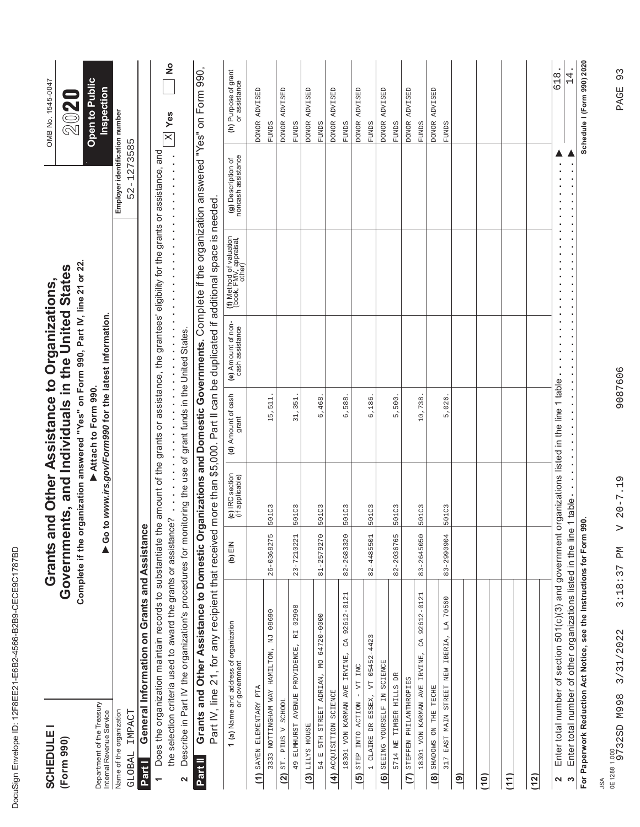| Ĺ<br>J                                                                                                              |
|---------------------------------------------------------------------------------------------------------------------|
| ĺ<br>١<br>ı                                                                                                         |
| d<br>ı                                                                                                              |
| O<br>۱                                                                                                              |
| ١                                                                                                                   |
| l<br>¢<br>l                                                                                                         |
| I<br>¢                                                                                                              |
| I<br>١                                                                                                              |
| Í<br>ı<br>١                                                                                                         |
| ı                                                                                                                   |
| Ì<br>d                                                                                                              |
| I<br>l                                                                                                              |
| Ì<br>I                                                                                                              |
| ı<br>¢                                                                                                              |
| ĺ<br>ı                                                                                                              |
| l<br>I<br>l<br>J<br>l                                                                                               |
| I                                                                                                                   |
| Ì                                                                                                                   |
| ı<br>Ó                                                                                                              |
| ı<br>Ì                                                                                                              |
|                                                                                                                     |
| ı<br>١                                                                                                              |
|                                                                                                                     |
| ĺ<br>and the state of the state of the state of the state of the state of the state of the state of the state of th |
|                                                                                                                     |
| ١<br>Ó<br>֠                                                                                                         |
|                                                                                                                     |
| ı                                                                                                                   |

| <b>SCHEDULE</b><br>(Form 990)                                                                                                                                                        |                |                                    | Complete if the organization answered "Yes" on Form 990, Part IV, line 21 or 22.<br>Governments, and Individuals in the United States<br>Grants and Other Assistance to Organizations, |                                       |                                                             |                                              | OMB No. 1545-0047<br>20                 |
|--------------------------------------------------------------------------------------------------------------------------------------------------------------------------------------|----------------|------------------------------------|----------------------------------------------------------------------------------------------------------------------------------------------------------------------------------------|---------------------------------------|-------------------------------------------------------------|----------------------------------------------|-----------------------------------------|
| Department of the Treasury<br>Internal Revenue Service                                                                                                                               |                |                                    | Go to www.irs.gov/Form990 for the latest information.<br>Attach to Form 990.                                                                                                           |                                       |                                                             |                                              | Open to Public<br>Inspection            |
| Name of the organization<br>IMPACT<br>GLOBAL                                                                                                                                         |                |                                    |                                                                                                                                                                                        |                                       |                                                             | Employer identification number<br>52-1273585 |                                         |
| General Information on Grants and Assistanc<br>Part I                                                                                                                                |                | Φ                                  |                                                                                                                                                                                        |                                       |                                                             |                                              |                                         |
| Does the organization maintain records to substantiate the amount of the grants or assistance, the grantees' eligibility for the grants or assistance, and<br>٣                      |                |                                    |                                                                                                                                                                                        |                                       |                                                             |                                              |                                         |
| Describe in Part IV the organization's procedures for monitoring the use of grant funds in the United States.<br>the selection criteria used to award the grants or assistance?<br>2 |                |                                    |                                                                                                                                                                                        |                                       |                                                             |                                              | $\frac{1}{2}$<br>$\mathbb{X}$ Yes       |
| Grants and Other Assistance to Domestic Organizations and Domestic Governments. Complete if the organization answered "Yes" on Form 990,<br>Part II                                  |                |                                    |                                                                                                                                                                                        |                                       |                                                             |                                              |                                         |
| Part IV, line 21, for any recipient that received more than \$5,000. Part II can be duplicated if additional space is needed.                                                        |                |                                    |                                                                                                                                                                                        |                                       |                                                             |                                              |                                         |
| <b>1 (a)</b> Name and address of organization<br>or government                                                                                                                       | (b) $EIN$      | (c) IRC section<br>(if applicable) | (d) Amount of cash<br>grant                                                                                                                                                            | (e) Amount of non-<br>cash assistance | (f) Method of valuation<br>(book, FMV, appraisal,<br>other) | (g) Description of<br>noncash assistance     | (h) Purpose of grant<br>or assistance   |
| (1) SAYEN ELEMENTARY PTA                                                                                                                                                             |                |                                    |                                                                                                                                                                                        |                                       |                                                             |                                              | DONOR ADVISED                           |
| NJ 08690<br>3333 NOTTINGHAM WAY HAMILTON,                                                                                                                                            | 26-0368275     | 501C3                              | 15,511                                                                                                                                                                                 |                                       |                                                             |                                              | <b>FUNDS</b>                            |
| 49 ELMHURST AVENUE PROVIDENCE, RI 02908<br>ST. PIUS V SCHOOL<br>(2)                                                                                                                  | $23 - 7210221$ | 501C3                              | 31,351                                                                                                                                                                                 |                                       |                                                             |                                              | ADVISED<br><b>DONOR</b><br><b>FUNDS</b> |
| $(3)$ LILYS HOUSE                                                                                                                                                                    |                |                                    |                                                                                                                                                                                        |                                       |                                                             |                                              | DONOR ADVISED                           |
| 54 E 5TH STREET ADRIAN, MO 64720-0000                                                                                                                                                | 81-2579270     | 501C3                              | 6,468                                                                                                                                                                                  |                                       |                                                             |                                              | <b>EUNDS</b>                            |
| (4) ACQUISITION SCIENCE                                                                                                                                                              |                |                                    |                                                                                                                                                                                        |                                       |                                                             |                                              | DONOR ADVISED                           |
| 92612-0121<br>$C\overline{A}$<br>18301 VON KARMAN AVE IRVINE,                                                                                                                        | 82-2683320     | 501C3                              | 6,588                                                                                                                                                                                  |                                       |                                                             |                                              | <b>FUNDS</b>                            |
| $-VT$ INC<br>STEP INTO ACTION<br>$\overline{5}$                                                                                                                                      |                |                                    |                                                                                                                                                                                        |                                       |                                                             |                                              | ADVISED<br><b>DONOR</b>                 |
| CLAIRE DR ESSEX, VT 05452-4423<br>$\overline{a}$                                                                                                                                     | 82-4485501     | 501C3                              | 6,186                                                                                                                                                                                  |                                       |                                                             |                                              | <b>FUNDS</b>                            |
| SEEING YOURSELF IN SCIENCE<br>$\widehat{\mathbf{e}}$                                                                                                                                 |                |                                    |                                                                                                                                                                                        |                                       |                                                             |                                              | <b>ADVISED</b><br><b>DONOR</b>          |
| 5714 NE TIMBER HILLS DR                                                                                                                                                              | 82-2036765     | 501C3                              | 5,500.                                                                                                                                                                                 |                                       |                                                             |                                              | <b>FUNDS</b>                            |
| STEFFEN PHILANTHROPIES<br>$\overline{C}$                                                                                                                                             |                |                                    |                                                                                                                                                                                        |                                       |                                                             |                                              | DONOR ADVISED                           |
| 92612-0121<br>$C\overline{A}$<br>18301 VON KARMAN AVE IRVINE,                                                                                                                        | 83-2645050     | 501C3                              | 10,738                                                                                                                                                                                 |                                       |                                                             |                                              | <b>FUNDS</b>                            |
| SHADOWS ON THE TECHE<br>$\circ$                                                                                                                                                      |                |                                    |                                                                                                                                                                                        |                                       |                                                             |                                              | DONOR ADVISED                           |
| 70560<br>IBERIA, LA<br>317 EAST MAIN STREET NEW                                                                                                                                      | 83-2990904     | 501C3                              | 5,026                                                                                                                                                                                  |                                       |                                                             |                                              | <b>FUNDS</b>                            |
| $\mathbf{e}$                                                                                                                                                                         |                |                                    |                                                                                                                                                                                        |                                       |                                                             |                                              |                                         |
| (10)                                                                                                                                                                                 |                |                                    |                                                                                                                                                                                        |                                       |                                                             |                                              |                                         |
|                                                                                                                                                                                      |                |                                    |                                                                                                                                                                                        |                                       |                                                             |                                              |                                         |
| (11)                                                                                                                                                                                 |                |                                    |                                                                                                                                                                                        |                                       |                                                             |                                              |                                         |
| (12)                                                                                                                                                                                 |                |                                    |                                                                                                                                                                                        |                                       |                                                             |                                              |                                         |
| Enter total number of section $501(c)(3)$ and government organizations listed in the line 1 table .<br>2                                                                             |                |                                    |                                                                                                                                                                                        |                                       |                                                             |                                              | 618                                     |
| Enter total number of other organizations listed in the line 1 table<br>$\boldsymbol{\mathsf{c}}$                                                                                    |                |                                    |                                                                                                                                                                                        |                                       |                                                             |                                              | .<br>⊣                                  |
| For Paperwork Reduction Act Notice, see the Instructions for Form 990.                                                                                                               |                |                                    |                                                                                                                                                                                        |                                       |                                                             |                                              | Schedule I (Form 990) 2020              |
|                                                                                                                                                                                      |                |                                    |                                                                                                                                                                                        |                                       |                                                             |                                              |                                         |

9732SD M998 3/31/2022 3:18:37 PM V 20-7.19 9087606 PAGE 93 9087606  $V 20 - 7.19$ 

3:18:37 PM

JSA<br>0E12881,000<br>9732SD M998 3/31/2022 0E1288 1.000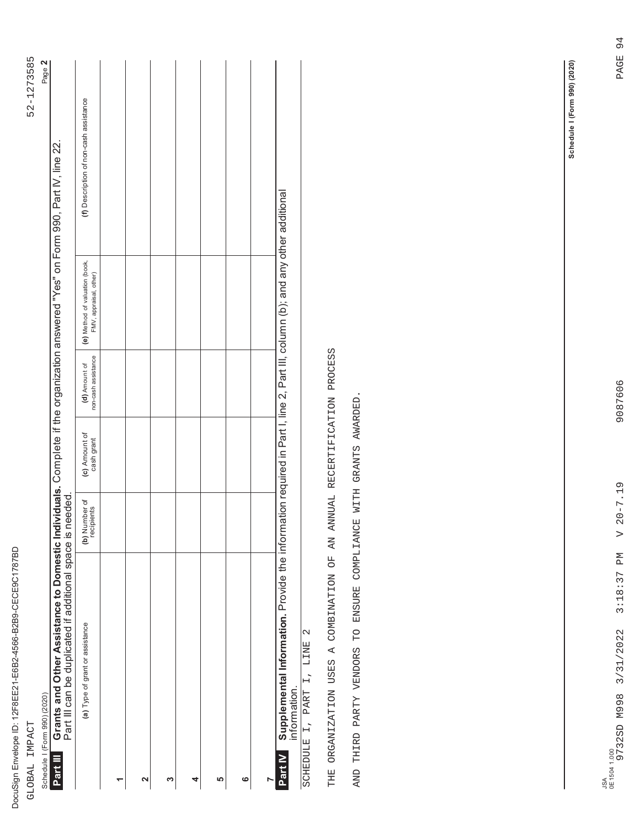|         | Schedule I (Form 990) (2020)                                                                                                                                                                 |                             |                             |                                      |                                                                                  |                                        | Page 2 |
|---------|----------------------------------------------------------------------------------------------------------------------------------------------------------------------------------------------|-----------------------------|-----------------------------|--------------------------------------|----------------------------------------------------------------------------------|----------------------------------------|--------|
| Part II | Grants and Other Assistance to Domestic Individuals. Complete if the organization answered "Yes" on Form 990, Part IV, line 22.<br>Part III can be duplicated if additional space is needed. |                             |                             |                                      |                                                                                  |                                        |        |
|         | (a) Type of grant or assistance                                                                                                                                                              | (b) Number of<br>recipients | (c) Amount of<br>cash grant | non-cash assistance<br>(d) Amount of | (e) Method of valuation (book,<br>FMV, appraisal, other)                         | (f) Description of non-cash assistance |        |
| ᡪ       |                                                                                                                                                                                              |                             |                             |                                      |                                                                                  |                                        |        |
| 2       |                                                                                                                                                                                              |                             |                             |                                      |                                                                                  |                                        |        |
| S       |                                                                                                                                                                                              |                             |                             |                                      |                                                                                  |                                        |        |
| 4       |                                                                                                                                                                                              |                             |                             |                                      |                                                                                  |                                        |        |
| ပ       |                                                                                                                                                                                              |                             |                             |                                      |                                                                                  |                                        |        |
| ဖ       |                                                                                                                                                                                              |                             |                             |                                      |                                                                                  |                                        |        |
|         |                                                                                                                                                                                              |                             |                             |                                      |                                                                                  |                                        |        |
| Part IV | Supplemental Information. Provide the inform<br>information.                                                                                                                                 |                             |                             |                                      | ation required in Part I, line 2, Part III, column (b); and any other additional |                                        |        |
|         | $\mathbb{C}$<br>SCHEDULE I, PART I, LINE                                                                                                                                                     |                             |                             |                                      |                                                                                  |                                        |        |
|         | THE ORGANIZANIZON USES A COMBINATION OF AN ANNUAL RECERTIFICATION PROCESS                                                                                                                    |                             |                             |                                      |                                                                                  |                                        |        |
|         | TO ENSURE<br>AND THIRD PARTY VENDORS                                                                                                                                                         | <b>HLIM</b><br>COMPLIANCE   | GRANTS AWARDED              |                                      |                                                                                  |                                        |        |
|         |                                                                                                                                                                                              |                             |                             |                                      |                                                                                  |                                        |        |
|         |                                                                                                                                                                                              |                             |                             |                                      |                                                                                  |                                        |        |

52-1273585 GLOBAL IMPACT 52-1273585

DocuSign Envelope ID: 12F8EE21-

GLOBAL IMPACT

E6B2-

4566-

B2B9-CECE9

C1787BD

**Schedule I (Form 990) (2020)**

Schedule I (Form 990) (2020)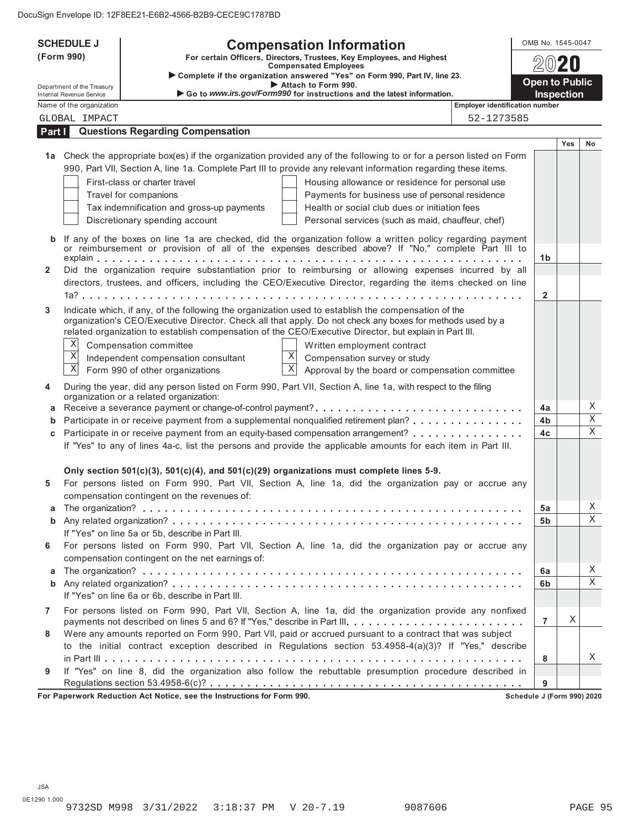| (Form 990)<br>For certain Officers, Directors, Trustees, Key Employees, and Highest<br><b>Compensated Employees</b><br>Complete if the organization answered "Yes" on Form 990, Part IV, line 23.<br><b>Open to Public</b><br>Attach to Form 990.<br>Department of the Treasury<br>Go to www.irs.gov/Form990 for instructions and the latest information.<br>Inspection<br>Internal Revenue Service<br><b>Employer identification number</b><br>Name of the organization<br>GLOBAL IMPACT<br>52-1273585<br><b>Part   Questions Regarding Compensation</b><br><b>Yes</b><br>No<br>1a Check the appropriate box(es) if the organization provided any of the following to or for a person listed on Form<br>990, Part VII, Section A, line 1a. Complete Part III to provide any relevant information regarding these items.<br>Housing allowance or residence for personal use<br>First-class or charter travel<br>Payments for business use of personal residence<br>Travel for companions<br>Health or social club dues or initiation fees<br>Tax indemnification and gross-up payments<br>Discretionary spending account<br>Personal services (such as maid, chauffeur, chef)<br>If any of the boxes on line 1a are checked, did the organization follow a written policy regarding payment<br>b<br>or reimbursement or provision of all of the expenses described above? If "No," complete Part III to<br>1b<br>Did the organization require substantiation prior to reimbursing or allowing expenses incurred by all<br>$\mathbf{2}$<br>directors, trustees, and officers, including the CEO/Executive Director, regarding the items checked on line<br>$\overline{2}$<br>Indicate which, if any, of the following the organization used to establish the compensation of the<br>3<br>organization's CEO/Executive Director. Check all that apply. Do not check any boxes for methods used by a<br>related organization to establish compensation of the CEO/Executive Director, but explain in Part III.<br>Χ<br>Compensation committee<br>Written employment contract<br>$\overline{\mathbf{X}}$<br>X<br>Independent compensation consultant<br>Compensation survey or study<br>$\overline{\mathbf{x}}$<br>$\overline{X}$ Approval by the board or compensation committee<br>Form 990 of other organizations<br>During the year, did any person listed on Form 990, Part VII, Section A, line 1a, with respect to the filing<br>4<br>organization or a related organization:<br>Χ<br>Receive a severance payment or change-of-control payment?<br>4a<br>а<br>$\mathbf X$<br>Participate in or receive payment from a supplemental nonqualified retirement plan?<br>4 <sub>b</sub><br>b<br>$\mathbf X$<br>Participate in or receive payment from an equity-based compensation arrangement?<br>4c<br>C<br>If "Yes" to any of lines 4a-c, list the persons and provide the applicable amounts for each item in Part III.<br>Only section $501(c)(3)$ , $501(c)(4)$ , and $501(c)(29)$ organizations must complete lines 5-9.<br>For persons listed on Form 990, Part VII, Section A, line 1a, did the organization pay or accrue any<br>5<br>compensation contingent on the revenues of:<br>Χ<br>5a<br>a<br>X<br>5 <sub>b</sub><br>b<br>If "Yes" on line 5a or 5b, describe in Part III.<br>For persons listed on Form 990, Part VII, Section A, line 1a, did the organization pay or accrue any<br>6<br>compensation contingent on the net earnings of:<br>Χ<br>6a<br>а<br>X<br>6b<br>b<br>If "Yes" on line 6a or 6b, describe in Part III.<br>For persons listed on Form 990, Part VII, Section A, line 1a, did the organization provide any nonfixed<br>$\overline{7}$<br>Χ<br>payments not described on lines 5 and 6? If "Yes," describe in Part III.<br>$\overline{7}$<br>Were any amounts reported on Form 990, Part VII, paid or accrued pursuant to a contract that was subject<br>8<br>to the initial contract exception described in Regulations section 53.4958-4(a)(3)? If "Yes," describe |  | <b>SCHEDULE J</b> | <b>Compensation Information</b> |  | OMB No. 1545-0047 |   |
|----------------------------------------------------------------------------------------------------------------------------------------------------------------------------------------------------------------------------------------------------------------------------------------------------------------------------------------------------------------------------------------------------------------------------------------------------------------------------------------------------------------------------------------------------------------------------------------------------------------------------------------------------------------------------------------------------------------------------------------------------------------------------------------------------------------------------------------------------------------------------------------------------------------------------------------------------------------------------------------------------------------------------------------------------------------------------------------------------------------------------------------------------------------------------------------------------------------------------------------------------------------------------------------------------------------------------------------------------------------------------------------------------------------------------------------------------------------------------------------------------------------------------------------------------------------------------------------------------------------------------------------------------------------------------------------------------------------------------------------------------------------------------------------------------------------------------------------------------------------------------------------------------------------------------------------------------------------------------------------------------------------------------------------------------------------------------------------------------------------------------------------------------------------------------------------------------------------------------------------------------------------------------------------------------------------------------------------------------------------------------------------------------------------------------------------------------------------------------------------------------------------------------------------------------------------------------------------------------------------------------------------------------------------------------------------------------------------------------------------------------------------------------------------------------------------------------------------------------------------------------------------------------------------------------------------------------------------------------------------------------------------------------------------------------------------------------------------------------------------------------------------------------------------------------------------------------------------------------------------------------------------------------------------------------------------------------------------------------------------------------------------------------------------------------------------------------------------------------------------------------------------------------------------------------------------------------------------------------------------------------------------------------------------------------------------------------------------------------------------------------------------------------------------------------------------------------------------------------------------------------------------------------------------------------------------------------------------------------------------------------------|--|-------------------|---------------------------------|--|-------------------|---|
|                                                                                                                                                                                                                                                                                                                                                                                                                                                                                                                                                                                                                                                                                                                                                                                                                                                                                                                                                                                                                                                                                                                                                                                                                                                                                                                                                                                                                                                                                                                                                                                                                                                                                                                                                                                                                                                                                                                                                                                                                                                                                                                                                                                                                                                                                                                                                                                                                                                                                                                                                                                                                                                                                                                                                                                                                                                                                                                                                                                                                                                                                                                                                                                                                                                                                                                                                                                                                                                                                                                                                                                                                                                                                                                                                                                                                                                                                                                                                                                                          |  |                   |                                 |  |                   |   |
|                                                                                                                                                                                                                                                                                                                                                                                                                                                                                                                                                                                                                                                                                                                                                                                                                                                                                                                                                                                                                                                                                                                                                                                                                                                                                                                                                                                                                                                                                                                                                                                                                                                                                                                                                                                                                                                                                                                                                                                                                                                                                                                                                                                                                                                                                                                                                                                                                                                                                                                                                                                                                                                                                                                                                                                                                                                                                                                                                                                                                                                                                                                                                                                                                                                                                                                                                                                                                                                                                                                                                                                                                                                                                                                                                                                                                                                                                                                                                                                                          |  |                   |                                 |  |                   |   |
|                                                                                                                                                                                                                                                                                                                                                                                                                                                                                                                                                                                                                                                                                                                                                                                                                                                                                                                                                                                                                                                                                                                                                                                                                                                                                                                                                                                                                                                                                                                                                                                                                                                                                                                                                                                                                                                                                                                                                                                                                                                                                                                                                                                                                                                                                                                                                                                                                                                                                                                                                                                                                                                                                                                                                                                                                                                                                                                                                                                                                                                                                                                                                                                                                                                                                                                                                                                                                                                                                                                                                                                                                                                                                                                                                                                                                                                                                                                                                                                                          |  |                   |                                 |  |                   |   |
|                                                                                                                                                                                                                                                                                                                                                                                                                                                                                                                                                                                                                                                                                                                                                                                                                                                                                                                                                                                                                                                                                                                                                                                                                                                                                                                                                                                                                                                                                                                                                                                                                                                                                                                                                                                                                                                                                                                                                                                                                                                                                                                                                                                                                                                                                                                                                                                                                                                                                                                                                                                                                                                                                                                                                                                                                                                                                                                                                                                                                                                                                                                                                                                                                                                                                                                                                                                                                                                                                                                                                                                                                                                                                                                                                                                                                                                                                                                                                                                                          |  |                   |                                 |  |                   |   |
|                                                                                                                                                                                                                                                                                                                                                                                                                                                                                                                                                                                                                                                                                                                                                                                                                                                                                                                                                                                                                                                                                                                                                                                                                                                                                                                                                                                                                                                                                                                                                                                                                                                                                                                                                                                                                                                                                                                                                                                                                                                                                                                                                                                                                                                                                                                                                                                                                                                                                                                                                                                                                                                                                                                                                                                                                                                                                                                                                                                                                                                                                                                                                                                                                                                                                                                                                                                                                                                                                                                                                                                                                                                                                                                                                                                                                                                                                                                                                                                                          |  |                   |                                 |  |                   |   |
|                                                                                                                                                                                                                                                                                                                                                                                                                                                                                                                                                                                                                                                                                                                                                                                                                                                                                                                                                                                                                                                                                                                                                                                                                                                                                                                                                                                                                                                                                                                                                                                                                                                                                                                                                                                                                                                                                                                                                                                                                                                                                                                                                                                                                                                                                                                                                                                                                                                                                                                                                                                                                                                                                                                                                                                                                                                                                                                                                                                                                                                                                                                                                                                                                                                                                                                                                                                                                                                                                                                                                                                                                                                                                                                                                                                                                                                                                                                                                                                                          |  |                   |                                 |  |                   |   |
|                                                                                                                                                                                                                                                                                                                                                                                                                                                                                                                                                                                                                                                                                                                                                                                                                                                                                                                                                                                                                                                                                                                                                                                                                                                                                                                                                                                                                                                                                                                                                                                                                                                                                                                                                                                                                                                                                                                                                                                                                                                                                                                                                                                                                                                                                                                                                                                                                                                                                                                                                                                                                                                                                                                                                                                                                                                                                                                                                                                                                                                                                                                                                                                                                                                                                                                                                                                                                                                                                                                                                                                                                                                                                                                                                                                                                                                                                                                                                                                                          |  |                   |                                 |  |                   |   |
|                                                                                                                                                                                                                                                                                                                                                                                                                                                                                                                                                                                                                                                                                                                                                                                                                                                                                                                                                                                                                                                                                                                                                                                                                                                                                                                                                                                                                                                                                                                                                                                                                                                                                                                                                                                                                                                                                                                                                                                                                                                                                                                                                                                                                                                                                                                                                                                                                                                                                                                                                                                                                                                                                                                                                                                                                                                                                                                                                                                                                                                                                                                                                                                                                                                                                                                                                                                                                                                                                                                                                                                                                                                                                                                                                                                                                                                                                                                                                                                                          |  |                   |                                 |  |                   |   |
|                                                                                                                                                                                                                                                                                                                                                                                                                                                                                                                                                                                                                                                                                                                                                                                                                                                                                                                                                                                                                                                                                                                                                                                                                                                                                                                                                                                                                                                                                                                                                                                                                                                                                                                                                                                                                                                                                                                                                                                                                                                                                                                                                                                                                                                                                                                                                                                                                                                                                                                                                                                                                                                                                                                                                                                                                                                                                                                                                                                                                                                                                                                                                                                                                                                                                                                                                                                                                                                                                                                                                                                                                                                                                                                                                                                                                                                                                                                                                                                                          |  |                   |                                 |  |                   |   |
|                                                                                                                                                                                                                                                                                                                                                                                                                                                                                                                                                                                                                                                                                                                                                                                                                                                                                                                                                                                                                                                                                                                                                                                                                                                                                                                                                                                                                                                                                                                                                                                                                                                                                                                                                                                                                                                                                                                                                                                                                                                                                                                                                                                                                                                                                                                                                                                                                                                                                                                                                                                                                                                                                                                                                                                                                                                                                                                                                                                                                                                                                                                                                                                                                                                                                                                                                                                                                                                                                                                                                                                                                                                                                                                                                                                                                                                                                                                                                                                                          |  |                   |                                 |  |                   |   |
|                                                                                                                                                                                                                                                                                                                                                                                                                                                                                                                                                                                                                                                                                                                                                                                                                                                                                                                                                                                                                                                                                                                                                                                                                                                                                                                                                                                                                                                                                                                                                                                                                                                                                                                                                                                                                                                                                                                                                                                                                                                                                                                                                                                                                                                                                                                                                                                                                                                                                                                                                                                                                                                                                                                                                                                                                                                                                                                                                                                                                                                                                                                                                                                                                                                                                                                                                                                                                                                                                                                                                                                                                                                                                                                                                                                                                                                                                                                                                                                                          |  |                   |                                 |  |                   |   |
|                                                                                                                                                                                                                                                                                                                                                                                                                                                                                                                                                                                                                                                                                                                                                                                                                                                                                                                                                                                                                                                                                                                                                                                                                                                                                                                                                                                                                                                                                                                                                                                                                                                                                                                                                                                                                                                                                                                                                                                                                                                                                                                                                                                                                                                                                                                                                                                                                                                                                                                                                                                                                                                                                                                                                                                                                                                                                                                                                                                                                                                                                                                                                                                                                                                                                                                                                                                                                                                                                                                                                                                                                                                                                                                                                                                                                                                                                                                                                                                                          |  |                   |                                 |  |                   |   |
|                                                                                                                                                                                                                                                                                                                                                                                                                                                                                                                                                                                                                                                                                                                                                                                                                                                                                                                                                                                                                                                                                                                                                                                                                                                                                                                                                                                                                                                                                                                                                                                                                                                                                                                                                                                                                                                                                                                                                                                                                                                                                                                                                                                                                                                                                                                                                                                                                                                                                                                                                                                                                                                                                                                                                                                                                                                                                                                                                                                                                                                                                                                                                                                                                                                                                                                                                                                                                                                                                                                                                                                                                                                                                                                                                                                                                                                                                                                                                                                                          |  |                   |                                 |  |                   |   |
|                                                                                                                                                                                                                                                                                                                                                                                                                                                                                                                                                                                                                                                                                                                                                                                                                                                                                                                                                                                                                                                                                                                                                                                                                                                                                                                                                                                                                                                                                                                                                                                                                                                                                                                                                                                                                                                                                                                                                                                                                                                                                                                                                                                                                                                                                                                                                                                                                                                                                                                                                                                                                                                                                                                                                                                                                                                                                                                                                                                                                                                                                                                                                                                                                                                                                                                                                                                                                                                                                                                                                                                                                                                                                                                                                                                                                                                                                                                                                                                                          |  |                   |                                 |  |                   |   |
|                                                                                                                                                                                                                                                                                                                                                                                                                                                                                                                                                                                                                                                                                                                                                                                                                                                                                                                                                                                                                                                                                                                                                                                                                                                                                                                                                                                                                                                                                                                                                                                                                                                                                                                                                                                                                                                                                                                                                                                                                                                                                                                                                                                                                                                                                                                                                                                                                                                                                                                                                                                                                                                                                                                                                                                                                                                                                                                                                                                                                                                                                                                                                                                                                                                                                                                                                                                                                                                                                                                                                                                                                                                                                                                                                                                                                                                                                                                                                                                                          |  |                   |                                 |  |                   |   |
|                                                                                                                                                                                                                                                                                                                                                                                                                                                                                                                                                                                                                                                                                                                                                                                                                                                                                                                                                                                                                                                                                                                                                                                                                                                                                                                                                                                                                                                                                                                                                                                                                                                                                                                                                                                                                                                                                                                                                                                                                                                                                                                                                                                                                                                                                                                                                                                                                                                                                                                                                                                                                                                                                                                                                                                                                                                                                                                                                                                                                                                                                                                                                                                                                                                                                                                                                                                                                                                                                                                                                                                                                                                                                                                                                                                                                                                                                                                                                                                                          |  |                   |                                 |  |                   |   |
|                                                                                                                                                                                                                                                                                                                                                                                                                                                                                                                                                                                                                                                                                                                                                                                                                                                                                                                                                                                                                                                                                                                                                                                                                                                                                                                                                                                                                                                                                                                                                                                                                                                                                                                                                                                                                                                                                                                                                                                                                                                                                                                                                                                                                                                                                                                                                                                                                                                                                                                                                                                                                                                                                                                                                                                                                                                                                                                                                                                                                                                                                                                                                                                                                                                                                                                                                                                                                                                                                                                                                                                                                                                                                                                                                                                                                                                                                                                                                                                                          |  |                   |                                 |  |                   |   |
|                                                                                                                                                                                                                                                                                                                                                                                                                                                                                                                                                                                                                                                                                                                                                                                                                                                                                                                                                                                                                                                                                                                                                                                                                                                                                                                                                                                                                                                                                                                                                                                                                                                                                                                                                                                                                                                                                                                                                                                                                                                                                                                                                                                                                                                                                                                                                                                                                                                                                                                                                                                                                                                                                                                                                                                                                                                                                                                                                                                                                                                                                                                                                                                                                                                                                                                                                                                                                                                                                                                                                                                                                                                                                                                                                                                                                                                                                                                                                                                                          |  |                   |                                 |  |                   |   |
|                                                                                                                                                                                                                                                                                                                                                                                                                                                                                                                                                                                                                                                                                                                                                                                                                                                                                                                                                                                                                                                                                                                                                                                                                                                                                                                                                                                                                                                                                                                                                                                                                                                                                                                                                                                                                                                                                                                                                                                                                                                                                                                                                                                                                                                                                                                                                                                                                                                                                                                                                                                                                                                                                                                                                                                                                                                                                                                                                                                                                                                                                                                                                                                                                                                                                                                                                                                                                                                                                                                                                                                                                                                                                                                                                                                                                                                                                                                                                                                                          |  |                   |                                 |  |                   |   |
|                                                                                                                                                                                                                                                                                                                                                                                                                                                                                                                                                                                                                                                                                                                                                                                                                                                                                                                                                                                                                                                                                                                                                                                                                                                                                                                                                                                                                                                                                                                                                                                                                                                                                                                                                                                                                                                                                                                                                                                                                                                                                                                                                                                                                                                                                                                                                                                                                                                                                                                                                                                                                                                                                                                                                                                                                                                                                                                                                                                                                                                                                                                                                                                                                                                                                                                                                                                                                                                                                                                                                                                                                                                                                                                                                                                                                                                                                                                                                                                                          |  |                   |                                 |  |                   |   |
|                                                                                                                                                                                                                                                                                                                                                                                                                                                                                                                                                                                                                                                                                                                                                                                                                                                                                                                                                                                                                                                                                                                                                                                                                                                                                                                                                                                                                                                                                                                                                                                                                                                                                                                                                                                                                                                                                                                                                                                                                                                                                                                                                                                                                                                                                                                                                                                                                                                                                                                                                                                                                                                                                                                                                                                                                                                                                                                                                                                                                                                                                                                                                                                                                                                                                                                                                                                                                                                                                                                                                                                                                                                                                                                                                                                                                                                                                                                                                                                                          |  |                   |                                 |  |                   |   |
|                                                                                                                                                                                                                                                                                                                                                                                                                                                                                                                                                                                                                                                                                                                                                                                                                                                                                                                                                                                                                                                                                                                                                                                                                                                                                                                                                                                                                                                                                                                                                                                                                                                                                                                                                                                                                                                                                                                                                                                                                                                                                                                                                                                                                                                                                                                                                                                                                                                                                                                                                                                                                                                                                                                                                                                                                                                                                                                                                                                                                                                                                                                                                                                                                                                                                                                                                                                                                                                                                                                                                                                                                                                                                                                                                                                                                                                                                                                                                                                                          |  |                   |                                 |  |                   |   |
|                                                                                                                                                                                                                                                                                                                                                                                                                                                                                                                                                                                                                                                                                                                                                                                                                                                                                                                                                                                                                                                                                                                                                                                                                                                                                                                                                                                                                                                                                                                                                                                                                                                                                                                                                                                                                                                                                                                                                                                                                                                                                                                                                                                                                                                                                                                                                                                                                                                                                                                                                                                                                                                                                                                                                                                                                                                                                                                                                                                                                                                                                                                                                                                                                                                                                                                                                                                                                                                                                                                                                                                                                                                                                                                                                                                                                                                                                                                                                                                                          |  |                   |                                 |  |                   |   |
|                                                                                                                                                                                                                                                                                                                                                                                                                                                                                                                                                                                                                                                                                                                                                                                                                                                                                                                                                                                                                                                                                                                                                                                                                                                                                                                                                                                                                                                                                                                                                                                                                                                                                                                                                                                                                                                                                                                                                                                                                                                                                                                                                                                                                                                                                                                                                                                                                                                                                                                                                                                                                                                                                                                                                                                                                                                                                                                                                                                                                                                                                                                                                                                                                                                                                                                                                                                                                                                                                                                                                                                                                                                                                                                                                                                                                                                                                                                                                                                                          |  |                   |                                 |  |                   |   |
|                                                                                                                                                                                                                                                                                                                                                                                                                                                                                                                                                                                                                                                                                                                                                                                                                                                                                                                                                                                                                                                                                                                                                                                                                                                                                                                                                                                                                                                                                                                                                                                                                                                                                                                                                                                                                                                                                                                                                                                                                                                                                                                                                                                                                                                                                                                                                                                                                                                                                                                                                                                                                                                                                                                                                                                                                                                                                                                                                                                                                                                                                                                                                                                                                                                                                                                                                                                                                                                                                                                                                                                                                                                                                                                                                                                                                                                                                                                                                                                                          |  |                   |                                 |  |                   |   |
|                                                                                                                                                                                                                                                                                                                                                                                                                                                                                                                                                                                                                                                                                                                                                                                                                                                                                                                                                                                                                                                                                                                                                                                                                                                                                                                                                                                                                                                                                                                                                                                                                                                                                                                                                                                                                                                                                                                                                                                                                                                                                                                                                                                                                                                                                                                                                                                                                                                                                                                                                                                                                                                                                                                                                                                                                                                                                                                                                                                                                                                                                                                                                                                                                                                                                                                                                                                                                                                                                                                                                                                                                                                                                                                                                                                                                                                                                                                                                                                                          |  |                   |                                 |  |                   |   |
|                                                                                                                                                                                                                                                                                                                                                                                                                                                                                                                                                                                                                                                                                                                                                                                                                                                                                                                                                                                                                                                                                                                                                                                                                                                                                                                                                                                                                                                                                                                                                                                                                                                                                                                                                                                                                                                                                                                                                                                                                                                                                                                                                                                                                                                                                                                                                                                                                                                                                                                                                                                                                                                                                                                                                                                                                                                                                                                                                                                                                                                                                                                                                                                                                                                                                                                                                                                                                                                                                                                                                                                                                                                                                                                                                                                                                                                                                                                                                                                                          |  |                   |                                 |  |                   |   |
|                                                                                                                                                                                                                                                                                                                                                                                                                                                                                                                                                                                                                                                                                                                                                                                                                                                                                                                                                                                                                                                                                                                                                                                                                                                                                                                                                                                                                                                                                                                                                                                                                                                                                                                                                                                                                                                                                                                                                                                                                                                                                                                                                                                                                                                                                                                                                                                                                                                                                                                                                                                                                                                                                                                                                                                                                                                                                                                                                                                                                                                                                                                                                                                                                                                                                                                                                                                                                                                                                                                                                                                                                                                                                                                                                                                                                                                                                                                                                                                                          |  |                   |                                 |  |                   |   |
|                                                                                                                                                                                                                                                                                                                                                                                                                                                                                                                                                                                                                                                                                                                                                                                                                                                                                                                                                                                                                                                                                                                                                                                                                                                                                                                                                                                                                                                                                                                                                                                                                                                                                                                                                                                                                                                                                                                                                                                                                                                                                                                                                                                                                                                                                                                                                                                                                                                                                                                                                                                                                                                                                                                                                                                                                                                                                                                                                                                                                                                                                                                                                                                                                                                                                                                                                                                                                                                                                                                                                                                                                                                                                                                                                                                                                                                                                                                                                                                                          |  |                   |                                 |  |                   |   |
|                                                                                                                                                                                                                                                                                                                                                                                                                                                                                                                                                                                                                                                                                                                                                                                                                                                                                                                                                                                                                                                                                                                                                                                                                                                                                                                                                                                                                                                                                                                                                                                                                                                                                                                                                                                                                                                                                                                                                                                                                                                                                                                                                                                                                                                                                                                                                                                                                                                                                                                                                                                                                                                                                                                                                                                                                                                                                                                                                                                                                                                                                                                                                                                                                                                                                                                                                                                                                                                                                                                                                                                                                                                                                                                                                                                                                                                                                                                                                                                                          |  |                   |                                 |  |                   |   |
|                                                                                                                                                                                                                                                                                                                                                                                                                                                                                                                                                                                                                                                                                                                                                                                                                                                                                                                                                                                                                                                                                                                                                                                                                                                                                                                                                                                                                                                                                                                                                                                                                                                                                                                                                                                                                                                                                                                                                                                                                                                                                                                                                                                                                                                                                                                                                                                                                                                                                                                                                                                                                                                                                                                                                                                                                                                                                                                                                                                                                                                                                                                                                                                                                                                                                                                                                                                                                                                                                                                                                                                                                                                                                                                                                                                                                                                                                                                                                                                                          |  |                   |                                 |  |                   |   |
|                                                                                                                                                                                                                                                                                                                                                                                                                                                                                                                                                                                                                                                                                                                                                                                                                                                                                                                                                                                                                                                                                                                                                                                                                                                                                                                                                                                                                                                                                                                                                                                                                                                                                                                                                                                                                                                                                                                                                                                                                                                                                                                                                                                                                                                                                                                                                                                                                                                                                                                                                                                                                                                                                                                                                                                                                                                                                                                                                                                                                                                                                                                                                                                                                                                                                                                                                                                                                                                                                                                                                                                                                                                                                                                                                                                                                                                                                                                                                                                                          |  |                   |                                 |  |                   |   |
|                                                                                                                                                                                                                                                                                                                                                                                                                                                                                                                                                                                                                                                                                                                                                                                                                                                                                                                                                                                                                                                                                                                                                                                                                                                                                                                                                                                                                                                                                                                                                                                                                                                                                                                                                                                                                                                                                                                                                                                                                                                                                                                                                                                                                                                                                                                                                                                                                                                                                                                                                                                                                                                                                                                                                                                                                                                                                                                                                                                                                                                                                                                                                                                                                                                                                                                                                                                                                                                                                                                                                                                                                                                                                                                                                                                                                                                                                                                                                                                                          |  |                   |                                 |  |                   |   |
|                                                                                                                                                                                                                                                                                                                                                                                                                                                                                                                                                                                                                                                                                                                                                                                                                                                                                                                                                                                                                                                                                                                                                                                                                                                                                                                                                                                                                                                                                                                                                                                                                                                                                                                                                                                                                                                                                                                                                                                                                                                                                                                                                                                                                                                                                                                                                                                                                                                                                                                                                                                                                                                                                                                                                                                                                                                                                                                                                                                                                                                                                                                                                                                                                                                                                                                                                                                                                                                                                                                                                                                                                                                                                                                                                                                                                                                                                                                                                                                                          |  |                   |                                 |  |                   |   |
|                                                                                                                                                                                                                                                                                                                                                                                                                                                                                                                                                                                                                                                                                                                                                                                                                                                                                                                                                                                                                                                                                                                                                                                                                                                                                                                                                                                                                                                                                                                                                                                                                                                                                                                                                                                                                                                                                                                                                                                                                                                                                                                                                                                                                                                                                                                                                                                                                                                                                                                                                                                                                                                                                                                                                                                                                                                                                                                                                                                                                                                                                                                                                                                                                                                                                                                                                                                                                                                                                                                                                                                                                                                                                                                                                                                                                                                                                                                                                                                                          |  |                   |                                 |  |                   |   |
|                                                                                                                                                                                                                                                                                                                                                                                                                                                                                                                                                                                                                                                                                                                                                                                                                                                                                                                                                                                                                                                                                                                                                                                                                                                                                                                                                                                                                                                                                                                                                                                                                                                                                                                                                                                                                                                                                                                                                                                                                                                                                                                                                                                                                                                                                                                                                                                                                                                                                                                                                                                                                                                                                                                                                                                                                                                                                                                                                                                                                                                                                                                                                                                                                                                                                                                                                                                                                                                                                                                                                                                                                                                                                                                                                                                                                                                                                                                                                                                                          |  |                   |                                 |  |                   |   |
|                                                                                                                                                                                                                                                                                                                                                                                                                                                                                                                                                                                                                                                                                                                                                                                                                                                                                                                                                                                                                                                                                                                                                                                                                                                                                                                                                                                                                                                                                                                                                                                                                                                                                                                                                                                                                                                                                                                                                                                                                                                                                                                                                                                                                                                                                                                                                                                                                                                                                                                                                                                                                                                                                                                                                                                                                                                                                                                                                                                                                                                                                                                                                                                                                                                                                                                                                                                                                                                                                                                                                                                                                                                                                                                                                                                                                                                                                                                                                                                                          |  |                   |                                 |  |                   |   |
|                                                                                                                                                                                                                                                                                                                                                                                                                                                                                                                                                                                                                                                                                                                                                                                                                                                                                                                                                                                                                                                                                                                                                                                                                                                                                                                                                                                                                                                                                                                                                                                                                                                                                                                                                                                                                                                                                                                                                                                                                                                                                                                                                                                                                                                                                                                                                                                                                                                                                                                                                                                                                                                                                                                                                                                                                                                                                                                                                                                                                                                                                                                                                                                                                                                                                                                                                                                                                                                                                                                                                                                                                                                                                                                                                                                                                                                                                                                                                                                                          |  |                   |                                 |  |                   |   |
|                                                                                                                                                                                                                                                                                                                                                                                                                                                                                                                                                                                                                                                                                                                                                                                                                                                                                                                                                                                                                                                                                                                                                                                                                                                                                                                                                                                                                                                                                                                                                                                                                                                                                                                                                                                                                                                                                                                                                                                                                                                                                                                                                                                                                                                                                                                                                                                                                                                                                                                                                                                                                                                                                                                                                                                                                                                                                                                                                                                                                                                                                                                                                                                                                                                                                                                                                                                                                                                                                                                                                                                                                                                                                                                                                                                                                                                                                                                                                                                                          |  |                   |                                 |  |                   |   |
|                                                                                                                                                                                                                                                                                                                                                                                                                                                                                                                                                                                                                                                                                                                                                                                                                                                                                                                                                                                                                                                                                                                                                                                                                                                                                                                                                                                                                                                                                                                                                                                                                                                                                                                                                                                                                                                                                                                                                                                                                                                                                                                                                                                                                                                                                                                                                                                                                                                                                                                                                                                                                                                                                                                                                                                                                                                                                                                                                                                                                                                                                                                                                                                                                                                                                                                                                                                                                                                                                                                                                                                                                                                                                                                                                                                                                                                                                                                                                                                                          |  |                   |                                 |  |                   |   |
|                                                                                                                                                                                                                                                                                                                                                                                                                                                                                                                                                                                                                                                                                                                                                                                                                                                                                                                                                                                                                                                                                                                                                                                                                                                                                                                                                                                                                                                                                                                                                                                                                                                                                                                                                                                                                                                                                                                                                                                                                                                                                                                                                                                                                                                                                                                                                                                                                                                                                                                                                                                                                                                                                                                                                                                                                                                                                                                                                                                                                                                                                                                                                                                                                                                                                                                                                                                                                                                                                                                                                                                                                                                                                                                                                                                                                                                                                                                                                                                                          |  |                   |                                 |  |                   |   |
|                                                                                                                                                                                                                                                                                                                                                                                                                                                                                                                                                                                                                                                                                                                                                                                                                                                                                                                                                                                                                                                                                                                                                                                                                                                                                                                                                                                                                                                                                                                                                                                                                                                                                                                                                                                                                                                                                                                                                                                                                                                                                                                                                                                                                                                                                                                                                                                                                                                                                                                                                                                                                                                                                                                                                                                                                                                                                                                                                                                                                                                                                                                                                                                                                                                                                                                                                                                                                                                                                                                                                                                                                                                                                                                                                                                                                                                                                                                                                                                                          |  |                   |                                 |  |                   |   |
|                                                                                                                                                                                                                                                                                                                                                                                                                                                                                                                                                                                                                                                                                                                                                                                                                                                                                                                                                                                                                                                                                                                                                                                                                                                                                                                                                                                                                                                                                                                                                                                                                                                                                                                                                                                                                                                                                                                                                                                                                                                                                                                                                                                                                                                                                                                                                                                                                                                                                                                                                                                                                                                                                                                                                                                                                                                                                                                                                                                                                                                                                                                                                                                                                                                                                                                                                                                                                                                                                                                                                                                                                                                                                                                                                                                                                                                                                                                                                                                                          |  |                   |                                 |  |                   |   |
|                                                                                                                                                                                                                                                                                                                                                                                                                                                                                                                                                                                                                                                                                                                                                                                                                                                                                                                                                                                                                                                                                                                                                                                                                                                                                                                                                                                                                                                                                                                                                                                                                                                                                                                                                                                                                                                                                                                                                                                                                                                                                                                                                                                                                                                                                                                                                                                                                                                                                                                                                                                                                                                                                                                                                                                                                                                                                                                                                                                                                                                                                                                                                                                                                                                                                                                                                                                                                                                                                                                                                                                                                                                                                                                                                                                                                                                                                                                                                                                                          |  |                   |                                 |  |                   |   |
|                                                                                                                                                                                                                                                                                                                                                                                                                                                                                                                                                                                                                                                                                                                                                                                                                                                                                                                                                                                                                                                                                                                                                                                                                                                                                                                                                                                                                                                                                                                                                                                                                                                                                                                                                                                                                                                                                                                                                                                                                                                                                                                                                                                                                                                                                                                                                                                                                                                                                                                                                                                                                                                                                                                                                                                                                                                                                                                                                                                                                                                                                                                                                                                                                                                                                                                                                                                                                                                                                                                                                                                                                                                                                                                                                                                                                                                                                                                                                                                                          |  |                   |                                 |  | 8                 | Χ |
| If "Yes" on line 8, did the organization also follow the rebuttable presumption procedure described in<br>9                                                                                                                                                                                                                                                                                                                                                                                                                                                                                                                                                                                                                                                                                                                                                                                                                                                                                                                                                                                                                                                                                                                                                                                                                                                                                                                                                                                                                                                                                                                                                                                                                                                                                                                                                                                                                                                                                                                                                                                                                                                                                                                                                                                                                                                                                                                                                                                                                                                                                                                                                                                                                                                                                                                                                                                                                                                                                                                                                                                                                                                                                                                                                                                                                                                                                                                                                                                                                                                                                                                                                                                                                                                                                                                                                                                                                                                                                              |  |                   |                                 |  |                   |   |
| 9<br>For Paperwork Reduction Act Notice, see the Instructions for Form 990.<br>Schedule J (Form 990) 2020                                                                                                                                                                                                                                                                                                                                                                                                                                                                                                                                                                                                                                                                                                                                                                                                                                                                                                                                                                                                                                                                                                                                                                                                                                                                                                                                                                                                                                                                                                                                                                                                                                                                                                                                                                                                                                                                                                                                                                                                                                                                                                                                                                                                                                                                                                                                                                                                                                                                                                                                                                                                                                                                                                                                                                                                                                                                                                                                                                                                                                                                                                                                                                                                                                                                                                                                                                                                                                                                                                                                                                                                                                                                                                                                                                                                                                                                                                |  |                   |                                 |  |                   |   |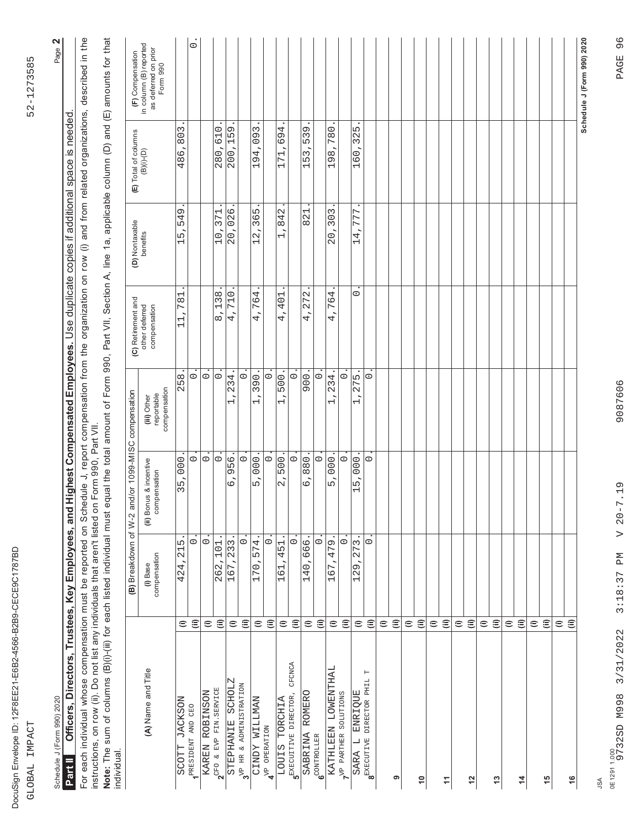| G-R2R9-CECE9C1787RD<br>١<br>Ӷ<br>j<br><b>LGDS</b><br>١<br>ı<br><b>PEREE?1</b><br>Į                                   |                       |
|----------------------------------------------------------------------------------------------------------------------|-----------------------|
| í                                                                                                                    | Ę<br>ו<br>ג)<br>י     |
| <b>ALCIAN Envelope</b><br>ة<br>م<br>֧֧ׅ֧֧ׅ֧ׅ֧ׅ֧ׅ֧ׅ֧ׅ֧ׅ֧֧֛ׅ֧֧֚֚֚֚֚֚֚֚֚֚֚֚֚֚֚֚֚֚֚֚֚֚֚֚֚֚֚֚֚֚֚֚֚֚֚֚֝֜֓֝֓֜֓֜֜֓֜֜֜֜֝֓֜֝֬֝ | フィフト<br>י<br>גון<br>ג |

Page 2

Schedule J (Form 990) 2020 Page **2** Schedule J (Form 990) 2020

Officers, Directors, Trustees, Key Employees, and Highest Compensated Employees. Use duplicate copies if additional space is needed. Officers, Directors, Trustees, Key Employees, and Highest Compensated Employees. Use duplicate copies if additional space is needed **Part II**

For each individual whose compensation must be reported on Schedule J, report compensation from the organization on row (i) and from related organizations, described in the<br>instructions, on row (ii). Do not list any indivi For each individual whose compensation must be reported on Schedule J, report compensation from the organization on row (i) and from related organizations, described in the instructions, on row (ii). Do not list any individuals that aren't listed on Form 990, Part VII.

Note: The sum of columns (B)(i)-(iii) for each listed individual must equal the total amount of Form 990, Part VII, Section A, line 1a, applicable column (D) and (E) amounts for that **Note:** The sum of columns (B)(i)-(iii) for each listed individual must equal the total amount of Form 990, Part VII, Section A, line 1a, applicable column (D) and (E) amounts for that individual. individual.

|                                                                                                       |                    |                                                                                            | (B) Breakdown of W-2 and/or 1099-MISC compensation |                                            | (C) Retirement and             | (D) Nontaxable<br>benefits              | (E) Total of columns<br>(B)(i)-(D)                                       | (F) Compensation                                           |
|-------------------------------------------------------------------------------------------------------|--------------------|--------------------------------------------------------------------------------------------|----------------------------------------------------|--------------------------------------------|--------------------------------|-----------------------------------------|--------------------------------------------------------------------------|------------------------------------------------------------|
| (A) Name and Title                                                                                    |                    | compensation<br>(i) Base                                                                   | (ii) Bonus & incentive<br>compensation             | compensation<br>reportable<br>(iii) Other  | other deferred<br>compensation |                                         |                                                                          | in column (B) reported<br>as deferred on prior<br>Form 990 |
| <b>JACKSON</b><br><b>SCOTT</b>                                                                        | $\widehat{=}$      | Б<br>$\overline{21}$<br>٠<br>424                                                           | 000<br>ч.<br>LN<br>3                               | 58<br>$\mathcal{L}$                        | 781<br>$\frac{1}{1}$           | 549<br>15                               | $\overline{0}$<br>$\overline{\infty}$<br>$\overline{\phantom{a}}$<br>486 |                                                            |
| PRESIDENT AND CEO                                                                                     | $\widehat{\equiv}$ | $\circ$                                                                                    | $\circ$                                            | $\circ$                                    |                                |                                         |                                                                          | $\circ$                                                    |
| KAREN ROBINSON                                                                                        | $\widehat{=}$      | $\circ$                                                                                    | $\circ$                                            | $\circ$                                    |                                |                                         |                                                                          |                                                            |
| $2^{\text{CFO}}$ & EVP FIN. SERVICE                                                                   | $\widehat{\equiv}$ | , 101<br>262                                                                               | $\circ$                                            | $\circ$                                    | 138<br>$\infty$                | 371<br>$\overline{1}0$                  | ,610<br>280                                                              |                                                            |
| SCHOLLZ<br><b>STEPHANIE</b>                                                                           | $\widehat{=}$      | 3<br>3<br>$\alpha$<br>$\overline{\phantom{a}}$<br>67<br>$\overline{\phantom{0}}$           | 56<br>Ò<br>6                                       | 34<br>$\alpha$<br>$\overline{\phantom{0}}$ | 710<br>$\frac{4}{1}$           | ပ<br>.02 <sub>1</sub><br>$\overline{0}$ | ,159<br>200                                                              |                                                            |
| $3^{\mathrm{VP}}$ HR & ADMINISTRATION                                                                 | $\widehat{\equiv}$ | $\circ$                                                                                    | $\circ$                                            | $\circ$                                    |                                |                                         |                                                                          |                                                            |
| <b>CINDY WILLMAN</b>                                                                                  | $\widehat{=}$      | 574<br>$\overline{\phantom{a}}$<br>70<br>$\overline{\phantom{0}}$                          | 000.<br>Б                                          | ,390<br>$\overline{\phantom{0}}$           | 764<br>×<br>4                  | LN<br>36<br>12                          | 3<br>.09<br>4<br>Ò<br>$\overline{\phantom{0}}$                           |                                                            |
| <b>AVP OPERATION</b>                                                                                  | $\widehat{\equiv}$ | $\overline{\circ}$                                                                         | $\circ$                                            | $\circ$                                    |                                |                                         |                                                                          |                                                            |
| LOUIS TORCHIA                                                                                         | $\widehat{=}$      | ,451<br>$\overline{6}$<br>$\overline{\phantom{0}}$                                         | 500<br>$\overline{\phantom{a}}$<br>$\mathcal{C}$   | 500<br>$\overline{\phantom{0}}$            | 401<br>4                       | 842<br>$\overline{\phantom{0}}$         | ,694<br>$\overline{\phantom{0}}$<br>17                                   |                                                            |
| CFCNCA<br>$\mathbf{5}^{\text{EXECUITYE}}$                                                             | $\widehat{\equiv}$ | $\circ$                                                                                    | $\circ$                                            | $\circ$                                    |                                |                                         |                                                                          |                                                            |
| ROMERO<br>SABRINA                                                                                     | $\widehat{=}$      | ,666.<br>40<br>$\overline{\phantom{0}}$                                                    | ,880.<br>6                                         | $\overline{O}$<br>Ō                        | 272<br>4                       | 821                                     | 539<br>3<br>LN<br>$\overline{\phantom{0}}$                               |                                                            |
| $6^{\rm CONTROLLER}$                                                                                  | $\widehat{\equiv}$ | $\circ$                                                                                    | $\circ$                                            | $\circ$                                    |                                |                                         |                                                                          |                                                            |
| KATHLEEN LOWENTHAL                                                                                    | $\widehat{=}$      | 479<br>L<br>O<br>Ч                                                                         | ,000<br>5                                          | 234<br>Н                                   | 764<br>4                       | 303<br>$\overline{0}$                   | 780<br>$\infty$<br>$\frac{1}{2}$                                         |                                                            |
| VP PARTHER SOLUTIONS                                                                                  | ε                  | $\circ$                                                                                    | $\circ$                                            | $\circ$                                    |                                |                                         |                                                                          |                                                            |
| ENRIQUE<br>SARA L                                                                                     | $\widehat{=}$      | $\sim$<br>27<br>$\overline{\phantom{a}}$<br>G<br>$\mathcal{C}$<br>$\overline{\phantom{0}}$ | ,000<br>LN<br>$\overline{\phantom{0}}$             | LN<br>27<br>$\overline{\phantom{0}}$       | $\circ$                        | L<br>77<br>14                           | ,325<br>$\circ$<br>$\frac{6}{1}$                                         |                                                            |
| Н<br>$\begin{array}{ll} \texttt{B}^{\texttt{RXECUTTVE-DIRECTOR\ \texttt{PEI}}\texttt{L}} \end{array}$ | $\widehat{\equiv}$ | $\circ$                                                                                    | $\circ$                                            | O                                          |                                |                                         |                                                                          |                                                            |
|                                                                                                       | $\widehat{=}$      |                                                                                            |                                                    |                                            |                                |                                         |                                                                          |                                                            |
| ၈                                                                                                     | $\widehat{\equiv}$ |                                                                                            |                                                    |                                            |                                |                                         |                                                                          |                                                            |
|                                                                                                       | $\widehat{=}$      |                                                                                            |                                                    |                                            |                                |                                         |                                                                          |                                                            |
| $\frac{1}{2}$                                                                                         | $\widehat{\equiv}$ |                                                                                            |                                                    |                                            |                                |                                         |                                                                          |                                                            |
|                                                                                                       | $\widehat{=}$      |                                                                                            |                                                    |                                            |                                |                                         |                                                                          |                                                            |
| $\frac{1}{2}$                                                                                         | $\widehat{\equiv}$ |                                                                                            |                                                    |                                            |                                |                                         |                                                                          |                                                            |
|                                                                                                       | $\widehat{=}$      |                                                                                            |                                                    |                                            |                                |                                         |                                                                          |                                                            |
| $\frac{2}{3}$                                                                                         | $\widehat{\equiv}$ |                                                                                            |                                                    |                                            |                                |                                         |                                                                          |                                                            |
|                                                                                                       | $\widehat{=}$      |                                                                                            |                                                    |                                            |                                |                                         |                                                                          |                                                            |
| $\frac{3}{2}$                                                                                         | $\widehat{\equiv}$ |                                                                                            |                                                    |                                            |                                |                                         |                                                                          |                                                            |
|                                                                                                       | $\widehat{=}$      |                                                                                            |                                                    |                                            |                                |                                         |                                                                          |                                                            |
| $\frac{4}{4}$                                                                                         | $\widehat{\equiv}$ |                                                                                            |                                                    |                                            |                                |                                         |                                                                          |                                                            |
|                                                                                                       | $\widehat{=}$      |                                                                                            |                                                    |                                            |                                |                                         |                                                                          |                                                            |
| $\frac{15}{2}$                                                                                        | $\widehat{\equiv}$ |                                                                                            |                                                    |                                            |                                |                                         |                                                                          |                                                            |
|                                                                                                       | $\widehat{=}$      |                                                                                            |                                                    |                                            |                                |                                         |                                                                          |                                                            |
| $\frac{6}{5}$                                                                                         | $\widehat{\equiv}$ |                                                                                            |                                                    |                                            |                                |                                         |                                                                          |                                                            |
|                                                                                                       |                    |                                                                                            |                                                    |                                            |                                |                                         |                                                                          | Schedule J (Form 990) 2020                                 |

0E12911.000<br>9732SD M998 3/31/2022 0E1291 1.000

JSA

9732SD M998 3/31/2022 3:18:37 PM V 20-7.19 9087606 PAGE 96 9087606

 $V 20 - 7.19$ 

3:18:37 PM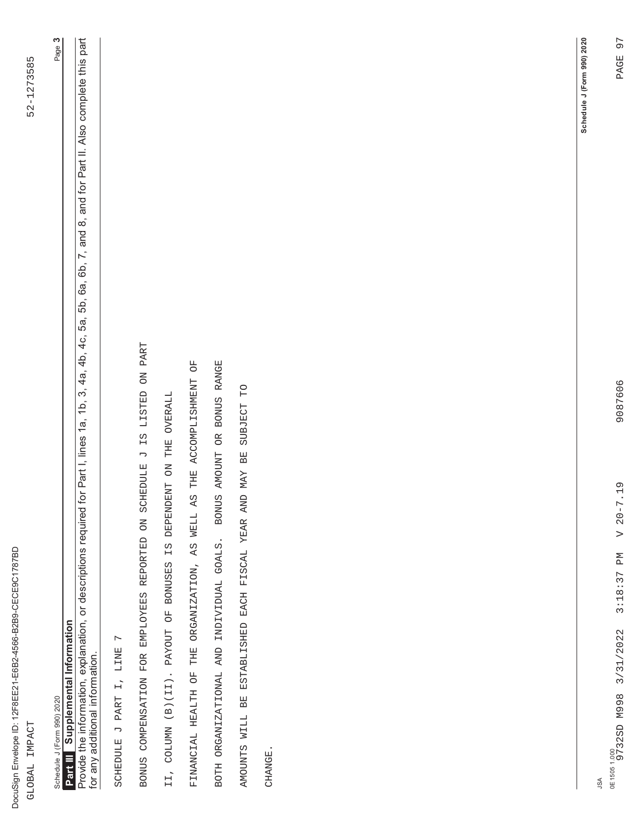| Schedule J (Form 990) 2020<br>97<br>PAGE                                   | 9087606                                                                             | .19<br>$V 20 - 7$ | 3:18:37 PM | 3/31/2022                | 0E15051.000<br>9732SD M998<br>JSA                                                                                                        |
|----------------------------------------------------------------------------|-------------------------------------------------------------------------------------|-------------------|------------|--------------------------|------------------------------------------------------------------------------------------------------------------------------------------|
|                                                                            |                                                                                     |                   |            |                          |                                                                                                                                          |
|                                                                            |                                                                                     |                   |            |                          |                                                                                                                                          |
|                                                                            |                                                                                     |                   |            |                          |                                                                                                                                          |
|                                                                            |                                                                                     |                   |            |                          |                                                                                                                                          |
|                                                                            |                                                                                     |                   |            |                          | CHANGE.                                                                                                                                  |
|                                                                            | BOTH ORGANIZATIONAL AND INDIVIDUAL GOALS. BONUS AMOUNT OR BONUS RANGE<br>SUBJECT TO |                   |            |                          | AMOUNTS WILL BE ESTABLISHED EACH FISCAL YEAR AND MAY BE                                                                                  |
|                                                                            | S THE ACCOMPLISHMENT OF                                                             |                   |            |                          | FINANCIAL HEALTH OF THE ORGANIZATION, AS WELL A                                                                                          |
|                                                                            | DEPENDENT ON THE OVERALL                                                            | $\frac{1}{2}$     |            |                          | II, COLUMN (B)(II). PAYOUT OF BONUSES                                                                                                    |
|                                                                            | LISTED ON PART<br>Ξ<br>$\vdash$                                                     |                   |            |                          | BONUS COMPENSATION FOR EMPLOYEES REPORTED ON SCHEDULE                                                                                    |
|                                                                            |                                                                                     |                   |            | $\overline{\phantom{a}}$ | SCHEDULE J PART I, LINE                                                                                                                  |
| 4b, 4c, 5a, 5b, 6a, 6b, 7, and 8, and for Part II. Also complete this part | 3, 4a,<br>1 <sub>b</sub><br>for Part I, lines 1a,                                   |                   |            |                          | Provide the information, explanation, or descriptions required f<br>Part III Supplemental Information<br>for any additional information. |
| Page 3                                                                     |                                                                                     |                   |            |                          | Schedule J (Form 990) 2020                                                                                                               |
| 52-1273585                                                                 |                                                                                     |                   |            |                          | GLOBAL IMPACT                                                                                                                            |

DocuSign Envelope ID: 12F8EE21-

E6B2-

4566-

B2B9-CECE9

C1787BD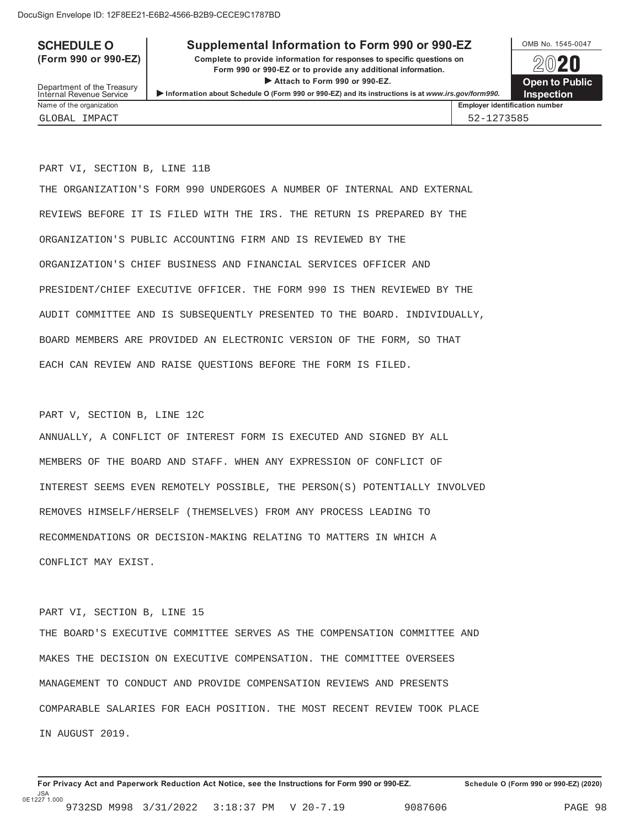# **SCHEDULE O** Supplemental Information to Form 990 or 990-EZ <br>  $\frac{\text{OMB No. }1545-0047}{\text{OMB No. }1545-0047}$

**(Form 990 or 990-EZ) Complete to provide information for responses to specific questions on** plete to provide information for responses to specific questions on  $\begin{pmatrix} \mathbf{0} & \mathbf{0} & \mathbf{0} \\ \mathbf{0} & \mathbf{0} & \mathbf{0} & \mathbf{0} \\ \mathbf{0} & \mathbf{0} & \mathbf{0} & \mathbf{0} \end{pmatrix}$ **Attach to provide any additional information.**<br> **Attach to Form 990 or 990-EZ. Open to Public Internal Revenue Service 
Internal Revenue Service 
Internal Revenue Service 
Internal Revenue Service 
Internal Revenue Service

<b>Internal Revenue Service Internal Revenue Service Internal Revenue Service Inter** 



GLOBAL IMPACT 52-1273585

Name of the organization **Employer identification number Employer identification number** 

PART VI, SECTION B, LINE 11B

THE ORGANIZATION'S FORM 990 UNDERGOES A NUMBER OF INTERNAL AND EXTERNAL REVIEWS BEFORE IT IS FILED WITH THE IRS. THE RETURN IS PREPARED BY THE ORGANIZATION'S PUBLIC ACCOUNTING FIRM AND IS REVIEWED BY THE ORGANIZATION'S CHIEF BUSINESS AND FINANCIAL SERVICES OFFICER AND PRESIDENT/CHIEF EXECUTIVE OFFICER. THE FORM 990 IS THEN REVIEWED BY THE AUDIT COMMITTEE AND IS SUBSEQUENTLY PRESENTED TO THE BOARD. INDIVIDUALLY, BOARD MEMBERS ARE PROVIDED AN ELECTRONIC VERSION OF THE FORM, SO THAT EACH CAN REVIEW AND RAISE QUESTIONS BEFORE THE FORM IS FILED.

#### PART V, SECTION B, LINE 12C

ANNUALLY, A CONFLICT OF INTEREST FORM IS EXECUTED AND SIGNED BY ALL MEMBERS OF THE BOARD AND STAFF. WHEN ANY EXPRESSION OF CONFLICT OF INTEREST SEEMS EVEN REMOTELY POSSIBLE, THE PERSON(S) POTENTIALLY INVOLVED REMOVES HIMSELF/HERSELF (THEMSELVES) FROM ANY PROCESS LEADING TO RECOMMENDATIONS OR DECISION-MAKING RELATING TO MATTERS IN WHICH A CONFLICT MAY EXIST.

#### PART VI, SECTION B, LINE 15

THE BOARD'S EXECUTIVE COMMITTEE SERVES AS THE COMPENSATION COMMITTEE AND MAKES THE DECISION ON EXECUTIVE COMPENSATION. THE COMMITTEE OVERSEES MANAGEMENT TO CONDUCT AND PROVIDE COMPENSATION REVIEWS AND PRESENTS COMPARABLE SALARIES FOR EACH POSITION. THE MOST RECENT REVIEW TOOK PLACE IN AUGUST 2019.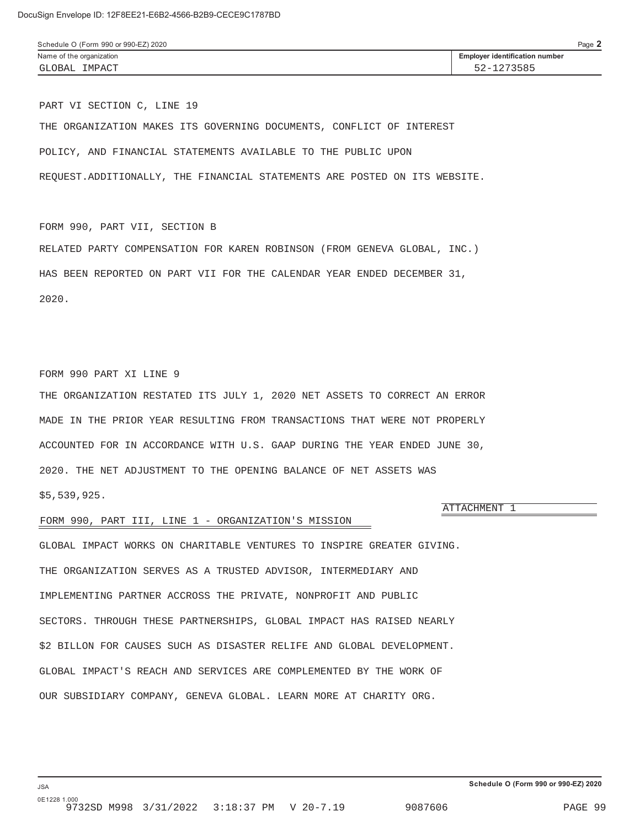PART VI SECTION C, LINE 19

THE ORGANIZATION MAKES ITS GOVERNING DOCUMENTS, CONFLICT OF INTEREST POLICY, AND FINANCIAL STATEMENTS AVAILABLE TO THE PUBLIC UPON REQUEST.ADDITIONALLY, THE FINANCIAL STATEMENTS ARE POSTED ON ITS WEBSITE.

FORM 990, PART VII, SECTION B

RELATED PARTY COMPENSATION FOR KAREN ROBINSON (FROM GENEVA GLOBAL, INC.) HAS BEEN REPORTED ON PART VII FOR THE CALENDAR YEAR ENDED DECEMBER 31, 2020.

FORM 990 PART XI LINE 9

THE ORGANIZATION RESTATED ITS JULY 1, 2020 NET ASSETS TO CORRECT AN ERROR MADE IN THE PRIOR YEAR RESULTING FROM TRANSACTIONS THAT WERE NOT PROPERLY ACCOUNTED FOR IN ACCORDANCE WITH U.S. GAAP DURING THE YEAR ENDED JUNE 30, 2020. THE NET ADJUSTMENT TO THE OPENING BALANCE OF NET ASSETS WAS \$5,539,925.

#### ATTACHMENT 1

### FORM 990, PART III, LINE 1 - ORGANIZATION'S MISSION

GLOBAL IMPACT WORKS ON CHARITABLE VENTURES TO INSPIRE GREATER GIVING. THE ORGANIZATION SERVES AS A TRUSTED ADVISOR, INTERMEDIARY AND IMPLEMENTING PARTNER ACCROSS THE PRIVATE, NONPROFIT AND PUBLIC SECTORS. THROUGH THESE PARTNERSHIPS, GLOBAL IMPACT HAS RAISED NEARLY \$2 BILLON FOR CAUSES SUCH AS DISASTER RELIFE AND GLOBAL DEVELOPMENT. GLOBAL IMPACT'S REACH AND SERVICES ARE COMPLEMENTED BY THE WORK OF OUR SUBSIDIARY COMPANY, GENEVA GLOBAL. LEARN MORE AT CHARITY ORG.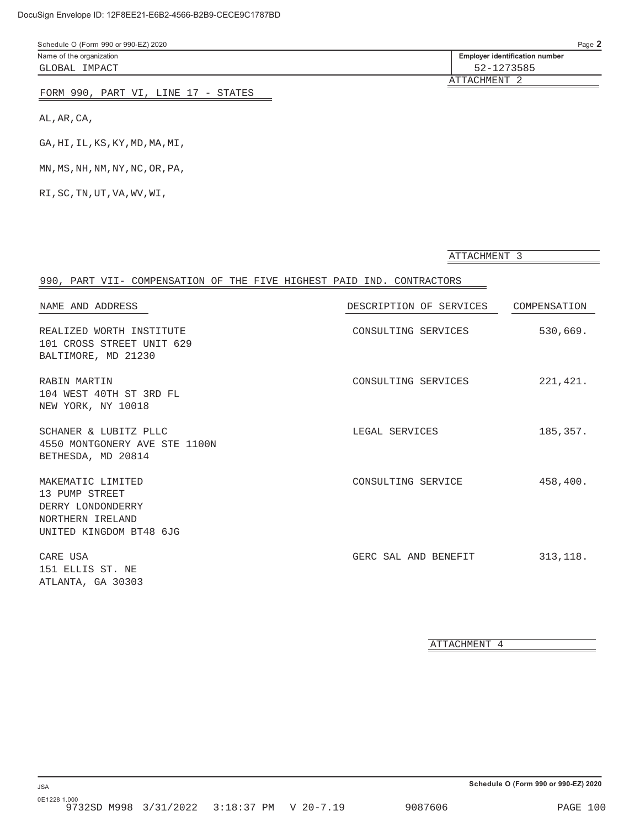| Schedule O (Form 990 or 990-EZ) 2020 |                                       | Page $\blacktriangle$ |
|--------------------------------------|---------------------------------------|-----------------------|
| Name of the organization             | <b>Employer identification number</b> |                       |
| GLOBAL IMPACT                        | 52-1273585                            |                       |
|                                      | ATTACHMENT                            |                       |

FORM 990, PART VI, LINE 17 - STATES

AL,AR,CA,

GA,HI,IL,KS,KY,MD,MA,MI,

 $\texttt{MN}, \texttt{MS}, \texttt{NH}, \texttt{NM}, \texttt{NY}, \texttt{NC}, \texttt{OR}, \texttt{PA},$ 

RI,SC,TN,UT,VA,WV,WI,

| 990, PART VII- COMPENSATION OF THE FIVE HIGHEST PAID IND. CONTRACTORS                                   |                                      |          |
|---------------------------------------------------------------------------------------------------------|--------------------------------------|----------|
| NAME AND ADDRESS                                                                                        | DESCRIPTION OF SERVICES COMPENSATION |          |
| REALIZED WORTH INSTITUTE<br>101 CROSS STREET UNIT 629<br>BALTIMORE, MD 21230                            | CONSULTING SERVICES                  | 530,669. |
| RABIN MARTIN<br>104 WEST 40TH ST 3RD FL<br>NEW YORK, NY 10018                                           | CONSULTING SERVICES                  | 221,421. |
| SCHANER & LUBITZ PLLC<br>4550 MONTGONERY AVE STE 1100N<br>BETHESDA, MD 20814                            | LEGAL SERVICES                       | 185,357. |
| MAKEMATIC LIMITED<br>13 PUMP STREET<br>DERRY LONDONDERRY<br>NORTHERN IRELAND<br>UNITED KINGDOM BT48 6JG | CONSULTING SERVICE                   | 458,400. |
| CARE USA<br>151 ELLIS ST. NE<br>ATLANTA, GA 30303                                                       | GERC SAL AND BENEFIT                 | 313,118. |

ATTACHMENT 4

ATTACHMENT 3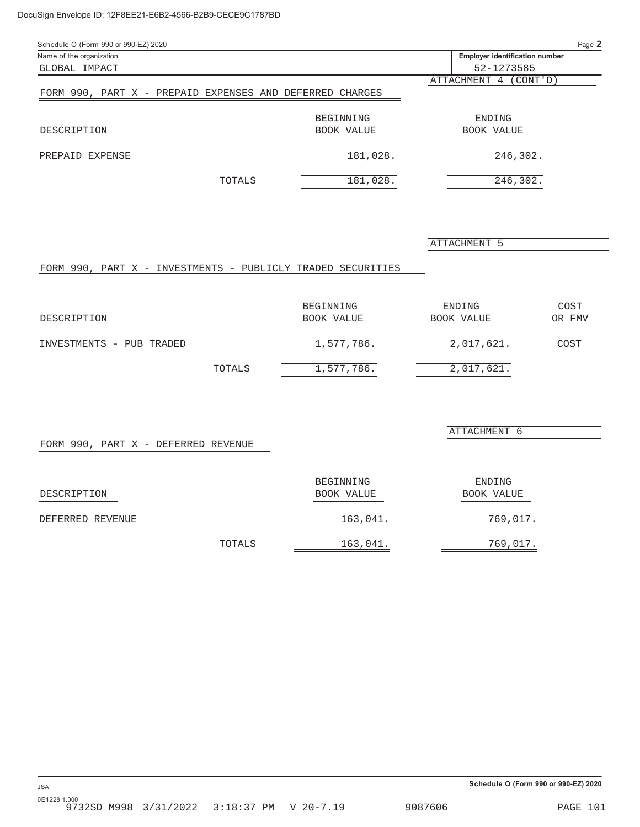| Schedule O (Form 990 or 990-EZ) 2020                     |                   | Page 2                                |
|----------------------------------------------------------|-------------------|---------------------------------------|
| Name of the organization                                 |                   | <b>Employer identification number</b> |
| GLOBAL IMPACT                                            |                   | 52-1273585                            |
|                                                          |                   | ATTACHMENT 4 (CONT'D)                 |
| FORM 990, PART X - PREPAID EXPENSES AND DEFERRED CHARGES |                   |                                       |
|                                                          | BEGINNING         | ENDING                                |
| DESCRIPTION                                              | <b>BOOK VALUE</b> | BOOK VALUE                            |
| PREPAID EXPENSE                                          | 181,028.          | 246,302.                              |
| TOTALS                                                   | 181,028.          | 246,302.                              |

## ATTACHMENT 5

ATTACHMENT 6

# FORM 990, PART X - INVESTMENTS - PUBLICLY TRADED SECURITIES

| DESCRIPTION              |        | BEGINNING<br>BOOK VALUE | ENDING<br>BOOK VALUE | COST<br>OR FMV |
|--------------------------|--------|-------------------------|----------------------|----------------|
| INVESTMENTS - PUB TRADED |        | 1,577,786.              | 2,017,621.           | COST           |
|                          | TOTALS | 1,577,786.              | 2,017,621.           |                |

FORM 990, PART X - DEFERRED REVENUE

|                  |        | BEGINNING  | ENDING     |
|------------------|--------|------------|------------|
| DESCRIPTION      |        | BOOK VALUE | BOOK VALUE |
| DEFERRED REVENUE |        | 163,041.   | 769,017.   |
|                  | TOTALS | 163,041.   | 769,017.   |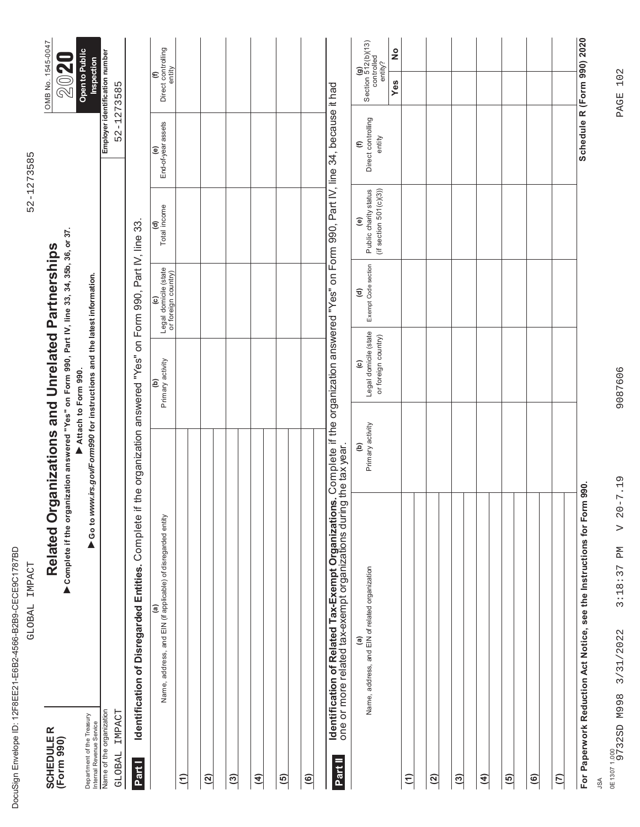| 1787BD<br>J<br>J                   | ļ<br>ו<br>ג<br>ו |
|------------------------------------|------------------|
| CCLCLC CLC<br>ļ                    | コ<br>CIODAT<br>į |
| i<br>j<br>cD?<br>١<br>ī            |                  |
| 17E8EE7<br>I<br>J<br>$\frac{1}{2}$ |                  |
| Ц                                  |                  |
| ٢                                  |                  |

52-1273585 GLOBAL IMPACT 52-1273585

OMB No. 1545-0047

2020

OMB No. 1545-0047

| $\frac{1}{2}$                                       |
|-----------------------------------------------------|
| י<br>ג                                              |
| ֧֖֖֚֚֝֝֝֝֝֝֝֟֬֟֓֟׆<br>֧֪֪֧֬ <u>֚</u><br>í<br>۱<br>l |
| $\frac{1}{2}$<br>ñ                                  |
|                                                     |
|                                                     |

**SCHEDULE R**

SCHEDULE R<br>(Form 990)

**(Form 990) Related Organizations and Unrelated Partnerships Complete if the organization answered "Yes" on Form 990, Part IV, line 33, 34, 35b, 36, or 37.** ▶ Complete if the organization answered "Yes" on Form 990, Part IV, line 33, 34, 35b, 36, or 37. d Partnerships

Attach to Form 990.

 **Attach to Form 990. Open to Public** ▶ Go to www.irs.gov/Form990 for instructions and the latest information. Department of the Treasury<br>Internal Revenue Service

Open to Public Employer identification number Name of the organization **Employer identification number Inspection**

52-1273585

GLOBAL IMPACT 52-1273585 GLOBAL IMPACT

Name of the organization

Department of the Treasury<br>Internal Revenue Service

| Part I  | Identification of Disregarded Entities. Complete if the organization answered "Yes" on Form 990, Part IV, line 33. |                                                                                                           |                                              |                                                     |                                                   |                                              |                                     |
|---------|--------------------------------------------------------------------------------------------------------------------|-----------------------------------------------------------------------------------------------------------|----------------------------------------------|-----------------------------------------------------|---------------------------------------------------|----------------------------------------------|-------------------------------------|
|         | Name, address, and EIN (if applicable) of disregarded entity<br>@                                                  |                                                                                                           | Primary activity<br>ê                        | (c)<br>Legal domicile (state<br>or foreign country) | Total income<br>$\widehat{\mathbf{c}}$            | End-of-year assets<br>$\widehat{\mathbf{e}}$ | (f)<br>Direct controlling<br>entity |
| Ξ       |                                                                                                                    |                                                                                                           |                                              |                                                     |                                                   |                                              |                                     |
|         |                                                                                                                    |                                                                                                           |                                              |                                                     |                                                   |                                              |                                     |
| ତ୍ର     |                                                                                                                    |                                                                                                           |                                              |                                                     |                                                   |                                              |                                     |
|         |                                                                                                                    |                                                                                                           |                                              |                                                     |                                                   |                                              |                                     |
| ତି      |                                                                                                                    |                                                                                                           |                                              |                                                     |                                                   |                                              |                                     |
|         |                                                                                                                    |                                                                                                           |                                              |                                                     |                                                   |                                              |                                     |
| €       |                                                                                                                    |                                                                                                           |                                              |                                                     |                                                   |                                              |                                     |
|         |                                                                                                                    |                                                                                                           |                                              |                                                     |                                                   |                                              |                                     |
| ၜ       |                                                                                                                    |                                                                                                           |                                              |                                                     |                                                   |                                              |                                     |
|         |                                                                                                                    |                                                                                                           |                                              |                                                     |                                                   |                                              |                                     |
| ම       |                                                                                                                    |                                                                                                           |                                              |                                                     |                                                   |                                              |                                     |
|         |                                                                                                                    |                                                                                                           |                                              |                                                     |                                                   |                                              |                                     |
| Part II | Identification of Related Tax-Exempt Organizations.<br>one or more related tax-exempt organizations during t       | Complete if the organization answered "Yes" on Form 990, Part IV, line 34, because it had<br>he tax year. |                                              |                                                     |                                                   |                                              |                                     |
|         | $\widehat{a}$                                                                                                      | ê                                                                                                         | $\widehat{\mathbf{e}}$                       | $\widehat{\mathbf{c}}$                              | $\widehat{\mathbf{e}}$                            | $\epsilon$                                   | $(g)$<br>Section 512(b)(13)         |
|         | Name, address, and EIN of related organization                                                                     | Primary activity                                                                                          | Legal domicile (state<br>or foreign country) | Exempt Code section                                 | Public charity status<br>$(f$ section $501(c)(3)$ | Direct controlling<br>entity                 | controlled<br>entity?               |

| Name, address, and EIN of related organization                        | Primary activity<br>Ì. | Legal domicile (state<br>or foreign country) | Exempt Code section<br>ŗ | Public charity status<br>$(f$ section $501(c)(3)$ | Direct controlling<br>entity | $\begin{array}{ l } \hline \text{Section} & \text{512(b)(13)}\\ \text{continued} & \text{continued} \\ & \text{entity?} \hline \end{array}$ |               |
|-----------------------------------------------------------------------|------------------------|----------------------------------------------|--------------------------|---------------------------------------------------|------------------------------|---------------------------------------------------------------------------------------------------------------------------------------------|---------------|
|                                                                       |                        |                                              |                          |                                                   |                              | Yes                                                                                                                                         | $\frac{1}{2}$ |
| Ξ                                                                     |                        |                                              |                          |                                                   |                              |                                                                                                                                             |               |
|                                                                       |                        |                                              |                          |                                                   |                              |                                                                                                                                             |               |
| $\widehat{\mathfrak{g}}$                                              |                        |                                              |                          |                                                   |                              |                                                                                                                                             |               |
|                                                                       |                        |                                              |                          |                                                   |                              |                                                                                                                                             |               |
| $\widehat{\mathbf{e}}$                                                |                        |                                              |                          |                                                   |                              |                                                                                                                                             |               |
|                                                                       |                        |                                              |                          |                                                   |                              |                                                                                                                                             |               |
| $\mathbf{f}$                                                          |                        |                                              |                          |                                                   |                              |                                                                                                                                             |               |
|                                                                       |                        |                                              |                          |                                                   |                              |                                                                                                                                             |               |
| $\overline{5}$                                                        |                        |                                              |                          |                                                   |                              |                                                                                                                                             |               |
|                                                                       |                        |                                              |                          |                                                   |                              |                                                                                                                                             |               |
| $\widehat{\mathbf{e}}$                                                |                        |                                              |                          |                                                   |                              |                                                                                                                                             |               |
|                                                                       |                        |                                              |                          |                                                   |                              |                                                                                                                                             |               |
| ε                                                                     |                        |                                              |                          |                                                   |                              |                                                                                                                                             |               |
|                                                                       |                        |                                              |                          |                                                   |                              |                                                                                                                                             |               |
| For Paperwork Reduction Act Notice, see the Instructions for Form 990 |                        |                                              |                          |                                                   | Schedule R (Form 990) 2020   |                                                                                                                                             |               |

JSA

0E13071.000<br>9732SD M998 3/31/2022 0E1307 1.000

 $V 20 - 7.19$ 

3:18:37 PM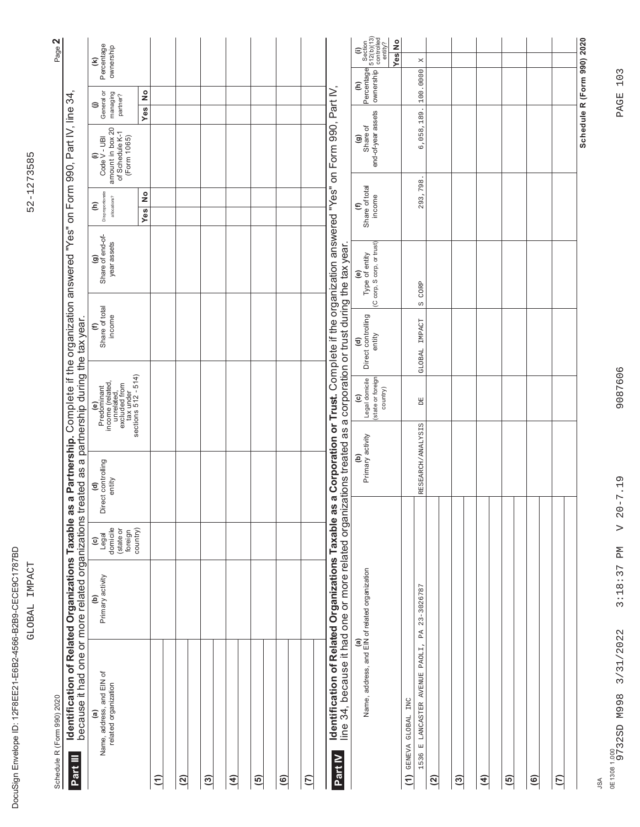| Page 2                                                                                                                                                                                        |                                                      | Percentage<br>ownership<br>$\widehat{\epsilon}$                                                                              |               |                           |                |              |                |                         |             |                                                                                                                                                                        | Percentage Section<br>ownership 312(b)/13)<br>ownership controlled<br>entity?<br><b>Yes</b> No<br>Ξ |                         | $\bowtie$                                            |               |              |                |                        |             | Schedule R (Form 990) 2020 |
|-----------------------------------------------------------------------------------------------------------------------------------------------------------------------------------------------|------------------------------------------------------|------------------------------------------------------------------------------------------------------------------------------|---------------|---------------------------|----------------|--------------|----------------|-------------------------|-------------|------------------------------------------------------------------------------------------------------------------------------------------------------------------------|-----------------------------------------------------------------------------------------------------|-------------------------|------------------------------------------------------|---------------|--------------|----------------|------------------------|-------------|----------------------------|
|                                                                                                                                                                                               |                                                      | $\frac{1}{2}$<br>General or<br>managing<br>partner?<br>⊜<br>Yes                                                              |               |                           |                |              |                |                         |             |                                                                                                                                                                        | ξ                                                                                                   |                         | 100.0000                                             |               |              |                |                        |             |                            |
| a Partnership. Complete if the organization answered "Yes" on Form 990, Part IV, line 34,<br>ated as a partnership during the tax year.<br>Identification of Related Organizations Taxable as |                                                      | amount in box 20<br>of Schedule K-1<br>(Form 1065)<br>Code V - UBI<br>€                                                      |               |                           |                |              |                |                         |             | on Form 990, Part IV,                                                                                                                                                  | end-of-year assets<br>Share of<br>ම                                                                 |                         | 6,058,189.                                           |               |              |                |                        |             |                            |
|                                                                                                                                                                                               |                                                      | Disproportionate<br>$\frac{1}{2}$<br>allocations?<br>$\widehat{\epsilon}$<br>Yes                                             |               |                           |                |              |                |                         |             |                                                                                                                                                                        | Share of total<br>income<br>$\epsilon$                                                              |                         | 293,798.                                             |               |              |                |                        |             |                            |
|                                                                                                                                                                                               |                                                      | (g)<br>Share of end-of-<br>year assets                                                                                       |               |                           |                |              |                |                         |             |                                                                                                                                                                        | Type of entity<br>(C corp, S corp, or trust)<br>©)                                                  |                         | CORP                                                 |               |              |                |                        |             |                            |
|                                                                                                                                                                                               |                                                      | Share of total<br>income<br>$\epsilon$                                                                                       |               |                           |                |              |                |                         |             |                                                                                                                                                                        | (d)<br>Direct controlling<br>entity                                                                 |                         | $\mathbb{C}\Omega$<br>GLOBAL IMPACT                  |               |              |                |                        |             |                            |
|                                                                                                                                                                                               |                                                      | Predominant<br>income (related,<br>unrelated,<br>exulded,<br>exulude fom<br>tauderoms 512 - 514)<br>sections 512 - 514)<br>© |               |                           |                |              |                |                         |             |                                                                                                                                                                        | Legal domicile<br>(state or foreign<br>country)                                                     |                         | 呂                                                    |               |              |                |                        |             |                            |
|                                                                                                                                                                                               |                                                      | Direct controlling<br>entity<br>$\widehat{\mathbf{c}}$                                                                       |               |                           |                |              |                |                         |             | a Corporation or Trust. Complete if the organization answered "Yes"                                                                                                    | Primary activity<br>ê                                                                               |                         | RESEARCH/ANALYSIS                                    |               |              |                |                        |             |                            |
|                                                                                                                                                                                               |                                                      | Legal<br>domicile<br>country)<br>(state or<br>foreign<br>$\widehat{\boldsymbol{\omega}}$                                     |               |                           |                |              |                |                         |             |                                                                                                                                                                        |                                                                                                     |                         |                                                      |               |              |                |                        |             |                            |
|                                                                                                                                                                                               |                                                      | Primary activity<br>ê                                                                                                        |               |                           |                |              |                |                         |             |                                                                                                                                                                        |                                                                                                     |                         | 23-3026787                                           |               |              |                |                        |             |                            |
| Schedule R (Form 990) 2020                                                                                                                                                                    | because it had one or more related organizations tre | Name, address, and EIN of<br>related organization<br><u>ම</u>                                                                |               |                           |                |              |                |                         |             | line 34, because it had one or more related organizations treated as a corporation or trust during the tax year.<br>Identification of Related Organizations Taxable as | (a)<br>Name, address, and EIN of related organization                                               | INC<br><b>GLOBAL</b>    | $\mathbb{P}\mathbb{A}$<br>PAOLI,<br>LANCASTER AVENUE |               |              |                |                        |             |                            |
|                                                                                                                                                                                               | Part III                                             |                                                                                                                              | $\widehat{E}$ | $\widetilde{\mathcal{L}}$ | $\overline{c}$ | $\mathbf{f}$ | $\overline{5}$ | $\ddot{\boldsymbol{6}}$ | $\tilde{c}$ | Part IV                                                                                                                                                                |                                                                                                     | GENEVA<br>$\widehat{E}$ | $[1]$<br>1536<br>$\widetilde{\mathcal{L}}$           | $\widehat{c}$ | $\mathbf{f}$ | $\overline{5}$ | $\widehat{\mathbf{e}}$ | $\tilde{c}$ |                            |

JSA

DocuSign Envelope ID: 12F8EE21-

E6B2-

4566-

B2B9-CECE9

GLOBAL IMPACT

C1787BD

J

0E1308 1.000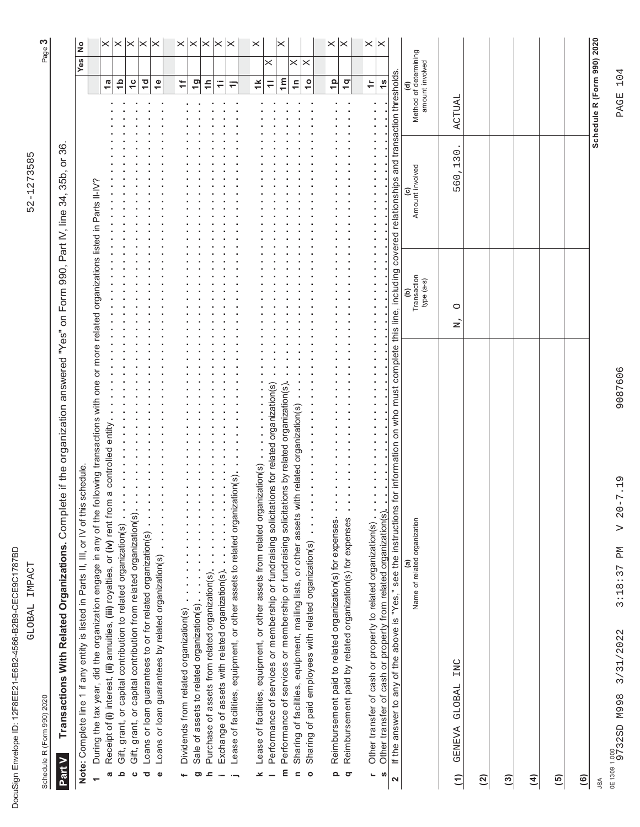DocuSign Envelope ID: 12F8EE21-E6B2-4566-B2B9-CECE9 C1787BD

GLOBAL IMPACT

52-1273585 GLOBAL IMPACT 52-1273585

Page 3 Schedule R (Form 990) 2020 Page **3**

|        | Schedule R (Form 990) 2020                                                                                                            |  |
|--------|---------------------------------------------------------------------------------------------------------------------------------------|--|
| Part V | ions. Complete if the organization answered "Yes" on Form 990, Part IV, line 34, 35b, or 36.<br>Transactions With Related Organizatio |  |
|        | III or IV of this sobadula<br>Nato Complete line 1 if any extiny is lieted in Dotto M                                                 |  |

|                                                                                                                                                     |                                       |                                                                     | Yes                                      | $\frac{1}{2}$ |
|-----------------------------------------------------------------------------------------------------------------------------------------------------|---------------------------------------|---------------------------------------------------------------------|------------------------------------------|---------------|
| schedule.<br>Note: Complete line 1 if any entity is listed in Parts II, III, or IV of this                                                          |                                       |                                                                     |                                          |               |
| During the tax year, did the organization engage in any of the following transactions with one or more related organizations listed in Parts II-IV? |                                       |                                                                     |                                          |               |
| a controlled entity<br>Receipt of (i) interest, (ii) annuities, (iii) royalties, or (iv) rent from<br>Ø                                             |                                       |                                                                     | $\frac{a}{b}$                            | X             |
| Gift, grant, or capital contribution to related organization(s)<br>ء                                                                                |                                       |                                                                     | $\frac{a}{b}$                            | $\bowtie$     |
| Gift, grant, or capital contribution from related organization(s).<br>$\mathbf C$                                                                   |                                       |                                                                     | $\frac{1}{2}$                            | $\bowtie$     |
| Loans or loan guarantees to or for related organization(s)<br>ਠ                                                                                     |                                       |                                                                     | $\overline{a}$                           | X             |
|                                                                                                                                                     |                                       |                                                                     |                                          | ×             |
| ł,<br>Loans or loan guarantees by related organization(s)<br>$\bullet$                                                                              |                                       |                                                                     | $\frac{6}{1}$                            |               |
|                                                                                                                                                     |                                       |                                                                     |                                          |               |
| $\begin{array}{c} \bullet \\ \bullet \\ \bullet \\ \bullet \end{array}$<br>Dividends from related organization(s)                                   |                                       |                                                                     | ŧ                                        | X             |
| Sale of assets to related organization(s)<br>ත                                                                                                      |                                       |                                                                     | $\overline{1}$ gl                        | $\bowtie$     |
| Purchase of assets from related organization(s).<br>ᇰ                                                                                               |                                       |                                                                     | $\frac{1}{2}$                            | ×             |
|                                                                                                                                                     |                                       |                                                                     | $\ddot{ }$                               | X             |
| Exchange of assets with related organization(s).                                                                                                    |                                       |                                                                     |                                          |               |
| Lease of facilities, equipment, or other assets to related organization(s).                                                                         |                                       |                                                                     | Ξ                                        | ×             |
|                                                                                                                                                     |                                       |                                                                     |                                          |               |
| Lease of facilities, equipment, or other assets from related organization(s)<br>×                                                                   |                                       |                                                                     | $\ddot{x}$                               | ×             |
| Performance of services or membership or fundraising solicitations for related organization(s)                                                      |                                       |                                                                     | ×<br>$\equiv$                            |               |
| Performance of services or membership or fundraising solicitations by related organization(s)<br>ξ                                                  |                                       |                                                                     | $\tilde{=}$                              | X             |
|                                                                                                                                                     |                                       |                                                                     | ×<br>$\ddot{=}$                          |               |
| Sharing of facilities, equipment, mailing lists, or other assets with related organization(s)<br>$\mathbf{C}$                                       |                                       |                                                                     |                                          |               |
| $\begin{array}{c} \bullet \\ \bullet \\ \bullet \\ \bullet \end{array}$<br>Sharing of paid employees with related organization(s)<br>$\circ$        |                                       |                                                                     | X<br>$\frac{1}{2}$                       |               |
|                                                                                                                                                     |                                       |                                                                     |                                          |               |
| Reimbursement paid to related organization(s) for expenses.<br>Q                                                                                    |                                       |                                                                     | $\frac{1}{2}$                            | X             |
| ä<br>Reimbursement paid by related organization(s) for expenses<br>$\sigma$                                                                         |                                       |                                                                     | $\frac{q}{1}$                            | ×             |
|                                                                                                                                                     |                                       |                                                                     |                                          |               |
| Other transfer of cash or property to related organization(s)<br>L                                                                                  |                                       |                                                                     | $\ddot{\tau}$                            | X             |
| Other transfer of cash or property from related organization(s).<br>S                                                                               |                                       |                                                                     | $\frac{8}{1}$                            | X             |
| or information on who must complete this<br>If the answer to any of the above is "Yes," see the instructions<br>2                                   | line, including covered relationships |                                                                     | and transaction thresholds               |               |
|                                                                                                                                                     | ê                                     |                                                                     | ਰ                                        |               |
| Name of related organization                                                                                                                        | Transaction<br>type (a-s)             | Amount involved                                                     | Method of determining<br>amount involved |               |
| INC<br><b>GLOBAL</b><br>GENEVA<br>$\widehat{\epsilon}$                                                                                              | $\circ$<br>Z                          | $\overline{3}0$<br>$\overline{\phantom{0}}$<br>$\overline{6}$<br>Ь٦ | ACTUAL                                   |               |
| ି                                                                                                                                                   |                                       |                                                                     |                                          |               |
| $\overline{3}$                                                                                                                                      |                                       |                                                                     |                                          |               |
|                                                                                                                                                     |                                       |                                                                     |                                          |               |
| E                                                                                                                                                   |                                       |                                                                     |                                          |               |
| <u>(5)</u>                                                                                                                                          |                                       |                                                                     |                                          |               |
| $\widehat{\mathbf{e}}$                                                                                                                              |                                       |                                                                     |                                          |               |
| <b>ASL</b>                                                                                                                                          |                                       |                                                                     | Schedule R (Form 990) 2020               |               |
| 9087606<br>$20 - 7.19$<br>$\triangleright$<br>3:18:37 PM<br>3/31/2022<br>0E1309 1.000<br>9732SD M998                                                |                                       |                                                                     | 104<br>PAGE                              |               |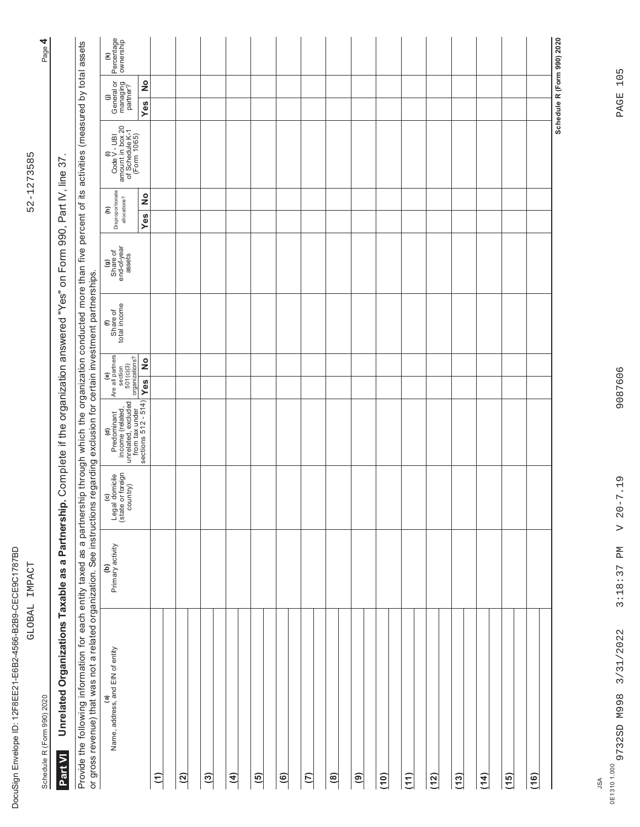|                                                                                                                              |                                                                                                                                                                                                                                                                                                                          | (k)<br>Percentage<br>ownership                                                                                                                                                                                                                                                                                                                                                                                                         |                      |               |     |                |                |                |                         |                |               |                        |      |      |      |      |      |      |      | Schedule R (Form 990) 2020 |
|------------------------------------------------------------------------------------------------------------------------------|--------------------------------------------------------------------------------------------------------------------------------------------------------------------------------------------------------------------------------------------------------------------------------------------------------------------------|----------------------------------------------------------------------------------------------------------------------------------------------------------------------------------------------------------------------------------------------------------------------------------------------------------------------------------------------------------------------------------------------------------------------------------------|----------------------|---------------|-----|----------------|----------------|----------------|-------------------------|----------------|---------------|------------------------|------|------|------|------|------|------|------|----------------------------|
|                                                                                                                              |                                                                                                                                                                                                                                                                                                                          | (i)<br>General or<br>managing<br>partner?                                                                                                                                                                                                                                                                                                                                                                                              | $\frac{1}{2}$<br>Yes |               |     |                |                |                |                         |                |               |                        |      |      |      |      |      |      |      |                            |
|                                                                                                                              |                                                                                                                                                                                                                                                                                                                          | $\begin{array}{c}\n 0 \\  \text{Code } V - \text{UBI} \\  \text{amount in box 20} \\  \text{of Schedule } K-1 \\  \text{(Form 1065)}\n \end{array}$                                                                                                                                                                                                                                                                                    |                      |               |     |                |                |                |                         |                |               |                        |      |      |      |      |      |      |      |                            |
|                                                                                                                              |                                                                                                                                                                                                                                                                                                                          | Disproportionate<br>allocations?<br>$\widehat{\epsilon}$                                                                                                                                                                                                                                                                                                                                                                               | $\frac{1}{2}$<br>Yes |               |     |                |                |                |                         |                |               |                        |      |      |      |      |      |      |      |                            |
|                                                                                                                              |                                                                                                                                                                                                                                                                                                                          | (g)<br>Share of<br>end-of-year<br>assets                                                                                                                                                                                                                                                                                                                                                                                               |                      |               |     |                |                |                |                         |                |               |                        |      |      |      |      |      |      |      |                            |
|                                                                                                                              |                                                                                                                                                                                                                                                                                                                          | Share of<br>total income<br>$\epsilon$                                                                                                                                                                                                                                                                                                                                                                                                 |                      |               |     |                |                |                |                         |                |               |                        |      |      |      |      |      |      |      |                            |
|                                                                                                                              |                                                                                                                                                                                                                                                                                                                          | Are all partners<br>section<br>section<br>501(c)(3)<br>organizations?                                                                                                                                                                                                                                                                                                                                                                  | $\frac{1}{2}$        |               |     |                |                |                |                         |                |               |                        |      |      |      |      |      |      |      |                            |
|                                                                                                                              |                                                                                                                                                                                                                                                                                                                          | $[{\footnotesize \begin{tabular}{ c c } \hline & \multicolumn{1}{ c }{ c } \hline & \multicolumn{1}{ c }{(d)} & \multicolumn{1}{ c }{(e)} & \multicolumn{1}{ c }{(e)} \\ \hline \multicolumn{1}{ c }{ n } \hline \multicolumn{1}{ c }{ n } \hline \multicolumn{1}{ c }{ n } \hline \multicolumn{1}{ c }{ n } \hline \multicolumn{1}{ c }{ n } \hline \multicolumn{1}{ c }{ n } \hline \multicolumn{1}{ c }{ n } \hline \multicolumn{1$ |                      |               |     |                |                |                |                         |                |               |                        |      |      |      |      |      |      |      |                            |
|                                                                                                                              |                                                                                                                                                                                                                                                                                                                          | (c)<br>Legal domicile<br>(state or foreign<br>country)                                                                                                                                                                                                                                                                                                                                                                                 |                      |               |     |                |                |                |                         |                |               |                        |      |      |      |      |      |      |      |                            |
|                                                                                                                              |                                                                                                                                                                                                                                                                                                                          | Primary activity<br>ê                                                                                                                                                                                                                                                                                                                                                                                                                  |                      |               |     |                |                |                |                         |                |               |                        |      |      |      |      |      |      |      |                            |
| Unrelated Organizations Taxable as a Partnership. Complete if the organization answered "Yes" on Form 990, Part IV, line 37. | Provide the following information for each entity taxed as a partnership through which the organization conducted more than five percent of its activities (measured by total assets<br>or gross revenue) that was not a related organization. See instructions regarding exclusion for certain investment partnerships. | (a)<br>Name, address, and EIN of entity                                                                                                                                                                                                                                                                                                                                                                                                |                      |               |     |                |                |                |                         |                |               |                        |      |      |      |      |      |      |      |                            |
| Part VI                                                                                                                      |                                                                                                                                                                                                                                                                                                                          |                                                                                                                                                                                                                                                                                                                                                                                                                                        |                      | $\widehat{E}$ | (2) | $\overline{3}$ | $\overline{4}$ | $\overline{5}$ | $\ddot{\boldsymbol{6}}$ | $\overline{C}$ | $\circled{s}$ | $\widehat{\mathbf{e}}$ | (10) | (11) | (12) | (13) | (14) | (15) | (16) |                            |

Page  $4$ 

Schedule R (Form 990) 2020 Page **4**

DocuSign Envelope ID: 12F8EE21-

Schedule R (Form 990) 2020

E6B2-

4566-

B2B9-CECE9

GLOBAL IMPACT

C1787BD

JSA